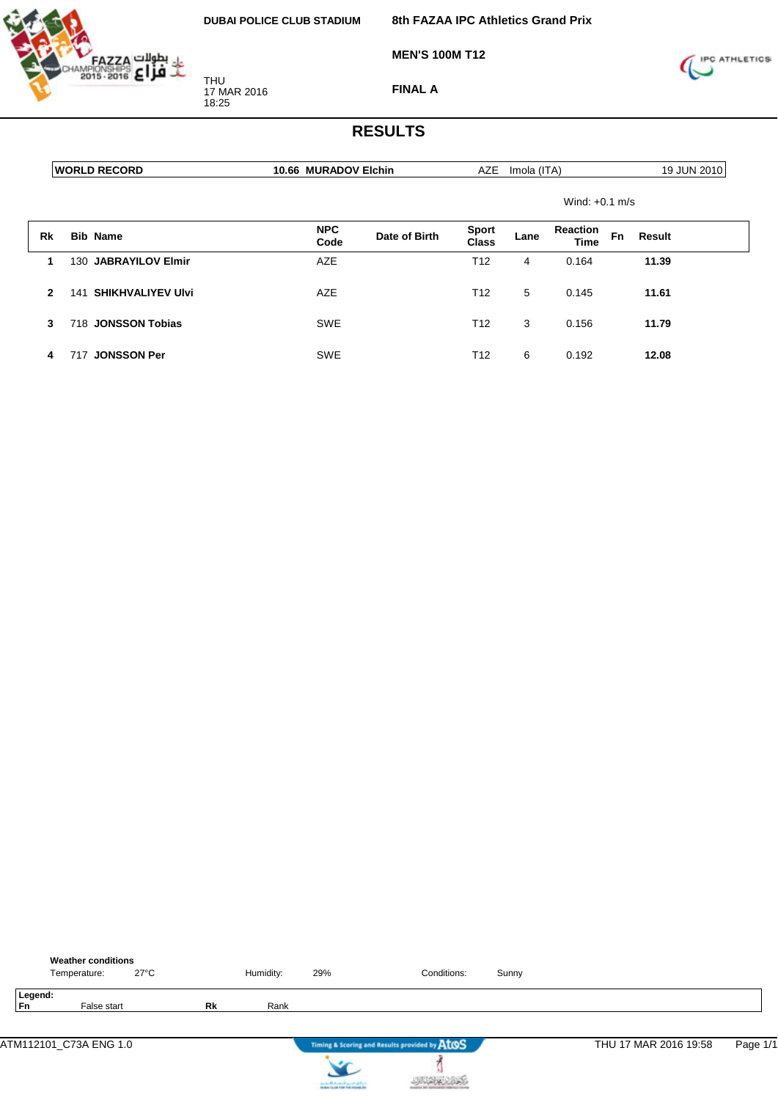

**8th FAZAA IPC Athletics Grand Prix**

**MEN'S 100M T12**



**FINAL A**

|              | <b>WORLD RECORD</b>             | 10.66 MURADOV Elchin |               | <b>AZE</b>                   | Imola (ITA) |                                |    | 19 JUN 2010 |
|--------------|---------------------------------|----------------------|---------------|------------------------------|-------------|--------------------------------|----|-------------|
|              |                                 |                      |               |                              |             | Wind: $+0.1$ m/s               |    |             |
| Rk           | <b>Bib Name</b>                 | <b>NPC</b><br>Code   | Date of Birth | <b>Sport</b><br><b>Class</b> | Lane        | <b>Reaction</b><br><b>Time</b> | Fn | Result      |
| 1            | 130 JABRAYILOV Elmir            | <b>AZE</b>           |               | T <sub>12</sub>              | 4           | 0.164                          |    | 11.39       |
| $\mathbf{2}$ | <b>SHIKHVALIYEV Ulvi</b><br>141 | <b>AZE</b>           |               | T <sub>12</sub>              | 5           | 0.145                          |    | 11.61       |
| 3            | 718 JONSSON Tobias              | <b>SWE</b>           |               | T <sub>12</sub>              | 3           | 0.156                          |    | 11.79       |
| 4            | <b>JONSSON Per</b><br>717       | <b>SWE</b>           |               | T <sub>12</sub>              | 6           | 0.192                          |    | 12.08       |

|               | <b>Weather conditions</b><br>Temperature: |             | $27^{\circ}$ C |           | Humidity: | 29% | Conditions:                                   | Sunny |                       |          |
|---------------|-------------------------------------------|-------------|----------------|-----------|-----------|-----|-----------------------------------------------|-------|-----------------------|----------|
| Legend:<br>Fn |                                           | False start |                | <b>Rk</b> | Rank      |     |                                               |       |                       |          |
|               | ATM112101_C73A ENG 1.0                    |             |                |           |           |     | Timing & Scoring and Results provided by AtOS |       | THU 17 MAR 2016 19:58 | Page 1/1 |
|               |                                           |             |                |           |           |     |                                               |       |                       |          |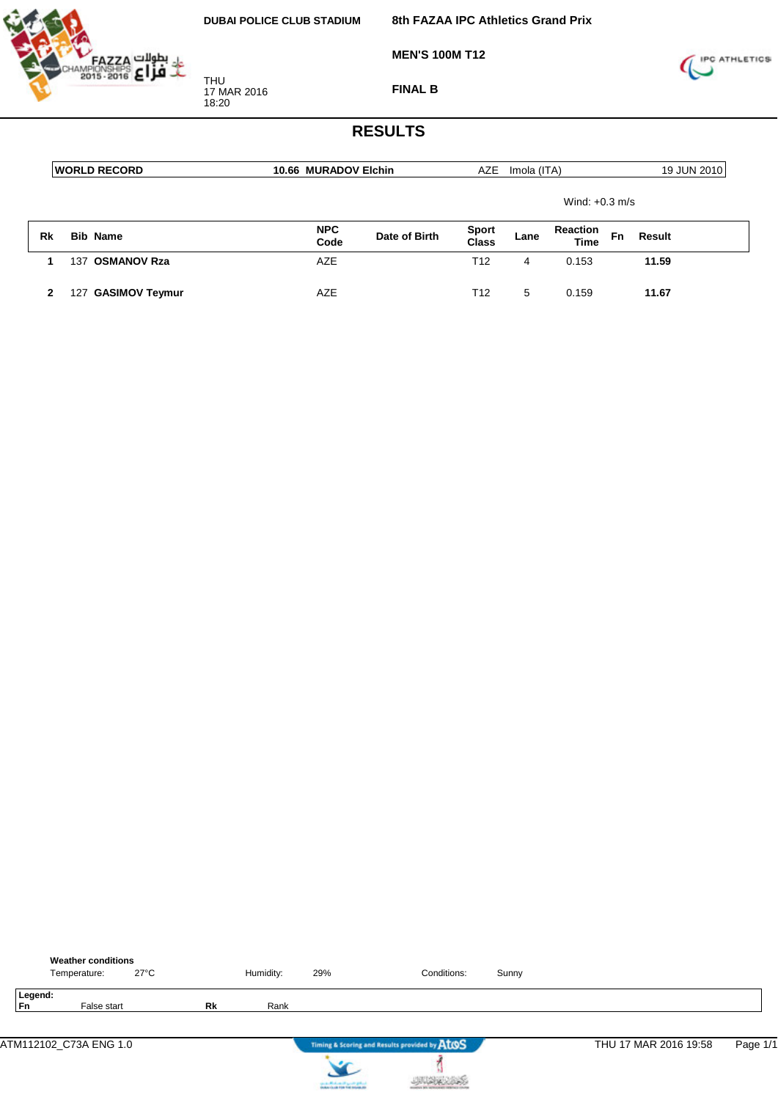

**FINAL B**

**MEN'S 100M T12**



|    | <b>WORLD RECORD</b>      | 10.66 MURADOV Elchin                |  | <b>AZE</b>                   | Imola (ITA)                            |                  |    | 19 JUN 2010 |
|----|--------------------------|-------------------------------------|--|------------------------------|----------------------------------------|------------------|----|-------------|
|    |                          |                                     |  |                              |                                        | Wind: $+0.3$ m/s |    |             |
| Rk | <b>Bib Name</b>          | <b>NPC</b><br>Date of Birth<br>Code |  | <b>Sport</b><br><b>Class</b> | <b>Reaction</b><br>Lane<br><b>Time</b> |                  | Fn | Result      |
|    | <b>OSMANOV Rza</b><br>37 | AZE                                 |  | T12                          | 4                                      | 0.153            |    | 11.59       |
|    | <b>GASIMOV Teymur</b>    | AZE                                 |  | T12                          | 5                                      | 0.159            |    | 11.67       |

|                      | <b>Weather conditions</b><br>Temperature: | $27^{\circ}$ C |    | Humidity: | 29%                                             | Conditions:                                   | Sunny |                       |          |
|----------------------|-------------------------------------------|----------------|----|-----------|-------------------------------------------------|-----------------------------------------------|-------|-----------------------|----------|
| Legend:<br><b>Fn</b> | False start                               |                | Rk | Rank      |                                                 |                                               |       |                       |          |
|                      | ATM112102_C73A ENG 1.0                    |                |    |           |                                                 | Timing & Scoring and Results provided by AtOS |       | THU 17 MAR 2016 19:58 | Page 1/1 |
|                      |                                           |                |    |           | <b>Counter PRInds and International Section</b> |                                               |       |                       |          |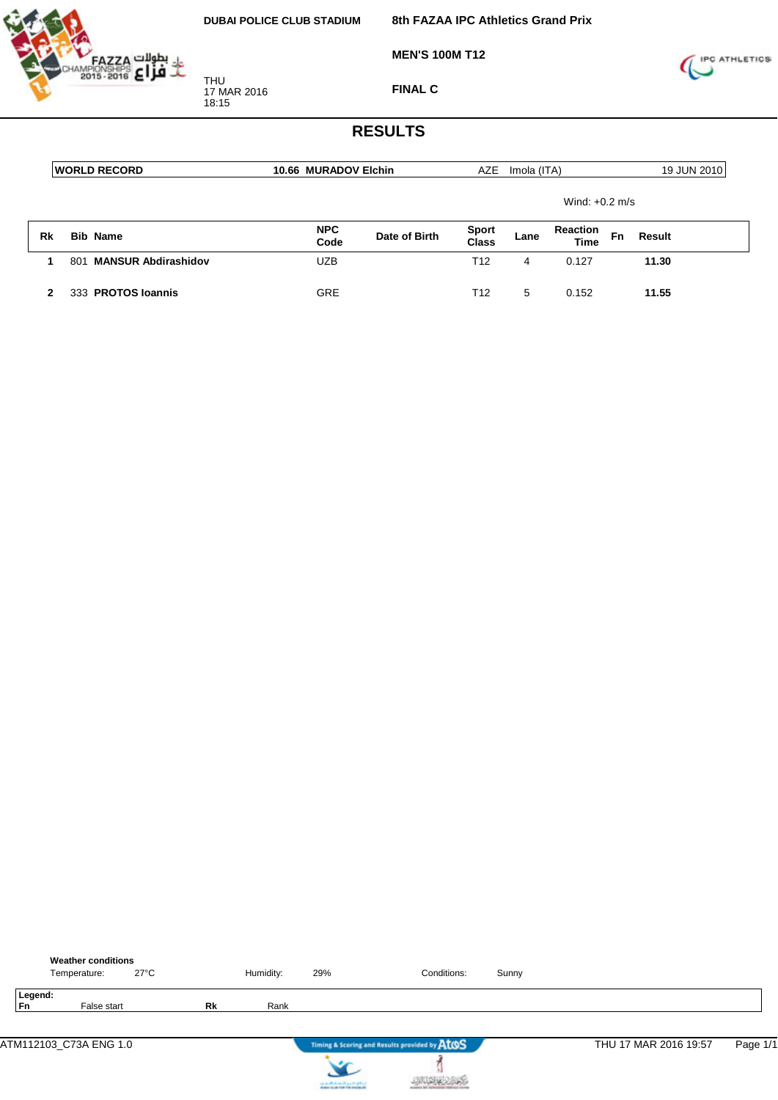**8th FAZAA IPC Athletics Grand Prix**



**MEN'S 100M T12**



**FINAL C**

|    | <b>IWORLD RECORD</b>              | 10.66 MURADOV Elchin |               | AZE                          | Imola (ITA) |                                |    | 19 JUN 2010 |
|----|-----------------------------------|----------------------|---------------|------------------------------|-------------|--------------------------------|----|-------------|
|    |                                   |                      |               |                              |             | Wind: $+0.2$ m/s               |    |             |
| Rk | <b>Bib Name</b>                   | <b>NPC</b><br>Code   | Date of Birth | <b>Sport</b><br><b>Class</b> | Lane        | <b>Reaction</b><br><b>Time</b> | Fn | Result      |
|    | <b>MANSUR Abdirashidov</b><br>801 | <b>UZB</b>           |               | T <sub>12</sub>              | 4           | 0.127                          |    | 11.30       |
| 2  | 333 PROTOS Ioannis                | <b>GRE</b>           |               | T <sub>12</sub>              | 5           | 0.152                          |    | 11.55       |

|               | <b>Weather conditions</b><br>Temperature: | $27^{\circ}$ C |    | Humidity: | 29% | Conditions:                                   | Sunny |                       |          |
|---------------|-------------------------------------------|----------------|----|-----------|-----|-----------------------------------------------|-------|-----------------------|----------|
| Legend:<br>Fn | False start                               |                | Rk | Rank      |     |                                               |       |                       |          |
|               | ATM112103_C73A ENG 1.0                    |                |    |           |     | Timing & Scoring and Results provided by AtOS |       | THU 17 MAR 2016 19:57 | Page 1/1 |
|               |                                           |                |    |           |     |                                               |       |                       |          |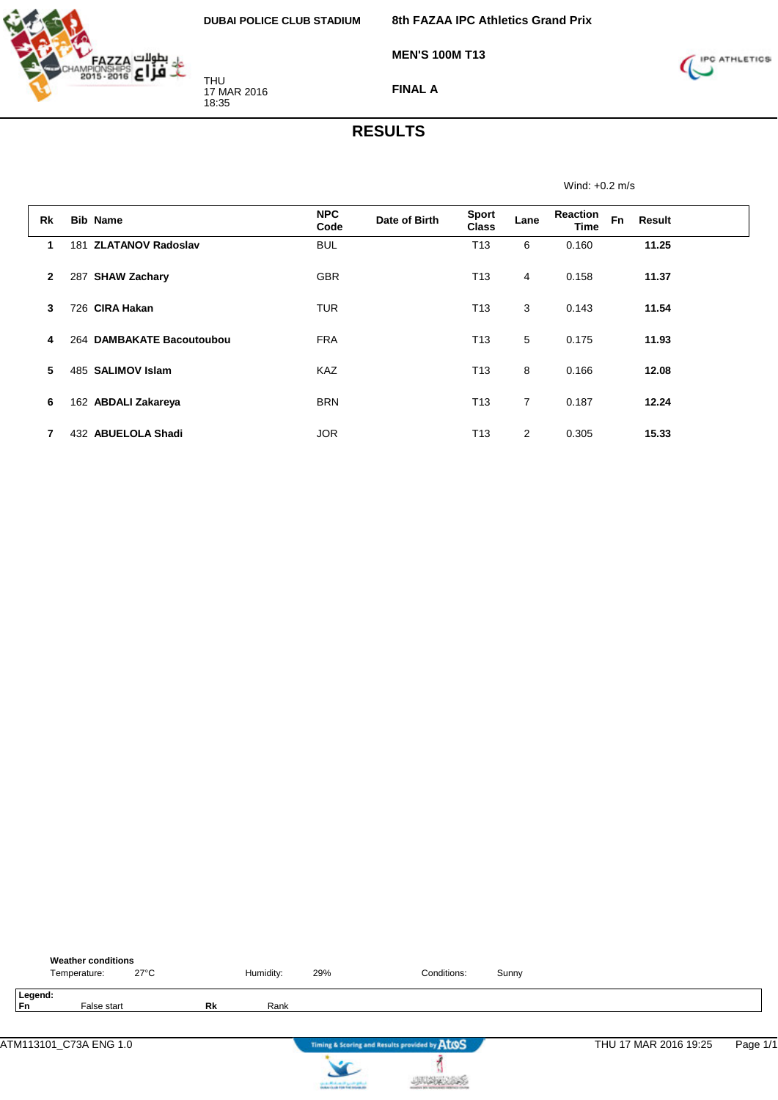

**MEN'S 100M T13**



**FINAL A**

## **RESULTS**

Wind: +0.2 m/s

| <b>Rk</b> | <b>Bib Name</b>                 | <b>NPC</b><br>Code | Date of Birth | <b>Sport</b><br><b>Class</b> | Lane           | <b>Reaction</b><br><b>Time</b> | <b>Fn</b><br>Result |  |
|-----------|---------------------------------|--------------------|---------------|------------------------------|----------------|--------------------------------|---------------------|--|
| 1         | <b>ZLATANOV Radoslav</b><br>181 | <b>BUL</b>         |               | T <sub>13</sub>              | 6              | 0.160                          | 11.25               |  |
| 2         | <b>SHAW Zachary</b><br>287      | <b>GBR</b>         |               | T <sub>13</sub>              | 4              | 0.158                          | 11.37               |  |
| 3         | 726 CIRA Hakan                  | <b>TUR</b>         |               | T <sub>13</sub>              | 3              | 0.143                          | 11.54               |  |
| 4         | 264 DAMBAKATE Bacoutoubou       | <b>FRA</b>         |               | T <sub>13</sub>              | 5              | 0.175                          | 11.93               |  |
| 5         | 485 SALIMOV Islam               | <b>KAZ</b>         |               | T <sub>13</sub>              | 8              | 0.166                          | 12.08               |  |
| 6         | 162 ABDALI Zakareya             | <b>BRN</b>         |               | T <sub>13</sub>              | $\overline{7}$ | 0.187                          | 12.24               |  |
| 7         | <b>ABUELOLA Shadi</b><br>432    | <b>JOR</b>         |               | T <sub>13</sub>              | $\overline{2}$ | 0.305                          | 15.33               |  |

|                      | <b>Weather conditions</b><br>Temperature: | $27^{\circ}$ C |    | Humidity: | 29% | Conditions:                                   | Sunny |                       |          |
|----------------------|-------------------------------------------|----------------|----|-----------|-----|-----------------------------------------------|-------|-----------------------|----------|
| Legend:<br><b>Fn</b> | False start                               |                | Rk | Rank      |     |                                               |       |                       |          |
|                      | ATM113101_C73A ENG 1.0                    |                |    |           |     | Timing & Scoring and Results provided by ATOS |       | THU 17 MAR 2016 19:25 | Page 1/1 |
|                      |                                           |                |    |           |     |                                               |       |                       |          |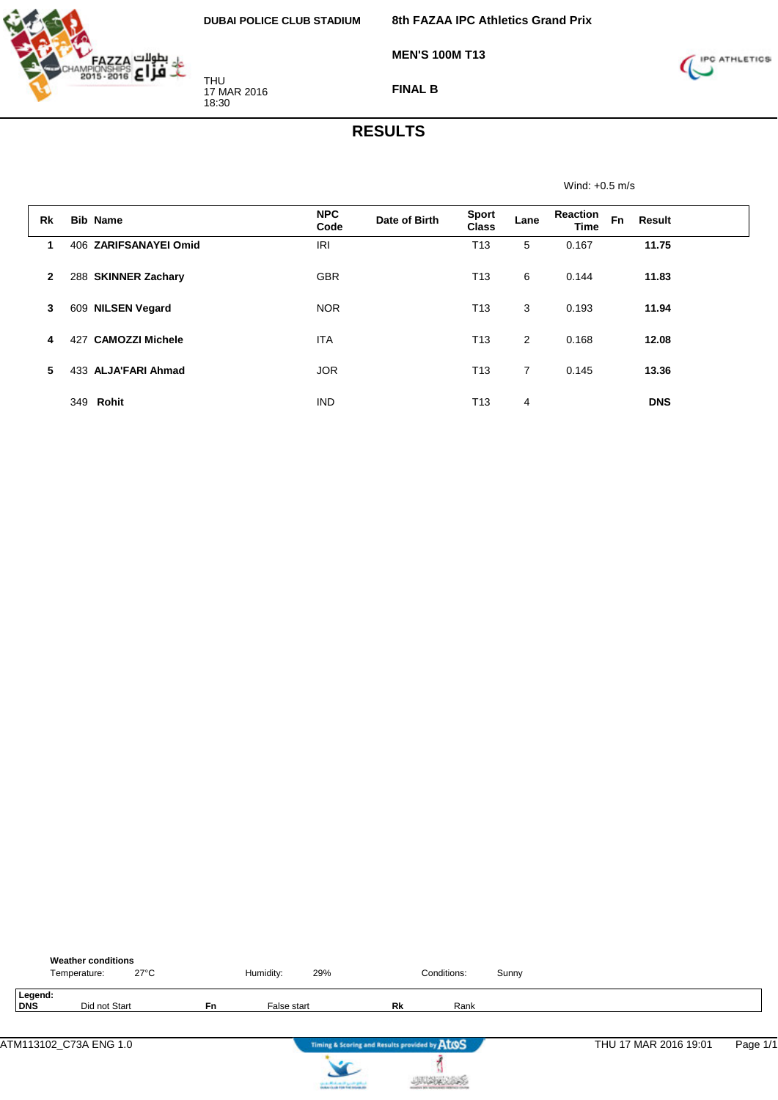

**MEN'S 100M T13**



**FINAL B**

## **RESULTS**

Wind: +0.5 m/s

| <b>Rk</b>    | <b>Bib Name</b>               | <b>NPC</b><br>Code | Date of Birth | <b>Sport</b><br><b>Class</b> | Lane | <b>Reaction</b><br><b>Time</b> | <b>Fn</b> | Result     |  |
|--------------|-------------------------------|--------------------|---------------|------------------------------|------|--------------------------------|-----------|------------|--|
| 1            | 406 ZARIFSANAYEI Omid         | <b>IRI</b>         |               | T <sub>13</sub>              | 5    | 0.167                          |           | 11.75      |  |
| $\mathbf{2}$ | 288 SKINNER Zachary           | <b>GBR</b>         |               | T <sub>13</sub>              | 6    | 0.144                          |           | 11.83      |  |
| 3            | 609 NILSEN Vegard             | <b>NOR</b>         |               | T <sub>13</sub>              | 3    | 0.193                          |           | 11.94      |  |
| 4            | <b>CAMOZZI Michele</b><br>427 | <b>ITA</b>         |               | T <sub>13</sub>              | 2    | 0.168                          |           | 12.08      |  |
| 5            | 433 ALJA'FARI Ahmad           | <b>JOR</b>         |               | T <sub>13</sub>              | 7    | 0.145                          |           | 13.36      |  |
|              | 349<br>Rohit                  | <b>IND</b>         |               | T <sub>13</sub>              | 4    |                                |           | <b>DNS</b> |  |

|                | <b>Weather conditions</b><br>Temperature: | 27°C |           | Humidity:   | 29% |                                               | Conditions: | Sunny |                       |          |
|----------------|-------------------------------------------|------|-----------|-------------|-----|-----------------------------------------------|-------------|-------|-----------------------|----------|
| Legend:<br>DNS | Did not Start                             |      | <b>Fn</b> | False start |     | Rk                                            | Rank        |       |                       |          |
|                | ATM113102 C73A ENG 1.0                    |      |           |             |     | Timing & Scoring and Results provided by ATOS |             |       | THU 17 MAR 2016 19:01 | Page 1/1 |



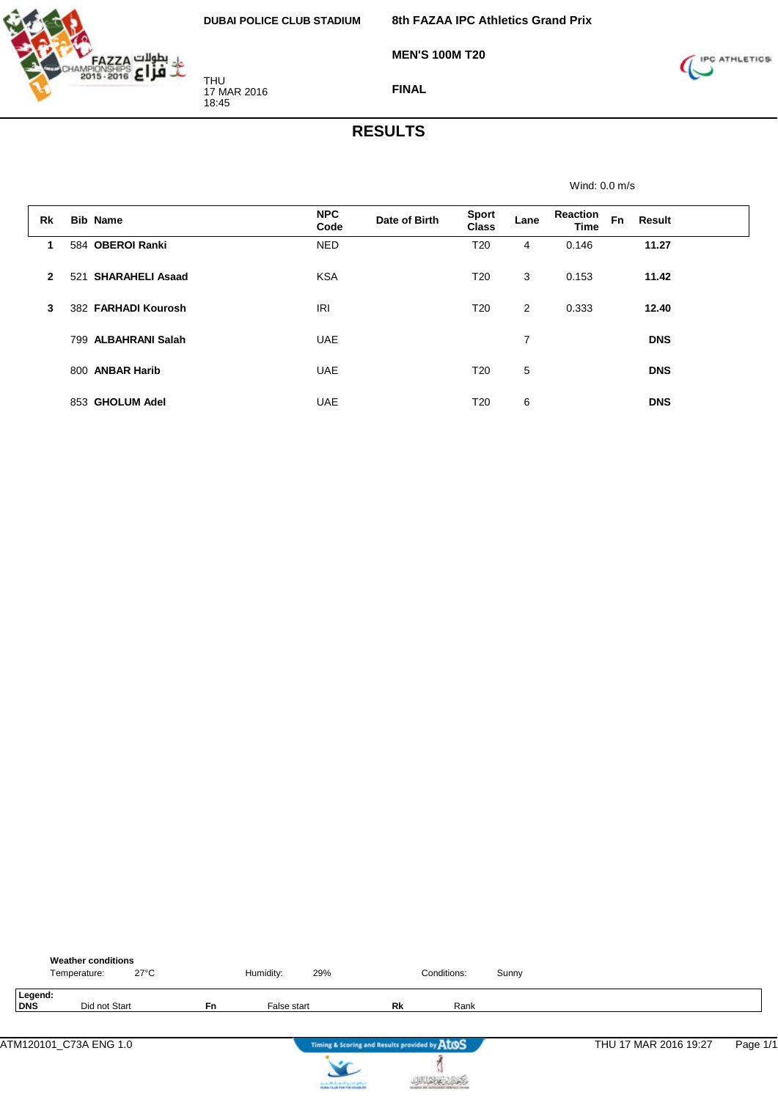

**MEN'S 100M T20**



**FINAL**

#### **RESULTS**

Wind: 0.0 m/s **Rk Bib Name NPC Code Date of Birth Sport Class Lane Reaction Time Fn Result 1** 584 **OBEROI Ranki** NED T20 4 0.146 **11.27 2** 521 **SHARAHELI Asaad** KSA T20 3 0.153 **11.42 3** 382 **FARHADI Kourosh** IRI T20 2 0.333 **12.40** 799 **ALBAHRANI Salah** UAE 7 **DNS** 800 **ANBAR Harib** UAE T20 5 **DNS** 853 **GHOLUM Adel** UAE T20 6 **DNS**

|                | <b>Weather conditions</b><br>Temperature: | $27^{\circ}$ C |           | Humidity:   | 29%                      |                                               | Conditions: | Sunny |                       |          |
|----------------|-------------------------------------------|----------------|-----------|-------------|--------------------------|-----------------------------------------------|-------------|-------|-----------------------|----------|
| Legend:<br>DNS | Did not Start                             |                | <b>Fn</b> | False start |                          | Rk                                            | Rank        |       |                       |          |
|                | ATM120101_C73A ENG 1.0                    |                |           |             | $\overline{\phantom{a}}$ | Timing & Scoring and Results provided by ATOS |             |       | THU 17 MAR 2016 19:27 | Page 1/1 |



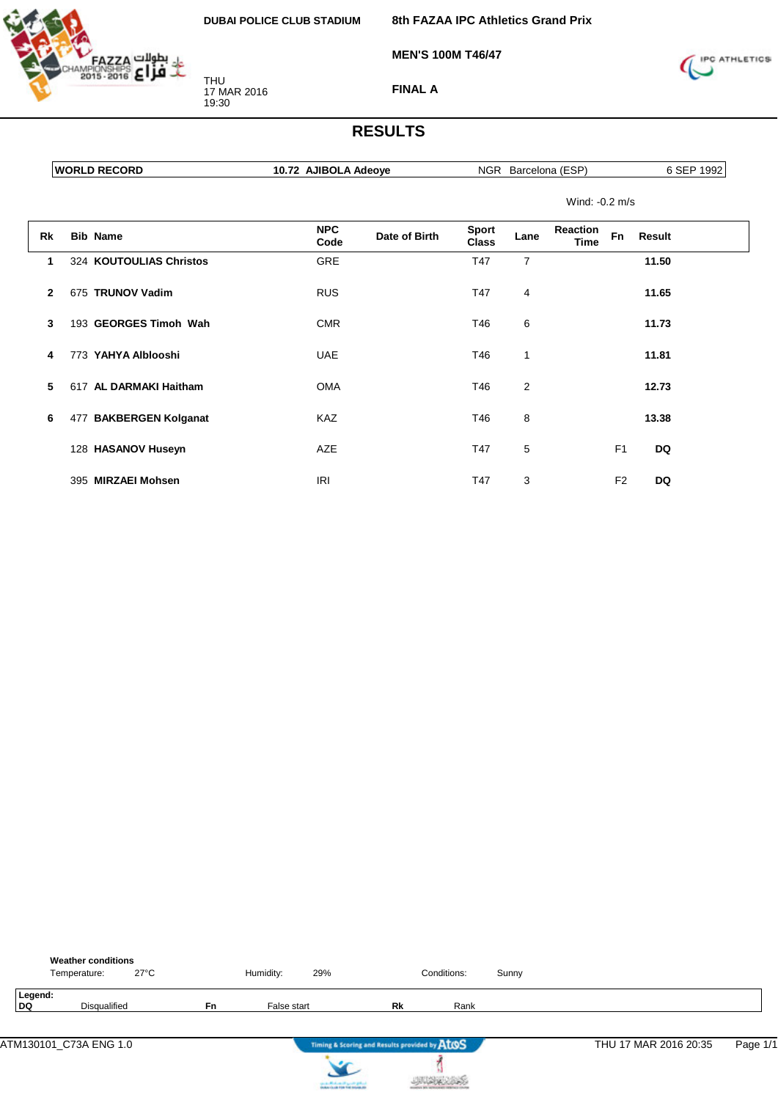

**MEN'S 100M T46/47**

**8th FAZAA IPC Athletics Grand Prix**



**FINAL A**

|              | <b>WORLD RECORD</b>     | 10.72 AJIBOLA Adeove |               |                              |      | NGR Barcelona (ESP)     |           | 6 SEP 1992 |
|--------------|-------------------------|----------------------|---------------|------------------------------|------|-------------------------|-----------|------------|
|              |                         |                      |               |                              |      | Wind: $-0.2$ m/s        |           |            |
| Rk           | <b>Bib Name</b>         | <b>NPC</b><br>Code   | Date of Birth | <b>Sport</b><br><b>Class</b> | Lane | <b>Reaction</b><br>Time | <b>Fn</b> | Result     |
|              | 324 KOUTOULIAS Christos | <b>GRE</b>           |               | T47                          | 7    |                         |           | 11.50      |
| $\mathbf{2}$ | 675 TRUNOV Vadim        | <b>RUS</b>           |               | T47                          | 4    |                         |           | 11.65      |
| 3            | 193 GEORGES Timoh Wah   | <b>CMR</b>           |               | T46                          | 6    |                         |           | 11.73      |
| 4            | 773 YAHYA Alblooshi     | <b>UAE</b>           |               | T46                          |      |                         |           | 11.81      |

| 4 | 773 YAHYA Alblooshi      | UAE        | Т46. | 1 |                | 11.81 |
|---|--------------------------|------------|------|---|----------------|-------|
|   | 5 617 AL DARMAKI Haitham | <b>OMA</b> | T46  | 2 |                | 12.73 |
| 6 | 477 BAKBERGEN Kolganat   | <b>KAZ</b> | T46  | 8 |                | 13.38 |
|   | 128 HASANOV Huseyn       | <b>AZE</b> | T47  | 5 | F <sub>1</sub> | DQ    |
|   | 395 MIRZAEI Mohsen       | IRI        | T47  | 3 | F <sub>2</sub> | DQ    |

|               | <b>Weather conditions</b><br>Temperature: | $27^{\circ}$ C |    | Humidity:   | 29%                                           |    | Conditions: | Sunny |                       |          |
|---------------|-------------------------------------------|----------------|----|-------------|-----------------------------------------------|----|-------------|-------|-----------------------|----------|
| Legend:<br>DQ | Disqualified                              |                | Fn | False start |                                               | Rk | Rank        |       |                       |          |
|               | ATM130101_C73A ENG 1.0                    |                |    |             | Timing & Scoring and Results provided by AtOS |    |             |       | THU 17 MAR 2016 20:35 | Page 1/1 |
|               |                                           |                |    |             |                                               |    |             |       |                       |          |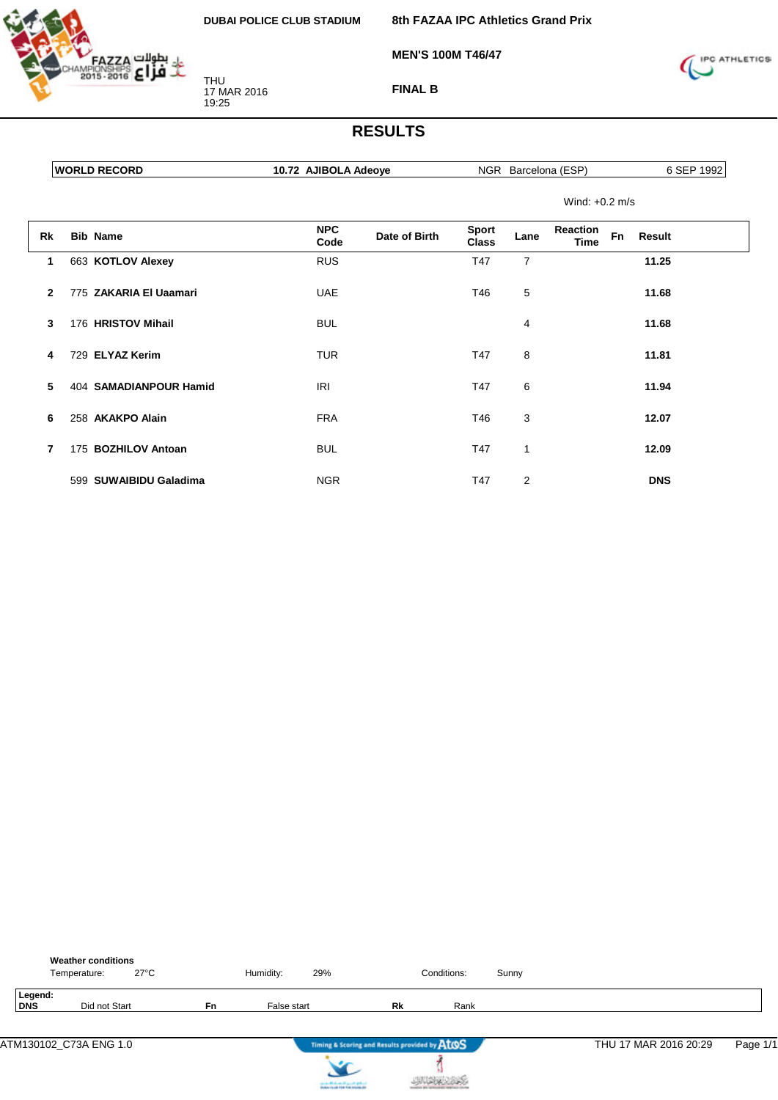**8th FAZAA IPC Athletics Grand Prix**

**MEN'S 100M T46/47**



**FINAL B**

|              | <b>WORLD RECORD</b>    | 10.72 AJIBOLA Adeove |                    |               |                              |      | NGR Barcelona (ESP)     |           |               | 6 SEP 1992 |
|--------------|------------------------|----------------------|--------------------|---------------|------------------------------|------|-------------------------|-----------|---------------|------------|
|              |                        |                      |                    |               |                              |      | Wind: $+0.2$ m/s        |           |               |            |
| Rk           | <b>Bib Name</b>        |                      | <b>NPC</b><br>Code | Date of Birth | <b>Sport</b><br><b>Class</b> | Lane | Reaction<br><b>Time</b> | <b>Fn</b> | <b>Result</b> |            |
| 1            | 663 KOTLOV Alexey      |                      | <b>RUS</b>         |               | T47                          | 7    |                         |           | 11.25         |            |
| $\mathbf{2}$ | 775 ZAKARIA El Uaamari |                      | <b>UAE</b>         |               | T46                          | 5    |                         |           | 11.68         |            |
| 3            | 176 HRISTOV Mihail     |                      | <b>BUL</b>         |               |                              | 4    |                         |           | 11.68         |            |
| 4            | 729 ELYAZ Kerim        |                      | <b>TUR</b>         |               | T47                          | 8    |                         |           | 11.81         |            |
| 5            | 404 SAMADIANPOUR Hamid |                      | <b>IRI</b>         |               | T47                          | 6    |                         |           | 11.94         |            |

| 6            | 258 AKAKPO Alain       | <b>FRA</b> | T46 | 3 | 12.07      |
|--------------|------------------------|------------|-----|---|------------|
| $\mathbf{7}$ | 175 BOZHILOV Antoan    | BUL        | T47 |   | 12.09      |
|              | 599 SUWAIBIDU Galadima | <b>NGR</b> | T47 | っ | <b>DNS</b> |

|                       | <b>Weather conditions</b><br>$27^{\circ}$ C<br>Temperature: |           | Humidity:   | 29%                                                      |    | Conditions: | Sunny |                       |          |
|-----------------------|-------------------------------------------------------------|-----------|-------------|----------------------------------------------------------|----|-------------|-------|-----------------------|----------|
| Legend:<br><b>DNS</b> | Did not Start                                               | <b>Fn</b> | False start |                                                          | Rk | Rank        |       |                       |          |
|                       | ATM130102_C73A ENG 1.0                                      |           |             | Timing & Scoring and Results provided by ATOS<br>$\cdot$ |    |             |       | THU 17 MAR 2016 20:29 | Page 1/1 |

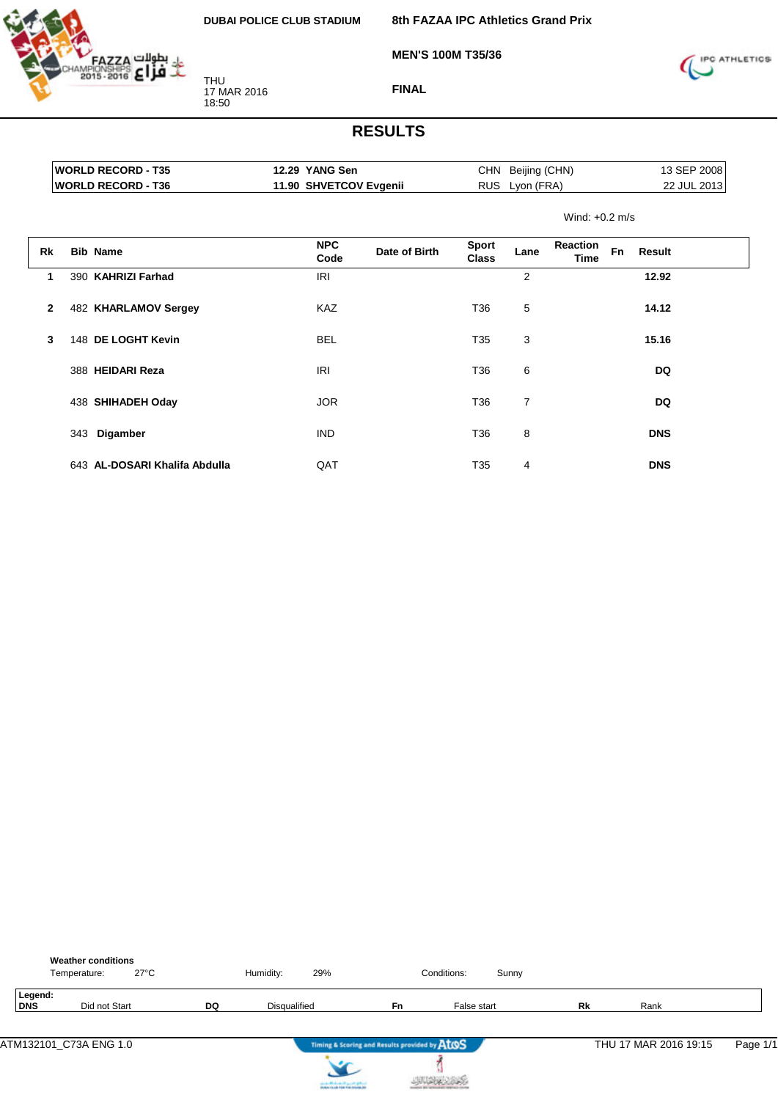

**MEN'S 100M T35/36**



**FINAL**

|              |     | <b>WORLD RECORD - T35</b>     | 12.29 YANG Sen         |               |                              | CHN Beijing (CHN) |                         | 13 SEP 2008<br>22 JUL 2013 |  |  |
|--------------|-----|-------------------------------|------------------------|---------------|------------------------------|-------------------|-------------------------|----------------------------|--|--|
|              |     | <b>WORLD RECORD - T36</b>     | 11.90 SHVETCOV Evgenii |               | <b>RUS</b>                   | Lyon (FRA)        |                         |                            |  |  |
|              |     |                               |                        |               |                              |                   | Wind: $+0.2$ m/s        |                            |  |  |
| <b>Rk</b>    |     | <b>Bib Name</b>               | <b>NPC</b><br>Code     | Date of Birth | <b>Sport</b><br><b>Class</b> | Lane              | <b>Reaction</b><br>Time | <b>Fn</b><br><b>Result</b> |  |  |
| 1            |     | 390 KAHRIZI Farhad            | IRI                    |               |                              | 2                 |                         | 12.92                      |  |  |
| $\mathbf{2}$ |     | 482 KHARLAMOV Sergey          | <b>KAZ</b>             |               | T36                          | 5                 |                         | 14.12                      |  |  |
| 3            |     | 148 DE LOGHT Kevin            | <b>BEL</b>             |               | T35                          | 3                 |                         | 15.16                      |  |  |
|              |     | 388 HEIDARI Reza              | IRI                    |               | T36                          | 6                 |                         | DQ                         |  |  |
|              |     | 438 SHIHADEH Oday             | <b>JOR</b>             |               | T36                          | 7                 |                         | <b>DQ</b>                  |  |  |
|              | 343 | Digamber                      | <b>IND</b>             |               | T36                          | 8                 |                         | <b>DNS</b>                 |  |  |
|              |     | 643 AL-DOSARI Khalifa Abdulla | QAT                    |               | T35                          | $\overline{4}$    |                         | <b>DNS</b>                 |  |  |

|                       | <b>Weather conditions</b><br>Temperature: | $27^{\circ}$ C |    | Humidity:    | 29%                                                                         |                                               | Conditions: | Sunny |    |                       |          |
|-----------------------|-------------------------------------------|----------------|----|--------------|-----------------------------------------------------------------------------|-----------------------------------------------|-------------|-------|----|-----------------------|----------|
| Legend:<br><b>DNS</b> |                                           | Did not Start  | DQ | Disqualified |                                                                             | Fn                                            | False start |       | Rk | Rank                  |          |
|                       | ATM132101 C73A ENG 1.0                    |                |    |              |                                                                             | Timing & Scoring and Results provided by AtOS |             |       |    | THU 17 MAR 2016 19:15 | Page 1/1 |
|                       |                                           |                |    |              | cional de Montecentral agrecto graficar<br>Antigoría de Film Foi Indiana do |                                               |             |       |    |                       |          |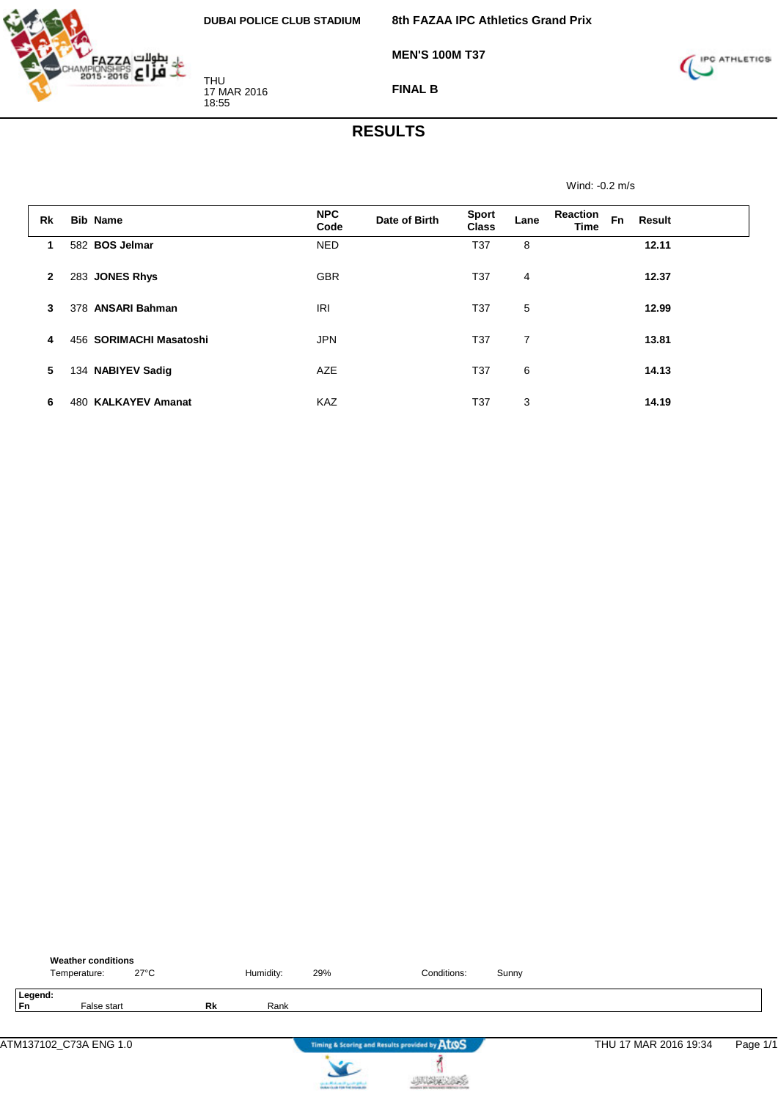

**FINAL B**

**MEN'S 100M T37**



#### **RESULTS**

Wind: -0.2 m/s

| Rk           | <b>Bib Name</b>               | <b>NPC</b><br>Code | Date of Birth | <b>Sport</b><br><b>Class</b> | Lane | <b>Reaction</b><br><b>Time</b> | <b>Fn</b> | Result |  |
|--------------|-------------------------------|--------------------|---------------|------------------------------|------|--------------------------------|-----------|--------|--|
| 1            | 582 BOS Jelmar                | <b>NED</b>         |               | T37                          | 8    |                                |           | 12.11  |  |
| $\mathbf{2}$ | 283 JONES Rhys                | <b>GBR</b>         |               | T37                          | 4    |                                |           | 12.37  |  |
| 3            | 378 ANSARI Bahman             | <b>IRI</b>         |               | T37                          | 5    |                                |           | 12.99  |  |
| 4            | 456 SORIMACHI Masatoshi       | <b>JPN</b>         |               | T37                          | 7    |                                |           | 13.81  |  |
| 5            | 134 NABIYEV Sadig             | <b>AZE</b>         |               | T37                          | 6    |                                |           | 14.13  |  |
| 6            | <b>KALKAYEV Amanat</b><br>480 | KAZ                |               | T37                          | 3    |                                |           | 14.19  |  |

|               | <b>Weather conditions</b><br>Temperature: | $27^{\circ}$ C |    | Humidity: | 29%                         | Conditions:                                   | Sunny |                       |          |
|---------------|-------------------------------------------|----------------|----|-----------|-----------------------------|-----------------------------------------------|-------|-----------------------|----------|
| Legend:<br>Fn | False start                               |                | Rk | Rank      |                             |                                               |       |                       |          |
|               | ATM137102_C73A ENG 1.0                    |                |    |           |                             | Timing & Scoring and Results provided by AtOS |       | THU 17 MAR 2016 19:34 | Page 1/1 |
|               |                                           |                |    |           | cards Michael High Original |                                               |       |                       |          |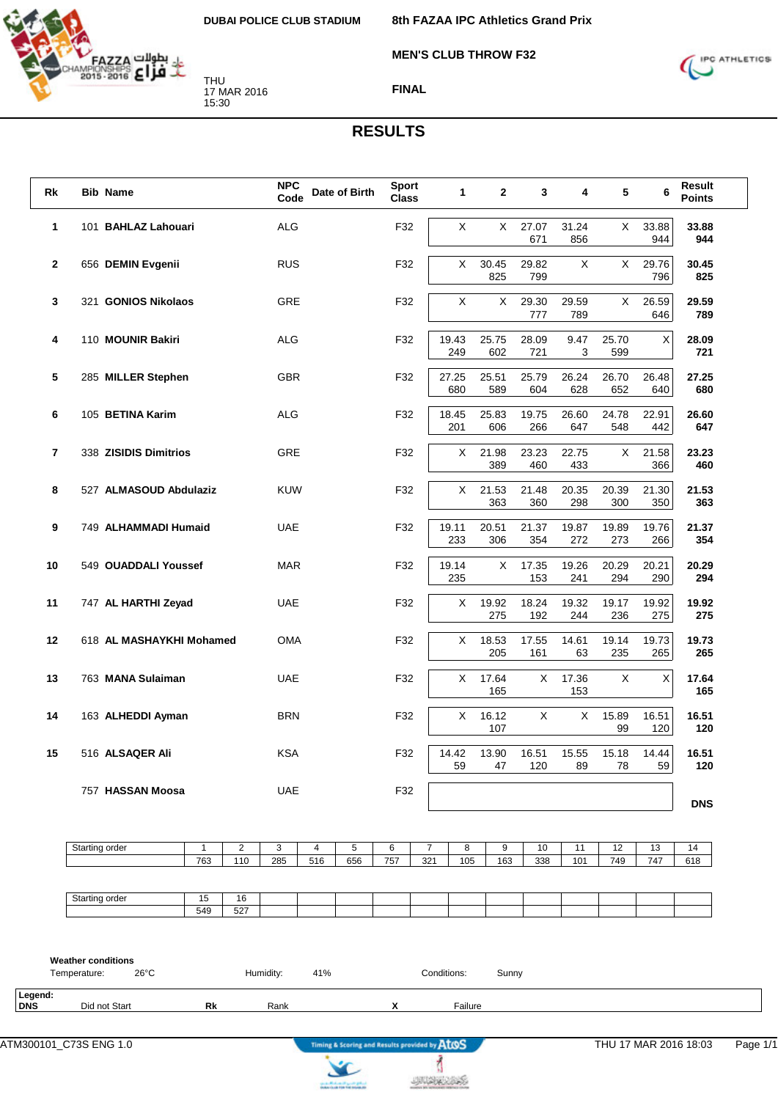

**8th FAZAA IPC Athletics Grand Prix**

**MEN'S CLUB THROW F32**



**FINAL**

#### **RESULTS**

| Rk           | <b>Bib Name</b>                           |                          |                       |           | <b>NPC</b><br>Code |          | Date of Birth | <b>Sport</b><br><b>Class</b> |          | 1            | 2              | 3            | 4            | 5              | 6            | Result<br><b>Points</b> |
|--------------|-------------------------------------------|--------------------------|-----------------------|-----------|--------------------|----------|---------------|------------------------------|----------|--------------|----------------|--------------|--------------|----------------|--------------|-------------------------|
| 1            |                                           | 101 BAHLAZ Lahouari      |                       |           | <b>ALG</b>         |          |               | F32                          |          | X            | $\mathsf{X}^-$ | 27.07<br>671 | 31.24<br>856 | X              | 33.88<br>944 | 33.88<br>944            |
| $\mathbf{2}$ |                                           | 656 DEMIN Evgenii        |                       |           | <b>RUS</b>         |          |               | F32                          |          | X            | 30.45<br>825   | 29.82<br>799 | X            | X              | 29.76<br>796 | 30.45<br>825            |
| 3            |                                           | 321 GONIOS Nikolaos      |                       |           | GRE                |          |               | F32                          |          | X            | X              | 29.30<br>777 | 29.59<br>789 | X              | 26.59<br>646 | 29.59<br>789            |
| 4            |                                           | 110 MOUNIR Bakiri        |                       |           | <b>ALG</b>         |          |               | F32                          |          | 19.43<br>249 | 25.75<br>602   | 28.09<br>721 | 9.47<br>3    | 25.70<br>599   | Χ            | 28.09<br>721            |
| 5            |                                           | 285 MILLER Stephen       |                       |           | GBR                |          |               | F32                          |          | 27.25<br>680 | 25.51<br>589   | 25.79<br>604 | 26.24<br>628 | 26.70<br>652   | 26.48<br>640 | 27.25<br>680            |
| 6            |                                           | 105 BETINA Karim         |                       |           | ALG                |          |               | F32                          |          | 18.45<br>201 | 25.83<br>606   | 19.75<br>266 | 26.60<br>647 | 24.78<br>548   | 22.91<br>442 | 26.60<br>647            |
| 7            |                                           | 338 ZISIDIS Dimitrios    |                       |           | GRE                |          |               | F32                          |          | X            | 21.98<br>389   | 23.23<br>460 | 22.75<br>433 | X.             | 21.58<br>366 | 23.23<br>460            |
| 8            |                                           | 527 ALMASOUD Abdulaziz   |                       |           | <b>KUW</b>         |          |               | F32                          |          | X            | 21.53<br>363   | 21.48<br>360 | 20.35<br>298 | 20.39<br>300   | 21.30<br>350 | 21.53<br>363            |
| 9            |                                           | 749 ALHAMMADI Humaid     |                       |           | <b>UAE</b>         |          |               | F32                          |          | 19.11<br>233 | 20.51<br>306   | 21.37<br>354 | 19.87<br>272 | 19.89<br>273   | 19.76<br>266 | 21.37<br>354            |
| 10           |                                           | 549 OUADDALI Youssef     |                       |           | <b>MAR</b>         |          |               | F32                          |          | 19.14<br>235 | X              | 17.35<br>153 | 19.26<br>241 | 20.29<br>294   | 20.21<br>290 | 20.29<br>294            |
| 11           |                                           | 747 AL HARTHI Zeyad      |                       |           | <b>UAE</b>         |          |               | F32                          |          | X            | 19.92<br>275   | 18.24<br>192 | 19.32<br>244 | 19.17<br>236   | 19.92<br>275 | 19.92<br>275            |
| 12           |                                           | 618 AL MASHAYKHI Mohamed |                       |           | <b>OMA</b>         |          |               | F32                          |          | X            | 18.53<br>205   | 17.55<br>161 | 14.61<br>63  | 19.14<br>235   | 19.73<br>265 | 19.73<br>265            |
| 13           |                                           | 763 MANA Sulaiman        |                       |           | <b>UAE</b>         |          |               | F32                          |          | X            | 17.64<br>165   | X            | 17.36<br>153 | $\pmb{\times}$ | X            | 17.64<br>165            |
| 14           |                                           | 163 ALHEDDI Ayman        |                       |           | <b>BRN</b>         |          |               | F32                          |          | X            | 16.12<br>107   | X            | X            | 15.89<br>99    | 16.51<br>120 | 16.51<br>120            |
| 15           |                                           | 516 ALSAQER Ali          |                       |           | <b>KSA</b>         |          |               | F32                          |          | 14.42<br>59  | 13.90<br>47    | 16.51<br>120 | 15.55<br>89  | 15.18<br>78    | 14.44<br>59  | 16.51<br>120            |
|              |                                           | 757 HASSAN Moosa         |                       |           | <b>UAE</b>         |          |               | F32                          |          |              |                |              |              |                |              | <b>DNS</b>              |
|              | Starting order                            |                          | $\overline{1}$<br>763 | 2<br>110  | 3<br>285           | 4<br>516 | 5<br>656      | 6<br>757                     | 7<br>321 | 8<br>105     | 9<br>163       | 10<br>338    | 11<br>101    | 12<br>749      | 13<br>747    | 14<br>618               |
|              | Starting order                            |                          | 15<br>549             | 16<br>527 |                    |          |               |                              |          |              |                |              |              |                |              |                         |
|              | <b>Weather conditions</b><br>Temperature: | $26^{\circ}$ C           |                       |           | Humidity:          | 41%      |               |                              |          | Conditions:  | Sunny          |              |              |                |              |                         |
| Legend:      | Did not Start                             |                          | Rk                    |           | Rank               |          |               | X                            |          | Failure      |                |              |              |                |              |                         |

 $\sum$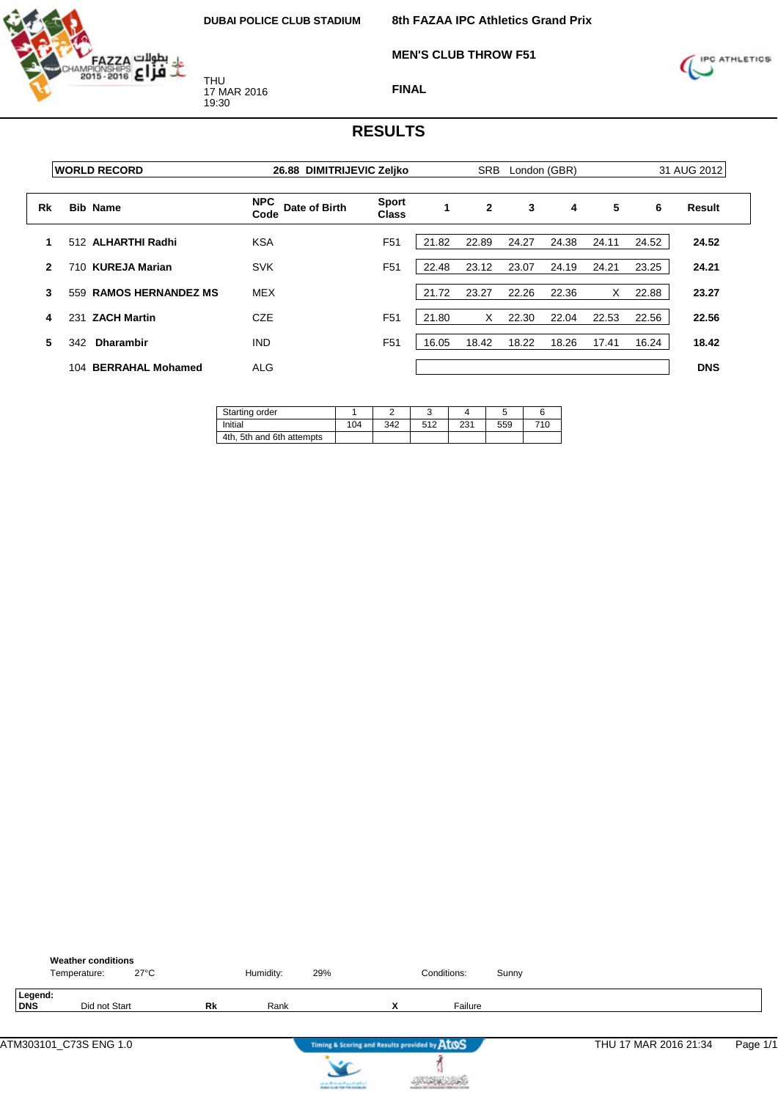

**MEN'S CLUB THROW F51**



**FINAL**

|              | <b>WORLD RECORD</b> |                           | 26.88 DIMITRIJEVIC Zeljko           | <b>SRB</b><br>London (GBR)   |       |              | 31 AUG 2012 |       |       |       |            |
|--------------|---------------------|---------------------------|-------------------------------------|------------------------------|-------|--------------|-------------|-------|-------|-------|------------|
| Rk           | <b>Bib Name</b>     |                           | <b>NPC</b><br>Date of Birth<br>Code | <b>Sport</b><br><b>Class</b> |       | $\mathbf{2}$ | 3           | 4     | 5     | 6     | Result     |
|              |                     | 512 ALHARTHI Radhi        | <b>KSA</b>                          | F <sub>51</sub>              | 21.82 | 22.89        | 24.27       | 24.38 | 24.11 | 24.52 | 24.52      |
| $\mathbf{2}$ | 710.                | <b>KUREJA Marian</b>      | <b>SVK</b>                          | F <sub>51</sub>              | 22.48 | 23.12        | 23.07       | 24.19 | 24.21 | 23.25 | 24.21      |
| 3            | 559                 | <b>RAMOS HERNANDEZ MS</b> | <b>MEX</b>                          |                              | 21.72 | 23.27        | 22.26       | 22.36 | X     | 22.88 | 23.27      |
| 4            | 231                 | <b>ZACH Martin</b>        | CZE                                 | F <sub>51</sub>              | 21.80 | X            | 22.30       | 22.04 | 22.53 | 22.56 | 22.56      |
| 5            | 342                 | <b>Dharambir</b>          | <b>IND</b>                          | F <sub>51</sub>              | 16.05 | 18.42        | 18.22       | 18.26 | 17.41 | 16.24 | 18.42      |
|              |                     | 104 BERRAHAL Mohamed      | <b>ALG</b>                          |                              |       |              |             |       |       |       | <b>DNS</b> |

| Starting order            |     |     |     |     |     |      |
|---------------------------|-----|-----|-----|-----|-----|------|
| Initial                   | 104 | 342 | 512 | 231 | 559 | 71 C |
| 4th, 5th and 6th attempts |     |     |     |     |     |      |

|                | <b>Weather conditions</b><br>Temperature: | $27^{\circ}$ C |    | Humidity: | 29%                                                                                    |   | Conditions: | Sunny |                       |          |
|----------------|-------------------------------------------|----------------|----|-----------|----------------------------------------------------------------------------------------|---|-------------|-------|-----------------------|----------|
| Legend:<br>DNS | Did not Start                             |                | Rk | Rank      |                                                                                        | x | Failure     |       |                       |          |
|                | ATM303101_C73S ENG 1.0                    |                |    |           | Timing & Scoring and Results provided by AtOS                                          |   |             |       | THU 17 MAR 2016 21:34 | Page 1/1 |
|                |                                           |                |    |           | لسافق فتسي التبعيشا بالإسفين<br><b>In Hunch Co. Ltd. Friday Fried Historicals, All</b> |   |             |       |                       |          |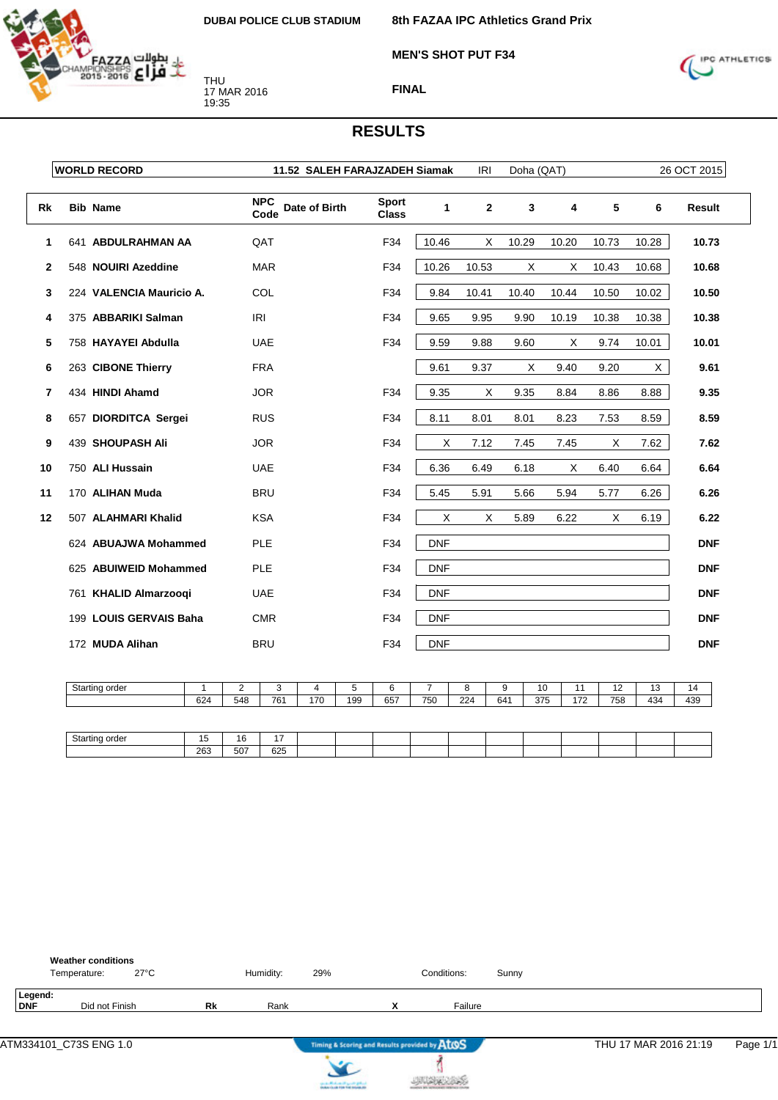

**MEN'S SHOT PUT F34**

**8th FAZAA IPC Athletics Grand Prix**



**FINAL**

|              | <b>WORLD RECORD</b>      | 11.52 SALEH FARAJZADEH Siamak       |                              |            | IRI          | Doha (QAT) |       |       |       | 26 OCT 2015   |
|--------------|--------------------------|-------------------------------------|------------------------------|------------|--------------|------------|-------|-------|-------|---------------|
| Rk           | <b>Bib Name</b>          | <b>NPC</b><br>Date of Birth<br>Code | <b>Sport</b><br><b>Class</b> | 1          | $\mathbf{2}$ | 3          | 4     | 5     | 6     | <b>Result</b> |
| 1            | 641 ABDULRAHMAN AA       | QAT                                 | F34                          | 10.46      | X            | 10.29      | 10.20 | 10.73 | 10.28 | 10.73         |
| $\mathbf{2}$ | 548 NOUIRI Azeddine      | <b>MAR</b>                          | F34                          | 10.26      | 10.53        | X          | X     | 10.43 | 10.68 | 10.68         |
| 3            | 224 VALENCIA Mauricio A. | COL                                 | F34                          | 9.84       | 10.41        | 10.40      | 10.44 | 10.50 | 10.02 | 10.50         |
| 4            | 375 ABBARIKI Salman      | <b>IRI</b>                          | F34                          | 9.65       | 9.95         | 9.90       | 10.19 | 10.38 | 10.38 | 10.38         |
| 5            | 758 HAYAYEI Abdulla      | <b>UAE</b>                          | F34                          | 9.59       | 9.88         | 9.60       | Χ     | 9.74  | 10.01 | 10.01         |
| 6            | 263 CIBONE Thierry       | <b>FRA</b>                          |                              | 9.61       | 9.37         | X          | 9.40  | 9.20  | X     | 9.61          |
| 7            | 434 HINDI Ahamd          | <b>JOR</b>                          | F34                          | 9.35       | X            | 9.35       | 8.84  | 8.86  | 8.88  | 9.35          |
| 8            | 657 DIORDITCA Sergei     | <b>RUS</b>                          | F34                          | 8.11       | 8.01         | 8.01       | 8.23  | 7.53  | 8.59  | 8.59          |
| 9            | 439 SHOUPASH Ali         | <b>JOR</b>                          | F34                          | X          | 7.12         | 7.45       | 7.45  | X     | 7.62  | 7.62          |
| 10           | 750 ALI Hussain          | <b>UAE</b>                          | F34                          | 6.36       | 6.49         | 6.18       | Χ     | 6.40  | 6.64  | 6.64          |
| 11           | 170 ALIHAN Muda          | <b>BRU</b>                          | F34                          | 5.45       | 5.91         | 5.66       | 5.94  | 5.77  | 6.26  | 6.26          |
| 12           | 507 ALAHMARI Khalid      | <b>KSA</b>                          | F34                          | Χ          | X            | 5.89       | 6.22  | Χ     | 6.19  | 6.22          |
|              | 624 ABUAJWA Mohammed     | <b>PLE</b>                          | F34                          | <b>DNF</b> |              |            |       |       |       | <b>DNF</b>    |
|              | 625 ABUIWEID Mohammed    | <b>PLE</b>                          | F34                          | <b>DNF</b> |              |            |       |       |       | <b>DNF</b>    |
|              | 761 KHALID Almarzooqi    | <b>UAE</b>                          | F34                          | <b>DNF</b> |              |            |       |       |       | <b>DNF</b>    |
|              | 199 LOUIS GERVAIS Baha   | <b>CMR</b>                          | F34                          | <b>DNF</b> |              |            |       |       |       | <b>DNF</b>    |
|              | 172 MUDA Alihan          | <b>BRU</b>                          | F34                          | <b>DNF</b> |              |            |       |       |       | <b>DNF</b>    |

| Starting order |     | -   | ٠.  |     |     |     |     |     |     | 10  |     | $\overline{\phantom{a}}$ | $\sim$<br>ں ا | ıω  |
|----------------|-----|-----|-----|-----|-----|-----|-----|-----|-----|-----|-----|--------------------------|---------------|-----|
|                | 624 | 548 | 761 | 170 | 199 | 657 | 750 | 224 | 641 | 375 | 170 | 758                      | 434           | 439 |
|                |     |     |     |     |     |     |     |     |     |     |     |                          |               |     |

| Startinc<br>$ -$<br>лае | $\overline{\phantom{a}}$<br> | 16  | $\overline{\phantom{a}}$ |  |  |  |  |  |  |
|-------------------------|------------------------------|-----|--------------------------|--|--|--|--|--|--|
|                         | 263                          | 507 | 625                      |  |  |  |  |  |  |

|                | <b>Weather conditions</b><br>Temperature: | $27^{\circ}$ C |           | Humidity: | 29% | Conditions: | Sunny |
|----------------|-------------------------------------------|----------------|-----------|-----------|-----|-------------|-------|
| Legend:<br>DNF | Did not Finish                            |                | <b>Rk</b> | Rank      |     | Failure     |       |





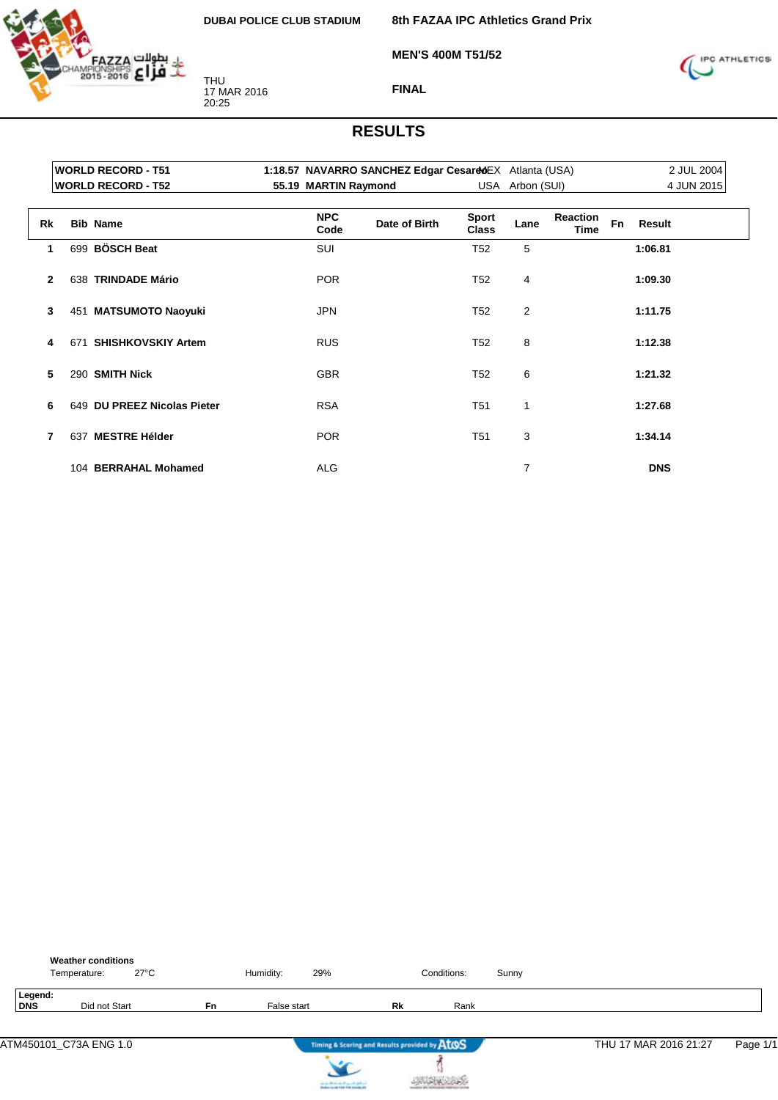

THU 17 MAR 2016 20:25

**8th FAZAA IPC Athletics Grand Prix**

**MEN'S 400M T51/52**



**FINAL**

|              |     | <b>WORLD RECORD - T51</b><br><b>WORLD RECORD - T52</b> | 55.19 MARTIN Raymond | 1:18.57 NAVARRO SANCHEZ Edgar CesarddEX Atlanta (USA) |                              | USA Arbon (SUI) |                         |           |            | 2 JUL 2004<br>4 JUN 2015 |  |
|--------------|-----|--------------------------------------------------------|----------------------|-------------------------------------------------------|------------------------------|-----------------|-------------------------|-----------|------------|--------------------------|--|
|              |     |                                                        |                      |                                                       |                              |                 |                         |           |            |                          |  |
| Rk           |     | <b>Bib Name</b>                                        | <b>NPC</b><br>Code   | Date of Birth                                         | <b>Sport</b><br><b>Class</b> | Lane            | <b>Reaction</b><br>Time | <b>Fn</b> | Result     |                          |  |
| 1            |     | 699 BÖSCH Beat                                         | SUI                  |                                                       | T <sub>52</sub>              | 5               |                         |           | 1:06.81    |                          |  |
| $\mathbf{2}$ |     | 638 TRINDADE Mário                                     | <b>POR</b>           |                                                       | T <sub>52</sub>              | 4               |                         |           | 1:09.30    |                          |  |
| 3            |     | 451 MATSUMOTO Naoyuki                                  | <b>JPN</b>           |                                                       | T <sub>52</sub>              | $\overline{2}$  |                         |           | 1:11.75    |                          |  |
| 4            | 671 | <b>SHISHKOVSKIY Artem</b>                              | <b>RUS</b>           |                                                       | T <sub>52</sub>              | 8               |                         |           | 1:12.38    |                          |  |
| 5            |     | 290 SMITH Nick                                         | <b>GBR</b>           |                                                       | T <sub>52</sub>              | 6               |                         |           | 1:21.32    |                          |  |
| 6            |     | 649 DU PREEZ Nicolas Pieter                            | <b>RSA</b>           |                                                       | T <sub>51</sub>              | 1               |                         |           | 1:27.68    |                          |  |
| 7            | 637 | <b>MESTRE Hélder</b>                                   | <b>POR</b>           |                                                       | T <sub>51</sub>              | 3               |                         |           | 1:34.14    |                          |  |
|              |     | 104 BERRAHAL Mohamed                                   | <b>ALG</b>           |                                                       |                              | 7               |                         |           | <b>DNS</b> |                          |  |

|                | <b>Weather conditions</b><br>Temperature: | $27^{\circ}$ C |    | Humidity:   | 29%                                   |                                               | Conditions: | Sunny |                       |          |
|----------------|-------------------------------------------|----------------|----|-------------|---------------------------------------|-----------------------------------------------|-------------|-------|-----------------------|----------|
| Legend:<br>DNS | Did not Start                             |                | Fn | False start |                                       | Rk                                            | Rank        |       |                       |          |
|                | ATM450101_C73A ENG 1.0                    |                |    |             |                                       | Timing & Scoring and Results provided by AtOS |             |       | THU 17 MAR 2016 21:27 | Page 1/1 |
|                |                                           |                |    |             | can be affected and if you do got not |                                               |             |       |                       |          |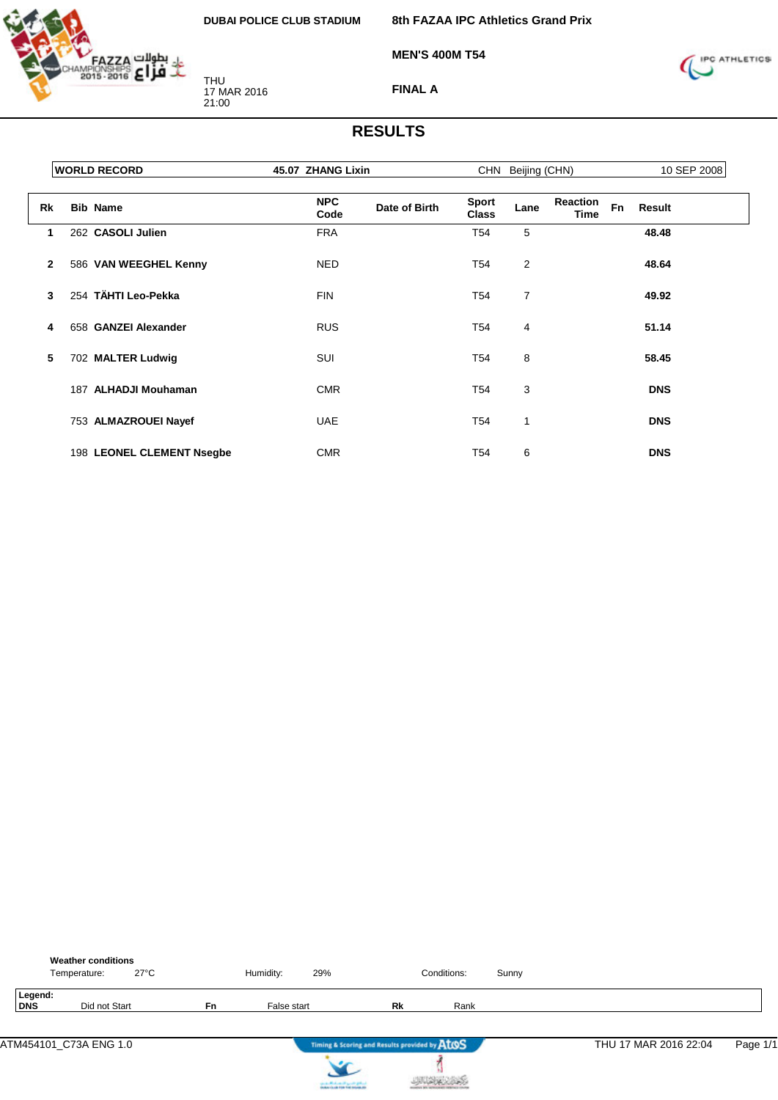

**8th FAZAA IPC Athletics Grand Prix**

**MEN'S 400M T54**



**FINAL A**

|              | <b>WORLD RECORD</b>       | 45.07 ZHANG Lixin                   |                              | CHN Beijing (CHN) |                                             |               | 10 SEP 2008 |
|--------------|---------------------------|-------------------------------------|------------------------------|-------------------|---------------------------------------------|---------------|-------------|
| <b>Rk</b>    | <b>Bib Name</b>           | <b>NPC</b><br>Date of Birth<br>Code | <b>Sport</b><br><b>Class</b> | Lane              | <b>Reaction</b><br><b>Fn</b><br><b>Time</b> | <b>Result</b> |             |
| 1            | 262 CASOLI Julien         | <b>FRA</b>                          | T <sub>54</sub>              | 5                 |                                             | 48.48         |             |
| $\mathbf{2}$ | 586 VAN WEEGHEL Kenny     | <b>NED</b>                          | T <sub>54</sub>              | $\overline{c}$    |                                             | 48.64         |             |
| 3            | 254 TÄHTI Leo-Pekka       | <b>FIN</b>                          | T <sub>54</sub>              | 7                 |                                             | 49.92         |             |
| 4            | 658 GANZEI Alexander      | <b>RUS</b>                          | T54                          | 4                 |                                             | 51.14         |             |
| 5            | 702 MALTER Ludwig         | <b>SUI</b>                          | T <sub>54</sub>              | 8                 |                                             | 58.45         |             |
|              | 187 ALHADJI Mouhaman      | <b>CMR</b>                          | T <sub>54</sub>              | 3                 |                                             | <b>DNS</b>    |             |
|              | 753 ALMAZROUEI Nayef      | <b>UAE</b>                          | T <sub>54</sub>              | 1                 |                                             | <b>DNS</b>    |             |
|              | 198 LEONEL CLEMENT Nsegbe | <b>CMR</b>                          | T <sub>54</sub>              | 6                 |                                             | <b>DNS</b>    |             |

|                | <b>Weather conditions</b><br>Temperature: | $27^{\circ}$ C |           | Humidity:   | 29%                                                                 |           | Conditions: | Sunny |                       |          |
|----------------|-------------------------------------------|----------------|-----------|-------------|---------------------------------------------------------------------|-----------|-------------|-------|-----------------------|----------|
| Legend:<br>DNS | Did not Start                             |                | <b>Fn</b> | False start |                                                                     | <b>Rk</b> | Rank        |       |                       |          |
|                | ATM454101 C73A ENG 1.0                    |                |           |             | Timing & Scoring and Results provided by AtOS                       |           |             |       | THU 17 MAR 2016 22:04 | Page 1/1 |
|                |                                           |                |           |             | بياوع منبر التعناط فنتر<br><b>In March 19, 1984 Ford Holiday, N</b> |           |             |       |                       |          |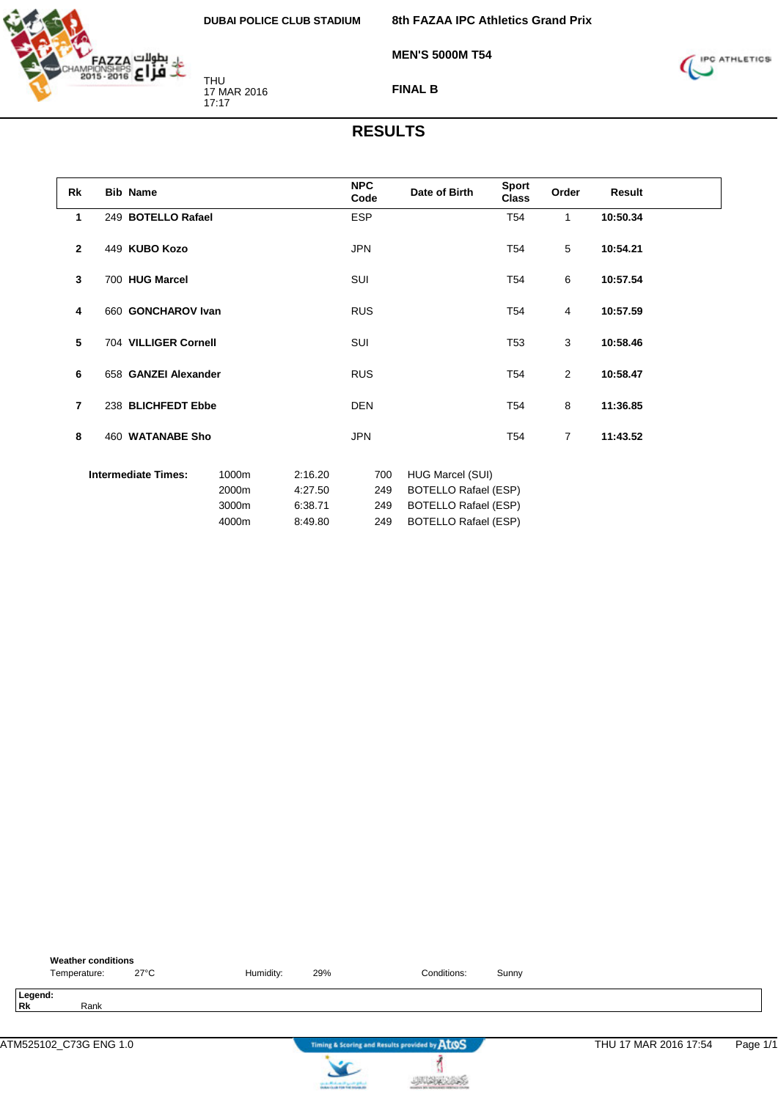

**8th FAZAA IPC Athletics Grand Prix**

**MEN'S 5000M T54**



**FINAL B**

| Rk             | <b>Bib Name</b>            |                                  |                                          | <b>NPC</b><br>Code       | Date of Birth                                                                                                 | Sport<br><b>Class</b> | Order          | Result   |  |
|----------------|----------------------------|----------------------------------|------------------------------------------|--------------------------|---------------------------------------------------------------------------------------------------------------|-----------------------|----------------|----------|--|
| 1              | 249 BOTELLO Rafael         |                                  |                                          | <b>ESP</b>               |                                                                                                               | T <sub>54</sub>       | $\mathbf{1}$   | 10:50.34 |  |
| $\overline{2}$ | 449 KUBO Kozo              |                                  |                                          | <b>JPN</b>               |                                                                                                               | T <sub>54</sub>       | 5              | 10:54.21 |  |
| 3              | 700 HUG Marcel             |                                  |                                          | SUI                      |                                                                                                               | T <sub>54</sub>       | 6              | 10:57.54 |  |
| 4              | 660 GONCHAROV Ivan         |                                  |                                          | <b>RUS</b>               |                                                                                                               | T54                   | $\overline{4}$ | 10:57.59 |  |
| 5              | 704 VILLIGER Cornell       |                                  |                                          | <b>SUI</b>               |                                                                                                               | T <sub>53</sub>       | 3              | 10:58.46 |  |
| 6              | 658 GANZEI Alexander       |                                  |                                          | <b>RUS</b>               |                                                                                                               | T <sub>54</sub>       | $\overline{2}$ | 10:58.47 |  |
| $\overline{7}$ | 238 BLICHFEDT Ebbe         |                                  |                                          | <b>DEN</b>               |                                                                                                               | T54                   | 8              | 11:36.85 |  |
| 8              | 460 WATANABE Sho           |                                  |                                          | <b>JPN</b>               |                                                                                                               | T <sub>54</sub>       | $\overline{7}$ | 11:43.52 |  |
|                | <b>Intermediate Times:</b> | 1000m<br>2000m<br>3000m<br>4000m | 2:16.20<br>4:27.50<br>6:38.71<br>8:49.80 | 700<br>249<br>249<br>249 | HUG Marcel (SUI)<br><b>BOTELLO Rafael (ESP)</b><br><b>BOTELLO Rafael (ESP)</b><br><b>BOTELLO Rafael (ESP)</b> |                       |                |          |  |

| <b>Weather conditions</b><br>27°C<br>Temperature: | Humidity: | 29% | Conditions:                                   | Sunny |                       |          |
|---------------------------------------------------|-----------|-----|-----------------------------------------------|-------|-----------------------|----------|
| Legend:<br>Rk<br>Rank                             |           |     |                                               |       |                       |          |
| ATM525102_C73G ENG 1.0                            |           |     | Timing & Scoring and Results provided by AtOS |       | THU 17 MAR 2016 17:54 | Page 1/1 |

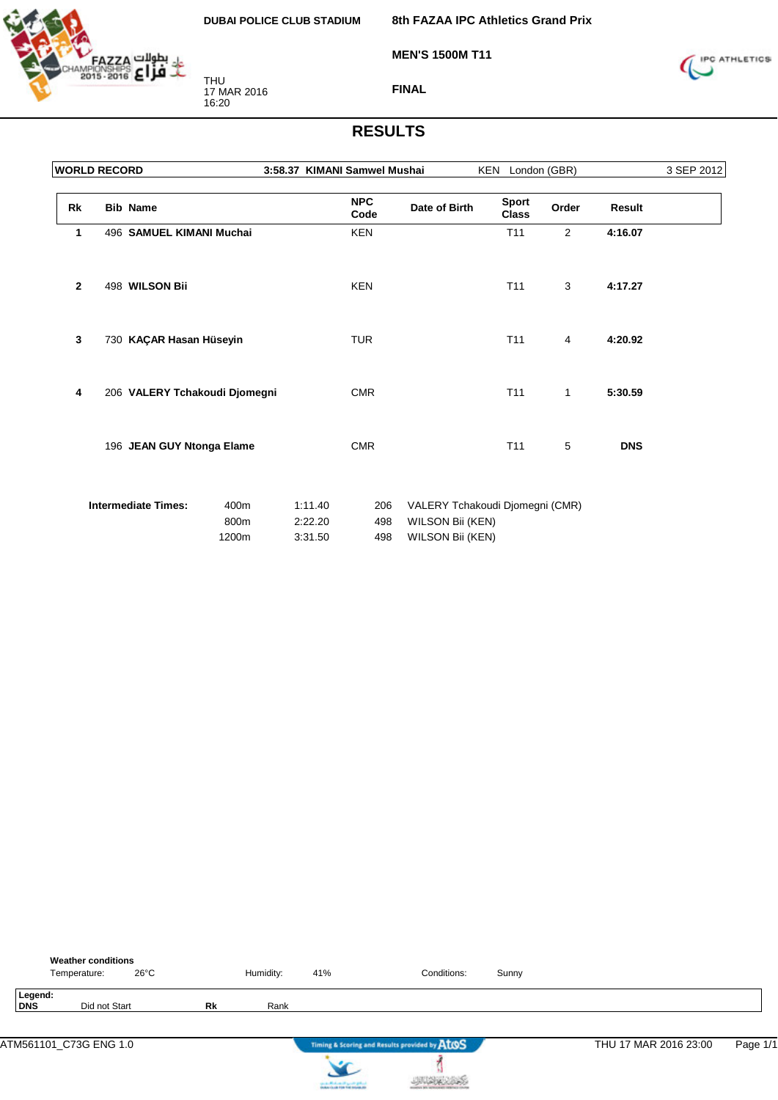

**8th FAZAA IPC Athletics Grand Prix**

**MEN'S 1500M T11**



**FINAL**

| <b>WORLD RECORD</b> |                               |                       |                               | 3:58.37 KIMANI Samwel Mushai |                                      | KEN London (GBR)                |              |            | 3 SEP 2012 |
|---------------------|-------------------------------|-----------------------|-------------------------------|------------------------------|--------------------------------------|---------------------------------|--------------|------------|------------|
| Rk                  | <b>Bib Name</b>               |                       |                               | <b>NPC</b><br>Code           | Date of Birth                        | <b>Sport</b><br><b>Class</b>    | Order        | Result     |            |
| 1                   | 496 SAMUEL KIMANI Muchai      |                       |                               | <b>KEN</b>                   |                                      | T11                             | 2            | 4:16.07    |            |
| $\mathbf{2}$        | 498 WILSON Bii                |                       |                               | <b>KEN</b>                   |                                      | T11                             | 3            | 4:17.27    |            |
| 3                   | 730 KAÇAR Hasan Hüseyin       |                       |                               | <b>TUR</b>                   |                                      | T <sub>11</sub>                 | 4            | 4:20.92    |            |
| 4                   | 206 VALERY Tchakoudi Djomegni |                       |                               | <b>CMR</b>                   |                                      | T <sub>11</sub>                 | $\mathbf{1}$ | 5:30.59    |            |
|                     | 196 JEAN GUY Ntonga Elame     |                       |                               | <b>CMR</b>                   |                                      | T11                             | 5            | <b>DNS</b> |            |
|                     | <b>Intermediate Times:</b>    | 400m<br>800m<br>1200m | 1:11.40<br>2:22.20<br>3:31.50 | 206<br>498<br>498            | WILSON Bii (KEN)<br>WILSON Bii (KEN) | VALERY Tchakoudi Djomegni (CMR) |              |            |            |

|                       | <b>Weather conditions</b><br>$26^{\circ}$ C<br>Temperature: |           | Humidity: | 41%                               | Conditions:                                   | Sunny |                       |          |
|-----------------------|-------------------------------------------------------------|-----------|-----------|-----------------------------------|-----------------------------------------------|-------|-----------------------|----------|
| Legend:<br><b>DNS</b> | Did not Start                                               | <b>Rk</b> | Rank      |                                   |                                               |       |                       |          |
|                       | ATM561101_C73G ENG 1.0                                      |           |           |                                   | Timing & Scoring and Results provided by AtOS |       | THU 17 MAR 2016 23:00 | Page 1/1 |
|                       |                                                             |           |           | country Michael and Locate States |                                               |       |                       |          |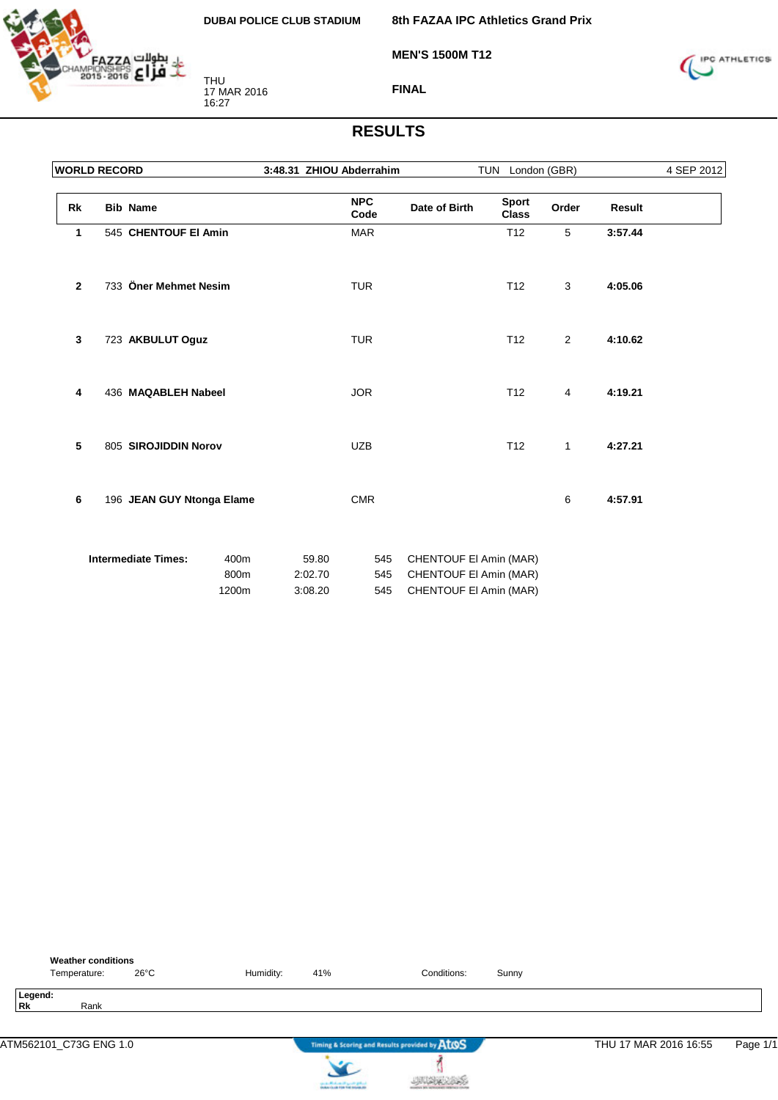

**MEN'S 1500M T12**

**8th FAZAA IPC Athletics Grand Prix**



**FINAL**

| <b>WORLD RECORD</b> |                            |                       | 3:48.31 ZHIOU Abderrahim    |                    |                                                                            | TUN London (GBR)             |                |               | 4 SEP 2012 |
|---------------------|----------------------------|-----------------------|-----------------------------|--------------------|----------------------------------------------------------------------------|------------------------------|----------------|---------------|------------|
| Rk                  | <b>Bib Name</b>            |                       |                             | <b>NPC</b><br>Code | Date of Birth                                                              | <b>Sport</b><br><b>Class</b> | Order          | <b>Result</b> |            |
| 1                   | 545 CHENTOUF EI Amin       |                       |                             | <b>MAR</b>         |                                                                            | T <sub>12</sub>              | 5              | 3:57.44       |            |
| $\mathbf{2}$        | 733 Öner Mehmet Nesim      |                       |                             | <b>TUR</b>         |                                                                            | T <sub>12</sub>              | 3              | 4:05.06       |            |
| 3                   | 723 AKBULUT Oguz           |                       |                             | <b>TUR</b>         |                                                                            | T <sub>12</sub>              | $\overline{2}$ | 4:10.62       |            |
| 4                   | 436 MAQABLEH Nabeel        |                       |                             | <b>JOR</b>         |                                                                            | T <sub>12</sub>              | 4              | 4:19.21       |            |
| 5                   | 805 SIROJIDDIN Norov       |                       |                             | <b>UZB</b>         |                                                                            | T <sub>12</sub>              | $\mathbf{1}$   | 4:27.21       |            |
| 6                   | 196 JEAN GUY Ntonga Elame  |                       |                             | <b>CMR</b>         |                                                                            |                              | 6              | 4:57.91       |            |
|                     | <b>Intermediate Times:</b> | 400m<br>800m<br>1200m | 59.80<br>2:02.70<br>3:08.20 | 545<br>545<br>545  | CHENTOUF EI Amin (MAR)<br>CHENTOUF EI Amin (MAR)<br>CHENTOUF EI Amin (MAR) |                              |                |               |            |

|           | <b>Weather conditions</b><br>Temperature: | $26^{\circ}$ C | Humidity: | 41% | Conditions:                                   | Sunny |                       |          |
|-----------|-------------------------------------------|----------------|-----------|-----|-----------------------------------------------|-------|-----------------------|----------|
| <b>Rk</b> | Legend:<br>Rank                           |                |           |     |                                               |       |                       |          |
|           | ATM562101_C73G ENG 1.0                    |                |           |     | Timing & Scoring and Results provided by ATOS |       | THU 17 MAR 2016 16:55 | Page 1/1 |



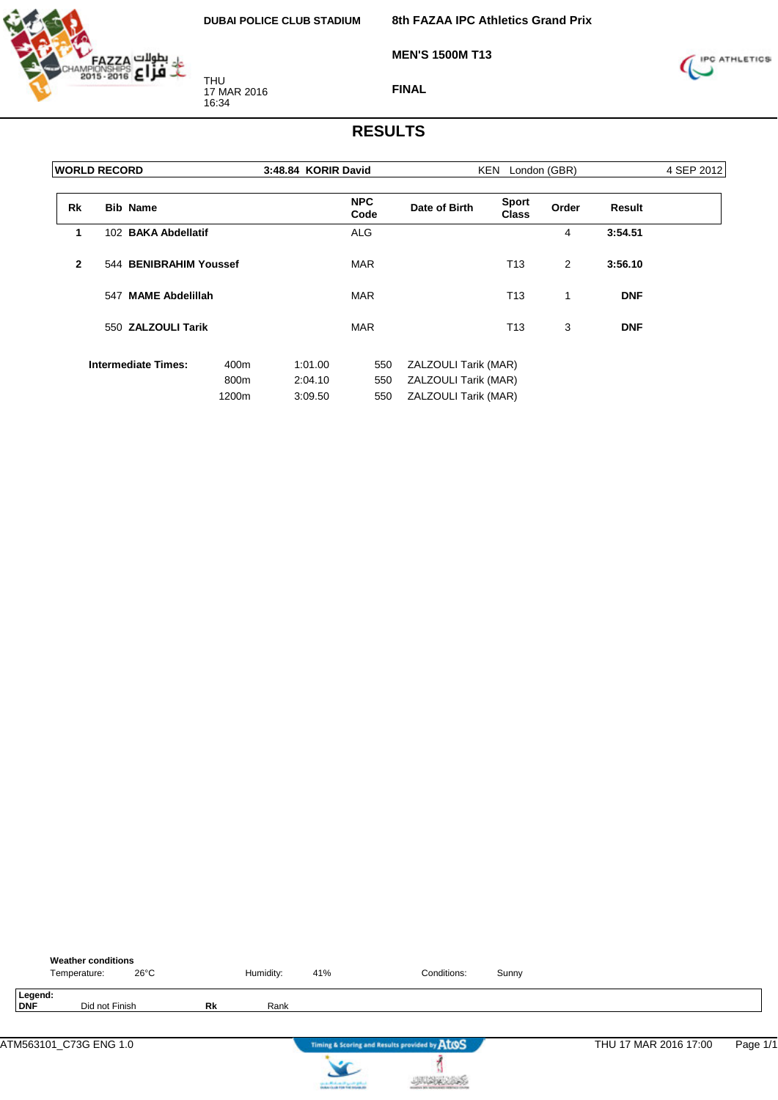



**MEN'S 1500M T13**



**FINAL**

| <b>WORLD RECORD</b> |                 |                            |       | 3:48.84 KORIR David |                    |                      | KEN London (GBR)             |       |               | 4 SEP 2012 |
|---------------------|-----------------|----------------------------|-------|---------------------|--------------------|----------------------|------------------------------|-------|---------------|------------|
| <b>Rk</b>           | <b>Bib Name</b> |                            |       |                     | <b>NPC</b><br>Code | Date of Birth        | <b>Sport</b><br><b>Class</b> | Order | <b>Result</b> |            |
| 1                   |                 | 102 BAKA Abdellatif        |       |                     | <b>ALG</b>         |                      |                              | 4     | 3:54.51       |            |
| $\mathbf{2}$        |                 | 544 BENIBRAHIM Youssef     |       |                     | <b>MAR</b>         |                      | T13                          | 2     | 3:56.10       |            |
|                     |                 | 547 MAME Abdelillah        |       |                     | <b>MAR</b>         |                      | T <sub>13</sub>              | 1     | <b>DNF</b>    |            |
|                     |                 | 550 ZALZOULI Tarik         |       |                     | <b>MAR</b>         |                      | T <sub>13</sub>              | 3     | <b>DNF</b>    |            |
|                     |                 | <b>Intermediate Times:</b> | 400m  | 1:01.00             | 550                | ZALZOULI Tarik (MAR) |                              |       |               |            |
|                     |                 |                            | 800m  | 2:04.10             | 550                | ZALZOULI Tarik (MAR) |                              |       |               |            |
|                     |                 |                            | 1200m | 3:09.50             | 550                | ZALZOULI Tarik (MAR) |                              |       |               |            |

|                | <b>Weather conditions</b><br>$26^{\circ}$ C<br>Temperature: |    | Humidity: | 41% | Conditions:                                   | Sunny |                       |          |
|----------------|-------------------------------------------------------------|----|-----------|-----|-----------------------------------------------|-------|-----------------------|----------|
| Legend:<br>DNF | Did not Finish                                              | Rk | Rank      |     |                                               |       |                       |          |
|                | ATM563101_C73G ENG 1.0                                      |    |           |     | Timing & Scoring and Results provided by ATOS |       | THU 17 MAR 2016 17:00 | Page 1/1 |
|                |                                                             |    |           |     |                                               |       |                       |          |



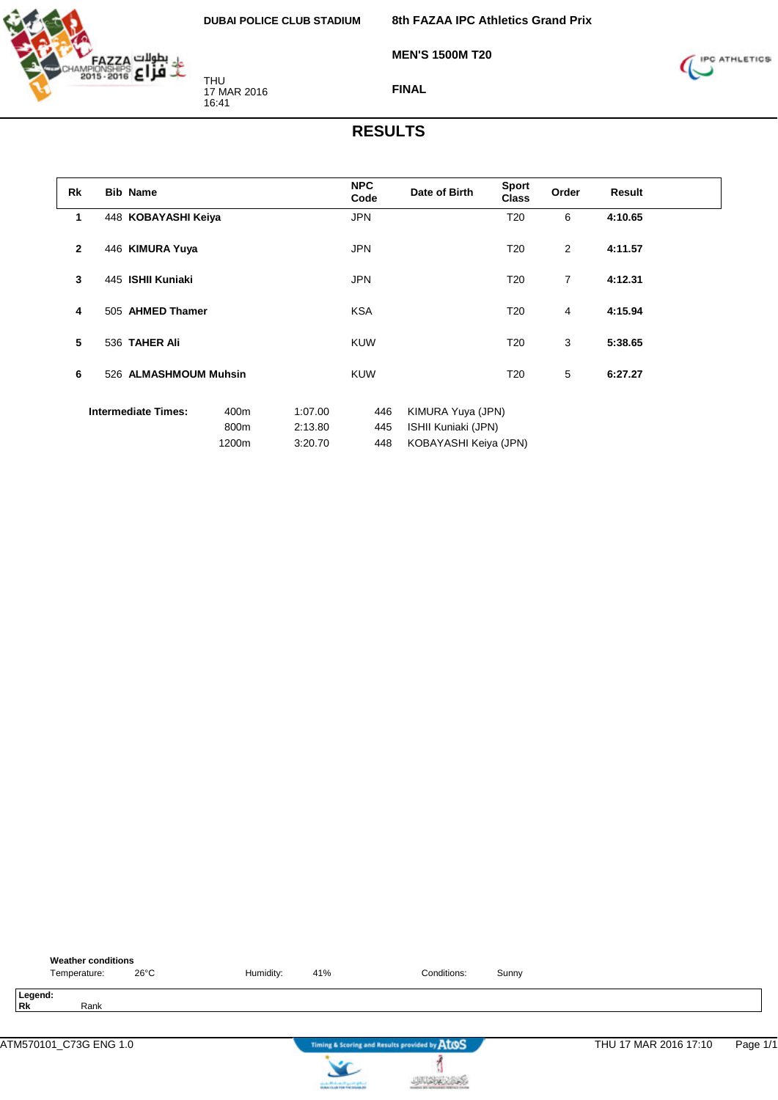

**8th FAZAA IPC Athletics Grand Prix**

**MEN'S 1500M T20**



**FINAL**

| <b>Rk</b>      | <b>Bib Name</b>            |               |                    | <b>NPC</b><br>Code | Date of Birth                                | <b>Sport</b><br><b>Class</b> | Order | <b>Result</b> |  |
|----------------|----------------------------|---------------|--------------------|--------------------|----------------------------------------------|------------------------------|-------|---------------|--|
| 1              | 448 KOBAYASHI Keiya        |               |                    | <b>JPN</b>         |                                              | T <sub>20</sub>              | 6     | 4:10.65       |  |
| $\overline{2}$ | 446 KIMURA Yuya            |               |                    | <b>JPN</b>         |                                              | T <sub>20</sub>              | 2     | 4:11.57       |  |
| 3              | 445 ISHII Kuniaki          |               |                    | <b>JPN</b>         |                                              | T <sub>20</sub>              | 7     | 4:12.31       |  |
| 4              | 505 AHMED Thamer           |               |                    | <b>KSA</b>         |                                              | T <sub>20</sub>              | 4     | 4:15.94       |  |
| 5              | 536 TAHER Ali              |               |                    | <b>KUW</b>         |                                              | T <sub>20</sub>              | 3     | 5:38.65       |  |
| 6              | 526 ALMASHMOUM Muhsin      |               |                    | <b>KUW</b>         |                                              | T <sub>20</sub>              | 5     | 6:27.27       |  |
|                | <b>Intermediate Times:</b> | 400m          | 1:07.00            | 446                | KIMURA Yuya (JPN)                            |                              |       |               |  |
|                |                            | 800m<br>1200m | 2:13.80<br>3:20.70 | 445<br>448         | ISHII Kuniaki (JPN)<br>KOBAYASHI Keiya (JPN) |                              |       |               |  |

| <b>Weather conditions</b><br>26°C<br>Temperature: | Humidity: | 41% | Conditions:                                   | Sunny |                       |          |
|---------------------------------------------------|-----------|-----|-----------------------------------------------|-------|-----------------------|----------|
| Legend:<br>Rk<br>Rank                             |           |     |                                               |       |                       |          |
| ATM570101_C73G ENG 1.0                            |           |     | Timing & Scoring and Results provided by ATOS |       | THU 17 MAR 2016 17:10 | Page 1/1 |

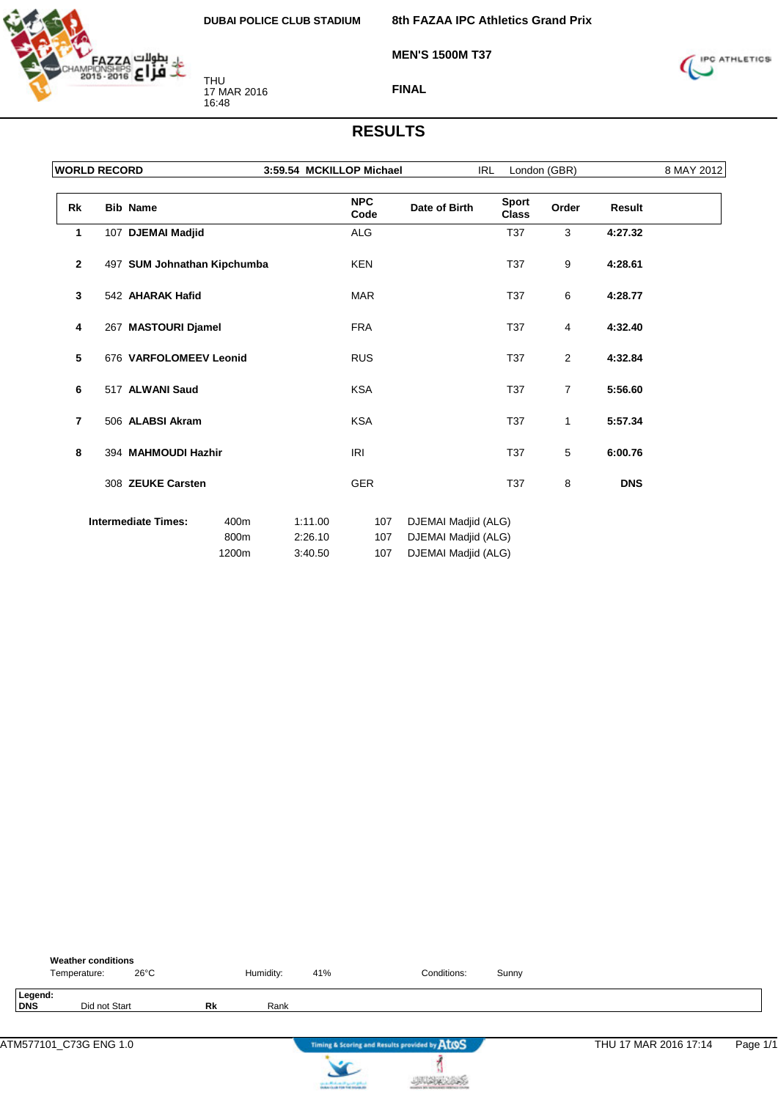

**8th FAZAA IPC Athletics Grand Prix**

**MEN'S 1500M T37**



**FINAL**

| <b>WORLD RECORD</b> |                             |                       | 3:59.54 MCKILLOP Michael      |                    |                                                                   | <b>IRL</b>                   | London (GBR)   |               | 8 MAY 2012 |
|---------------------|-----------------------------|-----------------------|-------------------------------|--------------------|-------------------------------------------------------------------|------------------------------|----------------|---------------|------------|
| Rk                  | <b>Bib Name</b>             |                       |                               | <b>NPC</b><br>Code | Date of Birth                                                     | <b>Sport</b><br><b>Class</b> | Order          | <b>Result</b> |            |
| 1                   | 107 DJEMAI Madjid           |                       |                               | ALG                |                                                                   | <b>T37</b>                   | 3              | 4:27.32       |            |
| $\mathbf{2}$        | 497 SUM Johnathan Kipchumba |                       |                               | <b>KEN</b>         |                                                                   | <b>T37</b>                   | 9              | 4:28.61       |            |
| 3                   | 542 AHARAK Hafid            |                       |                               | <b>MAR</b>         |                                                                   | <b>T37</b>                   | 6              | 4:28.77       |            |
| 4                   | 267 MASTOURI Djamel         |                       |                               | <b>FRA</b>         |                                                                   | T37                          | 4              | 4:32.40       |            |
| 5                   | 676 VARFOLOMEEV Leonid      |                       |                               | <b>RUS</b>         |                                                                   | T37                          | 2              | 4:32.84       |            |
| 6                   | 517 ALWANI Saud             |                       |                               | <b>KSA</b>         |                                                                   | T <sub>37</sub>              | $\overline{7}$ | 5:56.60       |            |
| 7                   | 506 ALABSI Akram            |                       |                               | <b>KSA</b>         |                                                                   | T37                          | 1              | 5:57.34       |            |
| 8                   | 394 MAHMOUDI Hazhir         |                       |                               | <b>IRI</b>         |                                                                   | <b>T37</b>                   | 5              | 6:00.76       |            |
|                     | 308 ZEUKE Carsten           |                       |                               | <b>GER</b>         |                                                                   | <b>T37</b>                   | 8              | <b>DNS</b>    |            |
|                     | <b>Intermediate Times:</b>  | 400m<br>800m<br>1200m | 1:11.00<br>2:26.10<br>3:40.50 | 107<br>107<br>107  | DJEMAI Madjid (ALG)<br>DJEMAI Madjid (ALG)<br>DJEMAI Madjid (ALG) |                              |                |               |            |

|                       | <b>Weather conditions</b><br>Temperature: | 26°C |    | Humidity: | 41%                         | Conditions:                                   | Sunny |                       |          |
|-----------------------|-------------------------------------------|------|----|-----------|-----------------------------|-----------------------------------------------|-------|-----------------------|----------|
| Legend:<br><b>DNS</b> | Did not Start                             |      | Rk | Rank      |                             |                                               |       |                       |          |
|                       | ATM577101_C73G ENG 1.0                    |      |    |           |                             | Timing & Scoring and Results provided by AtOS |       | THU 17 MAR 2016 17:14 | Page 1/1 |
|                       |                                           |      |    |           | cards Michael High Original |                                               |       |                       |          |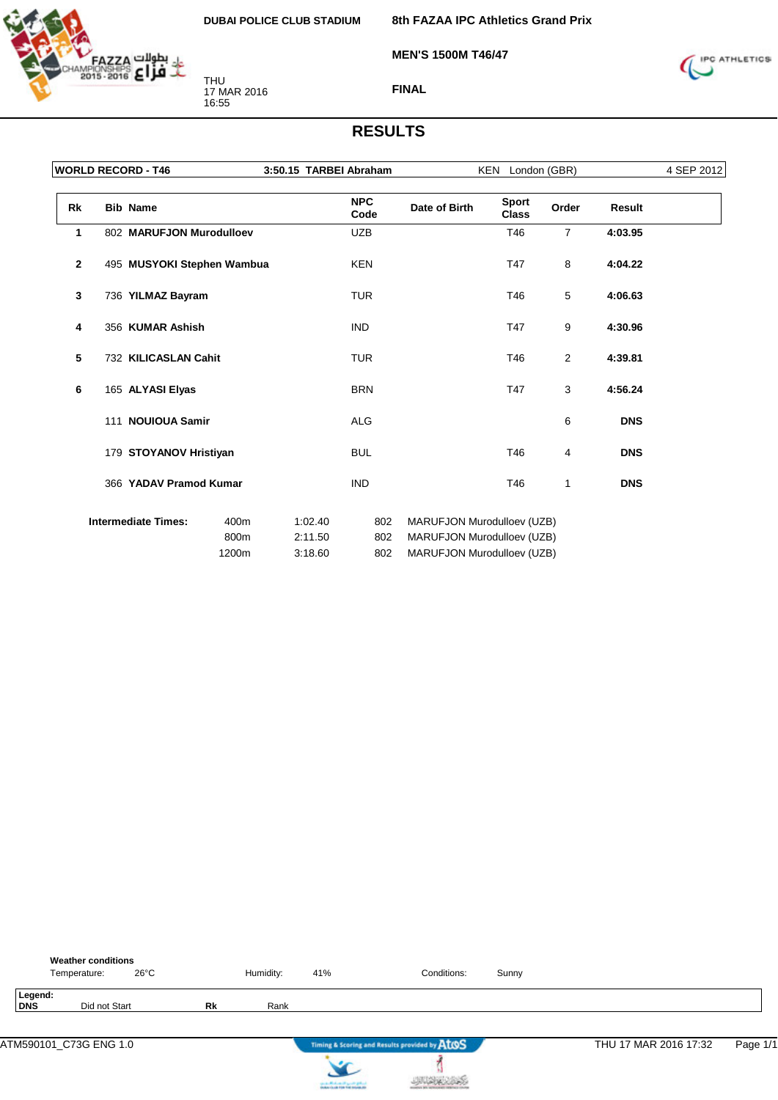

**8th FAZAA IPC Athletics Grand Prix**

**MEN'S 1500M T46/47**



**FINAL**

|                | <b>WORLD RECORD - T46</b>  |                       | 3:50.15 TARBEI Abraham        |                    |                                                                                        | KEN London (GBR)             |                |               | 4 SEP 2012 |
|----------------|----------------------------|-----------------------|-------------------------------|--------------------|----------------------------------------------------------------------------------------|------------------------------|----------------|---------------|------------|
| Rk             | <b>Bib Name</b>            |                       |                               | <b>NPC</b><br>Code | Date of Birth                                                                          | <b>Sport</b><br><b>Class</b> | Order          | <b>Result</b> |            |
| 1              | 802 MARUFJON Murodulloev   |                       |                               | <b>UZB</b>         |                                                                                        | T46                          | $\overline{7}$ | 4:03.95       |            |
| $\overline{2}$ | 495 MUSYOKI Stephen Wambua |                       |                               | <b>KEN</b>         |                                                                                        | T47                          | 8              | 4:04.22       |            |
| 3              | 736 YILMAZ Bayram          |                       |                               | <b>TUR</b>         |                                                                                        | T46                          | 5              | 4:06.63       |            |
| 4              | 356 KUMAR Ashish           |                       |                               | <b>IND</b>         |                                                                                        | T47                          | 9              | 4:30.96       |            |
| 5              | 732 KILICASLAN Cahit       |                       |                               | <b>TUR</b>         |                                                                                        | T46                          | 2              | 4:39.81       |            |
| 6              | 165 ALYASI Elyas           |                       |                               | <b>BRN</b>         |                                                                                        | T47                          | 3              | 4:56.24       |            |
|                | 111 NOUIOUA Samir          |                       |                               | <b>ALG</b>         |                                                                                        |                              | 6              | <b>DNS</b>    |            |
|                | 179 STOYANOV Hristiyan     |                       |                               | <b>BUL</b>         |                                                                                        | T46                          | 4              | <b>DNS</b>    |            |
|                | 366 YADAV Pramod Kumar     |                       |                               | <b>IND</b>         |                                                                                        | T46                          | 1              | <b>DNS</b>    |            |
|                | <b>Intermediate Times:</b> | 400m<br>800m<br>1200m | 1:02.40<br>2:11.50<br>3:18.60 | 802<br>802<br>802  | MARUFJON Murodulloev (UZB)<br>MARUFJON Murodulloev (UZB)<br>MARUFJON Murodulloev (UZB) |                              |                |               |            |

|                | <b>Weather conditions</b><br>26°C<br>Temperature: |           | Humidity: | 41% | Conditions:                                   | Sunny |                       |          |
|----------------|---------------------------------------------------|-----------|-----------|-----|-----------------------------------------------|-------|-----------------------|----------|
| Legend:<br>DNS | Did not Start                                     | <b>Rk</b> | Rank      |     |                                               |       |                       |          |
|                | ATM590101 C73G ENG 1.0                            |           |           | سما | Timing & Scoring and Results provided by ATOS |       | THU 17 MAR 2016 17:32 | Page 1/1 |

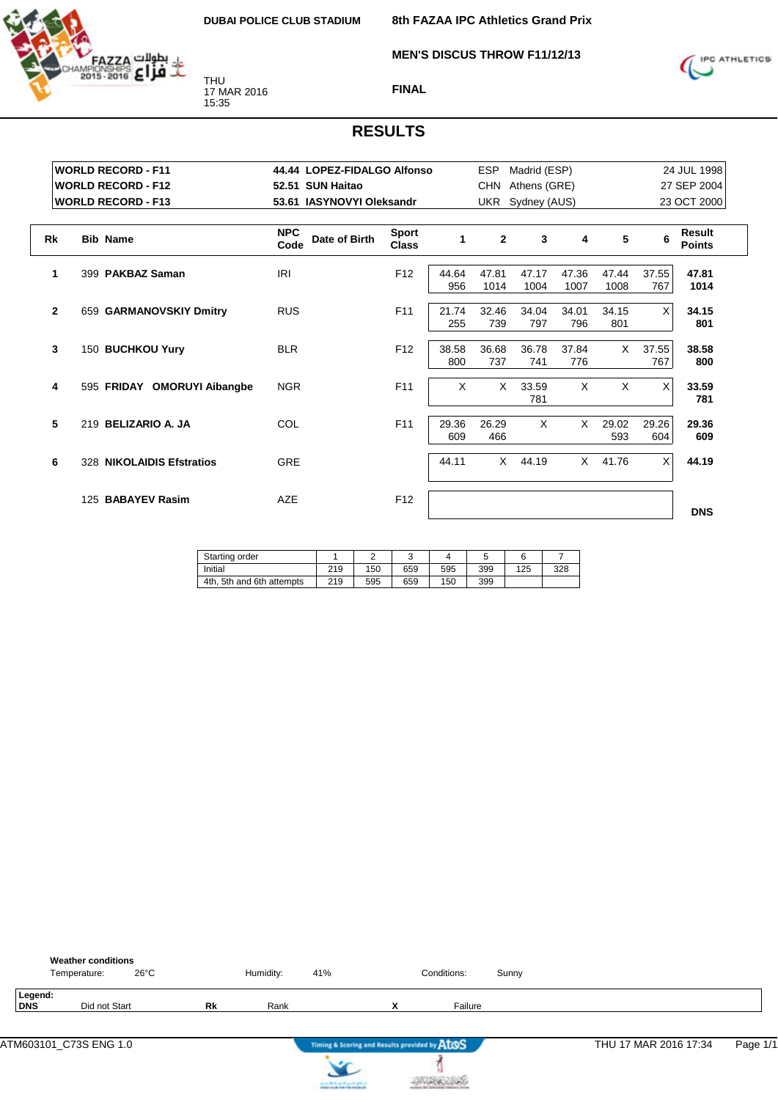

**MEN'S DISCUS THROW F11/12/13**



#### **FINAL**

|                | <b>WORLD RECORD - F11</b>                              | 44.44 LOPEZ-FIDALGO Alfonso                   |                              |              | <b>ESP</b>     | Madrid (ESP)                     |               |               | 24 JUL 1998  |                                |  |
|----------------|--------------------------------------------------------|-----------------------------------------------|------------------------------|--------------|----------------|----------------------------------|---------------|---------------|--------------|--------------------------------|--|
|                | <b>WORLD RECORD - F12</b><br><b>WORLD RECORD - F13</b> | 52.51 SUN Haitao<br>53.61 IASYNOVYI Oleksandr |                              |              | <b>CHN</b>     | Athens (GRE)<br>UKR Sydney (AUS) |               |               |              | 27 SEP 2004<br>23 OCT 2000     |  |
| <b>Rk</b>      | <b>Bib Name</b>                                        | <b>NPC</b><br>Date of Birth<br>Code           | <b>Sport</b><br><b>Class</b> | $\mathbf{1}$ | $\overline{2}$ | 3                                | 4             | 5             | 6            | <b>Result</b><br><b>Points</b> |  |
| 1              | 399 PAKBAZ Saman                                       | IRI                                           | F <sub>12</sub>              | 44.64<br>956 | 47.81<br>1014  | 47.17<br>1004                    | 47.36<br>1007 | 47.44<br>1008 | 37.55<br>767 | 47.81<br>1014                  |  |
| $\overline{2}$ | 659 GARMANOVSKIY Dmitry                                | <b>RUS</b>                                    | F <sub>11</sub>              | 21.74<br>255 | 32.46<br>739   | 34.04<br>797                     | 34.01<br>796  | 34.15<br>801  | X            | 34.15<br>801                   |  |
| $\mathbf{3}$   | 150 BUCHKOU Yury                                       | <b>BLR</b>                                    | F <sub>12</sub>              | 38.58<br>800 | 36.68<br>737   | 36.78<br>741                     | 37.84<br>776  | $\times$      | 37.55<br>767 | 38.58<br>800                   |  |
| 4              | 595 FRIDAY OMORUYI Aibangbe                            | <b>NGR</b>                                    | F <sub>11</sub>              | $\times$     | $\times$       | 33.59<br>781                     | $\mathsf{X}$  | $\times$      | X            | 33.59<br>781                   |  |
| 5              | 219 BELIZARIO A. JA                                    | COL                                           | F <sub>11</sub>              | 29.36<br>609 | 26.29<br>466   | $\times$                         | X             | 29.02<br>593  | 29.26<br>604 | 29.36<br>609                   |  |
| 6              | 328 NIKOLAIDIS Efstratios                              | <b>GRE</b>                                    |                              | 44.11        | $\times$       | 44.19                            |               | $X$ 41.76     | X            | 44.19                          |  |
|                | 125 BABAYEV Rasim                                      | <b>AZE</b>                                    | F <sub>12</sub>              |              |                |                                  |               |               |              | <b>DNS</b>                     |  |

| Starting order            |     |     |     |     |     |     |     |
|---------------------------|-----|-----|-----|-----|-----|-----|-----|
| Initial                   | 219 | 150 | 659 | 595 | 399 | 125 | 328 |
| 4th, 5th and 6th attempts | 219 | 595 | 659 | 150 | 399 |     |     |

|                | <b>Weather conditions</b><br>Temperature: | $26^{\circ}$ C |           | Humidity: | 41% |                                               | Conditions: | Sunny |                       |          |
|----------------|-------------------------------------------|----------------|-----------|-----------|-----|-----------------------------------------------|-------------|-------|-----------------------|----------|
| Legend:<br>DNS | Did not Start                             |                | <b>Rk</b> | Rank      |     | v<br>$\lambda$                                | Failure     |       |                       |          |
|                |                                           |                |           |           |     | Timing & Scoring and Results provided by ATOS |             |       | THU 17 MAR 2016 17:34 | Page 1/1 |

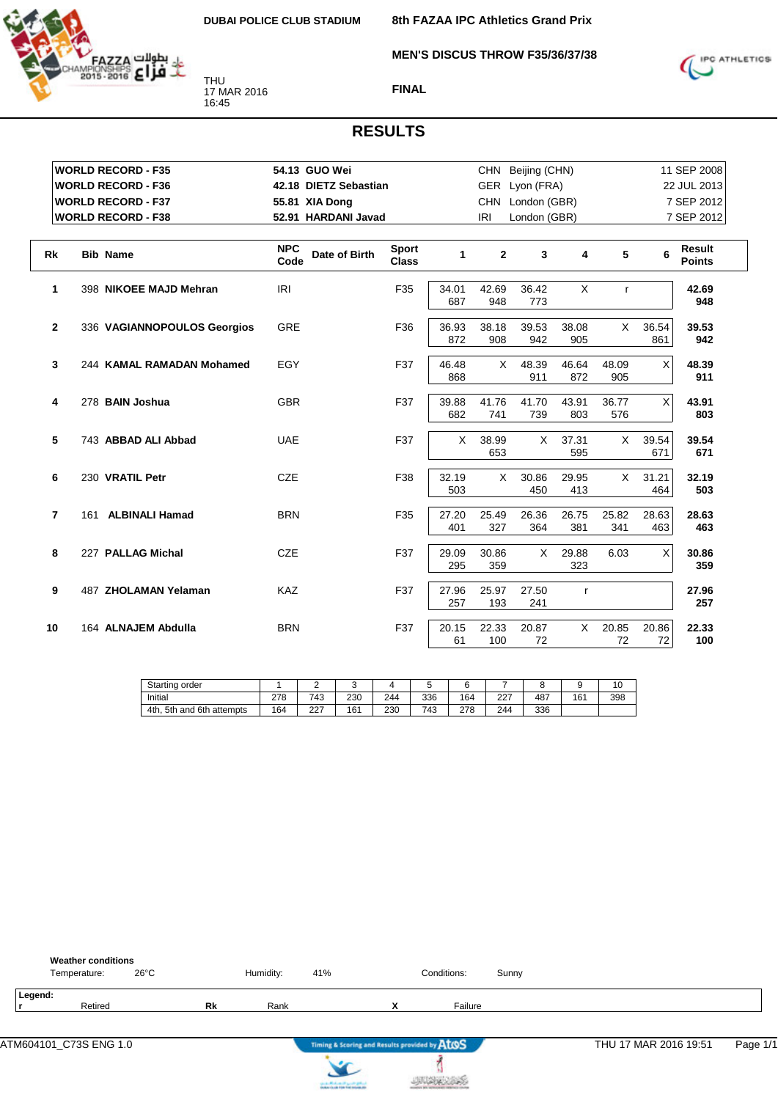

**8th FAZAA IPC Athletics Grand Prix**

**MEN'S DISCUS THROW F35/36/37/38**



**FINAL**

|                | <b>WORLD RECORD - F35</b>   | 54.13 GUO Wei                       |                              |              |              | CHN Beijing (CHN) |              |              |              | 11 SEP 2008                    |
|----------------|-----------------------------|-------------------------------------|------------------------------|--------------|--------------|-------------------|--------------|--------------|--------------|--------------------------------|
|                | <b>WORLD RECORD - F36</b>   | 42.18 DIETZ Sebastian               |                              |              |              | GER Lyon (FRA)    |              |              |              | 22 JUL 2013                    |
|                | <b>WORLD RECORD - F37</b>   | 55.81 XIA Dong                      |                              |              |              | CHN London (GBR)  |              |              |              | 7 SEP 2012                     |
|                | <b>WORLD RECORD - F38</b>   | 52.91 HARDANI Javad                 |                              |              | <b>IRI</b>   | London (GBR)      |              |              |              | 7 SEP 2012                     |
| <b>Rk</b>      | <b>Bib Name</b>             | <b>NPC</b><br>Date of Birth<br>Code | <b>Sport</b><br><b>Class</b> | 1            | $\mathbf{2}$ | 3                 | 4            | 5            | 6            | <b>Result</b><br><b>Points</b> |
| $\mathbf{1}$   | 398 NIKOEE MAJD Mehran      | <b>IRI</b>                          | F35                          | 34.01<br>687 | 42.69<br>948 | 36.42<br>773      | X            | $\mathsf{r}$ |              | 42.69<br>948                   |
| $\mathbf{2}$   | 336 VAGIANNOPOULOS Georgios | <b>GRE</b>                          | F36                          | 36.93<br>872 | 38.18<br>908 | 39.53<br>942      | 38.08<br>905 | X            | 36.54<br>861 | 39.53<br>942                   |
| 3              | 244 KAMAL RAMADAN Mohamed   | EGY                                 | F37                          | 46.48<br>868 | X            | 48.39<br>911      | 46.64<br>872 | 48.09<br>905 | X            | 48.39<br>911                   |
| 4              | 278 BAIN Joshua             | <b>GBR</b>                          | F37                          | 39.88<br>682 | 41.76<br>741 | 41.70<br>739      | 43.91<br>803 | 36.77<br>576 | Χ            | 43.91<br>803                   |
| 5              | 743 ABBAD ALI Abbad         | <b>UAE</b>                          | F37                          | X            | 38.99<br>653 | X.                | 37.31<br>595 | $\times$     | 39.54<br>671 | 39.54<br>671                   |
| 6              | 230 VRATIL Petr             | <b>CZE</b>                          | F38                          | 32.19<br>503 | X            | 30.86<br>450      | 29.95<br>413 | $\times$     | 31.21<br>464 | 32.19<br>503                   |
| $\overline{7}$ | 161 ALBINALI Hamad          | <b>BRN</b>                          | F35                          | 27.20<br>401 | 25.49<br>327 | 26.36<br>364      | 26.75<br>381 | 25.82<br>341 | 28.63<br>463 | 28.63<br>463                   |
| 8              | 227 PALLAG Michal           | <b>CZE</b>                          | F37                          | 29.09<br>295 | 30.86<br>359 | X                 | 29.88<br>323 | 6.03         | X            | 30.86<br>359                   |
| 9              | 487 ZHOLAMAN Yelaman        | <b>KAZ</b>                          | F37                          | 27.96<br>257 | 25.97<br>193 | 27.50<br>241      | $\mathsf{r}$ |              |              | 27.96<br>257                   |
| 10             | 164 ALNAJEM Abdulla         | <b>BRN</b>                          | F37                          | 20.15<br>61  | 22.33<br>100 | 20.87<br>72       | X            | 20.85<br>72  | 20.86<br>72  | 22.33<br>100                   |

| Starting<br>order               |     | -           |     |     | ັ   |                        |           |     |     | 10  |
|---------------------------------|-----|-------------|-----|-----|-----|------------------------|-----------|-----|-----|-----|
| Initial                         | 278 | 743         | 230 | 244 | 336 | 164                    | דרר<br>∠∠ | 487 | 161 | 398 |
| 5th and 6th<br>4th.<br>attempts | 164 | $\sim$<br>ے | 161 | 230 | 743 | 270<br><u>_ .</u><br>u | 244       | 336 |     |     |

|         | <b>Weather conditions</b><br>Temperature: | $26^{\circ}$ C |           | Humidity: | 41% | Conditions: | Sunny |
|---------|-------------------------------------------|----------------|-----------|-----------|-----|-------------|-------|
| Legend: |                                           |                |           |           |     |             |       |
|         | Retired                                   |                | <b>Rk</b> | Rank      |     | Failure     |       |
|         |                                           |                |           |           |     |             |       |
|         |                                           |                |           |           |     |             |       |



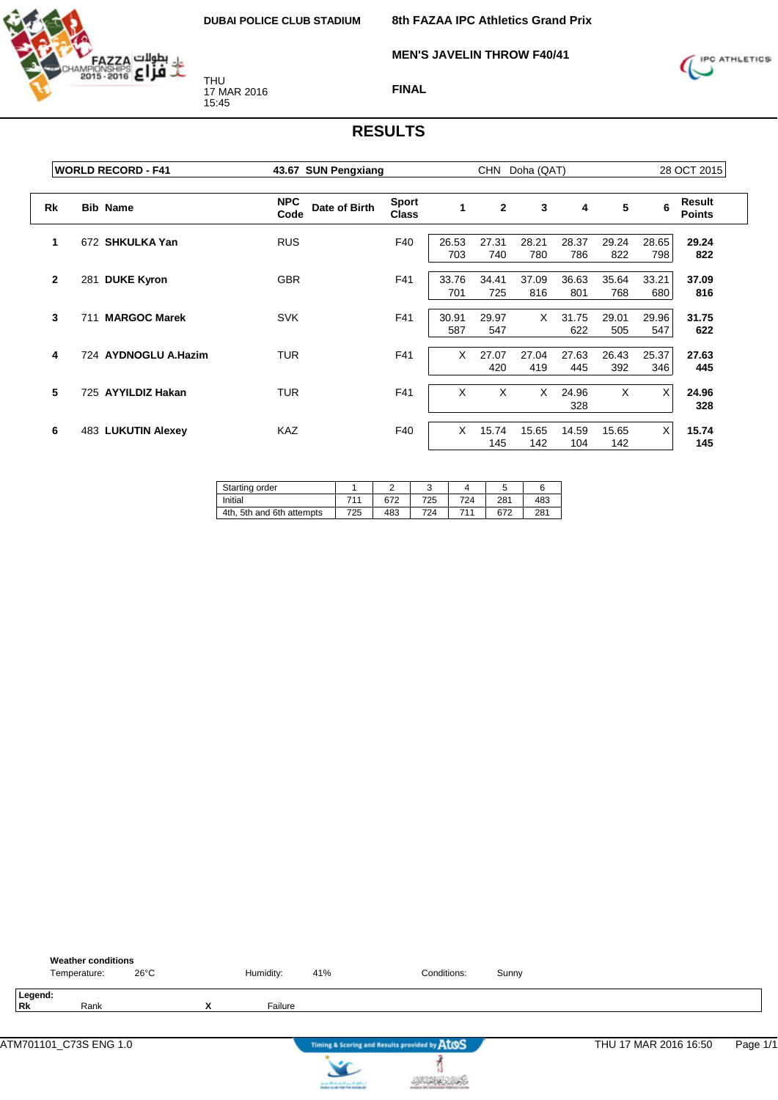

**MEN'S JAVELIN THROW F40/41**



#### **FINAL**

|              | <b>WORLD RECORD - F41</b>      | 43.67 SUN Pengxiang                 | <b>CHN</b><br>Doha (QAT)     |              |                |              |              |              | 28 OCT 2015  |                                |
|--------------|--------------------------------|-------------------------------------|------------------------------|--------------|----------------|--------------|--------------|--------------|--------------|--------------------------------|
| Rk           | <b>Bib Name</b>                | <b>NPC</b><br>Date of Birth<br>Code | <b>Sport</b><br><b>Class</b> | $\mathbf{1}$ | $\overline{2}$ | 3            | 4            | 5            | 6            | <b>Result</b><br><b>Points</b> |
| 1            | 672 SHKULKA Yan                | <b>RUS</b>                          | F40                          | 26.53<br>703 | 27.31<br>740   | 28.21<br>780 | 28.37<br>786 | 29.24<br>822 | 28.65<br>798 | 29.24<br>822                   |
| $\mathbf{2}$ | <b>DUKE Kyron</b><br>281       | <b>GBR</b>                          | F41                          | 33.76<br>701 | 34.41<br>725   | 37.09<br>816 | 36.63<br>801 | 35.64<br>768 | 33.21<br>680 | 37.09<br>816                   |
| 3            | <b>MARGOC Marek</b><br>711     | <b>SVK</b>                          | F41                          | 30.91<br>587 | 29.97<br>547   | X            | 31.75<br>622 | 29.01<br>505 | 29.96<br>547 | 31.75<br>622                   |
| 4            | <b>AYDNOGLU A.Hazim</b><br>724 | <b>TUR</b>                          | F41                          | X            | 27.07<br>420   | 27.04<br>419 | 27.63<br>445 | 26.43<br>392 | 25.37<br>346 | 27.63<br>445                   |
| 5            | 725 AYYILDIZ Hakan             | <b>TUR</b>                          | F41                          | X            | X              | X            | 24.96<br>328 | X            | X            | 24.96<br>328                   |
| 6            | 483 LUKUTIN Alexey             | <b>KAZ</b>                          | F40                          | X            | 15.74<br>145   | 15.65<br>142 | 14.59<br>104 | 15.65<br>142 | X            | 15.74<br>145                   |

| Starting order            |     |     | w   |     |     |     |
|---------------------------|-----|-----|-----|-----|-----|-----|
| Initial                   | 711 | 672 | 725 | 724 | 281 | 483 |
| 4th, 5th and 6th attempts | 725 | 483 | 724 | 711 | 672 | 281 |

|               | <b>Weather conditions</b><br>Temperature: | $26^{\circ}$ C |   | Humidity: | 41%                                           | Conditions:                                   | Sunny |                       |          |
|---------------|-------------------------------------------|----------------|---|-----------|-----------------------------------------------|-----------------------------------------------|-------|-----------------------|----------|
| Legend:<br>Rk | Rank                                      |                | x | Failure   |                                               |                                               |       |                       |          |
|               |                                           |                |   |           |                                               | Timing & Scoring and Results provided by AtOS |       | THU 17 MAR 2016 16:50 | Page 1/1 |
|               |                                           |                |   |           | the state of the form of the proof of gradual |                                               |       |                       |          |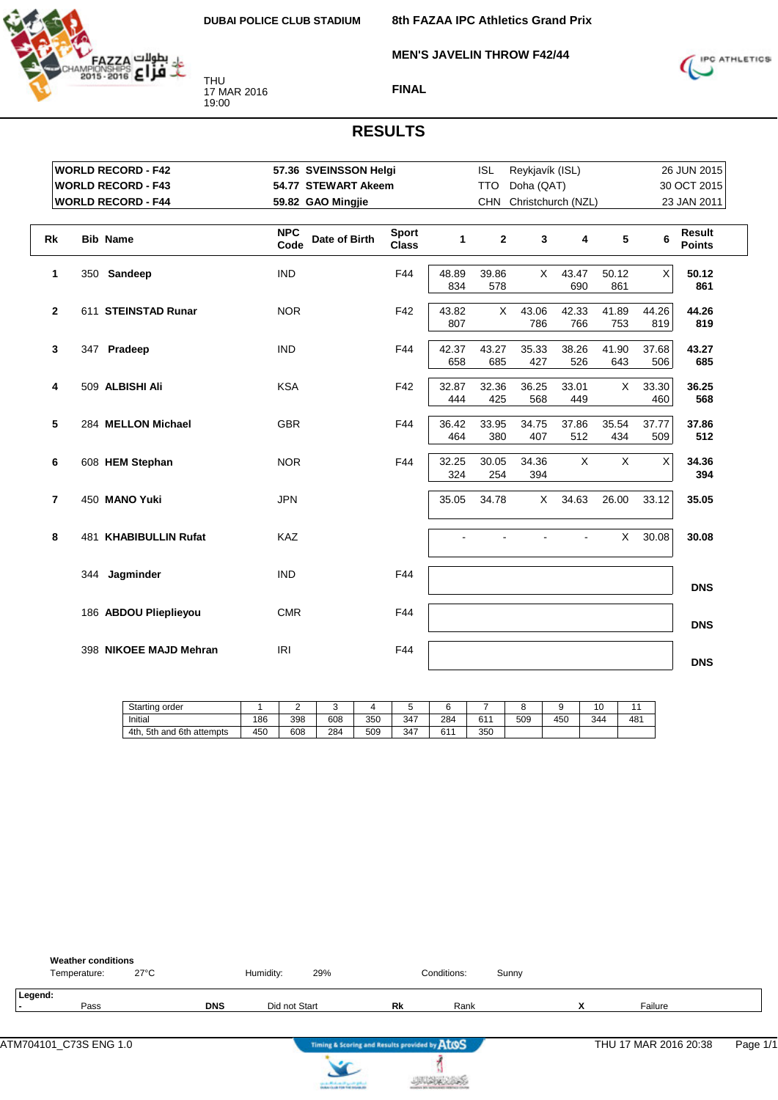**MEN'S JAVELIN THROW F42/44**



THU 17 MAR 2016 19:00



#### **FINAL**

|                | <b>WORLD RECORD - F42</b> | 57.36 SVEINSSON Helgi               |                              |              | <b>ISL</b>   | Reykjavík (ISL)    |                |              |              | 26 JUN 2015                    |
|----------------|---------------------------|-------------------------------------|------------------------------|--------------|--------------|--------------------|----------------|--------------|--------------|--------------------------------|
|                | <b>WORLD RECORD - F43</b> | 54.77 STEWART Akeem                 |                              |              | <b>TTO</b>   | Doha (QAT)         |                |              |              | 30 OCT 2015                    |
|                | <b>WORLD RECORD - F44</b> | 59.82 GAO Mingjie                   |                              |              | <b>CHN</b>   | Christchurch (NZL) |                |              |              | 23 JAN 2011                    |
| Rk             | <b>Bib Name</b>           | <b>NPC</b><br>Date of Birth<br>Code | <b>Sport</b><br><b>Class</b> | 1            | $\mathbf{2}$ | 3                  | 4              | 5            | 6            | <b>Result</b><br><b>Points</b> |
| 1              | 350 Sandeep               | <b>IND</b>                          | F44                          | 48.89<br>834 | 39.86<br>578 | X                  | 43.47<br>690   | 50.12<br>861 | Χ            | 50.12<br>861                   |
| $\mathbf{2}$   | 611 STEINSTAD Runar       | <b>NOR</b>                          | F42                          | 43.82<br>807 | $\times$     | 43.06<br>786       | 42.33<br>766   | 41.89<br>753 | 44.26<br>819 | 44.26<br>819                   |
| 3              | 347 Pradeep               | <b>IND</b>                          | F44                          | 42.37<br>658 | 43.27<br>685 | 35.33<br>427       | 38.26<br>526   | 41.90<br>643 | 37.68<br>506 | 43.27<br>685                   |
| 4              | 509 ALBISHI Ali           | <b>KSA</b>                          | F42                          | 32.87<br>444 | 32.36<br>425 | 36.25<br>568       | 33.01<br>449   | X            | 33.30<br>460 | 36.25<br>568                   |
| 5              | 284 MELLON Michael        | <b>GBR</b>                          | F44                          | 36.42<br>464 | 33.95<br>380 | 34.75<br>407       | 37.86<br>512   | 35.54<br>434 | 37.77<br>509 | 37.86<br>512                   |
| 6              | 608 HEM Stephan           | <b>NOR</b>                          | F44                          | 32.25<br>324 | 30.05<br>254 | 34.36<br>394       | X              | X            | X            | 34.36<br>394                   |
| $\overline{7}$ | 450 MANO Yuki             | <b>JPN</b>                          |                              | 35.05        | 34.78        | X                  | 34.63          | 26.00        | 33.12        | 35.05                          |
| 8              | 481 KHABIBULLIN Rufat     | KAZ                                 |                              |              |              |                    | $\overline{a}$ | X            | 30.08        | 30.08                          |
|                | 344 Jagminder             | <b>IND</b>                          | F44                          |              |              |                    |                |              |              | <b>DNS</b>                     |
|                | 186 ABDOU Plieplieyou     | <b>CMR</b>                          | F44                          |              |              |                    |                |              |              | <b>DNS</b>                     |
|                | 398 NIKOEE MAJD Mehran    | IRI                                 | F44                          |              |              |                    |                |              |              | <b>DNS</b>                     |

| <b>Starting</b><br>order              |     | -   |     |     |     |     |     |     |     | υ   |     |
|---------------------------------------|-----|-----|-----|-----|-----|-----|-----|-----|-----|-----|-----|
| Initial                               | 186 | 398 | 608 | 350 | 347 | 284 | 611 | 509 | 450 | 344 | 481 |
| 6th<br>5th<br>4th.<br>attempts<br>and | 450 | 608 | 284 | 509 | 347 | 61' | 350 |     |     |     |     |

| <b>Weather conditions</b><br>27°C<br>Temperature: |            | Humidity:     | 29% |                                               | Conditions: | Sunny |                   |                       |          |
|---------------------------------------------------|------------|---------------|-----|-----------------------------------------------|-------------|-------|-------------------|-----------------------|----------|
| Legend:<br>Pass                                   | <b>DNS</b> | Did not Start |     | Rk                                            | Rank        |       | v<br>$\mathbf{v}$ | Failure               |          |
|                                                   |            |               |     | Timing & Scoring and Results provided by ATOS |             |       |                   | THU 17 MAR 2016 20:38 | Page 1/1 |

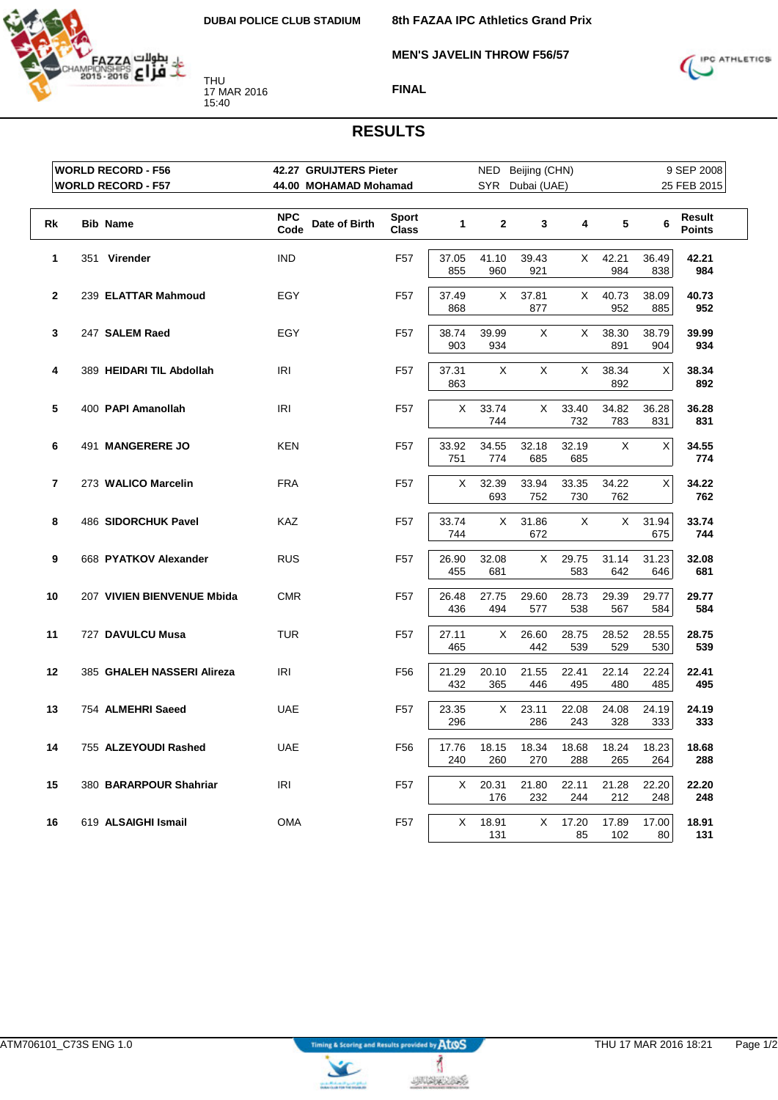

**MEN'S JAVELIN THROW F56/57**

**8th FAZAA IPC Athletics Grand Prix**



**FINAL**

|                | <b>WORLD RECORD - F56</b>  | 42.27 GRUIJTERS Pieter              |                              |              |              | NED Beijing (CHN) |              |              |              | 9 SEP 2008              |
|----------------|----------------------------|-------------------------------------|------------------------------|--------------|--------------|-------------------|--------------|--------------|--------------|-------------------------|
|                | <b>WORLD RECORD - F57</b>  | 44.00 MOHAMAD Mohamad               |                              |              |              | SYR Dubai (UAE)   |              |              |              | 25 FEB 2015             |
| Rk             | <b>Bib Name</b>            | <b>NPC</b><br>Date of Birth<br>Code | <b>Sport</b><br><b>Class</b> | $\mathbf{1}$ | $\mathbf{2}$ | 3                 | 4            | 5            | 6            | Result<br><b>Points</b> |
| 1              | 351 Virender               | <b>IND</b>                          | F <sub>57</sub>              | 37.05<br>855 | 41.10<br>960 | 39.43<br>921      | X.           | 42.21<br>984 | 36.49<br>838 | 42.21<br>984            |
| $\overline{2}$ | 239 ELATTAR Mahmoud        | <b>EGY</b>                          | F <sub>57</sub>              | 37.49<br>868 | X            | 37.81<br>877      | X            | 40.73<br>952 | 38.09<br>885 | 40.73<br>952            |
| 3              | 247 SALEM Raed             | <b>EGY</b>                          | F <sub>57</sub>              | 38.74<br>903 | 39.99<br>934 | X                 | X            | 38.30<br>891 | 38.79<br>904 | 39.99<br>934            |
| 4              | 389 HEIDARI TIL Abdollah   | <b>IRI</b>                          | F <sub>57</sub>              | 37.31<br>863 | X            | X                 | X            | 38.34<br>892 | X            | 38.34<br>892            |
| 5              | 400 PAPI Amanollah         | IRI                                 | F <sub>57</sub>              | X            | 33.74<br>744 | X.                | 33.40<br>732 | 34.82<br>783 | 36.28<br>831 | 36.28<br>831            |
| 6              | 491 MANGERERE JO           | <b>KEN</b>                          | F <sub>57</sub>              | 33.92<br>751 | 34.55<br>774 | 32.18<br>685      | 32.19<br>685 | X            | X            | 34.55<br>774            |
| 7              | 273 WALICO Marcelin        | <b>FRA</b>                          | F <sub>57</sub>              | X            | 32.39<br>693 | 33.94<br>752      | 33.35<br>730 | 34.22<br>762 | Χ            | 34.22<br>762            |
| 8              | 486 SIDORCHUK Pavel        | <b>KAZ</b>                          | F <sub>57</sub>              | 33.74<br>744 | X            | 31.86<br>672      | X            | X            | 31.94<br>675 | 33.74<br>744            |
| 9              | 668 PYATKOV Alexander      | <b>RUS</b>                          | F <sub>57</sub>              | 26.90<br>455 | 32.08<br>681 | X                 | 29.75<br>583 | 31.14<br>642 | 31.23<br>646 | 32.08<br>681            |
| 10             | 207 VIVIEN BIENVENUE Mbida | <b>CMR</b>                          | F <sub>57</sub>              | 26.48<br>436 | 27.75<br>494 | 29.60<br>577      | 28.73<br>538 | 29.39<br>567 | 29.77<br>584 | 29.77<br>584            |
| 11             | 727 DAVULCU Musa           | <b>TUR</b>                          | F <sub>57</sub>              | 27.11<br>465 | X            | 26.60<br>442      | 28.75<br>539 | 28.52<br>529 | 28.55<br>530 | 28.75<br>539            |
| 12             | 385 GHALEH NASSERI Alireza | IRI                                 | F <sub>56</sub>              | 21.29<br>432 | 20.10<br>365 | 21.55<br>446      | 22.41<br>495 | 22.14<br>480 | 22.24<br>485 | 22.41<br>495            |
| 13             | 754 ALMEHRI Saeed          | <b>UAE</b>                          | F <sub>57</sub>              | 23.35<br>296 | X            | 23.11<br>286      | 22.08<br>243 | 24.08<br>328 | 24.19<br>333 | 24.19<br>333            |
| 14             | 755 ALZEYOUDI Rashed       | <b>UAE</b>                          | F56                          | 17.76<br>240 | 18.15<br>260 | 18.34<br>270      | 18.68<br>288 | 18.24<br>265 | 18.23<br>264 | 18.68<br>288            |
| 15             | 380 BARARPOUR Shahriar     | IRI                                 | F <sub>57</sub>              | Χ            | 20.31<br>176 | 21.80<br>232      | 22.11<br>244 | 21.28<br>212 | 22.20<br>248 | 22.20<br>248            |
| 16             | 619 ALSAIGHI Ismail        | <b>OMA</b>                          | F <sub>57</sub>              | X            | 18.91<br>131 | X                 | 17.20<br>85  | 17.89<br>102 | 17.00<br>80  | 18.91<br>131            |



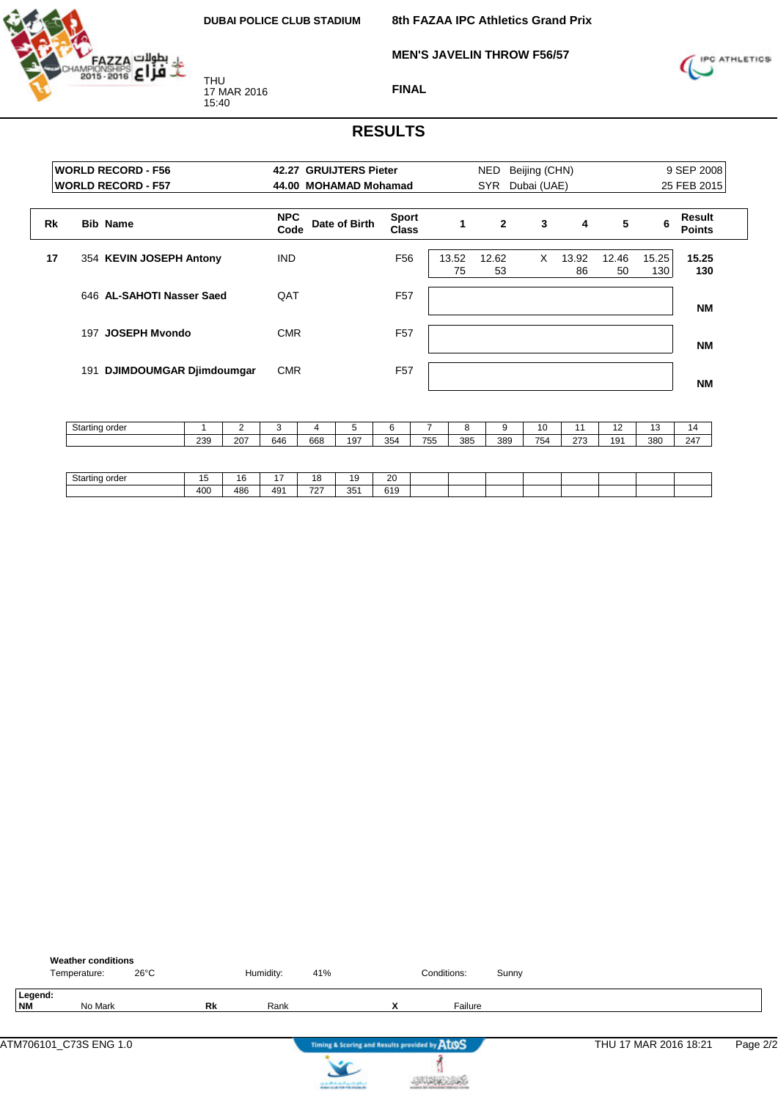

**8th FAZAA IPC Athletics Grand Prix**

**MEN'S JAVELIN THROW F56/57**



**FINAL**

|    | <b>WORLD RECORD - F56</b><br><b>WORLD RECORD - F57</b> | 42.27 GRUIJTERS Pieter<br>44.00 MOHAMAD Mohamad |                              |             | <b>NED</b><br><b>SYR</b> | Beijing (CHN)<br>Dubai (UAE) |             |             |              | 9 SEP 2008<br>25 FEB 2015 |
|----|--------------------------------------------------------|-------------------------------------------------|------------------------------|-------------|--------------------------|------------------------------|-------------|-------------|--------------|---------------------------|
| Rk | <b>Bib Name</b>                                        | <b>NPC</b><br>Date of Birth<br>Code             | <b>Sport</b><br><b>Class</b> |             | $\overline{2}$           | 3                            | 4           | 5           | 6            | Result<br><b>Points</b>   |
| 17 | 354 KEVIN JOSEPH Antony                                | <b>IND</b>                                      | F <sub>56</sub>              | 13.52<br>75 | 12.62<br>53              | X                            | 13.92<br>86 | 12.46<br>50 | 15.25<br>130 | 15.25<br>130              |
|    | 646 AL-SAHOTI Nasser Saed                              | QAT                                             | F <sub>57</sub>              |             |                          |                              |             |             |              | <b>NM</b>                 |
|    | 197 JOSEPH Myondo                                      | <b>CMR</b>                                      | F <sub>57</sub>              |             |                          |                              |             |             |              | NΜ                        |
|    | DJIMDOUMGAR Djimdoumgar<br>191                         | <b>CMR</b>                                      | F <sub>57</sub>              |             |                          |                              |             |             |              | NΜ                        |

| Starting order |     |     |     |     |     |     |     |     |     | л.  |          | . .             |     | 14  |
|----------------|-----|-----|-----|-----|-----|-----|-----|-----|-----|-----|----------|-----------------|-----|-----|
|                | 239 | 207 | 646 | 668 | 197 | 354 | 755 | 385 | 389 | 754 | 272<br>- | 19 <sup>7</sup> | 380 | 247 |

| $\sim$<br>Starting<br>6 H I<br><b>STATE</b> | -   | $\overline{\phantom{a}}$<br>. .<br>۰с. | $\overline{\phantom{a}}$ | $\overline{\phantom{a}}$ | $\overline{ }$ | $\Omega$<br>∠∪<br>__ |  |  |  |  |
|---------------------------------------------|-----|----------------------------------------|--------------------------|--------------------------|----------------|----------------------|--|--|--|--|
|                                             | 400 | 486                                    | 491                      | 707<br>ے ا               | 251<br>ູບບ     | 0.40<br>ບ≀ະ          |  |  |  |  |

|                      | <b>Weather conditions</b><br>Temperature: | $26^{\circ}$ C |           | Humidity: | 41%                                    |   | Conditions:                                   | Sunny |                       |          |
|----------------------|-------------------------------------------|----------------|-----------|-----------|----------------------------------------|---|-----------------------------------------------|-------|-----------------------|----------|
| Legend:<br><b>NM</b> | No Mark                                   |                | <b>Rk</b> | Rank      |                                        | x | Failure                                       |       |                       |          |
|                      | ATM706101_C73S ENG 1.0                    |                |           |           |                                        |   | Timing & Scoring and Results provided by AtOS |       | THU 17 MAR 2016 18:21 | Page 2/2 |
|                      |                                           |                |           |           | can be affected and it genetic gradual |   |                                               |       |                       |          |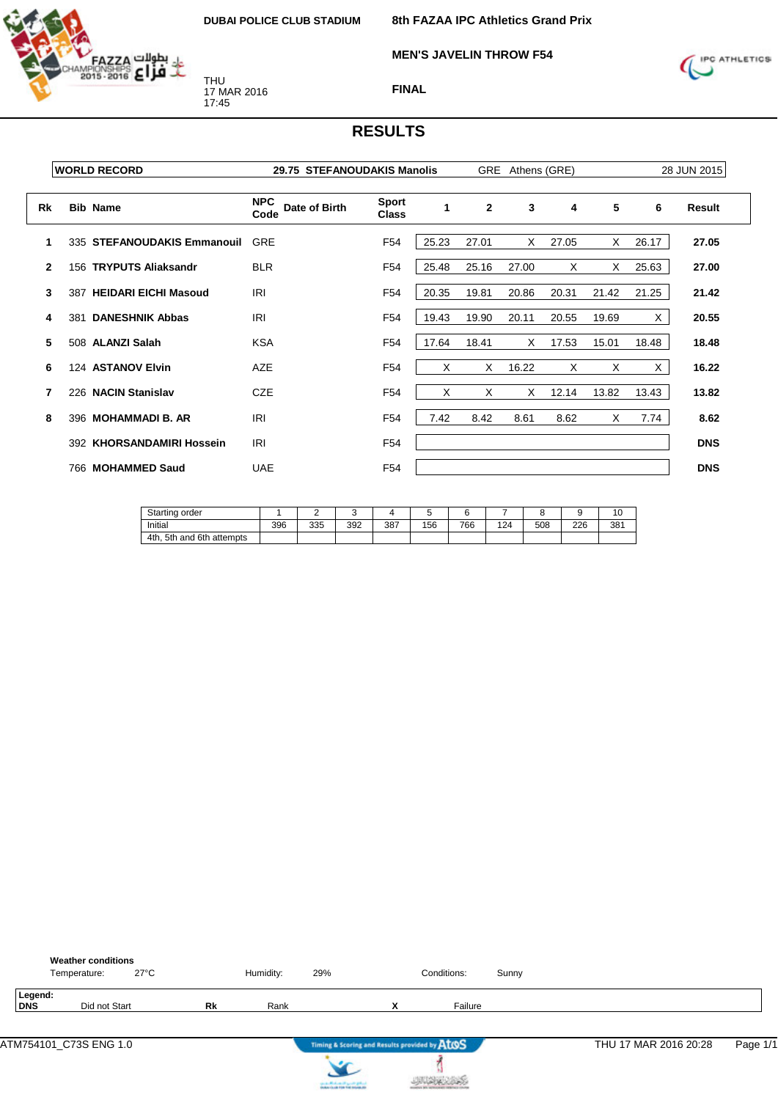

**MEN'S JAVELIN THROW F54**

**8th FAZAA IPC Athletics Grand Prix**



**FINAL**

|              | <b>WORLD RECORD</b>           | 29.75 STEFANOUDAKIS Manolis         |                              |       |              | GRE Athens (GRE) |       |       |       | 28 JUN 2015 |
|--------------|-------------------------------|-------------------------------------|------------------------------|-------|--------------|------------------|-------|-------|-------|-------------|
| Rk           | <b>Bib Name</b>               | <b>NPC</b><br>Date of Birth<br>Code | <b>Sport</b><br><b>Class</b> | 1     | $\mathbf{2}$ | 3                | 4     | 5     | 6     | Result      |
|              | 335 STEFANOUDAKIS Emmanouil   | <b>GRE</b>                          | F <sub>54</sub>              | 25.23 | 27.01        | X                | 27.05 | Χ     | 26.17 | 27.05       |
| $\mathbf{2}$ | 156 TRYPUTS Aliaksandr        | <b>BLR</b>                          | F <sub>54</sub>              | 25.48 | 25.16        | 27.00            | X     | X     | 25.63 | 27.00       |
| 3            | 387 HEIDARI EICHI Masoud      | <b>IRI</b>                          | F <sub>54</sub>              | 20.35 | 19.81        | 20.86            | 20.31 | 21.42 | 21.25 | 21.42       |
| 4            | <b>DANESHNIK Abbas</b><br>381 | <b>IRI</b>                          | F <sub>54</sub>              | 19.43 | 19.90        | 20.11            | 20.55 | 19.69 | X     | 20.55       |
| 5            | 508 ALANZI Salah              | <b>KSA</b>                          | F <sub>54</sub>              | 17.64 | 18.41        | X                | 17.53 | 15.01 | 18.48 | 18.48       |
| 6            | 124 ASTANOV Elvin             | AZE                                 | F <sub>54</sub>              | X     | X            | 16.22            | X     | X     | X     | 16.22       |
| 7            | 226 NACIN Stanislav           | <b>CZE</b>                          | F <sub>54</sub>              | X     | X            | X                | 12.14 | 13.82 | 13.43 | 13.82       |
| 8            | 396 MOHAMMADI B. AR           | <b>IRI</b>                          | F <sub>54</sub>              | 7.42  | 8.42         | 8.61             | 8.62  | X     | 7.74  | 8.62        |
|              | 392 KHORSANDAMIRI Hossein     | <b>IRI</b>                          | F <sub>54</sub>              |       |              |                  |       |       |       | <b>DNS</b>  |
|              | 766 MOHAMMED Saud             | <b>UAE</b>                          | F <sub>54</sub>              |       |              |                  |       |       |       | <b>DNS</b>  |

| Starting order                     |     |     | ι.  |     |     |     |     |     |     | 10  |
|------------------------------------|-----|-----|-----|-----|-----|-----|-----|-----|-----|-----|
| Initial                            | 396 | 335 | 392 | 387 | 156 | 766 | 124 | 508 | 226 | 381 |
| 4th.<br>and 6th<br>5th<br>attempts |     |     |     |     |     |     |     |     |     |     |

|                | <b>Weather conditions</b><br>Temperature: | $27^{\circ}$ C |           | Humidity: | 29% |                                               | Conditions: | Sunny |                       |          |
|----------------|-------------------------------------------|----------------|-----------|-----------|-----|-----------------------------------------------|-------------|-------|-----------------------|----------|
| Legend:<br>DNS | Did not Start                             |                | <b>Rk</b> | Rank      |     | $\checkmark$<br>$\lambda$                     | Failure     |       |                       |          |
|                |                                           |                |           |           |     | Timing & Scoring and Results provided by ATOS |             |       | THU 17 MAR 2016 20:28 | Page 1/1 |



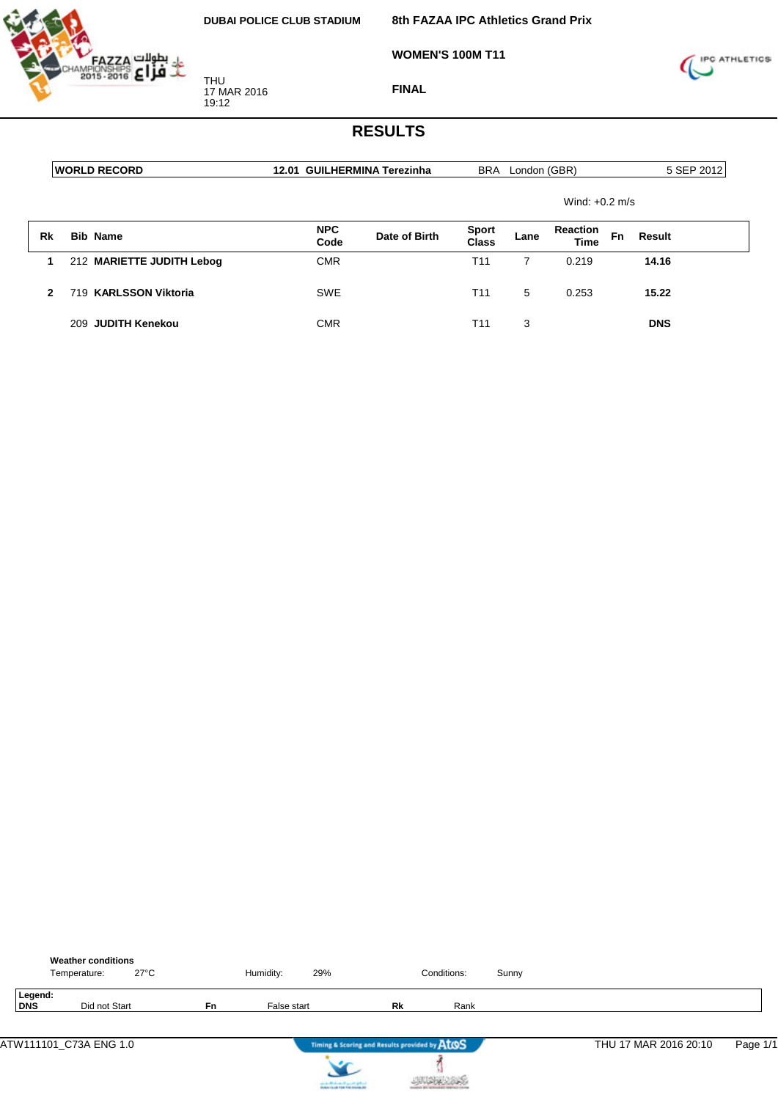

**WOMEN'S 100M T11**



**FINAL**

|              | <b>WORLD RECORD</b>       | 12.01 GUILHERMINA Terezinha |               |                       | BRA London (GBR) |                  |           | 5 SEP 2012 |
|--------------|---------------------------|-----------------------------|---------------|-----------------------|------------------|------------------|-----------|------------|
|              |                           |                             |               |                       |                  | Wind: $+0.2$ m/s |           |            |
| Rk           | <b>Bib Name</b>           | <b>NPC</b><br>Code          | Date of Birth | <b>Sport</b><br>Class | Lane             | Reaction<br>Time | <b>Fn</b> | Result     |
| 1            | 212 MARIETTE JUDITH Lebog | <b>CMR</b>                  |               | T <sub>11</sub>       | 7                | 0.219            |           | 14.16      |
| $\mathbf{2}$ | 719 KARLSSON Viktoria     | <b>SWE</b>                  |               | T <sub>11</sub>       | 5                | 0.253            |           | 15.22      |
|              | 209 JUDITH Kenekou        | <b>CMR</b>                  |               | T <sub>11</sub>       | 3                |                  |           | <b>DNS</b> |

|                | <b>Weather conditions</b><br>Temperature: | $27^{\circ}$ C |    | Humidity:   | 29%                                                                   |                                               | Conditions: | Sunny |                       |          |
|----------------|-------------------------------------------|----------------|----|-------------|-----------------------------------------------------------------------|-----------------------------------------------|-------------|-------|-----------------------|----------|
| Legend:<br>DNS | Did not Start                             |                | Fn | False start |                                                                       | Rk                                            | Rank        |       |                       |          |
|                | ATW111101 C73A ENG 1.0                    |                |    |             |                                                                       | Timing & Scoring and Results provided by AtOS |             |       | THU 17 MAR 2016 20:10 | Page 1/1 |
|                |                                           |                |    |             | لينافع بغيب التهيف الطريف<br><b>In March 19, 1984 Ford Holiday, N</b> |                                               |             |       |                       |          |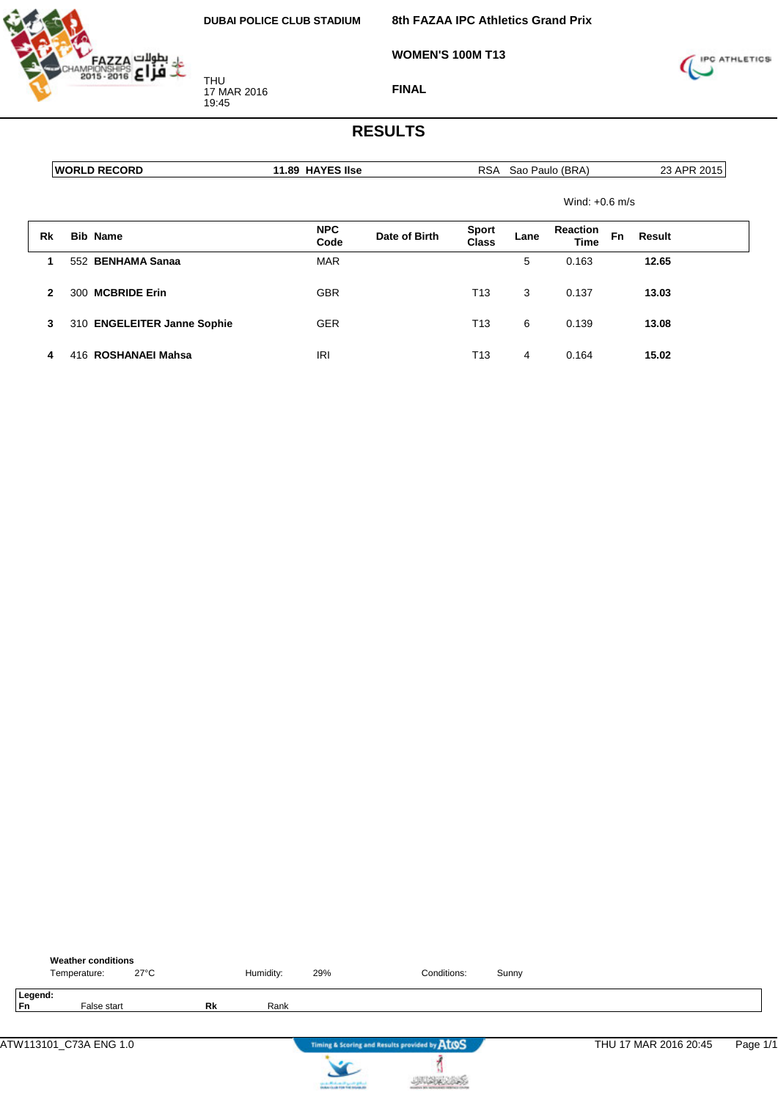

**8th FAZAA IPC Athletics Grand Prix**

**WOMEN'S 100M T13**



**FINAL**

|    | <b> WORLD RECORD</b>        | 11.89 HAYES Ilse   |               |                       |      | RSA Sao Paulo (BRA)     |    | 23 APR 2015 |
|----|-----------------------------|--------------------|---------------|-----------------------|------|-------------------------|----|-------------|
|    |                             |                    |               |                       |      | Wind: $+0.6$ m/s        |    |             |
| Rk | <b>Bib Name</b>             | <b>NPC</b><br>Code | Date of Birth | <b>Sport</b><br>Class | Lane | <b>Reaction</b><br>Time | Fn | Result      |
| 1  | 552 BENHAMA Sanaa           | <b>MAR</b>         |               |                       | 5    | 0.163                   |    | 12.65       |
| 2  | <b>MCBRIDE Erin</b><br>300  | <b>GBR</b>         |               | T <sub>13</sub>       | 3    | 0.137                   |    | 13.03       |
| 3  | 310 ENGELEITER Janne Sophie | <b>GER</b>         |               | T <sub>13</sub>       | 6    | 0.139                   |    | 13.08       |
| 4  | 416 ROSHANAEI Mahsa         | IRI                |               | T13                   | 4    | 0.164                   |    | 15.02       |

| <b>Weather conditions</b><br>$27^{\circ}$ C<br>Temperature: |    | Humidity: | 29%                                                               | Conditions:                                   | Sunny |                       |          |
|-------------------------------------------------------------|----|-----------|-------------------------------------------------------------------|-----------------------------------------------|-------|-----------------------|----------|
| Legend:<br><b>Fn</b><br>False start                         | Rk | Rank      |                                                                   |                                               |       |                       |          |
| ATW113101_C73A ENG 1.0                                      |    |           |                                                                   | Timing & Scoring and Results provided by AtOS |       | THU 17 MAR 2016 20:45 | Page 1/1 |
|                                                             |    |           | controlled and speed galent.<br>Instantia de File Foi Installatio |                                               |       |                       |          |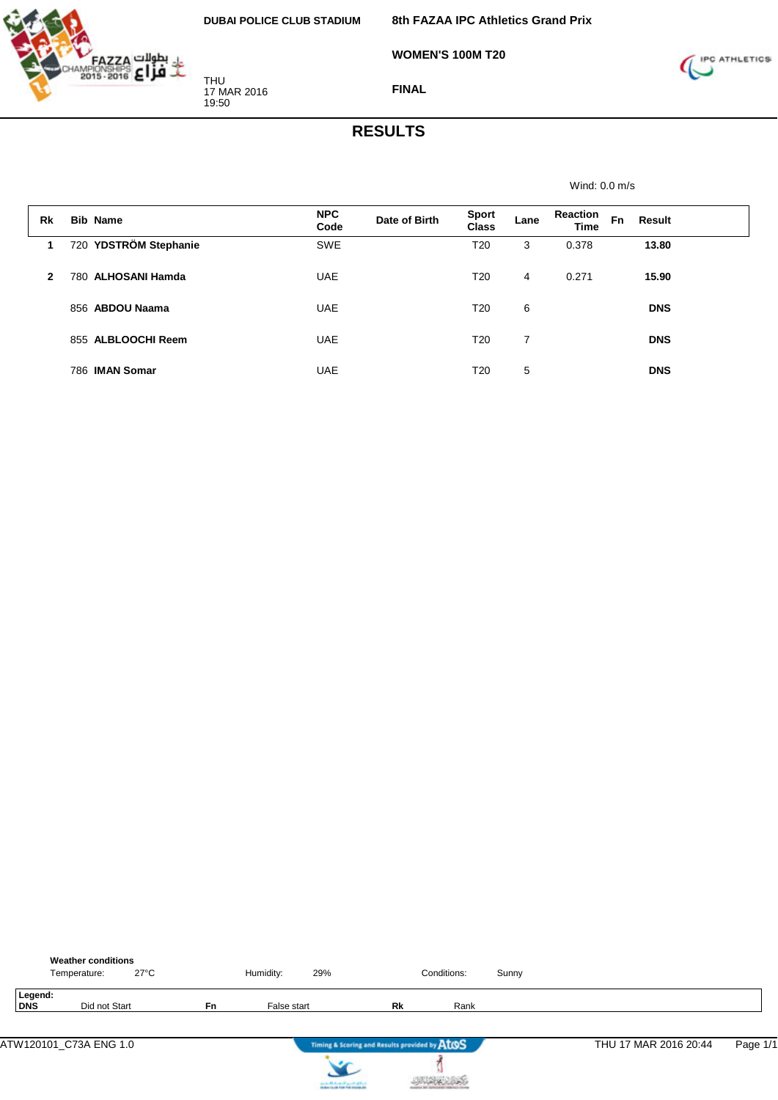

**WOMEN'S 100M T20**



**FINAL**

#### **RESULTS**

Wind: 0.0 m/s

| Rk | <b>Bib Name</b>       | <b>NPC</b><br>Code | Date of Birth | <b>Sport</b><br><b>Class</b> | Lane | <b>Reaction</b><br><b>Time</b> | <b>Fn</b><br>Result |  |
|----|-----------------------|--------------------|---------------|------------------------------|------|--------------------------------|---------------------|--|
| 1  | 720 YDSTRÖM Stephanie | <b>SWE</b>         |               | T <sub>20</sub>              | 3    | 0.378                          | 13.80               |  |
| 2  | 780 ALHOSANI Hamda    | <b>UAE</b>         |               | T20                          | 4    | 0.271                          | 15.90               |  |
|    | 856 ABDOU Naama       | <b>UAE</b>         |               | T <sub>20</sub>              | 6    |                                | <b>DNS</b>          |  |
|    | 855 ALBLOOCHI Reem    | <b>UAE</b>         |               | T20                          | 7    |                                | <b>DNS</b>          |  |
|    | 786 IMAN Somar        | <b>UAE</b>         |               | T20                          | 5    |                                | <b>DNS</b>          |  |

|                | <b>Weather conditions</b><br>Temperature: | 27°C |           | Humidity:   | 29% |                                               | Conditions: | Sunny |                       |          |
|----------------|-------------------------------------------|------|-----------|-------------|-----|-----------------------------------------------|-------------|-------|-----------------------|----------|
| Legend:<br>DNS | Did not Start                             |      | <b>Fn</b> | False start |     | Rk                                            | Rank        |       |                       |          |
|                | ATW120101 C73A ENG 1.0                    |      |           |             |     | Timing & Scoring and Results provided by ATOS |             |       | THU 17 MAR 2016 20:44 | Page 1/1 |



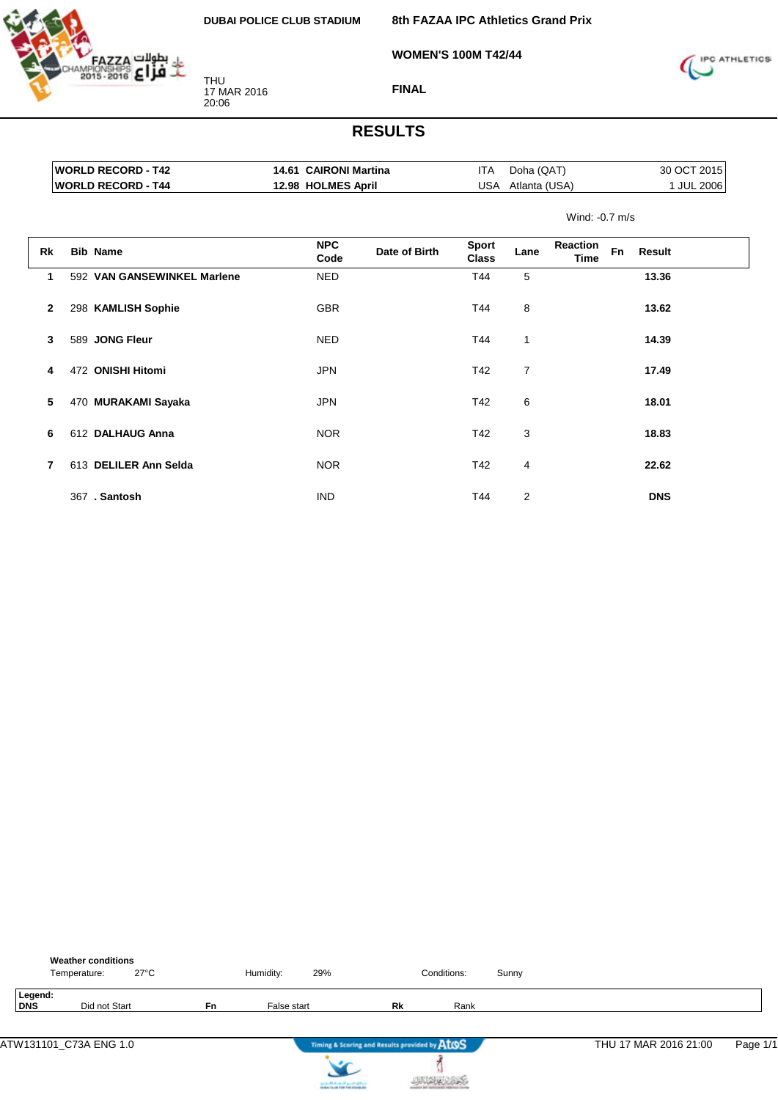**WOMEN'S 100M T42/44**

**8th FAZAA IPC Athletics Grand Prix**

IPC ATHLETICS

17 MAR 2016

THU

20:06

**FINAL**

|    | <b>WORLD RECORD - T42</b>   | 14.61 CAIRONI Martina |               | ITA                   | Doha (QAT)    |                        | 30 OCT 2015 |            |
|----|-----------------------------|-----------------------|---------------|-----------------------|---------------|------------------------|-------------|------------|
|    | <b>WORLD RECORD - T44</b>   | 12.98 HOLMES April    |               | USA                   | Atlanta (USA) |                        |             | 1 JUL 2006 |
|    |                             |                       |               |                       |               | Wind: -0.7 m/s         |             |            |
| Rk | <b>Bib Name</b>             | <b>NPC</b><br>Code    | Date of Birth | <b>Sport</b><br>Class | Lane          | Reaction<br>Fn<br>Time | Result      |            |
| 1  | 592 VAN GANSEWINKEL Marlene | <b>NED</b>            |               | T44                   | 5             |                        | 13.36       |            |
| 2  | 298 KAMLISH Sophie          | <b>GBR</b>            |               | T44                   | 8             |                        | 13.62       |            |
| 3  | 589 JONG Fleur              | <b>NED</b>            |               | T44                   | 1             |                        | 14.39       |            |
| 4  | 472 ONISHI Hitomi           | <b>JPN</b>            |               | T42                   | 7             |                        | 17.49       |            |
| 5  | 470 MURAKAMI Sayaka         | <b>JPN</b>            |               | T42                   | 6             |                        | 18.01       |            |
| 6  | 612 DALHAUG Anna            | <b>NOR</b>            |               | T42                   | 3             |                        | 18.83       |            |
| 7  | 613 DELILER Ann Selda       | <b>NOR</b>            |               | T42                   | 4             |                        | 22.62       |            |
|    | 367. Santosh                | <b>IND</b>            |               | T44                   | 2             |                        | <b>DNS</b>  |            |

|                | <b>Weather conditions</b><br>Temperature: | $27^{\circ}$ C |           | Humidity:   | 29% |                                               | Conditions: | Sunny |                       |          |
|----------------|-------------------------------------------|----------------|-----------|-------------|-----|-----------------------------------------------|-------------|-------|-----------------------|----------|
| Legend:<br>DNS | Did not Start                             |                | <b>Fn</b> | False start |     | Rk                                            | Rank        |       |                       |          |
|                | ATW131101_C73A ENG 1.0                    |                |           |             |     | Timing & Scoring and Results provided by ATOS |             |       | THU 17 MAR 2016 21:00 | Page 1/1 |



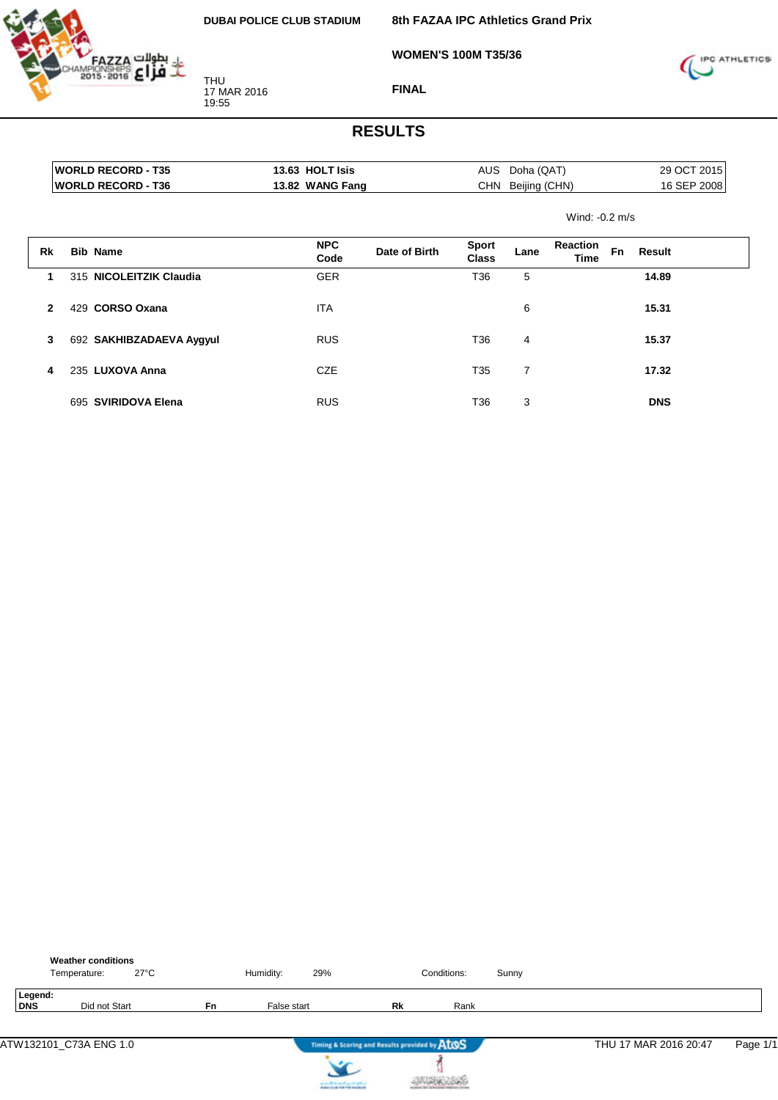**WOMEN'S 100M T35/36**



THU 17 MAR 2016 19:55



#### **FINAL**

|              |     | <b>WORLD RECORD - T35</b> | 13.63 HOLT Isis    |               |                              | AUS Doha (QAT)    |                         |           | 29 OCT 2015 |
|--------------|-----|---------------------------|--------------------|---------------|------------------------------|-------------------|-------------------------|-----------|-------------|
|              |     | <b>WORLD RECORD - T36</b> | 13.82 WANG Fang    |               |                              | CHN Beijing (CHN) |                         |           | 16 SEP 2008 |
|              |     |                           |                    |               |                              |                   | Wind: $-0.2$ m/s        |           |             |
| Rk           |     | <b>Bib Name</b>           | <b>NPC</b><br>Code | Date of Birth | <b>Sport</b><br><b>Class</b> | Lane              | <b>Reaction</b><br>Time | <b>Fn</b> | Result      |
| 1            |     | 315 NICOLEITZIK Claudia   | <b>GER</b>         |               | T36                          | 5                 |                         |           | 14.89       |
| $\mathbf{2}$ | 429 | <b>CORSO Oxana</b>        | <b>ITA</b>         |               |                              | 6                 |                         |           | 15.31       |
| 3            |     | 692 SAKHIBZADAEVA Aygyul  | <b>RUS</b>         |               | T36                          | 4                 |                         |           | 15.37       |
| 4            |     | 235 LUXOVA Anna           | <b>CZE</b>         |               | T <sub>35</sub>              | $\overline{7}$    |                         |           | 17.32       |
|              |     | 695 SVIRIDOVA Elena       | <b>RUS</b>         |               | T36                          | 3                 |                         |           | <b>DNS</b>  |

|                | <b>Weather conditions</b><br>$27^{\circ}$ C<br>Temperature: |    | Humidity:   | 29%                                           |    | Conditions: | Sunny |                       |          |
|----------------|-------------------------------------------------------------|----|-------------|-----------------------------------------------|----|-------------|-------|-----------------------|----------|
| Legend:<br>DNS | Did not Start                                               | Fn | False start |                                               | Rk | Rank        |       |                       |          |
|                | ATW132101_C73A ENG 1.0                                      |    |             | Timing & Scoring and Results provided by AtOS |    |             |       | THU 17 MAR 2016 20:47 | Page 1/1 |
|                |                                                             |    |             | can be affected and if you do got not         |    |             |       |                       |          |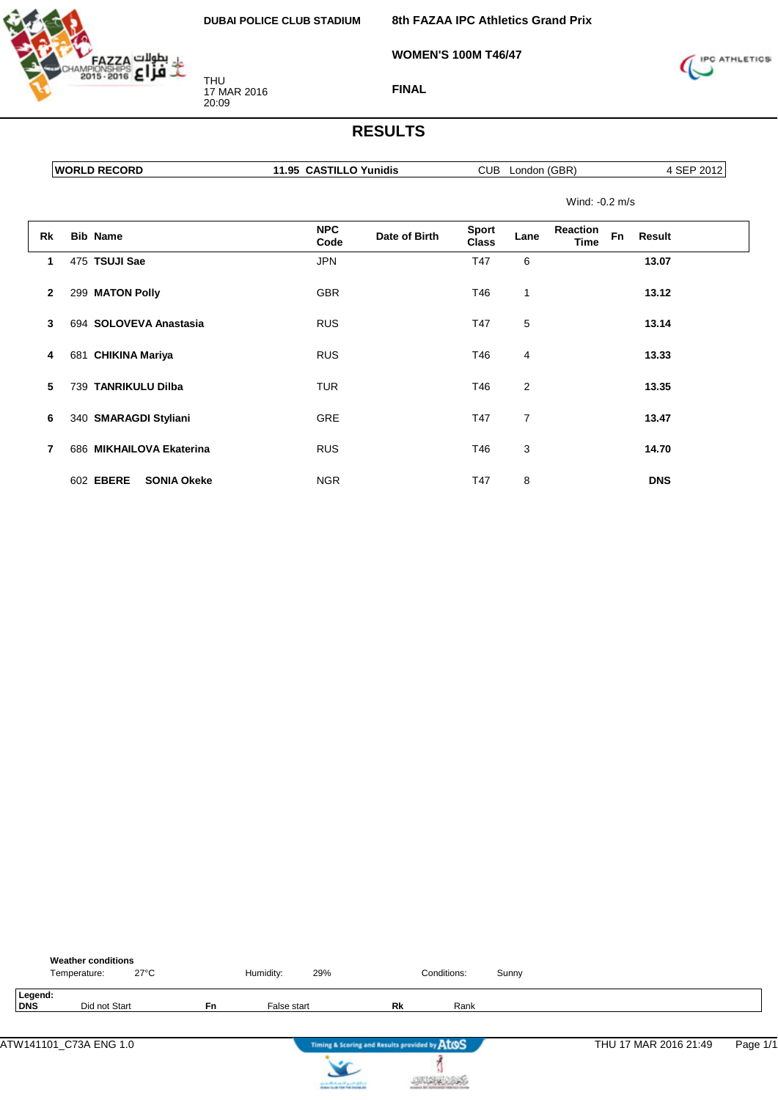

THU 17 MAR 2016 20:09

**8th FAZAA IPC Athletics Grand Prix**

**WOMEN'S 100M T46/47**



**FINAL**

### **RESULTS**

|    | <b>WORLD RECORD</b> | 11.95 CASTILLO Yunidis              | CUB<br>London (GBR)                                                          | 4 SEP 2012 |  |
|----|---------------------|-------------------------------------|------------------------------------------------------------------------------|------------|--|
|    |                     |                                     | Wind: -0.2 m/s                                                               |            |  |
| Rk | <b>Bib Name</b>     | <b>NPC</b><br>Date of Birth<br>Code | <b>Sport</b><br><b>Reaction</b><br>Fn<br>Lane<br><b>Class</b><br><b>Time</b> | Result     |  |
|    | 475 TSUJI Sae       | <b>JPN</b>                          | T47<br>6                                                                     | 13.07      |  |
| 2  | 299 MATON Polly     | GBR                                 | T46                                                                          | 13.12      |  |

**3** 694 **SOLOVEVA Anastasia** RUS T47 5 **13.14**

**4** 681 **CHIKINA Mariya** RUS T46 4 **13.33**

**5** 739 **TANRIKULU Dilba** TUR T46 2 **13.35**

**6** 340 **SMARAGDI Styliani** GRE T47 7 **13.47**

**7** 686 **MIKHAILOVA Ekaterina** RUS T46 3 **14.70**

602 **EBERE SONIA Okeke** NGR T47 8 **DNS**

|                       | <b>Weather conditions</b><br>Temperature: | $27^{\circ}$ C |    | Humidity:   | 29%                                           |                                               | Conditions: | Sunny |                       |          |
|-----------------------|-------------------------------------------|----------------|----|-------------|-----------------------------------------------|-----------------------------------------------|-------------|-------|-----------------------|----------|
| Legend:<br><b>DNS</b> | Did not Start                             |                | Fn | False start |                                               | Rk                                            | Rank        |       |                       |          |
|                       | ATW141101_C73A ENG 1.0                    |                |    |             |                                               | Timing & Scoring and Results provided by AtOS |             |       | THU 17 MAR 2016 21:49 | Page 1/1 |
|                       |                                           |                |    |             | the state affects on the special products and |                                               |             |       |                       |          |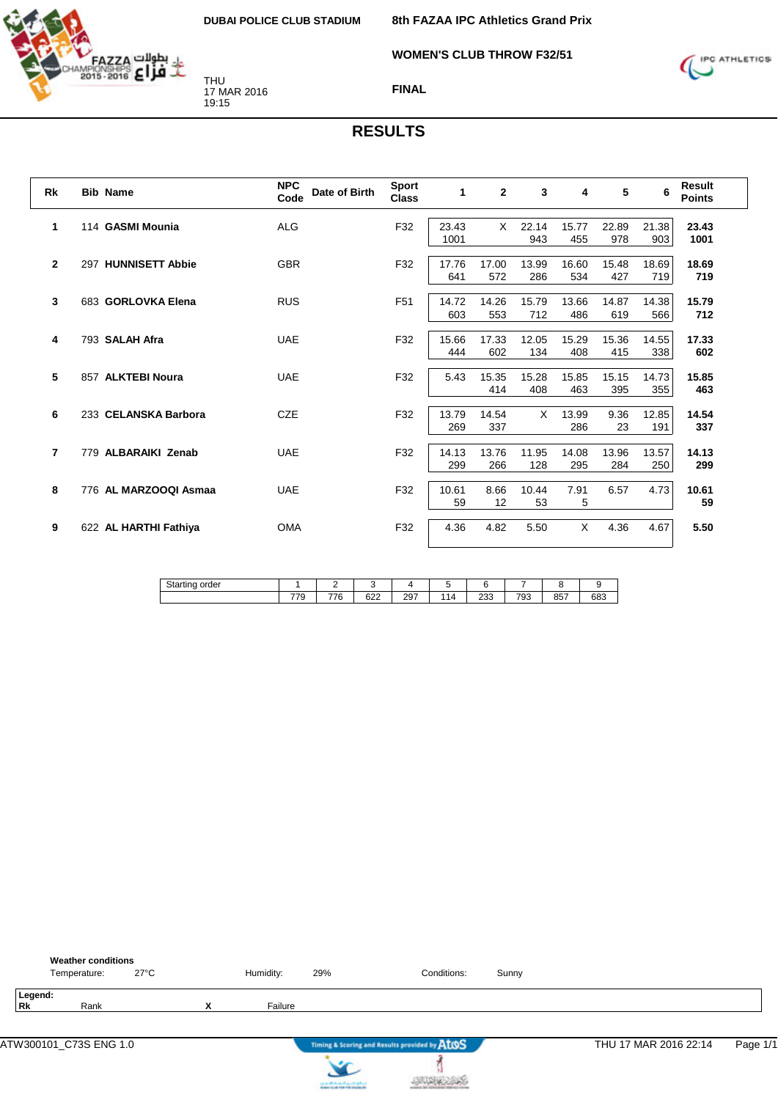

**WOMEN'S CLUB THROW F32/51**



**FINAL**

| <b>Rk</b>    | <b>Bib Name</b>       | <b>NPC</b><br>Date of Birth<br>Code | <b>Sport</b><br><b>Class</b> | 1             | $\overline{2}$ | 3            | $\overline{\mathbf{4}}$ | 5            | 6            | <b>Result</b><br><b>Points</b> |
|--------------|-----------------------|-------------------------------------|------------------------------|---------------|----------------|--------------|-------------------------|--------------|--------------|--------------------------------|
| 1            | 114 GASMI Mounia      | <b>ALG</b>                          | F32                          | 23.43<br>1001 | X              | 22.14<br>943 | 15.77<br>455            | 22.89<br>978 | 21.38<br>903 | 23.43<br>1001                  |
| $\mathbf{2}$ | 297 HUNNISETT Abbie   | <b>GBR</b>                          | F32                          | 17.76<br>641  | 17.00<br>572   | 13.99<br>286 | 16.60<br>534            | 15.48<br>427 | 18.69<br>719 | 18.69<br>719                   |
| 3            | 683 GORLOVKA Elena    | <b>RUS</b>                          | F <sub>51</sub>              | 14.72<br>603  | 14.26<br>553   | 15.79<br>712 | 13.66<br>486            | 14.87<br>619 | 14.38<br>566 | 15.79<br>712                   |
| 4            | 793 SALAH Afra        | <b>UAE</b>                          | F32                          | 15.66<br>444  | 17.33<br>602   | 12.05<br>134 | 15.29<br>408            | 15.36<br>415 | 14.55<br>338 | 17.33<br>602                   |
| 5            | 857 ALKTEBI Noura     | <b>UAE</b>                          | F32                          | 5.43          | 15.35<br>414   | 15.28<br>408 | 15.85<br>463            | 15.15<br>395 | 14.73<br>355 | 15.85<br>463                   |
| 6            | 233 CELANSKA Barbora  | <b>CZE</b>                          | F32                          | 13.79<br>269  | 14.54<br>337   | X            | 13.99<br>286            | 9.36<br>23   | 12.85<br>191 | 14.54<br>337                   |
| 7            | 779 ALBARAIKI Zenab   | <b>UAE</b>                          | F32                          | 14.13<br>299  | 13.76<br>266   | 11.95<br>128 | 14.08<br>295            | 13.96<br>284 | 13.57<br>250 | 14.13<br>299                   |
| 8            | 776 AL MARZOOQI Asmaa | <b>UAE</b>                          | F32                          | 10.61<br>59   | 8.66<br>12     | 10.44<br>53  | 7.91<br>5               | 6.57         | 4.73         | 10.61<br>59                    |
| 9            | 622 AL HARTHI Fathiya | <b>OMA</b>                          | F32                          | 4.36          | 4.82           | 5.50         | X                       | 4.36         | 4.67         | 5.50                           |

| $\sim$ $\sim$<br>OP.<br>rae.<br><b>Starting</b> |                               | -                             |               |     |    |            |     |            |     |
|-------------------------------------------------|-------------------------------|-------------------------------|---------------|-----|----|------------|-----|------------|-----|
|                                                 | $\overline{\phantom{a}}$<br>. | $\overline{ }$<br>$\sim$<br>u | $\sim$<br>○∠∠ | 297 | 14 | ດດດ<br>دد∠ | 793 | 0E7<br>oo, | 683 |

|                      | <b>Weather conditions</b><br>Temperature: | $27^{\circ}$ C |                | Humidity: | 29%                                    | Conditions:                                   | Sunny |                       |          |
|----------------------|-------------------------------------------|----------------|----------------|-----------|----------------------------------------|-----------------------------------------------|-------|-----------------------|----------|
| Legend:<br><b>Rk</b> | Rank                                      |                | v<br>$\lambda$ | Failure   |                                        |                                               |       |                       |          |
|                      |                                           |                |                |           |                                        | Timing & Scoring and Results provided by AtOS |       | THU 17 MAR 2016 22:14 | Page 1/1 |
|                      |                                           |                |                |           | can be affected and it genetic gradual |                                               |       |                       |          |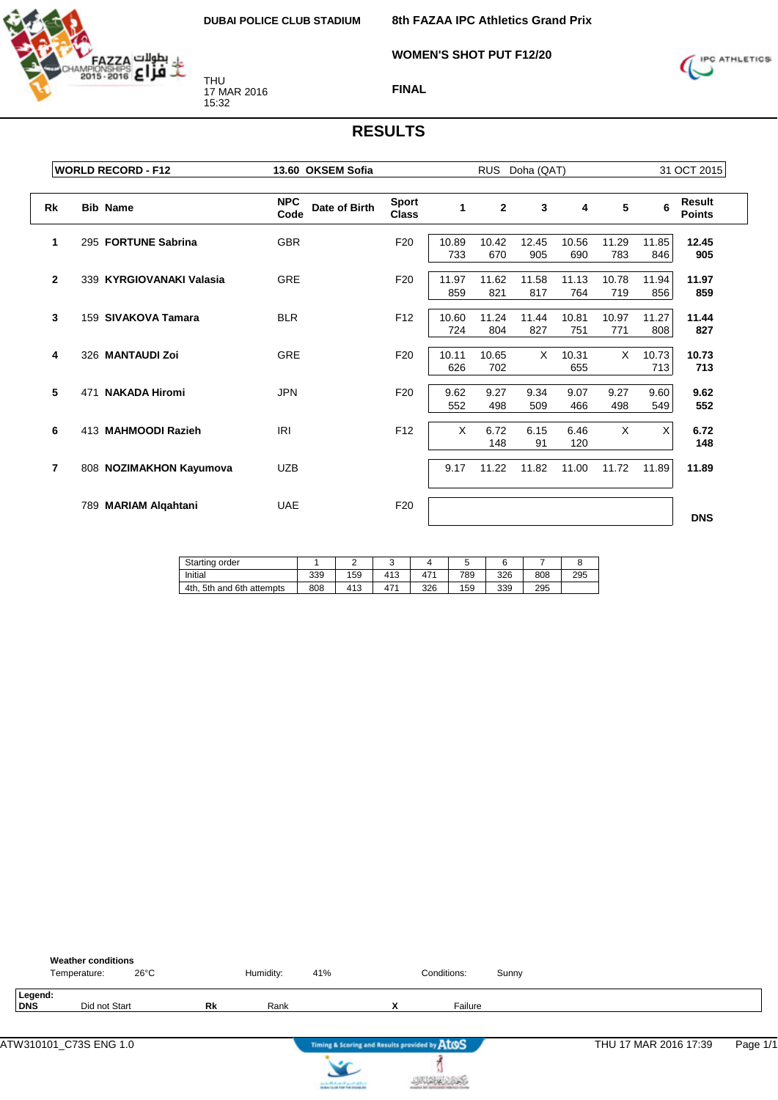

**WOMEN'S SHOT PUT F12/20**



#### **FINAL**

|                | <b>WORLD RECORD - F12</b>   | 13.60 OKSEM Sofia                   |                       | <b>RUS</b>   | Doha (QAT)     |              |              |              | 31 OCT 2015  |                         |
|----------------|-----------------------------|-------------------------------------|-----------------------|--------------|----------------|--------------|--------------|--------------|--------------|-------------------------|
| <b>Rk</b>      | <b>Bib Name</b>             | <b>NPC</b><br>Date of Birth<br>Code | Sport<br><b>Class</b> | 1            | $\overline{2}$ | 3            | 4            | 5            | 6            | Result<br><b>Points</b> |
| 1              | 295 FORTUNE Sabrina         | <b>GBR</b>                          | F <sub>20</sub>       | 10.89<br>733 | 10.42<br>670   | 12.45<br>905 | 10.56<br>690 | 11.29<br>783 | 11.85<br>846 | 12.45<br>905            |
| $\mathbf{2}$   | 339 KYRGIOVANAKI Valasia    | <b>GRE</b>                          | F <sub>20</sub>       | 11.97<br>859 | 11.62<br>821   | 11.58<br>817 | 11.13<br>764 | 10.78<br>719 | 11.94<br>856 | 11.97<br>859            |
| 3              | 159 SIVAKOVA Tamara         | <b>BLR</b>                          | F <sub>12</sub>       | 10.60<br>724 | 11.24<br>804   | 11.44<br>827 | 10.81<br>751 | 10.97<br>771 | 11.27<br>808 | 11.44<br>827            |
| 4              | 326 MANTAUDI Zoi            | GRE                                 | F <sub>20</sub>       | 10.11<br>626 | 10.65<br>702   | X            | 10.31<br>655 | X            | 10.73<br>713 | 10.73<br>713            |
| 5              | <b>NAKADA Hiromi</b><br>471 | <b>JPN</b>                          | F <sub>20</sub>       | 9.62<br>552  | 9.27<br>498    | 9.34<br>509  | 9.07<br>466  | 9.27<br>498  | 9.60<br>549  | 9.62<br>552             |
| 6              | 413 MAHMOODI Razieh         | <b>IRI</b>                          | F12                   | X            | 6.72<br>148    | 6.15<br>91   | 6.46<br>120  | X            | X            | 6.72<br>148             |
| $\overline{7}$ | 808 NOZIMAKHON Kayumova     | <b>UZB</b>                          |                       | 9.17         | 11.22          | 11.82        | 11.00        | 11.72        | 11.89        | 11.89                   |
|                | 789 MARIAM Algahtani        | <b>UAE</b>                          | F <sub>20</sub>       |              |                |              |              |              |              | <b>DNS</b>              |

| Starting order            |     |     |     |                 |     |     |     |     |
|---------------------------|-----|-----|-----|-----------------|-----|-----|-----|-----|
| Initial                   | 339 | 159 | 413 | 47 <sup>4</sup> | 789 | 326 | 808 | 295 |
| 4th. 5th and 6th attempts | 808 | 413 | 471 | 326             | 159 | 339 | 295 |     |

|                        | Temperature: | <b>Weather conditions</b> | $26^{\circ}$ C |    | Humidity: | 41%                                                                      |                             | Conditions:                                   | Sunny |                       |          |
|------------------------|--------------|---------------------------|----------------|----|-----------|--------------------------------------------------------------------------|-----------------------------|-----------------------------------------------|-------|-----------------------|----------|
| Legend:<br><b>DNS</b>  |              | Did not Start             |                | Rk | Rank      |                                                                          | $\mathbf v$<br>$\mathbf{v}$ | Failure                                       |       |                       |          |
| ATW310101_C73S ENG 1.0 |              |                           |                |    |           |                                                                          |                             | Timing & Scoring and Results provided by ALOS |       | THU 17 MAR 2016 17:39 | Page 1/1 |
|                        |              |                           |                |    |           | لسافق فتسي التبعيشا بالإسفين<br><b>In March 19, 1984 Ford Holiday, N</b> |                             |                                               |       |                       |          |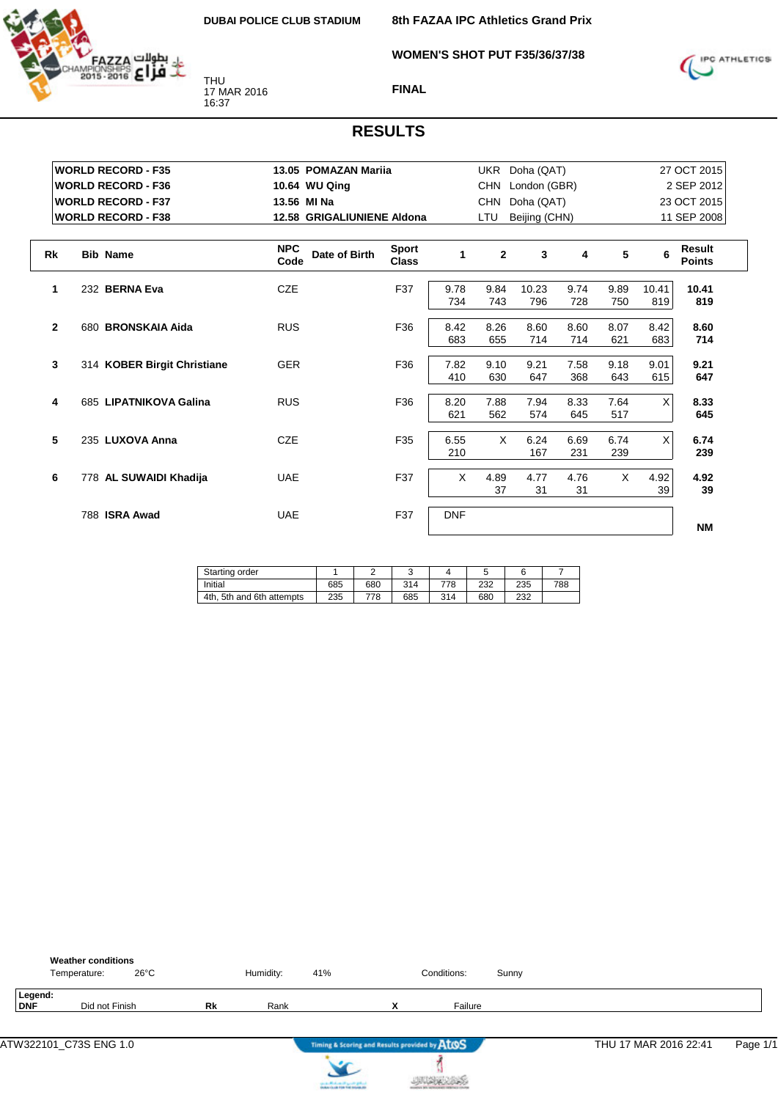

**8th FAZAA IPC Athletics Grand Prix**

**WOMEN'S SHOT PUT F35/36/37/38**



**FINAL**

|              | <b>WORLD RECORD - F35</b>   | 13.05 POMAZAN Marija       |                              |            |                | UKR Doha (QAT)   |      |          |          | 27 OCT 2015                    |
|--------------|-----------------------------|----------------------------|------------------------------|------------|----------------|------------------|------|----------|----------|--------------------------------|
|              | <b>WORLD RECORD - F36</b>   | 10.64 WU Qing              |                              |            |                | CHN London (GBR) |      |          |          | 2 SEP 2012                     |
|              | <b>WORLD RECORD - F37</b>   | 13.56 MI Na                |                              |            | <b>CHN</b>     | Doha (QAT)       |      |          |          | 23 OCT 2015                    |
|              | <b>WORLD RECORD - F38</b>   | 12.58 GRIGALIUNIENE Aldona |                              |            | <b>LTU</b>     | Beijing (CHN)    |      |          |          | 11 SEP 2008                    |
|              |                             | <b>NPC</b>                 |                              |            |                |                  |      |          |          |                                |
| <b>Rk</b>    | <b>Bib Name</b>             | Date of Birth<br>Code      | <b>Sport</b><br><b>Class</b> | 1          | $\overline{2}$ | 3                | 4    | 5        | 6        | <b>Result</b><br><b>Points</b> |
| 1            | 232 BERNA Eva               | <b>CZE</b>                 | F37                          | 9.78       | 9.84           | 10.23            | 9.74 | 9.89     | 10.41    | 10.41                          |
|              |                             |                            |                              | 734        | 743            | 796              | 728  | 750      | 819      | 819                            |
| $\mathbf{2}$ | 680 BRONSKAIA Aida          | <b>RUS</b>                 | F36                          | 8.42       | 8.26           | 8.60             | 8.60 | 8.07     | 8.42     | 8.60                           |
|              |                             |                            |                              | 683        | 655            | 714              | 714  | 621      | 683      | 714                            |
| $\mathbf{3}$ | 314 KOBER Birgit Christiane | <b>GER</b>                 | F36                          | 7.82       | 9.10           | 9.21             | 7.58 | 9.18     | 9.01     | 9.21                           |
|              |                             |                            |                              | 410        | 630            | 647              | 368  | 643      | 615      | 647                            |
| 4            | 685 LIPATNIKOVA Galina      | <b>RUS</b>                 | F36                          | 8.20       | 7.88           | 7.94             | 8.33 | 7.64     | $\times$ | 8.33                           |
|              |                             |                            |                              | 621        | 562            | 574              | 645  | 517      |          | 645                            |
| 5            | 235 LUXOVA Anna             | <b>CZE</b>                 | F35                          | 6.55       | X              | 6.24             | 6.69 | 6.74     | X        | 6.74                           |
|              |                             |                            |                              | 210        |                | 167              | 231  | 239      |          | 239                            |
| 6            | 778 AL SUWAIDI Khadija      | <b>UAE</b>                 | F37                          | X          | 4.89           | 4.77             | 4.76 | $\times$ | 4.92     | 4.92                           |
|              |                             |                            |                              |            | 37             | 31               | 31   |          | 39       | 39                             |
|              | 788 ISRA Awad               | <b>UAE</b>                 | F37                          | <b>DNF</b> |                |                  |      |          |          |                                |
|              |                             |                            |                              |            |                |                  |      |          |          | <b>NM</b>                      |

| Starting order               |     |     |     |     |     |     |     |
|------------------------------|-----|-----|-----|-----|-----|-----|-----|
| Initial                      | 685 | 680 | 314 | 778 | 232 | 235 | 788 |
| 4th.<br>5th and 6th attempts | 235 | 778 | 685 | 314 | 680 | 232 |     |

|                | <b>Weather conditions</b><br>$26^{\circ}$ C<br>Temperature: |           | Humidity: | 41% |                                               | Conditions: | Sunny |                       |          |
|----------------|-------------------------------------------------------------|-----------|-----------|-----|-----------------------------------------------|-------------|-------|-----------------------|----------|
| Legend:<br>DNF | Did not Finish                                              | <b>Rk</b> | Rank      |     | $\mathbf{v}$<br>^                             | Failure     |       |                       |          |
|                |                                                             |           |           |     | Timing & Scoring and Results provided by ATOS |             |       | THU 17 MAR 2016 22:41 | Page 1/1 |



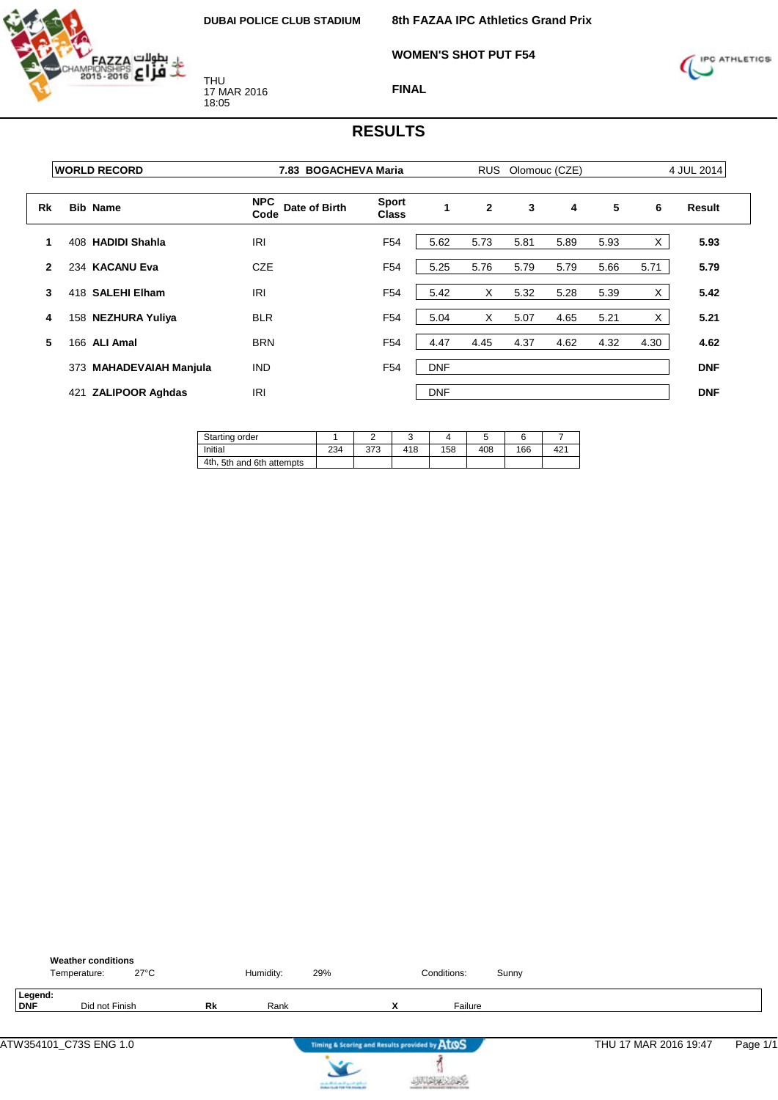

**WOMEN'S SHOT PUT F54**



**FINAL**

|              | <b>WORLD RECORD</b>           |                                     | 7.83 BOGACHEVA Maria         |            |                | <b>RUS</b><br>Olomouc (CZE) |      |      |      |            |
|--------------|-------------------------------|-------------------------------------|------------------------------|------------|----------------|-----------------------------|------|------|------|------------|
| Rk           | <b>Bib Name</b>               | <b>NPC</b><br>Date of Birth<br>Code | <b>Sport</b><br><b>Class</b> | 1          | $\overline{2}$ | 3                           | 4    | 5    | 6    | Result     |
| 1            | 408 HADIDI Shahla             | <b>IRI</b>                          | F <sub>54</sub>              | 5.62       | 5.73           | 5.81                        | 5.89 | 5.93 | X    | 5.93       |
| $\mathbf{2}$ | 234 KACANU Eva                | CZE                                 | F <sub>54</sub>              | 5.25       | 5.76           | 5.79                        | 5.79 | 5.66 | 5.71 | 5.79       |
| 3            | 418 SALEHI Elham              | <b>IRI</b>                          | F <sub>54</sub>              | 5.42       | X              | 5.32                        | 5.28 | 5.39 | X.   | 5.42       |
| 4            | 158 NEZHURA Yuliya            | <b>BLR</b>                          | F <sub>54</sub>              | 5.04       | X              | 5.07                        | 4.65 | 5.21 | X    | 5.21       |
| 5            | 166<br><b>ALI Amal</b>        | <b>BRN</b>                          | F <sub>54</sub>              | 4.47       | 4.45           | 4.37                        | 4.62 | 4.32 | 4.30 | 4.62       |
|              | 373 MAHADEVAIAH Manjula       | <b>IND</b>                          | F <sub>54</sub>              | <b>DNF</b> |                |                             |      |      |      | <b>DNF</b> |
|              | <b>ZALIPOOR Aghdas</b><br>421 | <b>IRI</b>                          |                              | <b>DNF</b> |                |                             |      |      |      | <b>DNF</b> |

| Starting order            |     |     |     |     |     |     |     |
|---------------------------|-----|-----|-----|-----|-----|-----|-----|
| Initial                   | 234 | 373 | 418 | 158 | 408 | 166 | 42' |
| 4th, 5th and 6th attempts |     |     |     |     |     |     |     |

|                       | <b>Weather conditions</b><br>Temperature: | $27^{\circ}$ C |    | Humidity: | 29%                                           |   | Conditions: | Sunny |                       |          |
|-----------------------|-------------------------------------------|----------------|----|-----------|-----------------------------------------------|---|-------------|-------|-----------------------|----------|
| Legend:<br><b>DNF</b> | Did not Finish                            |                | Rk | Rank      |                                               | x | Failure     |       |                       |          |
|                       | ATW354101_C73S ENG 1.0                    |                |    |           | Timing & Scoring and Results provided by AtOS |   |             |       | THU 17 MAR 2016 19:47 | Page 1/1 |
|                       |                                           |                |    |           | cards Michael High-Original                   |   |             |       |                       |          |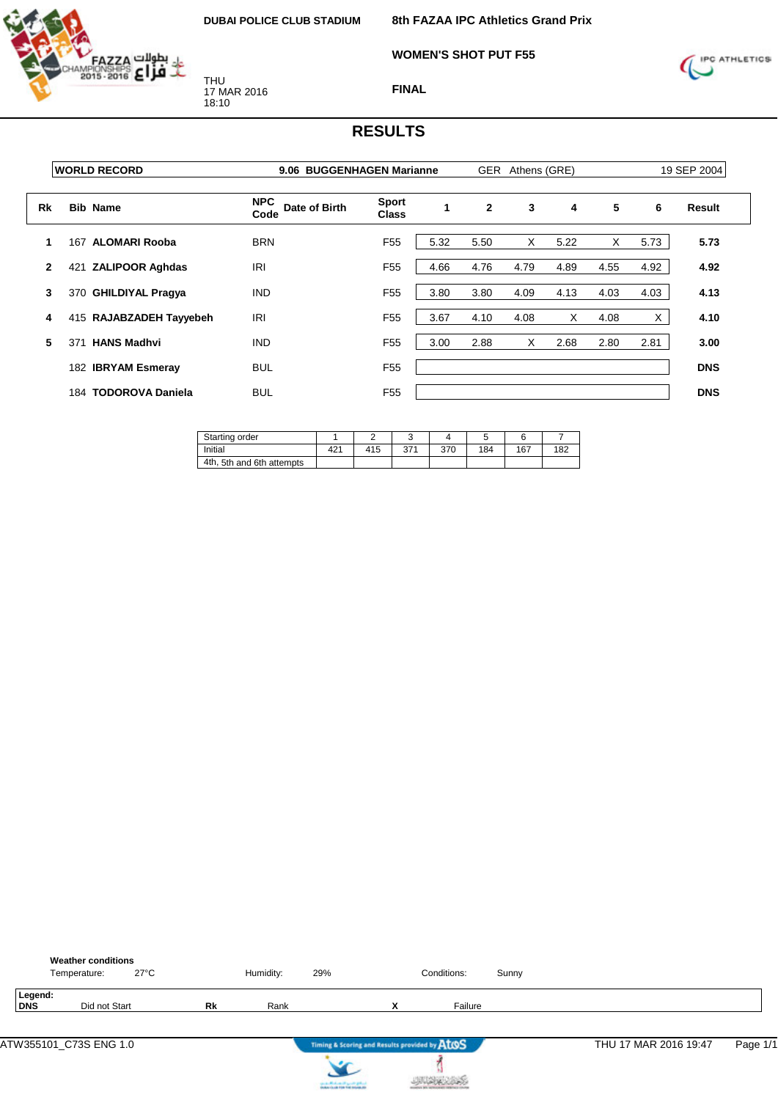

**8th FAZAA IPC Athletics Grand Prix**

**WOMEN'S SHOT PUT F55**



**FINAL**

|              | <b>WORLD RECORD</b>            | 9.06 BUGGENHAGEN Marianne           |                              |      |              | GER Athens (GRE) |      |      |      | 19 SEP 2004 |
|--------------|--------------------------------|-------------------------------------|------------------------------|------|--------------|------------------|------|------|------|-------------|
| Rk           | <b>Bib Name</b>                | <b>NPC</b><br>Date of Birth<br>Code | <b>Sport</b><br><b>Class</b> | 1    | $\mathbf{2}$ | 3                | 4    | 5    | 6    | Result      |
| 1            | <b>ALOMARI Rooba</b><br>167    | <b>BRN</b>                          | F <sub>55</sub>              | 5.32 | 5.50         | X                | 5.22 | X    | 5.73 | 5.73        |
| $\mathbf{2}$ | <b>ZALIPOOR Aghdas</b><br>421  | <b>IRI</b>                          | F <sub>55</sub>              | 4.66 | 4.76         | 4.79             | 4.89 | 4.55 | 4.92 | 4.92        |
| 3            | 370 GHILDIYAL Pragya           | <b>IND</b>                          | F <sub>55</sub>              | 3.80 | 3.80         | 4.09             | 4.13 | 4.03 | 4.03 | 4.13        |
| 4            | 415 RAJABZADEH Tayyebeh        | IRI                                 | F <sub>55</sub>              | 3.67 | 4.10         | 4.08             | X    | 4.08 | Χ    | 4.10        |
| 5            | <b>HANS Madhvi</b><br>371      | <b>IND</b>                          | F <sub>55</sub>              | 3.00 | 2.88         | X                | 2.68 | 2.80 | 2.81 | 3.00        |
|              | 182 IBRYAM Esmeray             | <b>BUL</b>                          | F <sub>55</sub>              |      |              |                  |      |      |      | <b>DNS</b>  |
|              | <b>TODOROVA Daniela</b><br>184 | <b>BUL</b>                          | F <sub>55</sub>              |      |              |                  |      |      |      | <b>DNS</b>  |

| Starting order            |     |     |                |     |     |     |     |
|---------------------------|-----|-----|----------------|-----|-----|-----|-----|
| Initial                   | 421 | 415 | 271<br>. ، ادب | 370 | 184 | 167 | 182 |
| 4th, 5th and 6th attempts |     |     |                |     |     |     |     |

|                       | <b>Weather conditions</b><br>Temperature: | $27^{\circ}$ C |    | Humidity: | 29%                                           |   | Conditions: | Sunny |                       |          |
|-----------------------|-------------------------------------------|----------------|----|-----------|-----------------------------------------------|---|-------------|-------|-----------------------|----------|
| Legend:<br><b>DNS</b> | Did not Start                             |                | Rk | Rank      |                                               | x | Failure     |       |                       |          |
|                       | ATW355101_C73S ENG 1.0                    |                |    |           | Timing & Scoring and Results provided by AtOS |   |             |       | THU 17 MAR 2016 19:47 | Page 1/1 |
|                       |                                           |                |    |           | cards Michael High-Original                   |   |             |       |                       |          |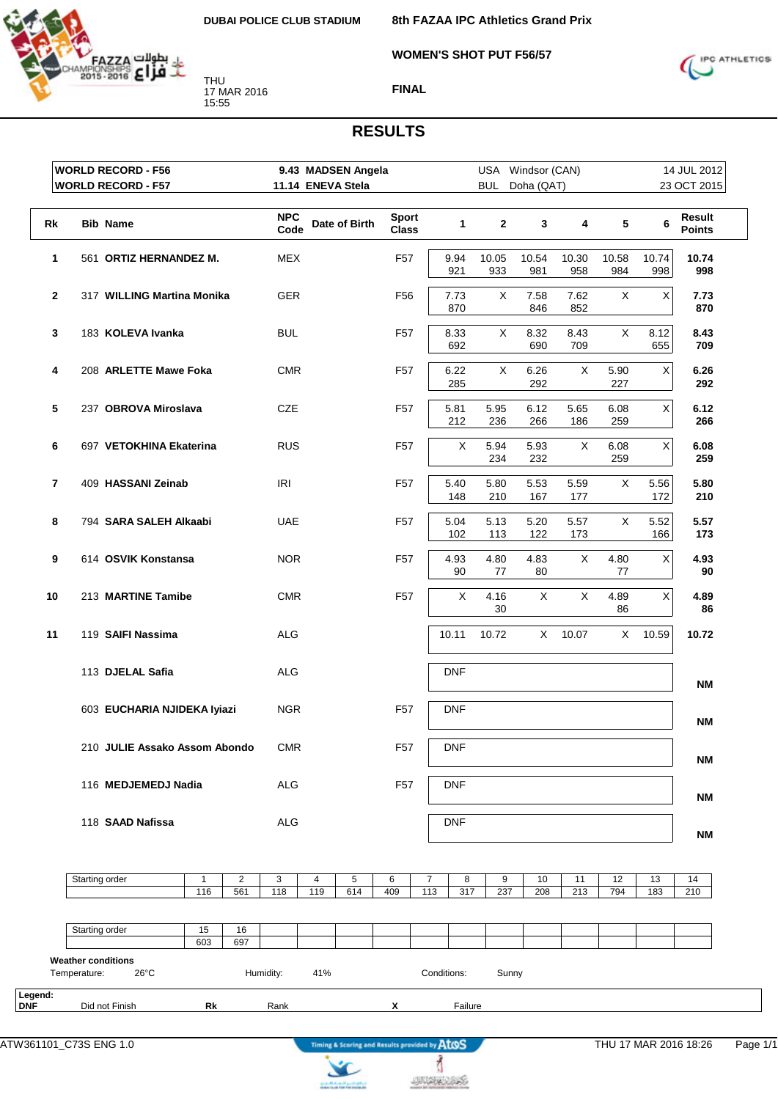

**8th FAZAA IPC Athletics Grand Prix**

**WOMEN'S SHOT PUT F56/57**



**FINAL**

### **RESULTS**

|                | <b>WORLD RECORD - F56</b>                | 9.43 MADSEN Angela |                   |                              |                | USA Windsor (CAN) |                |              |              |              | 14 JUL 2012             |
|----------------|------------------------------------------|--------------------|-------------------|------------------------------|----------------|-------------------|----------------|--------------|--------------|--------------|-------------------------|
|                | <b>WORLD RECORD - F57</b>                |                    | 11.14 ENEVA Stela |                              |                |                   | BUL Doha (QAT) |              |              |              | 23 OCT 2015             |
| Rk             | <b>Bib Name</b>                          | <b>NPC</b><br>Code | Date of Birth     | <b>Sport</b><br><b>Class</b> | $\mathbf{1}$   | $\overline{2}$    | $\mathbf{3}$   | 4            | 5            | 6            | Result<br><b>Points</b> |
| 1              | 561 ORTIZ HERNANDEZ M.                   | <b>MEX</b>         |                   | F <sub>57</sub>              | 9.94<br>921    | 10.05<br>933      | 10.54<br>981   | 10.30<br>958 | 10.58<br>984 | 10.74<br>998 | 10.74<br>998            |
| $\mathbf{2}$   | 317 WILLING Martina Monika               | GER                |                   | F56                          | 7.73<br>870    | X                 | 7.58<br>846    | 7.62<br>852  | X            | $\mathsf X$  | 7.73<br>870             |
| 3              | 183 KOLEVA Ivanka                        | BUL                |                   | F57                          | 8.33<br>692    | X                 | 8.32<br>690    | 8.43<br>709  | $\mathsf X$  | 8.12<br>655  | 8.43<br>709             |
| 4              | 208 ARLETTE Mawe Foka                    | <b>CMR</b>         |                   | F <sub>57</sub>              | 6.22<br>285    | X                 | 6.26<br>292    | X            | 5.90<br>227  | $\mathsf X$  | 6.26<br>292             |
| 5              | 237 OBROVA Miroslava                     | <b>CZE</b>         |                   | F <sub>57</sub>              | 5.81<br>212    | 5.95<br>236       | 6.12<br>266    | 5.65<br>186  | 6.08<br>259  | $\mathsf X$  | 6.12<br>266             |
| 6              | 697 VETOKHINA Ekaterina                  | <b>RUS</b>         |                   | F <sub>57</sub>              | X              | 5.94<br>234       | 5.93<br>232    | X            | 6.08<br>259  | X            | 6.08<br>259             |
| $\overline{7}$ | 409 HASSANI Zeinab                       | IRI                |                   | F <sub>57</sub>              | 5.40<br>148    | 5.80<br>210       | 5.53<br>167    | 5.59<br>177  | X            | 5.56<br>172  | 5.80<br>210             |
| 8              | 794 SARA SALEH Alkaabi                   | <b>UAE</b>         |                   | F57                          | 5.04<br>102    | 5.13<br>113       | 5.20<br>122    | 5.57<br>173  | X            | 5.52<br>166  | 5.57<br>173             |
| 9              | 614 OSVIK Konstansa                      | <b>NOR</b>         |                   | F <sub>57</sub>              | 4.93<br>90     | 4.80<br>77        | 4.83<br>80     | X            | 4.80<br>77   | $\mathsf X$  | 4.93<br>90              |
| 10             | 213 MARTINE Tamibe                       | <b>CMR</b>         |                   | F <sub>57</sub>              | X              | 4.16<br>30        | X              | X            | 4.89<br>86   | $\mathsf X$  | 4.89<br>86              |
| 11             | 119 SAIFI Nassima                        | <b>ALG</b>         |                   |                              | 10.11          | 10.72             | $X -$          | 10.07        | X            | 10.59        | 10.72                   |
|                | 113 DJELAL Safia                         | <b>ALG</b>         |                   |                              | <b>DNF</b>     |                   |                |              |              |              | <b>NM</b>               |
|                | 603 EUCHARIA NJIDEKA Iyiazi              | <b>NGR</b>         |                   | F <sub>57</sub>              | <b>DNF</b>     |                   |                |              |              |              | <b>NM</b>               |
|                | 210 JULIE Assako Assom Abondo            | CMR                |                   | F57                          | $\mathsf{DNF}$ |                   |                |              |              |              | <b>NM</b>               |
|                | 116 MEDJEMEDJ Nadia                      | ALG                |                   | F <sub>57</sub>              | <b>DNF</b>     |                   |                |              |              |              | <b>NM</b>               |
|                | 118 SAAD Nafissa                         | ALG                |                   |                              | <b>DNF</b>     |                   |                |              |              |              | NΜ                      |
|                | Starting order<br>$\overline{c}$<br>1    | 3<br>4             | 5                 | 6                            | 7<br>8         | 9                 | 10             | 11           | 12           | 13           | 14                      |
|                | 561<br>116                               | 118<br>119         | 614               | 409                          | 113<br>317     | 237               | 208            | 213          | 794          | 183          | 210                     |
|                | Starting order<br>15<br>16<br>603<br>697 |                    |                   |                              |                |                   |                |              |              |              |                         |

Temperature: 26°C Humidity: 41% Conditions: Sunny **Legend: Did not Finish <b>Rk** Rank **X Failure** 

ł

**JUDICIAS** 

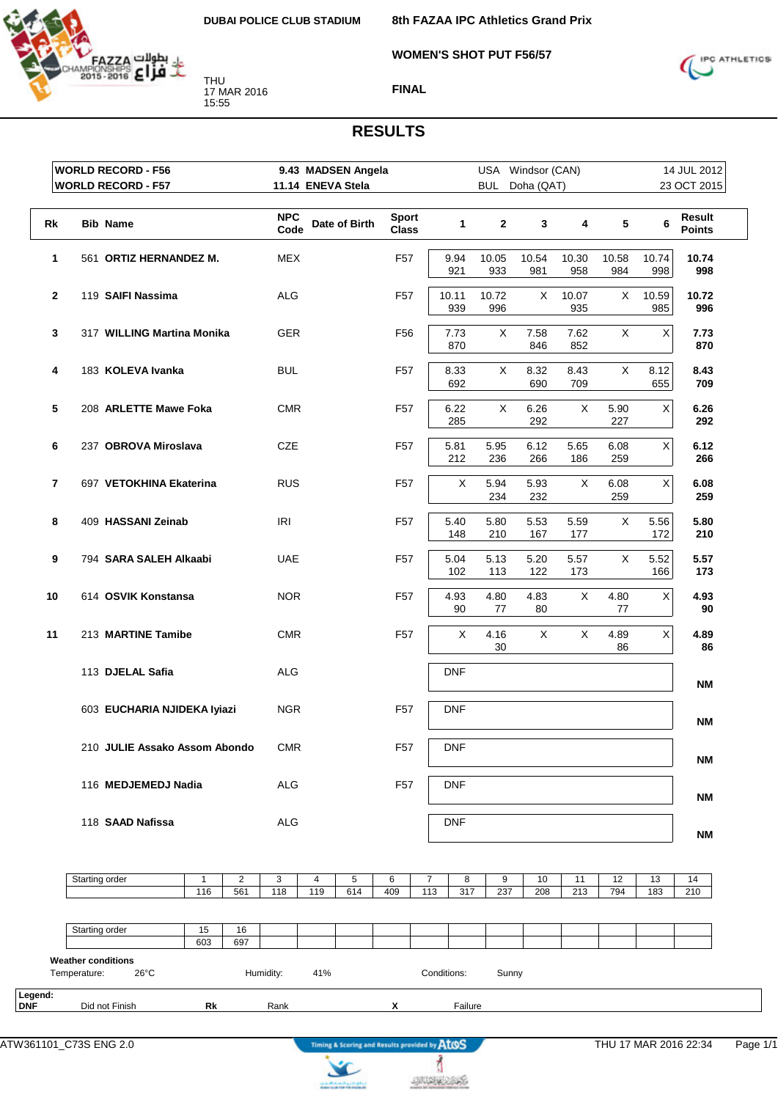

**8th FAZAA IPC Athletics Grand Prix**

**WOMEN'S SHOT PUT F56/57**



**FINAL**

|              | <b>WORLD RECORD - F56</b>     |           |                      | 9.43 MADSEN Angela<br>11.14 ENEVA Stela |     |               |                              |            |              |              | USA Windsor (CAN) |              |              |              | 14 JUL 2012             |
|--------------|-------------------------------|-----------|----------------------|-----------------------------------------|-----|---------------|------------------------------|------------|--------------|--------------|-------------------|--------------|--------------|--------------|-------------------------|
|              | <b>WORLD RECORD - F57</b>     |           |                      |                                         |     |               |                              |            |              |              | BUL Doha (QAT)    |              |              |              | 23 OCT 2015             |
| Rk           | <b>Bib Name</b>               |           |                      | <b>NPC</b><br>Code                      |     | Date of Birth | <b>Sport</b><br><b>Class</b> |            | $\mathbf{1}$ | $\mathbf{2}$ | 3                 | 4            | $\sqrt{5}$   | 6            | Result<br><b>Points</b> |
| 1            | 561 ORTIZ HERNANDEZ M.        |           |                      | <b>MEX</b>                              |     |               | F <sub>57</sub>              |            | 9.94<br>921  | 10.05<br>933 | 10.54<br>981      | 10.30<br>958 | 10.58<br>984 | 10.74<br>998 | 10.74<br>998            |
| $\mathbf{2}$ | 119 SAIFI Nassima             |           |                      | <b>ALG</b>                              |     |               | F57                          | 10.11      | 939          | 10.72<br>996 | X.                | 10.07<br>935 | X            | 10.59<br>985 | 10.72<br>996            |
| 3            | 317 WILLING Martina Monika    |           |                      | <b>GER</b>                              |     |               | F <sub>56</sub>              |            | 7.73<br>870  | X            | 7.58<br>846       | 7.62<br>852  | X            | Χ            | 7.73<br>870             |
| 4            | 183 KOLEVA Ivanka             |           |                      | <b>BUL</b>                              |     |               | F57                          |            | 8.33<br>692  | X            | 8.32<br>690       | 8.43<br>709  | X            | 8.12<br>655  | 8.43<br>709             |
| 5            | 208 ARLETTE Mawe Foka         |           |                      | <b>CMR</b>                              |     |               | F <sub>57</sub>              |            | 6.22<br>285  | X            | 6.26<br>292       | X            | 5.90<br>227  | Χ            | 6.26<br>292             |
| 6            | 237 OBROVA Miroslava          |           |                      | CZE                                     |     |               | F <sub>57</sub>              |            | 5.81<br>212  | 5.95<br>236  | 6.12<br>266       | 5.65<br>186  | 6.08<br>259  | $\mathsf X$  | 6.12<br>266             |
| 7            | 697 VETOKHINA Ekaterina       |           |                      | <b>RUS</b>                              |     |               | F57                          |            | Χ            | 5.94<br>234  | 5.93<br>232       | X            | 6.08<br>259  | Χ            | 6.08<br>259             |
| 8            | 409 HASSANI Zeinab            |           |                      | IRI                                     |     |               | F <sub>57</sub>              |            | 5.40<br>148  | 5.80<br>210  | 5.53<br>167       | 5.59<br>177  | X            | 5.56<br>172  | 5.80<br>210             |
| 9            | 794 SARA SALEH Alkaabi        |           |                      | <b>UAE</b>                              |     |               | F57                          |            | 5.04<br>102  | 5.13<br>113  | 5.20<br>122       | 5.57<br>173  | X            | 5.52<br>166  | 5.57<br>173             |
| 10           | 614 OSVIK Konstansa           |           |                      | <b>NOR</b>                              |     |               | F <sub>57</sub>              |            | 4.93<br>90   | 4.80<br>77   | 4.83<br>80        | X            | 4.80<br>77   | Χ            | 4.93<br>90              |
| 11           | 213 MARTINE Tamibe            |           |                      | <b>CMR</b>                              |     |               | F <sub>57</sub>              |            | X            | 4.16<br>30   | X                 | X            | 4.89<br>86   | Χ            | 4.89<br>86              |
|              | 113 DJELAL Safia              |           |                      | <b>ALG</b>                              |     |               |                              |            | <b>DNF</b>   |              |                   |              |              |              | <b>NM</b>               |
|              | 603 EUCHARIA NJIDEKA Iyiazi   |           |                      | <b>NGR</b>                              |     |               | F <sub>57</sub>              |            | <b>DNF</b>   |              |                   |              |              |              | <b>NM</b>               |
|              | 210 JULIE Assako Assom Abondo |           |                      | CMR                                     |     |               | F57                          | <b>DNF</b> |              |              |                   |              |              |              | <b>NM</b>               |
|              | 116 MEDJEMEDJ Nadia           |           |                      | ALG                                     |     |               | F <sub>57</sub>              |            | <b>DNF</b>   |              |                   |              |              |              | ΝM                      |
|              | 118 SAAD Nafissa              |           |                      | <b>ALG</b>                              |     |               |                              |            | <b>DNF</b>   |              |                   |              |              |              | <b>NM</b>               |
|              | Starting order                | 1         | $\overline{c}$       | 3                                       | 4   | 5             | 6                            | 7          | 8            | 9            | 10                | 11           | 12           | 13           | 14                      |
|              |                               | 116       | 561                  | 118                                     | 119 | 614           | 409                          | 113        | 317          | 237          | 208               | 213          | 794          | 183          | 210                     |
|              |                               |           |                      |                                         |     |               |                              |            |              |              |                   |              |              |              |                         |
|              | Starting order                | 15<br>cos | 16<br>0 <sup>2</sup> |                                         |     |               |                              |            |              |              |                   |              |              |              |                         |

|                |                           |                | 603 | 697 |           |     |  |             |         |       |  |  |  |
|----------------|---------------------------|----------------|-----|-----|-----------|-----|--|-------------|---------|-------|--|--|--|
|                | <b>Weather conditions</b> |                |     |     |           |     |  |             |         |       |  |  |  |
|                | Temperature:              | $26^{\circ}$ C |     |     | Humidity: | 41% |  | Conditions: |         | Sunny |  |  |  |
|                |                           |                |     |     |           |     |  |             |         |       |  |  |  |
| Legend:<br>DNF |                           |                |     |     |           |     |  |             |         |       |  |  |  |
|                | Did not Finish            |                | Rk  |     | Rank      |     |  |             | Failure |       |  |  |  |



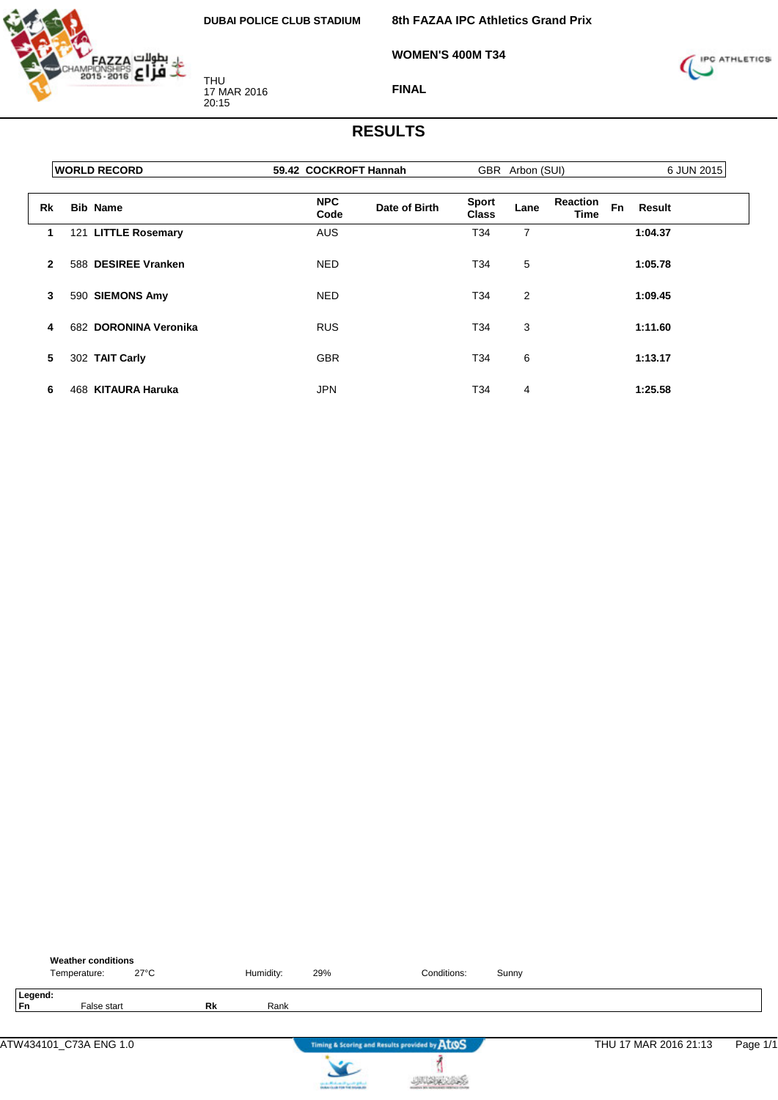

THU 17 MAR 2016 20:15

**8th FAZAA IPC Athletics Grand Prix**

**WOMEN'S 400M T34**



**FINAL**

|              | <b>WORLD RECORD</b>   | 59.42 COCKROFT Hannah |               | GBR Arbon (SUI)              |      |                         |           | 6 JUN 2015 |  |  |
|--------------|-----------------------|-----------------------|---------------|------------------------------|------|-------------------------|-----------|------------|--|--|
| Rk           | <b>Bib Name</b>       | <b>NPC</b><br>Code    | Date of Birth | <b>Sport</b><br><b>Class</b> | Lane | <b>Reaction</b><br>Time | <b>Fn</b> | Result     |  |  |
| 1            | 121 LITTLE Rosemary   | <b>AUS</b>            |               | T34                          | 7    |                         |           | 1:04.37    |  |  |
| $\mathbf{2}$ | 588 DESIREE Vranken   | <b>NED</b>            |               | T34                          | 5    |                         |           | 1:05.78    |  |  |
| 3            | 590 SIEMONS Amy       | <b>NED</b>            |               | T34                          | 2    |                         |           | 1:09.45    |  |  |
| 4            | 682 DORONINA Veronika | <b>RUS</b>            |               | T34                          | 3    |                         |           | 1:11.60    |  |  |
| 5            | 302 TAIT Carly        | <b>GBR</b>            |               | T34                          | 6    |                         |           | 1:13.17    |  |  |
| 6            | 468 KITAURA Haruka    | <b>JPN</b>            |               | T34                          | 4    |                         |           | 1:25.58    |  |  |

|                      | <b>Weather conditions</b><br>Temperature: | $27^{\circ}$ C |    | Humidity: | 29%                                                                                     | Conditions:                                   | Sunny |                       |          |
|----------------------|-------------------------------------------|----------------|----|-----------|-----------------------------------------------------------------------------------------|-----------------------------------------------|-------|-----------------------|----------|
| Legend:<br><b>Fn</b> | False start                               |                | Rk | Rank      |                                                                                         |                                               |       |                       |          |
|                      | ATW434101 C73A ENG 1.0                    |                |    |           |                                                                                         | Timing & Scoring and Results provided by AtOS |       | THU 17 MAR 2016 21:13 | Page 1/1 |
|                      |                                           |                |    |           | counter Mindsons of April 20 (professional)<br>Analysis for all 1996 find materials and |                                               |       |                       |          |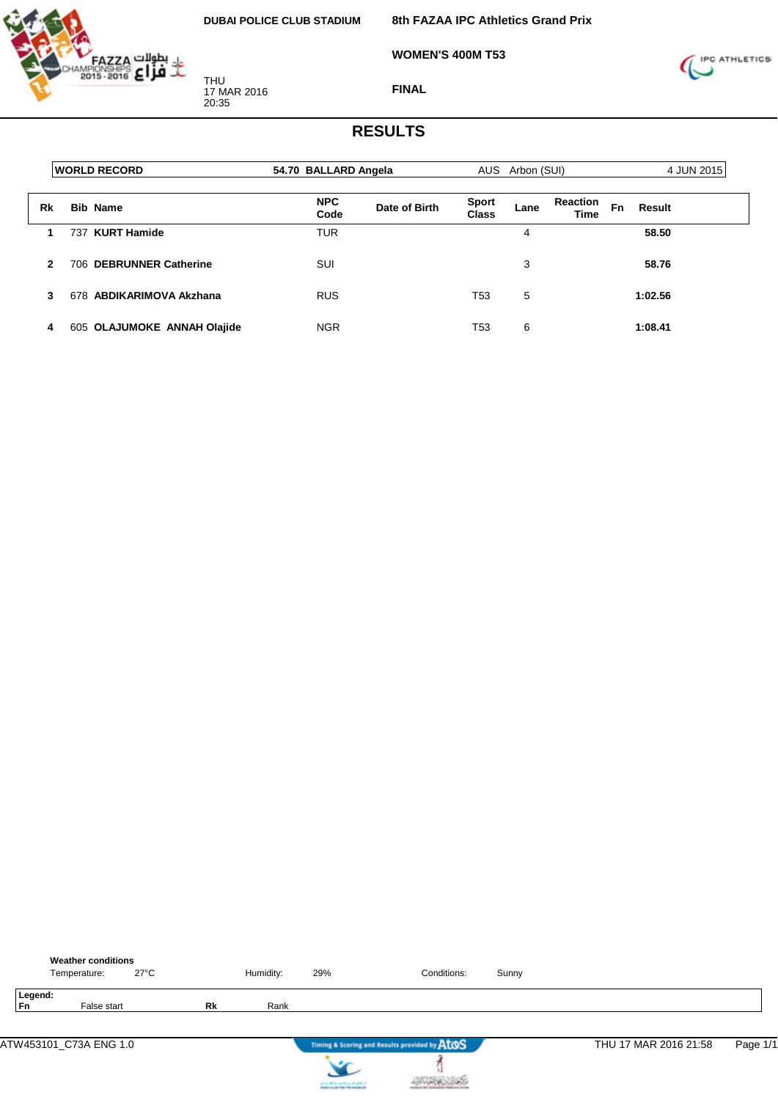**8th FAZAA IPC Athletics Grand Prix**

**WOMEN'S 400M T53**



THU 17 MAR 2016 20:35

**FINAL**

|    | <b>WORLD RECORD</b>         | 54.70 BALLARD Angela |               | AUS Arbon (SUI)       |      |                         |    | 4 JUN 2015 |  |
|----|-----------------------------|----------------------|---------------|-----------------------|------|-------------------------|----|------------|--|
| Rk | <b>Bib Name</b>             | <b>NPC</b><br>Code   | Date of Birth | <b>Sport</b><br>Class | Lane | <b>Reaction</b><br>Time | Fn | Result     |  |
|    | 737 KURT Hamide             | <b>TUR</b>           |               |                       | 4    |                         |    | 58.50      |  |
| 2  | 706 DEBRUNNER Catherine     | SUI                  |               |                       | 3    |                         |    | 58.76      |  |
| 3  | 678 ABDIKARIMOVA Akzhana    | <b>RUS</b>           |               | T <sub>53</sub>       | 5    |                         |    | 1:02.56    |  |
| 4  | 605 OLAJUMOKE ANNAH Olajide | <b>NGR</b>           |               | T53                   | 6    |                         |    | 1:08.41    |  |

|                      | <b>Weather conditions</b><br>Temperature: | $27^{\circ}$ C |    | Humidity: | 29%                              | Conditions:                                   | Sunny |                       |          |
|----------------------|-------------------------------------------|----------------|----|-----------|----------------------------------|-----------------------------------------------|-------|-----------------------|----------|
| Legend:<br><b>Fn</b> | False start                               |                | Rk | Rank      |                                  |                                               |       |                       |          |
|                      | ATW453101_C73A ENG 1.0                    |                |    |           |                                  | Timing & Scoring and Results provided by AtOS |       | THU 17 MAR 2016 21:58 | Page 1/1 |
|                      |                                           |                |    |           | can a chick on the good gallery. |                                               |       |                       |          |

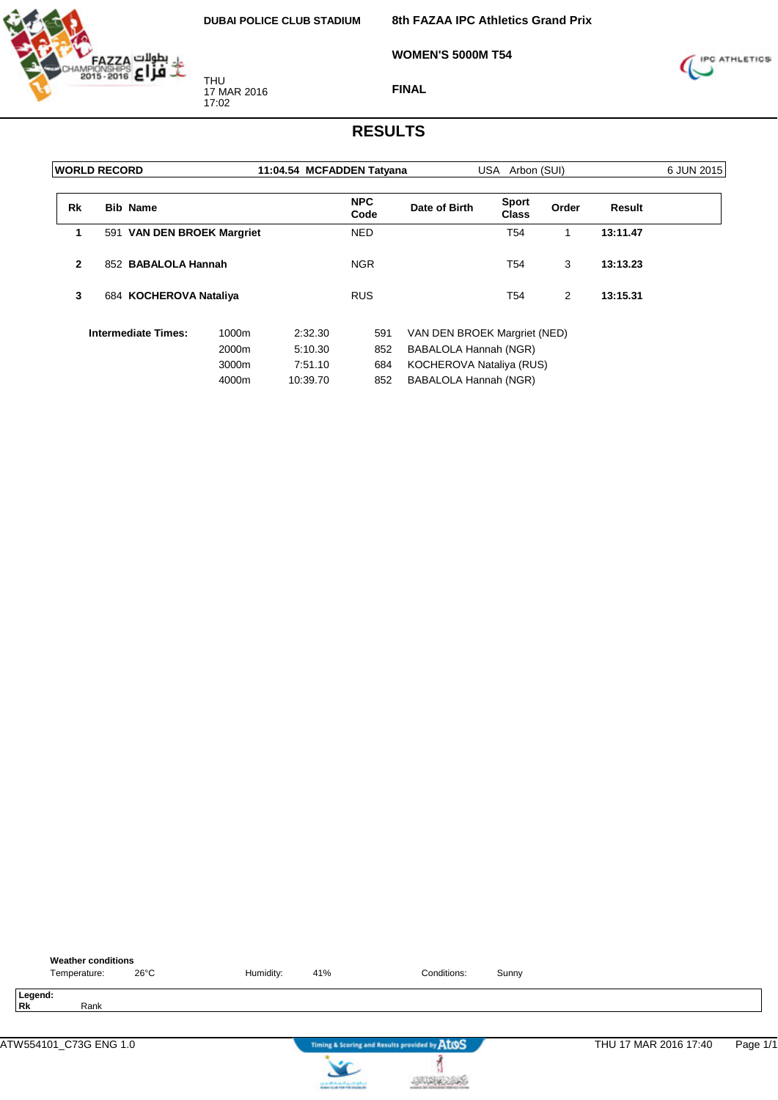

**8th FAZAA IPC Athletics Grand Prix**

**WOMEN'S 5000M T54**



**FINAL**

|                | <b>WORLD RECORD</b> |                            |       |          | 11:04.54 MCFADDEN Tatyana |                              | USA Arbon (SUI)              |       |          | 6 JUN 2015 |
|----------------|---------------------|----------------------------|-------|----------|---------------------------|------------------------------|------------------------------|-------|----------|------------|
| Rk             | <b>Bib Name</b>     |                            |       |          | <b>NPC</b><br>Code        | Date of Birth                | <b>Sport</b><br><b>Class</b> | Order | Result   |            |
| 1              |                     | 591 VAN DEN BROEK Margriet |       |          | <b>NED</b>                |                              | T54                          | 1     | 13:11.47 |            |
| $\overline{2}$ |                     | 852 BABALOLA Hannah        |       |          | <b>NGR</b>                |                              | T54                          | 3     | 13:13.23 |            |
| 3              |                     | 684 KOCHEROVA Nataliya     |       |          | <b>RUS</b>                |                              | T54                          | 2     | 13:15.31 |            |
|                |                     | <b>Intermediate Times:</b> | 1000m | 2:32.30  | 591                       | VAN DEN BROEK Margriet (NED) |                              |       |          |            |
|                |                     |                            | 2000m | 5:10.30  | 852                       | BABALOLA Hannah (NGR)        |                              |       |          |            |
|                |                     |                            | 3000m | 7:51.10  | 684                       | KOCHEROVA Nataliya (RUS)     |                              |       |          |            |
|                |                     |                            | 4000m | 10:39.70 | 852                       | BABALOLA Hannah (NGR)        |                              |       |          |            |

|           | <b>Weather conditions</b> |                |           |     |                                               |       |                       |          |
|-----------|---------------------------|----------------|-----------|-----|-----------------------------------------------|-------|-----------------------|----------|
|           | Temperature:              | $26^{\circ}$ C | Humidity: | 41% | Conditions:                                   | Sunny |                       |          |
| <b>Rk</b> | Legend:<br>Rank           |                |           |     |                                               |       |                       |          |
|           | ATW554101 C73G ENG 1.0    |                |           |     | Timing & Scoring and Results provided by AtOS |       | THU 17 MAR 2016 17:40 | Page 1/1 |



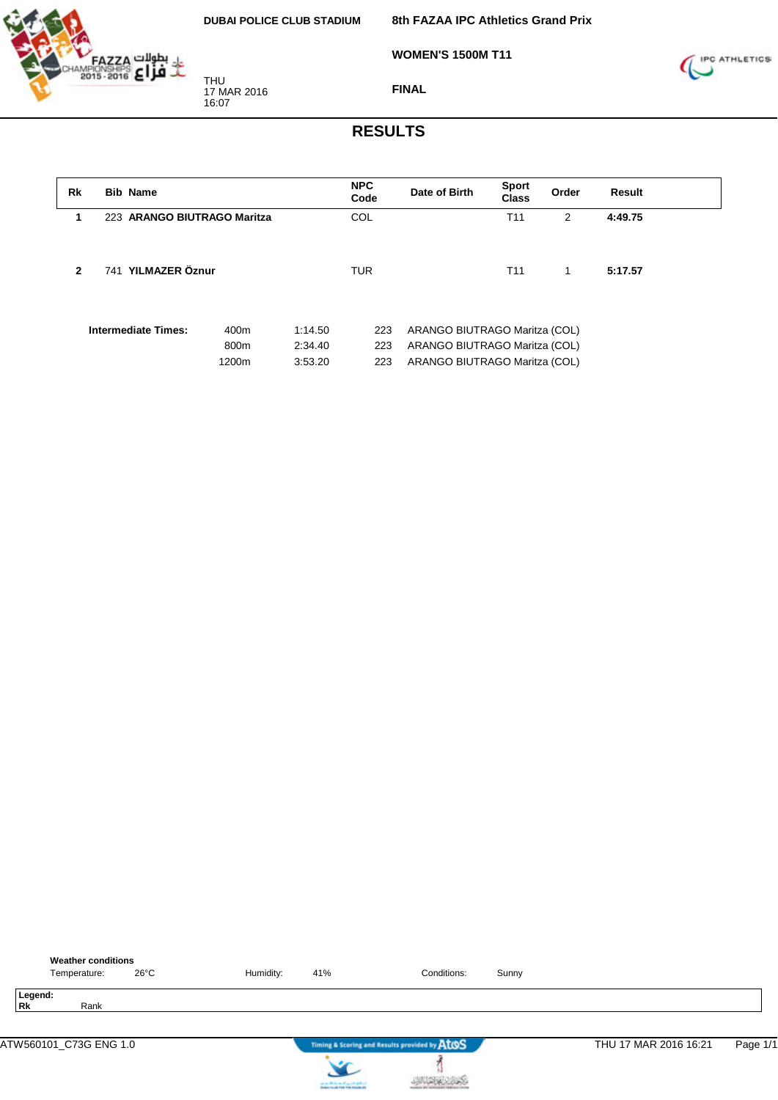

**WOMEN'S 1500M T11**



**FINAL**

| Rk           | <b>Bib Name</b>             |                       |                               | <b>NPC</b><br>Code | Date of Birth                                                                                   | <b>Sport</b><br><b>Class</b> | Order          | <b>Result</b> |
|--------------|-----------------------------|-----------------------|-------------------------------|--------------------|-------------------------------------------------------------------------------------------------|------------------------------|----------------|---------------|
| 1            | 223 ARANGO BIUTRAGO Maritza |                       |                               | <b>COL</b>         |                                                                                                 | T <sub>11</sub>              | $\overline{2}$ | 4:49.75       |
| $\mathbf{2}$ | 741 YILMAZER Öznur          |                       |                               | <b>TUR</b>         |                                                                                                 | T <sub>11</sub>              | 1              | 5:17.57       |
|              | <b>Intermediate Times:</b>  | 400m<br>800m<br>1200m | 1:14.50<br>2:34.40<br>3:53.20 | 223<br>223<br>223  | ARANGO BIUTRAGO Maritza (COL)<br>ARANGO BIUTRAGO Maritza (COL)<br>ARANGO BIUTRAGO Maritza (COL) |                              |                |               |

| <b>Weather conditions</b><br>$26^{\circ}$ C<br>Temperature: | Humidity: | 41% | Conditions:                                   | Sunny |                       |          |
|-------------------------------------------------------------|-----------|-----|-----------------------------------------------|-------|-----------------------|----------|
| Legend:<br>Rk<br>Rank                                       |           |     |                                               |       |                       |          |
| ATW560101 C73G ENG 1.0                                      |           |     | Timing & Scoring and Results provided by ATOS |       | THU 17 MAR 2016 16:21 | Page 1/1 |

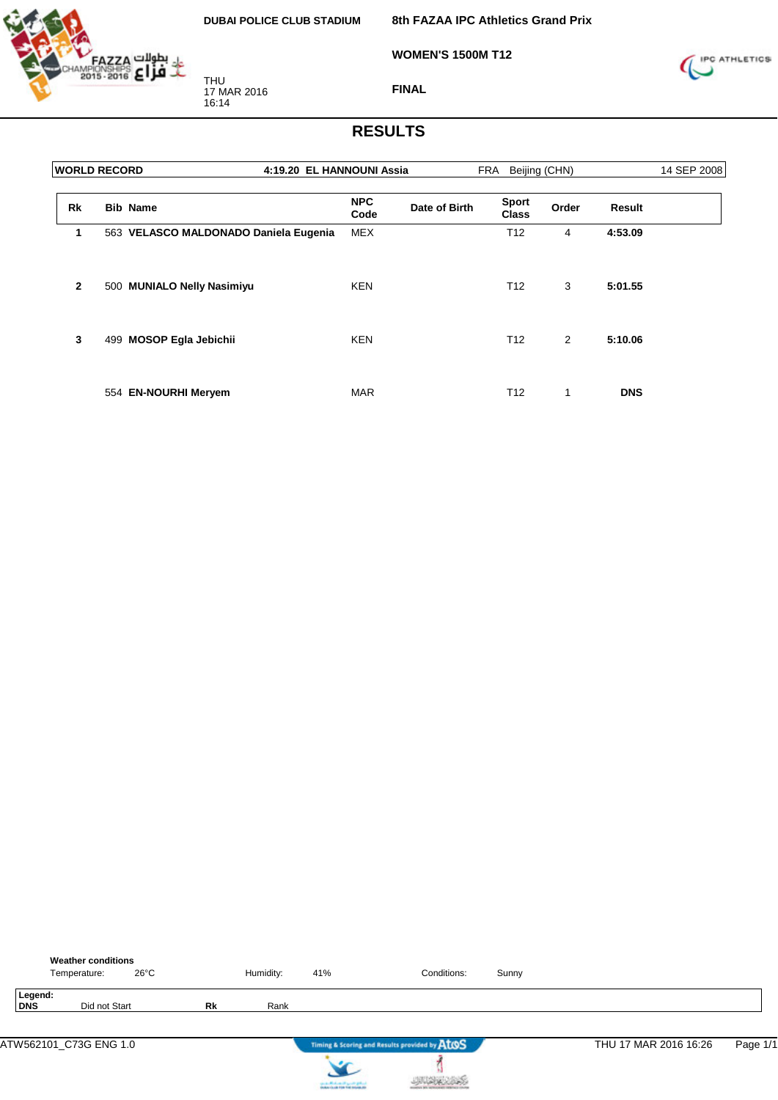

**WOMEN'S 1500M T12**

**8th FAZAA IPC Athletics Grand Prix**



**FINAL**

| <b>WORLD RECORD</b> | 4:19.20 EL HANNOUNI Assia             |                    |               | FRA                          | Beijing (CHN) |               | 14 SEP 2008 |
|---------------------|---------------------------------------|--------------------|---------------|------------------------------|---------------|---------------|-------------|
| <b>Rk</b>           | <b>Bib Name</b>                       | <b>NPC</b><br>Code | Date of Birth | <b>Sport</b><br><b>Class</b> | Order         | <b>Result</b> |             |
| 1                   | 563 VELASCO MALDONADO Daniela Eugenia | <b>MEX</b>         |               | T <sub>12</sub>              | 4             | 4:53.09       |             |
| $\overline{2}$      | 500 MUNIALO Nelly Nasimiyu            | <b>KEN</b>         |               | T <sub>12</sub>              | 3             | 5:01.55       |             |
| 3                   | 499 MOSOP Egla Jebichii               | <b>KEN</b>         |               | T <sub>12</sub>              | 2             | 5:10.06       |             |
|                     | 554 EN-NOURHI Meryem                  | <b>MAR</b>         |               | T <sub>12</sub>              | 1             | <b>DNS</b>    |             |

|                | <b>Weather conditions</b><br>$26^{\circ}$ C<br>Temperature: |    | Humidity: | 41% | Conditions:                                   | Sunny |                       |          |
|----------------|-------------------------------------------------------------|----|-----------|-----|-----------------------------------------------|-------|-----------------------|----------|
| Legend:<br>DNS | Did not Start                                               | Rk | Rank      |     |                                               |       |                       |          |
|                | ATW562101_C73G ENG 1.0                                      |    |           |     | Timing & Scoring and Results provided by AtOS |       | THU 17 MAR 2016 16:26 | Page 1/1 |
|                |                                                             |    |           |     |                                               |       |                       |          |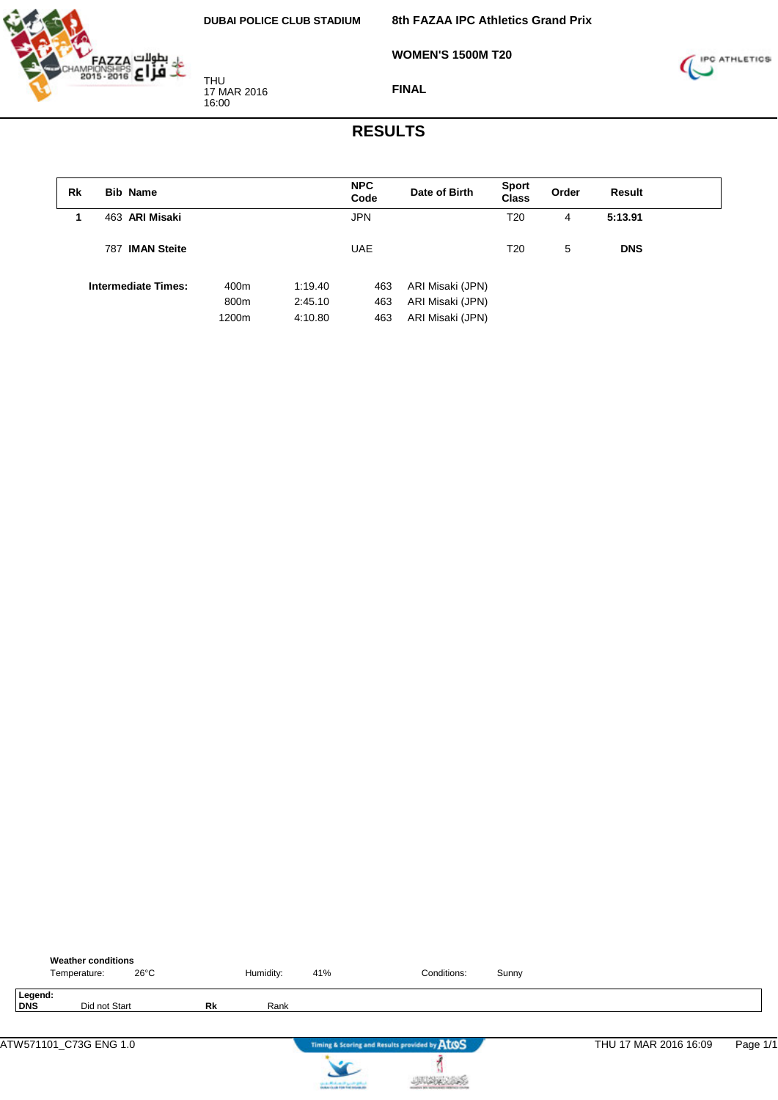

**8th FAZAA IPC Athletics Grand Prix**

**WOMEN'S 1500M T20**



**FINAL**

| Rk | <b>Bib Name</b>            |       |         | <b>NPC</b><br>Code | Date of Birth    | <b>Sport</b><br>Class | Order | Result     |  |
|----|----------------------------|-------|---------|--------------------|------------------|-----------------------|-------|------------|--|
|    | 463 ARI Misaki             |       |         | <b>JPN</b>         |                  | T20                   | 4     | 5:13.91    |  |
|    | 787 IMAN Steite            |       |         | <b>UAE</b>         |                  | T20                   | 5     | <b>DNS</b> |  |
|    | <b>Intermediate Times:</b> | 400m  | 1:19.40 | 463                | ARI Misaki (JPN) |                       |       |            |  |
|    |                            | 800m  | 2:45.10 | 463                | ARI Misaki (JPN) |                       |       |            |  |
|    |                            | 1200m | 4:10.80 | 463                | ARI Misaki (JPN) |                       |       |            |  |

|                | <b>Weather conditions</b><br>Temperature: | 26°C |    | Humidity: | 41%                                   | Conditions:                                   | Sunny |                       |          |
|----------------|-------------------------------------------|------|----|-----------|---------------------------------------|-----------------------------------------------|-------|-----------------------|----------|
| Legend:<br>DNS | Did not Start                             |      | Rk | Rank      |                                       |                                               |       |                       |          |
|                | ATW571101_C73G ENG 1.0                    |      |    |           |                                       | Timing & Scoring and Results provided by AtOS |       | THU 17 MAR 2016 16:09 | Page 1/1 |
|                |                                           |      |    |           | can be affected and if you do got not |                                               |       |                       |          |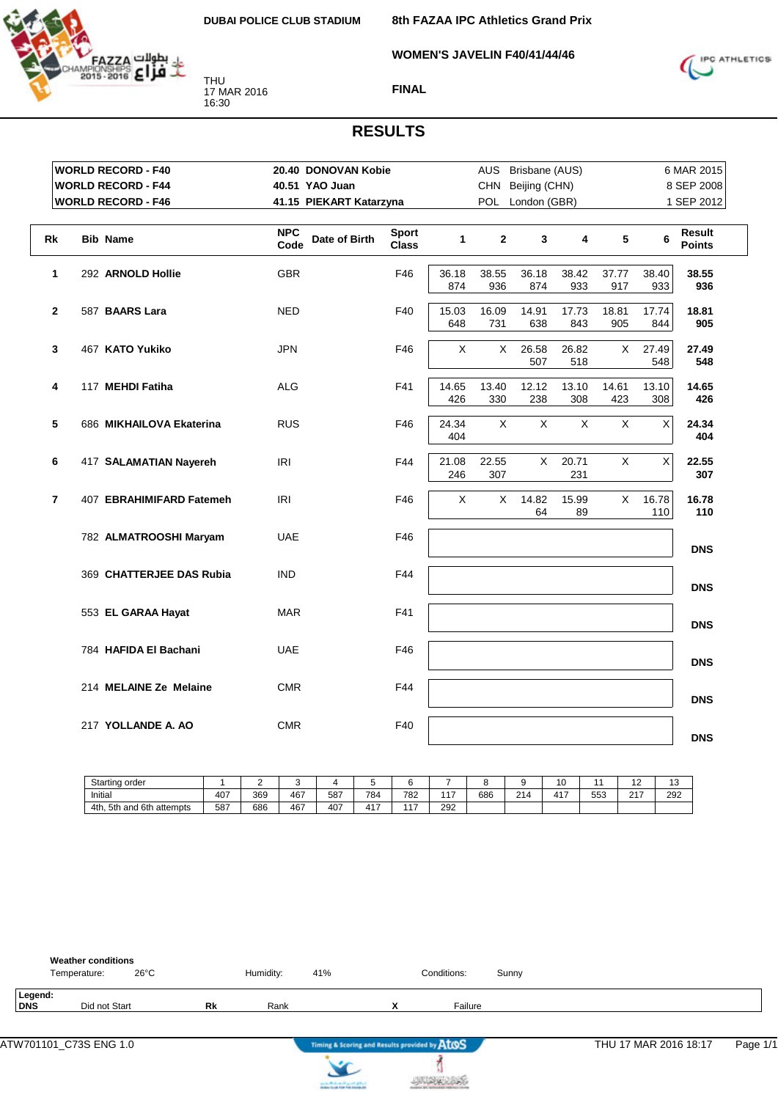

**WOMEN'S JAVELIN F40/41/44/46**



#### **FINAL**

## **RESULTS**

| <b>WORLD RECORD - F40</b>                  | 20.40 DONOVAN Kobie                 | AUS Brisbane (AUS)           |              |              |                  |              |              | 6 MAR 2015   |                         |
|--------------------------------------------|-------------------------------------|------------------------------|--------------|--------------|------------------|--------------|--------------|--------------|-------------------------|
| <b>WORLD RECORD - F44</b>                  | 40.51 YAO Juan                      |                              |              | <b>CHN</b>   | Beijing (CHN)    |              |              |              | 8 SEP 2008              |
| <b>WORLD RECORD - F46</b>                  | 41.15 PIEKART Katarzyna             |                              |              |              | POL London (GBR) |              |              |              | 1 SEP 2012              |
|                                            |                                     |                              |              |              |                  |              |              |              |                         |
| Rk<br><b>Bib Name</b>                      | <b>NPC</b><br>Date of Birth<br>Code | <b>Sport</b><br><b>Class</b> | $\mathbf{1}$ | $\mathbf{2}$ | $\mathbf{3}$     | 4            | 5            | 6            | Result<br><b>Points</b> |
| 292 ARNOLD Hollie<br>1                     | <b>GBR</b>                          | F46                          | 36.18<br>874 | 38.55<br>936 | 36.18<br>874     | 38.42<br>933 | 37.77<br>917 | 38.40<br>933 | 38.55<br>936            |
| $\mathbf{2}$<br>587 BAARS Lara             | <b>NED</b>                          | F40                          | 15.03<br>648 | 16.09<br>731 | 14.91<br>638     | 17.73<br>843 | 18.81<br>905 | 17.74<br>844 | 18.81<br>905            |
| $\mathbf{3}$<br>467 KATO Yukiko            | <b>JPN</b>                          | F46                          | X            | X            | 26.58<br>507     | 26.82<br>518 | X            | 27.49<br>548 | 27.49<br>548            |
| 117 MEHDI Fatiha<br>4                      | <b>ALG</b>                          | F41                          | 14.65<br>426 | 13.40<br>330 | 12.12<br>238     | 13.10<br>308 | 14.61<br>423 | 13.10<br>308 | 14.65<br>426            |
| 5<br>686 MIKHAILOVA Ekaterina              | <b>RUS</b>                          | F46                          | 24.34<br>404 | X            | X                | X            | X            | Χ            | 24.34<br>404            |
| 6<br>417 SALAMATIAN Nayereh                | IRI                                 | F44                          | 21.08<br>246 | 22.55<br>307 | X                | 20.71<br>231 | X            | $\mathsf X$  | 22.55<br>307            |
| $\overline{7}$<br>407 EBRAHIMIFARD Fatemeh | <b>IRI</b>                          | F46                          | X            | $\times$     | 14.82<br>64      | 15.99<br>89  | $\mathsf{X}$ | 16.78<br>110 | 16.78<br>110            |
| 782 ALMATROOSHI Maryam                     | <b>UAE</b>                          | F46                          |              |              |                  |              |              |              | <b>DNS</b>              |
| 369 CHATTERJEE DAS Rubia                   | <b>IND</b>                          | F44                          |              |              |                  |              |              |              | <b>DNS</b>              |
| 553 EL GARAA Hayat                         | <b>MAR</b>                          | F41                          |              |              |                  |              |              |              | <b>DNS</b>              |
| 784 HAFIDA El Bachani                      | <b>UAE</b>                          | F46                          |              |              |                  |              |              |              | <b>DNS</b>              |
| 214 MELAINE Ze Melaine                     | <b>CMR</b>                          | F44                          |              |              |                  |              |              |              | <b>DNS</b>              |
| 217 YOLLANDE A. AO                         | <b>CMR</b>                          | F40                          |              |              |                  |              |              |              | <b>DNS</b>              |

| Starting order                          |     | -   |     |     |                   |                |          |     |             | $\cdot$ $\circ$ |     | . .           | $\overline{ }$<br>. ت |
|-----------------------------------------|-----|-----|-----|-----|-------------------|----------------|----------|-----|-------------|-----------------|-----|---------------|-----------------------|
| Initial                                 | 407 | 369 | 467 | 587 | 784               | 782            | 147<br>. | 686 | 04A<br>- 14 | $41^-$<br>.     | 553 | $\sim$ $\sim$ | 292                   |
| 6th<br>5th<br>า attempts<br>4th.<br>and | 587 | 686 | 467 | 407 | $4.4 -$<br>4<br>. | $\overline{A}$ | 292      |     |             |                 |     |               |                       |

|                       | <b>Weather conditions</b><br>Temperature: | $26^{\circ}$ C |    | Humidity: | 41% | Conditions: | Sunny |
|-----------------------|-------------------------------------------|----------------|----|-----------|-----|-------------|-------|
| Legend:<br><b>DNS</b> | Did not Start                             |                | Rk | Rank      |     | Failure     |       |

j **JURKSINS** 

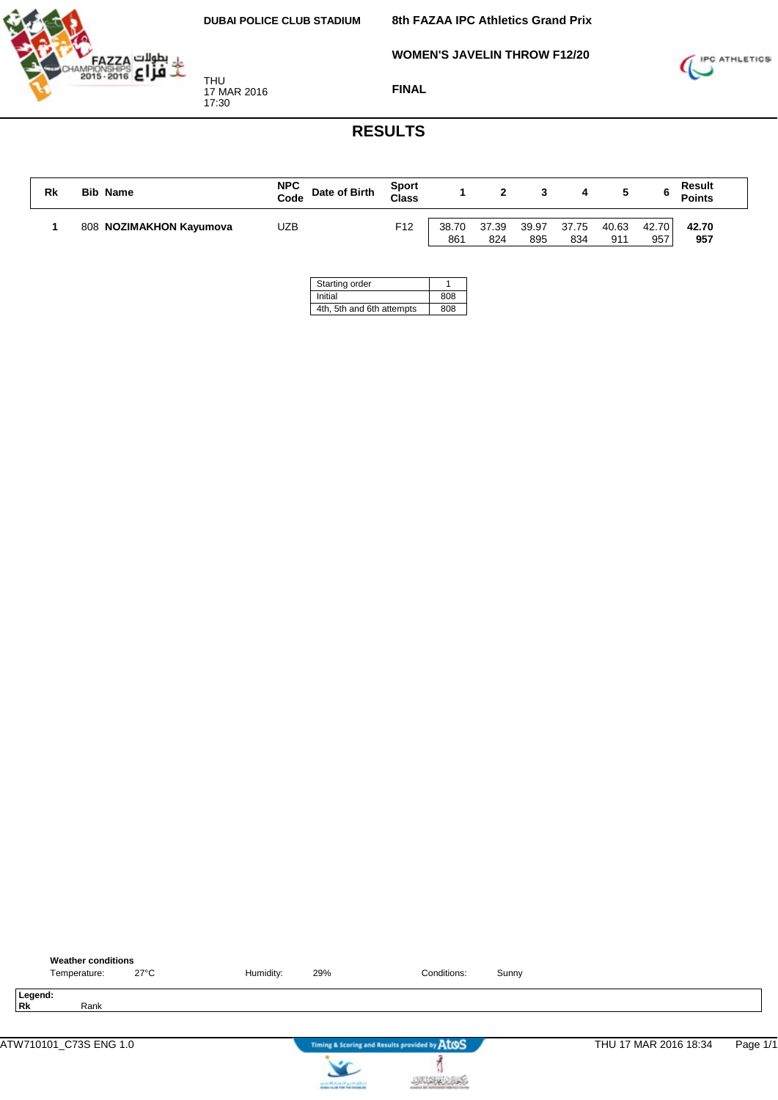

**WOMEN'S JAVELIN THROW F12/20**



THU 17 MAR 2016 17:30

**FINAL**

## **RESULTS**

| Rk | Name<br><b>Bib</b>      | <b>NPC</b><br>Date of Birth<br>Code | <b>Sport</b><br>Class |                          |              |              |              |              |              | <b>Result</b><br><b>Points</b> |
|----|-------------------------|-------------------------------------|-----------------------|--------------------------|--------------|--------------|--------------|--------------|--------------|--------------------------------|
|    | 808 NOZIMAKHON Kayumova | UZB                                 | F <sub>12</sub>       | 38.70<br>86 <sup>4</sup> | 37.39<br>824 | 39.97<br>895 | 37.75<br>834 | 40.63<br>911 | 42.70<br>957 | 42.70<br>957                   |

| Starting order            |     |
|---------------------------|-----|
| Initial                   | 808 |
| 4th, 5th and 6th attempts | 808 |



**JUSK 285**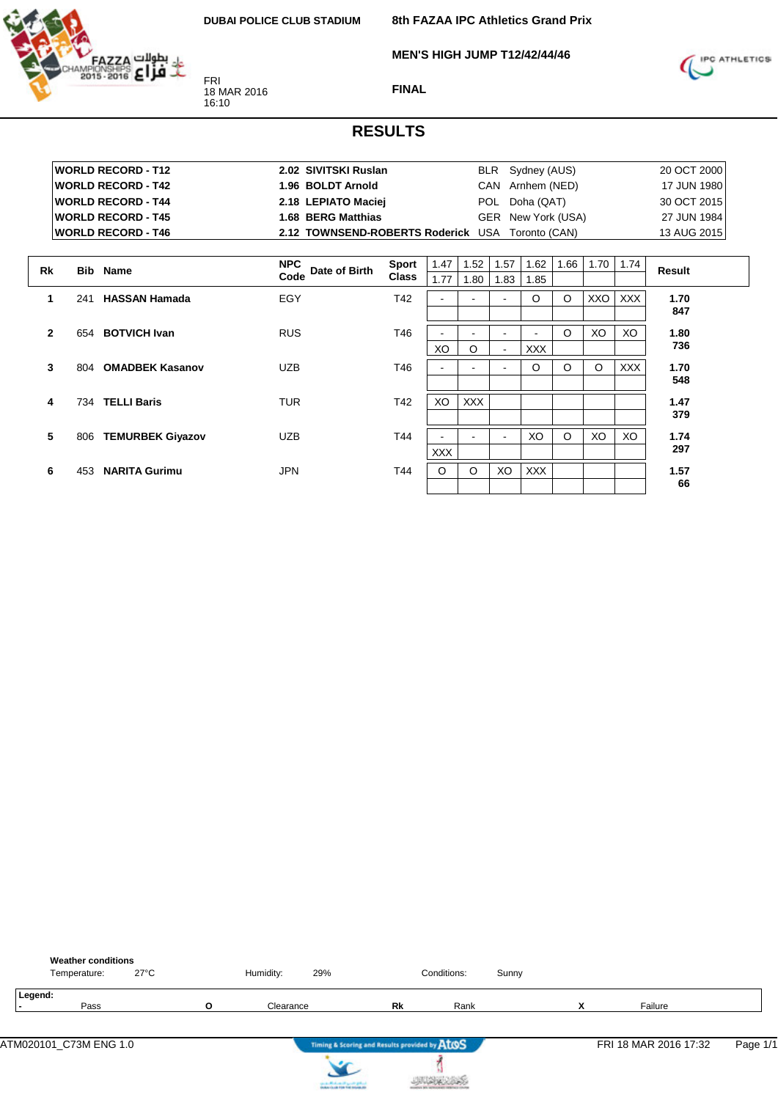**MEN'S HIGH JUMP T12/42/44/46**



FRI 18 MAR 2016 16:10

**FINAL**



|              |     | <b>WORLD RECORD - T12</b> | 2.02 SIVITSKI Ruslan                             |              |            |            |      | BLR Sydney (AUS)   |         |            |            | 20 OCT 2000 |  |
|--------------|-----|---------------------------|--------------------------------------------------|--------------|------------|------------|------|--------------------|---------|------------|------------|-------------|--|
|              |     | <b>WORLD RECORD - T42</b> | 1.96 BOLDT Arnold                                |              |            |            |      | CAN Arnhem (NED)   |         |            |            | 17 JUN 1980 |  |
|              |     | <b>WORLD RECORD - T44</b> | 2.18 LEPIATO Maciej                              |              |            |            |      | POL Doha (QAT)     |         |            |            | 30 OCT 2015 |  |
|              |     | <b>WORLD RECORD - T45</b> | 1.68 BERG Matthias                               |              |            |            |      | GER New York (USA) |         |            |            | 27 JUN 1984 |  |
|              |     | <b>WORLD RECORD - T46</b> | 2.12 TOWNSEND-ROBERTS Roderick USA Toronto (CAN) |              |            |            |      |                    |         |            |            | 13 AUG 2015 |  |
|              |     |                           |                                                  |              |            |            |      |                    |         |            |            |             |  |
| <b>Rk</b>    |     | <b>Bib</b> Name           | <b>NPC</b><br>Date of Birth                      | Sport        | 1.47       | 1.52       | 1.57 | 1.62               | 1.66    | 1.70       | 1.74       | Result      |  |
|              |     |                           | Code                                             | <b>Class</b> | 1.77       | 1.80       | 1.83 | 1.85               |         |            |            |             |  |
| 1            | 241 | <b>HASSAN Hamada</b>      | EGY                                              | T42          |            |            |      | $\circ$            | $\circ$ | <b>XXO</b> | XXX        | 1.70        |  |
|              |     |                           |                                                  |              |            |            |      |                    |         |            |            | 847         |  |
| $\mathbf{2}$ |     | 654 BOTVICH Ivan          | <b>RUS</b>                                       | T46          |            |            |      |                    | $\circ$ | XO         | XO         | 1.80        |  |
|              |     |                           |                                                  |              | XO         | $\circ$    |      | <b>XXX</b>         |         |            |            | 736         |  |
| 3            | 804 | <b>OMADBEK Kasanov</b>    | <b>UZB</b>                                       | T46          |            |            |      | $\circ$            | $\circ$ | $\circ$    | <b>XXX</b> | 1.70        |  |
|              |     |                           |                                                  |              |            |            |      |                    |         |            |            | 548         |  |
|              |     |                           |                                                  |              |            |            |      |                    |         |            |            |             |  |
| 4            |     | 734 TELLI Baris           | <b>TUR</b>                                       | T42          | XO         | <b>XXX</b> |      |                    |         |            |            | 1.47<br>379 |  |
|              |     |                           |                                                  |              |            |            |      |                    |         |            |            |             |  |
| 5            | 806 | <b>TEMURBEK Giyazov</b>   | <b>UZB</b>                                       | T44          |            |            |      | XO                 | $\circ$ | XO         | XO         | 1.74        |  |
|              |     |                           |                                                  |              | <b>XXX</b> |            |      |                    |         |            |            | 297         |  |
| 6            | 453 | <b>NARITA Gurimu</b>      | <b>JPN</b>                                       | T44          | $\circ$    | $\circ$    | XO   | <b>XXX</b>         |         |            |            | 1.57        |  |
|              |     |                           |                                                  |              |            |            |      |                    |         |            |            | 66          |  |

| <b>Weather conditions</b><br>Temperature: | $27^{\circ}$ C |   | Humidity: | 29%                                                                                     |                                               | Conditions: | Sunny |   |                       |          |
|-------------------------------------------|----------------|---|-----------|-----------------------------------------------------------------------------------------|-----------------------------------------------|-------------|-------|---|-----------------------|----------|
| Legend:<br>Pass                           |                | O | Clearance |                                                                                         | Rk                                            | Rank        |       | X | Failure               |          |
| ATM020101_C73M ENG 1.0                    |                |   |           |                                                                                         | Timing & Scoring and Results provided by AtOS |             |       |   | FRI 18 MAR 2016 17:32 | Page 1/1 |
|                                           |                |   |           | counter Mindsons of April 20 (professional)<br>Analysis for all 1996 find materials and |                                               |             |       |   |                       |          |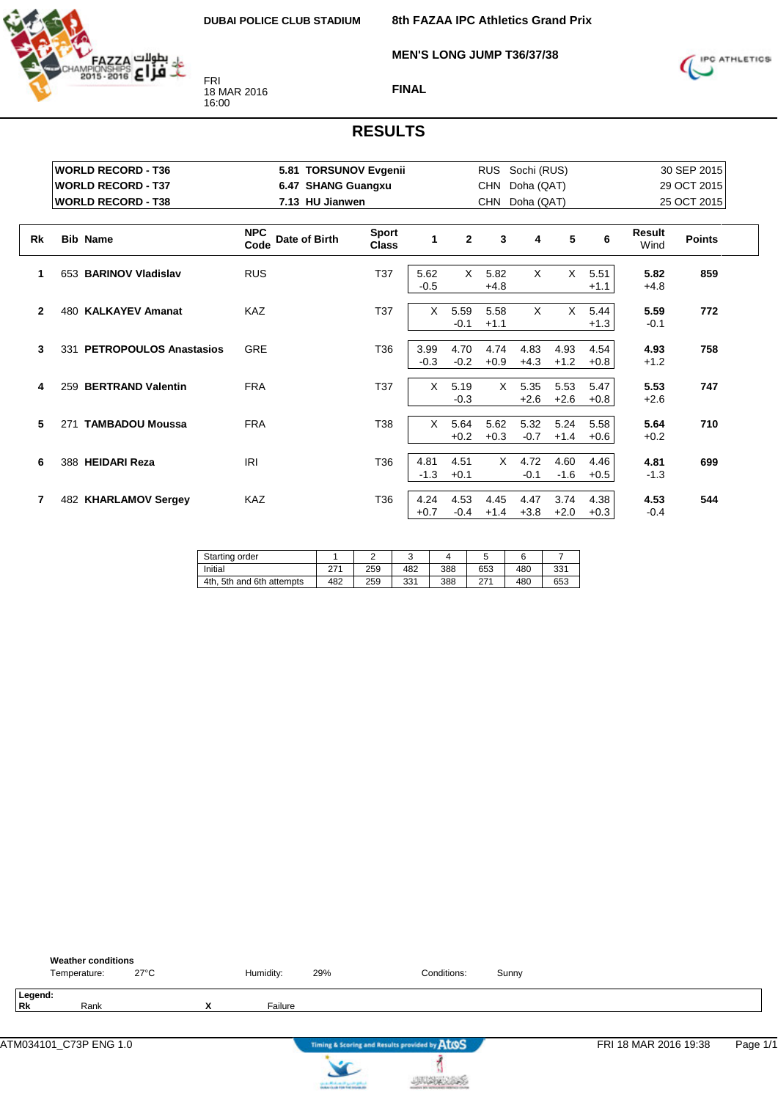

**MEN'S LONG JUMP T36/37/38**



#### **FINAL**

|              | <b>WORLD RECORD - T36</b>  | 5.81 TORSUNOV Evgenii               |                              |                |                | <b>RUS</b>     | Sochi (RUS)    |                |                |                       | 30 SEP 2015   |
|--------------|----------------------------|-------------------------------------|------------------------------|----------------|----------------|----------------|----------------|----------------|----------------|-----------------------|---------------|
|              | <b>WORLD RECORD - T37</b>  | 6.47 SHANG Guangxu                  |                              |                |                | <b>CHN</b>     | Doha (QAT)     |                |                |                       | 29 OCT 2015   |
|              | <b>WORLD RECORD - T38</b>  | 7.13 HU Jianwen                     |                              |                |                | <b>CHN</b>     | Doha (QAT)     |                |                |                       | 25 OCT 2015   |
| <b>Rk</b>    | <b>Bib Name</b>            | <b>NPC</b><br>Date of Birth<br>Code | <b>Sport</b><br><b>Class</b> | 1              | $\overline{2}$ | 3              | 4              | 5              | 6              | <b>Result</b><br>Wind | <b>Points</b> |
| 1            | 653 BARINOV Vladislav      | <b>RUS</b>                          | T <sub>37</sub>              | 5.62<br>$-0.5$ | $\times$       | 5.82<br>$+4.8$ | X              | X              | 5.51<br>$+1.1$ | 5.82<br>$+4.8$        | 859           |
| $\mathbf{2}$ | 480 KALKAYEV Amanat        | <b>KAZ</b>                          | T37                          | X              | 5.59<br>$-0.1$ | 5.58<br>$+1.1$ | $\times$       | X              | 5.44<br>$+1.3$ | 5.59<br>$-0.1$        | 772           |
| 3            | 331 PETROPOULOS Anastasios | <b>GRE</b>                          | T36                          | 3.99<br>$-0.3$ | 4.70<br>$-0.2$ | 4.74<br>$+0.9$ | 4.83<br>$+4.3$ | 4.93<br>$+1.2$ | 4.54<br>$+0.8$ | 4.93<br>$+1.2$        | 758           |
| 4            | 259 BERTRAND Valentin      | <b>FRA</b>                          | T37                          | X.             | 5.19<br>$-0.3$ | $\times$       | 5.35<br>$+2.6$ | 5.53<br>$+2.6$ | 5.47<br>$+0.8$ | 5.53<br>$+2.6$        | 747           |
| 5            | 271 TAMBADOU Moussa        | <b>FRA</b>                          | T38                          | X              | 5.64<br>$+0.2$ | 5.62<br>$+0.3$ | 5.32<br>$-0.7$ | 5.24<br>$+1.4$ | 5.58<br>$+0.6$ | 5.64<br>$+0.2$        | 710           |
| 6            | 388 HEIDARI Reza           | IRI                                 | T <sub>36</sub>              | 4.81<br>$-1.3$ | 4.51<br>$+0.1$ | X.             | 4.72<br>$-0.1$ | 4.60<br>$-1.6$ | 4.46<br>$+0.5$ | 4.81<br>$-1.3$        | 699           |
| 7            | 482 KHARLAMOV Sergey       | <b>KAZ</b>                          | T <sub>36</sub>              | 4.24<br>$+0.7$ | 4.53<br>$-0.4$ | 4.45<br>$+1.4$ | 4.47<br>$+3.8$ | 3.74<br>$+2.0$ | 4.38<br>$+0.3$ | 4.53<br>$-0.4$        | 544           |

| Starting order                 |     |     |     |     |     |     |     |
|--------------------------------|-----|-----|-----|-----|-----|-----|-----|
| Initial                        | 271 | 259 | 482 | 388 | 653 | 480 | 331 |
| 4th.<br>. 5th and 6th attempts | 482 | 259 | 331 | 388 | 074 | 480 | 653 |

|               | <b>Weather conditions</b><br>Temperature: | $27^{\circ}$ C |   | Humidity: | 29%                                                               | Conditions:                                   | Sunny |                       |          |
|---------------|-------------------------------------------|----------------|---|-----------|-------------------------------------------------------------------|-----------------------------------------------|-------|-----------------------|----------|
| Legend:<br>Rk | Rank                                      |                | X | Failure   |                                                                   |                                               |       |                       |          |
|               | ATM034101_C73P ENG 1.0                    |                |   |           |                                                                   | Timing & Scoring and Results provided by ATOS |       | FRI 18 MAR 2016 19:38 | Page 1/1 |
|               |                                           |                |   |           | controlled and speed galent.<br>Instantia de File Foi Installatio |                                               |       |                       |          |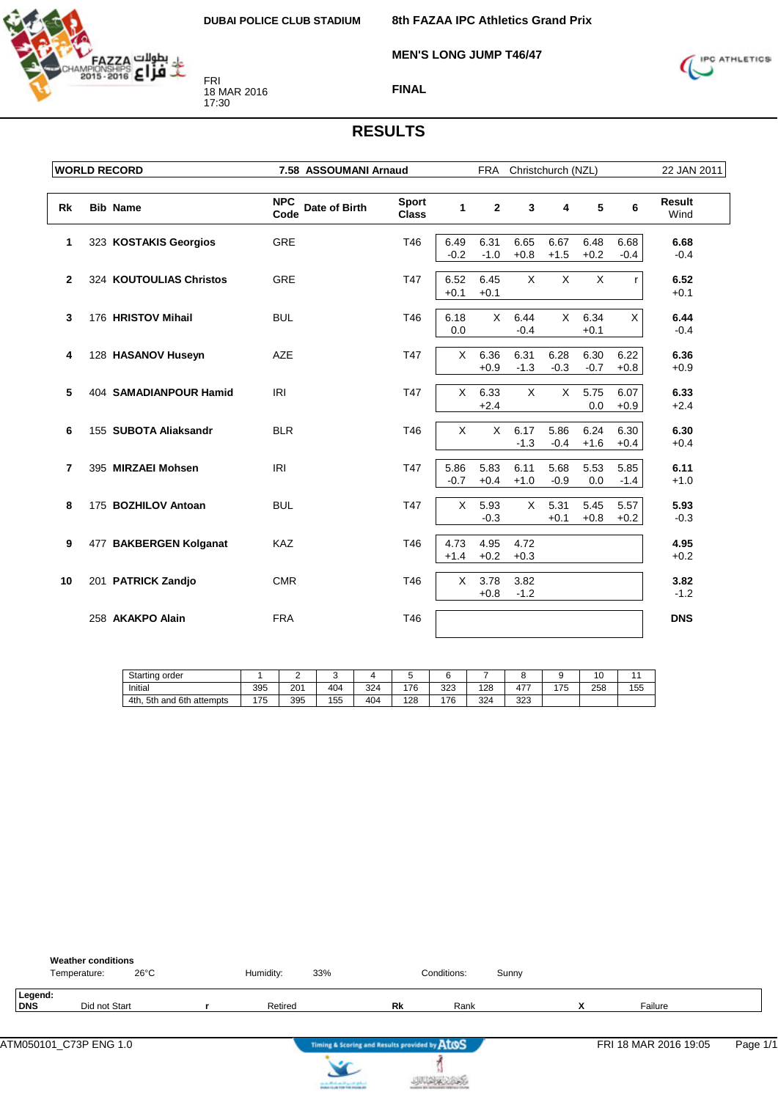**MEN'S LONG JUMP T46/47**



FRI 18 MAR 2016 17:30



#### **FINAL**

|                | <b>WORLD RECORD</b>     | 7.58 ASSOUMANI Arnaud               |                              |                | <b>FRA</b>     |                | Christchurch (NZL) |                |                | 22 JAN 2011           |
|----------------|-------------------------|-------------------------------------|------------------------------|----------------|----------------|----------------|--------------------|----------------|----------------|-----------------------|
|                |                         |                                     |                              |                |                |                |                    |                |                |                       |
| Rk             | <b>Bib Name</b>         | <b>NPC</b><br>Date of Birth<br>Code | <b>Sport</b><br><b>Class</b> | $\mathbf{1}$   | $\mathbf{2}$   | 3              | 4                  | 5              | 6              | <b>Result</b><br>Wind |
| 1              | 323 KOSTAKIS Georgios   | <b>GRE</b>                          | T46                          | 6.49<br>$-0.2$ | 6.31<br>$-1.0$ | 6.65<br>$+0.8$ | 6.67<br>$+1.5$     | 6.48<br>$+0.2$ | 6.68<br>$-0.4$ | 6.68<br>$-0.4$        |
| $\overline{2}$ | 324 KOUTOULIAS Christos | <b>GRE</b>                          | T47                          | 6.52<br>$+0.1$ | 6.45<br>$+0.1$ | $\pmb{\times}$ | $\pmb{\times}$     | $\times$       | r              | 6.52<br>$+0.1$        |
| 3              | 176 HRISTOV Mihail      | <b>BUL</b>                          | T46                          | 6.18<br>0.0    | $\times$       | 6.44<br>$-0.4$ | $\mathsf{X}$       | 6.34<br>$+0.1$ | X              | 6.44<br>$-0.4$        |
| 4              | 128 HASANOV Huseyn      | <b>AZE</b>                          | T47                          | X              | 6.36<br>$+0.9$ | 6.31<br>$-1.3$ | 6.28<br>$-0.3$     | 6.30<br>$-0.7$ | 6.22<br>$+0.8$ | 6.36<br>$+0.9$        |
| 5              | 404 SAMADIANPOUR Hamid  | <b>IRI</b>                          | <b>T47</b>                   | X              | 6.33<br>$+2.4$ | X              | X                  | 5.75<br>0.0    | 6.07<br>$+0.9$ | 6.33<br>$+2.4$        |
| 6              | 155 SUBOTA Aliaksandr   | <b>BLR</b>                          | T46                          | X              | $\mathsf{X}$   | 6.17<br>$-1.3$ | 5.86<br>$-0.4$     | 6.24<br>$+1.6$ | 6.30<br>$+0.4$ | 6.30<br>$+0.4$        |
| 7              | 395 MIRZAEI Mohsen      | IRI                                 | T47                          | 5.86<br>$-0.7$ | 5.83<br>$+0.4$ | 6.11<br>$+1.0$ | 5.68<br>$-0.9$     | 5.53<br>0.0    | 5.85<br>$-1.4$ | 6.11<br>$+1.0$        |
| 8              | 175 BOZHILOV Antoan     | <b>BUL</b>                          | T47                          | X              | 5.93<br>$-0.3$ | $\times$       | 5.31<br>$+0.1$     | 5.45<br>$+0.8$ | 5.57<br>$+0.2$ | 5.93<br>$-0.3$        |
| 9              | 477 BAKBERGEN Kolganat  | KAZ                                 | T46                          | 4.73<br>$+1.4$ | 4.95<br>$+0.2$ | 4.72<br>$+0.3$ |                    |                |                | 4.95<br>$+0.2$        |
| 10             | 201 PATRICK Zandjo      | <b>CMR</b>                          | T46                          | X              | 3.78<br>$+0.8$ | 3.82<br>$-1.2$ |                    |                |                | 3.82<br>$-1.2$        |
|                | 258 AKAKPO Alain        | <b>FRA</b>                          | T46                          |                |                |                |                    |                |                | <b>DNS</b>            |

| Starting order                     |     |     |     |     |     |     |     |              |     | O   |     |
|------------------------------------|-----|-----|-----|-----|-----|-----|-----|--------------|-----|-----|-----|
| Initial                            | 395 | 201 | 404 | 324 | 176 | 323 | 128 | 477<br>T I . | 175 | 258 | 155 |
| 4th.<br>and 6th<br>5th<br>attempts | 175 | 395 | 155 | 404 | 128 | 176 | 324 | 323          |     |     |     |

|                | <b>Weather conditions</b><br>Temperature: | $26^{\circ}$ C | Humidity: | 33% |                                               | Conditions: | Sunny |    |                       |          |
|----------------|-------------------------------------------|----------------|-----------|-----|-----------------------------------------------|-------------|-------|----|-----------------------|----------|
| Legend:<br>DNS | Did not Start                             |                | Retired   |     | Rk                                            | Rank        |       | `` | Failure               |          |
|                |                                           |                |           |     | Timing & Scoring and Results provided by ATOS |             |       |    | FRI 18 MAR 2016 19:05 | Page 1/1 |



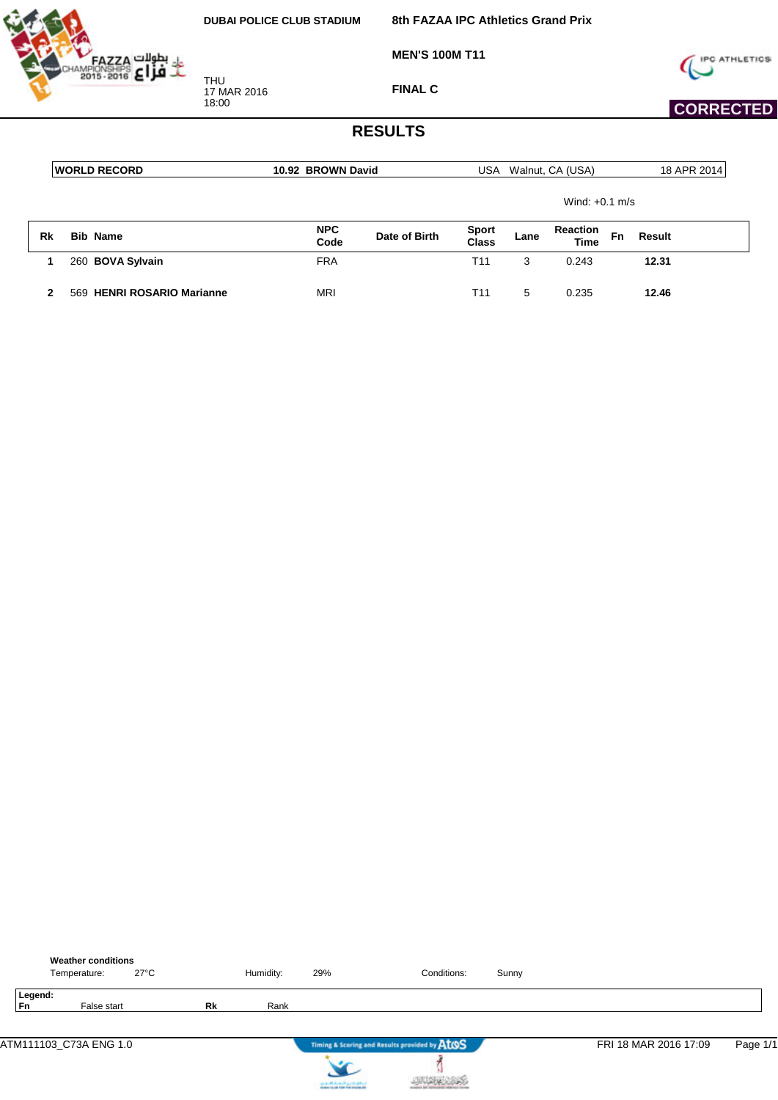

**MEN'S 100M T11**



 **CORRECTED** 

**FINAL C**

#### **RESULTS**

|    | <b>WORLD RECORD</b>        | 10.92 BROWN David  |               | USA                          |      | Walnut, CA (USA)               |    | 18 APR 2014 |
|----|----------------------------|--------------------|---------------|------------------------------|------|--------------------------------|----|-------------|
|    |                            |                    |               |                              |      | Wind: $+0.1$ m/s               |    |             |
| Rk | <b>Bib Name</b>            | <b>NPC</b><br>Code | Date of Birth | <b>Sport</b><br><b>Class</b> | Lane | <b>Reaction</b><br><b>Time</b> | Fn | Result      |
|    | 260 BOVA Sylvain           | <b>FRA</b>         |               | T11                          | 3    | 0.243                          |    | 12.31       |
|    | 569 HENRI ROSARIO Marianne | <b>MRI</b>         |               | T11                          | 5    | 0.235                          |    | 12.46       |

|               | <b>Weather conditions</b><br>Temperature: | $27^{\circ}$ C |    | Humidity: | 29%                                                                                     | Conditions:                                   | Sunny |                       |          |
|---------------|-------------------------------------------|----------------|----|-----------|-----------------------------------------------------------------------------------------|-----------------------------------------------|-------|-----------------------|----------|
| Legend:<br>Fn | False start                               |                | Rk | Rank      |                                                                                         |                                               |       |                       |          |
|               | ATM111103_C73A ENG 1.0                    |                |    |           |                                                                                         | Timing & Scoring and Results provided by AtOS |       | FRI 18 MAR 2016 17:09 | Page 1/1 |
|               |                                           |                |    |           | the state official control specific grants.<br>Notice the site free field induced after |                                               |       |                       |          |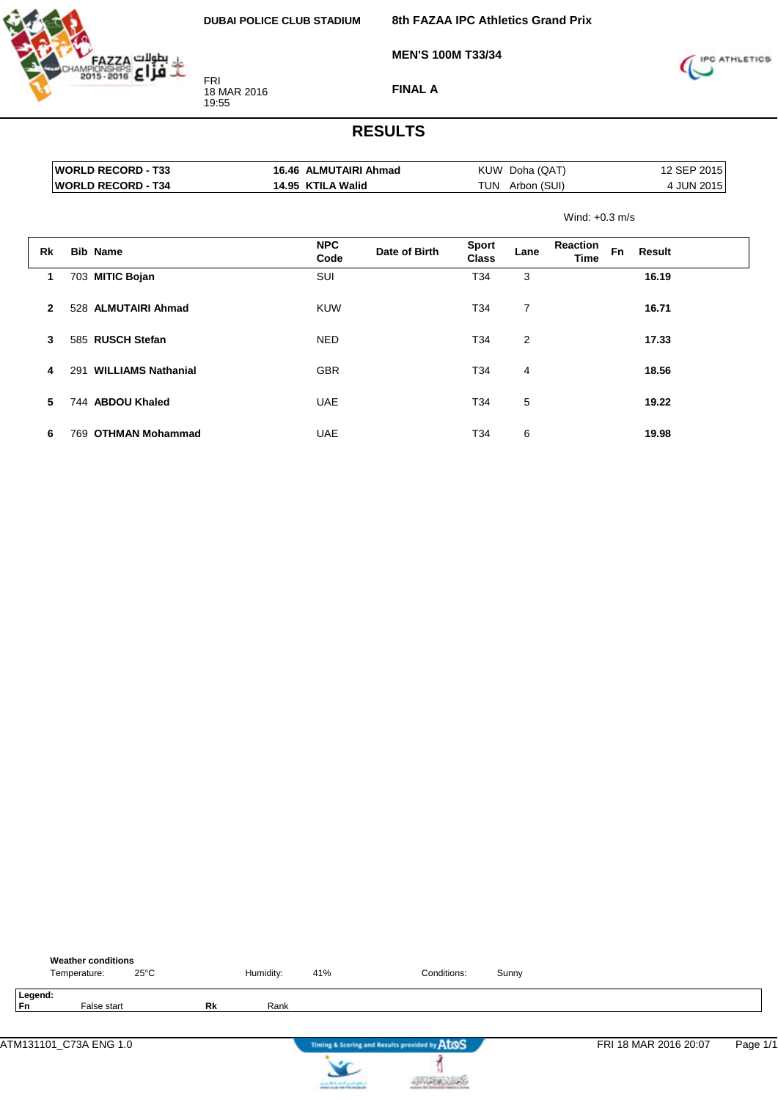

**8th FAZAA IPC Athletics Grand Prix**

**MEN'S 100M T33/34**



**FINAL A**

|              |     | <b>WORLD RECORD - T33</b> | 16.46 ALMUTAIRI Ahmad |               |                              | KUW Doha (QAT)  |                  |           |        | 12 SEP 2015 |
|--------------|-----|---------------------------|-----------------------|---------------|------------------------------|-----------------|------------------|-----------|--------|-------------|
|              |     | <b>WORLD RECORD - T34</b> | 14.95 KTILA Walid     |               |                              | TUN Arbon (SUI) |                  |           |        | 4 JUN 2015  |
|              |     |                           |                       |               |                              |                 | Wind: $+0.3$ m/s |           |        |             |
| Rk           |     | <b>Bib Name</b>           | <b>NPC</b><br>Code    | Date of Birth | <b>Sport</b><br><b>Class</b> | Lane            | Reaction<br>Time | <b>Fn</b> | Result |             |
| 1            |     | 703 MITIC Bojan           | SUI                   |               | T34                          | 3               |                  |           | 16.19  |             |
| $\mathbf{2}$ |     | 528 ALMUTAIRI Ahmad       | <b>KUW</b>            |               | T34                          | $\overline{7}$  |                  |           | 16.71  |             |
| 3            |     | 585 RUSCH Stefan          | <b>NED</b>            |               | T34                          | $\overline{2}$  |                  |           | 17.33  |             |
| 4            |     | 291 WILLIAMS Nathanial    | <b>GBR</b>            |               | T34                          | 4               |                  |           | 18.56  |             |
| 5            |     | 744 ABDOU Khaled          | <b>UAE</b>            |               | T34                          | 5               |                  |           | 19.22  |             |
| 6            | 769 | <b>OTHMAN Mohammad</b>    | <b>UAE</b>            |               | T34                          | 6               |                  |           | 19.98  |             |

|                      | <b>Weather conditions</b><br>Temperature: | $25^{\circ}$ C |           | Humidity: | 41%                               | Conditions:                                   | Sunny |                       |          |
|----------------------|-------------------------------------------|----------------|-----------|-----------|-----------------------------------|-----------------------------------------------|-------|-----------------------|----------|
| Legend:<br><b>Fn</b> | False start                               |                | <b>Rk</b> | Rank      |                                   |                                               |       |                       |          |
|                      | ATM131101_C73A ENG 1.0                    |                |           |           |                                   | Timing & Scoring and Results provided by AtOS |       | FRI 18 MAR 2016 20:07 | Page 1/1 |
|                      |                                           |                |           |           | country Michael and Locate States |                                               |       |                       |          |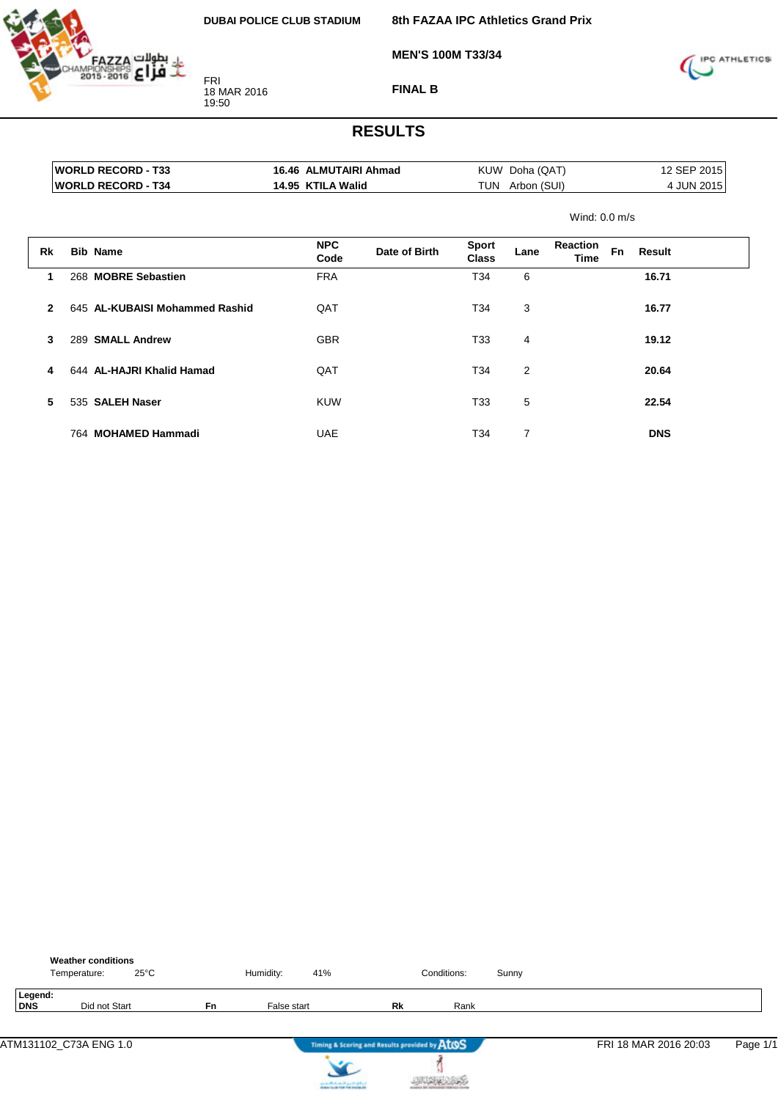

**8th FAZAA IPC Athletics Grand Prix**

**MEN'S 100M T33/34**



**FINAL B**

|              | <b>WORLD RECORD - T33</b>      | 16.46 ALMUTAIRI Ahmad |               |                              | KUW Doha (QAT)  |                  |           |            | 12 SEP 2015 |
|--------------|--------------------------------|-----------------------|---------------|------------------------------|-----------------|------------------|-----------|------------|-------------|
|              | <b>WORLD RECORD - T34</b>      | 14.95 KTILA Walid     |               |                              | TUN Arbon (SUI) |                  |           |            | 4 JUN 2015  |
|              |                                |                       |               |                              |                 | Wind: $0.0$ m/s  |           |            |             |
| <b>Rk</b>    | <b>Bib Name</b>                | <b>NPC</b><br>Code    | Date of Birth | <b>Sport</b><br><b>Class</b> | Lane            | Reaction<br>Time | <b>Fn</b> | Result     |             |
| 1            | 268 MOBRE Sebastien            | <b>FRA</b>            |               | T34                          | 6               |                  |           | 16.71      |             |
| $\mathbf{2}$ | 645 AL-KUBAISI Mohammed Rashid | QAT                   |               | T34                          | 3               |                  |           | 16.77      |             |
| 3            | 289 SMALL Andrew               | <b>GBR</b>            |               | T33                          | 4               |                  |           | 19.12      |             |
| 4            | 644 AL-HAJRI Khalid Hamad      | QAT                   |               | T34                          | $\overline{2}$  |                  |           | 20.64      |             |
| 5            | 535 SALEH Naser                | <b>KUW</b>            |               | T33                          | 5               |                  |           | 22.54      |             |
|              | 764 MOHAMED Hammadi            | <b>UAE</b>            |               | T34                          | $\overline{7}$  |                  |           | <b>DNS</b> |             |

|                | <b>Weather conditions</b><br>$25^{\circ}$ C<br>Temperature: |           | Humidity:   | 41%                      |                                               | Conditions: | Sunny |                       |          |
|----------------|-------------------------------------------------------------|-----------|-------------|--------------------------|-----------------------------------------------|-------------|-------|-----------------------|----------|
| Legend:<br>DNS | Did not Start                                               | <b>Fn</b> | False start |                          | Rk                                            | Rank        |       |                       |          |
|                | ATM131102 C73A ENG 1.0                                      |           |             | $\overline{\phantom{a}}$ | Timing & Scoring and Results provided by ATOS |             |       | FRI 18 MAR 2016 20:03 | Page 1/1 |

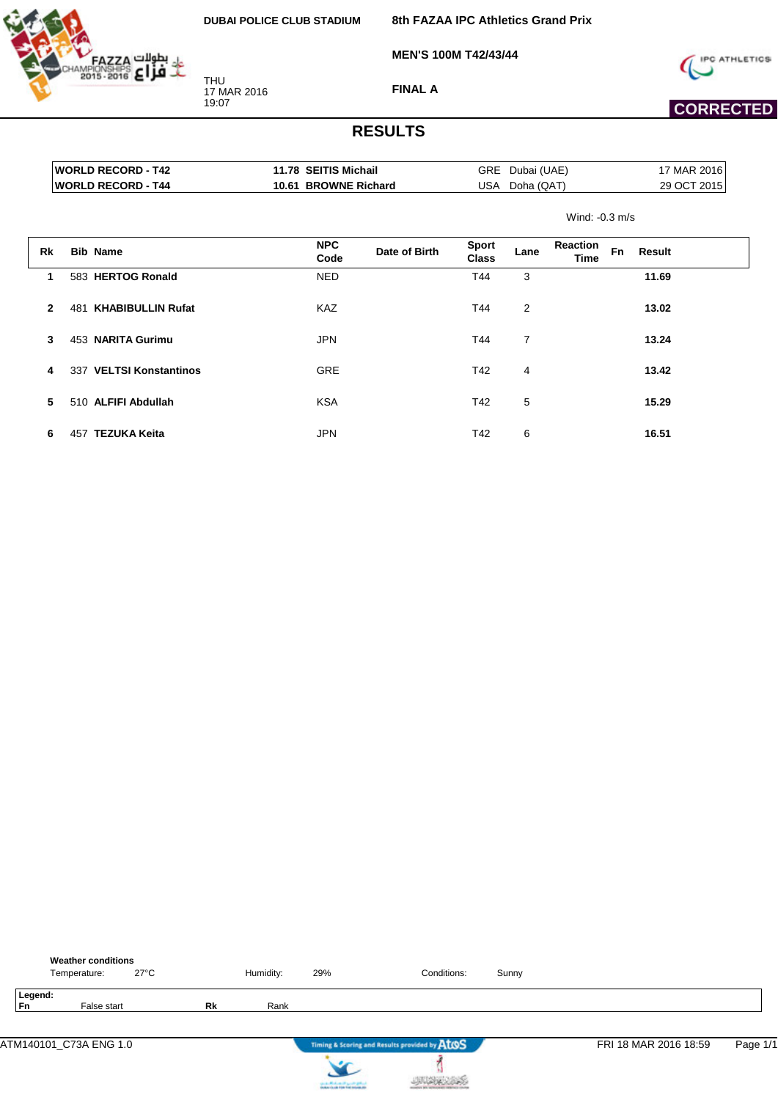

**8th FAZAA IPC Athletics Grand Prix**

**MEN'S 100M T42/43/44**



 **CORRECTED** 

**FINAL A**

|                |     | <b>WORLD RECORD - T42</b> | 11.78 SEITIS Michail |               | GRE                          | Dubai (UAE)    |                         |                     | 17 MAR 2016 |
|----------------|-----|---------------------------|----------------------|---------------|------------------------------|----------------|-------------------------|---------------------|-------------|
|                |     | <b>WORLD RECORD - T44</b> | 10.61 BROWNE Richard |               | USA                          | Doha (QAT)     |                         |                     | 29 OCT 2015 |
|                |     |                           |                      |               |                              |                | Wind: $-0.3$ m/s        |                     |             |
| Rk             |     | <b>Bib Name</b>           | <b>NPC</b><br>Code   | Date of Birth | <b>Sport</b><br><b>Class</b> | Lane           | <b>Reaction</b><br>Time | <b>Fn</b><br>Result |             |
| $\mathbf 1$    |     | 583 HERTOG Ronald         | <b>NED</b>           |               | T44                          | 3              |                         | 11.69               |             |
| $\overline{2}$ | 481 | <b>KHABIBULLIN Rufat</b>  | KAZ                  |               | T44                          | $\overline{2}$ |                         | 13.02               |             |
| 3              |     | 453 NARITA Gurimu         | <b>JPN</b>           |               | T44                          | 7              |                         | 13.24               |             |
| 4              |     | 337 VELTSI Konstantinos   | <b>GRE</b>           |               | T42                          | 4              |                         | 13.42               |             |
| 5              |     | 510 ALFIFI Abdullah       | <b>KSA</b>           |               | T42                          | 5              |                         | 15.29               |             |
| 6              | 457 | <b>TEZUKA Keita</b>       | <b>JPN</b>           |               | T42                          | 6              |                         | 16.51               |             |

|               | <b>Weather conditions</b><br>Temperature: | $27^{\circ}$ C |           | Humidity: | 29% | Conditions:                                   | Sunny |                       |          |
|---------------|-------------------------------------------|----------------|-----------|-----------|-----|-----------------------------------------------|-------|-----------------------|----------|
| Legend:<br>Fn | False start                               |                | <b>Rk</b> | Rank      |     |                                               |       |                       |          |
|               |                                           |                |           |           |     |                                               |       |                       |          |
|               | ATM140101_C73A ENG 1.0                    |                |           |           |     | Timing & Scoring and Results provided by AtOS |       | FRI 18 MAR 2016 18:59 | Page 1/1 |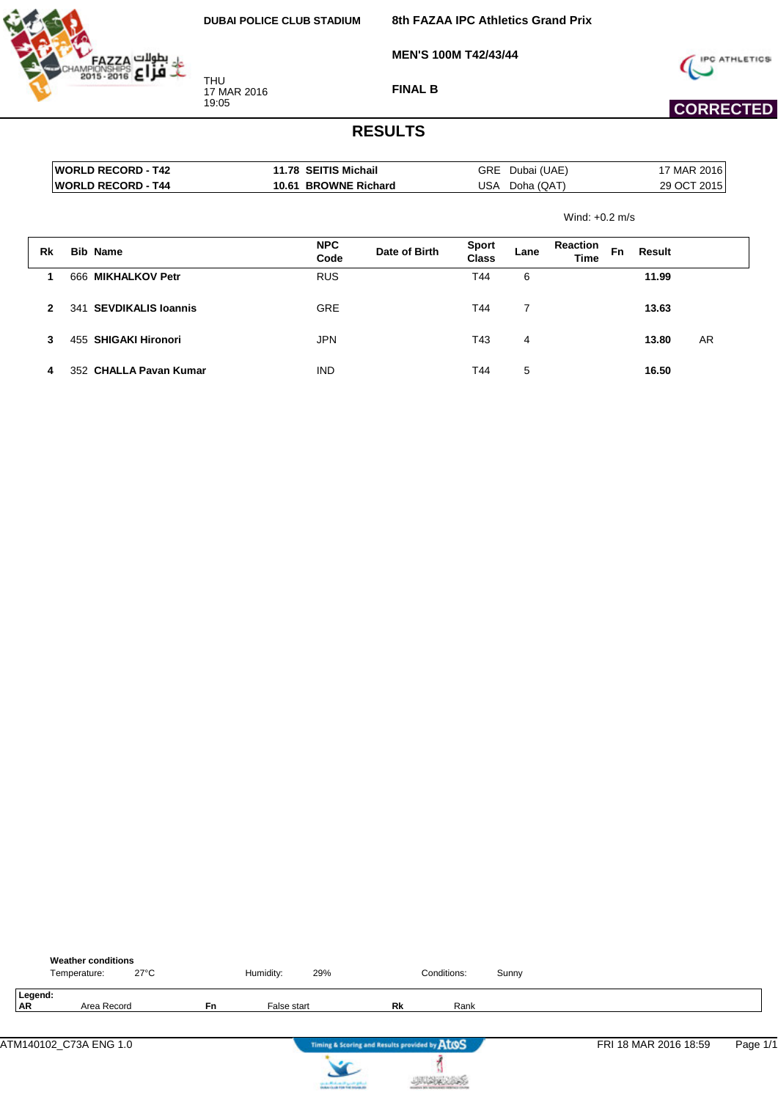HAZZA



**MEN'S 100M T42/43/44**



**FINAL B**





# **CORRECTED**

|                | <b>WORLD RECORD - T42</b><br><b>WORLD RECORD - T44</b> |                           | 11.78 SEITIS Michail<br><b>GRE</b><br>10.61 BROWNE Richard<br>USA |                    | Dubai (UAE)<br>Doha (QAT)<br>Wind: $+0.2$ m/s |                              |                | 17 MAR 2016<br>29 OCT 2015     |    |        |           |
|----------------|--------------------------------------------------------|---------------------------|-------------------------------------------------------------------|--------------------|-----------------------------------------------|------------------------------|----------------|--------------------------------|----|--------|-----------|
|                |                                                        |                           |                                                                   |                    |                                               |                              |                |                                |    |        |           |
| Rk             |                                                        | <b>Bib Name</b>           |                                                                   | <b>NPC</b><br>Code | Date of Birth                                 | <b>Sport</b><br><b>Class</b> | Lane           | <b>Reaction</b><br><b>Time</b> | Fn | Result |           |
| 1              | 666                                                    | <b>MIKHALKOV Petr</b>     |                                                                   | <b>RUS</b>         |                                               | T44                          | 6              |                                |    | 11.99  |           |
| $\overline{2}$ | 341                                                    | <b>SEVDIKALIS Ioannis</b> |                                                                   | <b>GRE</b>         |                                               | T44                          | $\overline{7}$ |                                |    | 13.63  |           |
| 3              | 455                                                    | <b>SHIGAKI Hironori</b>   |                                                                   | <b>JPN</b>         |                                               | T43                          | 4              |                                |    | 13.80  | <b>AR</b> |
| 4              |                                                        | 352 CHALLA Pavan Kumar    |                                                                   | <b>IND</b>         |                                               | T44                          | 5              |                                |    | 16.50  |           |

|                      | Temperature: | <b>Weather conditions</b><br>27°C |           | Humidity:   | 29% |                                               | Conditions: | Sunny |                       |          |
|----------------------|--------------|-----------------------------------|-----------|-------------|-----|-----------------------------------------------|-------------|-------|-----------------------|----------|
| Legend:<br><b>AR</b> |              | Area Record                       | <b>Fn</b> | False start |     | Rk                                            | Rank        |       |                       |          |
|                      |              | ATM140102_C73A ENG 1.0            |           |             |     | Timing & Scoring and Results provided by ATOS |             |       | FRI 18 MAR 2016 18:59 | Page 1/1 |



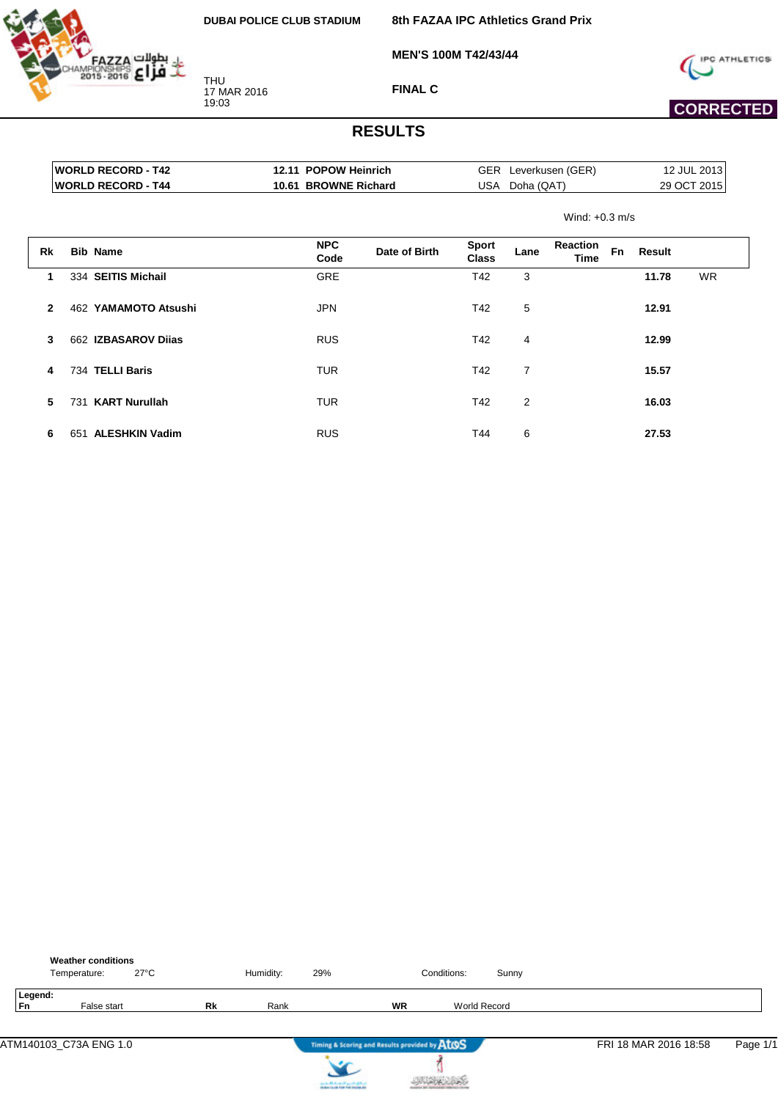

**8th FAZAA IPC Athletics Grand Prix**

**MEN'S 100M T42/43/44**



 **CORRECTED** 

**FINAL C**

|                            | ----                 |                      |             |
|----------------------------|----------------------|----------------------|-------------|
|                            |                      | Wind: $+0.3$ m/s     |             |
| <b>IWORLD RECORD - T44</b> | 10.61 BROWNE Richard | USA Doha (QAT)       | 29 OCT 2015 |
| <b>IWORLD RECORD - T42</b> | 12.11 POPOW Heinrich | GER Leverkusen (GER) | 12 JUL 2013 |

| Rk           | <b>Bib Name</b>              | <b>NPC</b><br>Code | Date of Birth | <b>Sport</b><br>Class | Lane           | <b>Reaction</b><br><b>Time</b> | Fn | Result |           |
|--------------|------------------------------|--------------------|---------------|-----------------------|----------------|--------------------------------|----|--------|-----------|
| 1            | 334 SEITIS Michail           | <b>GRE</b>         |               | T42                   | 3              |                                |    | 11.78  | <b>WR</b> |
| $\mathbf{2}$ | 462 YAMAMOTO Atsushi         | <b>JPN</b>         |               | T42                   | 5              |                                |    | 12.91  |           |
| 3            | 662 IZBASAROV Dijas          | <b>RUS</b>         |               | T42                   | 4              |                                |    | 12.99  |           |
| 4            | 734 TELLI Baris              | <b>TUR</b>         |               | T42                   | $\overline{7}$ |                                |    | 15.57  |           |
| 5            | <b>KART Nurullah</b><br>731  | <b>TUR</b>         |               | T42                   | 2              |                                |    | 16.03  |           |
| 6            | <b>ALESHKIN Vadim</b><br>651 | <b>RUS</b>         |               | T44                   | 6              |                                |    | 27.53  |           |

|               | Temperature: | <b>Weather conditions</b> | $27^{\circ}$ C |    | Humidity: | 29% |                                               | Conditions:         | Sunny |                       |          |
|---------------|--------------|---------------------------|----------------|----|-----------|-----|-----------------------------------------------|---------------------|-------|-----------------------|----------|
| Legend:<br>Fn |              | False start               |                | Rk | Rank      |     | <b>WR</b>                                     | <b>World Record</b> |       |                       |          |
|               |              | ATM140103_C73A ENG 1.0    |                |    |           |     | Timing & Scoring and Results provided by ATOS |                     |       | FRI 18 MAR 2016 18:58 | Page 1/1 |



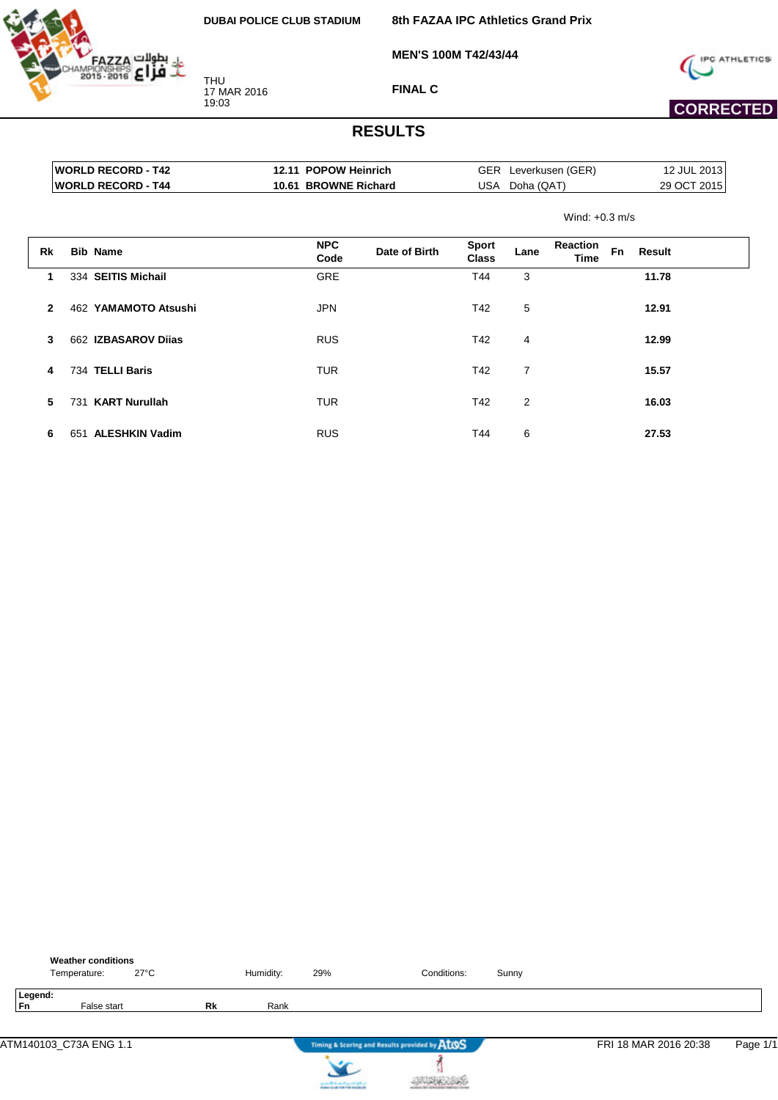

**8th FAZAA IPC Athletics Grand Prix**

**MEN'S 100M T42/43/44**



 **CORRECTED** 

**FINAL C**

| Leverkusen (GER)<br>Doha (QAT)<br>Wind: $+0.3$ m/s | 12 JUL 2013<br>29 OCT 2015 |
|----------------------------------------------------|----------------------------|
|                                                    |                            |
|                                                    |                            |
|                                                    |                            |
| <b>Reaction</b><br>Fn<br>Time                      | Result                     |
|                                                    | 11.78                      |
|                                                    | 12.91                      |
|                                                    | 12.99                      |
|                                                    |                            |

| 4 | 734 TELLI Baris     | TUR        | T42 |   | 15.57 |
|---|---------------------|------------|-----|---|-------|
|   | 5 731 KART Nurullah | TUR        | T42 | 2 | 16.03 |
| 6 | 651 ALESHKIN Vadim  | <b>RUS</b> | T44 | 6 | 27.53 |

|               | <b>Weather conditions</b><br>Temperature: |             | $27^{\circ}$ C |           | Humidity: | 29% | Conditions:                                   | Sunny |                       |          |
|---------------|-------------------------------------------|-------------|----------------|-----------|-----------|-----|-----------------------------------------------|-------|-----------------------|----------|
| Legend:<br>Fn |                                           | False start |                | <b>Rk</b> | Rank      |     |                                               |       |                       |          |
|               | ATM140103_C73A ENG 1.1                    |             |                |           |           |     | Timing & Scoring and Results provided by AtOS |       | FRI 18 MAR 2016 20:38 | Page 1/1 |

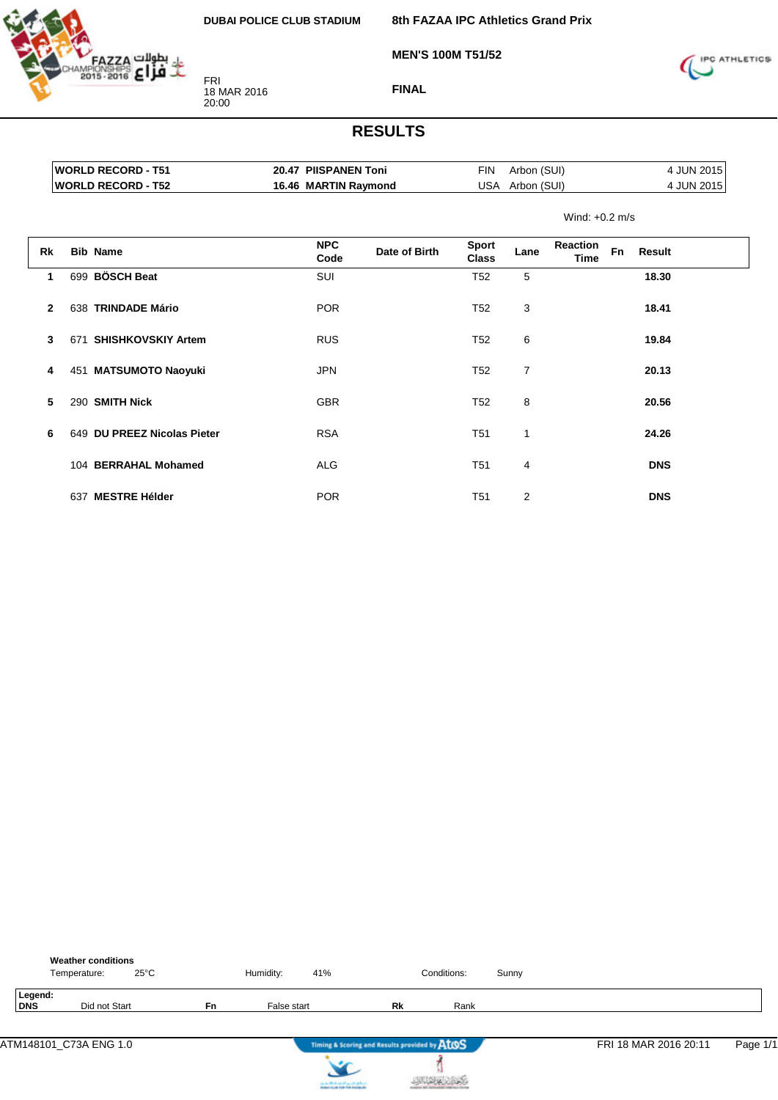**MEN'S 100M T51/52**



FRI 18 MAR 2016 20:00



**FINAL**

|                |     | <b>WORLD RECORD - T51</b> | 20.47 PIISPANEN Toni |               | <b>FIN</b>                   | Arbon (SUI)    |                         |           | 4 JUN 2015 |  |
|----------------|-----|---------------------------|----------------------|---------------|------------------------------|----------------|-------------------------|-----------|------------|--|
|                |     | <b>WORLD RECORD - T52</b> | 16.46 MARTIN Raymond |               | USA                          | Arbon (SUI)    |                         |           | 4 JUN 2015 |  |
|                |     |                           |                      |               |                              |                | Wind: $+0.2$ m/s        |           |            |  |
| Rk             |     | <b>Bib Name</b>           | <b>NPC</b><br>Code   | Date of Birth | <b>Sport</b><br><b>Class</b> | Lane           | <b>Reaction</b><br>Time | <b>Fn</b> | Result     |  |
| $\mathbf{1}$   | 699 | <b>BÖSCH Beat</b>         | <b>SUI</b>           |               | T <sub>52</sub>              | 5              |                         |           | 18.30      |  |
| $\overline{2}$ | 638 | <b>TRINDADE Mário</b>     | <b>POR</b>           |               | T52                          | 3              |                         |           | 18.41      |  |
| 3              | 671 | <b>SHISHKOVSKIY Artem</b> | <b>RUS</b>           |               | T <sub>52</sub>              | 6              |                         |           | 19.84      |  |
| 4              | 451 | <b>MATSUMOTO Naoyuki</b>  | <b>JPN</b>           |               | T <sub>52</sub>              | $\overline{7}$ |                         |           | 20.13      |  |
| 5              | 290 | <b>SMITH Nick</b>         | <b>GBR</b>           |               | T <sub>52</sub>              | 8              |                         |           | 20.56      |  |

| 5  | 290 SMITH Nick              | <b>GBR</b> | T52             | 8 | 20.56      |
|----|-----------------------------|------------|-----------------|---|------------|
| 6. | 649 DU PREEZ Nicolas Pieter | <b>RSA</b> | T <sub>51</sub> | 1 | 24.26      |
|    | 104 BERRAHAL Mohamed        | <b>ALG</b> | T51             | 4 | <b>DNS</b> |
|    | <b>MESTRE Hélder</b><br>637 | <b>POR</b> | T51             | 2 | <b>DNS</b> |

|                | <b>Weather conditions</b><br>$25^{\circ}$ C<br>Temperature: |           | Humidity:   | 41%                                           |    | Conditions: | Sunny |                       |          |
|----------------|-------------------------------------------------------------|-----------|-------------|-----------------------------------------------|----|-------------|-------|-----------------------|----------|
| Legend:<br>DNS | Did not Start                                               | <b>Fn</b> | False start |                                               | Rk | Rank        |       |                       |          |
|                | ATM148101_C73A ENG 1.0                                      |           |             | Timing & Scoring and Results provided by ATOS |    |             |       | FRI 18 MAR 2016 20:11 | Page 1/1 |



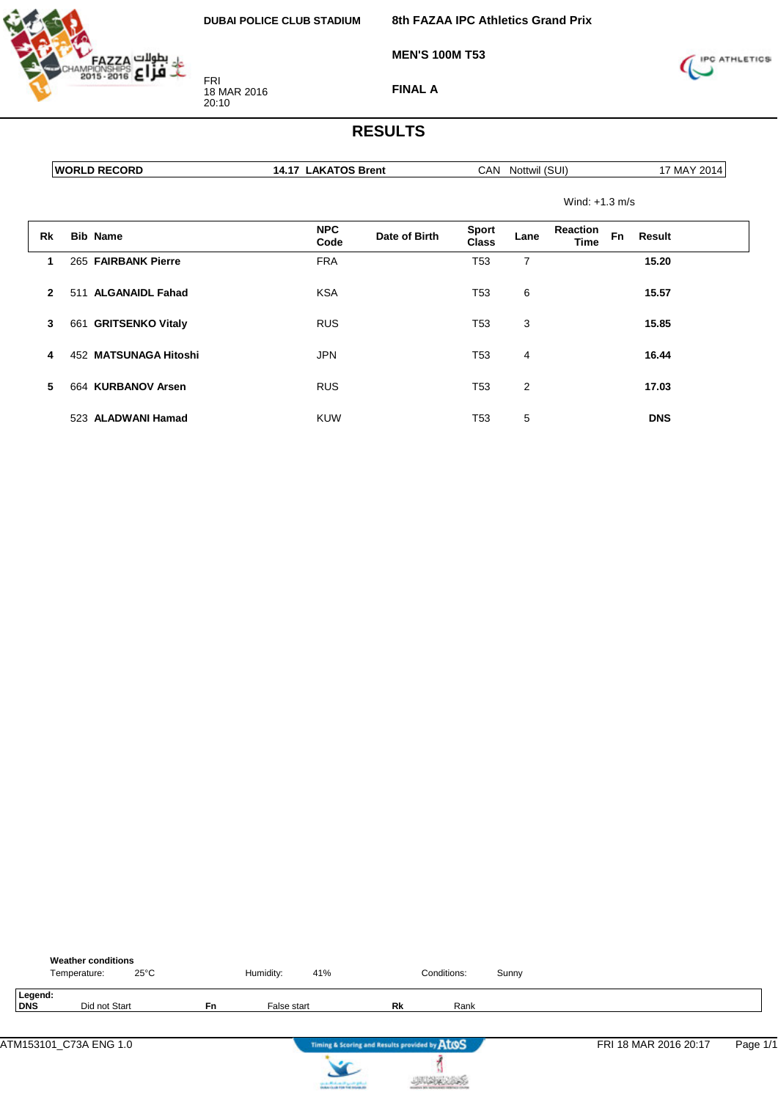

FRI 18 MAR 2016 20:10

**8th FAZAA IPC Athletics Grand Prix**

**MEN'S 100M T53**



**FINAL A**

|              | <b>WORLD RECORD</b>   | <b>14.17 LAKATOS Brent</b>          | CAN Nottwil (SUI)                    | 17 MAY 2014                                           |  |
|--------------|-----------------------|-------------------------------------|--------------------------------------|-------------------------------------------------------|--|
|              |                       |                                     |                                      | Wind: $+1.3$ m/s                                      |  |
| Rk           | <b>Bib Name</b>       | <b>NPC</b><br>Date of Birth<br>Code | <b>Sport</b><br>Lane<br><b>Class</b> | <b>Reaction</b><br><b>Fn</b><br>Result<br><b>Time</b> |  |
| 1            | 265 FAIRBANK Pierre   | <b>FRA</b>                          | T <sub>53</sub><br>$\overline{7}$    | 15.20                                                 |  |
| $\mathbf{2}$ | 511 ALGANAIDL Fahad   | <b>KSA</b>                          | 6<br>T <sub>53</sub>                 | 15.57                                                 |  |
| 3            | 661 GRITSENKO Vitaly  | <b>RUS</b>                          | 3<br>T53                             | 15.85                                                 |  |
| 4            | 452 MATSUNAGA Hitoshi | <b>JPN</b>                          | T <sub>53</sub><br>4                 | 16.44                                                 |  |
| 5            | 664 KURBANOV Arsen    | <b>RUS</b>                          | T <sub>53</sub><br>$\overline{2}$    | 17.03                                                 |  |
|              | 523 ALADWANI Hamad    | <b>KUW</b>                          | 5<br>T53                             | <b>DNS</b>                                            |  |

|                | Temperature: | <b>Weather conditions</b><br>$25^{\circ}$ C |           | Humidity:   | 41%                                           | Conditions: | Sunny |                       |          |
|----------------|--------------|---------------------------------------------|-----------|-------------|-----------------------------------------------|-------------|-------|-----------------------|----------|
| Legend:<br>DNS |              | Did not Start                               | <b>Fn</b> | False start | Rk                                            | Rank        |       |                       |          |
|                |              | ATM153101_C73A ENG 1.0                      |           |             | Timing & Scoring and Results provided by AtOS |             |       | FRI 18 MAR 2016 20:17 | Page 1/1 |



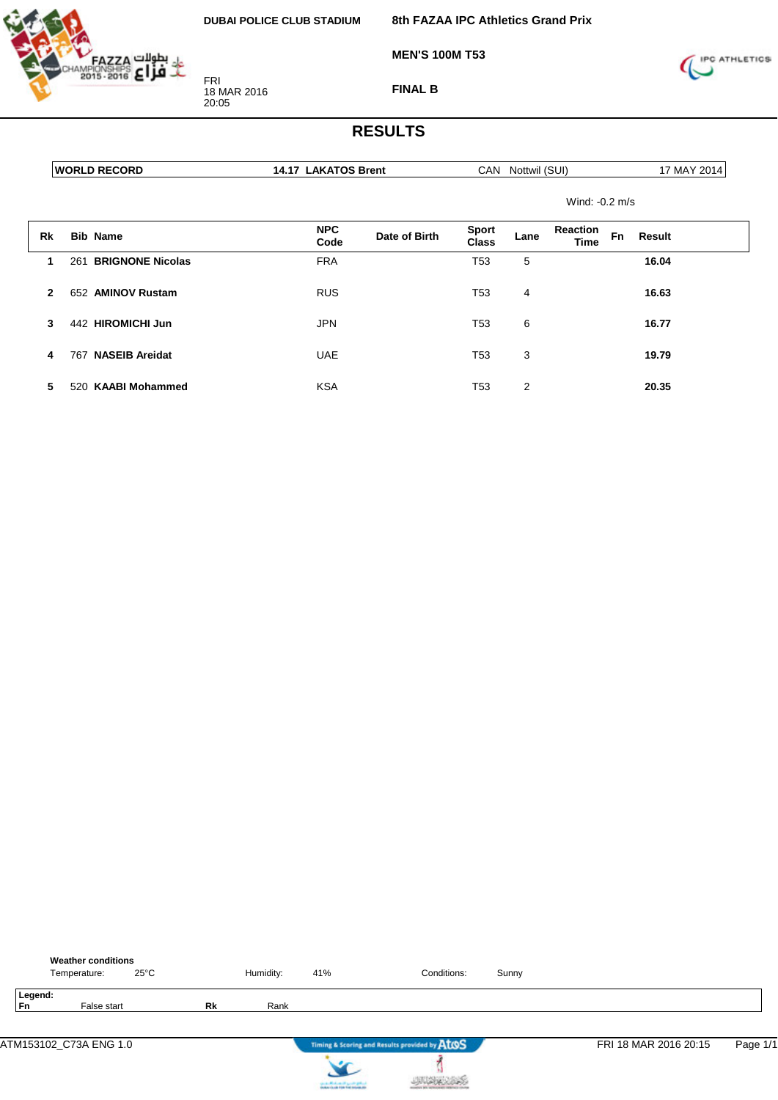

18 MAR 2016

FRI

20:05

**8th FAZAA IPC Athletics Grand Prix**

**MEN'S 100M T53**



**FINAL B**

### **RESULTS**

|    | <b>WORLD RECORD</b>            | <b>14.17 LAKATOS Brent</b> |               | <b>CAN</b>                   | Nottwil (SUI) |                                |    | 17 MAY 2014 |  |
|----|--------------------------------|----------------------------|---------------|------------------------------|---------------|--------------------------------|----|-------------|--|
|    |                                |                            |               |                              |               | Wind: $-0.2$ m/s               |    |             |  |
| Rk | <b>Bib Name</b>                | <b>NPC</b><br>Code         | Date of Birth | <b>Sport</b><br><b>Class</b> | Lane          | <b>Reaction</b><br><b>Time</b> | Fn | Result      |  |
|    | <b>BRIGNONE Nicolas</b><br>261 | <b>FRA</b>                 |               | T53                          | 5             |                                |    | 16.04       |  |
|    | 652 AMINOV Rustam              | <b>RUS</b>                 |               | T53                          | 4             |                                |    | 16.63       |  |

**3** 442 **HIROMICHI Jun** JPN T53 6 **16.77**

**4** 767 **NASEIB Areidat** UAE T53 3 **19.79**

**5** 520 **KAABI Mohammed** KSA T53 2 **20.35**

|               | <b>Weather conditions</b><br>Temperature: | $25^{\circ}$ C |           | Humidity: | 41%                                                                                     | Conditions:                                   | Sunny |                       |          |
|---------------|-------------------------------------------|----------------|-----------|-----------|-----------------------------------------------------------------------------------------|-----------------------------------------------|-------|-----------------------|----------|
| Legend:<br>Fn | False start                               |                | <b>Rk</b> | Rank      |                                                                                         |                                               |       |                       |          |
|               | ATM153102_C73A ENG 1.0                    |                |           |           |                                                                                         | Timing & Scoring and Results provided by AtOS |       | FRI 18 MAR 2016 20:15 | Page 1/1 |
|               |                                           |                |           |           | the state official control specific grants.<br>Notice the site free field induced after |                                               |       |                       |          |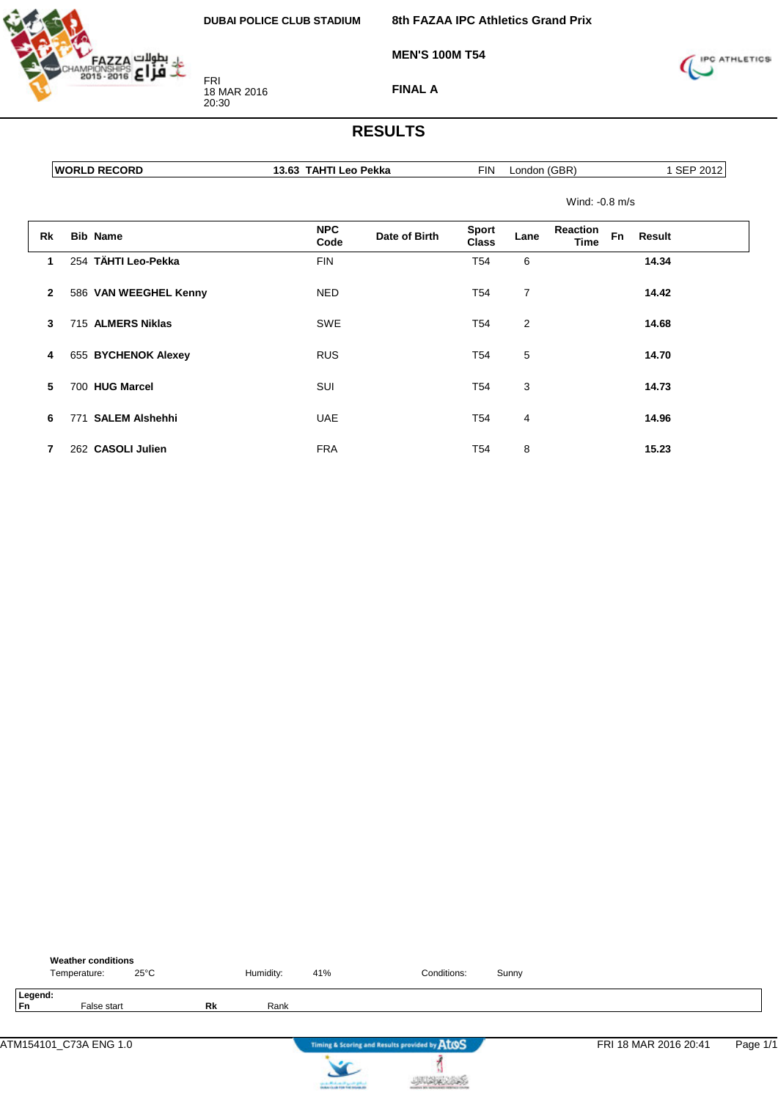

FRI 18 MAR 2016 20:30

**8th FAZAA IPC Athletics Grand Prix**

**MEN'S 100M T54**



**FINAL A**

| <b>WORLD RECORD</b>   | 13.63 TAHTI Leo Pekka |               | <b>FIN</b>                   | London (GBR) |                         |    | 1 SEP 2012 |
|-----------------------|-----------------------|---------------|------------------------------|--------------|-------------------------|----|------------|
|                       |                       |               |                              |              | Wind: $-0.8$ m/s        |    |            |
| Rk<br><b>Bib Name</b> | <b>NPC</b><br>Code    | Date of Birth | <b>Sport</b><br><b>Class</b> | Lane         | Reaction<br><b>Time</b> | Fn | Result     |

| 1            | 254 TÄHTI Leo-Pekka          | <b>FIN</b> | T <sub>54</sub><br>6 | 14.34 |
|--------------|------------------------------|------------|----------------------|-------|
| $\mathbf{2}$ | 586 VAN WEEGHEL Kenny        | <b>NED</b> | T <sub>54</sub><br>7 | 14.42 |
| 3            | 715 ALMERS Niklas            | <b>SWE</b> | T <sub>54</sub><br>2 | 14.68 |
| 4            | 655 BYCHENOK Alexey          | <b>RUS</b> | T <sub>54</sub><br>5 | 14.70 |
| 5            | 700 HUG Marcel               | <b>SUI</b> | T <sub>54</sub><br>3 | 14.73 |
| 6            | <b>SALEM Alshehhi</b><br>771 | <b>UAE</b> | T <sub>54</sub><br>4 | 14.96 |
|              | 262 CASOLI Julien            | <b>FRA</b> | T <sub>54</sub><br>8 | 15.23 |

|               | <b>Weather conditions</b><br>Temperature: | $25^{\circ}$ C |    | Humidity: | 41% | Conditions:                                   | Sunny |                       |          |
|---------------|-------------------------------------------|----------------|----|-----------|-----|-----------------------------------------------|-------|-----------------------|----------|
| Legend:<br>Fn | False start                               |                | Rk | Rank      |     |                                               |       |                       |          |
|               | ATM154101_C73A ENG 1.0                    |                |    |           |     | Timing & Scoring and Results provided by AtOS |       | FRI 18 MAR 2016 20:41 | Page 1/1 |
|               |                                           |                |    |           |     |                                               |       |                       |          |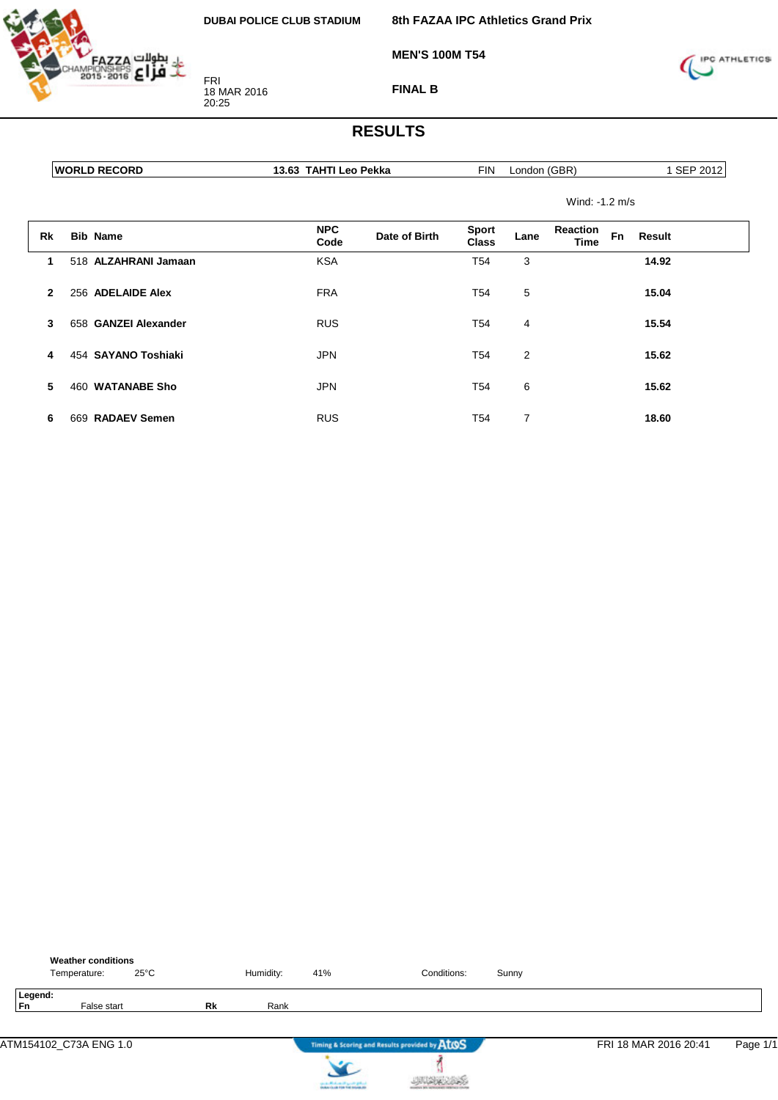

FRI 18 MAR 2016 20:25

**8th FAZAA IPC Athletics Grand Prix**

**MEN'S 100M T54**



**FINAL B**

### **RESULTS**

|                | <b>WORLD RECORD</b>  | 13.63 TAHTI Leo Pekka |               | <b>FIN</b>                   | London (GBR)   |                                |           | 1 SEP 2012 |
|----------------|----------------------|-----------------------|---------------|------------------------------|----------------|--------------------------------|-----------|------------|
|                |                      |                       |               |                              |                | Wind: -1.2 m/s                 |           |            |
| Rk             | <b>Bib Name</b>      | <b>NPC</b><br>Code    | Date of Birth | <b>Sport</b><br><b>Class</b> | Lane           | <b>Reaction</b><br><b>Time</b> | <b>Fn</b> | Result     |
|                | 518 ALZAHRANI Jamaan | <b>KSA</b>            |               | T54                          | 3              |                                |           | 14.92      |
| $\overline{2}$ | 256 ADELAIDE Alex    | <b>FRA</b>            |               | T54                          | 5              |                                |           | 15.04      |
| 3              | 658 GANZEI Alexander | <b>RUS</b>            |               | T54                          | 4              |                                |           | 15.54      |
| 4              | 454 SAYANO Toshiaki  | <b>JPN</b>            |               | T54                          | $\overline{2}$ |                                |           | 15.62      |

**5** 460 **WATANABE Sho** JPN T54 6 **15.62**

| 6 669 RADAEV Semen | <b>RUS</b> | T54 | 18.60 |
|--------------------|------------|-----|-------|

|               | <b>Weather conditions</b><br>Temperature: | $25^{\circ}$ C |    | Humidity: | 41%                                          | Conditions:                                   | Sunny |                       |          |
|---------------|-------------------------------------------|----------------|----|-----------|----------------------------------------------|-----------------------------------------------|-------|-----------------------|----------|
| Legend:<br>Fn | False start                               |                | Rk | Rank      |                                              |                                               |       |                       |          |
|               | ATM154102_C73A ENG 1.0                    |                |    |           |                                              | Timing & Scoring and Results provided by AtOS |       | FRI 18 MAR 2016 20:41 | Page 1/1 |
|               |                                           |                |    |           | <b>Contact Contact Contact Service State</b> |                                               |       |                       |          |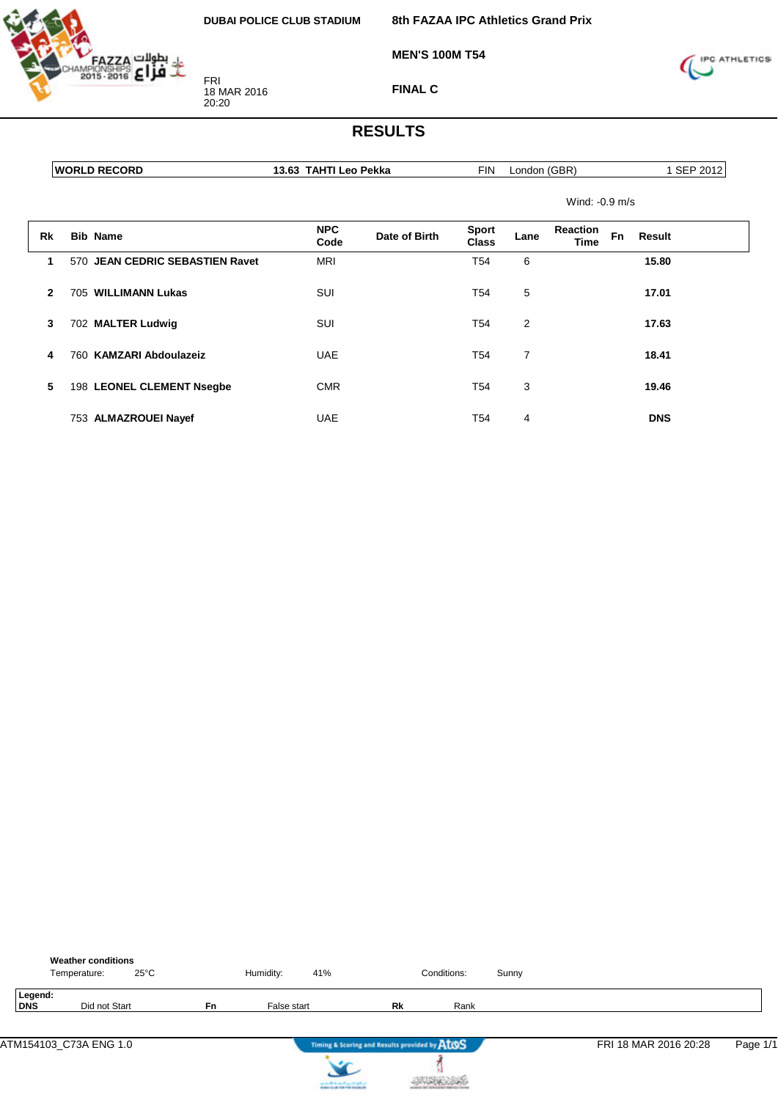

**MEN'S 100M T54**

FRI 18 MAR 2016 20:20

**FINAL C**

**8th FAZAA IPC Athletics Grand Prix**



## **RESULTS**

**13.63 TAHTI Leo Pekka** FIN London (GBR) 1 SEP 2012

Wind: -0.9 m/s

| Rk           | <b>Bib Name</b>                 | <b>NPC</b><br>Code | Date of Birth | <b>Sport</b><br><b>Class</b> | Lane | <b>Reaction</b><br>Time | <b>Fn</b> | <b>Result</b> |
|--------------|---------------------------------|--------------------|---------------|------------------------------|------|-------------------------|-----------|---------------|
|              | 570 JEAN CEDRIC SEBASTIEN Ravet | <b>MRI</b>         |               | T <sub>54</sub>              | 6    |                         |           | 15.80         |
| $\mathbf{2}$ | 705 WILLIMANN Lukas             | SUI                |               | T <sub>54</sub>              | 5    |                         |           | 17.01         |
| 3            | 702 MALTER Ludwig               | SUI                |               | T54                          | 2    |                         |           | 17.63         |
| 4            | 760 KAMZARI Abdoulazeiz         | <b>UAE</b>         |               | T <sub>54</sub>              | 7    |                         |           | 18.41         |
| 5            | 198 LEONEL CLEMENT Nsegbe       | <b>CMR</b>         |               | T54                          | 3    |                         |           | 19.46         |
|              | 753 ALMAZROUEI Nayef            | <b>UAE</b>         |               | T54                          | 4    |                         |           | <b>DNS</b>    |

|                | <b>Weather conditions</b><br>Temperature: | $25^{\circ}$ C |           | Humidity:   | 41% |                                               | Conditions: | Sunny |                       |          |
|----------------|-------------------------------------------|----------------|-----------|-------------|-----|-----------------------------------------------|-------------|-------|-----------------------|----------|
| Legend:<br>DNS | Did not Start                             |                | <b>Fn</b> | False start |     | Rk                                            | Rank        |       |                       |          |
|                | ATM154103_C73A ENG 1.0                    |                |           |             |     | Timing & Scoring and Results provided by AtOS |             |       | FRI 18 MAR 2016 20:28 | Page 1/1 |



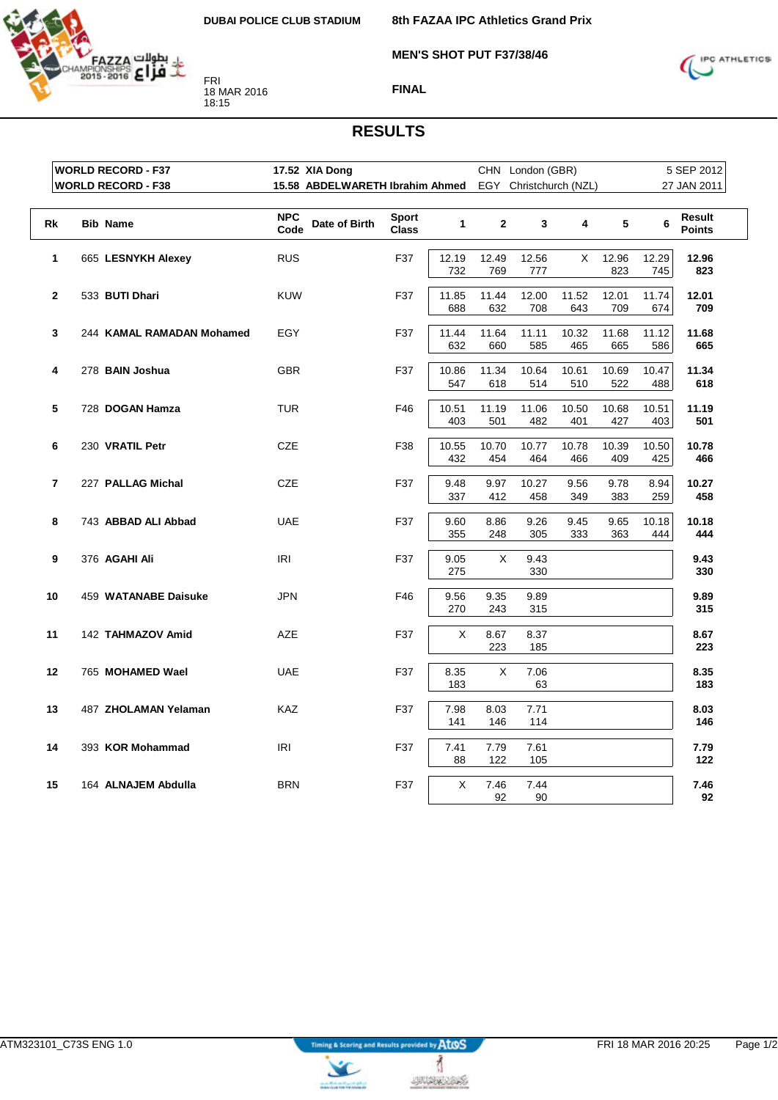

**8th FAZAA IPC Athletics Grand Prix**

**MEN'S SHOT PUT F37/38/46**



**FINAL**

#### **RESULTS**

|                         | <b>WORLD RECORD - F37</b> | 17.52 XIA Dong                                         |                              |              |              | CHN London (GBR) |              |              |              | 5 SEP 2012              |
|-------------------------|---------------------------|--------------------------------------------------------|------------------------------|--------------|--------------|------------------|--------------|--------------|--------------|-------------------------|
|                         | <b>WORLD RECORD - F38</b> | 15.58 ABDELWARETH Ibrahim Ahmed EGY Christchurch (NZL) |                              |              |              |                  |              |              |              | 27 JAN 2011             |
| Rk                      | <b>Bib Name</b>           | <b>NPC</b><br>Date of Birth<br>Code                    | <b>Sport</b><br><b>Class</b> | $\mathbf{1}$ | $\mathbf{2}$ | 3                | 4            | 5            | 6            | Result<br><b>Points</b> |
| 1                       | 665 LESNYKH Alexey        | <b>RUS</b>                                             | F37                          | 12.19<br>732 | 12.49<br>769 | 12.56<br>777     | X            | 12.96<br>823 | 12.29<br>745 | 12.96<br>823            |
| $\mathbf{2}$            | 533 BUTI Dhari            | <b>KUW</b>                                             | F37                          | 11.85<br>688 | 11.44<br>632 | 12.00<br>708     | 11.52<br>643 | 12.01<br>709 | 11.74<br>674 | 12.01<br>709            |
| 3                       | 244 KAMAL RAMADAN Mohamed | EGY                                                    | F37                          | 11.44<br>632 | 11.64<br>660 | 11.11<br>585     | 10.32<br>465 | 11.68<br>665 | 11.12<br>586 | 11.68<br>665            |
| 4                       | 278 BAIN Joshua           | <b>GBR</b>                                             | F37                          | 10.86<br>547 | 11.34<br>618 | 10.64<br>514     | 10.61<br>510 | 10.69<br>522 | 10.47<br>488 | 11.34<br>618            |
| 5                       | 728 DOGAN Hamza           | <b>TUR</b>                                             | F46                          | 10.51<br>403 | 11.19<br>501 | 11.06<br>482     | 10.50<br>401 | 10.68<br>427 | 10.51<br>403 | 11.19<br>501            |
| 6                       | 230 VRATIL Petr           | <b>CZE</b>                                             | F38                          | 10.55<br>432 | 10.70<br>454 | 10.77<br>464     | 10.78<br>466 | 10.39<br>409 | 10.50<br>425 | 10.78<br>466            |
| $\overline{\mathbf{r}}$ | 227 PALLAG Michal         | <b>CZE</b>                                             | F37                          | 9.48<br>337  | 9.97<br>412  | 10.27<br>458     | 9.56<br>349  | 9.78<br>383  | 8.94<br>259  | 10.27<br>458            |
| 8                       | 743 ABBAD ALI Abbad       | <b>UAE</b>                                             | F37                          | 9.60<br>355  | 8.86<br>248  | 9.26<br>305      | 9.45<br>333  | 9.65<br>363  | 10.18<br>444 | 10.18<br>444            |
| 9                       | 376 AGAHI Ali             | IRI                                                    | F37                          | 9.05<br>275  | X            | 9.43<br>330      |              |              |              | 9.43<br>330             |
| 10                      | 459 WATANABE Daisuke      | <b>JPN</b>                                             | F46                          | 9.56<br>270  | 9.35<br>243  | 9.89<br>315      |              |              |              | 9.89<br>315             |
| 11                      | 142 TAHMAZOV Amid         | <b>AZE</b>                                             | F37                          | X            | 8.67<br>223  | 8.37<br>185      |              |              |              | 8.67<br>223             |
| 12                      | 765 MOHAMED Wael          | <b>UAE</b>                                             | F37                          | 8.35<br>183  | X            | 7.06<br>63       |              |              |              | 8.35<br>183             |
| 13                      | 487 ZHOLAMAN Yelaman      | <b>KAZ</b>                                             | F37                          | 7.98<br>141  | 8.03<br>146  | 7.71<br>114      |              |              |              | 8.03<br>146             |
| 14                      | 393 KOR Mohammad          | IRI                                                    | F37                          | 7.41<br>88   | 7.79<br>122  | 7.61<br>105      |              |              |              | 7.79<br>122             |
| 15                      | 164 ALNAJEM Abdulla       | <b>BRN</b>                                             | F37                          | X            | 7.46<br>92   | 7.44<br>90       |              |              |              | 7.46<br>92              |

**UNIQUESS** 

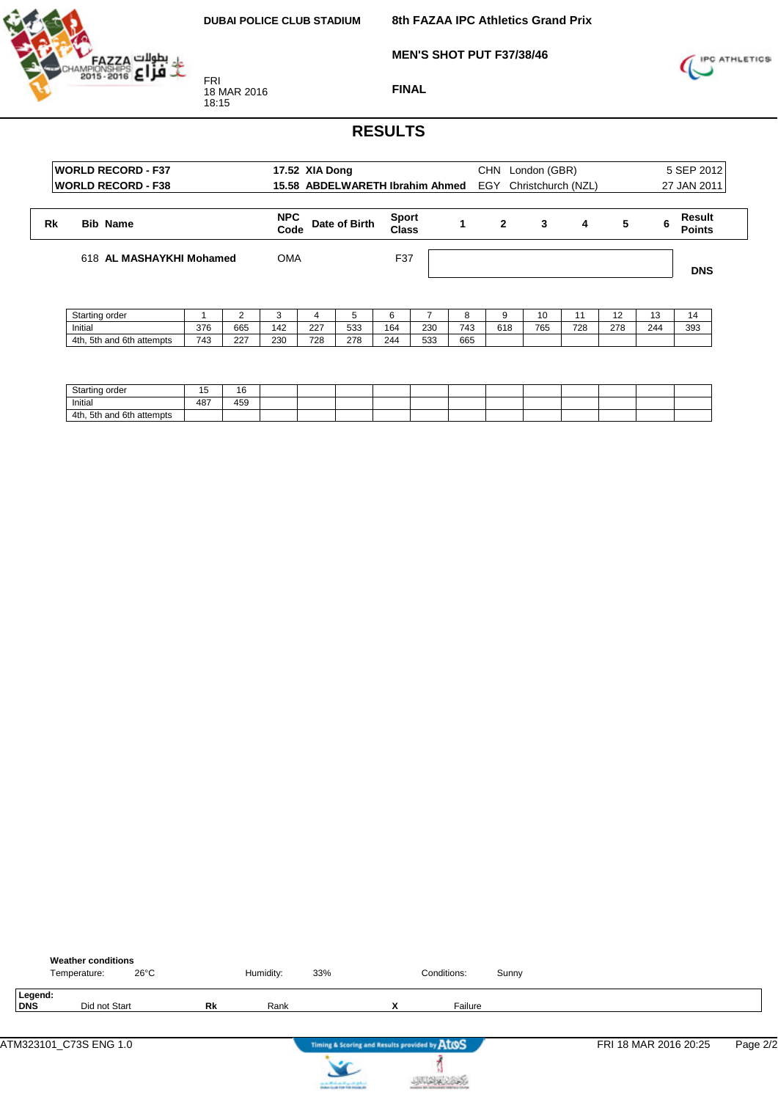**8th FAZAA IPC Athletics Grand Prix**



**MEN'S SHOT PUT F37/38/46**



**FINAL**

|    | <b>WORLD RECORD - F37</b><br><b>WORLD RECORD - F38</b> |     |     |                    | 17.52 XIA Dong | 15.58 ABDELWARETH Ibrahim Ahmed |                              |     |     | <b>CHN</b><br>EGY | London (GBR) | Christchurch (NZL) |     |     | 5 SEP 2012<br>27 JAN 2011 |
|----|--------------------------------------------------------|-----|-----|--------------------|----------------|---------------------------------|------------------------------|-----|-----|-------------------|--------------|--------------------|-----|-----|---------------------------|
| Rk | <b>Bib Name</b>                                        |     |     | <b>NPC</b><br>Code |                | Date of Birth                   | <b>Sport</b><br><b>Class</b> |     |     | $\mathbf{2}$      | 3            | 4                  | 5   | 6   | Result<br><b>Points</b>   |
|    | 618 AL MASHAYKHI Mohamed                               |     |     | <b>OMA</b>         |                |                                 | F37                          |     |     |                   |              |                    |     |     | <b>DNS</b>                |
|    | Starting order                                         |     |     | 3                  | 4              | 5                               | 6                            |     | 8   | g                 | 10           | 11                 | 12  | 13  | 14                        |
|    | Initial                                                | 376 | 665 | 142                | 227            | 533                             | 164                          | 230 | 743 | 618               | 765          | 728                | 278 | 244 | 393                       |
|    | 4th, 5th and 6th attempts                              | 743 | 227 | 230                | 728            | 278                             | 244                          | 533 | 665 |                   |              |                    |     |     |                           |

| $C + c$<br>−tartinر<br>ordo.<br>. uc | $\sim$<br>∽<br> | 16  |  |  |  |  |  |  |
|--------------------------------------|-----------------|-----|--|--|--|--|--|--|
| Initial                              | 487             | 459 |  |  |  |  |  |  |
| 4th, 5th and 6th<br>attempts         |                 |     |  |  |  |  |  |  |

|                       | Temperature: | <b>Weather conditions</b> | $26^{\circ}$ C |    | Humidity: | 33% |                                               | Conditions: | Sunny |                       |          |
|-----------------------|--------------|---------------------------|----------------|----|-----------|-----|-----------------------------------------------|-------------|-------|-----------------------|----------|
| Legend:<br><b>DNS</b> |              | Did not Start             |                | Rk | Rank      |     | $\checkmark$<br>^                             | Failure     |       |                       |          |
|                       |              |                           |                |    |           |     | Timing & Scoring and Results provided by AtOS |             |       | FRI 18 MAR 2016 20:25 | Page 2/2 |



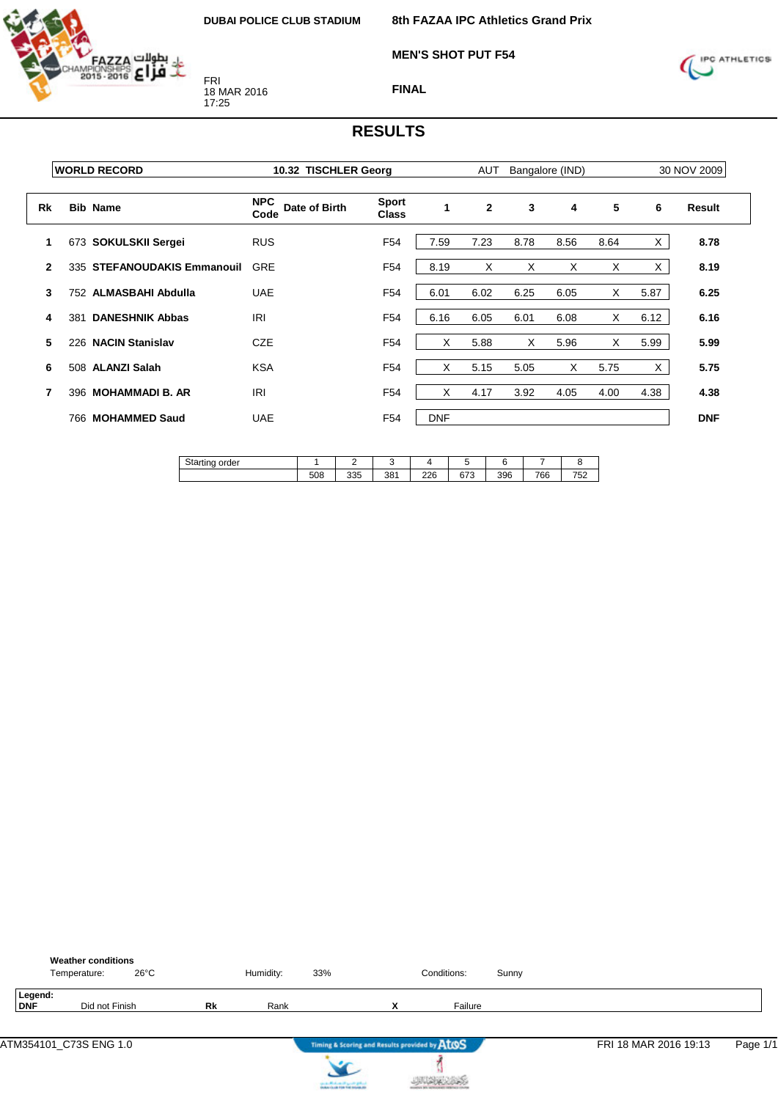

**MEN'S SHOT PUT F54**



**FINAL**

|              |     | <b>WORLD RECORD</b>         | 10.32 TISCHLER Georg                |                              |              | <b>AUT</b>   |      | Bangalore (IND) |      |      | 30 NOV 2009 |
|--------------|-----|-----------------------------|-------------------------------------|------------------------------|--------------|--------------|------|-----------------|------|------|-------------|
| <b>Rk</b>    |     | <b>Bib Name</b>             | <b>NPC</b><br>Date of Birth<br>Code | <b>Sport</b><br><b>Class</b> | $\mathbf{1}$ | $\mathbf{2}$ | 3    | 4               | 5    | 6    | Result      |
|              |     | 673 SOKULSKII Sergei        | <b>RUS</b>                          | F54                          | 7.59         | 7.23         | 8.78 | 8.56            | 8.64 | X    | 8.78        |
| $\mathbf{2}$ |     | 335 STEFANOUDAKIS Emmanouil | <b>GRE</b>                          | F <sub>54</sub>              | 8.19         | X            | X    | X               | X    | X    | 8.19        |
| 3            |     | 752 ALMASBAHI Abdulla       | <b>UAE</b>                          | F54                          | 6.01         | 6.02         | 6.25 | 6.05            | X    | 5.87 | 6.25        |
| 4            | 381 | <b>DANESHNIK Abbas</b>      | <b>IRI</b>                          | F <sub>54</sub>              | 6.16         | 6.05         | 6.01 | 6.08            | X    | 6.12 | 6.16        |
| 5            |     | 226 NACIN Stanislav         | <b>CZE</b>                          | F <sub>54</sub>              | X            | 5.88         | X    | 5.96            | X    | 5.99 | 5.99        |
| 6            |     | 508 ALANZI Salah            | <b>KSA</b>                          | F <sub>54</sub>              | X            | 5.15         | 5.05 | X               | 5.75 | X    | 5.75        |
| 7            |     | 396 MOHAMMADI B. AR         | <b>IRI</b>                          | F <sub>54</sub>              | X            | 4.17         | 3.92 | 4.05            | 4.00 | 4.38 | 4.38        |
|              |     | 766 MOHAMMED Saud           | <b>UAE</b>                          | F54                          | <b>DNF</b>   |              |      |                 |      |      | <b>DNF</b>  |
|              |     |                             |                                     |                              |              |              |      |                 |      |      |             |

| $\cap$ to:<br>order<br>tina<br>Jiar<br>$\sim$ |     |            |     |                   |                 |     |     |           |
|-----------------------------------------------|-----|------------|-----|-------------------|-----------------|-----|-----|-----------|
|                                               | 508 | ろうど<br>ააა | 381 | <b>OOC</b><br>220 | $\sim$<br>ט ו ט | 396 | 766 | 750<br>J۷ |

|                | <b>Weather conditions</b><br>$26^{\circ}$ C<br>Temperature: |           | Humidity: | 33%                                                               |   | Conditions: | Sunny |                       |          |
|----------------|-------------------------------------------------------------|-----------|-----------|-------------------------------------------------------------------|---|-------------|-------|-----------------------|----------|
| Legend:<br>DNF | Did not Finish                                              | <b>Rk</b> | Rank      |                                                                   | x | Failure     |       |                       |          |
|                | ATM354101_C73S ENG 1.0                                      |           |           | Timing & Scoring and Results provided by AtOS                     |   |             |       | FRI 18 MAR 2016 19:13 | Page 1/1 |
|                |                                                             |           |           | controlled and speed galent.<br>Instantia de File Foi Installatio |   |             |       |                       |          |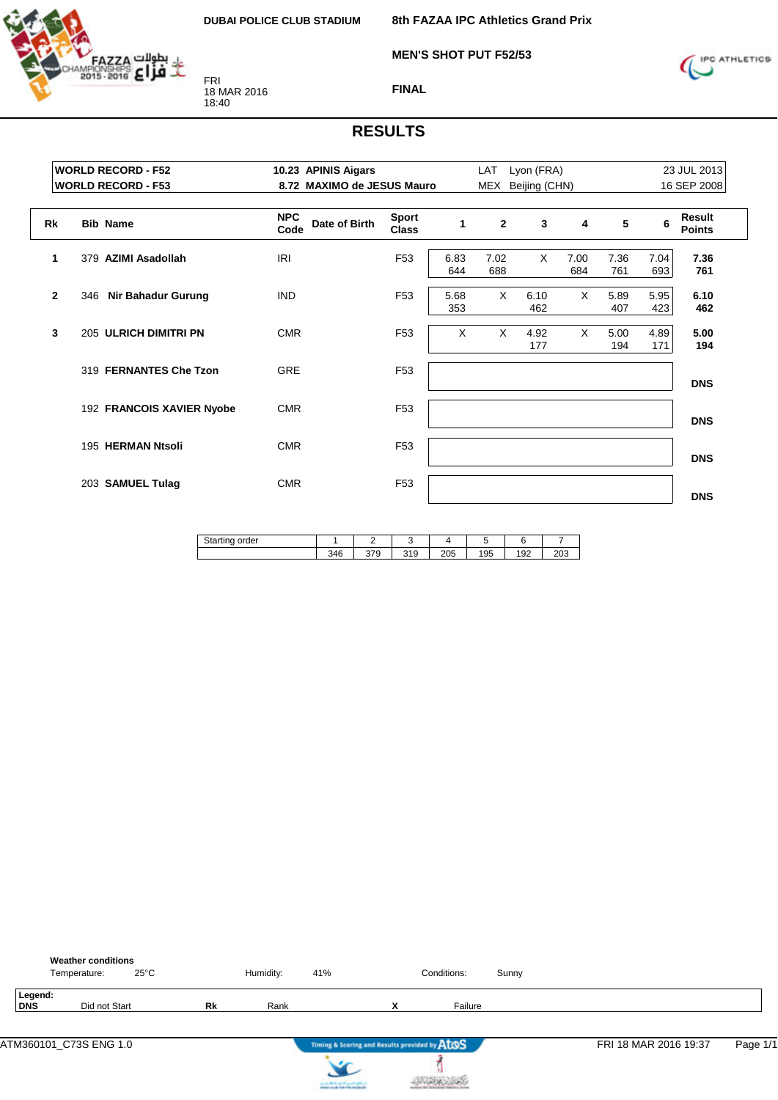

**8th FAZAA IPC Athletics Grand Prix**

**MEN'S SHOT PUT F52/53**



**FINAL**

|              | <b>WORLD RECORD - F52</b><br><b>WORLD RECORD - F53</b> | 10.23 APINIS Aigars<br>8.72 MAXIMO de JESUS Mauro |                              | Lyon (FRA)<br>LAT<br>MEX<br>Beijing (CHN) |              |             |             |             |             | 23 JUL 2013<br>16 SEP 2008 |
|--------------|--------------------------------------------------------|---------------------------------------------------|------------------------------|-------------------------------------------|--------------|-------------|-------------|-------------|-------------|----------------------------|
|              |                                                        |                                                   |                              |                                           |              |             |             |             |             |                            |
| Rk           | <b>Bib Name</b>                                        | <b>NPC</b><br>Date of Birth<br>Code               | <b>Sport</b><br><b>Class</b> | 1                                         | $\mathbf{2}$ | 3           | 4           | 5           | 6           | Result<br><b>Points</b>    |
| 1            | 379 AZIMI Asadollah                                    | IRI                                               | F <sub>53</sub>              | 6.83<br>644                               | 7.02<br>688  | $\times$    | 7.00<br>684 | 7.36<br>761 | 7.04<br>693 | 7.36<br>761                |
| $\mathbf{2}$ | 346 Nir Bahadur Gurung                                 | <b>IND</b>                                        | F <sub>53</sub>              | 5.68<br>353                               | X            | 6.10<br>462 | $\times$    | 5.89<br>407 | 5.95<br>423 | 6.10<br>462                |
| 3            | 205 ULRICH DIMITRI PN                                  | <b>CMR</b>                                        | F <sub>53</sub>              | $\times$                                  | X            | 4.92<br>177 | X           | 5.00<br>194 | 4.89<br>171 | 5.00<br>194                |
|              | 319 FERNANTES Che Tzon                                 | <b>GRE</b>                                        | F <sub>53</sub>              |                                           |              |             |             |             |             | <b>DNS</b>                 |
|              | 192 FRANCOIS XAVIER Nyobe                              | <b>CMR</b>                                        | F <sub>53</sub>              |                                           |              |             |             |             |             | <b>DNS</b>                 |
|              | 195 HERMAN Ntsoli                                      | <b>CMR</b>                                        | F <sub>53</sub>              |                                           |              |             |             |             |             | <b>DNS</b>                 |
|              | 203 SAMUEL Tulag                                       | <b>CMR</b>                                        | F <sub>53</sub>              |                                           |              |             |             |             |             | <b>DNS</b>                 |

| n.<br>order<br>м<br>uallinu ب<br>ັ |            | -                 |           |           |     |              |               |
|------------------------------------|------------|-------------------|-----------|-----------|-----|--------------|---------------|
|                                    | 2AC<br>∪⊤∪ | $\sim$<br>ິ<br>-c | 240<br>15 | つへら<br>∠∪ | 195 | $\sim$<br>ల∠ | $\sim$<br>∠∪√ |

|                | <b>Weather conditions</b><br>Temperature: | $25^{\circ}$ C |           | Humidity: | 41% |                   | Conditions:                                   | Sunny |                       |          |
|----------------|-------------------------------------------|----------------|-----------|-----------|-----|-------------------|-----------------------------------------------|-------|-----------------------|----------|
| Legend:<br>DNS | Did not Start                             |                | <b>Rk</b> | Rank      |     | v<br>$\mathbf{v}$ | Failure                                       |       |                       |          |
|                |                                           |                |           |           |     |                   | Timing & Scoring and Results provided by ATOS |       | FRI 18 MAR 2016 19:37 | Page 1/1 |

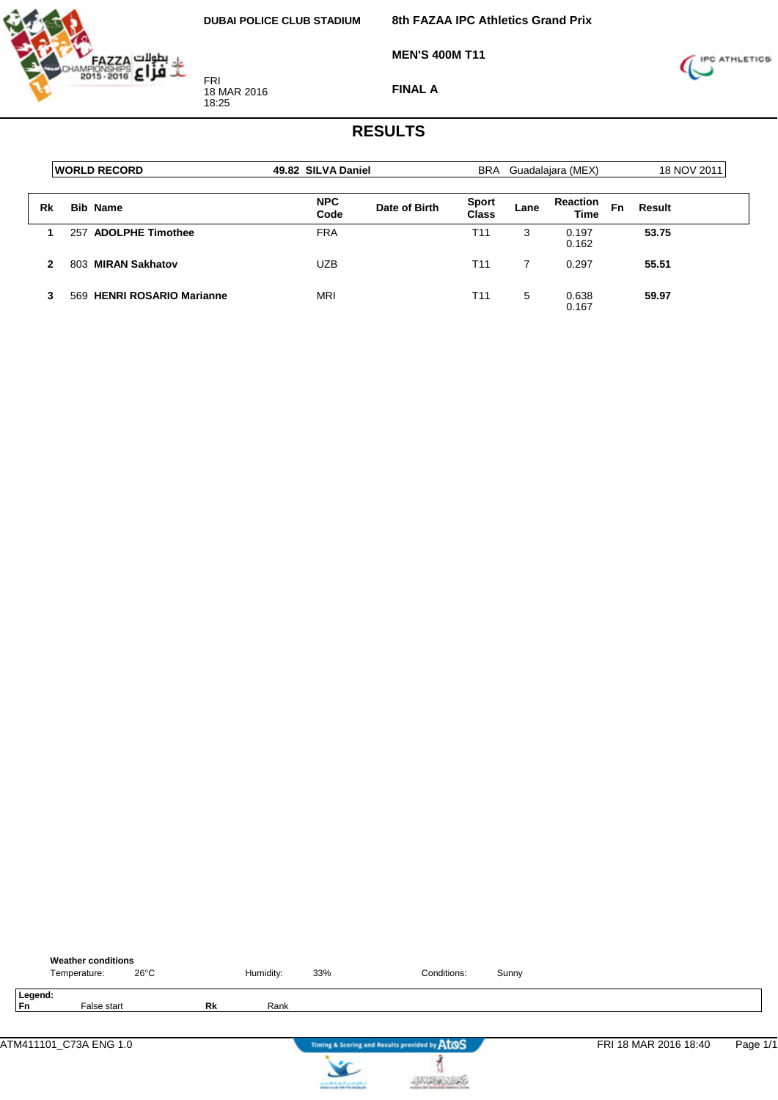

**8th FAZAA IPC Athletics Grand Prix**

**MEN'S 400M T11**



**FINAL A**

|    | <b>WORLD RECORD</b>        | 49.82 SILVA Daniel |               |                       |      | BRA Guadalajara (MEX)          |    | 18 NOV 2011 |
|----|----------------------------|--------------------|---------------|-----------------------|------|--------------------------------|----|-------------|
| Rk | <b>Bib Name</b>            | <b>NPC</b><br>Code | Date of Birth | <b>Sport</b><br>Class | Lane | <b>Reaction</b><br><b>Time</b> | Fn | Result      |
|    | 257 ADOLPHE Timothee       | <b>FRA</b>         |               | T <sub>11</sub>       | 3    | 0.197<br>0.162                 |    | 53.75       |
| 2  | 803 MIRAN Sakhatov         | <b>UZB</b>         |               | T <sub>11</sub>       |      | 0.297                          |    | 55.51       |
| 3  | 569 HENRI ROSARIO Marianne | <b>MRI</b>         |               | T11                   | 5    | 0.638<br>0.167                 |    | 59.97       |

|                      | <b>Weather conditions</b><br>Temperature: | $26^{\circ}$ C |    | Humidity: | 33%                                   | Conditions:                                   | Sunny |                       |          |
|----------------------|-------------------------------------------|----------------|----|-----------|---------------------------------------|-----------------------------------------------|-------|-----------------------|----------|
| Legend:<br><b>Fn</b> | False start                               |                | Rk | Rank      |                                       |                                               |       |                       |          |
|                      | ATM411101_C73A ENG 1.0                    |                |    |           |                                       | Timing & Scoring and Results provided by AtOS |       | FRI 18 MAR 2016 18:40 | Page 1/1 |
|                      |                                           |                |    |           | can be affected and if you do got not |                                               |       |                       |          |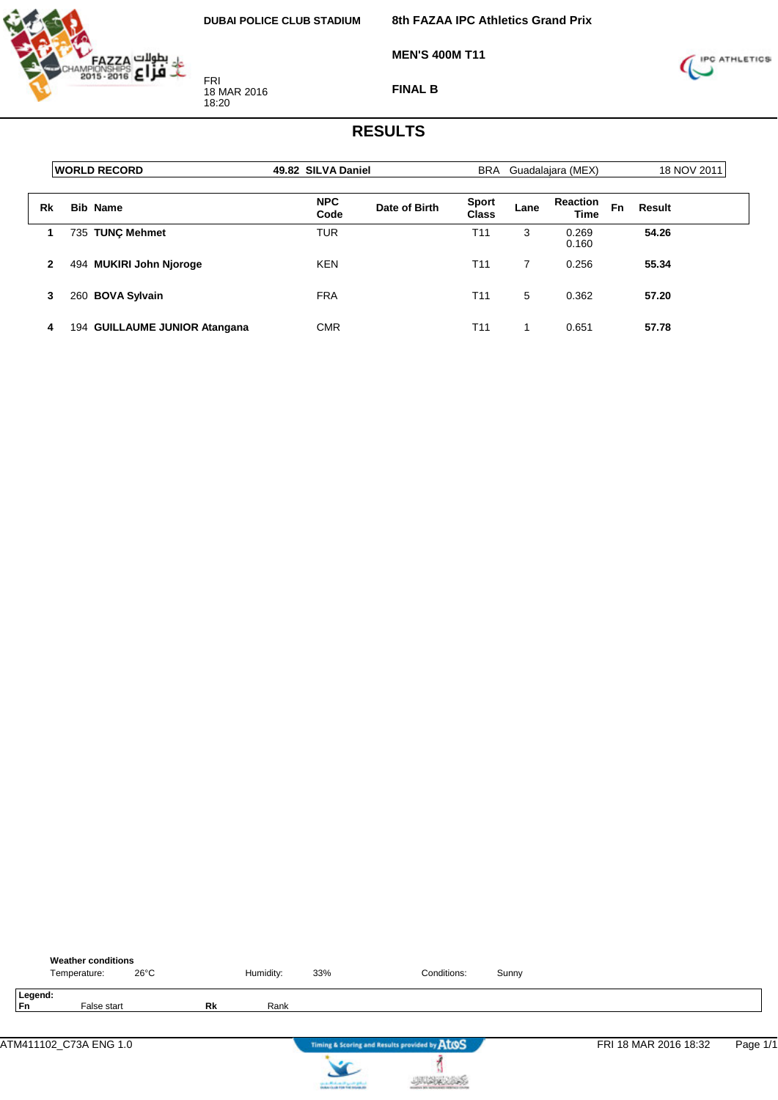

**8th FAZAA IPC Athletics Grand Prix**

**MEN'S 400M T11**



**FINAL B**

|    | <b>WORLD RECORD</b>           | 49.82 SILVA Daniel                  |                              | BRA Guadalajara (MEX) | 18 NOV 2011                    |              |
|----|-------------------------------|-------------------------------------|------------------------------|-----------------------|--------------------------------|--------------|
| Rk | <b>Bib Name</b>               | <b>NPC</b><br>Date of Birth<br>Code | <b>Sport</b><br><b>Class</b> | Lane                  | <b>Reaction</b><br><b>Time</b> | Fn<br>Result |
| 1  | 735 TUNC Mehmet               | TUR                                 | T11                          | 3                     | 0.269<br>0.160                 | 54.26        |
| 2  | 494 MUKIRI John Njoroge       | <b>KEN</b>                          | T11                          | 7                     | 0.256                          | 55.34        |
| 3  | 260 BOVA Sylvain              | <b>FRA</b>                          | T11                          | 5                     | 0.362                          | 57.20        |
| 4  | 194 GUILLAUME JUNIOR Atangana | <b>CMR</b>                          | T11                          |                       | 0.651                          | 57.78        |

|               | <b>Weather conditions</b><br>Temperature: | $26^{\circ}$ C |    | Humidity: | 33%                     | Conditions:                                   | Sunny |                       |          |
|---------------|-------------------------------------------|----------------|----|-----------|-------------------------|-----------------------------------------------|-------|-----------------------|----------|
| Legend:<br>Fn | False start                               |                | Rk | Rank      |                         |                                               |       |                       |          |
|               | ATM411102_C73A ENG 1.0                    |                |    |           |                         | Timing & Scoring and Results provided by AtOS |       | FRI 18 MAR 2016 18:32 | Page 1/1 |
|               |                                           |                |    |           | on a Michael Paynet get |                                               |       |                       |          |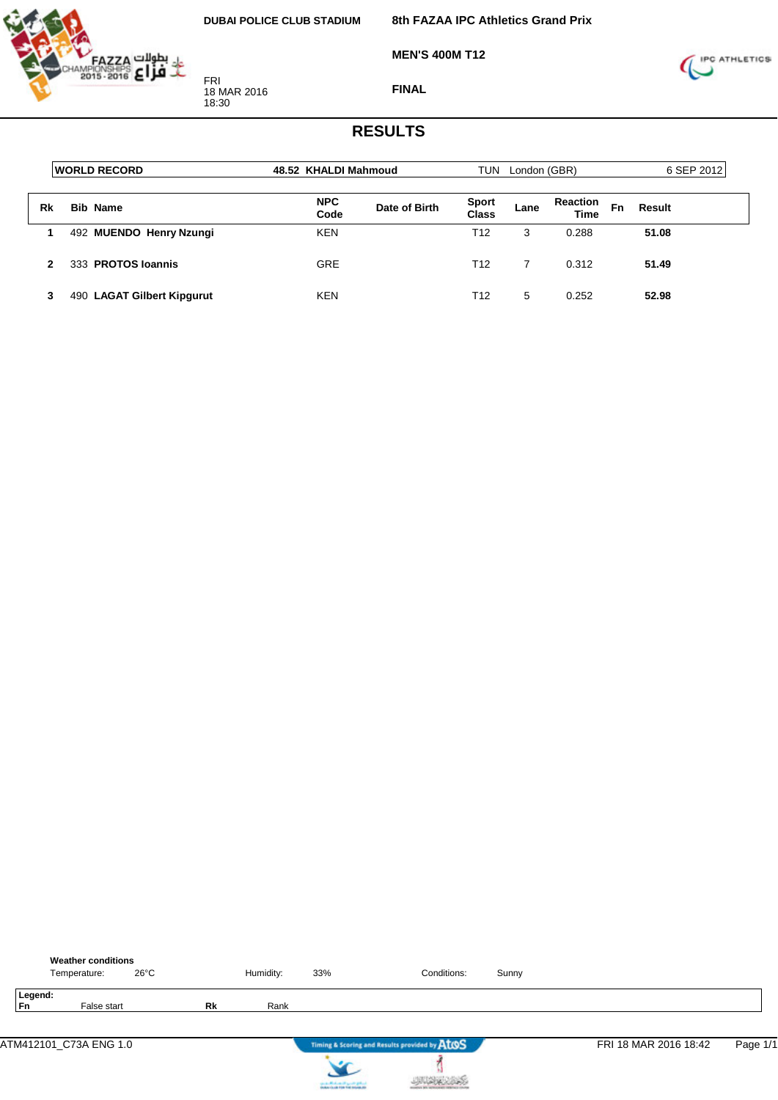

**MEN'S 400M T12**



**FINAL**

|    | <b>WORLD RECORD</b>        | 48.52 KHALDI Mahmoud |               | TUN                          | London (GBR) |                                |              | 6 SEP 2012 |
|----|----------------------------|----------------------|---------------|------------------------------|--------------|--------------------------------|--------------|------------|
| Rk | <b>Bib Name</b>            | <b>NPC</b><br>Code   | Date of Birth | <b>Sport</b><br><b>Class</b> | Lane         | <b>Reaction</b><br><b>Time</b> | Fn<br>Result |            |
|    | 492 MUENDO Henry Nzungi    | <b>KEN</b>           |               | T12                          | 3            | 0.288                          | 51.08        |            |
|    | 333 PROTOS Ioannis         | <b>GRE</b>           |               | T <sub>12</sub>              |              | 0.312                          | 51.49        |            |
|    | 490 LAGAT Gilbert Kipgurut | <b>KEN</b>           |               | T <sub>12</sub>              | 5            | 0.252                          | 52.98        |            |

|               | <b>Weather conditions</b><br>Temperature: | $26^{\circ}$ C |    | Humidity: | 33%                                 | Conditions:                                   | Sunny |                       |          |
|---------------|-------------------------------------------|----------------|----|-----------|-------------------------------------|-----------------------------------------------|-------|-----------------------|----------|
| Legend:<br>Fn | False start                               |                | Rk | Rank      |                                     |                                               |       |                       |          |
|               | ATM412101_C73A ENG 1.0                    |                |    |           |                                     | Timing & Scoring and Results provided by AtOS |       | FRI 18 MAR 2016 18:42 | Page 1/1 |
|               |                                           |                |    |           | since a difference of speeds graves |                                               |       |                       |          |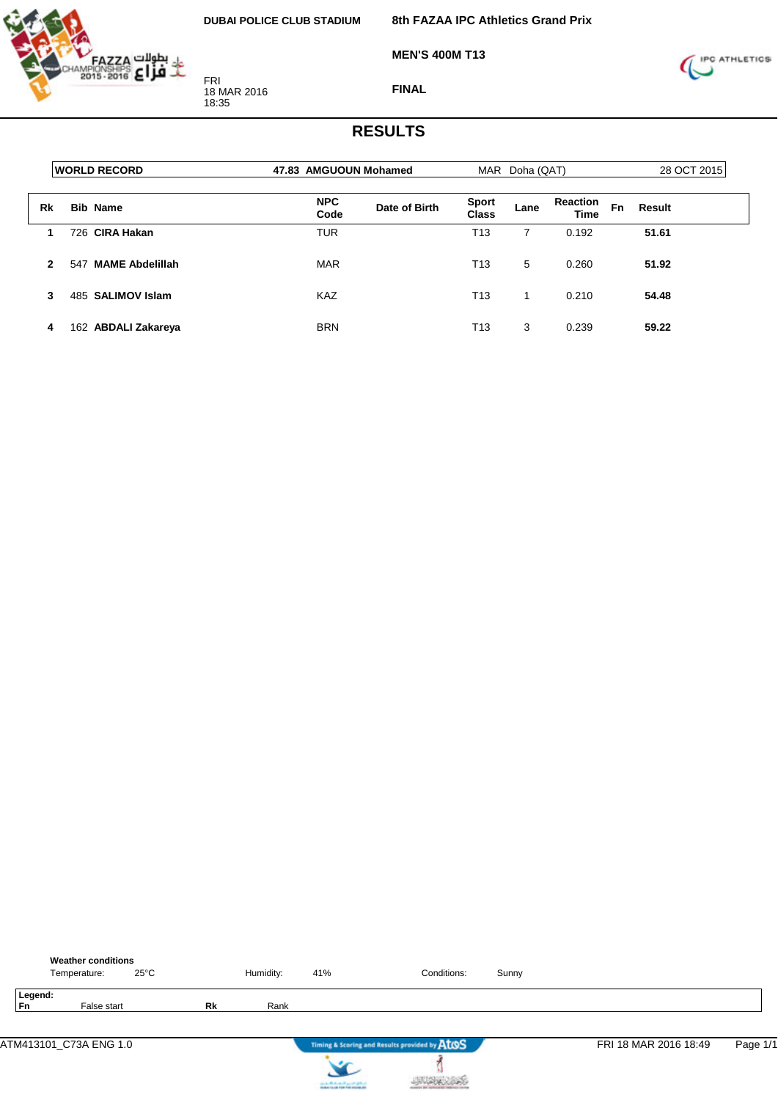

**MEN'S 400M T13**



**FINAL**

|    | <b>WORLD RECORD</b>           | 47.83 AMGUOUN Mohamed |               | MAR                   | Doha (QAT) |                         | 28 OCT 2015  |  |
|----|-------------------------------|-----------------------|---------------|-----------------------|------------|-------------------------|--------------|--|
| Rk | <b>Bib Name</b>               | <b>NPC</b><br>Code    | Date of Birth | <b>Sport</b><br>Class | Lane       | <b>Reaction</b><br>Time | Fn<br>Result |  |
|    | 726 CIRA Hakan                | <b>TUR</b>            |               | T13                   | 7          | 0.192                   | 51.61        |  |
| 2  | <b>MAME Abdelillah</b><br>547 | <b>MAR</b>            |               | T <sub>13</sub>       | 5          | 0.260                   | 51.92        |  |
| 3  | 485 SALIMOV Islam             | <b>KAZ</b>            |               | T <sub>13</sub>       | 1          | 0.210                   | 54.48        |  |
| 4  | 162 ABDALI Zakareya           | <b>BRN</b>            |               | T13                   | 3          | 0.239                   | 59.22        |  |

|               | <b>Weather conditions</b><br>Temperature: | $25^{\circ}$ C |    | Humidity: | 41%                                   | Conditions:                                   | Sunny |                       |          |
|---------------|-------------------------------------------|----------------|----|-----------|---------------------------------------|-----------------------------------------------|-------|-----------------------|----------|
| Legend:<br>Fn | False start                               |                | Rk | Rank      |                                       |                                               |       |                       |          |
|               | ATM413101_C73A ENG 1.0                    |                |    |           |                                       | Timing & Scoring and Results provided by AtOS |       | FRI 18 MAR 2016 18:49 | Page 1/1 |
|               |                                           |                |    |           | can be affected and if you do got not |                                               |       |                       |          |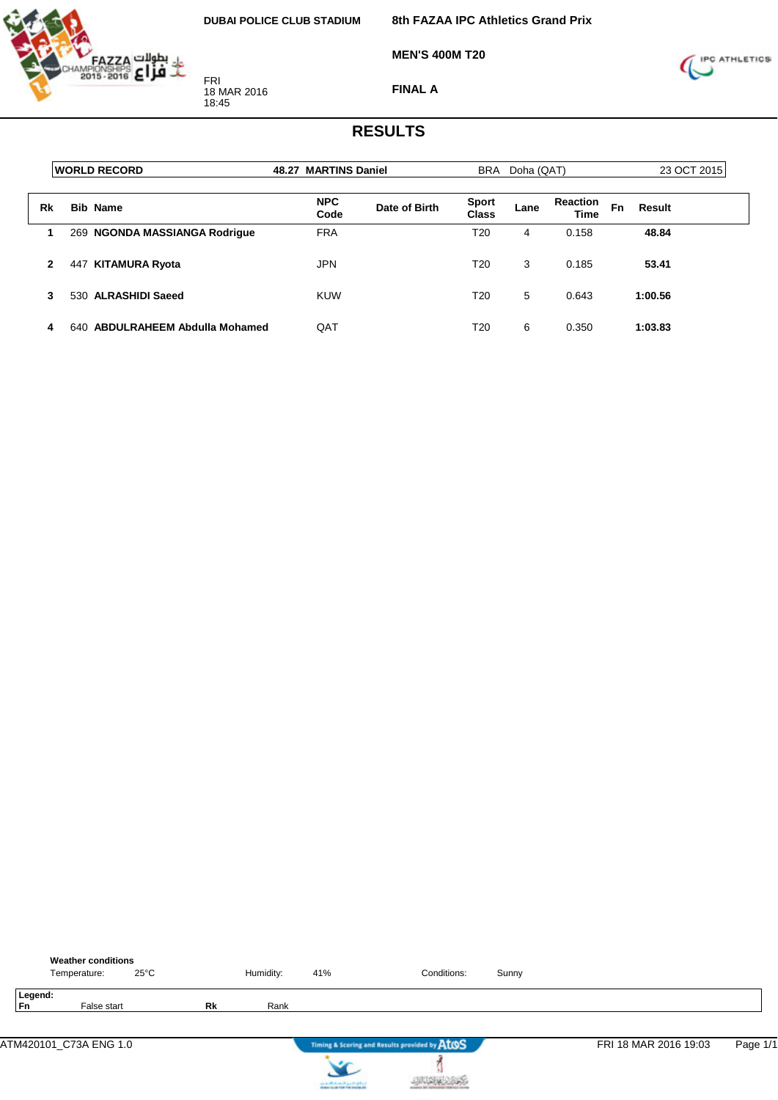

**8th FAZAA IPC Athletics Grand Prix**

**MEN'S 400M T20**



**FINAL A**

|              | <b>IWORLD RECORD</b>            | 48.27 MARTINS Daniel |               |                       | BRA Doha (QAT) |                                | 23 OCT 2015  |  |
|--------------|---------------------------------|----------------------|---------------|-----------------------|----------------|--------------------------------|--------------|--|
| Rk           | <b>Bib Name</b>                 | <b>NPC</b><br>Code   | Date of Birth | <b>Sport</b><br>Class | Lane           | <b>Reaction</b><br><b>Time</b> | Fn<br>Result |  |
|              | 269 NGONDA MASSIANGA Rodrigue   | <b>FRA</b>           |               | T20                   | 4              | 0.158                          | 48.84        |  |
| $\mathbf{2}$ | KITAMURA Ryota<br>447           | <b>JPN</b>           |               | T20                   | 3              | 0.185                          | 53.41        |  |
| 3            | 530 ALRASHIDI Saeed             | <b>KUW</b>           |               | T20                   | 5              | 0.643                          | 1:00.56      |  |
| 4            | 640 ABDULRAHEEM Abdulla Mohamed | QAT                  |               | T20                   | 6              | 0.350                          | 1:03.83      |  |

| <b>Weather conditions</b><br>$25^{\circ}$ C<br>Temperature: |    | Humidity: | 41%                                                                                     | Conditions:                                   | Sunny |                       |          |
|-------------------------------------------------------------|----|-----------|-----------------------------------------------------------------------------------------|-----------------------------------------------|-------|-----------------------|----------|
| Legend:<br><b>Fn</b><br>False start                         | Rk | Rank      |                                                                                         |                                               |       |                       |          |
| ATM420101_C73A ENG 1.0                                      |    |           |                                                                                         | Timing & Scoring and Results provided by AtOS |       | FRI 18 MAR 2016 19:03 | Page 1/1 |
|                                                             |    |           | counter Mindsons of April 20 (professional)<br>Analysis for all 1996 find materials and |                                               |       |                       |          |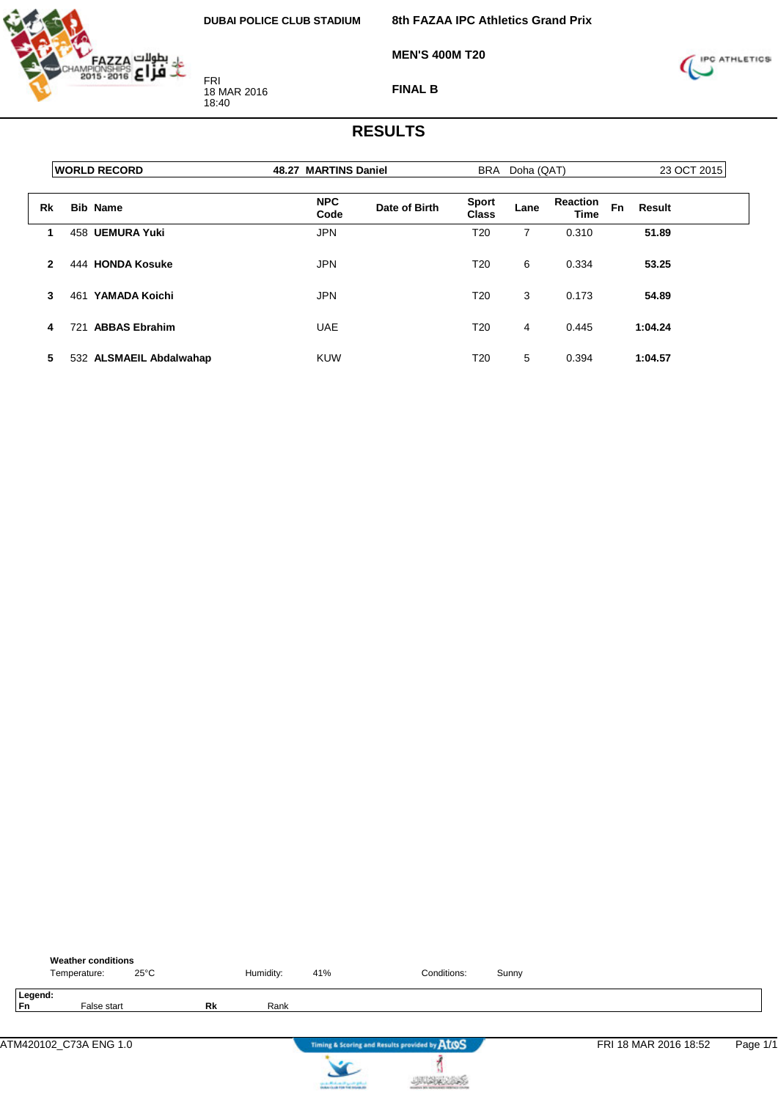

**MEN'S 400M T20**

**8th FAZAA IPC Athletics Grand Prix**



**FINAL B**

|              | <b>WORLD RECORD</b>         | 48.27 MARTINS Daniel |               |                              | BRA Doha (QAT) |                         |           | 23 OCT 2015   |
|--------------|-----------------------------|----------------------|---------------|------------------------------|----------------|-------------------------|-----------|---------------|
| Rk           | <b>Bib Name</b>             | <b>NPC</b><br>Code   | Date of Birth | <b>Sport</b><br><b>Class</b> | Lane           | <b>Reaction</b><br>Time | <b>Fn</b> | <b>Result</b> |
| $\mathbf 1$  | 458 UEMURA Yuki             | <b>JPN</b>           |               | T <sub>20</sub>              | 7              | 0.310                   |           | 51.89         |
| $\mathbf{2}$ | 444 HONDA Kosuke            | <b>JPN</b>           |               | T <sub>20</sub>              | 6              | 0.334                   |           | 53.25         |
| 3            | YAMADA Koichi<br>461        | <b>JPN</b>           |               | T <sub>20</sub>              | 3              | 0.173                   |           | 54.89         |
| 4            | <b>ABBAS Ebrahim</b><br>721 | <b>UAE</b>           |               | T <sub>20</sub>              | 4              | 0.445                   |           | 1:04.24       |
| 5            | 532 ALSMAEIL Abdalwahap     | <b>KUW</b>           |               | T <sub>20</sub>              | 5              | 0.394                   |           | 1:04.57       |

|                      | <b>Weather conditions</b><br>Temperature: | $25^{\circ}$ C |           | Humidity: | 41%                                                               | Conditions:                                   | Sunny |                       |          |
|----------------------|-------------------------------------------|----------------|-----------|-----------|-------------------------------------------------------------------|-----------------------------------------------|-------|-----------------------|----------|
| Legend:<br><b>Fn</b> | False start                               |                | <b>Rk</b> | Rank      |                                                                   |                                               |       |                       |          |
|                      | ATM420102_C73A ENG 1.0                    |                |           |           |                                                                   | Timing & Scoring and Results provided by ATOS |       | FRI 18 MAR 2016 18:52 | Page 1/1 |
|                      |                                           |                |           |           | controlled and speed galent.<br>Instantia de File Foi Installatio |                                               |       |                       |          |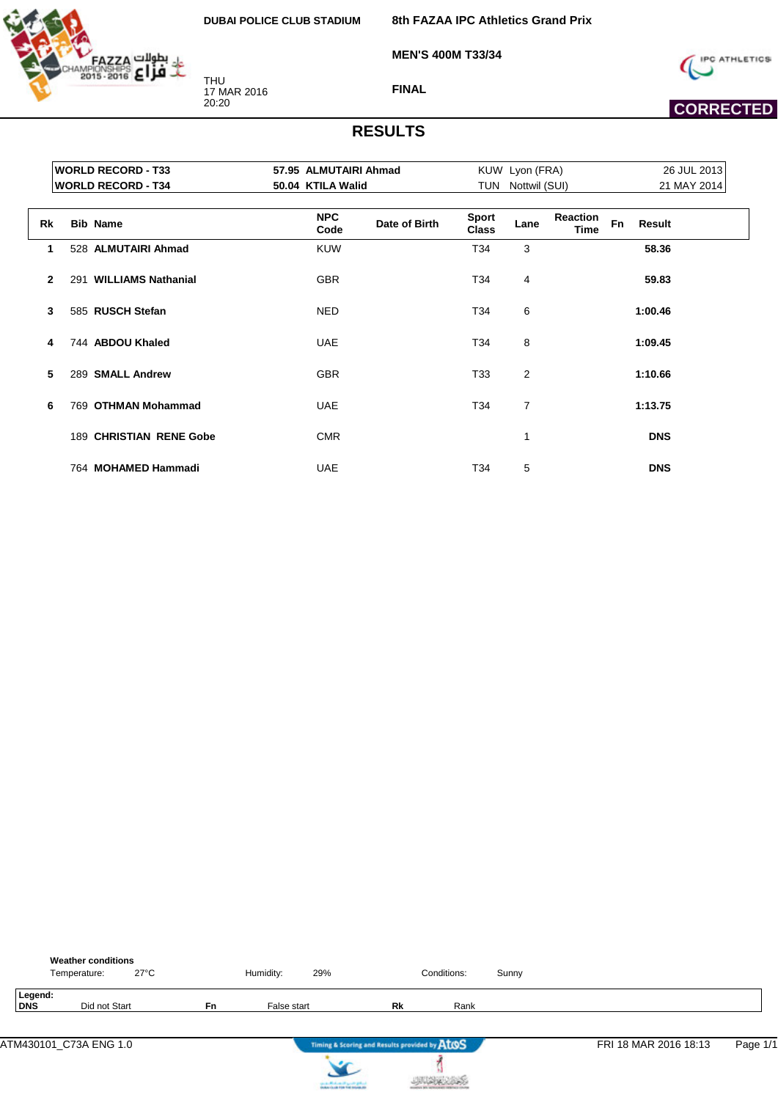

**8th FAZAA IPC Athletics Grand Prix**

**MEN'S 400M T33/34**



 **CORRECTED** 

**FINAL**

|              | <b>WORLD RECORD - T33</b> |                    | 57.95 ALMUTAIRI Ahmad |                              | KUW Lyon (FRA)    |                         |    | 26 JUL 2013 |  |
|--------------|---------------------------|--------------------|-----------------------|------------------------------|-------------------|-------------------------|----|-------------|--|
|              | <b>WORLD RECORD - T34</b> | 50.04 KTILA Walid  |                       |                              | TUN Nottwil (SUI) |                         |    | 21 MAY 2014 |  |
| Rk           | <b>Bib Name</b>           | <b>NPC</b><br>Code | Date of Birth         | <b>Sport</b><br><b>Class</b> | Lane              | <b>Reaction</b><br>Time | Fn | Result      |  |
| 1.           | 528 ALMUTAIRI Ahmad       | <b>KUW</b>         |                       | T34                          | 3                 |                         |    | 58.36       |  |
| $\mathbf{2}$ | 291 WILLIAMS Nathanial    | <b>GBR</b>         |                       | T34                          | 4                 |                         |    | 59.83       |  |
| 3            | 585 RUSCH Stefan          | <b>NED</b>         |                       | T34                          | 6                 |                         |    | 1:00.46     |  |
| 4            | 744 ABDOU Khaled          | <b>UAE</b>         |                       | T34                          | 8                 |                         |    | 1:09.45     |  |
| 5            | 289 SMALL Andrew          | <b>GBR</b>         |                       | T33                          | 2                 |                         |    | 1:10.66     |  |
| 6            | 769 OTHMAN Mohammad       | <b>UAE</b>         |                       | T34                          | $\overline{7}$    |                         |    | 1:13.75     |  |
|              | 189 CHRISTIAN RENE Gobe   | <b>CMR</b>         |                       |                              | 1                 |                         |    | <b>DNS</b>  |  |
|              | 764 MOHAMED Hammadi       | <b>UAE</b>         |                       | T34                          | 5                 |                         |    | <b>DNS</b>  |  |

|                | <b>Weather conditions</b><br>Temperature: | $27^{\circ}$ C |           | Humidity:   | 29% |                                               | Conditions: | Sunny |                       |          |
|----------------|-------------------------------------------|----------------|-----------|-------------|-----|-----------------------------------------------|-------------|-------|-----------------------|----------|
| Legend:<br>DNS | Did not Start                             |                | <b>Fn</b> | False start |     | Rk                                            | Rank        |       |                       |          |
|                | ATM430101_C73A ENG 1.0                    |                |           |             |     | Timing & Scoring and Results provided by AtOS |             |       | FRI 18 MAR 2016 18:13 | Page 1/1 |



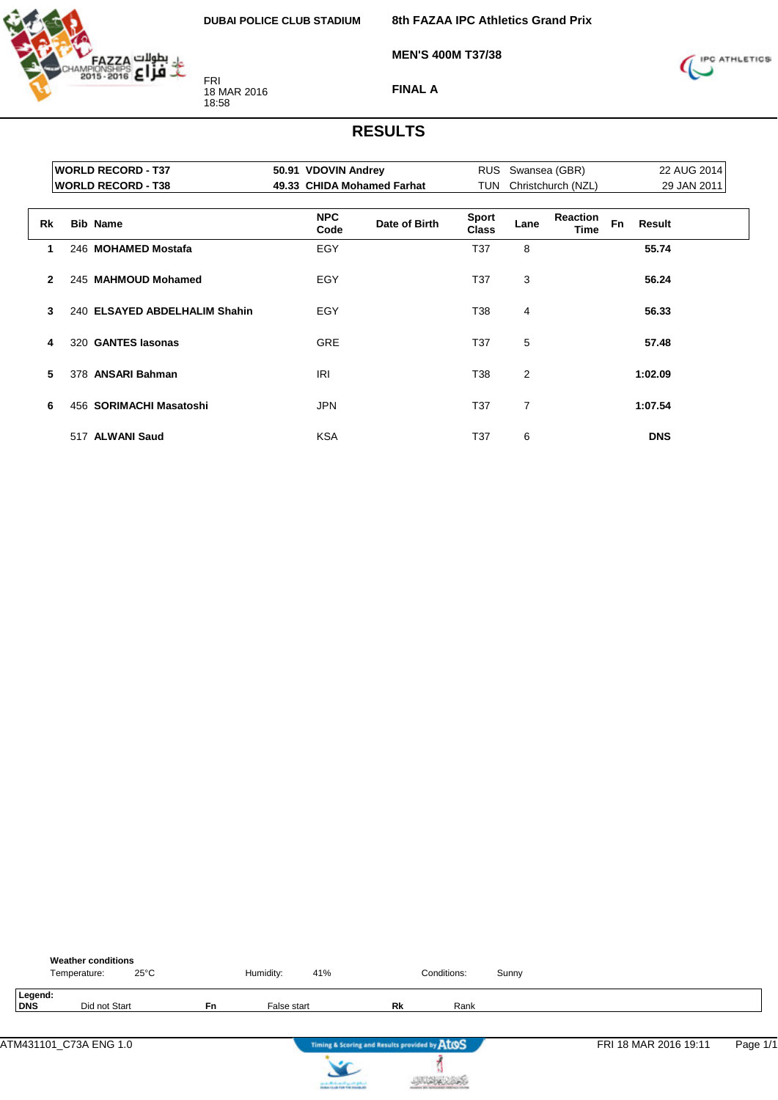

**8th FAZAA IPC Athletics Grand Prix**

**MEN'S 400M T37/38**



**FINAL A**

|                | <b>WORLD RECORD - T37</b>     | 50.91 VDOVIN Andrey |                            |                              | RUS Swansea (GBR) |                    |           | 22 AUG 2014   |  |
|----------------|-------------------------------|---------------------|----------------------------|------------------------------|-------------------|--------------------|-----------|---------------|--|
|                | <b>WORLD RECORD - T38</b>     |                     | 49.33 CHIDA Mohamed Farhat | <b>TUN</b>                   |                   | Christchurch (NZL) |           | 29 JAN 2011   |  |
|                |                               |                     |                            |                              |                   |                    |           |               |  |
| Rk             | <b>Bib Name</b>               | <b>NPC</b><br>Code  | Date of Birth              | <b>Sport</b><br><b>Class</b> | Lane              | Reaction<br>Time   | <b>Fn</b> | <b>Result</b> |  |
| 1.             | 246 MOHAMED Mostafa           | EGY                 |                            | T <sub>37</sub>              | 8                 |                    |           | 55.74         |  |
| $\overline{2}$ | 245 MAHMOUD Mohamed           | EGY                 |                            | T <sub>37</sub>              | 3                 |                    |           | 56.24         |  |
| 3              | 240 ELSAYED ABDELHALIM Shahin | EGY                 |                            | T38                          | 4                 |                    |           | 56.33         |  |
| 4              | 320 GANTES lasonas            | <b>GRE</b>          |                            | T <sub>37</sub>              | 5                 |                    |           | 57.48         |  |
| 5              | 378 ANSARI Bahman             | <b>IRI</b>          |                            | T38                          | 2                 |                    |           | 1:02.09       |  |
| 6              | 456 SORIMACHI Masatoshi       | <b>JPN</b>          |                            | T <sub>37</sub>              | 7                 |                    |           | 1:07.54       |  |
|                | 517 ALWANI Saud               | <b>KSA</b>          |                            | T <sub>37</sub>              | 6                 |                    |           | <b>DNS</b>    |  |

|                       | <b>Weather conditions</b><br>$25^{\circ}$ C<br>Temperature: |           | Humidity:   | 41%                                           | Conditions: | Sunny |                       |          |
|-----------------------|-------------------------------------------------------------|-----------|-------------|-----------------------------------------------|-------------|-------|-----------------------|----------|
| Legend:<br><b>DNS</b> | Did not Start                                               | <b>Fn</b> | False start | Rk                                            | Rank        |       |                       |          |
|                       | ATM431101 C73A ENG 1.0                                      |           |             | Timing & Scoring and Results provided by ATOS |             |       | FRI 18 MAR 2016 19:11 | Page 1/1 |



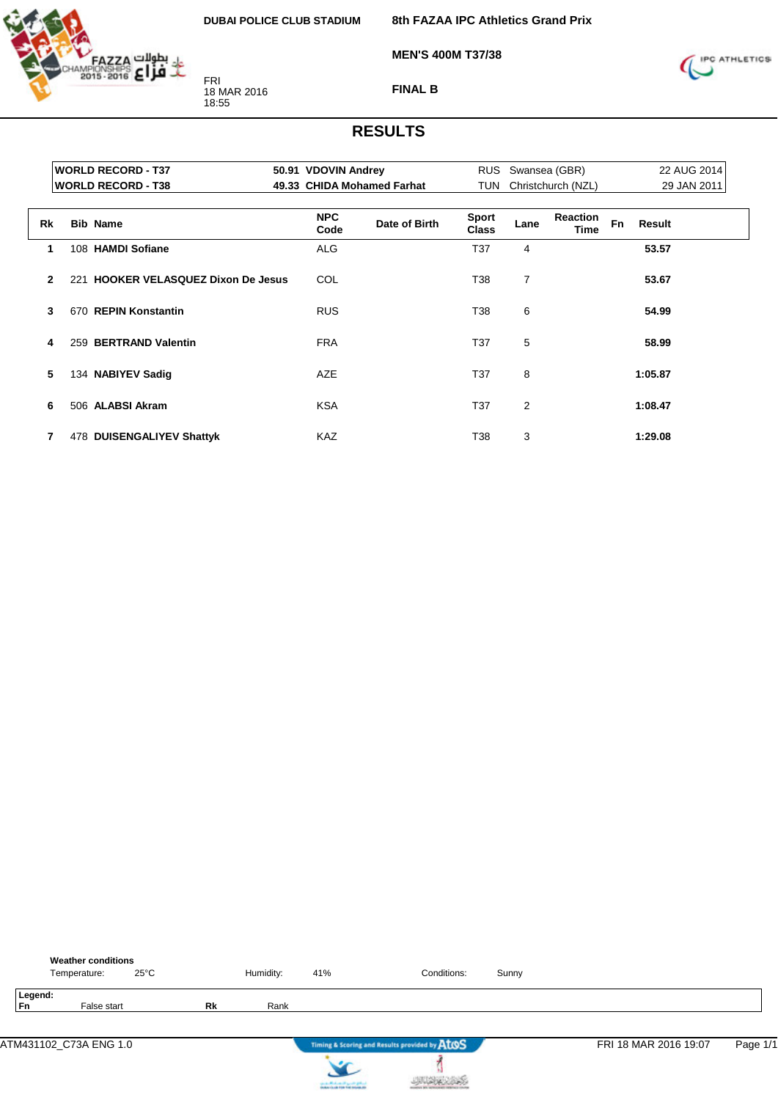

**MEN'S 400M T37/38**

**8th FAZAA IPC Athletics Grand Prix**



**FINAL B**

|                | <b>WORLD RECORD - T37</b>           | 50.91 VDOVIN Andrey |                            |                              | RUS Swansea (GBR) |                         |           | 22 AUG 2014 |  |
|----------------|-------------------------------------|---------------------|----------------------------|------------------------------|-------------------|-------------------------|-----------|-------------|--|
|                | <b>WORLD RECORD - T38</b>           |                     | 49.33 CHIDA Mohamed Farhat | TUN                          |                   | Christchurch (NZL)      |           | 29 JAN 2011 |  |
|                |                                     |                     |                            |                              |                   |                         |           |             |  |
| <b>Rk</b>      | <b>Bib Name</b>                     | <b>NPC</b><br>Code  | Date of Birth              | <b>Sport</b><br><b>Class</b> | Lane              | <b>Reaction</b><br>Time | <b>Fn</b> | Result      |  |
| 1              | 108 HAMDI Sofiane                   | <b>ALG</b>          |                            | T37                          | 4                 |                         |           | 53.57       |  |
| $\overline{2}$ | 221 HOOKER VELASQUEZ Dixon De Jesus | COL                 |                            | T38                          | 7                 |                         |           | 53.67       |  |
| 3              | 670 REPIN Konstantin                | <b>RUS</b>          |                            | T38                          | 6                 |                         |           | 54.99       |  |
| 4              | 259 BERTRAND Valentin               | <b>FRA</b>          |                            | T <sub>37</sub>              | 5                 |                         |           | 58.99       |  |
| 5              | 134 NABIYEV Sadig                   | <b>AZE</b>          |                            | T37                          | 8                 |                         |           | 1:05.87     |  |
| 6              | 506 ALABSI Akram                    | <b>KSA</b>          |                            | T <sub>37</sub>              | $\overline{2}$    |                         |           | 1:08.47     |  |
| 7              | 478 DUISENGALIYEV Shattyk           | <b>KAZ</b>          |                            | T38                          | 3                 |                         |           | 1:29.08     |  |

| <b>Weather conditions</b><br>Temperature: | $25^{\circ}$ C |    | Humidity: | 41%                                   | Conditions:                                   | Sunny |                       |          |
|-------------------------------------------|----------------|----|-----------|---------------------------------------|-----------------------------------------------|-------|-----------------------|----------|
| Legend:<br><b>Fn</b><br>False start       |                | Rk | Rank      |                                       |                                               |       |                       |          |
| ATM431102 C73A ENG 1.0                    |                |    |           |                                       | Timing & Scoring and Results provided by AtOS |       | FRI 18 MAR 2016 19:07 | Page 1/1 |
|                                           |                |    |           | can be affected and if you do got not |                                               |       |                       |          |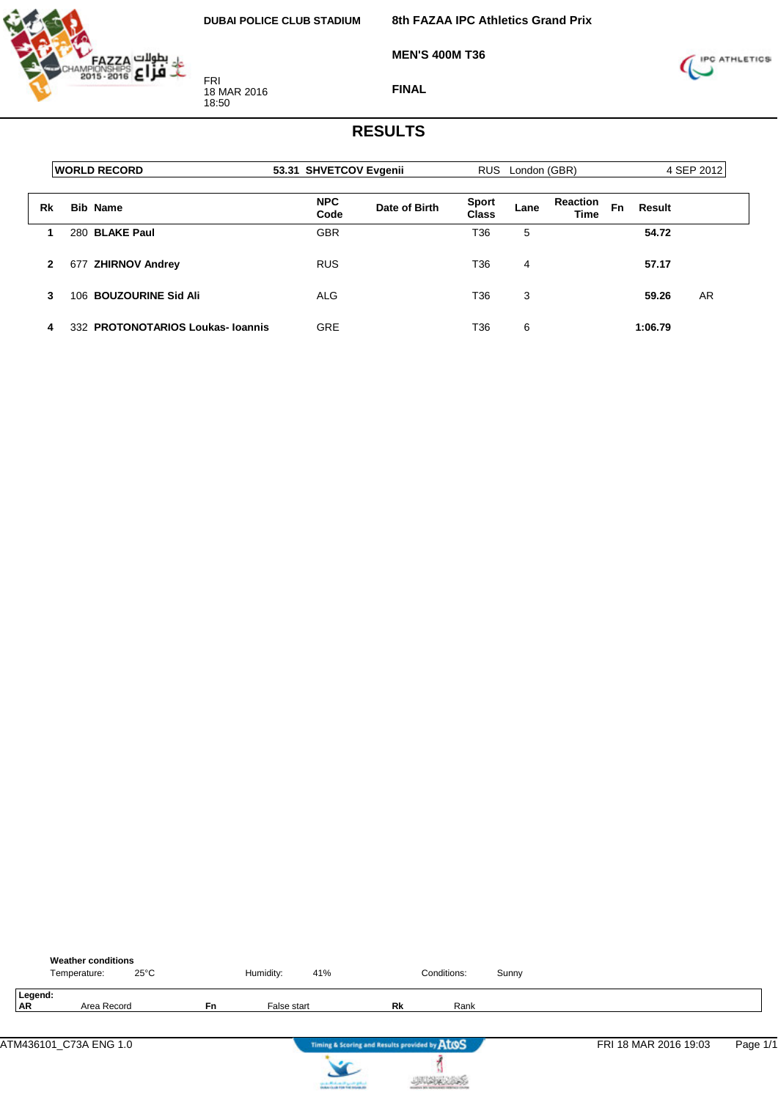

**MEN'S 400M T36**



**FINAL**

|              | <b>IWORLD RECORD</b>             | 53.31 SHVETCOV Evgenii |               |                       | RUS London (GBR) |                                      |         | 4 SEP 2012 |
|--------------|----------------------------------|------------------------|---------------|-----------------------|------------------|--------------------------------------|---------|------------|
| Rk           | <b>Bib Name</b>                  | <b>NPC</b><br>Code     | Date of Birth | <b>Sport</b><br>Class | Lane             | <b>Reaction</b><br>Fn<br><b>Time</b> | Result  |            |
|              | 280 BLAKE Paul                   | <b>GBR</b>             |               | T36                   | 5                |                                      | 54.72   |            |
| $\mathbf{2}$ | 677 ZHIRNOV Andrey               | <b>RUS</b>             |               | T36                   | 4                |                                      | 57.17   |            |
| 3            | 106 BOUZOURINE Sid Ali           | <b>ALG</b>             |               | T <sub>36</sub>       | 3                |                                      | 59.26   | AR         |
| 4            | 332 PROTONOTARIOS Loukas-Ioannis | <b>GRE</b>             |               | T36                   | 6                |                                      | 1:06.79 |            |

|           |         | <b>Weather conditions</b><br>$25^{\circ}$ C<br>Temperature: |           | Humidity:   | 41%                                           | Conditions: | Sunny |                       |          |
|-----------|---------|-------------------------------------------------------------|-----------|-------------|-----------------------------------------------|-------------|-------|-----------------------|----------|
| <b>AR</b> | Legend: | Area Record                                                 | <b>Fn</b> | False start | Rk                                            | Rank        |       |                       |          |
|           |         | ATM436101_C73A ENG 1.0                                      |           |             | Timing & Scoring and Results provided by AtOS |             |       | FRI 18 MAR 2016 19:03 | Page 1/1 |



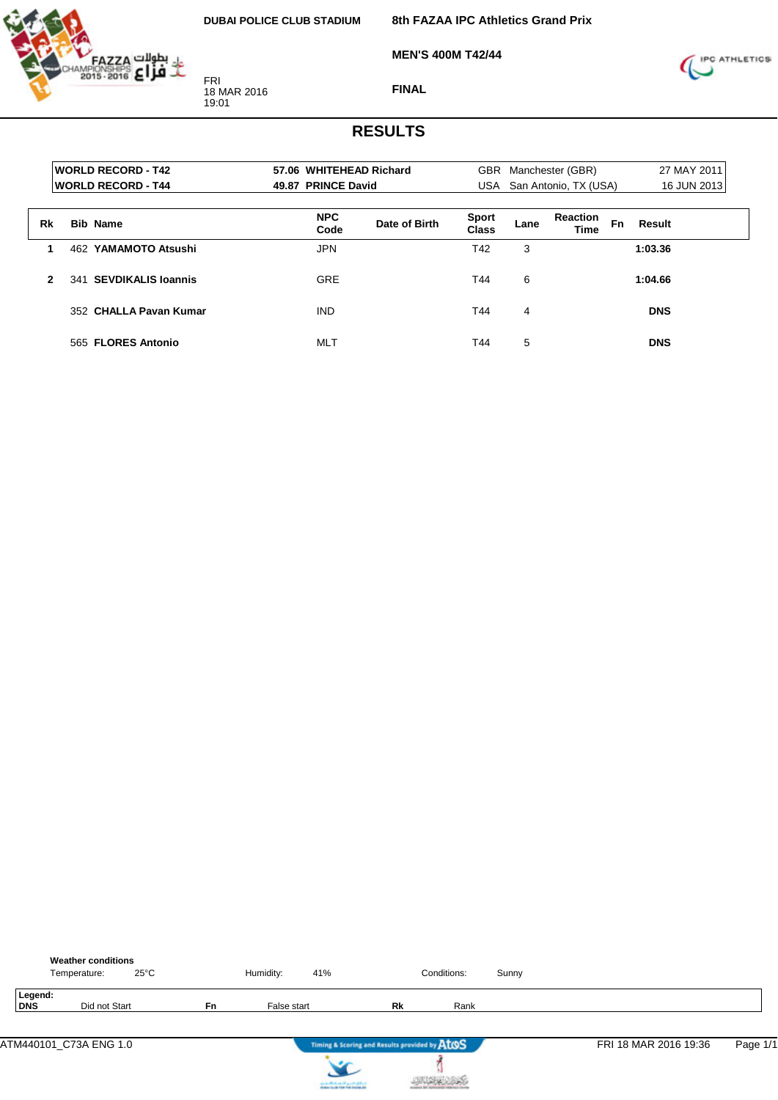

**MEN'S 400M T42/44**



#### **FINAL**

|              | <b>WORLD RECORD - T42</b>  |                    | 57.06 WHITEHEAD Richard |                              | GBR Manchester (GBR) |                                |           | 27 MAY 2011 |  |
|--------------|----------------------------|--------------------|-------------------------|------------------------------|----------------------|--------------------------------|-----------|-------------|--|
|              | <b>IWORLD RECORD - T44</b> | 49.87 PRINCE David |                         |                              |                      | USA San Antonio, TX (USA)      |           | 16 JUN 2013 |  |
| Rk           | <b>Bib Name</b>            | <b>NPC</b><br>Code | Date of Birth           | <b>Sport</b><br><b>Class</b> | Lane                 | <b>Reaction</b><br><b>Time</b> | <b>Fn</b> | Result      |  |
|              | 462 YAMAMOTO Atsushi       | <b>JPN</b>         |                         | T42                          | 3                    |                                |           | 1:03.36     |  |
| $\mathbf{2}$ | 341 SEVDIKALIS Ioannis     | <b>GRE</b>         |                         | T44                          | 6                    |                                |           | 1:04.66     |  |
|              | 352 CHALLA Pavan Kumar     | <b>IND</b>         |                         | T44                          | 4                    |                                |           | <b>DNS</b>  |  |
|              | 565 FLORES Antonio         | <b>MLT</b>         |                         | T44                          | 5                    |                                |           | <b>DNS</b>  |  |

|                | <b>Weather conditions</b><br>$25^{\circ}$ C<br>Temperature: |           | Humidity:   | 41%                                           | Conditions: | Sunny |                       |          |
|----------------|-------------------------------------------------------------|-----------|-------------|-----------------------------------------------|-------------|-------|-----------------------|----------|
| Legend:<br>DNS | Did not Start                                               | <b>Fn</b> | False start | Rk                                            | Rank        |       |                       |          |
|                | ATM440101_C73A ENG 1.0                                      |           |             | Timing & Scoring and Results provided by ATOS |             |       | FRI 18 MAR 2016 19:36 | Page 1/1 |



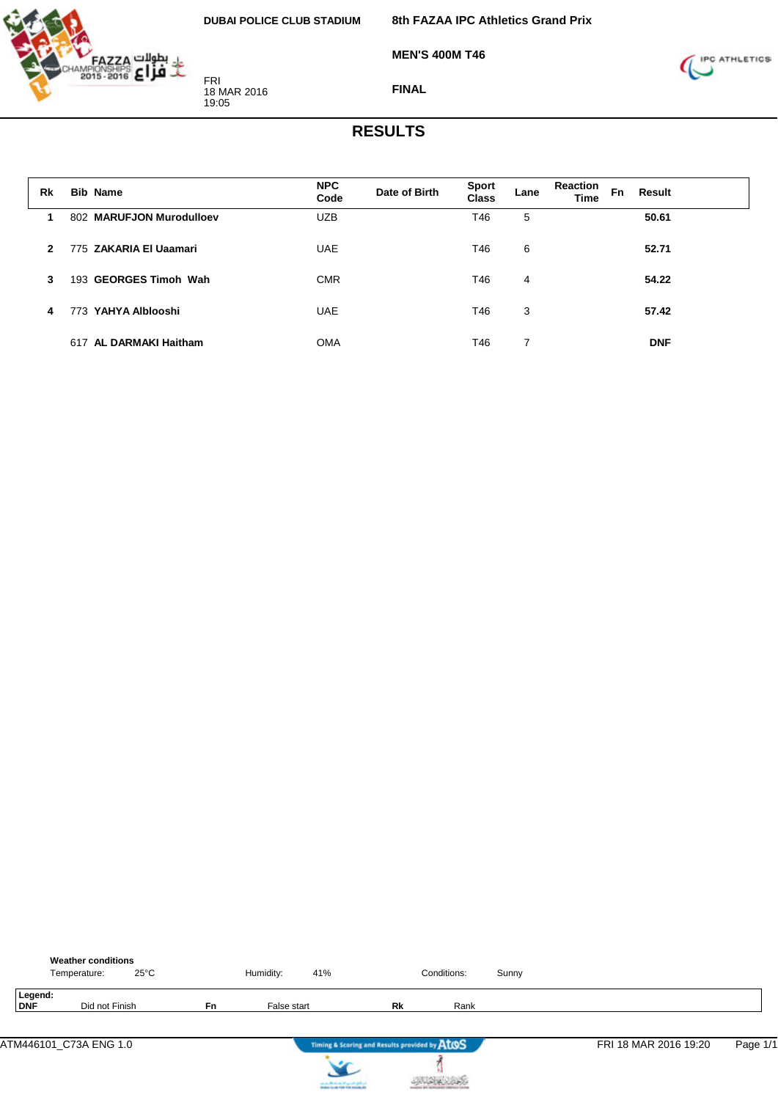

**MEN'S 400M T46**



**FINAL**

| Rk             | <b>Bib Name</b>          | <b>NPC</b><br>Code | Date of Birth | <b>Sport</b><br><b>Class</b> | Lane | <b>Reaction</b><br><b>Time</b> | Fn | Result     |
|----------------|--------------------------|--------------------|---------------|------------------------------|------|--------------------------------|----|------------|
|                | 802 MARUFJON Murodulloev | <b>UZB</b>         |               | T46                          | 5    |                                |    | 50.61      |
| $\overline{2}$ | 775 ZAKARIA El Uaamari   | <b>UAE</b>         |               | T46                          | 6    |                                |    | 52.71      |
| 3              | 193 GEORGES Timoh Wah    | <b>CMR</b>         |               | T46                          | 4    |                                |    | 54.22      |
| 4              | 773 YAHYA Alblooshi      | <b>UAE</b>         |               | T46                          | 3    |                                |    | 57.42      |
|                | 617 AL DARMAKI Haitham   | <b>OMA</b>         |               | T46                          | 7    |                                |    | <b>DNF</b> |

|                | <b>Weather conditions</b><br>$25^{\circ}$ C<br>Temperature: |           | Humidity:   | 41%                                           | Conditions: | Sunny |                       |          |
|----------------|-------------------------------------------------------------|-----------|-------------|-----------------------------------------------|-------------|-------|-----------------------|----------|
| Legend:<br>DNF | Did not Finish                                              | <b>Fn</b> | False start | Rk                                            | Rank        |       |                       |          |
|                | ATM446101_C73A ENG 1.0                                      |           |             | Timing & Scoring and Results provided by ATOS |             |       | FRI 18 MAR 2016 19:20 | Page 1/1 |



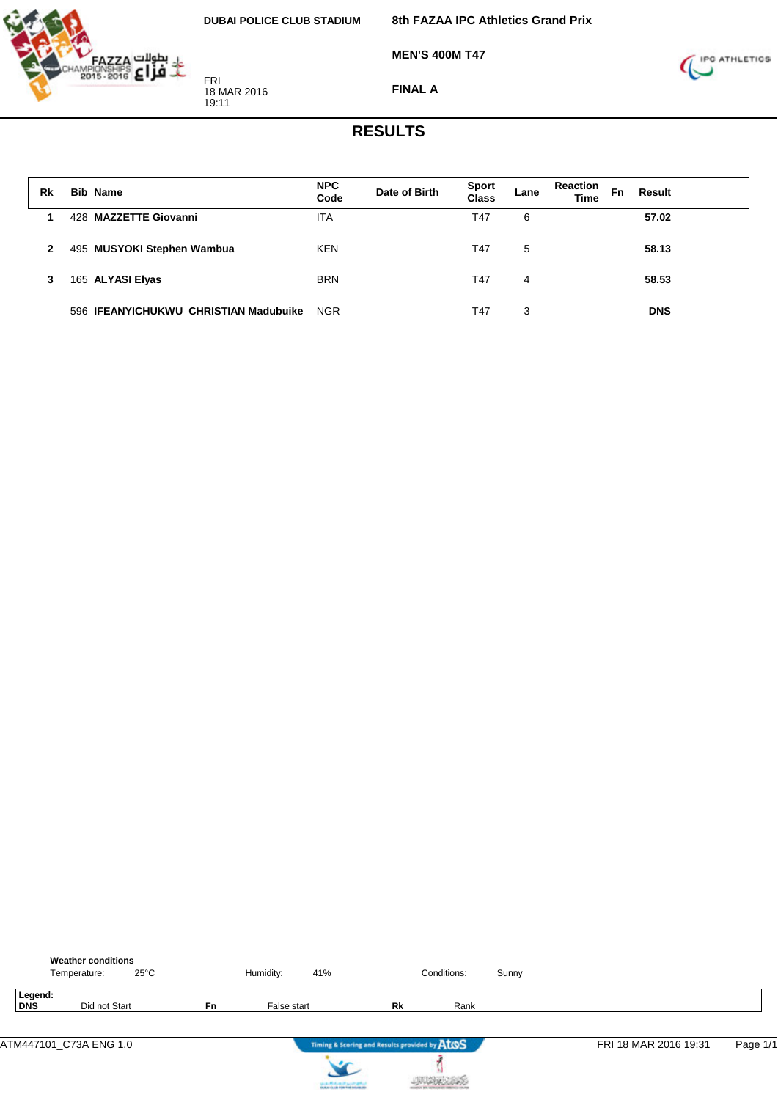

**MEN'S 400M T47**



**FINAL A**

| Rk | <b>Bib Name</b>                       | <b>NPC</b><br>Code | Date of Birth | <b>Sport</b><br><b>Class</b> | Lane | <b>Reaction</b><br>Fn<br><b>Time</b> | Result     |  |
|----|---------------------------------------|--------------------|---------------|------------------------------|------|--------------------------------------|------------|--|
|    | 428 MAZZETTE Giovanni                 | <b>ITA</b>         |               | T47                          | 6    |                                      | 57.02      |  |
| 2  | 495 MUSYOKI Stephen Wambua            | <b>KEN</b>         |               | T47                          | 5    |                                      | 58.13      |  |
| 3  | 165 ALYASI Elyas                      | <b>BRN</b>         |               | T47                          | 4    |                                      | 58.53      |  |
|    | 596 IFEANYICHUKWU CHRISTIAN Madubuike | <b>NGR</b>         |               | T47                          | 3    |                                      | <b>DNS</b> |  |

|                | <b>Weather conditions</b><br>$25^{\circ}$ C<br>Temperature: |           | Humidity:   | 41%                                           | Conditions: | Sunny |                       |          |
|----------------|-------------------------------------------------------------|-----------|-------------|-----------------------------------------------|-------------|-------|-----------------------|----------|
| Legend:<br>DNS | Did not Start                                               | <b>Fn</b> | False start | Rk                                            | Rank        |       |                       |          |
|                | ATM447101_C73A ENG 1.0                                      |           |             | Timing & Scoring and Results provided by ATOS |             |       | FRI 18 MAR 2016 19:31 | Page 1/1 |



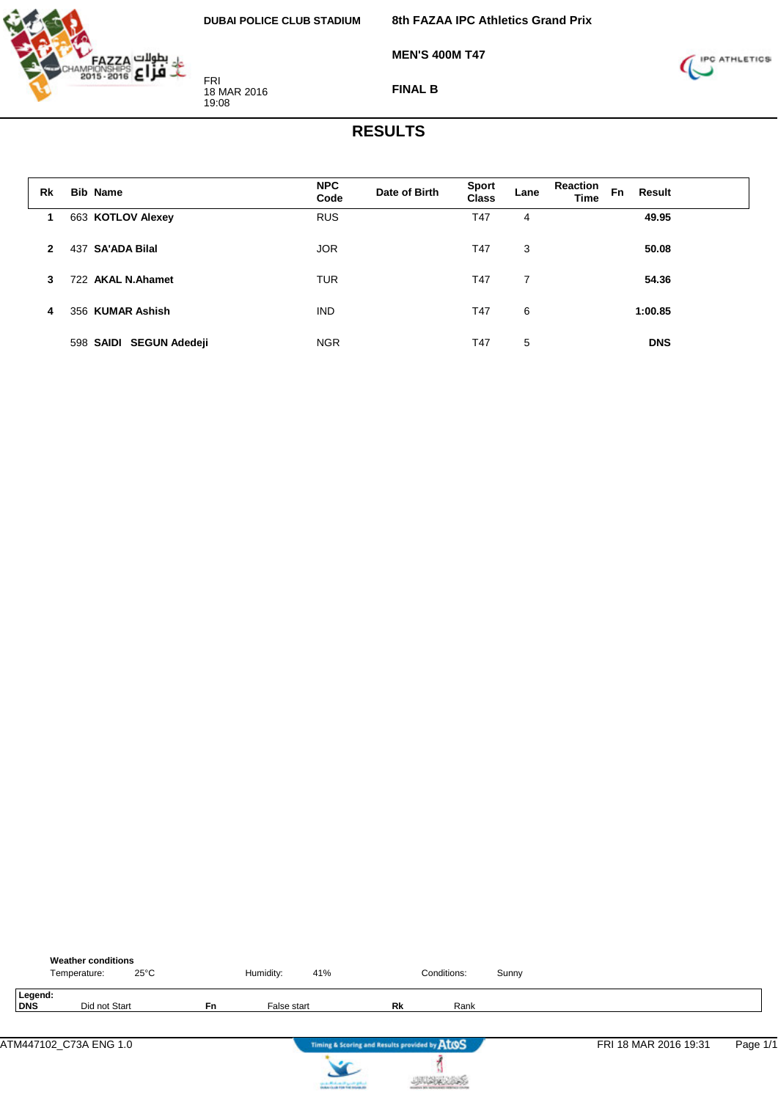

**MEN'S 400M T47**



**FINAL B**

| Rk           | <b>Bib Name</b>            | <b>NPC</b><br>Code | Date of Birth | <b>Sport</b><br>Class | Lane | <b>Reaction</b><br><b>Time</b> | <b>Fn</b> | Result     |
|--------------|----------------------------|--------------------|---------------|-----------------------|------|--------------------------------|-----------|------------|
| 1            | 663 KOTLOV Alexey          | <b>RUS</b>         |               | T47                   | 4    |                                |           | 49.95      |
| $\mathbf{2}$ | <b>SA'ADA Bilal</b><br>437 | <b>JOR</b>         |               | T47                   | 3    |                                |           | 50.08      |
| 3            | 722 AKAL N.Ahamet          | <b>TUR</b>         |               | T47                   | 7    |                                |           | 54.36      |
| 4            | 356 KUMAR Ashish           | <b>IND</b>         |               | T47                   | 6    |                                |           | 1:00.85    |
|              | 598 SAIDI SEGUN Adedeji    | <b>NGR</b>         |               | T47                   | 5    |                                |           | <b>DNS</b> |

|                | <b>Weather conditions</b><br>$25^{\circ}$ C<br>Temperature: |           | Humidity:<br>41% |                                               | Conditions: | Sunny |                       |          |
|----------------|-------------------------------------------------------------|-----------|------------------|-----------------------------------------------|-------------|-------|-----------------------|----------|
| Legend:<br>DNS | Did not Start                                               | <b>Fn</b> | False start      | Rk                                            | Rank        |       |                       |          |
|                | ATM447102_C73A ENG 1.0                                      |           |                  | Timing & Scoring and Results provided by ATOS |             |       | FRI 18 MAR 2016 19:31 | Page 1/1 |



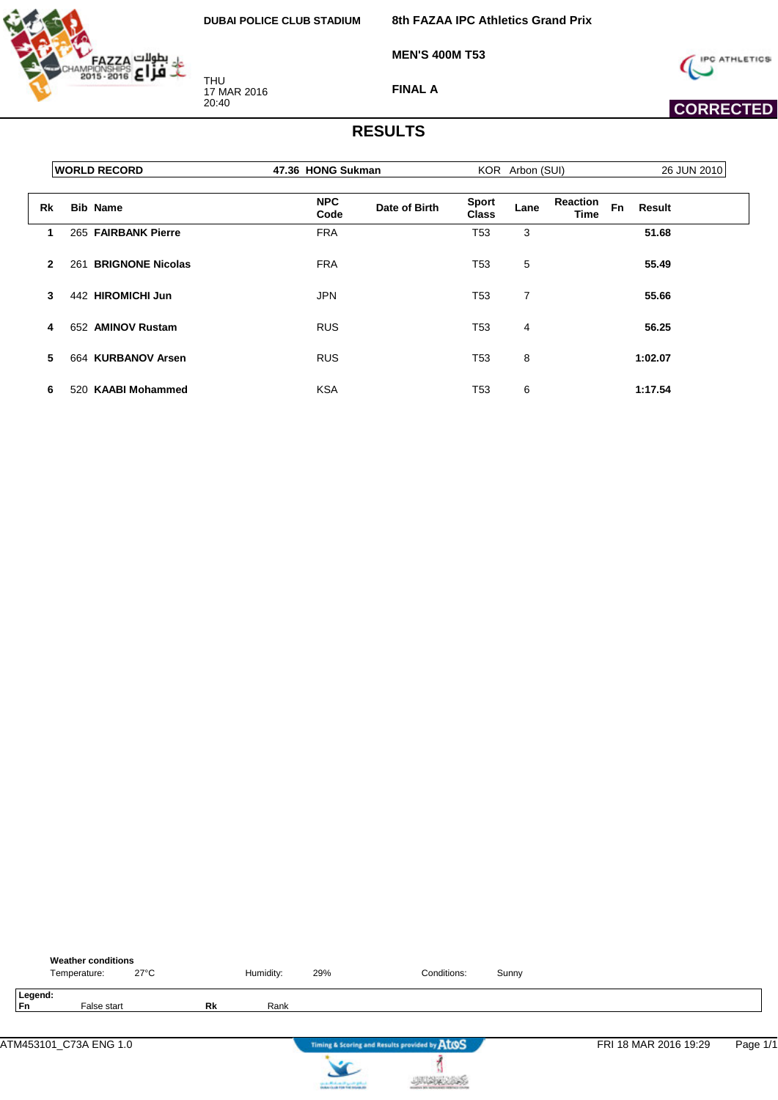

**8th FAZAA IPC Athletics Grand Prix**

**MEN'S 400M T53**



**FINAL A**



|              | <b>WORLD RECORD</b>            | 47.36 HONG Sukman  |               |                              | KOR Arbon (SUI) |                         |           | 26 JUN 2010   |
|--------------|--------------------------------|--------------------|---------------|------------------------------|-----------------|-------------------------|-----------|---------------|
| Rk           | <b>Bib Name</b>                | <b>NPC</b><br>Code | Date of Birth | <b>Sport</b><br><b>Class</b> | Lane            | <b>Reaction</b><br>Time | <b>Fn</b> | <b>Result</b> |
| 1            | 265 FAIRBANK Pierre            | <b>FRA</b>         |               | T <sub>53</sub>              | 3               |                         |           | 51.68         |
| $\mathbf{2}$ | <b>BRIGNONE Nicolas</b><br>261 | <b>FRA</b>         |               | T53                          | 5               |                         |           | 55.49         |
| 3            | 442 HIROMICHI Jun              | <b>JPN</b>         |               | T <sub>53</sub>              | 7               |                         |           | 55.66         |
| 4            | <b>AMINOV Rustam</b><br>652    | <b>RUS</b>         |               | T <sub>53</sub>              | 4               |                         |           | 56.25         |
| 5            | 664 KURBANOV Arsen             | <b>RUS</b>         |               | T <sub>53</sub>              | 8               |                         |           | 1:02.07       |
| 6            | 520 KAABI Mohammed             | <b>KSA</b>         |               | T <sub>53</sub>              | 6               |                         |           | 1:17.54       |

|                      | <b>Weather conditions</b><br>Temperature: | $27^{\circ}$ C |    | Humidity: | 29% | Conditions:                                   | Sunny |                       |          |
|----------------------|-------------------------------------------|----------------|----|-----------|-----|-----------------------------------------------|-------|-----------------------|----------|
| Legend:<br><b>Fn</b> | False start                               |                | Rk | Rank      |     |                                               |       |                       |          |
|                      | ATM453101_C73A ENG 1.0                    |                |    |           |     | Timing & Scoring and Results provided by AtOS |       | FRI 18 MAR 2016 19:29 | Page 1/1 |
|                      |                                           |                |    |           |     |                                               |       |                       |          |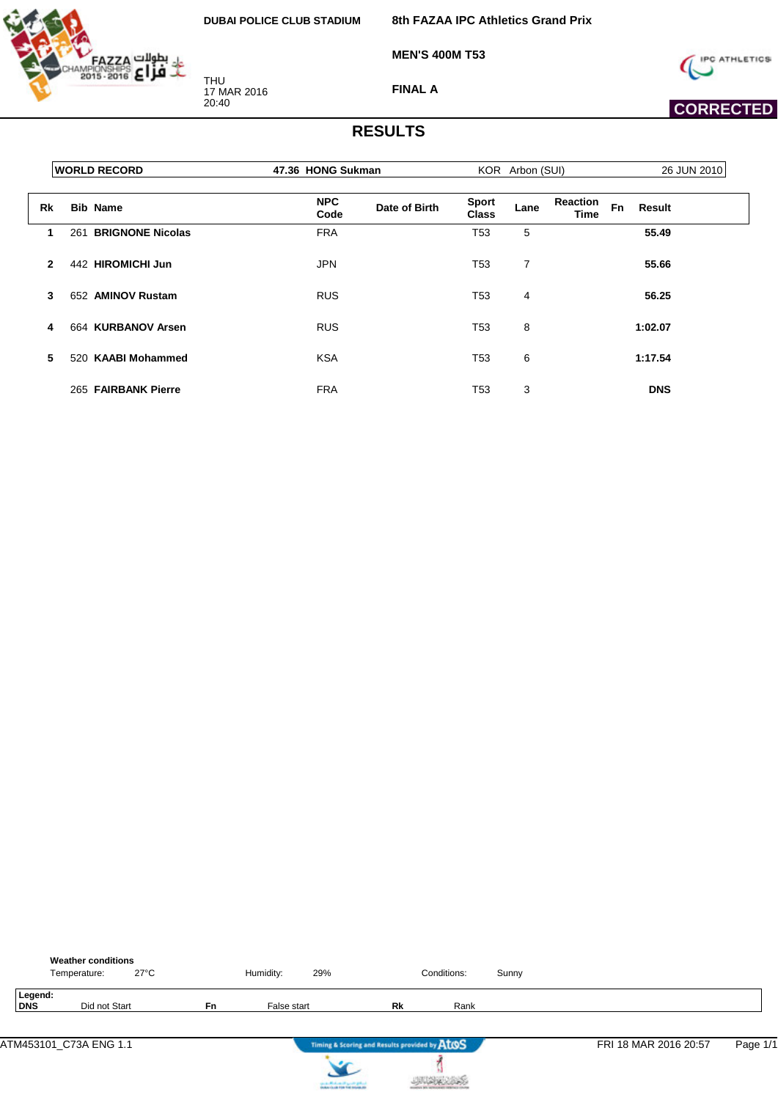

**8th FAZAA IPC Athletics Grand Prix**

**MEN'S 400M T53**



 **CORRECTED** 

**FINAL A**

|                | <b>WORLD RECORD</b>            | 47.36 HONG Sukman                   |                              | KOR Arbon (SUI) |                         |              | 26 JUN 2010 |
|----------------|--------------------------------|-------------------------------------|------------------------------|-----------------|-------------------------|--------------|-------------|
| Rk             | <b>Bib Name</b>                | <b>NPC</b><br>Date of Birth<br>Code | <b>Sport</b><br><b>Class</b> | Lane            | <b>Reaction</b><br>Time | Fn<br>Result |             |
| 1.             | <b>BRIGNONE Nicolas</b><br>261 | <b>FRA</b>                          | T <sub>53</sub>              | 5               |                         | 55.49        |             |
| $\overline{2}$ | 442 HIROMICHI Jun              | <b>JPN</b>                          | T <sub>53</sub>              | $\overline{7}$  |                         | 55.66        |             |
| 3              | <b>AMINOV Rustam</b><br>652    | <b>RUS</b>                          | T <sub>53</sub>              | 4               |                         | 56.25        |             |
| 4              | 664 KURBANOV Arsen             | <b>RUS</b>                          | T <sub>53</sub>              | 8               |                         | 1:02.07      |             |
| 5              | 520 KAABI Mohammed             | <b>KSA</b>                          | T53                          | 6               |                         | 1:17.54      |             |
|                | 265 FAIRBANK Pierre            | <b>FRA</b>                          | T53                          | 3               |                         | <b>DNS</b>   |             |

|                | <b>Weather conditions</b><br>Temperature: | $27^{\circ}$ C |           | Humidity:   | 29% |                                               | Conditions: | Sunny |                       |          |
|----------------|-------------------------------------------|----------------|-----------|-------------|-----|-----------------------------------------------|-------------|-------|-----------------------|----------|
| Legend:<br>DNS | Did not Start                             |                | <b>Fn</b> | False start |     | Rk                                            | Rank        |       |                       |          |
|                | ATM453101 C73A ENG 1.1                    |                |           |             |     | Timing & Scoring and Results provided by AtOS |             |       | FRI 18 MAR 2016 20:57 | Page 1/1 |



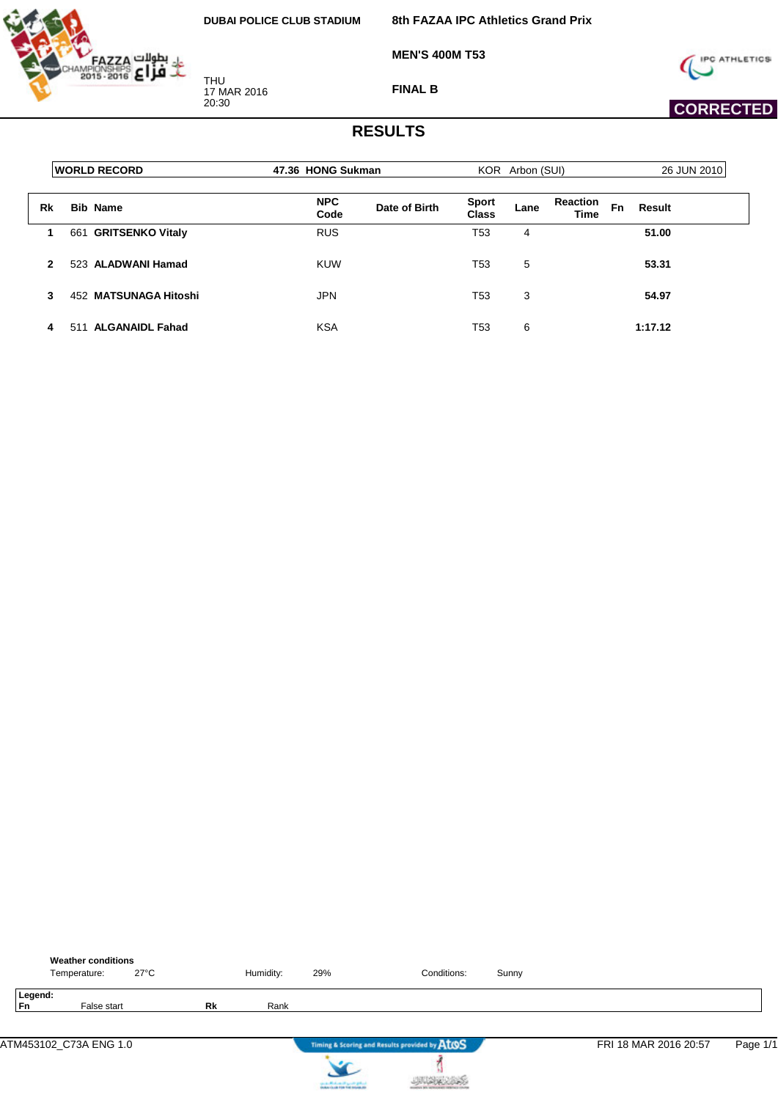

**8th FAZAA IPC Athletics Grand Prix**

**MEN'S 400M T53**



 **CORRECTED** 

**FINAL B**

|    | <b>WORLD RECORD</b>            | 47.36 HONG Sukman  |               |                       | KOR Arbon (SUI) |                         |    | 26 JUN 2010 |
|----|--------------------------------|--------------------|---------------|-----------------------|-----------------|-------------------------|----|-------------|
| Rk | <b>Bib Name</b>                | <b>NPC</b><br>Code | Date of Birth | <b>Sport</b><br>Class | Lane            | <b>Reaction</b><br>Time | Fn | Result      |
|    | <b>GRITSENKO Vitaly</b><br>661 | <b>RUS</b>         |               | T53                   | 4               |                         |    | 51.00       |
| 2  | 523 ALADWANI Hamad             | KUW                |               | T53                   | 5               |                         |    | 53.31       |
| 3  | 452 MATSUNAGA Hitoshi          | <b>JPN</b>         |               | T <sub>53</sub>       | 3               |                         |    | 54.97       |
| 4  | <b>ALGANAIDL Fahad</b><br>511  | <b>KSA</b>         |               | T53                   | 6               |                         |    | 1:17.12     |

|                      | <b>Weather conditions</b><br>Temperature: | $27^{\circ}$ C |    | Humidity: | 29% | Conditions:                                   | Sunny |                       |          |
|----------------------|-------------------------------------------|----------------|----|-----------|-----|-----------------------------------------------|-------|-----------------------|----------|
| Legend:<br><b>Fn</b> | False start                               |                | Rk | Rank      |     |                                               |       |                       |          |
|                      | ATM453102_C73A ENG 1.0                    |                |    |           |     | Timing & Scoring and Results provided by AtOS |       | FRI 18 MAR 2016 20:57 | Page 1/1 |
|                      |                                           |                |    |           |     |                                               |       |                       |          |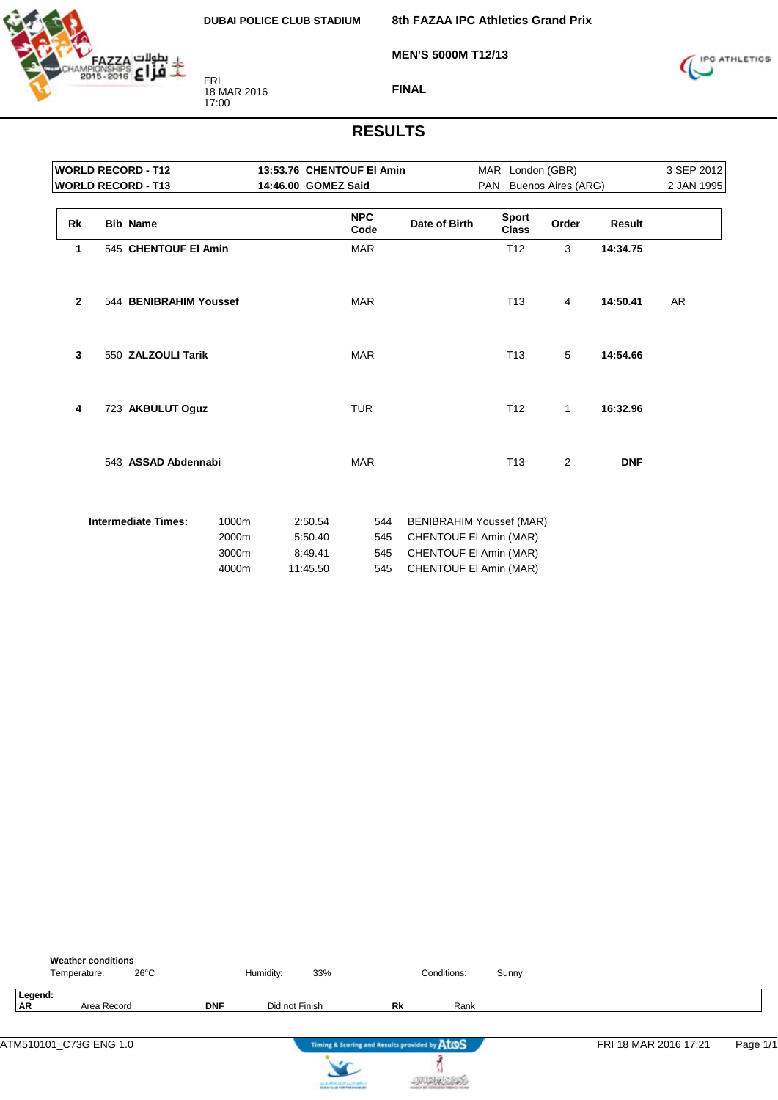

**MEN'S 5000M T12/13**

**8th FAZAA IPC Athletics Grand Prix**



**FINAL**

| <b>WORLD RECORD - T12</b> |  |                            |                |                     | 13:53.76 CHENTOUF EI Amin |                    | MAR London (GBR)                                          |                              |                        | 3 SEP 2012    |            |
|---------------------------|--|----------------------------|----------------|---------------------|---------------------------|--------------------|-----------------------------------------------------------|------------------------------|------------------------|---------------|------------|
|                           |  | <b>WORLD RECORD - T13</b>  |                | 14:46.00 GOMEZ Said |                           |                    |                                                           |                              | PAN Buenos Aires (ARG) |               | 2 JAN 1995 |
| Rk                        |  | <b>Bib Name</b>            |                |                     |                           | <b>NPC</b><br>Code | Date of Birth                                             | <b>Sport</b><br><b>Class</b> | Order                  | <b>Result</b> |            |
| 1                         |  | 545 CHENTOUF EI Amin       |                |                     |                           | <b>MAR</b>         |                                                           | T <sub>12</sub>              | 3                      | 14:34.75      |            |
| $\mathbf{2}$              |  | 544 BENIBRAHIM Youssef     |                |                     |                           | <b>MAR</b>         |                                                           | T <sub>13</sub>              | 4                      | 14:50.41      | AR         |
| 3                         |  | 550 ZALZOULI Tarik         |                |                     |                           | <b>MAR</b>         |                                                           | T <sub>13</sub>              | 5                      | 14:54.66      |            |
| 4                         |  | 723 AKBULUT Oguz           |                |                     |                           | <b>TUR</b>         |                                                           | T <sub>12</sub>              | $\mathbf{1}$           | 16:32.96      |            |
|                           |  | 543 ASSAD Abdennabi        |                |                     |                           | <b>MAR</b>         |                                                           | T <sub>13</sub>              | 2                      | <b>DNF</b>    |            |
|                           |  | <b>Intermediate Times:</b> | 1000m<br>2000m |                     | 2:50.54<br>5:50.40        | 544<br>545         | <b>BENIBRAHIM Youssef (MAR)</b><br>CHENTOUF EI Amin (MAR) |                              |                        |               |            |
|                           |  |                            | 3000m<br>4000m |                     | 8:49.41<br>11:45.50       | 545<br>545         | CHENTOUF EI Amin (MAR)<br>CHENTOUF EI Amin (MAR)          |                              |                        |               |            |

|                      | <b>Weather conditions</b><br>$26^{\circ}$ C<br>Temperature: |            | Humidity:      | 33% |                                               | Conditions: | Sunny |                       |          |
|----------------------|-------------------------------------------------------------|------------|----------------|-----|-----------------------------------------------|-------------|-------|-----------------------|----------|
| Legend:<br><b>AR</b> | Area Record                                                 | <b>DNF</b> | Did not Finish |     | Rk                                            | Rank        |       |                       |          |
|                      |                                                             |            |                |     |                                               |             |       |                       |          |
|                      | ATM510101_C73G ENG 1.0                                      |            |                |     | Timing & Scoring and Results provided by ATOS |             |       | FRI 18 MAR 2016 17:21 | Page 1/1 |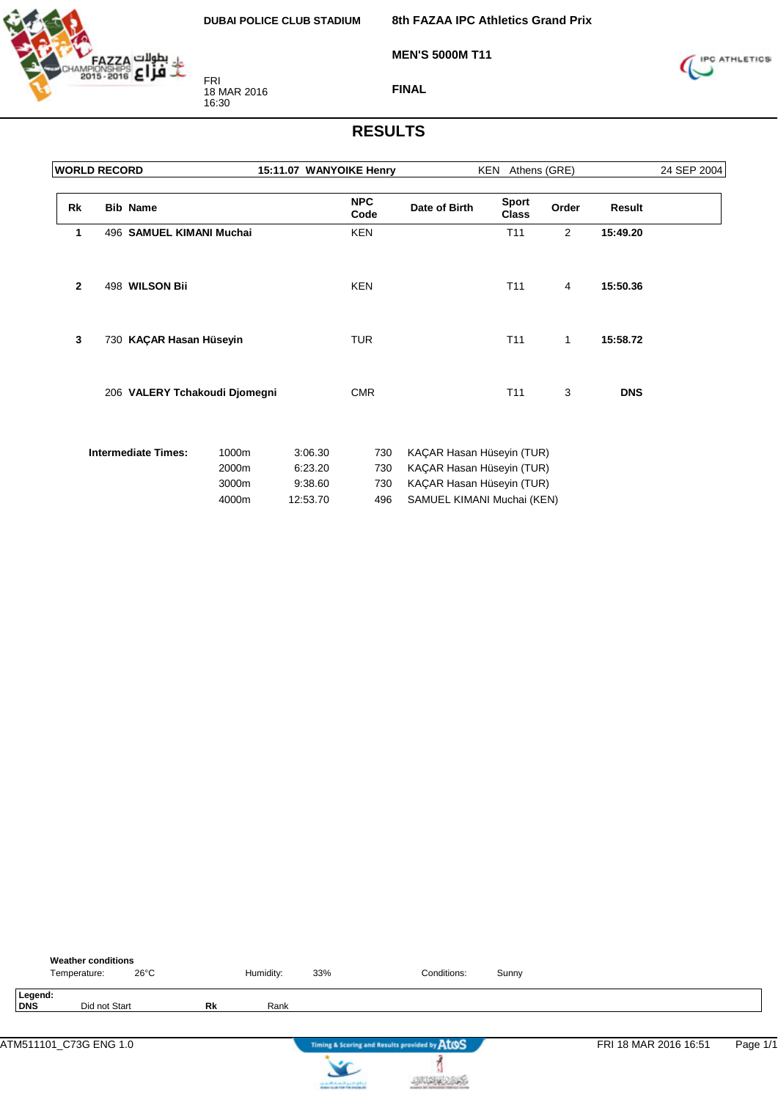

**8th FAZAA IPC Athletics Grand Prix**

**MEN'S 5000M T11**



**FINAL**

|              | <b>WORLD RECORD</b> |                               |                                  | 15:11.07 WANYOIKE Henry                   |                          | KEN Athens (GRE)                                                                                                  |                              | 24 SEP 2004 |            |  |
|--------------|---------------------|-------------------------------|----------------------------------|-------------------------------------------|--------------------------|-------------------------------------------------------------------------------------------------------------------|------------------------------|-------------|------------|--|
| Rk           |                     | <b>Bib Name</b>               |                                  |                                           | <b>NPC</b><br>Code       | Date of Birth                                                                                                     | <b>Sport</b><br><b>Class</b> | Order       | Result     |  |
| 1            |                     | 496 SAMUEL KIMANI Muchai      |                                  |                                           | <b>KEN</b>               |                                                                                                                   | T <sub>11</sub>              | 2           | 15:49.20   |  |
| $\mathbf{2}$ |                     | 498 WILSON Bii                |                                  |                                           | <b>KEN</b>               |                                                                                                                   | T11                          | 4           | 15:50.36   |  |
| 3            |                     | 730 KAÇAR Hasan Hüseyin       |                                  |                                           | <b>TUR</b>               |                                                                                                                   | T11                          | 1           | 15:58.72   |  |
|              |                     | 206 VALERY Tchakoudi Djomegni |                                  |                                           | <b>CMR</b>               |                                                                                                                   | T11                          | 3           | <b>DNS</b> |  |
|              |                     | <b>Intermediate Times:</b>    | 1000m<br>2000m<br>3000m<br>4000m | 3:06.30<br>6:23.20<br>9:38.60<br>12:53.70 | 730<br>730<br>730<br>496 | KAÇAR Hasan Hüseyin (TUR)<br>KAÇAR Hasan Hüseyin (TUR)<br>KAÇAR Hasan Hüseyin (TUR)<br>SAMUEL KIMANI Muchai (KEN) |                              |             |            |  |

|            |         | <b>Weather conditions</b><br>Temperature: | $26^{\circ}$ C |           | Humidity: | 33% | Conditions:                                   | Sunny |                       |          |
|------------|---------|-------------------------------------------|----------------|-----------|-----------|-----|-----------------------------------------------|-------|-----------------------|----------|
| <b>DNS</b> | Legend: | Did not Start                             |                | <b>Rk</b> | Rank      |     |                                               |       |                       |          |
|            |         |                                           |                |           |           |     |                                               |       |                       |          |
|            |         | ATM511101_C73G ENG 1.0                    |                |           |           |     | Timing & Scoring and Results provided by AtOS |       | FRI 18 MAR 2016 16:51 | Page 1/1 |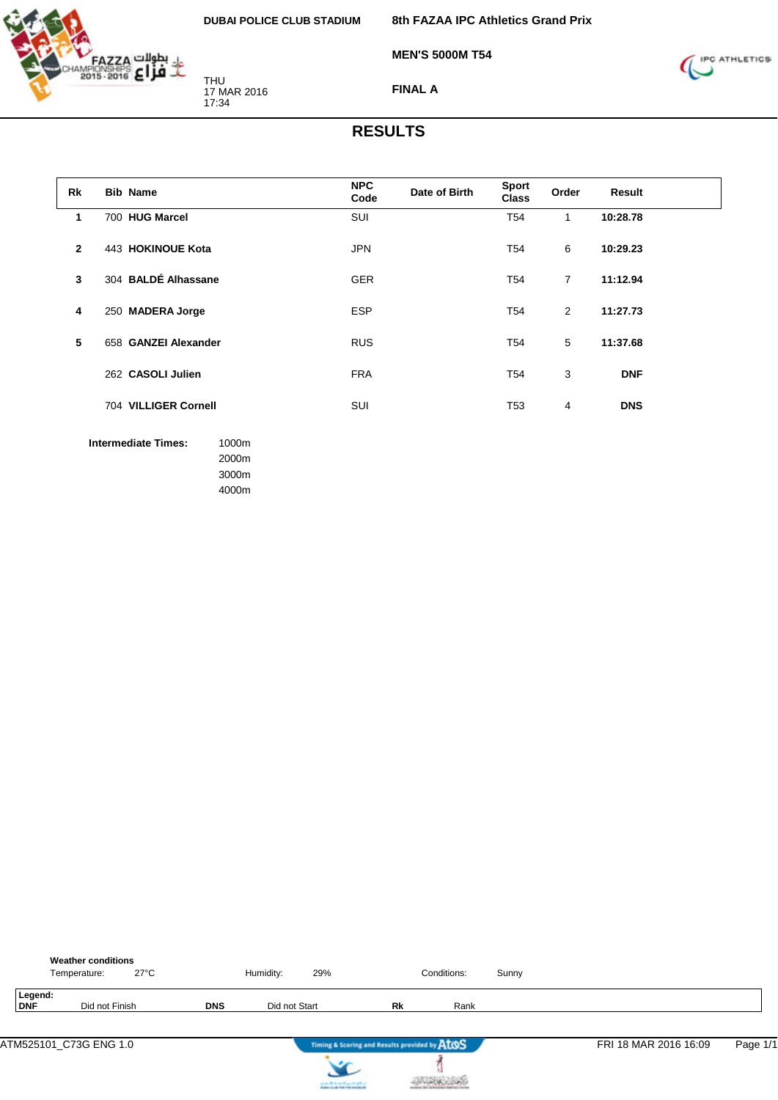

THU 17 MAR 2016 17:34

**8th FAZAA IPC Athletics Grand Prix**

**MEN'S 5000M T54**



**FINAL A**

#### **RESULTS**

| Rk           | <b>Bib Name</b>                                       | <b>NPC</b><br>Code | Date of Birth | <b>Sport</b><br><b>Class</b> | Order          | Result     |  |
|--------------|-------------------------------------------------------|--------------------|---------------|------------------------------|----------------|------------|--|
| 1            | 700 HUG Marcel                                        | SUI                |               | T <sub>54</sub>              | $\mathbf{1}$   | 10:28.78   |  |
| $\mathbf{2}$ | 443 HOKINOUE Kota                                     | <b>JPN</b>         |               | T <sub>54</sub>              | 6              | 10:29.23   |  |
| $\mathbf{3}$ | 304 BALDÉ Alhassane                                   | <b>GER</b>         |               | T <sub>54</sub>              | $\overline{7}$ | 11:12.94   |  |
| 4            | 250 MADERA Jorge                                      | <b>ESP</b>         |               | T <sub>54</sub>              | $\overline{2}$ | 11:27.73   |  |
| 5            | 658 GANZEI Alexander                                  | <b>RUS</b>         |               | T <sub>54</sub>              | 5              | 11:37.68   |  |
|              | 262 CASOLI Julien                                     | <b>FRA</b>         |               | T <sub>54</sub>              | 3              | <b>DNF</b> |  |
|              | 704 VILLIGER Cornell                                  | <b>SUI</b>         |               | T <sub>53</sub>              | $\overline{4}$ | <b>DNS</b> |  |
|              | <b>Intermediate Times:</b><br>1000m<br>2000m<br>3000m |                    |               |                              |                |            |  |

4000m

|                | <b>Weather conditions</b><br>$27^{\circ}$ C<br>Temperature: |            | Humidity:     | 29%                                           |    | Conditions: | Sunny |                       |          |
|----------------|-------------------------------------------------------------|------------|---------------|-----------------------------------------------|----|-------------|-------|-----------------------|----------|
| Legend:<br>DNF | Did not Finish                                              | <b>DNS</b> | Did not Start |                                               | Rk | Rank        |       |                       |          |
|                | ATM525101 C73G ENG 1.0                                      |            |               | Timing & Scoring and Results provided by ATOS |    |             |       | FRI 18 MAR 2016 16:09 | Page 1/1 |



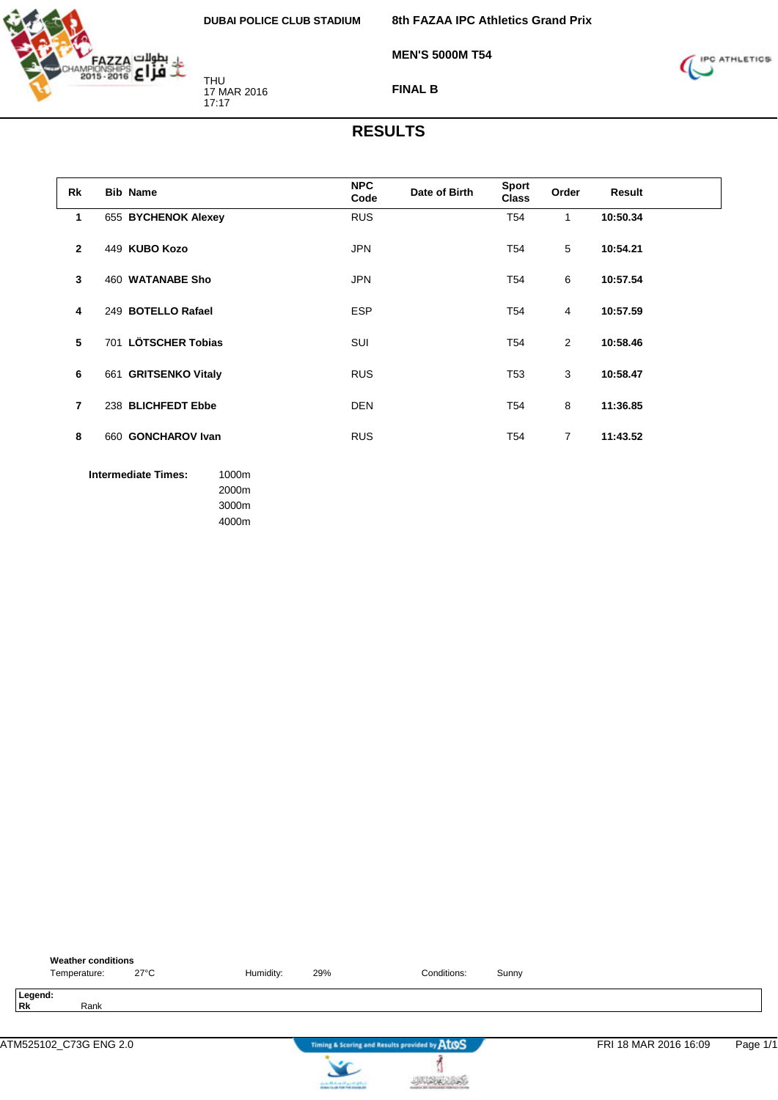

THU 17 MAR 2016 17:17

> 3000m 4000m

**8th FAZAA IPC Athletics Grand Prix**

**MEN'S 5000M T54**



**FINAL B**

| Rk             | <b>Bib Name</b>                              | <b>NPC</b><br>Code | Date of Birth | Sport<br><b>Class</b> | Order          | Result   |  |
|----------------|----------------------------------------------|--------------------|---------------|-----------------------|----------------|----------|--|
| 1              | 655 BYCHENOK Alexey                          | <b>RUS</b>         |               | T <sub>54</sub>       | $\mathbf{1}$   | 10:50.34 |  |
| $\mathbf{2}$   | 449 KUBO Kozo                                | <b>JPN</b>         |               | T <sub>54</sub>       | 5              | 10:54.21 |  |
| 3              | 460 WATANABE Sho                             | <b>JPN</b>         |               | T <sub>54</sub>       | 6              | 10:57.54 |  |
| 4              | 249 BOTELLO Rafael                           | <b>ESP</b>         |               | T <sub>54</sub>       | 4              | 10:57.59 |  |
| 5              | 701 LÖTSCHER Tobias                          | SUI                |               | T <sub>54</sub>       | 2              | 10:58.46 |  |
| 6              | 661 GRITSENKO Vitaly                         | <b>RUS</b>         |               | T <sub>53</sub>       | 3              | 10:58.47 |  |
| $\overline{7}$ | 238 BLICHFEDT Ebbe                           | <b>DEN</b>         |               | T <sub>54</sub>       | 8              | 11:36.85 |  |
| 8              | 660 GONCHAROV Ivan                           | <b>RUS</b>         |               | T <sub>54</sub>       | $\overline{7}$ | 11:43.52 |  |
|                | <b>Intermediate Times:</b><br>1000m<br>2000m |                    |               |                       |                |          |  |

| <b>Weather conditions</b><br>$27^{\circ}$ C<br>Temperature: | Humidity: | 29%                                                                        | Conditions:                                   | Sunny |                       |          |
|-------------------------------------------------------------|-----------|----------------------------------------------------------------------------|-----------------------------------------------|-------|-----------------------|----------|
| Legend:<br><b>Rk</b><br>Rank                                |           |                                                                            |                                               |       |                       |          |
| ATM525102_C73G ENG 2.0                                      |           |                                                                            | Timing & Scoring and Results provided by AtOS |       | FRI 18 MAR 2016 16:09 | Page 1/1 |
|                                                             |           | لسافع فتسرد التهساسالاسفين<br><b>Installation of the field industry at</b> |                                               |       |                       |          |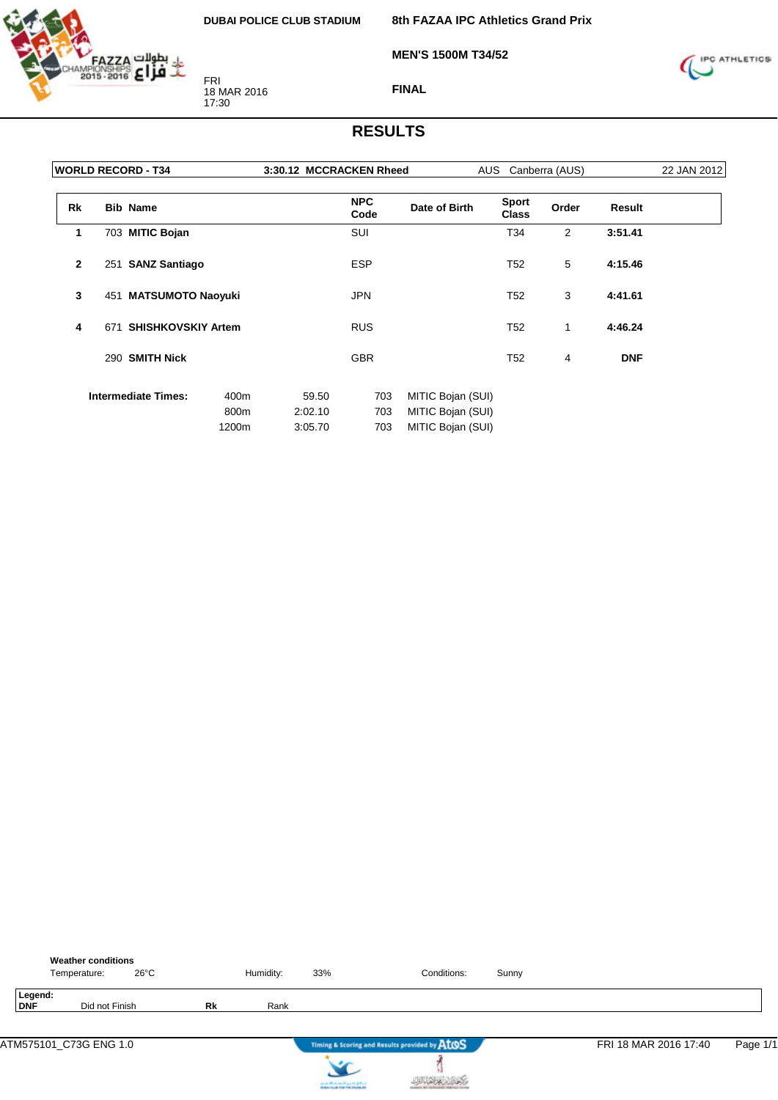

**8th FAZAA IPC Athletics Grand Prix**

**MEN'S 1500M T34/52**



**FINAL**

|              | <b>WORLD RECORD - T34</b>        |       | 3:30.12 MCCRACKEN Rheed |                    |                   | AUS<br>Canberra (AUS)        |       |            |  |
|--------------|----------------------------------|-------|-------------------------|--------------------|-------------------|------------------------------|-------|------------|--|
| <b>Rk</b>    | <b>Bib Name</b>                  |       |                         | <b>NPC</b><br>Code | Date of Birth     | <b>Sport</b><br><b>Class</b> | Order | Result     |  |
| 1            | 703 MITIC Bojan                  |       |                         | <b>SUI</b>         |                   | T34                          | 2     | 3:51.41    |  |
| $\mathbf{2}$ | 251 SANZ Santiago                |       |                         | <b>ESP</b>         |                   | T <sub>52</sub>              | 5     | 4:15.46    |  |
| 3            | 451 MATSUMOTO Naoyuki            |       |                         | <b>JPN</b>         |                   | T <sub>52</sub>              | 3     | 4:41.61    |  |
| 4            | <b>SHISHKOVSKIY Artem</b><br>671 |       |                         | <b>RUS</b>         |                   | T <sub>52</sub>              | 1     | 4:46.24    |  |
|              | 290 SMITH Nick                   |       |                         | <b>GBR</b>         |                   | T <sub>52</sub>              | 4     | <b>DNF</b> |  |
|              | <b>Intermediate Times:</b>       | 400m  | 59.50                   | 703                | MITIC Bojan (SUI) |                              |       |            |  |
|              |                                  | 800m  | 2:02.10                 | 703                | MITIC Bojan (SUI) |                              |       |            |  |
|              |                                  | 1200m | 3:05.70                 | 703                | MITIC Bojan (SUI) |                              |       |            |  |

|                | <b>Weather conditions</b><br>$26^{\circ}$ C<br>Temperature: |           | Humidity: | 33%                                    | Conditions:                                   | Sunny |                       |          |
|----------------|-------------------------------------------------------------|-----------|-----------|----------------------------------------|-----------------------------------------------|-------|-----------------------|----------|
| Legend:<br>DNF | Did not Finish                                              | <b>Rk</b> | Rank      |                                        |                                               |       |                       |          |
|                | ATM575101_C73G ENG 1.0                                      |           |           |                                        | Timing & Scoring and Results provided by AtOS |       | FRI 18 MAR 2016 17:40 | Page 1/1 |
|                |                                                             |           |           | can be affected and it genetic gradual |                                               |       |                       |          |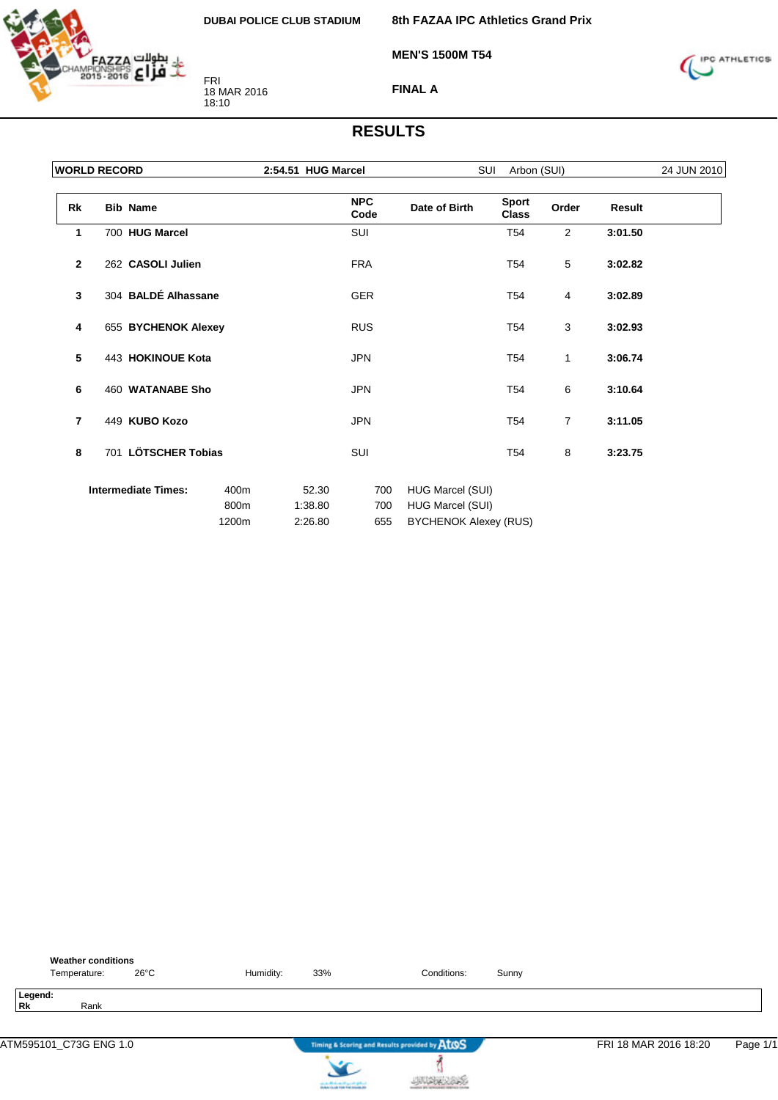

**8th FAZAA IPC Athletics Grand Prix**

**MEN'S 1500M T54**



**FINAL A**

#### **RESULTS**

|              | <b>WORLD RECORD</b>        |              | 2:54.51 HUG Marcel |                    | SUI<br>Arbon (SUI)                   |                              |                |         |  |
|--------------|----------------------------|--------------|--------------------|--------------------|--------------------------------------|------------------------------|----------------|---------|--|
| Rk           | <b>Bib Name</b>            |              |                    | <b>NPC</b><br>Code | Date of Birth                        | <b>Sport</b><br><b>Class</b> | Order          | Result  |  |
| 1            | 700 HUG Marcel             |              |                    | SUI                |                                      | T <sub>54</sub>              | $\overline{2}$ | 3:01.50 |  |
| $\mathbf{2}$ | 262 CASOLI Julien          |              |                    | <b>FRA</b>         |                                      | T <sub>54</sub>              | 5              | 3:02.82 |  |
| 3            | 304 BALDÉ Alhassane        |              |                    | <b>GER</b>         |                                      | T <sub>54</sub>              | 4              | 3:02.89 |  |
| 4            | 655 BYCHENOK Alexey        |              |                    | <b>RUS</b>         |                                      | T <sub>54</sub>              | 3              | 3:02.93 |  |
| 5            | 443 HOKINOUE Kota          |              |                    | <b>JPN</b>         |                                      | T <sub>54</sub>              | $\mathbf{1}$   | 3:06.74 |  |
| 6            | 460 WATANABE Sho           |              |                    | <b>JPN</b>         |                                      | T <sub>54</sub>              | 6              | 3:10.64 |  |
| 7            | 449 KUBO Kozo              |              |                    | <b>JPN</b>         |                                      | T54                          | $\overline{7}$ | 3:11.05 |  |
| 8            | 701 LÖTSCHER Tobias        |              |                    | SUI                |                                      | T <sub>54</sub>              | 8              | 3:23.75 |  |
|              | <b>Intermediate Times:</b> | 400m<br>800m | 52.30<br>1:38.80   | 700<br>700         | HUG Marcel (SUI)<br>HUG Marcel (SUI) |                              |                |         |  |
|              | 1200m                      |              | 2:26.80            | 655                | <b>BYCHENOK Alexey (RUS)</b>         |                              |                |         |  |

| <b>Weather conditions</b><br>$26^{\circ}$ C<br>Temperature: | Humidity: | 33%                               | Conditions:                                   | Sunny |                       |          |
|-------------------------------------------------------------|-----------|-----------------------------------|-----------------------------------------------|-------|-----------------------|----------|
| Legend:<br><b>Rk</b><br>Rank                                |           |                                   |                                               |       |                       |          |
| ATM595101_C73G ENG 1.0                                      |           |                                   | Timing & Scoring and Results provided by AtOS |       | FRI 18 MAR 2016 18:20 | Page 1/1 |
|                                                             |           | can be Mindsom of Sprints (print) |                                               |       |                       |          |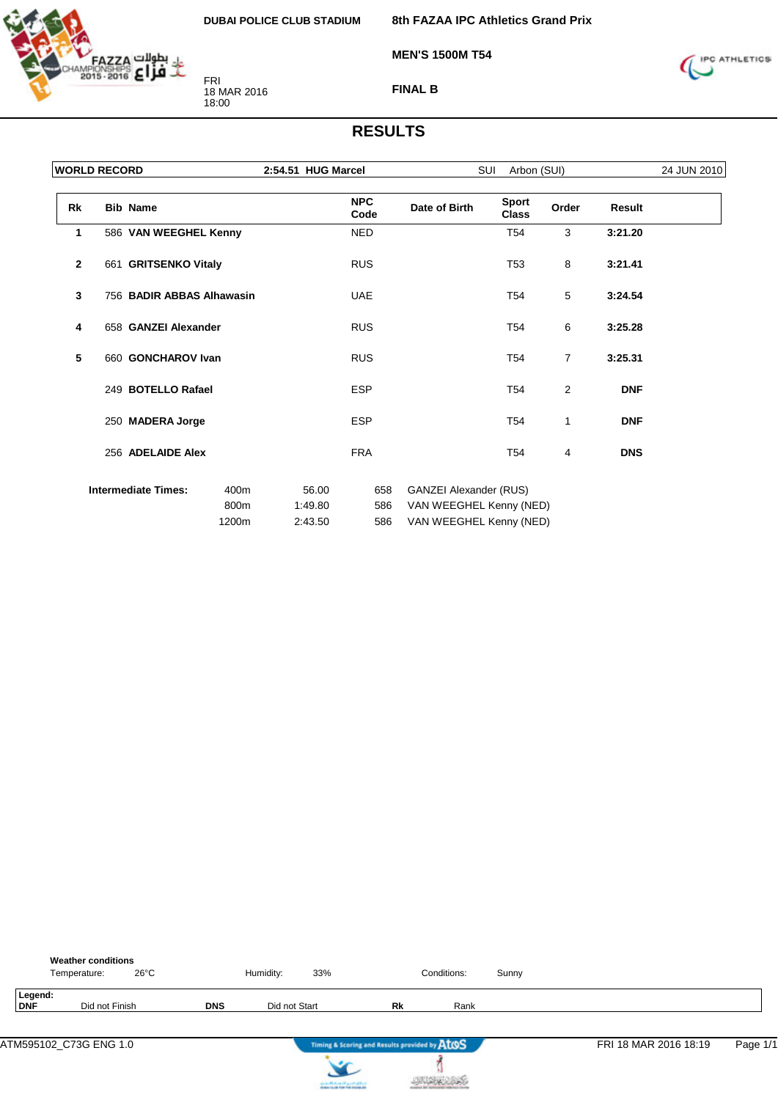

**8th FAZAA IPC Athletics Grand Prix**

**MEN'S 1500M T54**



**FINAL B**

|              | <b>WORLD RECORD</b> |                            |              | 2:54.51 HUG Marcel |                    |                                                          | SUI<br>Arbon (SUI)           |                |            | 24 JUN 2010 |
|--------------|---------------------|----------------------------|--------------|--------------------|--------------------|----------------------------------------------------------|------------------------------|----------------|------------|-------------|
| Rk           |                     | <b>Bib Name</b>            |              |                    | <b>NPC</b><br>Code | Date of Birth                                            | <b>Sport</b><br><b>Class</b> | Order          | Result     |             |
| 1            |                     | 586 VAN WEEGHEL Kenny      |              |                    | <b>NED</b>         |                                                          | T <sub>54</sub>              | 3              | 3:21.20    |             |
| $\mathbf{2}$ |                     | 661 GRITSENKO Vitaly       |              |                    | <b>RUS</b>         |                                                          | T <sub>53</sub>              | 8              | 3:21.41    |             |
| 3            |                     | 756 BADIR ABBAS Alhawasin  |              |                    | <b>UAE</b>         |                                                          | T <sub>54</sub>              | 5              | 3:24.54    |             |
| 4            |                     | 658 GANZEI Alexander       |              |                    | <b>RUS</b>         |                                                          | T <sub>54</sub>              | 6              | 3:25.28    |             |
| 5            |                     | 660 GONCHAROV Ivan         |              |                    | <b>RUS</b>         |                                                          | T <sub>54</sub>              | $\overline{7}$ | 3:25.31    |             |
|              |                     | 249 BOTELLO Rafael         |              |                    | <b>ESP</b>         |                                                          | T <sub>54</sub>              | 2              | <b>DNF</b> |             |
|              |                     | 250 MADERA Jorge           |              |                    | <b>ESP</b>         |                                                          | T <sub>54</sub>              | 1              | <b>DNF</b> |             |
|              |                     | 256 ADELAIDE Alex          |              |                    | <b>FRA</b>         |                                                          | T <sub>54</sub>              | 4              | <b>DNS</b> |             |
|              |                     | <b>Intermediate Times:</b> | 400m<br>800m | 56.00<br>1:49.80   | 658<br>586         | <b>GANZEI Alexander (RUS)</b><br>VAN WEEGHEL Kenny (NED) |                              |                |            |             |
|              |                     |                            | 1200m        | 2:43.50            | 586                | VAN WEEGHEL Kenny (NED)                                  |                              |                |            |             |

|                | <b>Weather conditions</b><br>$26^{\circ}$ C<br>Temperature: |            | Humidity:     | 33% |                                               | Conditions: | Sunny |                       |          |
|----------------|-------------------------------------------------------------|------------|---------------|-----|-----------------------------------------------|-------------|-------|-----------------------|----------|
| Legend:<br>DNF | Did not Finish                                              | <b>DNS</b> | Did not Start |     | Rk                                            | Rank        |       |                       |          |
|                | ATM595102 C73G ENG 1.0                                      |            |               | .   | Timing & Scoring and Results provided by AtOS |             |       | FRI 18 MAR 2016 18:19 | Page 1/1 |



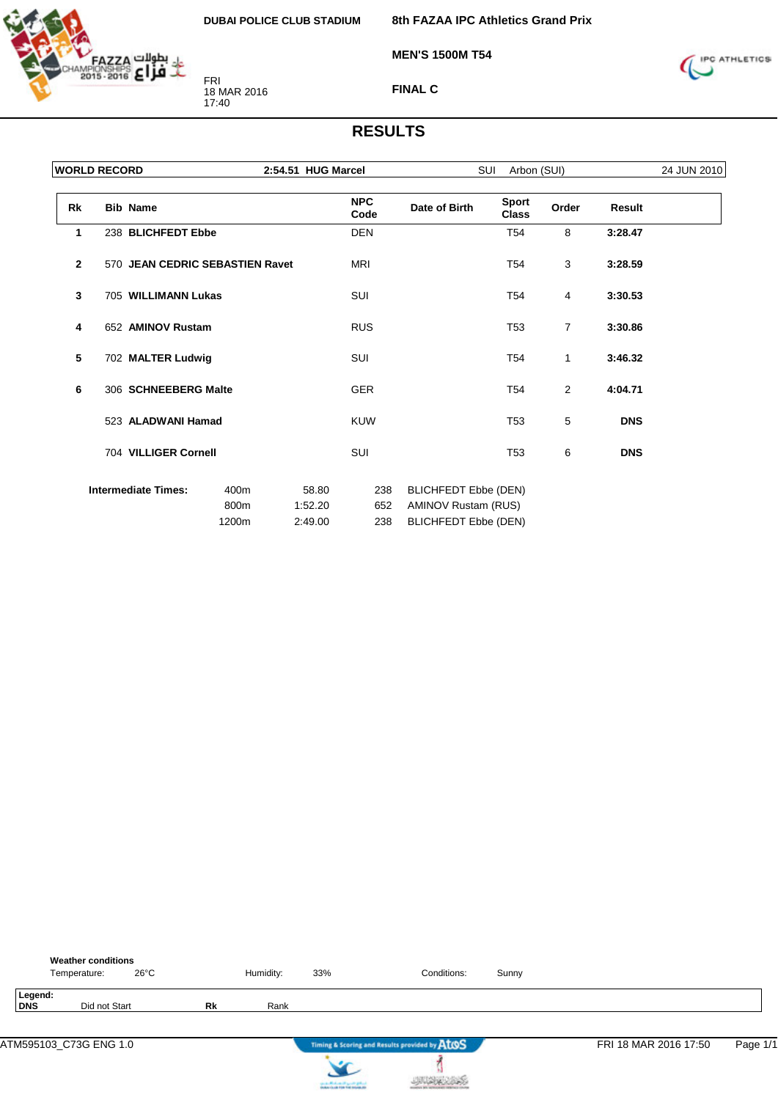

**8th FAZAA IPC Athletics Grand Prix**

**MEN'S 1500M T54**



**FINAL C**

| <b>WORLD RECORD</b> |                                 |                       | 2:54.51 HUG Marcel          |                    | SUI<br>Arbon (SUI)                                                                       |                              |       |            | 24 JUN 2010 |  |
|---------------------|---------------------------------|-----------------------|-----------------------------|--------------------|------------------------------------------------------------------------------------------|------------------------------|-------|------------|-------------|--|
| Rk                  | <b>Bib Name</b>                 |                       |                             | <b>NPC</b><br>Code | Date of Birth                                                                            | <b>Sport</b><br><b>Class</b> | Order | Result     |             |  |
| 1                   | 238 BLICHFEDT Ebbe              |                       |                             | <b>DEN</b>         |                                                                                          | T <sub>54</sub>              | 8     | 3:28.47    |             |  |
| $\overline{2}$      | 570 JEAN CEDRIC SEBASTIEN Ravet |                       |                             | <b>MRI</b>         |                                                                                          | T <sub>54</sub>              | 3     | 3:28.59    |             |  |
| 3                   | 705 WILLIMANN Lukas             |                       |                             | SUI                |                                                                                          | T <sub>54</sub>              | 4     | 3:30.53    |             |  |
| 4                   | 652 AMINOV Rustam               |                       |                             | <b>RUS</b>         |                                                                                          | T <sub>53</sub>              | 7     | 3:30.86    |             |  |
| 5                   | 702 MALTER Ludwig               |                       |                             | SUI                |                                                                                          | T <sub>54</sub>              | 1     | 3:46.32    |             |  |
| 6                   | 306 SCHNEEBERG Malte            |                       |                             | <b>GER</b>         |                                                                                          | T <sub>54</sub>              | 2     | 4:04.71    |             |  |
|                     | 523 ALADWANI Hamad              |                       |                             | <b>KUW</b>         |                                                                                          | T <sub>53</sub>              | 5     | <b>DNS</b> |             |  |
|                     | 704 VILLIGER Cornell            |                       |                             | SUI                |                                                                                          | T <sub>53</sub>              | 6     | <b>DNS</b> |             |  |
|                     | <b>Intermediate Times:</b>      | 400m<br>800m<br>1200m | 58.80<br>1:52.20<br>2:49.00 | 238<br>652<br>238  | <b>BLICHFEDT Ebbe (DEN)</b><br><b>AMINOV Rustam (RUS)</b><br><b>BLICHFEDT Ebbe (DEN)</b> |                              |       |            |             |  |

|                | <b>Weather conditions</b><br>Temperature: | $26^{\circ}$ C |    | Humidity: | 33%                                                                                     | Conditions:                                   | Sunny |                       |          |
|----------------|-------------------------------------------|----------------|----|-----------|-----------------------------------------------------------------------------------------|-----------------------------------------------|-------|-----------------------|----------|
| Legend:<br>DNS | Did not Start                             |                | Rk | Rank      |                                                                                         |                                               |       |                       |          |
|                | ATM595103_C73G ENG 1.0                    |                |    |           |                                                                                         | Timing & Scoring and Results provided by AtOS |       | FRI 18 MAR 2016 17:50 | Page 1/1 |
|                |                                           |                |    |           | counter Mindsons of April 20 (professional)<br>Analysis for all 1996 find materials and |                                               |       |                       |          |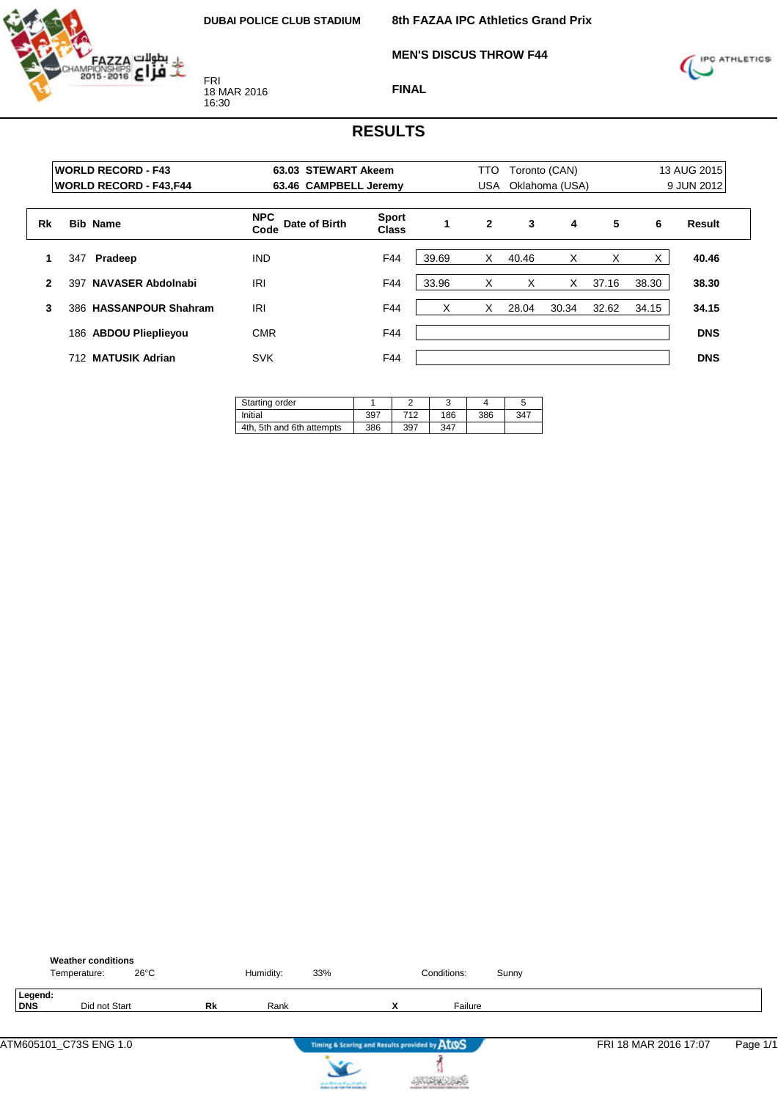

**MEN'S DISCUS THROW F44**



**FINAL**

|              | <b>WORLD RECORD - F43</b><br><b>WORLD RECORD - F43, F44</b> |                           | 63.03 STEWART Akeem<br>63.46 CAMPBELL Jeremy |                              |       | TTO<br>USA   | Toronto (CAN)<br>Oklahoma (USA) | 13 AUG 2015<br>9 JUN 2012 |       |       |            |
|--------------|-------------------------------------------------------------|---------------------------|----------------------------------------------|------------------------------|-------|--------------|---------------------------------|---------------------------|-------|-------|------------|
| Rk           |                                                             | <b>Bib Name</b>           | <b>NPC</b><br>Date of Birth<br>Code          | <b>Sport</b><br><b>Class</b> |       | $\mathbf{2}$ | 3                               | 4                         | 5     | 6     | Result     |
|              | 347                                                         | Pradeep                   | <b>IND</b>                                   | F44                          | 39.69 | X            | 40.46                           | X                         | Χ     | X     | 40.46      |
| $\mathbf{2}$ | 397                                                         | <b>NAVASER Abdolnabi</b>  | <b>IRI</b>                                   | F44                          | 33.96 | X            | X                               | X                         | 37.16 | 38.30 | 38.30      |
| 3            | 386.                                                        | <b>HASSANPOUR Shahram</b> | <b>IRI</b>                                   | F44                          | X     | X            | 28.04                           | 30.34                     | 32.62 | 34.15 | 34.15      |
|              | 186                                                         | <b>ABDOU Plieplievou</b>  | <b>CMR</b>                                   | F44                          |       |              |                                 |                           |       |       | <b>DNS</b> |
|              | 712                                                         | <b>MATUSIK Adrian</b>     | <b>SVK</b>                                   | F44                          |       |              |                                 |                           |       |       | <b>DNS</b> |

| Starting order            |     |     |     |     |     |
|---------------------------|-----|-----|-----|-----|-----|
| Initial                   | 397 | 712 | 186 | 386 | 347 |
| 4th, 5th and 6th attempts | 386 | 397 | 347 |     |     |

|                | <b>Weather conditions</b><br>Temperature: | $26^{\circ}$ C |    | Humidity: | 33%                                                                            |   | Conditions: | Sunny |                       |          |
|----------------|-------------------------------------------|----------------|----|-----------|--------------------------------------------------------------------------------|---|-------------|-------|-----------------------|----------|
| Legend:<br>DNS | Did not Start                             |                | Rk | Rank      |                                                                                | x | Failure     |       |                       |          |
|                | ATM605101_C73S ENG 1.0                    |                |    |           | Timing & Scoring and Results provided by AtOS                                  |   |             |       | FRI 18 MAR 2016 17:07 | Page 1/1 |
|                |                                           |                |    |           | لسافق فتسي التنفسانا الشفت<br><b>Installation and Print</b> Find Anderson, Ala |   |             |       |                       |          |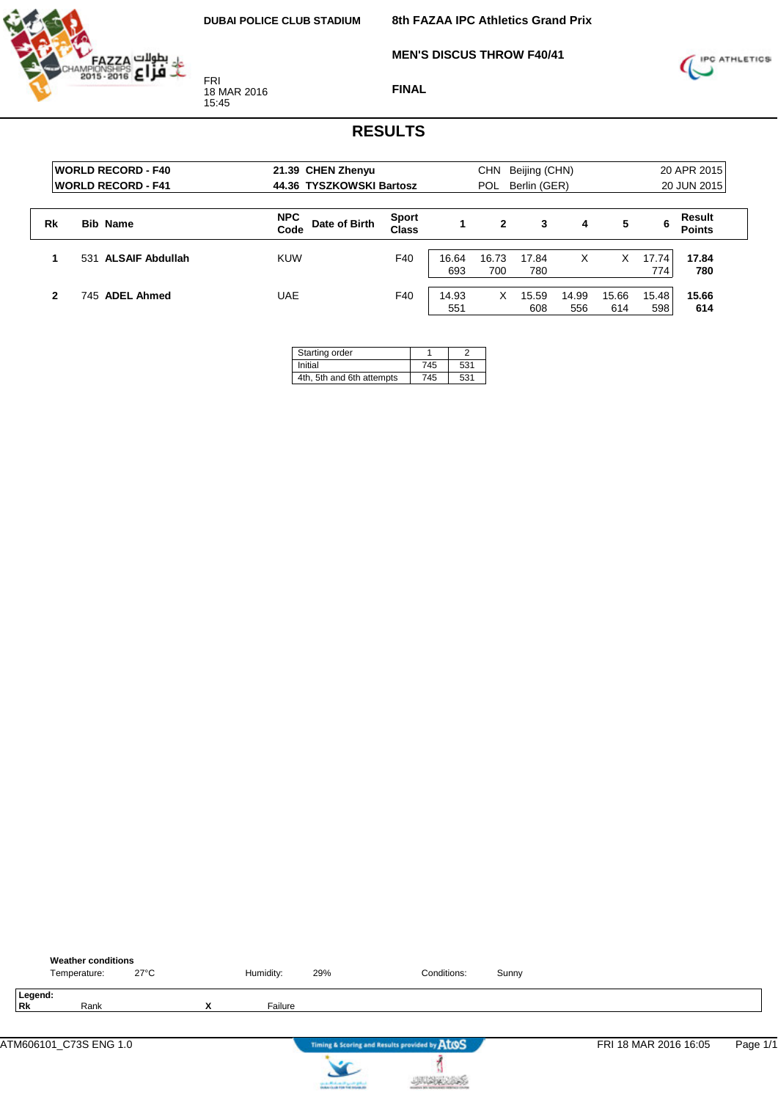**MEN'S DISCUS THROW F40/41**



FRI 18 MAR 2016 15:45

**FINAL**



|    | <b>WORLD RECORD - F40</b><br><b>IWORLD RECORD - F41</b> | 21.39 CHEN Zhenyu<br>44.36 TYSZKOWSKI Bartosz |                       | <b>CHN</b><br>Beijing (CHN)<br>Berlin (GER)<br><b>POL</b> |              |              |              |              | 20 APR 2015<br>20 JUN 2015 |                         |  |
|----|---------------------------------------------------------|-----------------------------------------------|-----------------------|-----------------------------------------------------------|--------------|--------------|--------------|--------------|----------------------------|-------------------------|--|
| Rk | <b>Bib Name</b>                                         | <b>NPC</b><br>Date of Birth<br>Code           | <b>Sport</b><br>Class |                                                           | 2            | 3            | 4            | 5            | 6                          | Result<br><b>Points</b> |  |
|    | 531 ALSAIF Abdullah                                     | <b>KUW</b>                                    | F40                   | 16.64<br>693                                              | 16.73<br>700 | 17.84<br>780 | х            | x            | 17.74<br>774               | 17.84<br>780            |  |
| 2  | 745 ADEL Ahmed                                          | UAE                                           | F40                   | 14.93<br>551                                              | X.           | 15.59<br>608 | 14.99<br>556 | 15.66<br>614 | 15.48<br>598               | 15.66<br>614            |  |

| Starting order            |     |     |
|---------------------------|-----|-----|
| Initial                   | 745 | 531 |
| 4th, 5th and 6th attempts | 745 | 531 |

|               | <b>Weather conditions</b><br>Temperature: | $27^{\circ}$ C |        | Humidity: | 29% | Conditions:                                   | Sunny |                       |          |
|---------------|-------------------------------------------|----------------|--------|-----------|-----|-----------------------------------------------|-------|-----------------------|----------|
| Legend:<br>Rk | Rank                                      |                | v<br>^ | Failure   |     |                                               |       |                       |          |
|               |                                           |                |        |           |     | Timing & Scoring and Results provided by AtOS |       | FRI 18 MAR 2016 16:05 | Page 1/1 |
|               |                                           |                |        |           |     |                                               |       |                       |          |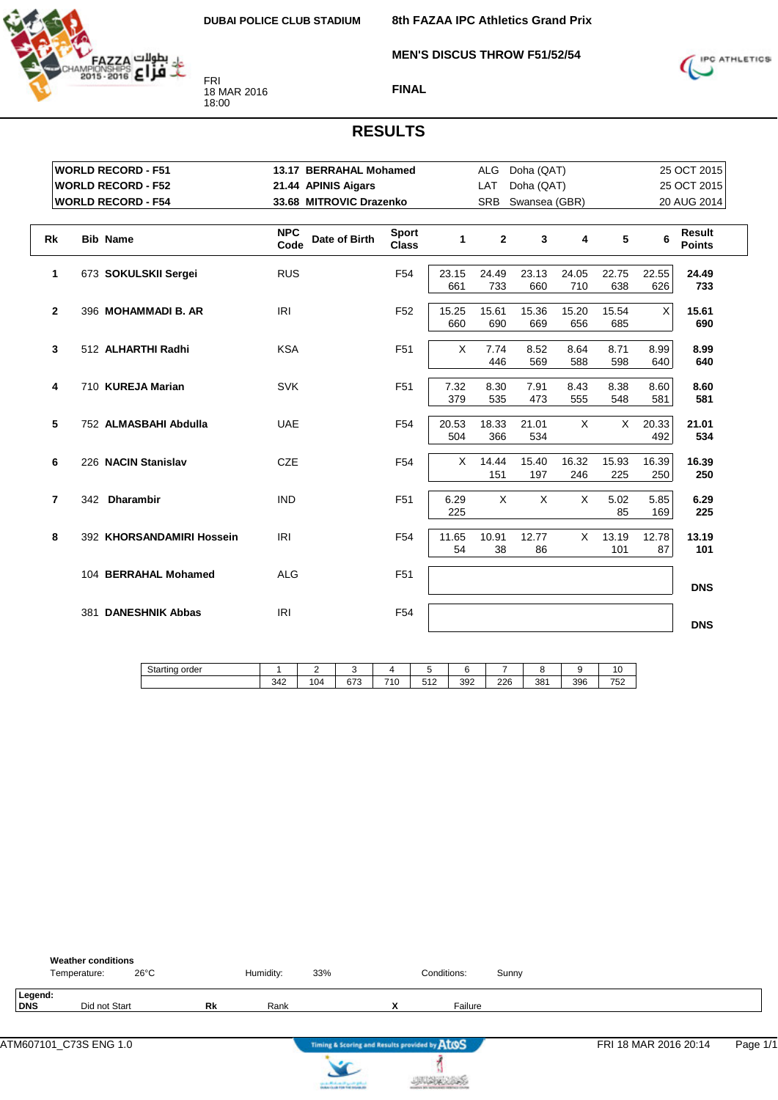**MEN'S DISCUS THROW F51/52/54**



FRI 18 MAR 2016 18:00



#### **FINAL**

#### **RESULTS**

|                | <b>WORLD RECORD - F51</b>     |                     | 13.17 BERRAHAL Mohamed                        |              | ALG          | Doha (QAT)   |               |              |              | 25 OCT 2015                    |
|----------------|-------------------------------|---------------------|-----------------------------------------------|--------------|--------------|--------------|---------------|--------------|--------------|--------------------------------|
|                | <b>WORLD RECORD - F52</b>     | 21.44 APINIS Aigars |                                               |              | LAT          | Doha (QAT)   |               |              |              | 25 OCT 2015                    |
|                | <b>WORLD RECORD - F54</b>     |                     | 33.68 MITROVIC Drazenko                       |              | <b>SRB</b>   |              | Swansea (GBR) |              |              | 20 AUG 2014                    |
| <b>Rk</b>      | <b>Bib Name</b>               | <b>NPC</b><br>Code  | <b>Sport</b><br>Date of Birth<br><b>Class</b> | 1            | $\mathbf{2}$ | 3            | 4             | 5            | 6            | <b>Result</b><br><b>Points</b> |
| 1              | 673 SOKULSKII Sergei          | <b>RUS</b>          | F <sub>54</sub>                               | 23.15<br>661 | 24.49<br>733 | 23.13<br>660 | 24.05<br>710  | 22.75<br>638 | 22.55<br>626 | 24.49<br>733                   |
| $\mathbf{2}$   | 396 MOHAMMADI B. AR           | <b>IRI</b>          | F <sub>52</sub>                               | 15.25<br>660 | 15.61<br>690 | 15.36<br>669 | 15.20<br>656  | 15.54<br>685 | X            | 15.61<br>690                   |
| 3              | 512 ALHARTHI Radhi            | <b>KSA</b>          | F <sub>51</sub>                               | X            | 7.74<br>446  | 8.52<br>569  | 8.64<br>588   | 8.71<br>598  | 8.99<br>640  | 8.99<br>640                    |
| 4              | 710 KUREJA Marian             | <b>SVK</b>          | F <sub>51</sub>                               | 7.32<br>379  | 8.30<br>535  | 7.91<br>473  | 8.43<br>555   | 8.38<br>548  | 8.60<br>581  | 8.60<br>581                    |
| 5              | 752 ALMASBAHI Abdulla         | <b>UAE</b>          | F <sub>54</sub>                               | 20.53<br>504 | 18.33<br>366 | 21.01<br>534 | X             | X            | 20.33<br>492 | 21.01<br>534                   |
| 6              | 226 NACIN Stanislav           | <b>CZE</b>          | F <sub>54</sub>                               | X            | 14.44<br>151 | 15.40<br>197 | 16.32<br>246  | 15.93<br>225 | 16.39<br>250 | 16.39<br>250                   |
| $\overline{7}$ | 342 Dharambir                 | <b>IND</b>          | F <sub>51</sub>                               | 6.29<br>225  | $\times$     | $\sf X$      | X             | 5.02<br>85   | 5.85<br>169  | 6.29<br>225                    |
| 8              | 392 KHORSANDAMIRI Hossein     | <b>IRI</b>          | F <sub>54</sub>                               | 11.65<br>54  | 10.91<br>38  | 12.77<br>86  | $\times$      | 13.19<br>101 | 12.78<br>87  | 13.19<br>101                   |
|                | 104 BERRAHAL Mohamed          | <b>ALG</b>          | F <sub>51</sub>                               |              |              |              |               |              |              | <b>DNS</b>                     |
|                | <b>DANESHNIK Abbas</b><br>381 | <b>IRI</b>          | F <sub>54</sub>                               |              |              |              |               |              |              | <b>DNS</b>                     |

Starting order 1 342  $\overline{2}$ 104 3 673 4 710 5 512 6 392 7 226 8 381 9 396 10 752

|                | <b>Weather conditions</b><br>Temperature: | $26^{\circ}$ C |    | Humidity: | 33% |                                               | Conditions: | Sunny |                       |          |
|----------------|-------------------------------------------|----------------|----|-----------|-----|-----------------------------------------------|-------------|-------|-----------------------|----------|
| Legend:<br>DNS | Did not Start                             |                | Rk | Rank      |     | Λ                                             | Failure     |       |                       |          |
|                |                                           |                |    |           |     | Timing & Scoring and Results provided by ATOS |             |       | FRI 18 MAR 2016 20:14 | Page 1/1 |





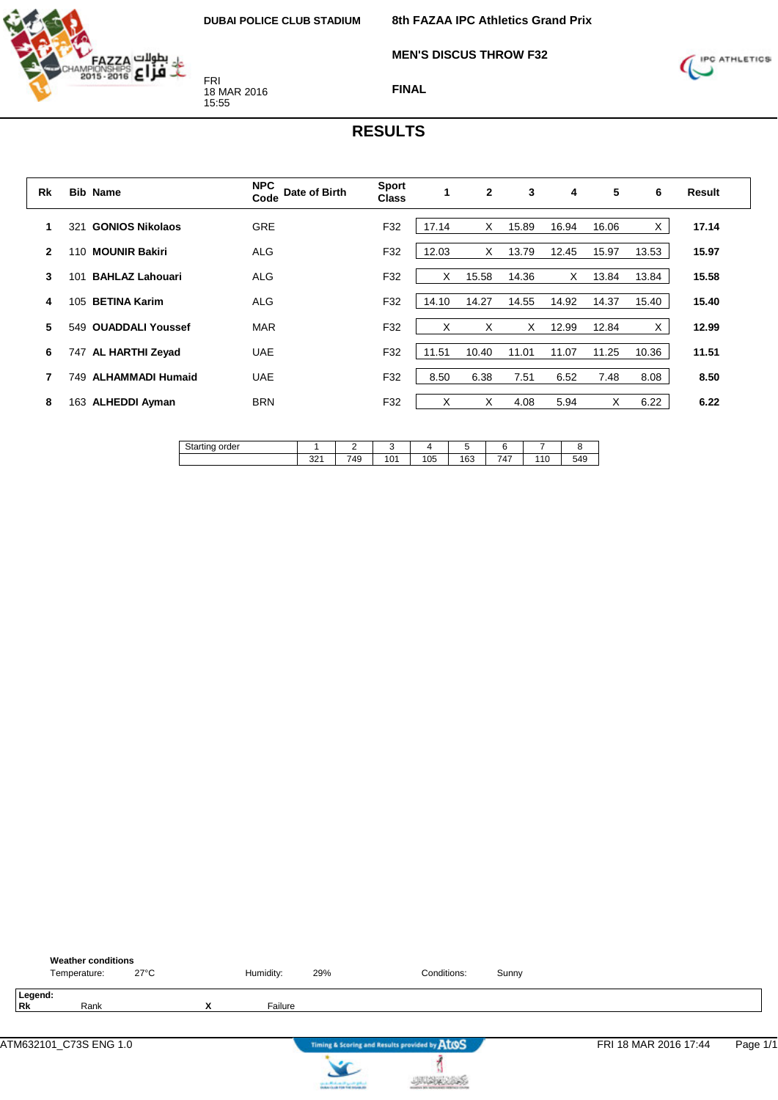

**MEN'S DISCUS THROW F32**



**FINAL**

| Rk           |     | <b>Bib Name</b>         | <b>NPC</b><br>Date of Birth<br>Code | <b>Sport</b><br><b>Class</b> | 1     | $\mathbf{2}$ | 3     | 4     | 5     | 6     | <b>Result</b> |
|--------------|-----|-------------------------|-------------------------------------|------------------------------|-------|--------------|-------|-------|-------|-------|---------------|
| 1            | 321 | <b>GONIOS Nikolaos</b>  | <b>GRE</b>                          | F32                          | 17.14 | X            | 15.89 | 16.94 | 16.06 | X     | 17.14         |
| $\mathbf{2}$ | 110 | <b>MOUNIR Bakiri</b>    | <b>ALG</b>                          | F32                          | 12.03 | X            | 13.79 | 12.45 | 15.97 | 13.53 | 15.97         |
| 3            | 101 | <b>BAHLAZ Lahouari</b>  | <b>ALG</b>                          | F32                          | X     | 15.58        | 14.36 | X     | 13.84 | 13.84 | 15.58         |
| 4            | 105 | <b>BETINA Karim</b>     | <b>ALG</b>                          | F32                          | 14.10 | 14.27        | 14.55 | 14.92 | 14.37 | 15.40 | 15.40         |
| 5            | 549 | <b>OUADDALI Youssef</b> | <b>MAR</b>                          | F32                          | X     | X            | X     | 12.99 | 12.84 | X     | 12.99         |
| 6            | 747 | <b>AL HARTHI Zeyad</b>  | <b>UAE</b>                          | F32                          | 11.51 | 10.40        | 11.01 | 11.07 | 11.25 | 10.36 | 11.51         |
| 7            | 749 | <b>ALHAMMADI Humaid</b> | <b>UAE</b>                          | F32                          | 8.50  | 6.38         | 7.51  | 6.52  | 7.48  | 8.08  | 8.50          |
| 8            | 163 | <b>ALHEDDI Ayman</b>    | <b>BRN</b>                          | F32                          | X     | X            | 4.08  | 5.94  | X     | 6.22  | 6.22          |

| c٠,<br>order<br>اαە |                                   | -                             |              |            | -   |                                      |                |                 |
|---------------------|-----------------------------------|-------------------------------|--------------|------------|-----|--------------------------------------|----------------|-----------------|
|                     | 0 <sup>0<sub>A</sub></sup><br>انت | $\overline{\phantom{a}}$<br>∼ | $\sim$<br>۰U | אחו<br>UJ. | 163 | -<br>$\overline{\phantom{a}}$<br>' י | $\overline{A}$ | F A<br>᠇<br>. . |

|                      | <b>Weather conditions</b><br>Temperature: | $27^{\circ}$ C |        | Humidity: | 29%                                   | Conditions:                                   | Sunny |                       |          |
|----------------------|-------------------------------------------|----------------|--------|-----------|---------------------------------------|-----------------------------------------------|-------|-----------------------|----------|
| Legend:<br><b>Rk</b> | Rank                                      |                | v<br>́ | Failure   |                                       |                                               |       |                       |          |
|                      | ATM632101_C73S ENG 1.0                    |                |        |           |                                       | Timing & Scoring and Results provided by AtOS |       | FRI 18 MAR 2016 17:44 | Page 1/1 |
|                      |                                           |                |        |           | can be affected and if you do got not |                                               |       |                       |          |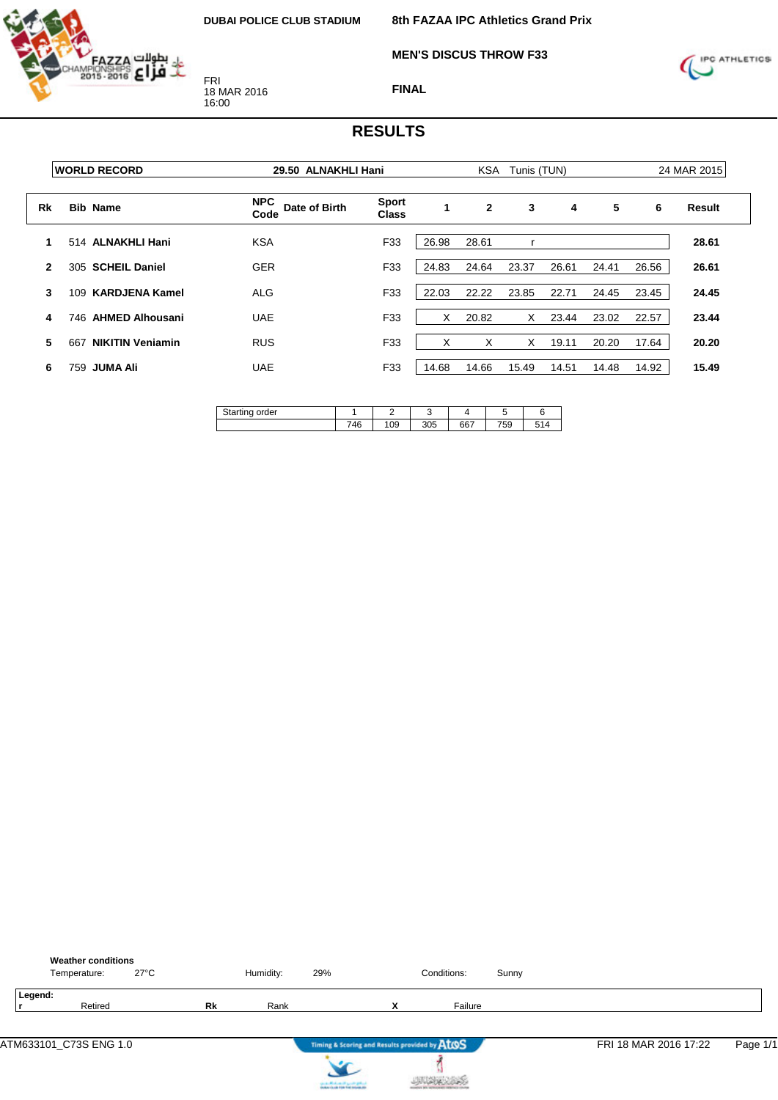

**MEN'S DISCUS THROW F33**



**FINAL**

|    | <b>WORLD RECORD</b>            | 29.50 ALNAKHLI Hani                 | <b>KSA</b><br>Tunis (TUN)    |       |              |       |       | 24 MAR 2015 |       |        |
|----|--------------------------------|-------------------------------------|------------------------------|-------|--------------|-------|-------|-------------|-------|--------|
| Rk | <b>Bib Name</b>                | <b>NPC</b><br>Date of Birth<br>Code | <b>Sport</b><br><b>Class</b> | 1     | $\mathbf{2}$ | 3     | 4     | 5           | 6     | Result |
| 1  | 514 ALNAKHLI Hani              | <b>KSA</b>                          | F33                          | 26.98 | 28.61        |       |       |             |       | 28.61  |
| 2  | 305 SCHEIL Daniel              | <b>GER</b>                          | F33                          | 24.83 | 24.64        | 23.37 | 26.61 | 24.41       | 26.56 | 26.61  |
| 3  | <b>KARDJENA Kamel</b><br>109   | ALG                                 | F33                          | 22.03 | 22.22        | 23.85 | 22.71 | 24.45       | 23.45 | 24.45  |
| 4  | <b>AHMED Alhousani</b><br>746. | <b>UAE</b>                          | F33                          | X     | 20.82        | X     | 23.44 | 23.02       | 22.57 | 23.44  |
| 5  | <b>NIKITIN Veniamin</b><br>667 | <b>RUS</b>                          | F33                          | x     | X            | x     | 19.11 | 20.20       | 17.64 | 20.20  |
| 6  | <b>JUMA Ali</b><br>759         | <b>UAE</b>                          | F33                          | 14.68 | 14.66        | 15.49 | 14.51 | 14.48       | 14.92 | 15.49  |

| $\sim$ $\sim$<br>order<br>ັ |                  |    |     |     |     |           |
|-----------------------------|------------------|----|-----|-----|-----|-----------|
|                             | <b>74C</b><br>40 | 09 | 305 | 667 | 759 | <b>FA</b> |

|         | <b>Weather conditions</b><br>Temperature: | $27^{\circ}$ C |    | Humidity: | 29% |                                               | Conditions: | Sunny |                       |          |
|---------|-------------------------------------------|----------------|----|-----------|-----|-----------------------------------------------|-------------|-------|-----------------------|----------|
| Legend: | Retired                                   |                | Rk | Rank      |     | v<br>^                                        | Failure     |       |                       |          |
|         |                                           |                |    |           |     | Timing & Scoring and Results provided by ATOS |             |       | FRI 18 MAR 2016 17:22 | Page 1/1 |



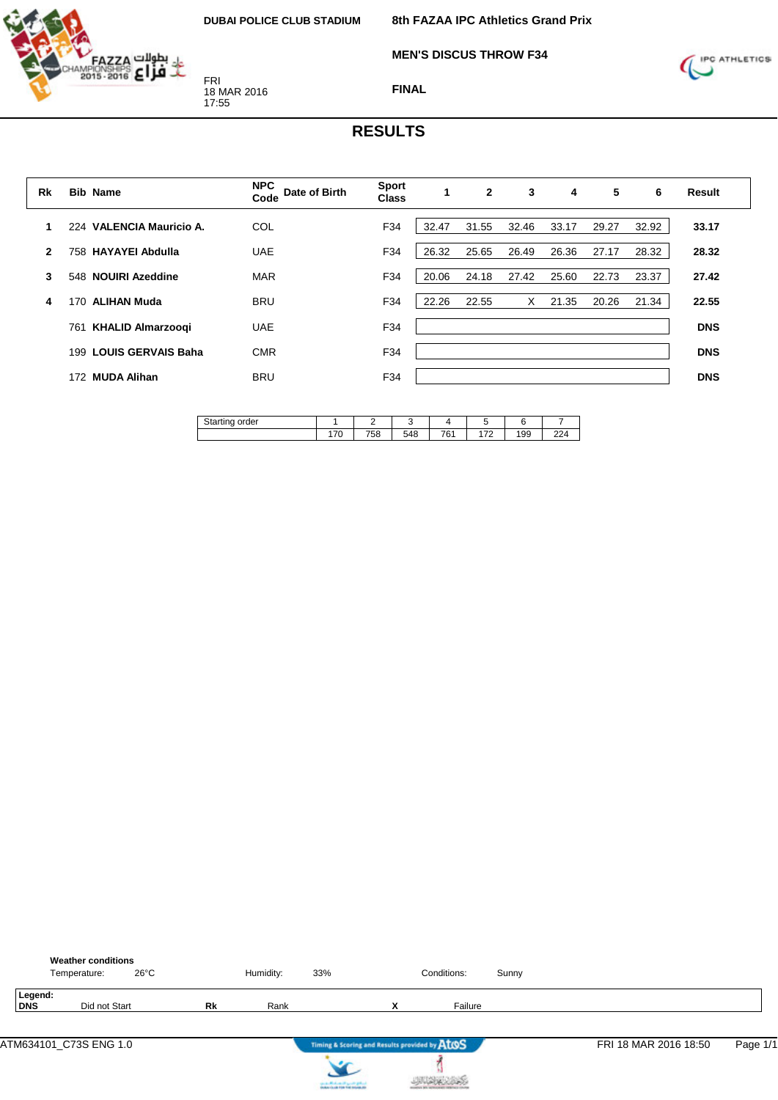

**MEN'S DISCUS THROW F34**



**FINAL**

| Rk           | <b>Bib Name</b>                  | <b>NPC</b><br>Date of Birth<br>Code | <b>Sport</b><br><b>Class</b> |       | $\mathbf{2}$ | 3     | 4     | 5     | 6     | <b>Result</b> |
|--------------|----------------------------------|-------------------------------------|------------------------------|-------|--------------|-------|-------|-------|-------|---------------|
|              | 224 VALENCIA Mauricio A.         | COL                                 | F34                          | 32.47 | 31.55        | 32.46 | 33.17 | 29.27 | 32.92 | 33.17         |
| $\mathbf{2}$ | <b>HAYAYEI Abdulla</b><br>758    | <b>UAE</b>                          | F34                          | 26.32 | 25.65        | 26.49 | 26.36 | 27.17 | 28.32 | 28.32         |
| 3            | 548 NOUIRI Azeddine              | <b>MAR</b>                          | F34                          | 20.06 | 24.18        | 27.42 | 25.60 | 22.73 | 23.37 | 27.42         |
| 4            | <b>ALIHAN Muda</b><br>170        | <b>BRU</b>                          | F34                          | 22.26 | 22.55        | X     | 21.35 | 20.26 | 21.34 | 22.55         |
|              | <b>KHALID Almarzoogi</b><br>761  | <b>UAE</b>                          | F34                          |       |              |       |       |       |       | <b>DNS</b>    |
|              | <b>LOUIS GERVAIS Baha</b><br>199 | <b>CMR</b>                          | F34                          |       |              |       |       |       |       | <b>DNS</b>    |
|              | <b>MUDA Alihan</b><br>172        | <b>BRU</b>                          | F34                          |       |              |       |       |       |       | <b>DNS</b>    |
|              |                                  |                                     |                              |       |              |       |       |       |       |               |

| $\sim$ $\sim$<br>order<br>na<br>u<br>$\sim$ |                 | –         |                                  |           |         |     |              |
|---------------------------------------------|-----------------|-----------|----------------------------------|-----------|---------|-----|--------------|
|                                             | $ \sim$<br>17 U | 750<br>၁၀ | -<br>$\overline{A}$<br>ىر.<br>40 | 704<br>ັັ | $1 - 0$ | 199 | $\sim$<br>-- |

|                | <b>Weather conditions</b><br>$26^{\circ}$ C<br>Temperature: |           | Humidity: | 33% |        | Conditions:                                   | Sunny |                       |          |
|----------------|-------------------------------------------------------------|-----------|-----------|-----|--------|-----------------------------------------------|-------|-----------------------|----------|
| Legend:<br>DNS | Did not Start                                               | <b>Rk</b> | Rank      |     | v<br>^ | Failure                                       |       |                       |          |
|                |                                                             |           |           |     |        | Timing & Scoring and Results provided by ATOS |       | FRI 18 MAR 2016 18:50 | Page 1/1 |



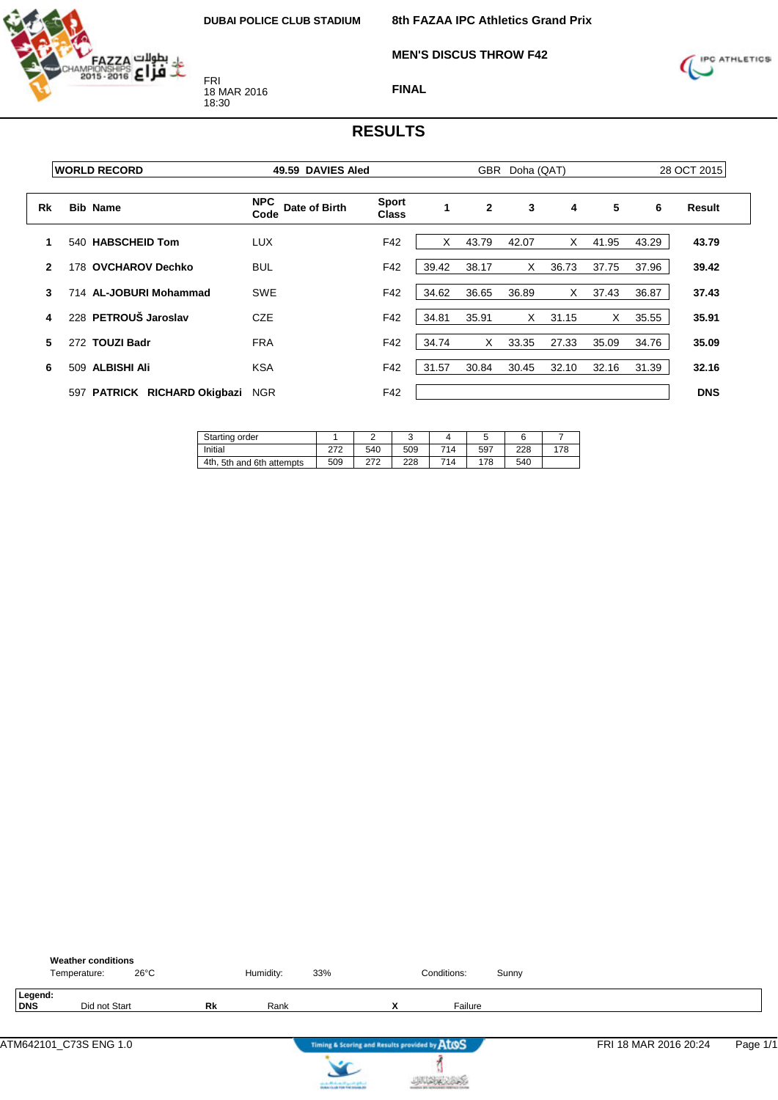**MEN'S DISCUS THROW F42**



FRI 18 MAR 2016 18:30



**FINAL**

|              | <b>WORLD RECORD</b>                    | 49.59 DAVIES Aled                   |                              | GBR<br>Doha (QAT) |                |       |       | 28 OCT 2015 |       |            |
|--------------|----------------------------------------|-------------------------------------|------------------------------|-------------------|----------------|-------|-------|-------------|-------|------------|
| Rk           | <b>Bib Name</b>                        | <b>NPC</b><br>Date of Birth<br>Code | <b>Sport</b><br><b>Class</b> | $\mathbf{1}$      | $\overline{2}$ | 3     | 4     | 5           | 6     | Result     |
|              | 540 HABSCHEID Tom                      | <b>LUX</b>                          | F42                          |                   | 43.79          | 42.07 | X     | 41.95       | 43.29 | 43.79      |
| $\mathbf{2}$ | 178 OVCHAROV Dechko                    | <b>BUL</b>                          | F42                          | 39.42             | 38.17          | X     | 36.73 | 37.75       | 37.96 | 39.42      |
| 3            | 714 AL-JOBURI Mohammad                 | <b>SWE</b>                          | F42                          | 34.62             | 36.65          | 36.89 | X     | 37.43       | 36.87 | 37.43      |
| 4            | 228 PETROUŠ Jaroslav                   | <b>CZE</b>                          | F42                          | 34.81             | 35.91          | X     | 31.15 | X           | 35.55 | 35.91      |
| 5            | 272 TOUZI Badr                         | <b>FRA</b>                          | F42                          | 34.74             | X              | 33.35 | 27.33 | 35.09       | 34.76 | 35.09      |
| 6            | 509 ALBISHI Ali                        | <b>KSA</b>                          | F42                          | 31.57             | 30.84          | 30.45 | 32.10 | 32.16       | 31.39 | 32.16      |
|              | <b>PATRICK RICHARD Okigbazi</b><br>597 | <b>NGR</b>                          | F42                          |                   |                |       |       |             |       | <b>DNS</b> |

| Starting order               |     |     |     |     |     |     |     |
|------------------------------|-----|-----|-----|-----|-----|-----|-----|
| Initial                      | 270 | 540 | 509 | 714 | 597 | 228 | 178 |
| 5th and 6th attempts<br>4th. | 509 | 272 | 228 | 714 | 178 | 540 |     |

|                | <b>Weather conditions</b><br>Temperature: | $26^{\circ}$ C |    | Humidity: | 33%                                                                                     |   | Conditions: | Sunny |                       |          |
|----------------|-------------------------------------------|----------------|----|-----------|-----------------------------------------------------------------------------------------|---|-------------|-------|-----------------------|----------|
| Legend:<br>DNS |                                           | Did not Start  | Rk | Rank      |                                                                                         | x | Failure     |       |                       |          |
|                | ATM642101_C73S ENG 1.0                    |                |    |           | Timing & Scoring and Results provided by AtOS                                           |   |             |       | FRI 18 MAR 2016 20:24 | Page 1/1 |
|                |                                           |                |    |           | counter Mindsons of April 20 (professional)<br>Analysis for all 1996 find materials and |   |             |       |                       |          |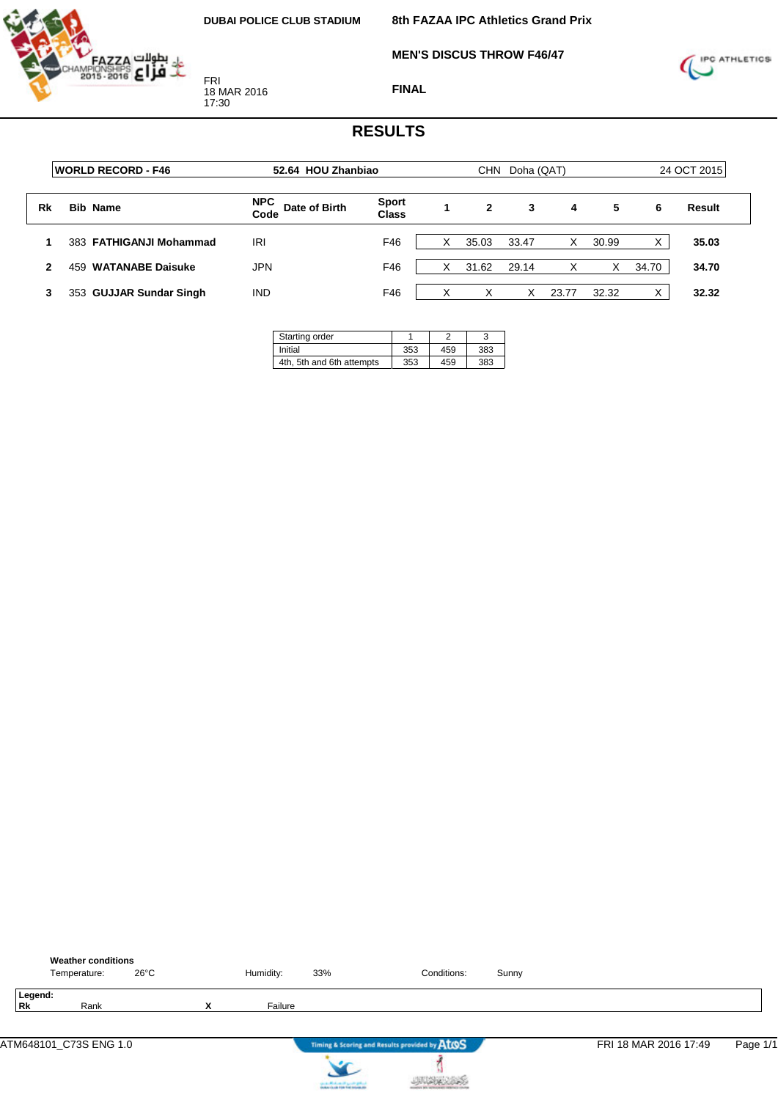$\overline{\phantom{a}}$ 

**MEN'S DISCUS THROW F46/47**



FRI 18 MAR 2016 17:30

**FINAL**



|    | <b>WORLD RECORD - F46</b>      | 52.64 HOU Zhanbiao                  |                              |   | <b>CHN</b> |       | 24 OCT 2015 |       |       |        |
|----|--------------------------------|-------------------------------------|------------------------------|---|------------|-------|-------------|-------|-------|--------|
| Rk | <b>Bib Name</b>                | <b>NPC</b><br>Date of Birth<br>Code | <b>Sport</b><br><b>Class</b> | 1 | 2          | 3     | 4           | 5     | 6     | Result |
|    | 383 FATHIGANJI Mohammad        | IRI                                 | F46                          | X | 35.03      | 33.47 | Χ           | 30.99 |       | 35.03  |
| 2  | <b>WATANABE Daisuke</b><br>459 | JPN                                 | F46                          | х | 31.62      | 29.14 | X           | X     | 34.70 | 34.70  |
| 3  | 353 GUJJAR Sundar Singh        | <b>IND</b>                          | F46                          | v | X          | X     | 23.77       | 32.32 |       | 32.32  |

| Starting order            |     |     |     |
|---------------------------|-----|-----|-----|
| Initial                   | 353 | 459 | 383 |
| 4th, 5th and 6th attempts | 353 | 459 | 383 |

|               | <b>Weather conditions</b><br>Temperature: | $26^{\circ}$ C |        | Humidity: | 33%                                    | Conditions:                                   | Sunny |                       |          |
|---------------|-------------------------------------------|----------------|--------|-----------|----------------------------------------|-----------------------------------------------|-------|-----------------------|----------|
| Legend:<br>Rk | Rank                                      |                | v<br>́ | Failure   |                                        |                                               |       |                       |          |
|               | ATM648101_C73S ENG 1.0                    |                |        |           |                                        | Timing & Scoring and Results provided by AtOS |       | FRI 18 MAR 2016 17:49 | Page 1/1 |
|               |                                           |                |        |           | can be affected and it genetic gradual |                                               |       |                       |          |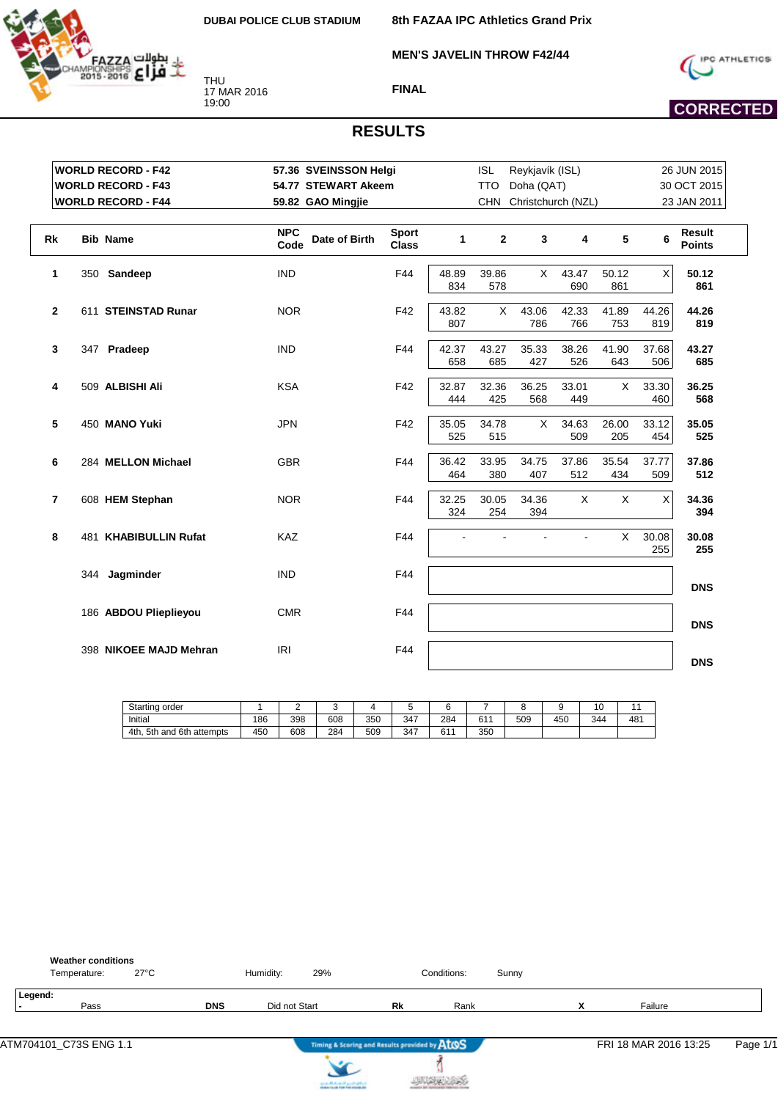THU 17 MAR 2016 19:00

بطولات FAZZA<br>Sole **2016 April 1999** 

**8th FAZAA IPC Athletics Grand Prix**

**MEN'S JAVELIN THROW F42/44**





#### **RESULTS**

**FINAL**

|                | <b>WORLD RECORD - F42</b> | 57.36 SVEINSSON Helgi               |                              |              | <b>ISL</b>   | Reykjavík (ISL)    |              |              | 26 JUN 2015  |                                |  |
|----------------|---------------------------|-------------------------------------|------------------------------|--------------|--------------|--------------------|--------------|--------------|--------------|--------------------------------|--|
|                | <b>WORLD RECORD - F43</b> | 54.77 STEWART Akeem                 |                              |              | <b>TTO</b>   | Doha (QAT)         |              |              |              | 30 OCT 2015                    |  |
|                | <b>WORLD RECORD - F44</b> | 59.82 GAO Mingjie                   |                              |              | <b>CHN</b>   | Christchurch (NZL) |              |              |              | 23 JAN 2011                    |  |
|                |                           |                                     |                              |              |              |                    |              |              |              |                                |  |
| Rk             | <b>Bib Name</b>           | <b>NPC</b><br>Date of Birth<br>Code | <b>Sport</b><br><b>Class</b> | $\mathbf{1}$ | $\mathbf{2}$ | 3                  | 4            | 5            | 6            | <b>Result</b><br><b>Points</b> |  |
| 1              | 350 Sandeep               | <b>IND</b>                          | F44                          | 48.89<br>834 | 39.86<br>578 | X.                 | 43.47<br>690 | 50.12<br>861 | Χ            | 50.12<br>861                   |  |
| $\mathbf{2}$   | 611 STEINSTAD Runar       | <b>NOR</b>                          | F42                          | 43.82<br>807 | X            | 43.06<br>786       | 42.33<br>766 | 41.89<br>753 | 44.26<br>819 | 44.26<br>819                   |  |
| $\mathbf{3}$   | 347 Pradeep               | <b>IND</b>                          | F44                          | 42.37<br>658 | 43.27<br>685 | 35.33<br>427       | 38.26<br>526 | 41.90<br>643 | 37.68<br>506 | 43.27<br>685                   |  |
| 4              | 509 ALBISHI Ali           | <b>KSA</b>                          | F42                          | 32.87<br>444 | 32.36<br>425 | 36.25<br>568       | 33.01<br>449 | X            | 33.30<br>460 | 36.25<br>568                   |  |
| 5              | 450 MANO Yuki             | <b>JPN</b>                          | F42                          | 35.05<br>525 | 34.78<br>515 | X                  | 34.63<br>509 | 26.00<br>205 | 33.12<br>454 | 35.05<br>525                   |  |
| 6              | 284 MELLON Michael        | <b>GBR</b>                          | F44                          | 36.42<br>464 | 33.95<br>380 | 34.75<br>407       | 37.86<br>512 | 35.54<br>434 | 37.77<br>509 | 37.86<br>512                   |  |
| $\overline{7}$ | 608 HEM Stephan           | <b>NOR</b>                          | F44                          | 32.25<br>324 | 30.05<br>254 | 34.36<br>394       | X            | X            | X            | 34.36<br>394                   |  |
| 8              | 481 KHABIBULLIN Rufat     | <b>KAZ</b>                          | F44                          |              |              |                    | ÷,           | X            | 30.08<br>255 | 30.08<br>255                   |  |
|                | 344 Jagminder             | <b>IND</b>                          | F44                          |              |              |                    |              |              |              | <b>DNS</b>                     |  |
|                | 186 ABDOU Plieplieyou     | <b>CMR</b>                          | F44                          |              |              |                    |              |              |              | <b>DNS</b>                     |  |
|                | 398 NIKOEE MAJD Mehran    | <b>IRI</b>                          | F44                          |              |              |                    |              |              |              | <b>DNS</b>                     |  |

| Starting order                                     |     |     |     |     |     |            |          |     |     | 10  |     |
|----------------------------------------------------|-----|-----|-----|-----|-----|------------|----------|-----|-----|-----|-----|
| Initial                                            | 186 | 398 | 608 | 350 | 347 | 284        | 611<br>ັ | 509 | 450 | 344 | 481 |
| $^{\circ}$ 6th .<br>4th.<br>5th<br>attempts<br>and | 450 | 608 | 284 | 509 | 347 | 0.4A<br>וס | 350      |     |     |     |     |

| <b>Weather conditions</b>      |            |               |     |                                               |             |       |                               |                       |          |
|--------------------------------|------------|---------------|-----|-----------------------------------------------|-------------|-------|-------------------------------|-----------------------|----------|
| $27^{\circ}$ C<br>Temperature: |            | Humidity:     | 29% |                                               | Conditions: | Sunny |                               |                       |          |
| Legend:<br>Pass                | <b>DNS</b> | Did not Start |     | Rk                                            | Rank        |       | v<br>$\overline{\phantom{a}}$ | Failure               |          |
|                                |            |               |     | Timing & Scoring and Results provided by AtOS |             |       |                               | FRI 18 MAR 2016 13:25 | Page 1/1 |



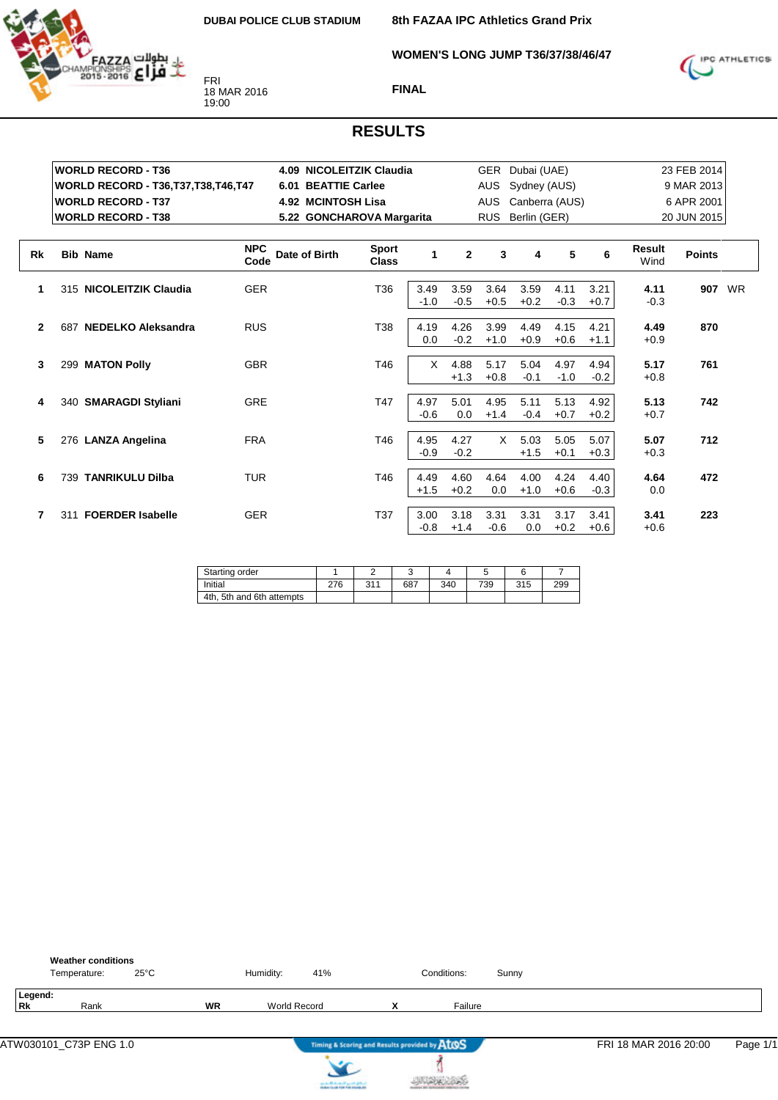

**8th FAZAA IPC Athletics Grand Prix**

**WOMEN'S LONG JUMP T36/37/38/46/47**



**FINAL**

|           |     | <b>WORLD RECORD - T36</b>                     |                    | 4.09 NICOLEITZIK Claudia  |                              |                |                | <b>GER</b>     | Dubai (UAE)    |                |                | 23 FEB 2014           |               |  |
|-----------|-----|-----------------------------------------------|--------------------|---------------------------|------------------------------|----------------|----------------|----------------|----------------|----------------|----------------|-----------------------|---------------|--|
|           |     | <b>WORLD RECORD - T36, T37, T38, T46, T47</b> |                    | 6.01 BEATTIE Carlee       |                              |                |                | <b>AUS</b>     | Sydney (AUS)   |                |                |                       | 9 MAR 2013    |  |
|           |     | <b>WORLD RECORD - T37</b>                     |                    | <b>4.92 MCINTOSH Lisa</b> |                              |                |                | <b>AUS</b>     | Canberra (AUS) |                |                |                       | 6 APR 2001    |  |
|           |     | <b>WORLD RECORD - T38</b>                     |                    | 5.22 GONCHAROVA Margarita |                              |                |                | <b>RUS</b>     | Berlin (GER)   |                |                | 20 JUN 2015           |               |  |
|           |     |                                               |                    |                           |                              |                |                |                |                |                |                |                       |               |  |
| <b>Rk</b> |     | <b>Bib Name</b>                               | <b>NPC</b><br>Code | Date of Birth             | <b>Sport</b><br><b>Class</b> | 1              | $\mathbf{2}$   | 3              | 4              | 5              | 6              | <b>Result</b><br>Wind | <b>Points</b> |  |
| 1         |     | 315 NICOLEITZIK Claudia                       | <b>GER</b>         |                           | T36                          | 3.49<br>$-1.0$ | 3.59<br>$-0.5$ | 3.64<br>$+0.5$ | 3.59<br>$+0.2$ | 4.11<br>$-0.3$ | 3.21<br>$+0.7$ | 4.11<br>$-0.3$        | 907 WR        |  |
| 2         | 687 | NEDELKO Aleksandra                            | <b>RUS</b>         |                           | T38                          | 4.19<br>0.0    | 4.26<br>$-0.2$ | 3.99<br>$+1.0$ | 4.49<br>$+0.9$ | 4.15<br>$+0.6$ | 4.21<br>$+1.1$ | 4.49<br>$+0.9$        | 870           |  |
| 3         |     | 299 MATON Polly                               | <b>GBR</b>         |                           | T46                          | X              | 4.88<br>$+1.3$ | 5.17<br>$+0.8$ | 5.04<br>$-0.1$ | 4.97<br>$-1.0$ | 4.94<br>$-0.2$ | 5.17<br>$+0.8$        | 761           |  |
| 4         |     | 340 SMARAGDI Styliani                         | <b>GRE</b>         |                           | T47                          | 4.97<br>$-0.6$ | 5.01<br>0.0    | 4.95<br>$+1.4$ | 5.11<br>$-0.4$ | 5.13<br>$+0.7$ | 4.92<br>$+0.2$ | 5.13<br>$+0.7$        | 742           |  |
| 5         |     | 276 LANZA Angelina                            | <b>FRA</b>         |                           | T46                          | 4.95<br>$-0.9$ | 4.27<br>$-0.2$ | X              | 5.03<br>$+1.5$ | 5.05<br>$+0.1$ | 5.07<br>$+0.3$ | 5.07<br>$+0.3$        | 712           |  |
| 6         | 739 | <b>TANRIKULU Dilba</b>                        | <b>TUR</b>         |                           | T46                          | 4.49<br>$+1.5$ | 4.60<br>$+0.2$ | 4.64<br>0.0    | 4.00<br>$+1.0$ | 4.24<br>$+0.6$ | 4.40<br>$-0.3$ | 4.64<br>0.0           | 472           |  |
|           |     | 311 FOERDER Isabelle                          | <b>GER</b>         |                           | T37                          | 3.00<br>$-0.8$ | 3.18<br>$+1.4$ | 3.31<br>$-0.6$ | 3.31<br>0.0    | 3.17<br>$+0.2$ | 3.41<br>$+0.6$ | 3.41<br>$+0.6$        | 223           |  |

| Starting order            |     |     |     |     |     |     |     |
|---------------------------|-----|-----|-----|-----|-----|-----|-----|
| Initial                   | 276 | 211 | 687 | 340 | 739 | 315 | 299 |
| 4th, 5th and 6th attempts |     |     |     |     |     |     |     |

|                      | <b>Weather conditions</b><br>Temperature: | $25^{\circ}$ C |           | Humidity:           | 41% |                                               | Conditions: | Sunny |                       |          |
|----------------------|-------------------------------------------|----------------|-----------|---------------------|-----|-----------------------------------------------|-------------|-------|-----------------------|----------|
| Legend:<br><b>Rk</b> | Rank                                      |                | <b>WR</b> | <b>World Record</b> |     | $\checkmark$                                  | Failure     |       |                       |          |
|                      | ATW030101_C73P ENG 1.0                    |                |           |                     |     | Timing & Scoring and Results provided by ATOS |             |       | FRI 18 MAR 2016 20:00 | Page 1/1 |



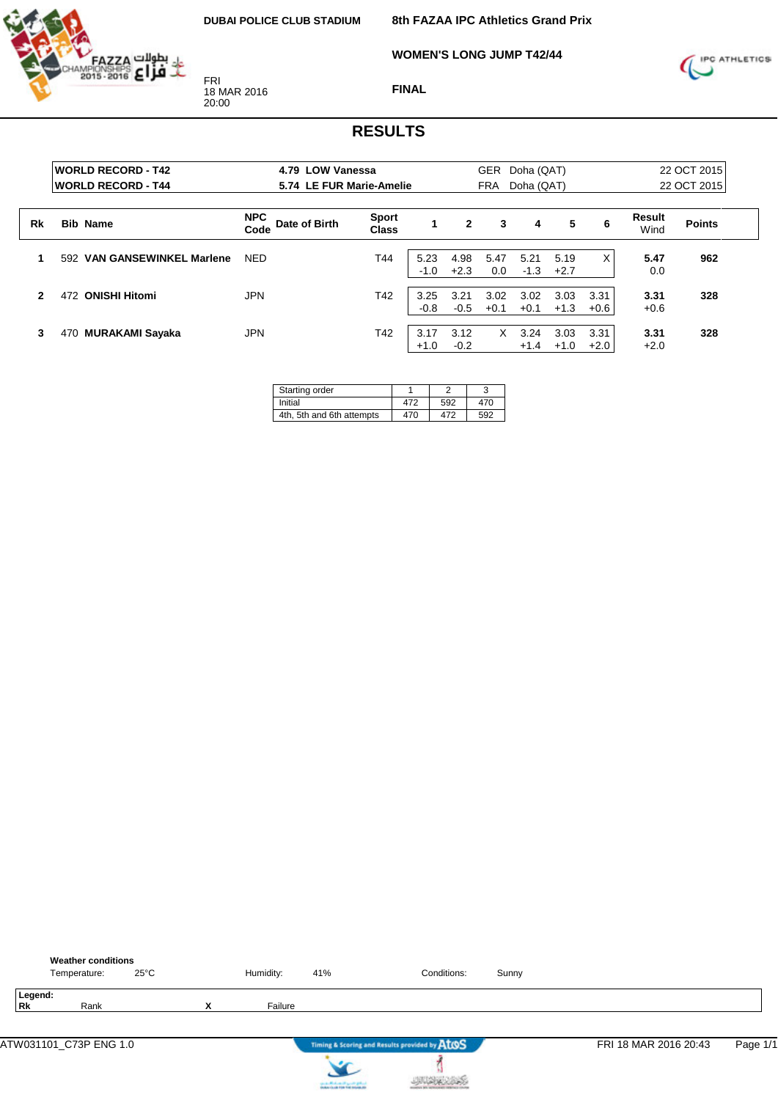

FRI 18 MAR 2016 20:00

**8th FAZAA IPC Athletics Grand Prix**

**WOMEN'S LONG JUMP T42/44**



**FINAL**

|    | <b>IWORLD RECORD - T42</b><br><b>WORLD RECORD - T44</b> | 4.79 LOW Vanessa<br>5.74 LE FUR Marie-Amelie |                              |                | GER<br>Doha (QAT)<br>Doha (QAT)<br>FRA |                |                |                |                | 22 OCT 2015<br>22 OCT 2015 |               |  |
|----|---------------------------------------------------------|----------------------------------------------|------------------------------|----------------|----------------------------------------|----------------|----------------|----------------|----------------|----------------------------|---------------|--|
| Rk | <b>Bib Name</b>                                         | <b>NPC</b><br>Date of Birth<br>Code          | <b>Sport</b><br><b>Class</b> |                | $\mathbf{2}$                           | 3              | 4              | 5              | 6              | Result<br>Wind             | <b>Points</b> |  |
| и  | <b>VAN GANSEWINKEL Marlene</b><br>592                   | <b>NED</b>                                   | T44                          | 5.23<br>$-1.0$ | 4.98<br>$+2.3$                         | 5.47<br>0.0    | 5.21<br>$-1.3$ | 5.19<br>$+2.7$ | X              | 5.47<br>0.0                | 962           |  |
| 2  | <b>ONISHI Hitomi</b><br>472                             | JPN                                          | T42                          | 3.25<br>$-0.8$ | 3.21<br>$-0.5$                         | 3.02<br>$+0.1$ | 3.02<br>$+0.1$ | 3.03<br>$+1.3$ | 3.31<br>$+0.6$ | 3.31<br>$+0.6$             | 328           |  |
| 3  | MURAKAMI Sayaka<br>470                                  | JPN                                          | T42                          | 3.17<br>$+1.0$ | 3.12<br>$-0.2$                         | X              | 3.24<br>$+1.4$ | 3.03<br>$+1.0$ | 3.31<br>$+2.0$ | 3.31<br>$+2.0$             | 328           |  |

| Starting order            |     |     |     |
|---------------------------|-----|-----|-----|
| Initial                   | 472 | 592 | 470 |
| 4th, 5th and 6th attempts | 470 | 472 | 592 |

|                      | <b>Weather conditions</b><br>Temperature: | $25^{\circ}$ C |   | Humidity: | 41% | Conditions:                                   | Sunny |                       |          |
|----------------------|-------------------------------------------|----------------|---|-----------|-----|-----------------------------------------------|-------|-----------------------|----------|
| Legend:<br><b>Rk</b> | Rank                                      |                | X | Failure   |     |                                               |       |                       |          |
|                      | ATW031101_C73P ENG 1.0                    |                |   |           |     | Timing & Scoring and Results provided by AtOS |       | FRI 18 MAR 2016 20:43 | Page 1/1 |
|                      |                                           |                |   |           |     |                                               |       |                       |          |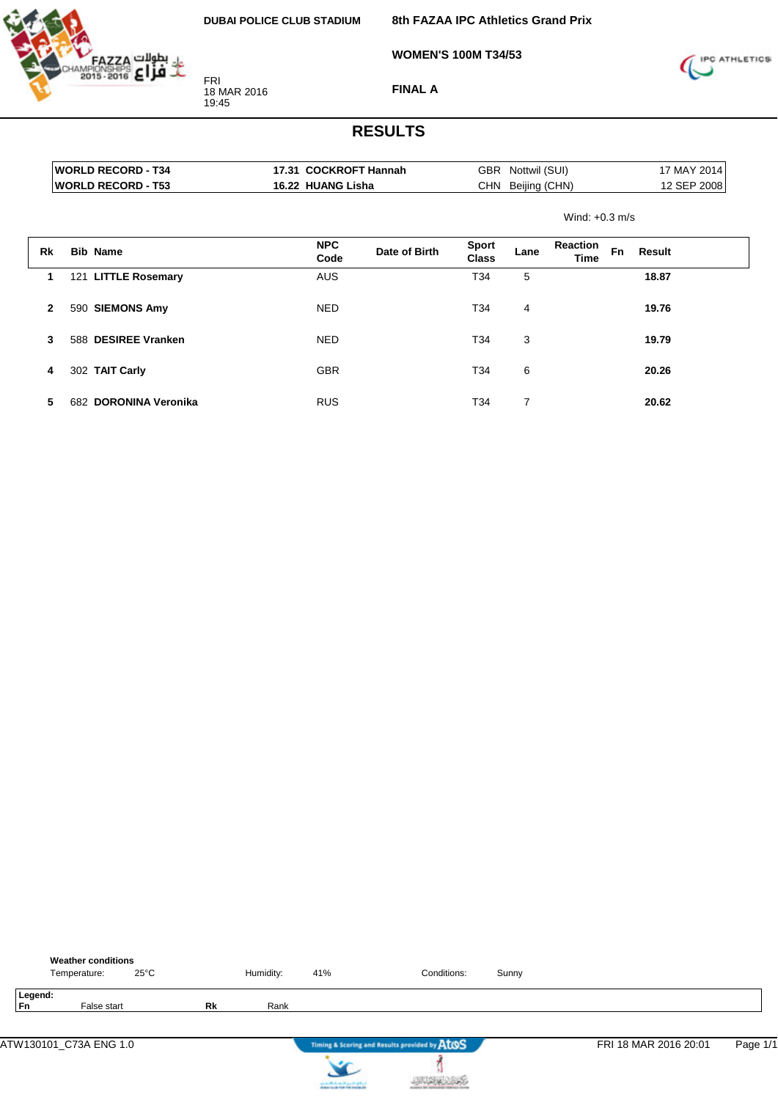

**8th FAZAA IPC Athletics Grand Prix**

**WOMEN'S 100M T34/53**



**FINAL A**

|              | <b>WORLD RECORD - T34</b> | 17.31 COCKROFT Hannah |               |                              | GBR Nottwil (SUI) |                         | 17 MAY 2014 |             |  |
|--------------|---------------------------|-----------------------|---------------|------------------------------|-------------------|-------------------------|-------------|-------------|--|
|              | <b>WORLD RECORD - T53</b> | 16.22 HUANG Lisha     |               |                              | CHN Beijing (CHN) |                         |             | 12 SEP 2008 |  |
|              |                           |                       |               |                              |                   | Wind: $+0.3$ m/s        |             |             |  |
| Rk           | <b>Bib Name</b>           | <b>NPC</b><br>Code    | Date of Birth | <b>Sport</b><br><b>Class</b> | Lane              | <b>Reaction</b><br>Time | <b>Fn</b>   | Result      |  |
| 1            | 121 LITTLE Rosemary       | <b>AUS</b>            |               | T34                          | 5                 |                         |             | 18.87       |  |
| $\mathbf{2}$ | 590 SIEMONS Amy           | NED.                  |               | T34                          | 4                 |                         |             | 19.76       |  |
| 3            | 588 DESIREE Vranken       | <b>NED</b>            |               | T34                          | 3                 |                         |             | 19.79       |  |
| 4            | 302 TAIT Carly            | <b>GBR</b>            |               | T34                          | 6                 |                         |             | 20.26       |  |
| 5            | 682 DORONINA Veronika     | <b>RUS</b>            |               | T34                          | 7                 |                         |             | 20.62       |  |

|                      | <b>Weather conditions</b><br>Temperature: | $25^{\circ}$ C |    | Humidity: | 41%                                   | Conditions:                                   | Sunny |                       |          |
|----------------------|-------------------------------------------|----------------|----|-----------|---------------------------------------|-----------------------------------------------|-------|-----------------------|----------|
| Legend:<br><b>Fn</b> | False start                               |                | Rk | Rank      |                                       |                                               |       |                       |          |
|                      | ATW130101_C73A ENG 1.0                    |                |    |           |                                       | Timing & Scoring and Results provided by AtOS |       | FRI 18 MAR 2016 20:01 | Page 1/1 |
|                      |                                           |                |    |           | can be affected and if you do got not |                                               |       |                       |          |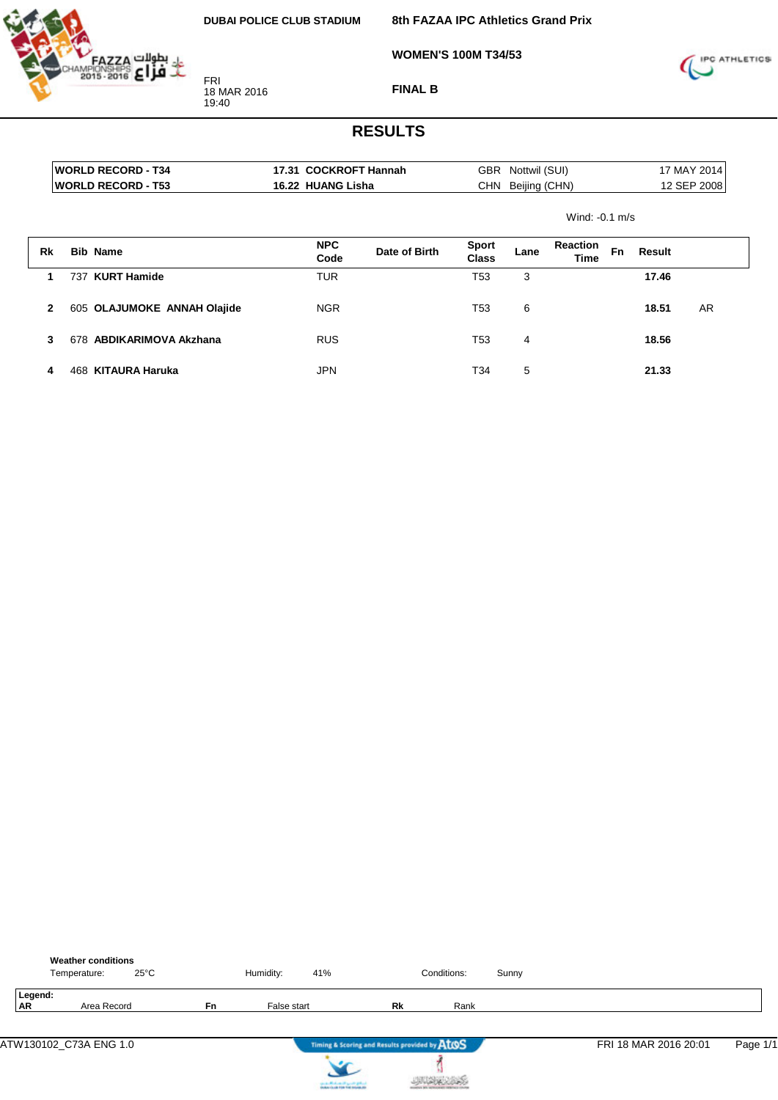

**8th FAZAA IPC Athletics Grand Prix**

**WOMEN'S 100M T34/53**



**FINAL B**

|              |     | <b>WORLD RECORD - T34</b><br><b>WORLD RECORD - T53</b> | 17.31 COCKROFT Hannah<br>16.22 HUANG Lisha |                    |               | GBR<br>CHN            | Nottwil (SUI)<br>Beijing (CHN) |                         | 17 MAY 2014<br>12 SEP 2008 |        |     |
|--------------|-----|--------------------------------------------------------|--------------------------------------------|--------------------|---------------|-----------------------|--------------------------------|-------------------------|----------------------------|--------|-----|
|              |     |                                                        |                                            |                    |               | Wind: $-0.1$ m/s      |                                |                         |                            |        |     |
| Rk           |     | <b>Bib Name</b>                                        |                                            | <b>NPC</b><br>Code | Date of Birth | <b>Sport</b><br>Class | Lane                           | <b>Reaction</b><br>Time | <b>Fn</b>                  | Result |     |
| 1            | 737 | <b>KURT Hamide</b>                                     |                                            | <b>TUR</b>         |               | T <sub>53</sub>       | 3                              |                         |                            | 17.46  |     |
| $\mathbf{2}$ |     | 605 OLAJUMOKE ANNAH Olajide                            |                                            | <b>NGR</b>         |               | T <sub>53</sub>       | 6                              |                         |                            | 18.51  | AR. |
| 3            |     | 678 ABDIKARIMOVA Akzhana                               |                                            | <b>RUS</b>         |               | T <sub>53</sub>       | 4                              |                         |                            | 18.56  |     |
| 4            | 468 | KITAURA Haruka                                         |                                            | <b>JPN</b>         |               | T34                   | 5                              |                         |                            | 21.33  |     |

|           |         | <b>Weather conditions</b><br>$25^{\circ}$ C<br>Temperature: |           | Humidity:   | 41% |                                               | Conditions: | Sunny |                       |          |
|-----------|---------|-------------------------------------------------------------|-----------|-------------|-----|-----------------------------------------------|-------------|-------|-----------------------|----------|
| <b>AR</b> | Legend: | Area Record                                                 | <b>Fn</b> | False start |     | Rk                                            | Rank        |       |                       |          |
|           |         | ATW130102 C73A ENG 1.0                                      |           |             |     | Timing & Scoring and Results provided by ATOS |             |       | FRI 18 MAR 2016 20:01 | Page 1/1 |



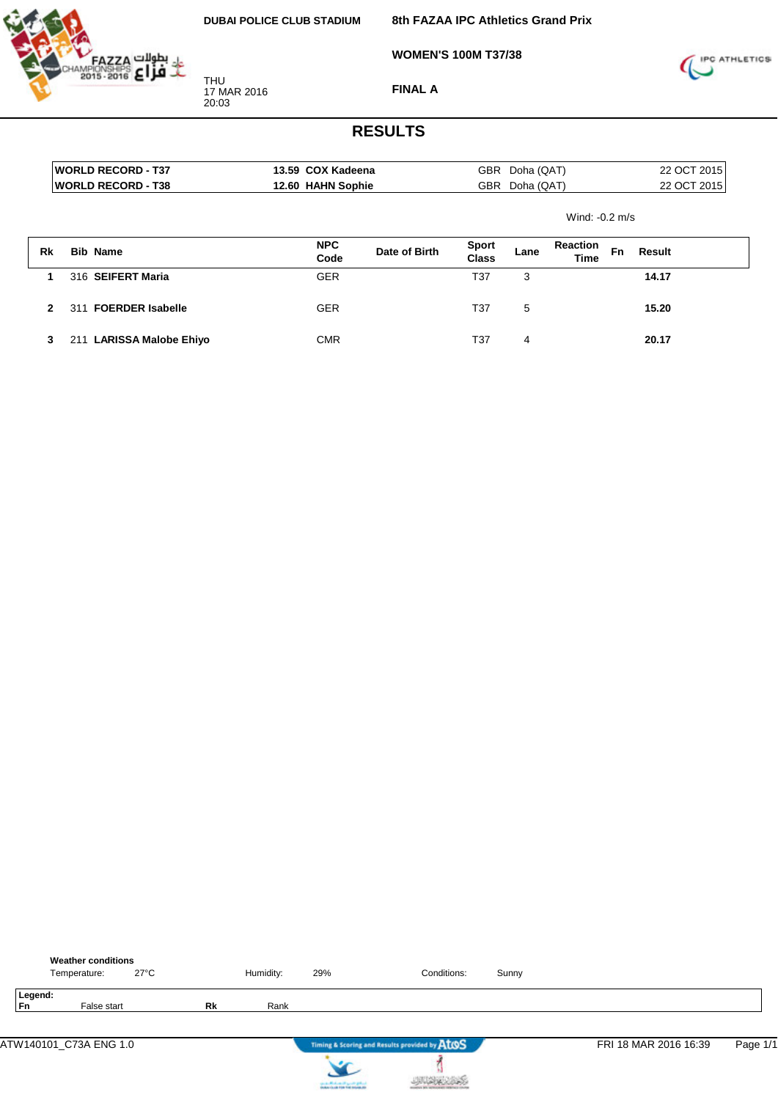THU 17 MAR 2016 20:03



**8th FAZAA IPC Athletics Grand Prix**

**WOMEN'S 100M T37/38**



**FINAL A**

|    |     | <b>IWORLD RECORD - T37</b> | 13.59 COX Kadeena |                    |               | GBR                          | Doha (QAT)     |                  | 22 OCT 2015 |        |  |
|----|-----|----------------------------|-------------------|--------------------|---------------|------------------------------|----------------|------------------|-------------|--------|--|
|    |     | <b>WORLD RECORD - T38</b>  |                   | 12.60 HAHN Sophie  |               |                              | GBR Doha (QAT) |                  | 22 OCT 2015 |        |  |
|    |     |                            |                   |                    |               |                              |                | Wind: $-0.2$ m/s |             |        |  |
| Rk |     | <b>Bib Name</b>            |                   | <b>NPC</b><br>Code | Date of Birth | <b>Sport</b><br><b>Class</b> | Lane           | Reaction<br>Time | Fn          | Result |  |
|    |     | 316 SEIFERT Maria          |                   | <b>GER</b>         |               | T37                          | 3              |                  |             | 14.17  |  |
| 2  | 311 | <b>FOERDER Isabelle</b>    |                   | <b>GER</b>         |               | T37                          | 5              |                  |             | 15.20  |  |
| 3  |     | 211 LARISSA Malobe Ehiyo   |                   | <b>CMR</b>         |               | T37                          | 4              |                  |             | 20.17  |  |

|                      | <b>Weather conditions</b><br>Temperature: | $27^{\circ}$ C |           | Humidity: | 29%                                    | Conditions:                                   | Sunny |                       |          |
|----------------------|-------------------------------------------|----------------|-----------|-----------|----------------------------------------|-----------------------------------------------|-------|-----------------------|----------|
| Legend:<br><b>Fn</b> | False start                               |                | <b>Rk</b> | Rank      |                                        |                                               |       |                       |          |
|                      | ATW140101_C73A ENG 1.0                    |                |           |           |                                        | Timing & Scoring and Results provided by ATOS |       | FRI 18 MAR 2016 16:39 | Page 1/1 |
|                      |                                           |                |           |           | can be affected and it genetic gradual |                                               |       |                       |          |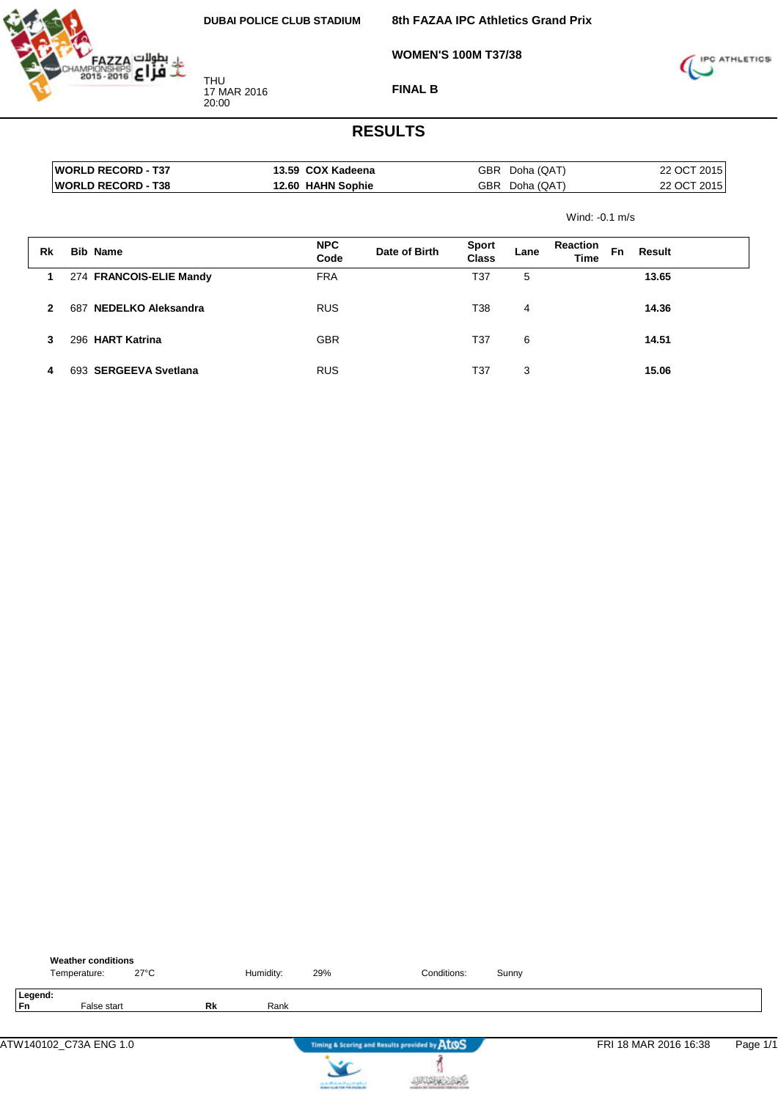

THU 17 MAR 2016 20:00

**8th FAZAA IPC Athletics Grand Prix**

**WOMEN'S 100M T37/38**



**FINAL B**

|              |     | <b>WORLD RECORD - T37</b>  | 13.59 COX Kadeena |                    |               | GBR                   | Doha (QAT) |                                | 22 OCT 2015 |             |  |
|--------------|-----|----------------------------|-------------------|--------------------|---------------|-----------------------|------------|--------------------------------|-------------|-------------|--|
|              |     | <b>IWORLD RECORD - T38</b> |                   | 12.60 HAHN Sophie  |               | <b>GBR</b>            | Doha (QAT) |                                |             | 22 OCT 2015 |  |
|              |     |                            |                   |                    |               |                       |            | Wind: $-0.1$ m/s               |             |             |  |
| Rk           |     | <b>Bib Name</b>            |                   | <b>NPC</b><br>Code | Date of Birth | <b>Sport</b><br>Class | Lane       | <b>Reaction</b><br><b>Time</b> | <b>Fn</b>   | Result      |  |
| 1            |     | 274 FRANCOIS-ELIE Mandy    |                   | <b>FRA</b>         |               | T37                   | 5          |                                |             | 13.65       |  |
| $\mathbf{2}$ | 687 | <b>NEDELKO Aleksandra</b>  |                   | <b>RUS</b>         |               | T38                   | 4          |                                |             | 14.36       |  |
| 3            |     | 296 HART Katrina           |                   | <b>GBR</b>         |               | T37                   | 6          |                                |             | 14.51       |  |
| 4            | 693 | <b>SERGEEVA Svetlana</b>   |                   | <b>RUS</b>         |               | T37                   | 3          |                                |             | 15.06       |  |

|               | <b>Weather conditions</b><br>Temperature: | $27^{\circ}$ C |           | Humidity: | 29% | Conditions:                                   | Sunny |                       |          |
|---------------|-------------------------------------------|----------------|-----------|-----------|-----|-----------------------------------------------|-------|-----------------------|----------|
| Legend:<br>Fn | False start                               |                | <b>Rk</b> | Rank      |     |                                               |       |                       |          |
|               | ATW140102_C73A ENG 1.0                    |                |           |           |     | Timing & Scoring and Results provided by AtOS |       | FRI 18 MAR 2016 16:38 | Page 1/1 |
|               |                                           |                |           |           |     |                                               |       |                       |          |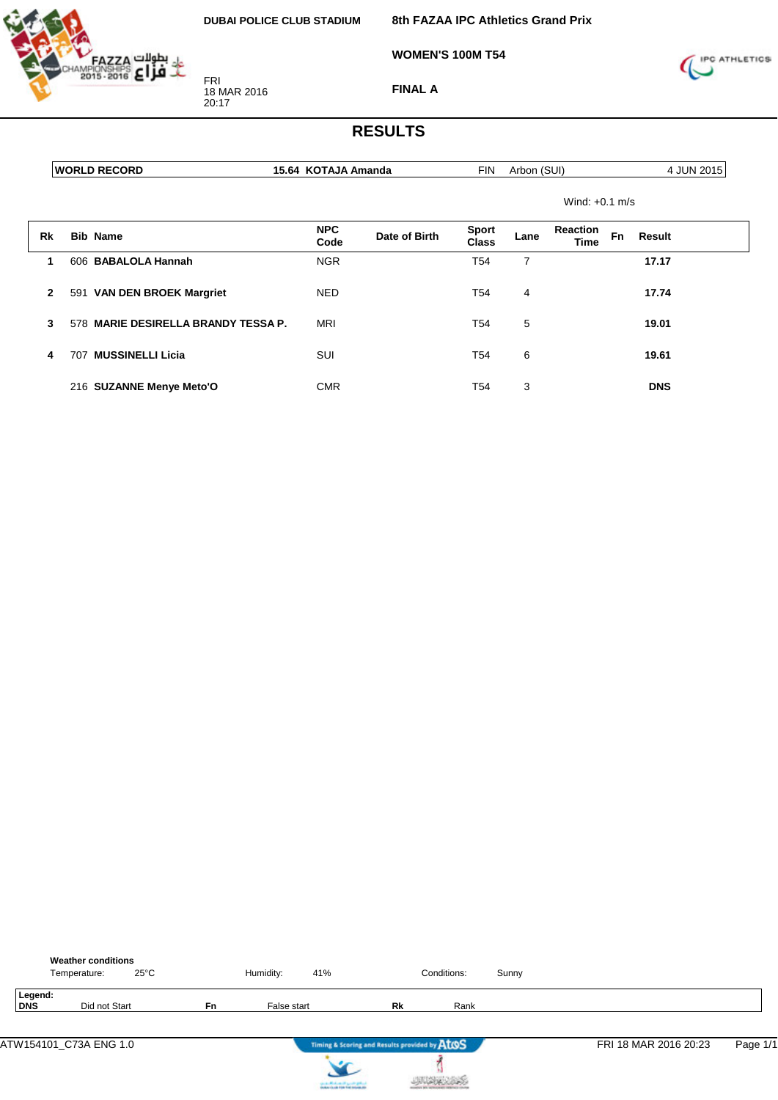

FRI 18 MAR 2016 20:17

**8th FAZAA IPC Athletics Grand Prix**

**WOMEN'S 100M T54**



**FINAL A**

|              | <b>WORLD RECORD</b>                 | 15.64 KOTAJA Amanda |               | <b>FIN</b>                   | Arbon (SUI) |                  |                     | 4 JUN 2015 |
|--------------|-------------------------------------|---------------------|---------------|------------------------------|-------------|------------------|---------------------|------------|
|              |                                     |                     |               |                              |             | Wind: $+0.1$ m/s |                     |            |
| Rk           | <b>Bib Name</b>                     | <b>NPC</b><br>Code  | Date of Birth | <b>Sport</b><br><b>Class</b> | Lane        | Reaction<br>Time | <b>Fn</b><br>Result |            |
| 1            | 606 BABALOLA Hannah                 | <b>NGR</b>          |               | T <sub>54</sub>              | 7           |                  | 17.17               |            |
| $\mathbf{2}$ | 591 VAN DEN BROEK Margriet          | <b>NED</b>          |               | T54                          | 4           |                  | 17.74               |            |
| 3            | 578 MARIE DESIRELLA BRANDY TESSA P. | <b>MRI</b>          |               | T <sub>54</sub>              | 5           |                  | 19.01               |            |
| 4            | <b>MUSSINELLI Licia</b><br>707      | SUI                 |               | T54                          | 6           |                  | 19.61               |            |
|              | 216 SUZANNE Menye Meto'O            | <b>CMR</b>          |               | T54                          | 3           |                  | <b>DNS</b>          |            |

|                | <b>Weather conditions</b><br>$25^{\circ}$ C<br>Temperature: |           | Humidity:<br>41% |                                               | Conditions: | Sunny |                       |          |
|----------------|-------------------------------------------------------------|-----------|------------------|-----------------------------------------------|-------------|-------|-----------------------|----------|
| Legend:<br>DNS | Did not Start                                               | <b>Fn</b> | False start      | Rk                                            | Rank        |       |                       |          |
|                | ATW154101 C73A ENG 1.0                                      |           |                  | Timing & Scoring and Results provided by AtOS |             |       | FRI 18 MAR 2016 20:23 | Page 1/1 |



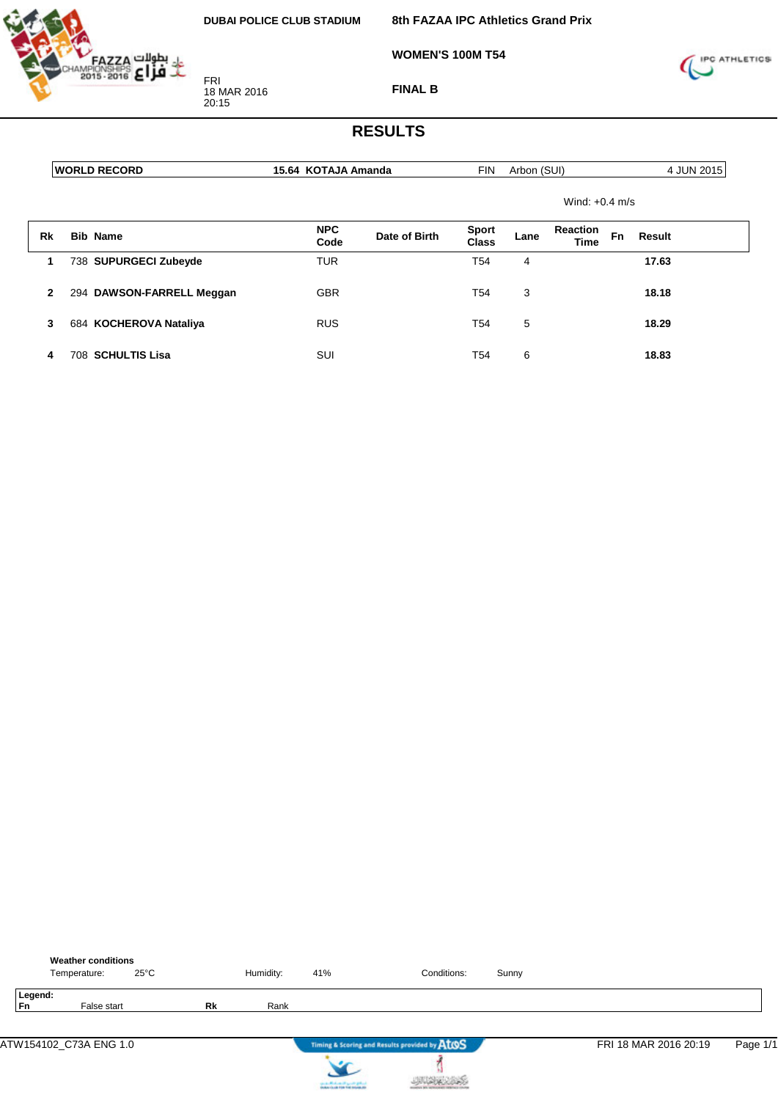FRI 18 MAR 2016 20:15

**8th FAZAA IPC Athletics Grand Prix**

**WOMEN'S 100M T54**



**FINAL B**

|              | <b>WORLD RECORD</b>       | 15.64 KOTAJA Amanda |               | <b>FIN</b>            | Arbon (SUI) |                                |           | 4 JUN 2015 |
|--------------|---------------------------|---------------------|---------------|-----------------------|-------------|--------------------------------|-----------|------------|
|              |                           |                     |               |                       |             | Wind: $+0.4$ m/s               |           |            |
| <b>Rk</b>    | <b>Bib Name</b>           | <b>NPC</b><br>Code  | Date of Birth | <b>Sport</b><br>Class | Lane        | <b>Reaction</b><br><b>Time</b> | <b>Fn</b> | Result     |
| 1            | 738 SUPURGECI Zubeyde     | <b>TUR</b>          |               | T <sub>54</sub>       | 4           |                                |           | 17.63      |
| $\mathbf{2}$ | 294 DAWSON-FARRELL Meggan | <b>GBR</b>          |               | T54                   | 3           |                                |           | 18.18      |
| 3            | 684 KOCHEROVA Nataliya    | <b>RUS</b>          |               | T54                   | 5           |                                |           | 18.29      |
| 4            | 708 SCHULTIS Lisa         | SUI                 |               | T54                   | 6           |                                |           | 18.83      |

|                      | <b>Weather conditions</b><br>Temperature: | $25^{\circ}$ C |    | Humidity: | 41%                         | Conditions:                                   | Sunny |                       |          |
|----------------------|-------------------------------------------|----------------|----|-----------|-----------------------------|-----------------------------------------------|-------|-----------------------|----------|
| Legend:<br><b>Fn</b> | False start                               |                | Rk | Rank      |                             |                                               |       |                       |          |
|                      | ATW154102_C73A ENG 1.0                    |                |    |           |                             | Timing & Scoring and Results provided by AtOS |       | FRI 18 MAR 2016 20:19 | Page 1/1 |
|                      |                                           |                |    |           | cards Michael High Original |                                               |       |                       |          |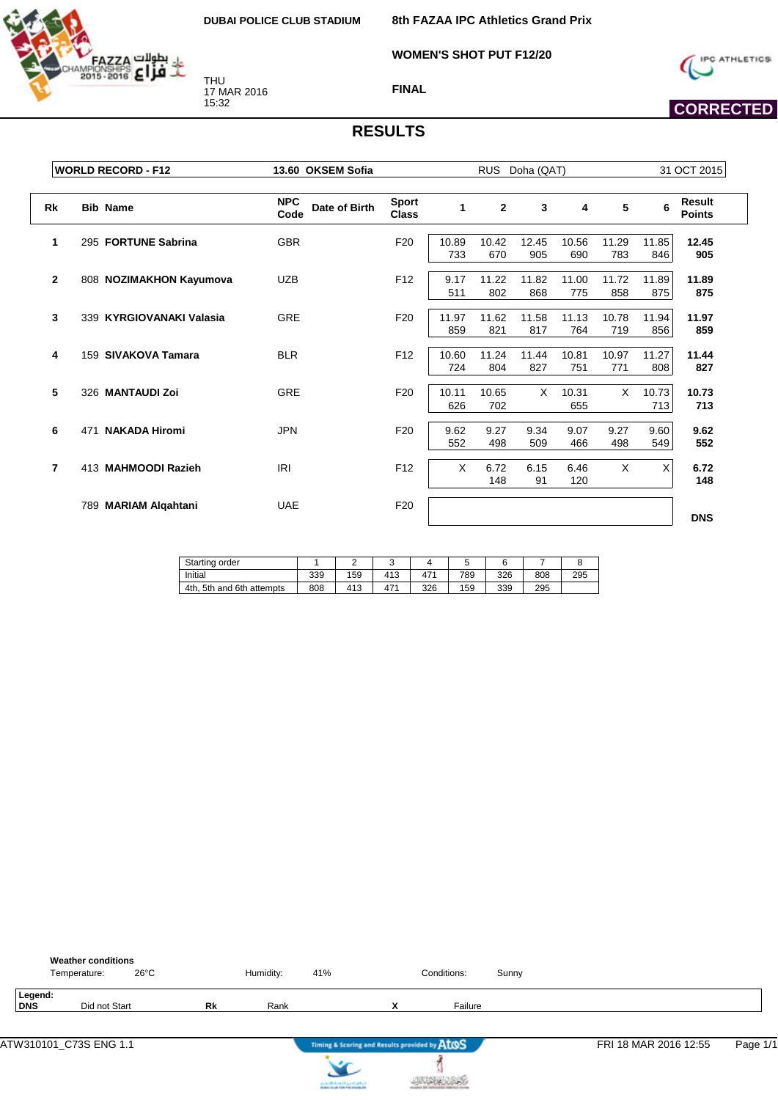**WOMEN'S SHOT PUT F12/20**



THU 17 MAR 2016 15:32



 **CORRECTED** 

**FINAL**

|              | <b>WORLD RECORD - F12</b>   | 13.60 OKSEM Sofia                   |                              |              | RUS Doha (QAT) |              |              |              |              | 31 OCT 2015             |  |  |
|--------------|-----------------------------|-------------------------------------|------------------------------|--------------|----------------|--------------|--------------|--------------|--------------|-------------------------|--|--|
| Rk           | <b>Bib Name</b>             | <b>NPC</b><br>Date of Birth<br>Code | <b>Sport</b><br><b>Class</b> | 1            | $\mathbf{2}$   | 3            | 4            | 5            | 6            | Result<br><b>Points</b> |  |  |
| 1            | 295 FORTUNE Sabrina         | <b>GBR</b>                          | F <sub>20</sub>              | 10.89<br>733 | 10.42<br>670   | 12.45<br>905 | 10.56<br>690 | 11.29<br>783 | 11.85<br>846 | 12.45<br>905            |  |  |
| $\mathbf{2}$ | 808 NOZIMAKHON Kayumova     | <b>UZB</b>                          | F <sub>12</sub>              | 9.17<br>511  | 11.22<br>802   | 11.82<br>868 | 11.00<br>775 | 11.72<br>858 | 11.89<br>875 | 11.89<br>875            |  |  |
| 3            | 339 KYRGIOVANAKI Valasia    | <b>GRE</b>                          | F <sub>20</sub>              | 11.97<br>859 | 11.62<br>821   | 11.58<br>817 | 11.13<br>764 | 10.78<br>719 | 11.94<br>856 | 11.97<br>859            |  |  |
| 4            | 159 SIVAKOVA Tamara         | <b>BLR</b>                          | F <sub>12</sub>              | 10.60<br>724 | 11.24<br>804   | 11.44<br>827 | 10.81<br>751 | 10.97<br>771 | 11.27<br>808 | 11.44<br>827            |  |  |
| 5            | 326 MANTAUDI Zoi            | <b>GRE</b>                          | F <sub>20</sub>              | 10.11<br>626 | 10.65<br>702   | X            | 10.31<br>655 | X            | 10.73<br>713 | 10.73<br>713            |  |  |
| 6            | <b>NAKADA Hiromi</b><br>471 | <b>JPN</b>                          | F <sub>20</sub>              | 9.62<br>552  | 9.27<br>498    | 9.34<br>509  | 9.07<br>466  | 9.27<br>498  | 9.60<br>549  | 9.62<br>552             |  |  |
| 7            | 413 MAHMOODI Razieh         | <b>IRI</b>                          | F <sub>12</sub>              | X            | 6.72<br>148    | 6.15<br>91   | 6.46<br>120  | X            | X            | 6.72<br>148             |  |  |
|              | 789 MARIAM Algahtani        | <b>UAE</b>                          | F <sub>20</sub>              |              |                |              |              |              |              | <b>DNS</b>              |  |  |

| Starting order                 |     |     | ັ   |                 |     |     |     |     |
|--------------------------------|-----|-----|-----|-----------------|-----|-----|-----|-----|
| Initial                        | 339 | 159 | 413 | 47 <sup>4</sup> | 789 | 326 | 808 | 295 |
| 4th.<br>. 5th and 6th attempts | 808 | 413 | 471 | 326             | 159 | 339 | 295 |     |

|                | <b>Weather conditions</b><br>$26^{\circ}$ C<br>Temperature: |    | Humidity: | 41% |                                               | Conditions: | Sunny |                       |          |
|----------------|-------------------------------------------------------------|----|-----------|-----|-----------------------------------------------|-------------|-------|-----------------------|----------|
| Legend:<br>DNS | Did not Start                                               | Rk | Rank      |     | v<br>Λ                                        | Failure     |       |                       |          |
|                | ATW310101_C73S ENG 1.1                                      |    |           |     | Timing & Scoring and Results provided by ATOS |             |       | FRI 18 MAR 2016 12:55 | Page 1/1 |



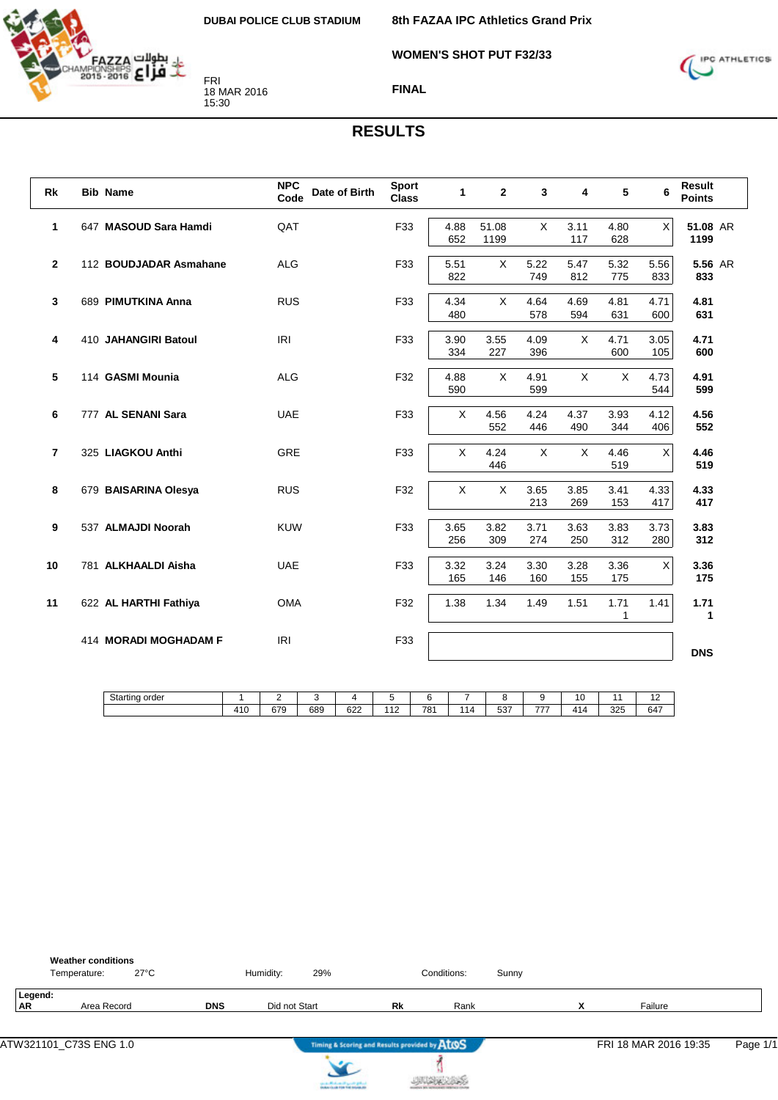**8th FAZAA IPC Athletics Grand Prix**

**WOMEN'S SHOT PUT F32/33**



**FINAL**

## **RESULTS**

| <b>Rk</b>      | <b>Bib Name</b>        | <b>NPC</b><br>Date of Birth<br>Code | <b>Sport</b><br><b>Class</b> | $\mathbf{1}$ | $\mathbf{2}$  | 3           | 4           | 5           | 6           | <b>Result</b><br><b>Points</b> |
|----------------|------------------------|-------------------------------------|------------------------------|--------------|---------------|-------------|-------------|-------------|-------------|--------------------------------|
| $\mathbf{1}$   | 647 MASOUD Sara Hamdi  | QAT                                 | F33                          | 4.88<br>652  | 51.08<br>1199 | $\times$    | 3.11<br>117 | 4.80<br>628 | X           | 51.08 AR<br>1199               |
| $\mathbf{2}$   | 112 BOUDJADAR Asmahane | <b>ALG</b>                          | F33                          | 5.51<br>822  | X             | 5.22<br>749 | 5.47<br>812 | 5.32<br>775 | 5.56<br>833 | 5.56 AR<br>833                 |
| 3              | 689 PIMUTKINA Anna     | <b>RUS</b>                          | F33                          | 4.34<br>480  | $\times$      | 4.64<br>578 | 4.69<br>594 | 4.81<br>631 | 4.71<br>600 | 4.81<br>631                    |
| 4              | 410 JAHANGIRI Batoul   | IRI                                 | F33                          | 3.90<br>334  | 3.55<br>227   | 4.09<br>396 | X           | 4.71<br>600 | 3.05<br>105 | 4.71<br>600                    |
| 5              | 114 GASMI Mounia       | <b>ALG</b>                          | F32                          | 4.88<br>590  | X             | 4.91<br>599 | X           | X           | 4.73<br>544 | 4.91<br>599                    |
| 6              | 777 AL SENANI Sara     | <b>UAE</b>                          | F33                          | X            | 4.56<br>552   | 4.24<br>446 | 4.37<br>490 | 3.93<br>344 | 4.12<br>406 | 4.56<br>552                    |
| $\overline{7}$ | 325 LIAGKOU Anthi      | GRE                                 | F33                          | $\times$     | 4.24<br>446   | X           | X           | 4.46<br>519 | X           | 4.46<br>519                    |
| 8              | 679 BAISARINA Olesya   | <b>RUS</b>                          | F32                          | X            | $\mathsf{X}$  | 3.65<br>213 | 3.85<br>269 | 3.41<br>153 | 4.33<br>417 | 4.33<br>417                    |
| 9              | 537 ALMAJDI Noorah     | <b>KUW</b>                          | F33                          | 3.65<br>256  | 3.82<br>309   | 3.71<br>274 | 3.63<br>250 | 3.83<br>312 | 3.73<br>280 | 3.83<br>312                    |
| 10             | 781 ALKHAALDI Aisha    | <b>UAE</b>                          | F33                          | 3.32<br>165  | 3.24<br>146   | 3.30<br>160 | 3.28<br>155 | 3.36<br>175 | $\times$    | 3.36<br>175                    |
| 11             | 622 AL HARTHI Fathiya  | <b>OMA</b>                          | F32                          | 1.38         | 1.34          | 1.49        | 1.51        | 1.71<br>1   | 1.41        | 1.71<br>1                      |
|                | 414 MORADI MOGHADAM F  | <b>IRI</b>                          | F33                          |              |               |             |             |             |             | <b>DNS</b>                     |

| Starting order |           | <u>.</u> | . . |     | -                            |     | -  |     |     | 10         |     | $\overline{ }$<br>$\epsilon$ |
|----------------|-----------|----------|-----|-----|------------------------------|-----|----|-----|-----|------------|-----|------------------------------|
|                | 410<br>ำบ | 679      | 689 | 622 | $\overline{A}$<br>. <u>.</u> | 781 | 14 | 537 | --- | 414<br>. . | 325 | 647                          |

|               | <b>Weather conditions</b><br>$27^{\circ}$ C<br>Temperature: |            | Humidity:     | 29% |                                               | Conditions: | Sunny |    |                       |          |
|---------------|-------------------------------------------------------------|------------|---------------|-----|-----------------------------------------------|-------------|-------|----|-----------------------|----------|
| Legend:<br>AR | Area Record                                                 | <b>DNS</b> | Did not Start |     | Rk                                            | Rank        |       | `` | Failure               |          |
|               |                                                             |            |               |     | Timing & Scoring and Results provided by ATOS |             |       |    | FRI 18 MAR 2016 19:35 | Page 1/1 |



X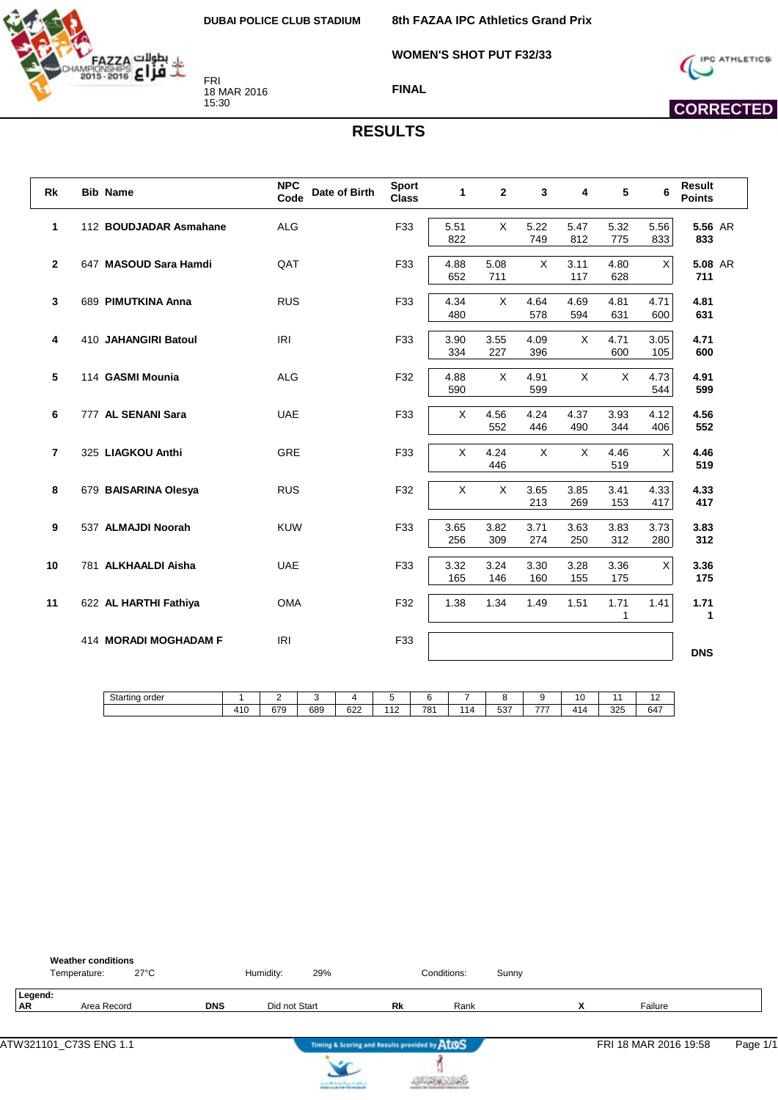**WOMEN'S SHOT PUT F32/33**



FRI 18 MAR 2016 15:30

**FINAL**



## **CORRECTED**

#### **RESULTS**

| Rk               | <b>Bib Name</b>        | <b>NPC</b><br>Date of Birth<br>Code | <b>Sport</b><br><b>Class</b> | $\mathbf{1}$ | $\mathbf{2}$ | 3           | 4           | 5           | 6              | <b>Result</b><br><b>Points</b> |
|------------------|------------------------|-------------------------------------|------------------------------|--------------|--------------|-------------|-------------|-------------|----------------|--------------------------------|
| $\mathbf{1}$     | 112 BOUDJADAR Asmahane | <b>ALG</b>                          | F33                          | 5.51<br>822  | $\times$     | 5.22<br>749 | 5.47<br>812 | 5.32<br>775 | 5.56<br>833    | 5.56 AR<br>833                 |
| $\mathbf{2}$     | 647 MASOUD Sara Hamdi  | QAT                                 | F33                          | 4.88<br>652  | 5.08<br>711  | X           | 3.11<br>117 | 4.80<br>628 | $\pmb{\times}$ | 5.08 AR<br>711                 |
| 3                | 689 PIMUTKINA Anna     | <b>RUS</b>                          | F33                          | 4.34<br>480  | X            | 4.64<br>578 | 4.69<br>594 | 4.81<br>631 | 4.71<br>600    | 4.81<br>631                    |
| 4                | 410 JAHANGIRI Batoul   | <b>IRI</b>                          | F33                          | 3.90<br>334  | 3.55<br>227  | 4.09<br>396 | X           | 4.71<br>600 | 3.05<br>105    | 4.71<br>600                    |
| 5                | 114 GASMI Mounia       | <b>ALG</b>                          | F32                          | 4.88<br>590  | $\mathsf{X}$ | 4.91<br>599 | X           | X           | 4.73<br>544    | 4.91<br>599                    |
| 6                | 777 AL SENANI Sara     | <b>UAE</b>                          | F33                          | X            | 4.56<br>552  | 4.24<br>446 | 4.37<br>490 | 3.93<br>344 | 4.12<br>406    | 4.56<br>552                    |
| $\overline{7}$   | 325 LIAGKOU Anthi      | <b>GRE</b>                          | F33                          | X            | 4.24<br>446  | $\times$    | $\times$    | 4.46<br>519 | X              | 4.46<br>519                    |
| 8                | 679 BAISARINA Olesya   | <b>RUS</b>                          | F32                          | X            | $\mathsf{X}$ | 3.65<br>213 | 3.85<br>269 | 3.41<br>153 | 4.33<br>417    | 4.33<br>417                    |
| $\boldsymbol{9}$ | 537 ALMAJDI Noorah     | <b>KUW</b>                          | F33                          | 3.65<br>256  | 3.82<br>309  | 3.71<br>274 | 3.63<br>250 | 3.83<br>312 | 3.73<br>280    | 3.83<br>312                    |
| 10               | 781 ALKHAALDI Aisha    | <b>UAE</b>                          | F33                          | 3.32<br>165  | 3.24<br>146  | 3.30<br>160 | 3.28<br>155 | 3.36<br>175 | $\sf X$        | 3.36<br>175                    |
| 11               | 622 AL HARTHI Fathiya  | <b>OMA</b>                          | F32                          | 1.38         | 1.34         | 1.49        | 1.51        | 1.71<br>1   | 1.41           | 1.71<br>1                      |
|                  | 414 MORADI MOGHADAM F  | <b>IRI</b>                          | F33                          |              |              |             |             |             |                | <b>DNS</b>                     |

| 410<br>781<br>679<br>689<br>622<br>-07<br>414<br>325<br>440<br>---<br>647<br>.<br>ıΔ<br>$\sim$<br>ບບ⊧<br>. . | Starting order | - | . . |  |  |  | 1 <sup>c</sup><br>۱U | -<br>$\epsilon$ |
|--------------------------------------------------------------------------------------------------------------|----------------|---|-----|--|--|--|----------------------|-----------------|
|                                                                                                              |                |   |     |  |  |  |                      |                 |

|               | <b>Weather conditions</b><br>$27^{\circ}$ C<br>Temperature: |            | Humidity:     | 29% |                                               | Conditions: | Sunny |    |                       |          |
|---------------|-------------------------------------------------------------|------------|---------------|-----|-----------------------------------------------|-------------|-------|----|-----------------------|----------|
| Legend:<br>AR | Area Record                                                 | <b>DNS</b> | Did not Start |     | Rk                                            | Rank        |       | `` | Failure               |          |
|               |                                                             |            |               |     | Timing & Scoring and Results provided by ATOS |             |       |    | FRI 18 MAR 2016 19:58 | Page 1/1 |



 $\sum_{i=1}^{n}$ 

i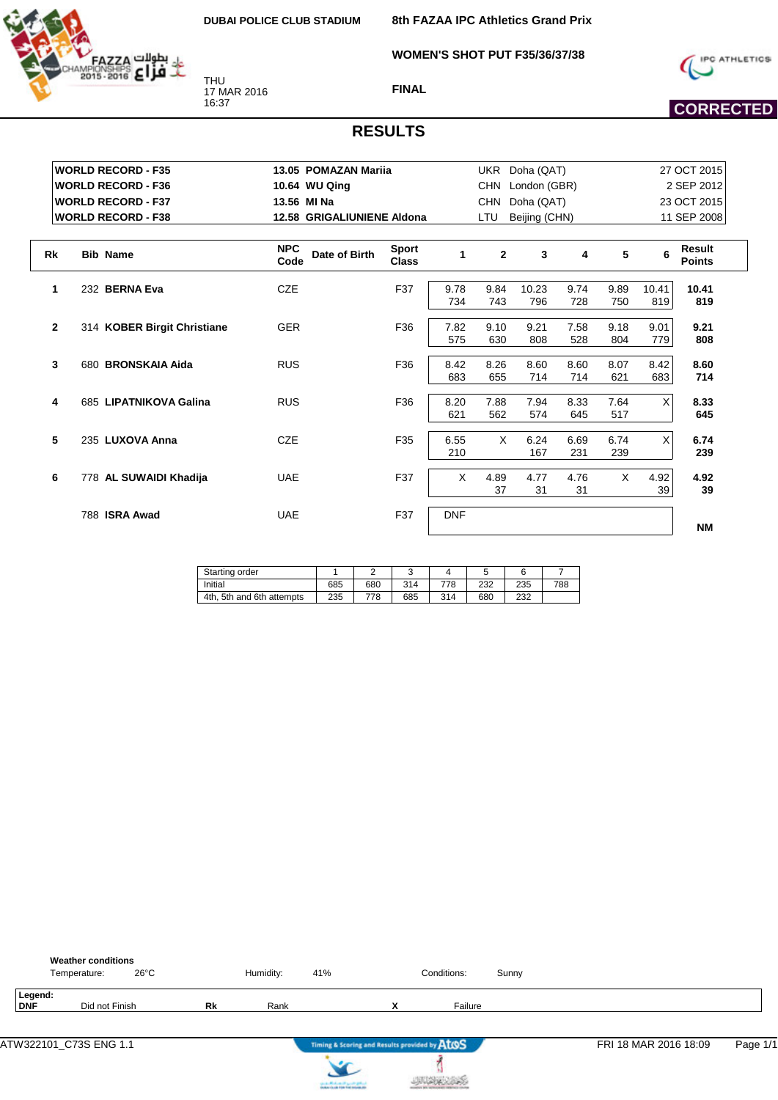

THU 17 MAR 2016 16:37

**8th FAZAA IPC Athletics Grand Prix**

**WOMEN'S SHOT PUT F35/36/37/38**



**FINAL**

# **CORRECTED**

|              | <b>WORLD RECORD - F35</b>   | 13.05 POMAZAN Mariia                |                              |            |                | UKR Doha (QAT) |      |          |       | 27 OCT 2015             |
|--------------|-----------------------------|-------------------------------------|------------------------------|------------|----------------|----------------|------|----------|-------|-------------------------|
|              | <b>WORLD RECORD - F36</b>   | 10.64 WU Qing                       |                              |            | CHN            | London (GBR)   |      |          |       | 2 SEP 2012              |
|              | <b>WORLD RECORD - F37</b>   | 13.56 MI Na                         |                              |            | <b>CHN</b>     | Doha (QAT)     |      |          |       | 23 OCT 2015             |
|              | <b>WORLD RECORD - F38</b>   | 12.58 GRIGALIUNIENE Aldona          |                              |            | LTU            | Beijing (CHN)  |      |          |       | 11 SEP 2008             |
|              |                             |                                     |                              |            |                |                |      |          |       |                         |
| <b>Rk</b>    | <b>Bib Name</b>             | <b>NPC</b><br>Date of Birth<br>Code | <b>Sport</b><br><b>Class</b> | 1          | $\overline{2}$ | 3              | 4    | 5        | 6     | Result<br><b>Points</b> |
| 1            | 232 BERNA Eva               | <b>CZE</b>                          | F37                          | 9.78       | 9.84           | 10.23          | 9.74 | 9.89     | 10.41 | 10.41                   |
|              |                             |                                     |                              | 734        | 743            | 796            | 728  | 750      | 819   | 819                     |
| $\mathbf{2}$ | 314 KOBER Birgit Christiane | <b>GER</b>                          | F36                          | 7.82       | 9.10           | 9.21           | 7.58 | 9.18     | 9.01  | 9.21                    |
|              |                             |                                     |                              | 575        | 630            | 808            | 528  | 804      | 779   | 808                     |
| 3            | 680 BRONSKAIA Aida          | <b>RUS</b>                          | F36                          | 8.42       | 8.26           | 8.60           | 8.60 | 8.07     | 8.42  | 8.60                    |
|              |                             |                                     |                              | 683        | 655            | 714            | 714  | 621      | 683   | 714                     |
| 4            | 685 LIPATNIKOVA Galina      | <b>RUS</b>                          | F36                          | 8.20       | 7.88           | 7.94           | 8.33 | 7.64     | X     | 8.33                    |
|              |                             |                                     |                              | 621        | 562            | 574            | 645  | 517      |       | 645                     |
| 5            | 235 LUXOVA Anna             | <b>CZE</b>                          | F35                          | 6.55       | $\times$       | 6.24           | 6.69 | 6.74     | X     | 6.74                    |
|              |                             |                                     |                              | 210        |                | 167            | 231  | 239      |       | 239                     |
| 6            | 778 AL SUWAIDI Khadija      | <b>UAE</b>                          | F37                          | $\times$   | 4.89           | 4.77           | 4.76 | $\times$ | 4.92  | 4.92                    |
|              |                             |                                     |                              |            | 37             | 31             | 31   |          | 39    | 39                      |
|              | 788 ISRA Awad               | <b>UAE</b>                          | F37                          | <b>DNF</b> |                |                |      |          |       |                         |
|              |                             |                                     |                              |            |                |                |      |          |       | <b>NM</b>               |

| Starting order            |     |     |     |     |     |     |     |
|---------------------------|-----|-----|-----|-----|-----|-----|-----|
| Initial                   | 685 | 680 | 314 | 778 | 232 | 235 | 788 |
| 4th, 5th and 6th attempts | 235 | 778 | 685 | 314 | 680 | 232 |     |

|                | <b>Weather conditions</b><br>$26^{\circ}$ C<br>Temperature: |    | Humidity: | 41% |                                               | Conditions: | Sunny |                       |          |
|----------------|-------------------------------------------------------------|----|-----------|-----|-----------------------------------------------|-------------|-------|-----------------------|----------|
| Legend:<br>DNF | Did not Finish                                              | Rk | Rank      |     | $\mathbf v$<br>$\overline{\phantom{a}}$       | Failure     |       |                       |          |
|                |                                                             |    |           |     | Timing & Scoring and Results provided by ATOS |             |       | FRI 18 MAR 2016 18:09 | Page 1/1 |



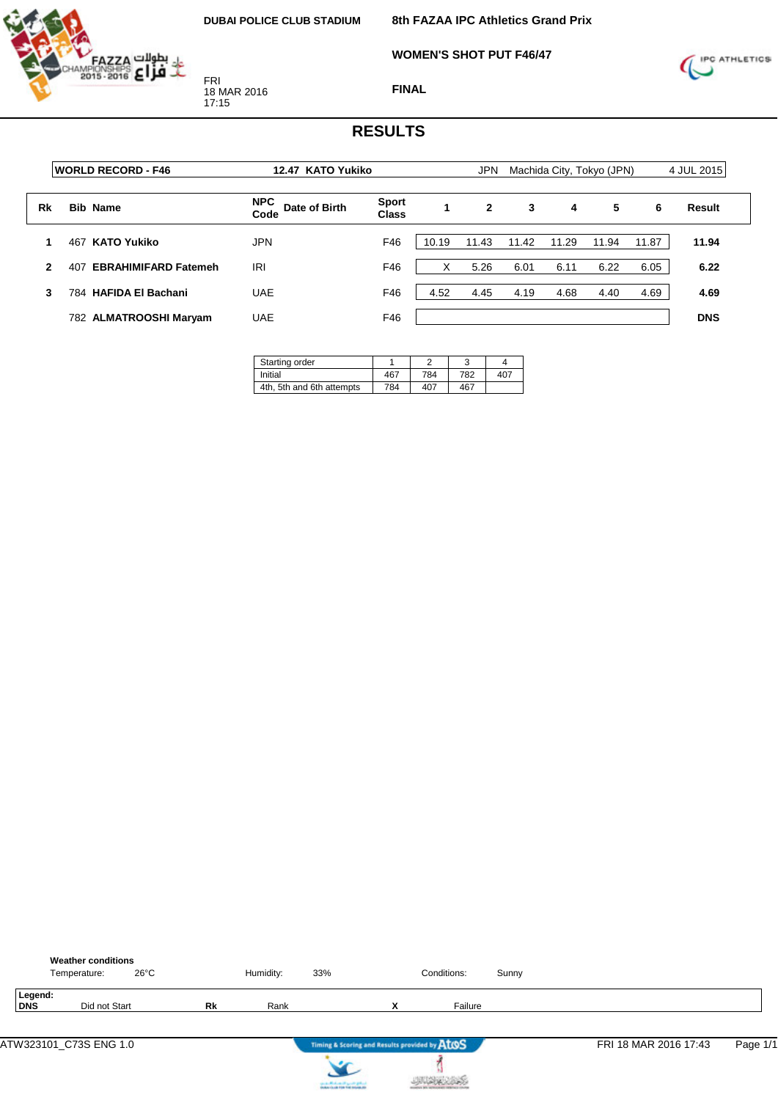

**WOMEN'S SHOT PUT F46/47**



**FINAL**

|              | <b>WORLD RECORD - F46</b>          |                                     | 12.47 KATO Yukiko<br><b>JPN</b> |       |       |       | Machida City, Tokyo (JPN) |       | 4 JUL 2015 |            |
|--------------|------------------------------------|-------------------------------------|---------------------------------|-------|-------|-------|---------------------------|-------|------------|------------|
| Rk           | <b>Bib Name</b>                    | <b>NPC</b><br>Date of Birth<br>Code | <b>Sport</b><br><b>Class</b>    | 1     | 2     | 3     | 4                         | 5     | 6          | Result     |
|              | <b>KATO Yukiko</b><br>467          | JPN                                 | F46                             | 10.19 | 11.43 | 11.42 | 11.29                     | 11.94 | 11.87      | 11.94      |
| $\mathbf{2}$ | <b>EBRAHIMIFARD Fatemeh</b><br>407 | IRI                                 | F46                             | X     | 5.26  | 6.01  | 6.11                      | 6.22  | 6.05       | 6.22       |
| 3            | 784 HAFIDA El Bachani              | <b>UAE</b>                          | F46                             | 4.52  | 4.45  | 4.19  | 4.68                      | 4.40  | 4.69       | 4.69       |
|              | 782 ALMATROOSHI Maryam             | <b>UAE</b>                          | F46                             |       |       |       |                           |       |            | <b>DNS</b> |

| Starting order            |     |     |     |     |
|---------------------------|-----|-----|-----|-----|
| Initial                   | 467 | 784 | 782 | 407 |
| 4th, 5th and 6th attempts | 784 | 407 | 467 |     |

|                | <b>Weather conditions</b><br>$26^{\circ}$ C<br>Temperature: |    | Humidity: | 33% |                | Conditions:                                   | Sunny |                       |          |
|----------------|-------------------------------------------------------------|----|-----------|-----|----------------|-----------------------------------------------|-------|-----------------------|----------|
| Legend:<br>DNS | Did not Start                                               | Rk | Rank      |     | v<br>$\lambda$ | Failure                                       |       |                       |          |
|                |                                                             |    |           |     |                | Timing & Scoring and Results provided by ALOS |       | FRI 18 MAR 2016 17:43 | Page 1/1 |



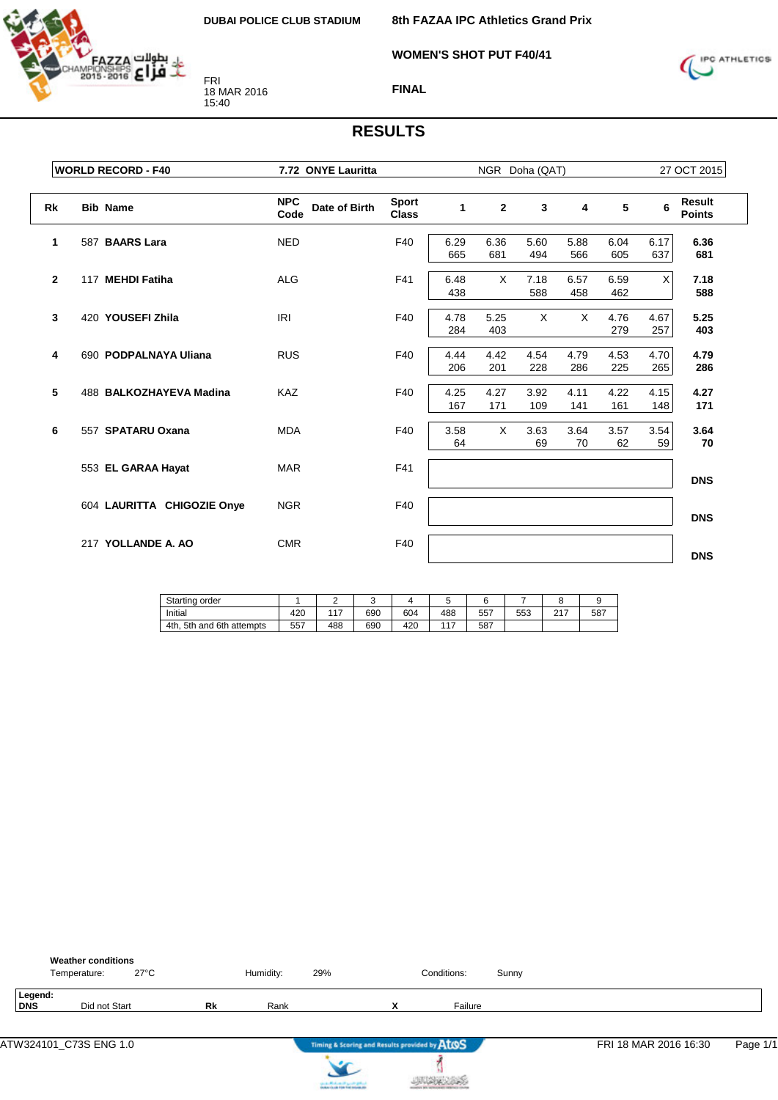

**WOMEN'S SHOT PUT F40/41**



**FINAL**

|              | <b>WORLD RECORD - F40</b>  | 7.72 ONYE Lauritta                  |                              |             |                | NGR Doha (QAT) |             |             |             | 27 OCT 2015                    |
|--------------|----------------------------|-------------------------------------|------------------------------|-------------|----------------|----------------|-------------|-------------|-------------|--------------------------------|
| <b>Rk</b>    | <b>Bib Name</b>            | <b>NPC</b><br>Date of Birth<br>Code | <b>Sport</b><br><b>Class</b> | 1           | $\overline{2}$ | 3              | 4           | 5           | 6           | <b>Result</b><br><b>Points</b> |
| 1            | 587 BAARS Lara             | <b>NED</b>                          | F40                          | 6.29<br>665 | 6.36<br>681    | 5.60<br>494    | 5.88<br>566 | 6.04<br>605 | 6.17<br>637 | 6.36<br>681                    |
| $\mathbf{2}$ | 117 MEHDI Fatiha           | <b>ALG</b>                          | F41                          | 6.48<br>438 | $\times$       | 7.18<br>588    | 6.57<br>458 | 6.59<br>462 | X           | 7.18<br>588                    |
| 3            | 420 YOUSEFI Zhila          | <b>IRI</b>                          | F40                          | 4.78<br>284 | 5.25<br>403    | $\times$       | X           | 4.76<br>279 | 4.67<br>257 | 5.25<br>403                    |
| 4            | 690 PODPALNAYA Uliana      | <b>RUS</b>                          | F40                          | 4.44<br>206 | 4.42<br>201    | 4.54<br>228    | 4.79<br>286 | 4.53<br>225 | 4.70<br>265 | 4.79<br>286                    |
| 5            | 488 BALKOZHAYEVA Madina    | KAZ                                 | F40                          | 4.25<br>167 | 4.27<br>171    | 3.92<br>109    | 4.11<br>141 | 4.22<br>161 | 4.15<br>148 | 4.27<br>171                    |
| 6            | 557 SPATARU Oxana          | <b>MDA</b>                          | F40                          | 3.58<br>64  | $\times$       | 3.63<br>69     | 3.64<br>70  | 3.57<br>62  | 3.54<br>59  | 3.64<br>70                     |
|              | 553 EL GARAA Hayat         | <b>MAR</b>                          | F41                          |             |                |                |             |             |             | <b>DNS</b>                     |
|              | 604 LAURITTA CHIGOZIE Onye | <b>NGR</b>                          | F40                          |             |                |                |             |             |             | <b>DNS</b>                     |
|              | 217 YOLLANDE A. AO         | <b>CMR</b>                          | F40                          |             |                |                |             |             |             | <b>DNS</b>                     |

| Starting order               |     |     |     |     |                          |     |     |           |     |
|------------------------------|-----|-----|-----|-----|--------------------------|-----|-----|-----------|-----|
| Initial                      | 420 | 147 | 690 | 604 | 488                      | 557 | 553 | 0.47<br>∸ | 587 |
| 4th.<br>5th and 6th attempts | 557 | 488 | 690 | 420 | $\overline{\phantom{a}}$ | 587 |     |           |     |

|                | <b>Weather conditions</b><br>Temperature: | $27^{\circ}$ C |    | Humidity: | 29% |                                               | Conditions: | Sunny |                       |          |
|----------------|-------------------------------------------|----------------|----|-----------|-----|-----------------------------------------------|-------------|-------|-----------------------|----------|
| Legend:<br>DNS | Did not Start                             |                | Rk | Rank      |     | v                                             | Failure     |       |                       |          |
|                |                                           |                |    |           |     | Timing & Scoring and Results provided by ATOS |             |       | FRI 18 MAR 2016 16:30 | Page 1/1 |

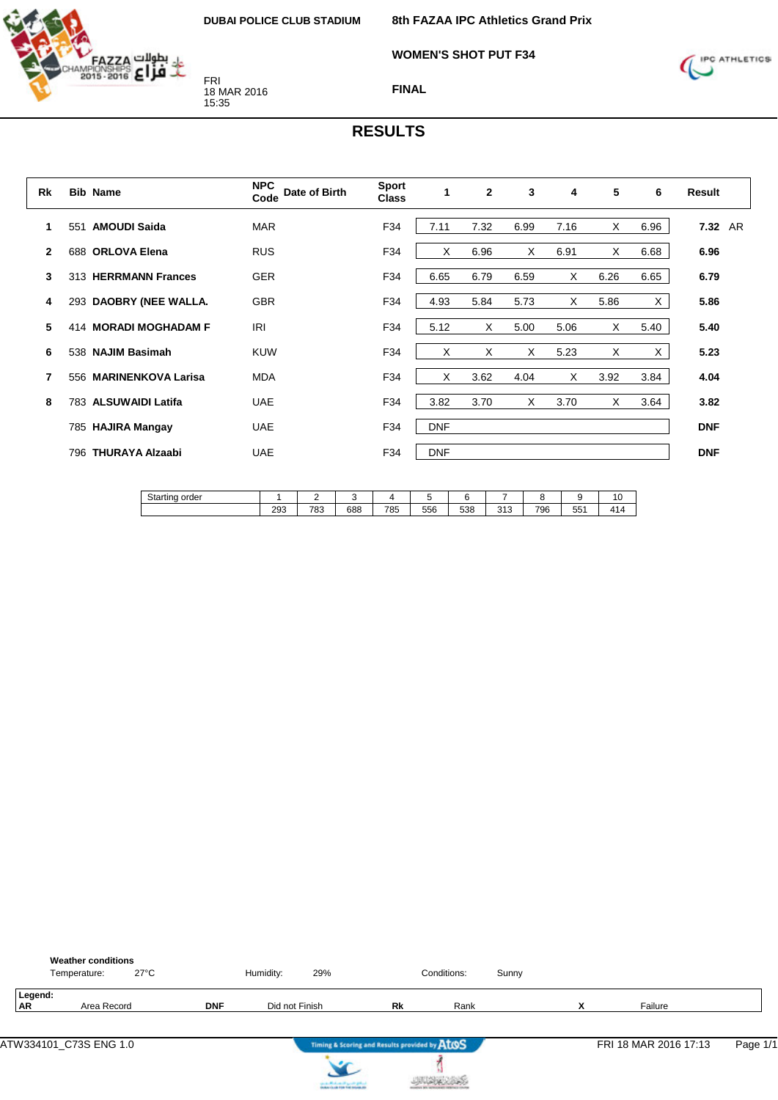

**WOMEN'S SHOT PUT F34**



**FINAL**

| Rk             |     | <b>Bib Name</b>        | <b>NPC</b><br>Date of Birth<br>Code | <b>Sport</b><br><b>Class</b> |            | $\mathbf{2}$ | 3    | 4    | 5    | 6    | Result     |
|----------------|-----|------------------------|-------------------------------------|------------------------------|------------|--------------|------|------|------|------|------------|
| 1              | 551 | <b>AMOUDI Saida</b>    | <b>MAR</b>                          | F34                          | 7.11       | 7.32         | 6.99 | 7.16 | X    | 6.96 | 7.32 AR    |
| $\overline{2}$ |     | 688 ORLOVA Elena       | <b>RUS</b>                          | F34                          | X          | 6.96         | Χ    | 6.91 | Χ    | 6.68 | 6.96       |
| 3              |     | 313 HERRMANN Frances   | <b>GER</b>                          | F34                          | 6.65       | 6.79         | 6.59 | X    | 6.26 | 6.65 | 6.79       |
| 4              |     | 293 DAOBRY (NEE WALLA. | <b>GBR</b>                          | F34                          | 4.93       | 5.84         | 5.73 | X    | 5.86 | X    | 5.86       |
| 5              |     | 414 MORADI MOGHADAM F  | <b>IRI</b>                          | F34                          | 5.12       | X            | 5.00 | 5.06 | X    | 5.40 | 5.40       |
| 6              |     | 538 NAJIM Basimah      | <b>KUW</b>                          | F34                          | X          | X            | Χ    | 5.23 | X    | X    | 5.23       |
| 7              |     | 556 MARINENKOVA Larisa | <b>MDA</b>                          | F34                          | X          | 3.62         | 4.04 | X    | 3.92 | 3.84 | 4.04       |
| 8              |     | 783 ALSUWAIDI Latifa   | <b>UAE</b>                          | F34                          | 3.82       | 3.70         | X    | 3.70 | X    | 3.64 | 3.82       |
|                |     | 785 HAJIRA Mangay      | <b>UAE</b>                          | F34                          | <b>DNF</b> |              |      |      |      |      | <b>DNF</b> |
|                | 796 | <b>THURAYA Alzaabi</b> | <b>UAE</b>                          | F34                          | <b>DNF</b> |              |      |      |      |      | <b>DNF</b> |

| Starting order |     | -   |     |     |     |     |              |     |                   | $\overline{ }$<br>1 V           |
|----------------|-----|-----|-----|-----|-----|-----|--------------|-----|-------------------|---------------------------------|
|                | 293 | 783 | 688 | 785 | 556 | 538 | 242<br>ں ا ب | 796 | $- -$<br>へん<br>ບບ | $\Lambda$ 1<br>$\epsilon$ 1 $-$ |

|                      | <b>Weather conditions</b><br>$27^{\circ}$ C<br>Temperature: |            | Humidity:      | 29% |                                               | Conditions: | Sunny |                               |                       |          |
|----------------------|-------------------------------------------------------------|------------|----------------|-----|-----------------------------------------------|-------------|-------|-------------------------------|-----------------------|----------|
| Legend:<br><b>AR</b> | Area Record                                                 | <b>DNF</b> | Did not Finish |     | Rk                                            | Rank        |       | $\overline{\phantom{a}}$<br>Λ | Failure               |          |
|                      | ATW334101_C73S ENG 1.0                                      |            |                |     | Timing & Scoring and Results provided by ATOS |             |       |                               | FRI 18 MAR 2016 17:13 | Page 1/1 |



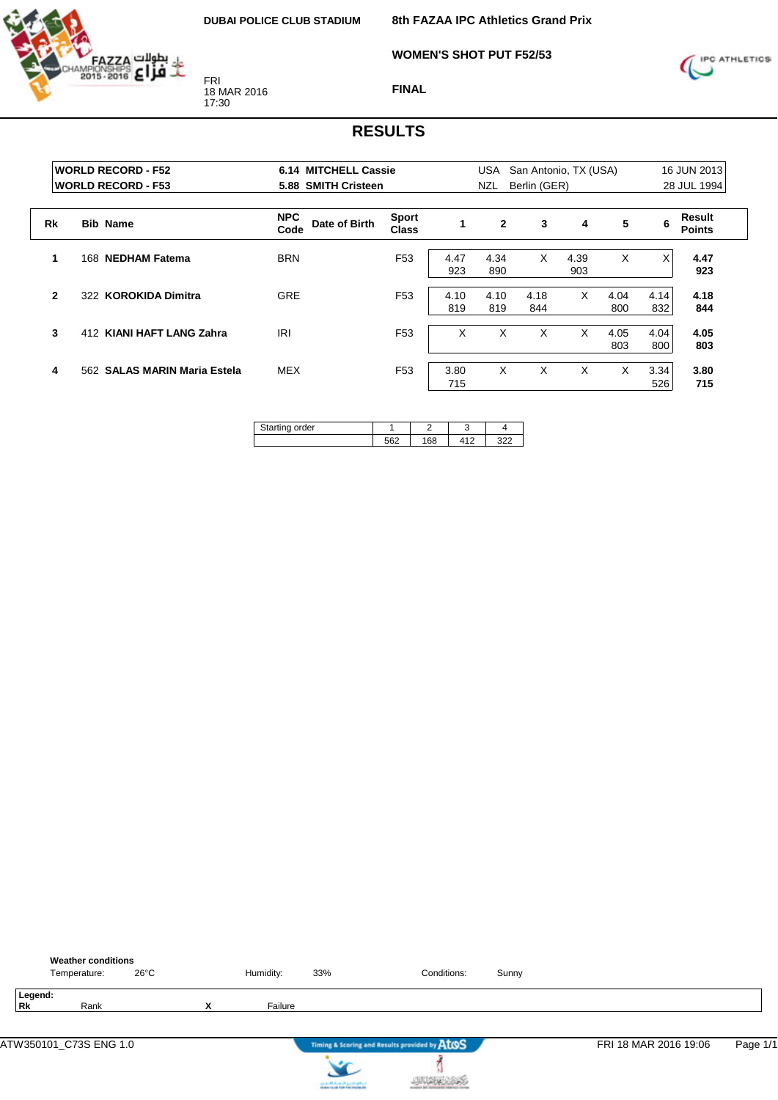

**8th FAZAA IPC Athletics Grand Prix**

**WOMEN'S SHOT PUT F52/53**



**FINAL**

|              | <b>WORLD RECORD - F52</b><br><b>WORLD RECORD - F53</b> | <b>6.14 MITCHELL Cassie</b><br>5.88 SMITH Cristeen |                              |             | <b>USA</b><br><b>NZL</b> | San Antonio, TX (USA)<br>Berlin (GER) |             |             |             | 16 JUN 2013<br>28 JUL 1994 |
|--------------|--------------------------------------------------------|----------------------------------------------------|------------------------------|-------------|--------------------------|---------------------------------------|-------------|-------------|-------------|----------------------------|
| Rk           | <b>Bib Name</b>                                        | <b>NPC</b><br>Date of Birth<br>Code                | <b>Sport</b><br><b>Class</b> |             | $\mathbf{2}$             | 3                                     | 4           | 5           | 6           | Result<br><b>Points</b>    |
| 1            | <b>NEDHAM Fatema</b><br>168                            | <b>BRN</b>                                         | F <sub>53</sub>              | 4.47<br>923 | 4.34<br>890              | X                                     | 4.39<br>903 | X           | X           | 4.47<br>923                |
| $\mathbf{2}$ | 322 KOROKIDA Dimitra                                   | <b>GRE</b>                                         | F <sub>53</sub>              | 4.10<br>819 | 4.10<br>819              | 4.18<br>844                           | X           | 4.04<br>800 | 4.14<br>832 | 4.18<br>844                |
| 3            | 412 KIANI HAFT LANG Zahra                              | <b>IRI</b>                                         | F <sub>53</sub>              | X           | X                        | X                                     | X           | 4.05<br>803 | 4.04<br>800 | 4.05<br>803                |
| 4            | 562 SALAS MARIN Maria Estela                           | <b>MEX</b>                                         | F <sub>53</sub>              | 3.80<br>715 | X                        | X                                     | X           | X           | 3.34<br>526 | 3.80<br>715                |

| Starting order |     |     | . . |           |
|----------------|-----|-----|-----|-----------|
|                | 562 | 168 | 110 | ממ<br>ے∠د |

|               | <b>Weather conditions</b><br>Temperature: | $26^{\circ}$ C |   | Humidity: | 33%                                                                       | Conditions:                                   | Sunny |                       |          |
|---------------|-------------------------------------------|----------------|---|-----------|---------------------------------------------------------------------------|-----------------------------------------------|-------|-----------------------|----------|
| Legend:<br>Rk | Rank                                      |                | X | Failure   |                                                                           |                                               |       |                       |          |
|               |                                           |                |   |           |                                                                           | Timing & Scoring and Results provided by ATOS |       | FRI 18 MAR 2016 19:06 | Page 1/1 |
|               |                                           |                |   |           | can a difference of speech gallery.<br>Instancing the Fire find means are |                                               |       |                       |          |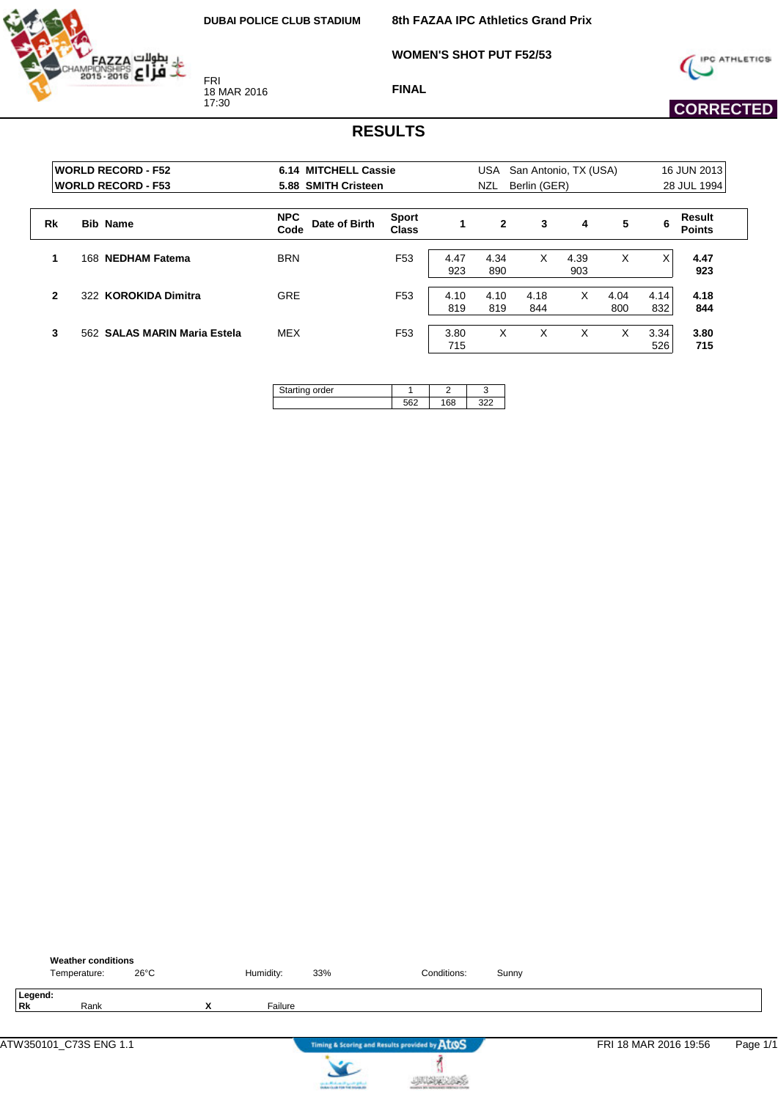**8th FAZAA IPC Athletics Grand Prix**

**WOMEN'S SHOT PUT F52/53**



FRI 18 MAR 2016 17:30

**FINAL**



# **CORRECTED**

|              | <b>WORLD RECORD - F52</b><br><b>IWORLD RECORD - F53</b> | 6.14 MITCHELL Cassie<br>5.88 SMITH Cristeen |                              |             | USA<br>NZL   | Berlin (GER) | San Antonio, TX (USA) |             |             | 16 JUN 2013<br>28 JUL 1994 |
|--------------|---------------------------------------------------------|---------------------------------------------|------------------------------|-------------|--------------|--------------|-----------------------|-------------|-------------|----------------------------|
| Rk           | <b>Bib Name</b>                                         | <b>NPC</b><br>Date of Birth<br>Code         | <b>Sport</b><br><b>Class</b> | 1           | $\mathbf{2}$ | 3            | 4                     | 5           | 6           | Result<br><b>Points</b>    |
|              | <b>NEDHAM Fatema</b><br>168                             | <b>BRN</b>                                  | F <sub>53</sub>              | 4.47<br>923 | 4.34<br>890  | X            | 4.39<br>903           | Χ           | X           | 4.47<br>923                |
| $\mathbf{2}$ | 322 KOROKIDA Dimitra                                    | <b>GRE</b>                                  | F <sub>53</sub>              | 4.10<br>819 | 4.10<br>819  | 4.18<br>844  | X                     | 4.04<br>800 | 4.14<br>832 | 4.18<br>844                |
| 3            | 562 SALAS MARIN Maria Estela                            | MEX                                         | F <sub>53</sub>              | 3.80<br>715 | X            | X            | x                     | x           | 3.34<br>526 | 3.80<br>715                |

| ina order<br>≂ |  |  |
|----------------|--|--|
|                |  |  |

|                      | <b>Weather conditions</b><br>Temperature: | 26°C |                           | Humidity: | 33%                                                               | Conditions:                                   | Sunny |                       |          |
|----------------------|-------------------------------------------|------|---------------------------|-----------|-------------------------------------------------------------------|-----------------------------------------------|-------|-----------------------|----------|
| Legend:<br><b>Rk</b> | Rank                                      |      | $\checkmark$<br>$\lambda$ | Failure   |                                                                   |                                               |       |                       |          |
|                      | ATW350101_C73S ENG 1.1                    |      |                           |           |                                                                   | Timing & Scoring and Results provided by AtOS |       | FRI 18 MAR 2016 19:56 | Page 1/1 |
|                      |                                           |      |                           |           | controlled and speed galent.<br>Instantia de File Foi Installatio |                                               |       |                       |          |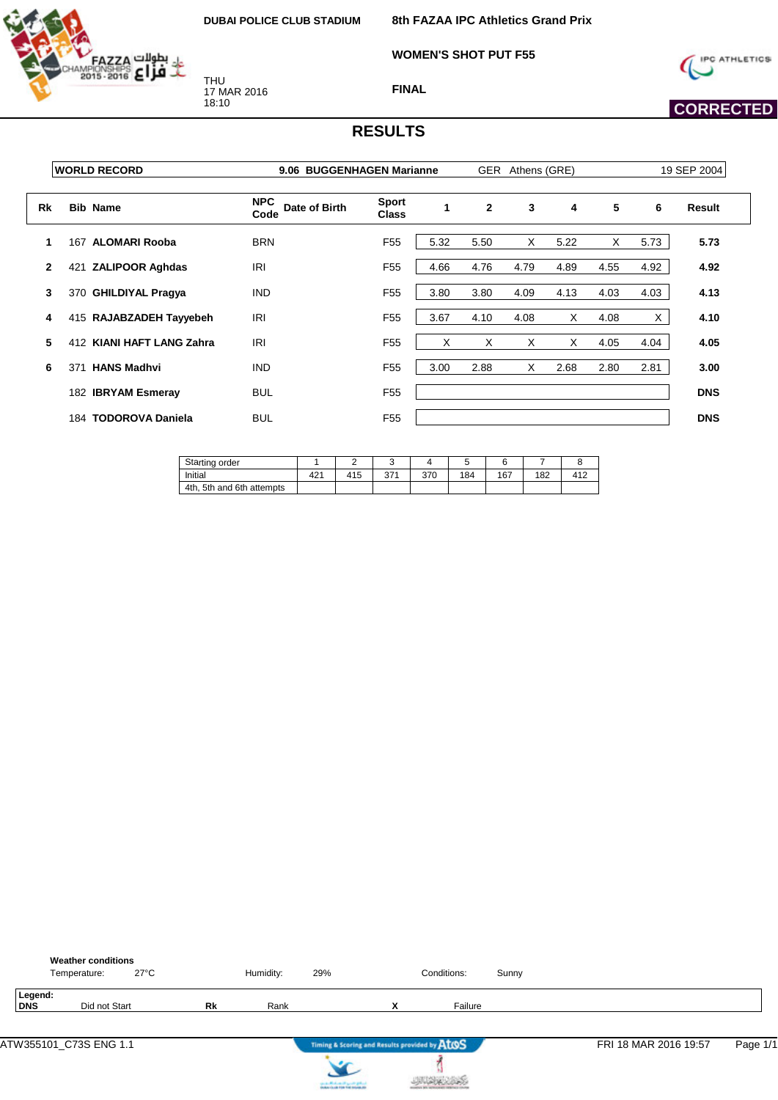

THU 17 MAR 2016 18:10

**8th FAZAA IPC Athletics Grand Prix**

**WOMEN'S SHOT PUT F55**



 **CORRECTED** 

**FINAL**

|              | <b>WORLD RECORD</b>           | 9.06 BUGGENHAGEN Marianne           |                              |      |              | GER Athens (GRE) |      |      |      | 19 SEP 2004 |
|--------------|-------------------------------|-------------------------------------|------------------------------|------|--------------|------------------|------|------|------|-------------|
| Rk           | <b>Bib Name</b>               | <b>NPC</b><br>Date of Birth<br>Code | <b>Sport</b><br><b>Class</b> | 1    | $\mathbf{2}$ | 3                | 4    | 5    | 6    | Result      |
| 1            | 167 ALOMARI Rooba             | <b>BRN</b>                          | F <sub>55</sub>              | 5.32 | 5.50         | X                | 5.22 | X    | 5.73 | 5.73        |
| $\mathbf{2}$ | <b>ZALIPOOR Aghdas</b><br>421 | <b>IRI</b>                          | F <sub>55</sub>              | 4.66 | 4.76         | 4.79             | 4.89 | 4.55 | 4.92 | 4.92        |
| 3            | 370 GHILDIYAL Pragya          | <b>IND</b>                          | F <sub>55</sub>              | 3.80 | 3.80         | 4.09             | 4.13 | 4.03 | 4.03 | 4.13        |
| 4            | 415 RAJABZADEH Tayyebeh       | <b>IRI</b>                          | F <sub>55</sub>              | 3.67 | 4.10         | 4.08             | X    | 4.08 | X.   | 4.10        |
| 5            | 412 KIANI HAFT LANG Zahra     | <b>IRI</b>                          | F <sub>55</sub>              | X    | X            | X                | X    | 4.05 | 4.04 | 4.05        |
| 6            | 371 HANS Madhvi               | <b>IND</b>                          | F <sub>55</sub>              | 3.00 | 2.88         | X                | 2.68 | 2.80 | 2.81 | 3.00        |
|              | 182 IBRYAM Esmeray            | <b>BUL</b>                          | F <sub>55</sub>              |      |              |                  |      |      |      | <b>DNS</b>  |
|              | 184 TODOROVA Daniela          | <b>BUL</b>                          | F <sub>55</sub>              |      |              |                  |      |      |      | <b>DNS</b>  |

| Starting order               |                 | -   |             |     |     |     |     |     |
|------------------------------|-----------------|-----|-------------|-----|-----|-----|-----|-----|
| Initial                      | 42 <sup>4</sup> | 415 | 371<br>ا ≀ت | 370 | 184 | 167 | 182 | 417 |
| 5th and 6th attempts<br>4th. |                 |     |             |     |     |     |     |     |

|                       | <b>Weather conditions</b><br>Temperature: | $27^{\circ}$ C |    | Humidity: | 29%                                           |   | Conditions: | Sunny |                       |          |
|-----------------------|-------------------------------------------|----------------|----|-----------|-----------------------------------------------|---|-------------|-------|-----------------------|----------|
| Legend:<br><b>DNS</b> | Did not Start                             |                | Rk | Rank      |                                               | x | Failure     |       |                       |          |
|                       | ATW355101_C73S ENG 1.1                    |                |    |           | Timing & Scoring and Results provided by AtOS |   |             |       | FRI 18 MAR 2016 19:57 | Page 1/1 |
|                       |                                           |                |    |           | cards Michael High Original                   |   |             |       |                       |          |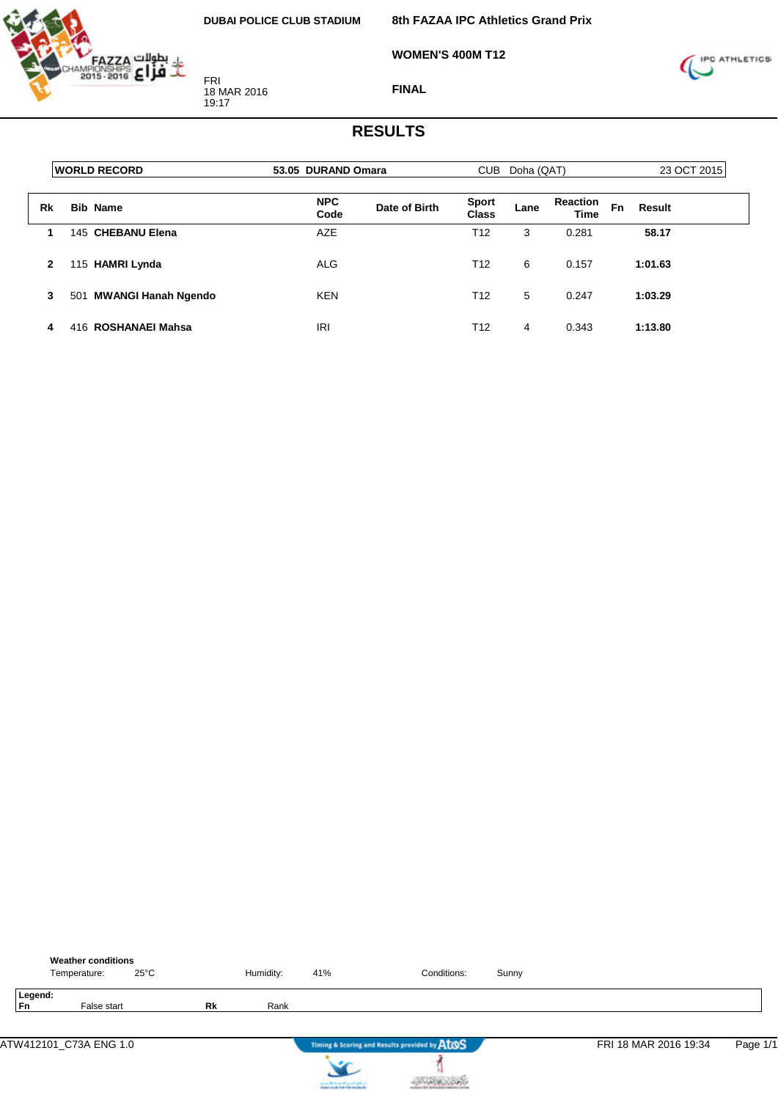

**WOMEN'S 400M T12**



**FINAL**

|    | <b>WORLD RECORD</b>        | 53.05 DURAND Omara |               | <b>CUB</b>            | Doha (QAT) |                         | 23 OCT 2015         |  |  |
|----|----------------------------|--------------------|---------------|-----------------------|------------|-------------------------|---------------------|--|--|
| Rk | <b>Bib Name</b>            | <b>NPC</b><br>Code | Date of Birth | <b>Sport</b><br>Class | Lane       | <b>Reaction</b><br>Time | <b>Fn</b><br>Result |  |  |
|    | 145 CHEBANU Elena          | AZE                |               | T <sub>12</sub>       | 3          | 0.281                   | 58.17               |  |  |
| 2  | 115 HAMRI Lynda            | <b>ALG</b>         |               | T <sub>12</sub>       | 6          | 0.157                   | 1:01.63             |  |  |
| 3  | MWANGI Hanah Ngendo<br>501 | <b>KEN</b>         |               | T <sub>12</sub>       | 5          | 0.247                   | 1:03.29             |  |  |
| 4  | 416 ROSHANAEI Mahsa        | <b>IRI</b>         |               | T12                   | 4          | 0.343                   | 1:13.80             |  |  |

|                      | <b>Weather conditions</b><br>Temperature: | $25^{\circ}$ C |           | Humidity: | 41%                                                               | Conditions:                                   | Sunny |                       |          |
|----------------------|-------------------------------------------|----------------|-----------|-----------|-------------------------------------------------------------------|-----------------------------------------------|-------|-----------------------|----------|
| Legend:<br><b>Fn</b> | False start                               |                | <b>Rk</b> | Rank      |                                                                   |                                               |       |                       |          |
|                      | ATW412101_C73A ENG 1.0                    |                |           |           |                                                                   | Timing & Scoring and Results provided by ATOS |       | FRI 18 MAR 2016 19:34 | Page 1/1 |
|                      |                                           |                |           |           | controlled and speed galent.<br>Instantia de File Foi Installatio |                                               |       |                       |          |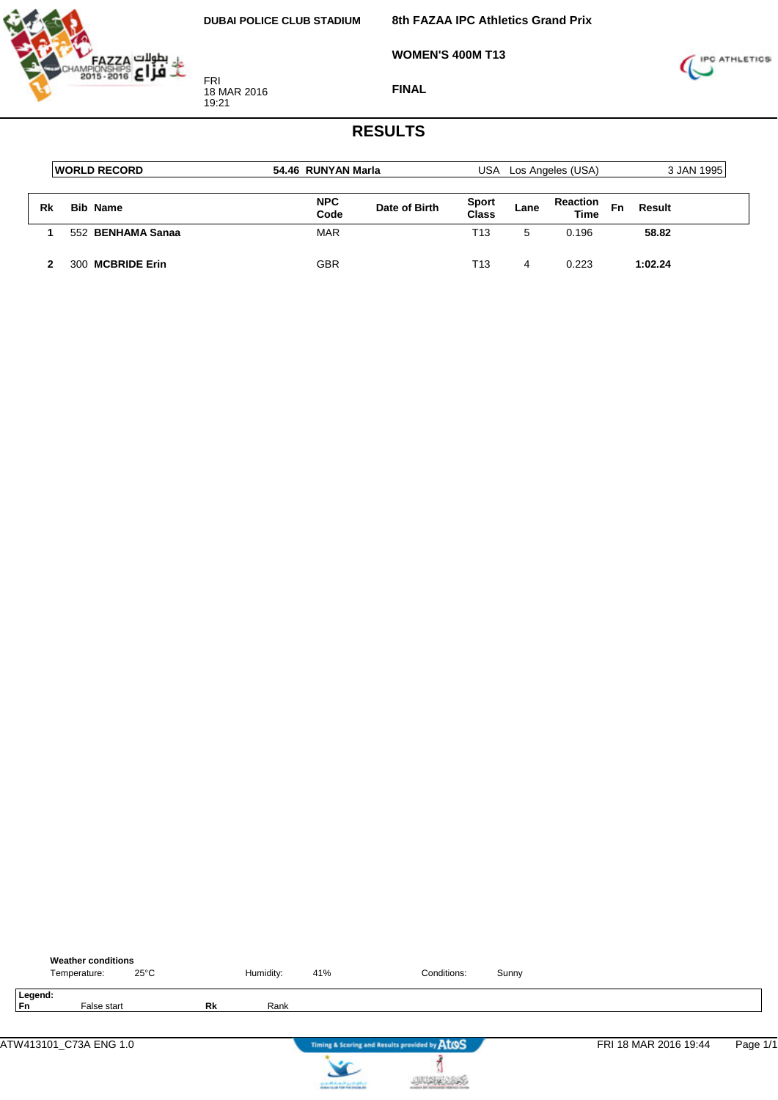

**FINAL**

**WOMEN'S 400M T13**



|    | <b>IWORLD RECORD</b> | 54.46 RUNYAN Marla |               | USA                   |      | Los Angeles (USA)              | 3 JAN 1995 |         |  |
|----|----------------------|--------------------|---------------|-----------------------|------|--------------------------------|------------|---------|--|
| Rk | <b>Bib Name</b>      | <b>NPC</b><br>Code | Date of Birth | <b>Sport</b><br>Class | Lane | <b>Reaction</b><br><b>Time</b> | Fn         | Result  |  |
|    | 552 BENHAMA Sanaa    | <b>MAR</b>         |               | T13                   | 5    | 0.196                          |            | 58.82   |  |
|    | 300 MCBRIDE Erin     | GBR                |               | T13                   | 4    | 0.223                          |            | 1:02.24 |  |

|                      | <b>Weather conditions</b><br>Temperature: | $25^{\circ}$ C |    | Humidity: | 41%                                                                         | Conditions:                                   | Sunny |                       |          |
|----------------------|-------------------------------------------|----------------|----|-----------|-----------------------------------------------------------------------------|-----------------------------------------------|-------|-----------------------|----------|
| Legend:<br><b>Fn</b> | False start                               |                | Rk | Rank      |                                                                             |                                               |       |                       |          |
|                      | ATW413101_C73A ENG 1.0                    |                |    |           |                                                                             | Timing & Scoring and Results provided by AtOS |       | FRI 18 MAR 2016 19:44 | Page 1/1 |
|                      |                                           |                |    |           | can be affected and it spends grabes.<br>Sockey thank FOR find industry and |                                               |       |                       |          |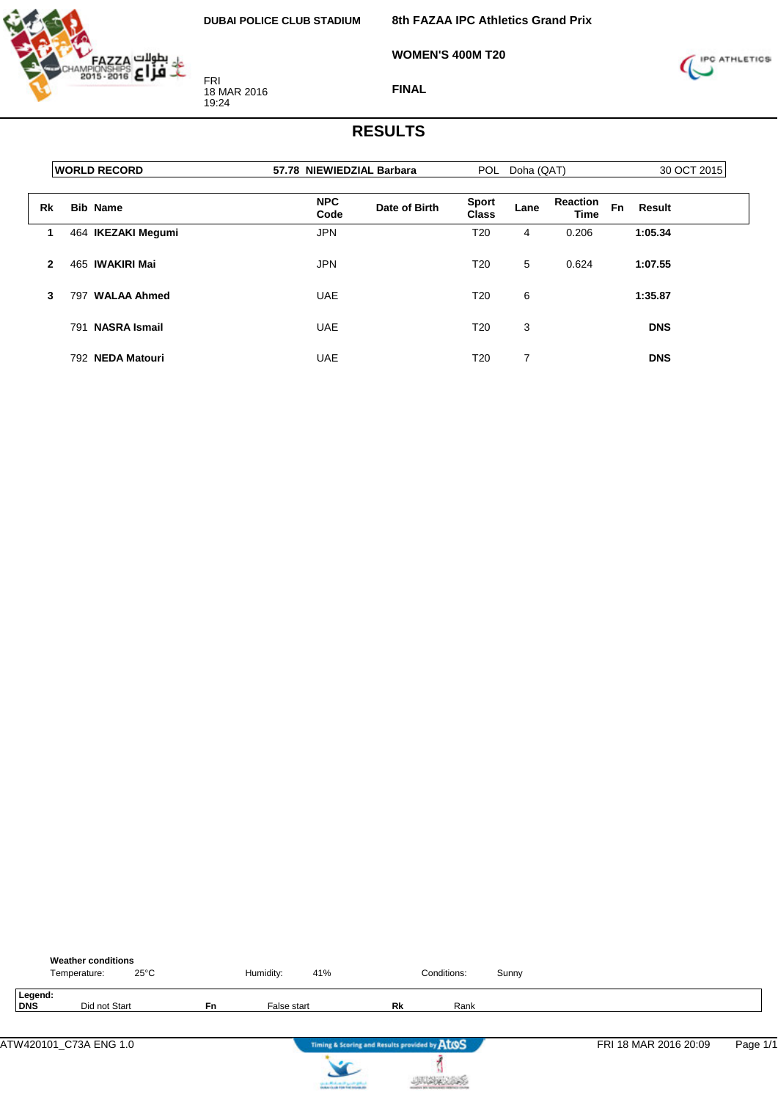

**8th FAZAA IPC Athletics Grand Prix**

**WOMEN'S 400M T20**



**FINAL**

|              | <b>WORLD RECORD</b>        | 57.78 NIEWIEDZIAL Barbara           | POL Doha (QAT)               |      |                                |           | 30 OCT 2015 |  |  |
|--------------|----------------------------|-------------------------------------|------------------------------|------|--------------------------------|-----------|-------------|--|--|
| <b>Rk</b>    | <b>Bib Name</b>            | <b>NPC</b><br>Date of Birth<br>Code | <b>Sport</b><br><b>Class</b> | Lane | <b>Reaction</b><br><b>Time</b> | <b>Fn</b> | Result      |  |  |
| 1            | 464 IKEZAKI Megumi         | <b>JPN</b>                          | T <sub>20</sub>              | 4    | 0.206                          |           | 1:05.34     |  |  |
| $\mathbf{2}$ | 465 IWAKIRI Mai            | <b>JPN</b>                          | T20                          | 5    | 0.624                          |           | 1:07.55     |  |  |
| 3            | <b>WALAA Ahmed</b><br>797  | <b>UAE</b>                          | T <sub>20</sub>              | 6    |                                |           | 1:35.87     |  |  |
|              | <b>NASRA Ismail</b><br>791 | <b>UAE</b>                          | T <sub>20</sub>              | 3    |                                |           | <b>DNS</b>  |  |  |
|              | 792 NEDA Matouri           | <b>UAE</b>                          | T <sub>20</sub>              | 7    |                                |           | <b>DNS</b>  |  |  |

|                | <b>Weather conditions</b><br>Temperature: | $25^{\circ}$ C |    | Humidity:   | 41%                                                               |                                               | Conditions: | Sunny |                       |          |
|----------------|-------------------------------------------|----------------|----|-------------|-------------------------------------------------------------------|-----------------------------------------------|-------------|-------|-----------------------|----------|
| Legend:<br>DNS | Did not Start                             |                | Fn | False start |                                                                   | Rk                                            | Rank        |       |                       |          |
|                | ATW420101 C73A ENG 1.0                    |                |    |             |                                                                   | Timing & Scoring and Results provided by AtOS |             |       | FRI 18 MAR 2016 20:09 | Page 1/1 |
|                |                                           |                |    |             | controlled and speed galent.<br>Instantia de File Foi Installatio |                                               |             |       |                       |          |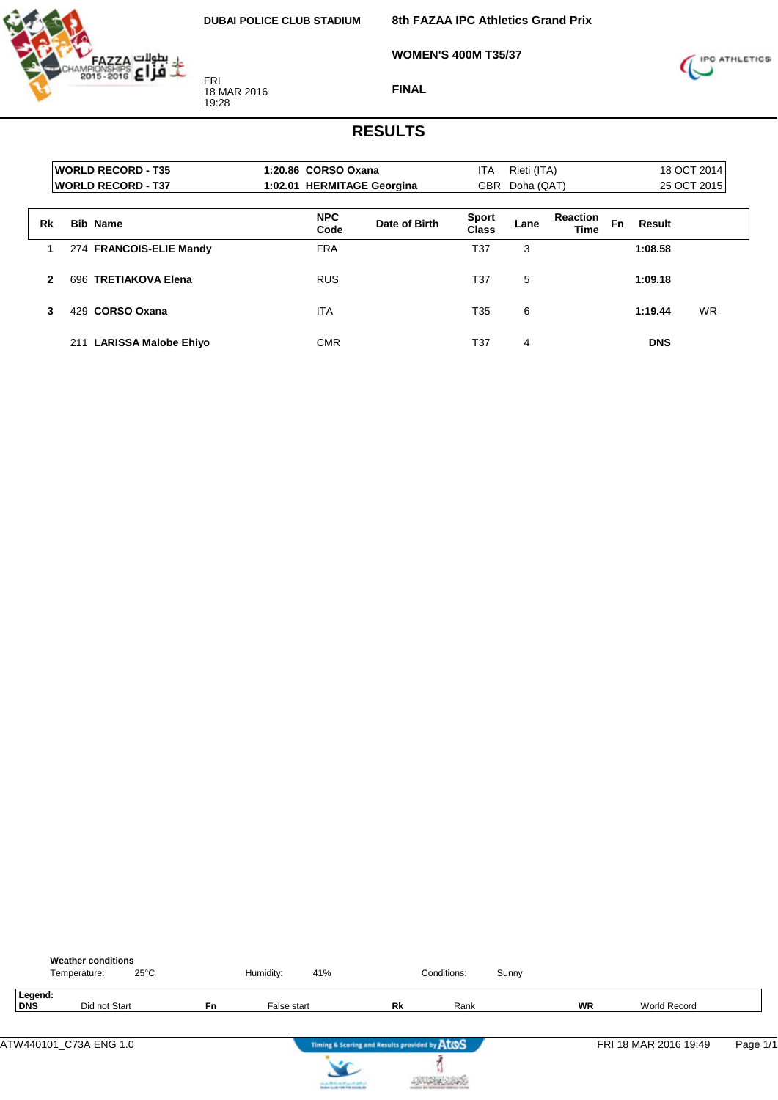

**8th FAZAA IPC Athletics Grand Prix**

**WOMEN'S 400M T35/37**



**FINAL**

|    | <b>WORLD RECORD - T35</b><br><b>WORLD RECORD - T37</b> | 1:20.86 CORSO Oxana<br>1:02.01 HERMITAGE Georgina |               | ITA                          | Rieti (ITA)<br>GBR Doha (QAT) |                                |           |            | 18 OCT 2014<br>25 OCT 2015 |
|----|--------------------------------------------------------|---------------------------------------------------|---------------|------------------------------|-------------------------------|--------------------------------|-----------|------------|----------------------------|
|    |                                                        |                                                   |               |                              |                               |                                |           |            |                            |
| Rk | <b>Bib Name</b>                                        | <b>NPC</b><br>Code                                | Date of Birth | <b>Sport</b><br><b>Class</b> | Lane                          | <b>Reaction</b><br><b>Time</b> | <b>Fn</b> | Result     |                            |
| 1  | 274 FRANCOIS-ELIE Mandy                                | <b>FRA</b>                                        |               | T37                          | 3                             |                                |           | 1:08.58    |                            |
| 2  | 696 TRETIAKOVA Elena                                   | <b>RUS</b>                                        |               | T37                          | 5                             |                                |           | 1:09.18    |                            |
| 3  | <b>CORSO Oxana</b><br>429.                             | <b>ITA</b>                                        |               | T35                          | 6                             |                                |           | 1:19.44    | <b>WR</b>                  |
|    | <b>LARISSA Malobe Ehiyo</b><br>211                     | <b>CMR</b>                                        |               | T37                          | 4                             |                                |           | <b>DNS</b> |                            |

|                | <b>Weather conditions</b><br>$25^{\circ}$ C<br>Temperature: |    | Humidity:   | 41%                                           | Conditions: | Sunny |           |                       |          |
|----------------|-------------------------------------------------------------|----|-------------|-----------------------------------------------|-------------|-------|-----------|-----------------------|----------|
| Legend:<br>DNS | Did not Start                                               | Fn | False start | Rk                                            | Rank        |       | <b>WR</b> | <b>World Record</b>   |          |
|                | ATW440101_C73A ENG 1.0                                      |    |             | Timing & Scoring and Results provided by AtOS |             |       |           | FRI 18 MAR 2016 19:49 | Page 1/1 |
|                |                                                             |    |             | country Michael and Locate States             |             |       |           |                       |          |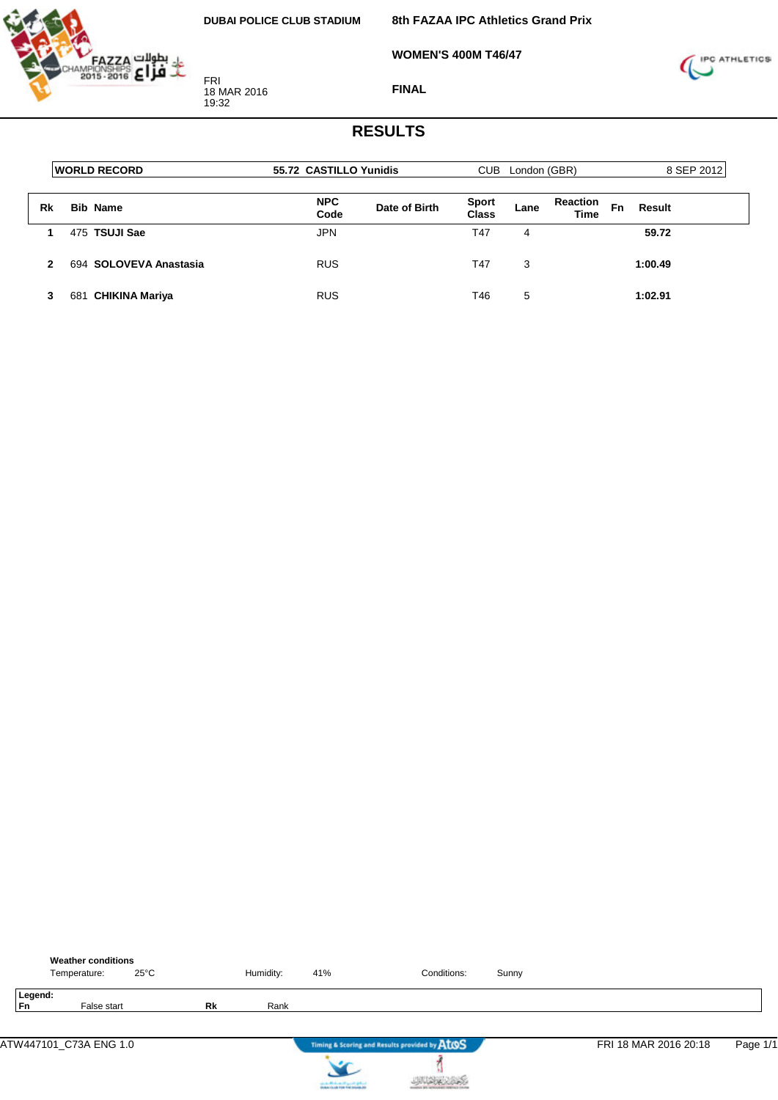

**8th FAZAA IPC Athletics Grand Prix**

**WOMEN'S 400M T46/47**



**FINAL**

|    | <b>WORLD RECORD</b>    | 55.72 CASTILLO Yunidis |               | CUB.                  | London (GBR) |                                |              | 8 SEP 2012 |  |
|----|------------------------|------------------------|---------------|-----------------------|--------------|--------------------------------|--------------|------------|--|
| Rk | <b>Bib Name</b>        | <b>NPC</b><br>Code     | Date of Birth | <b>Sport</b><br>Class | Lane         | <b>Reaction</b><br><b>Time</b> | Fn<br>Result |            |  |
|    | 475 TSUJI Sae          | <b>JPN</b>             |               | T47                   | 4            |                                | 59.72        |            |  |
| 2  | 694 SOLOVEVA Anastasia | <b>RUS</b>             |               | T47                   | 3            |                                | 1:00.49      |            |  |
| з  | 681 CHIKINA Mariya     | RUS                    |               | T46                   | 5            |                                | 1:02.91      |            |  |

|               | <b>Weather conditions</b><br>Temperature: | $25^{\circ}$ C |    | Humidity: | 41%                               | Conditions:                                   | Sunny |                       |          |
|---------------|-------------------------------------------|----------------|----|-----------|-----------------------------------|-----------------------------------------------|-------|-----------------------|----------|
| Legend:<br>Fn | False start                               |                | Rk | Rank      |                                   |                                               |       |                       |          |
|               | ATW447101_C73A ENG 1.0                    |                |    |           |                                   | Timing & Scoring and Results provided by ATOS |       | FRI 18 MAR 2016 20:18 | Page 1/1 |
|               |                                           |                |    |           | stand official and speed galaxies |                                               |       |                       |          |

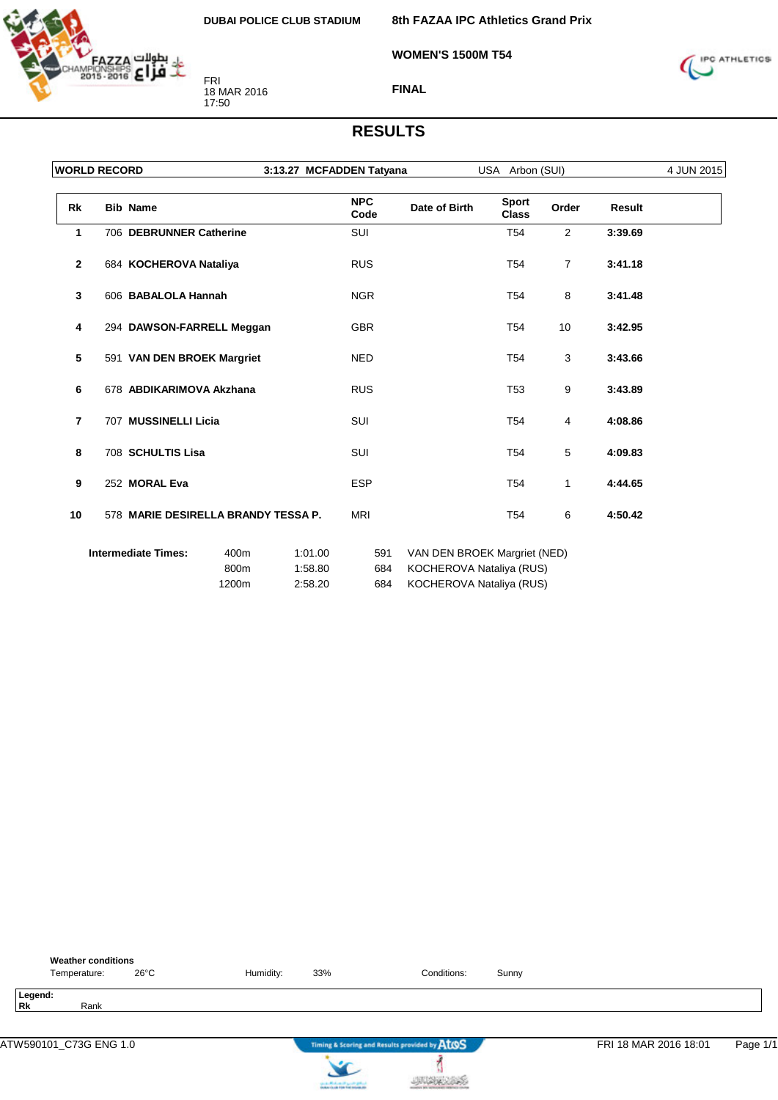

**8th FAZAA IPC Athletics Grand Prix**

**WOMEN'S 1500M T54**



**FINAL**

|                | <b>WORLD RECORD</b>                 |       | 3:13.27 MCFADDEN Tatyana |                    |                              | USA Arbon (SUI)       |                |         | 4 JUN 2015 |
|----------------|-------------------------------------|-------|--------------------------|--------------------|------------------------------|-----------------------|----------------|---------|------------|
| Rk             | <b>Bib Name</b>                     |       |                          | <b>NPC</b><br>Code | Date of Birth                | Sport<br><b>Class</b> | Order          | Result  |            |
| $\mathbf{1}$   | 706 DEBRUNNER Catherine             |       |                          | <b>SUI</b>         |                              | <b>T54</b>            | 2              | 3:39.69 |            |
| $\overline{2}$ | 684 KOCHEROVA Nataliya              |       |                          | <b>RUS</b>         |                              | T <sub>54</sub>       | $\overline{7}$ | 3:41.18 |            |
| $\mathbf{3}$   | 606 BABALOLA Hannah                 |       |                          | <b>NGR</b>         |                              | T <sub>54</sub>       | 8              | 3:41.48 |            |
| 4              | 294 DAWSON-FARRELL Meggan           |       |                          | <b>GBR</b>         |                              | T <sub>54</sub>       | 10             | 3:42.95 |            |
| 5              | 591 VAN DEN BROEK Margriet          |       |                          | <b>NED</b>         |                              | T <sub>54</sub>       | 3              | 3:43.66 |            |
| 6              | 678 ABDIKARIMOVA Akzhana            |       |                          | <b>RUS</b>         |                              | T <sub>53</sub>       | 9              | 3:43.89 |            |
| $\overline{7}$ | 707 MUSSINELLI Licia                |       |                          | SUI                |                              | T <sub>54</sub>       | 4              | 4:08.86 |            |
| 8              | 708 SCHULTIS Lisa                   |       |                          | SUI                |                              | T <sub>54</sub>       | 5              | 4:09.83 |            |
| 9              | 252 MORAL Eva                       |       |                          | <b>ESP</b>         |                              | T <sub>54</sub>       | $\mathbf{1}$   | 4:44.65 |            |
| 10             | 578 MARIE DESIRELLA BRANDY TESSA P. |       |                          | <b>MRI</b>         |                              | T <sub>54</sub>       | 6              | 4:50.42 |            |
|                | <b>Intermediate Times:</b>          | 400m  | 1:01.00                  | 591                | VAN DEN BROEK Margriet (NED) |                       |                |         |            |
|                |                                     | 800m  | 1:58.80                  | 684                | KOCHEROVA Nataliya (RUS)     |                       |                |         |            |
|                |                                     | 1200m | 2:58.20                  | 684                | KOCHEROVA Nataliya (RUS)     |                       |                |         |            |

| <b>Weather conditions</b><br>26°C<br>Temperature: | Humidity: | Conditions:<br>33%                            | Sunny |                                   |
|---------------------------------------------------|-----------|-----------------------------------------------|-------|-----------------------------------|
| Legend:<br><b>Rk</b><br>Rank                      |           |                                               |       |                                   |
|                                                   |           | Timing & Scoring and Results provided by ATOS |       | Page 1/1<br>FRI 18 MAR 2016 18:01 |



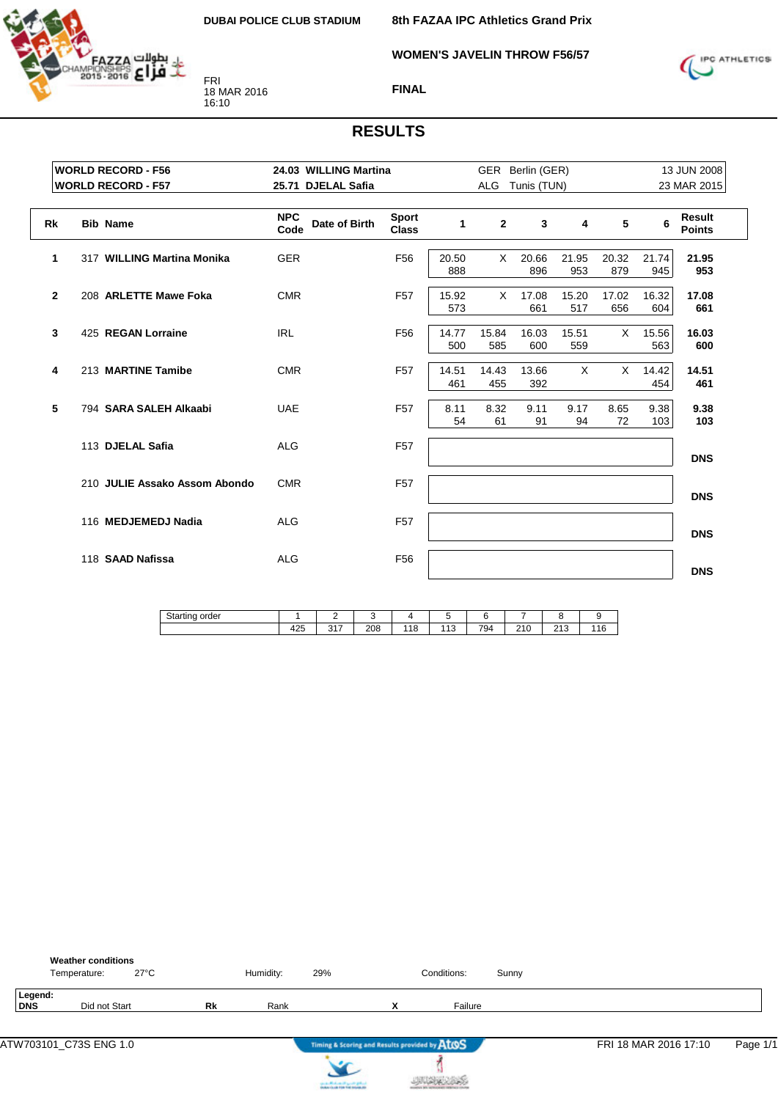

**WOMEN'S JAVELIN THROW F56/57**

**8th FAZAA IPC Athletics Grand Prix**



**FINAL**

|                | <b>WORLD RECORD - F56</b>     |                    | 24.03 WILLING Martina |                              |              |              | GER Berlin (GER) |              |              |              | 13 JUN 2008             |
|----------------|-------------------------------|--------------------|-----------------------|------------------------------|--------------|--------------|------------------|--------------|--------------|--------------|-------------------------|
|                | <b>WORLD RECORD - F57</b>     |                    | 25.71 DJELAL Safia    |                              |              | <b>ALG</b>   | Tunis (TUN)      |              |              |              | 23 MAR 2015             |
| <b>Rk</b>      | <b>Bib Name</b>               | <b>NPC</b><br>Code | Date of Birth         | <b>Sport</b><br><b>Class</b> | $\mathbf 1$  | $\mathbf{2}$ | 3                | 4            | 5            | 6            | Result<br><b>Points</b> |
| 1              | 317 WILLING Martina Monika    | <b>GER</b>         |                       | F <sub>56</sub>              | 20.50<br>888 | X.           | 20.66<br>896     | 21.95<br>953 | 20.32<br>879 | 21.74<br>945 | 21.95<br>953            |
| $\overline{2}$ | 208 ARLETTE Mawe Foka         | <b>CMR</b>         |                       | F <sub>57</sub>              | 15.92<br>573 | X            | 17.08<br>661     | 15.20<br>517 | 17.02<br>656 | 16.32<br>604 | 17.08<br>661            |
| 3              | 425 REGAN Lorraine            | <b>IRL</b>         |                       | F <sub>56</sub>              | 14.77<br>500 | 15.84<br>585 | 16.03<br>600     | 15.51<br>559 | X            | 15.56<br>563 | 16.03<br>600            |
| 4              | 213 MARTINE Tamibe            | <b>CMR</b>         |                       | F <sub>57</sub>              | 14.51<br>461 | 14.43<br>455 | 13.66<br>392     | $\times$     | $\times$     | 14.42<br>454 | 14.51<br>461            |
| 5              | 794 SARA SALEH Alkaabi        | <b>UAE</b>         |                       | F <sub>57</sub>              | 8.11<br>54   | 8.32<br>61   | 9.11<br>91       | 9.17<br>94   | 8.65<br>72   | 9.38<br>103  | 9.38<br>103             |
|                | 113 DJELAL Safia              | <b>ALG</b>         |                       | F <sub>57</sub>              |              |              |                  |              |              |              | <b>DNS</b>              |
|                | 210 JULIE Assako Assom Abondo | <b>CMR</b>         |                       | F <sub>57</sub>              |              |              |                  |              |              |              | <b>DNS</b>              |
|                | 116 MEDJEMEDJ Nadia           | <b>ALG</b>         |                       | F <sub>57</sub>              |              |              |                  |              |              |              | <b>DNS</b>              |
|                | 118 SAAD Nafissa              | <b>ALG</b>         |                       | F <sub>56</sub>              |              |              |                  |              |              |              | <b>DNS</b>              |

| $\sim$<br>order<br><b>Juailli</b> ly |            | -                      |     |           |                   |     |                       |             |               |
|--------------------------------------|------------|------------------------|-----|-----------|-------------------|-----|-----------------------|-------------|---------------|
|                                      | 1つに<br>ن∠+ | $\sim$ $\sim$<br>، ا ب | 208 | 140<br>10 | $\sqrt{4}$<br>ں ا | 794 | 040<br>טו<br><u>.</u> | ດ 4 ດ<br>⊣ພ | $\sim$<br>16. |

|                | <b>Weather conditions</b><br>Temperature: | $27^{\circ}$ C |    | Humidity: | 29%                                                                  |                   | Conditions: | Sunny |                       |          |
|----------------|-------------------------------------------|----------------|----|-----------|----------------------------------------------------------------------|-------------------|-------------|-------|-----------------------|----------|
| Legend:<br>DNS | Did not Start                             |                | Rk | Rank      |                                                                      | v<br>$\mathbf{v}$ | Failure     |       |                       |          |
|                | ATW703101_C73S ENG 1.0                    |                |    |           | Timing & Scoring and Results provided by AtOS                        |                   |             |       | FRI 18 MAR 2016 17:10 | Page 1/1 |
|                |                                           |                |    |           | سالاي فترس التبعيشالاسفين<br><b><i>NAVIS OF FOR THE REGIS AT</i></b> |                   |             |       |                       |          |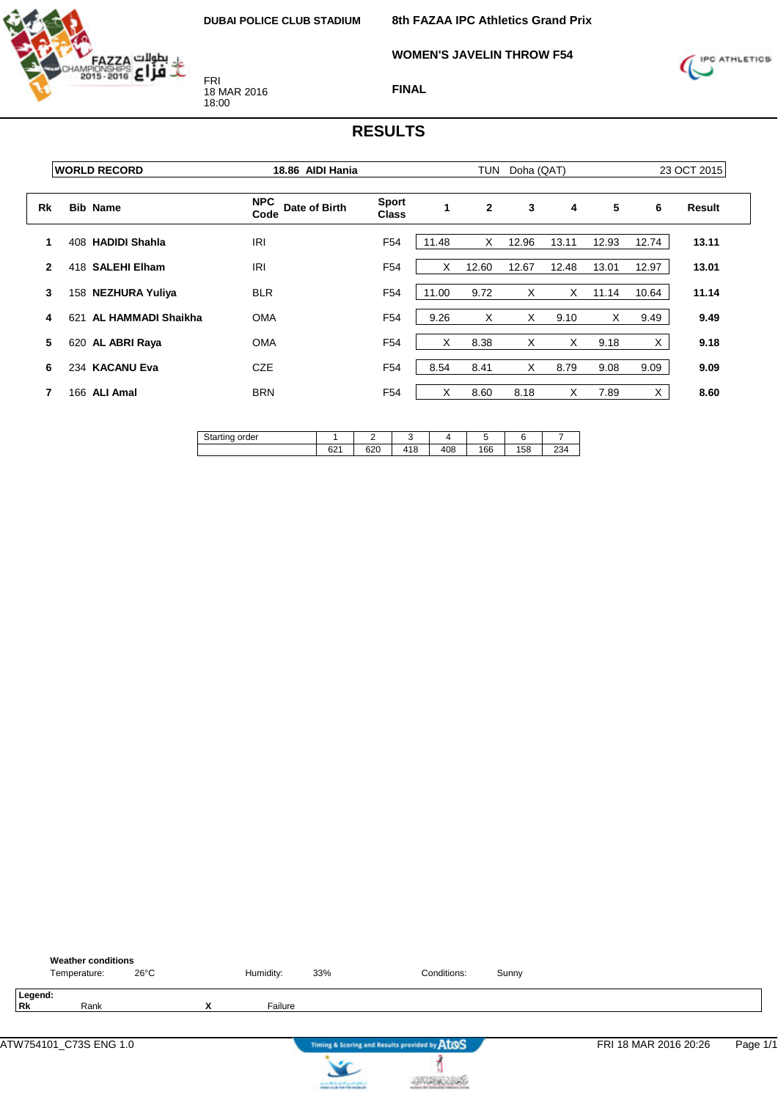**WOMEN'S JAVELIN THROW F54**



FRI 18 MAR 2016 18:00



**FINAL**

|              | <b>WORLD RECORD</b>       | 18.86 AIDI Hania                    |                              |              | <b>TUN</b>   | Doha (QAT) |       |       |       | 23 OCT 2015 |
|--------------|---------------------------|-------------------------------------|------------------------------|--------------|--------------|------------|-------|-------|-------|-------------|
| Rk           | <b>Bib Name</b>           | <b>NPC</b><br>Date of Birth<br>Code | <b>Sport</b><br><b>Class</b> | $\mathbf{1}$ | $\mathbf{2}$ | 3          | 4     | 5     | 6     | Result      |
|              | 408 HADIDI Shahla         | <b>IRI</b>                          | F <sub>54</sub>              | 11.48        | X            | 12.96      | 13.11 | 12.93 | 12.74 | 13.11       |
| $\mathbf{2}$ | 418 SALEHI Elham          | IRI                                 | F <sub>54</sub>              | X            | 12.60        | 12.67      | 12.48 | 13.01 | 12.97 | 13.01       |
| 3            | 158 NEZHURA Yuliya        | <b>BLR</b>                          | F <sub>54</sub>              | 11.00        | 9.72         | X          | X     | 11.14 | 10.64 | 11.14       |
| 4            | AL HAMMADI Shaikha<br>621 | <b>OMA</b>                          | F <sub>54</sub>              | 9.26         | X            | X          | 9.10  | X     | 9.49  | 9.49        |
| 5            | 620 AL ABRI Raya          | <b>OMA</b>                          | F <sub>54</sub>              | X            | 8.38         | X          | X     | 9.18  | X     | 9.18        |
| 6            | 234 KACANU Eva            | <b>CZE</b>                          | F <sub>54</sub>              | 8.54         | 8.41         | X          | 8.79  | 9.08  | 9.09  | 9.09        |
| 7            | 166 ALI Amal              | <b>BRN</b>                          | F <sub>54</sub>              | X            | 8.60         | 8.18       | X     | 7.89  | X     | 8.60        |

| <b>.</b><br>order<br>' ''<br>-511<br>$\overline{\phantom{a}}$<br>- 7 |                | –          |             |          |     |    |              |
|----------------------------------------------------------------------|----------------|------------|-------------|----------|-----|----|--------------|
|                                                                      | $\sim$<br>∪∠ । | con<br>ט∠ט | 110<br>טו + | 408<br>Δ | 166 | 58 | $\sim$<br>ںے |

|                      | <b>Weather conditions</b><br>Temperature: | 26°C |                           | Humidity: | 33%                                                               | Conditions:                                   | Sunny |                       |          |
|----------------------|-------------------------------------------|------|---------------------------|-----------|-------------------------------------------------------------------|-----------------------------------------------|-------|-----------------------|----------|
| Legend:<br><b>Rk</b> | Rank                                      |      | $\checkmark$<br>$\lambda$ | Failure   |                                                                   |                                               |       |                       |          |
|                      |                                           |      |                           |           |                                                                   | Timing & Scoring and Results provided by AtOS |       | FRI 18 MAR 2016 20:26 | Page 1/1 |
|                      |                                           |      |                           |           | controlled and speed galent.<br>Instantia de File Foi Installatio |                                               |       |                       |          |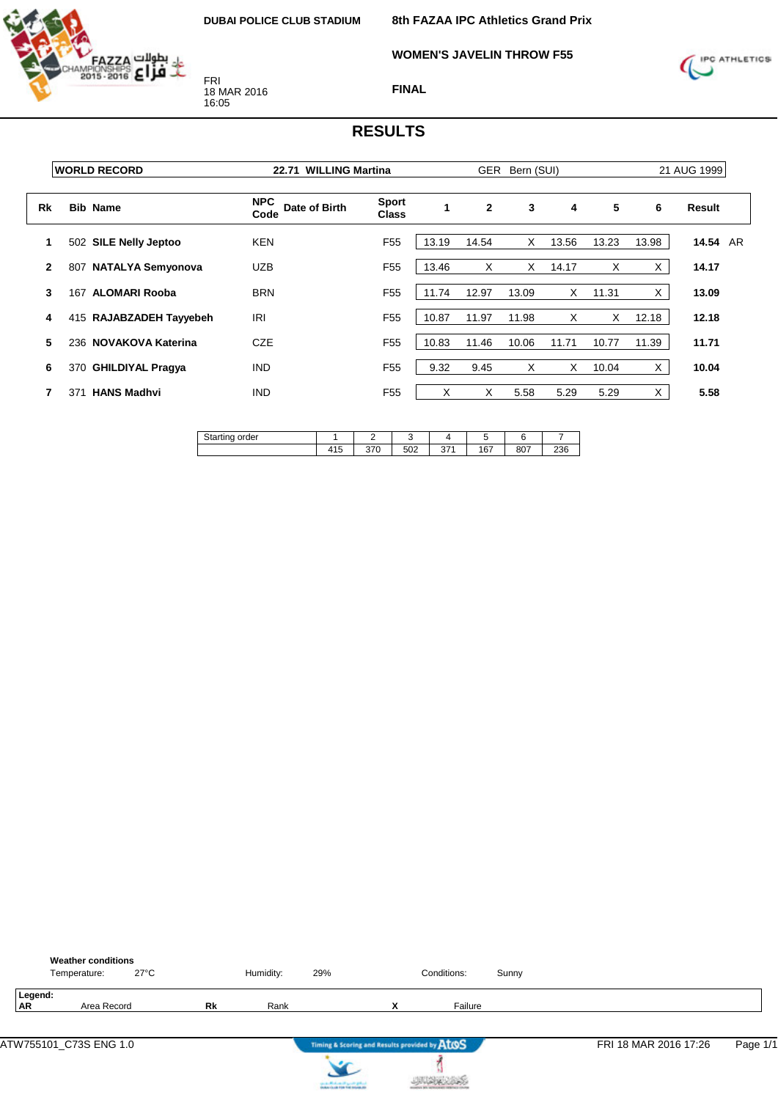

**WOMEN'S JAVELIN THROW F55**



**FINAL**

|              | <b>WORLD RECORD</b>             | <b>WILLING Martina</b><br>22.71     |                              | <b>GER</b><br>Bern (SUI) |              |       |       |       | 21 AUG 1999 |          |  |  |
|--------------|---------------------------------|-------------------------------------|------------------------------|--------------------------|--------------|-------|-------|-------|-------------|----------|--|--|
| Rk           | <b>Bib Name</b>                 | <b>NPC</b><br>Date of Birth<br>Code | <b>Sport</b><br><b>Class</b> |                          | $\mathbf{2}$ | 3     | 4     | 5     | 6           | Result   |  |  |
|              | 502 SILE Nelly Jeptoo           | <b>KEN</b>                          | F <sub>55</sub>              | 13.19                    | 14.54        | X     | 13.56 | 13.23 | 13.98       | 14.54 AR |  |  |
| $\mathbf{2}$ | <b>NATALYA Semyonova</b><br>807 | <b>UZB</b>                          | F <sub>55</sub>              | 13.46                    | X            | X     | 14.17 | X     | X           | 14.17    |  |  |
| 3            | <b>ALOMARI Rooba</b><br>167     | <b>BRN</b>                          | F <sub>55</sub>              | 11.74                    | 12.97        | 13.09 | X.    | 11.31 | X.          | 13.09    |  |  |
| 4            | 415 RAJABZADEH Tayyebeh         | <b>IRI</b>                          | F <sub>55</sub>              | 10.87                    | 11.97        | 11.98 | X     | X     | 12.18       | 12.18    |  |  |
| 5            | 236 NOVAKOVA Katerina           | <b>CZE</b>                          | F <sub>55</sub>              | 10.83                    | 11.46        | 10.06 | 11.71 | 10.77 | 11.39       | 11.71    |  |  |
| 6            | <b>GHILDIYAL Pragya</b><br>370  | <b>IND</b>                          | F <sub>55</sub>              | 9.32                     | 9.45         | X     | X     | 10.04 | X           | 10.04    |  |  |
| 7            | <b>HANS Madhvi</b><br>371       | <b>IND</b>                          | F <sub>55</sub>              | X                        | X            | 5.58  | 5.29  | 5.29  | X           | 5.58     |  |  |

| $\sim$<br>uer |                                 |             |        |                      |               |                      |        |
|---------------|---------------------------------|-------------|--------|----------------------|---------------|----------------------|--------|
|               | $\cdot$ $\cdot$ $\sim$<br>1 I J | $\sim$<br>v | $\sim$ | $\sim$ $\sim$ $\sim$ | $\sim$<br>ັບເ | 0 <sub>0</sub><br>ou | $\sim$ |

|                      | <b>Weather conditions</b><br>Temperature: | $27^{\circ}$ C |    | Humidity: | 29%                                           |                | Conditions: | Sunny |                       |          |
|----------------------|-------------------------------------------|----------------|----|-----------|-----------------------------------------------|----------------|-------------|-------|-----------------------|----------|
| Legend:<br><b>AR</b> | Area Record                               |                | Rk | Rank      |                                               | v<br>$\lambda$ | Failure     |       |                       |          |
|                      |                                           |                |    |           | Timing & Scoring and Results provided by AtOS |                |             |       | FRI 18 MAR 2016 17:26 | Page 1/1 |
|                      |                                           |                |    |           | country Michael and Locate States             |                |             |       |                       |          |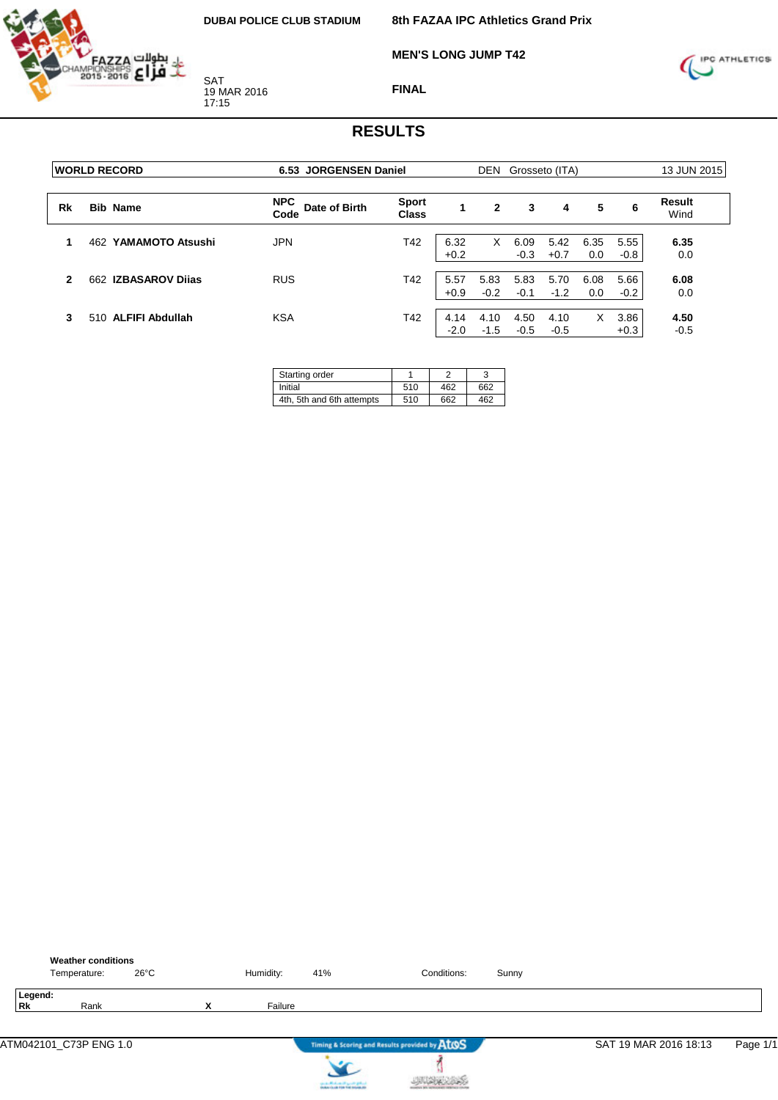

**MEN'S LONG JUMP T42**



**FINAL**

|    | <b>WORLD RECORD</b>  | 6.53 JORGENSEN Daniel               |                       |                | DEN            |                | Grosseto (ITA) |             |                | 13 JUN 2015    |  |
|----|----------------------|-------------------------------------|-----------------------|----------------|----------------|----------------|----------------|-------------|----------------|----------------|--|
| Rk | <b>Bib Name</b>      | <b>NPC</b><br>Date of Birth<br>Code | Sport<br><b>Class</b> | 1              | $\mathbf{2}$   | 3              | 4              | 5           | 6              | Result<br>Wind |  |
|    | 462 YAMAMOTO Atsushi | <b>JPN</b>                          | T42                   | 6.32<br>$+0.2$ | X              | 6.09<br>$-0.3$ | 5.42<br>$+0.7$ | 6.35<br>0.0 | 5.55<br>$-0.8$ | 6.35<br>0.0    |  |
| 2  | 662 IZBASAROV Dijas  | <b>RUS</b>                          | T42                   | 5.57<br>$+0.9$ | 5.83<br>$-0.2$ | 5.83<br>$-0.1$ | 5.70<br>$-1.2$ | 6.08<br>0.0 | 5.66<br>$-0.2$ | 6.08<br>0.0    |  |
| 3  | 510 ALFIFI Abdullah  | <b>KSA</b>                          | T42                   | 4.14<br>$-2.0$ | 4.10<br>$-1.5$ | 4.50<br>$-0.5$ | 4.10<br>$-0.5$ | X           | 3.86<br>$+0.3$ | 4.50<br>$-0.5$ |  |

| Starting order            |     |     |     |
|---------------------------|-----|-----|-----|
| Initial                   | 510 | 462 | 662 |
| 4th, 5th and 6th attempts | 510 | 662 | 462 |

|                      | <b>Weather conditions</b><br>Temperature: | $26^{\circ}$ C |   | Humidity: | 41%                                                               | Conditions:                                   | Sunny |                       |          |
|----------------------|-------------------------------------------|----------------|---|-----------|-------------------------------------------------------------------|-----------------------------------------------|-------|-----------------------|----------|
| Legend:<br><b>Rk</b> | Rank                                      |                | X | Failure   |                                                                   |                                               |       |                       |          |
|                      | ATM042101_C73P ENG 1.0                    |                |   |           |                                                                   | Timing & Scoring and Results provided by ATOS |       | SAT 19 MAR 2016 18:13 | Page 1/1 |
|                      |                                           |                |   |           | controlled and speed galent.<br>Instantia de File Foi Installatio |                                               |       |                       |          |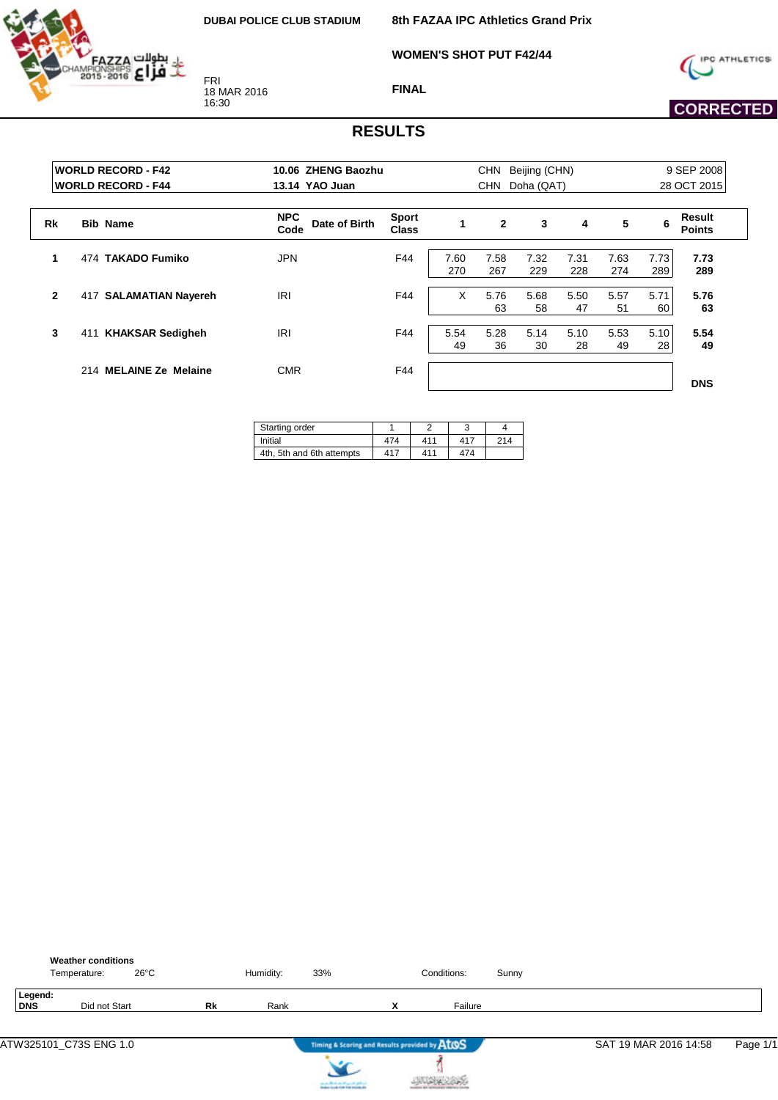HAZZA



**WOMEN'S SHOT PUT F42/44**



 **CORRECTED** 

**FINAL**

|              | <b>WORLD RECORD - F42</b><br>10.06 ZHENG Baozhu<br><b>IWORLD RECORD - F44</b><br>13.14 YAO Juan |                                     | <b>CHN</b><br>Beijing (CHN)<br><b>CHN</b><br>Doha (QAT) |             |                |             |             |             | 9 SEP 2008<br>28 OCT 2015 |                         |
|--------------|-------------------------------------------------------------------------------------------------|-------------------------------------|---------------------------------------------------------|-------------|----------------|-------------|-------------|-------------|---------------------------|-------------------------|
| Rk           | <b>Bib Name</b>                                                                                 | <b>NPC</b><br>Date of Birth<br>Code | <b>Sport</b><br><b>Class</b>                            |             | $\overline{2}$ | 3           | 4           | 5           | 6                         | Result<br><b>Points</b> |
| 1            | 474 TAKADO Fumiko                                                                               | JPN                                 | F44                                                     | 7.60<br>270 | 7.58<br>267    | 7.32<br>229 | 7.31<br>228 | 7.63<br>274 | 7.73<br>289               | 7.73<br>289             |
| $\mathbf{2}$ | <b>SALAMATIAN Nayereh</b><br>417                                                                | <b>IRI</b>                          | F44                                                     | X           | 5.76<br>63     | 5.68<br>58  | 5.50<br>47  | 5.57<br>51  | 5.71<br>60                | 5.76<br>63              |
| 3            | <b>KHAKSAR Sedigheh</b><br>411                                                                  | <b>IRI</b>                          | F44                                                     | 5.54<br>49  | 5.28<br>36     | 5.14<br>30  | 5.10<br>28  | 5.53<br>49  | 5.10<br>28                | 5.54<br>49              |
|              | 214 MELAINE Ze Melaine                                                                          | <b>CMR</b>                          | F44                                                     |             |                |             |             |             |                           | <b>DNS</b>              |

| Starting order            |     |     |     |     |
|---------------------------|-----|-----|-----|-----|
| Initial                   | 474 | 411 | 417 | 214 |
| 4th, 5th and 6th attempts | 417 | 411 | 474 |     |

|                | <b>Weather conditions</b><br>$26^{\circ}$ C<br>Temperature: |           | Humidity: | 33% |                                               | Conditions: | Sunny |                       |          |
|----------------|-------------------------------------------------------------|-----------|-----------|-----|-----------------------------------------------|-------------|-------|-----------------------|----------|
| Legend:<br>DNS | Did not Start                                               | <b>Rk</b> | Rank      |     | v<br>^                                        | Failure     |       |                       |          |
|                |                                                             |           |           |     | Timing & Scoring and Results provided by ATOS |             |       | SAT 19 MAR 2016 14:58 | Page 1/1 |



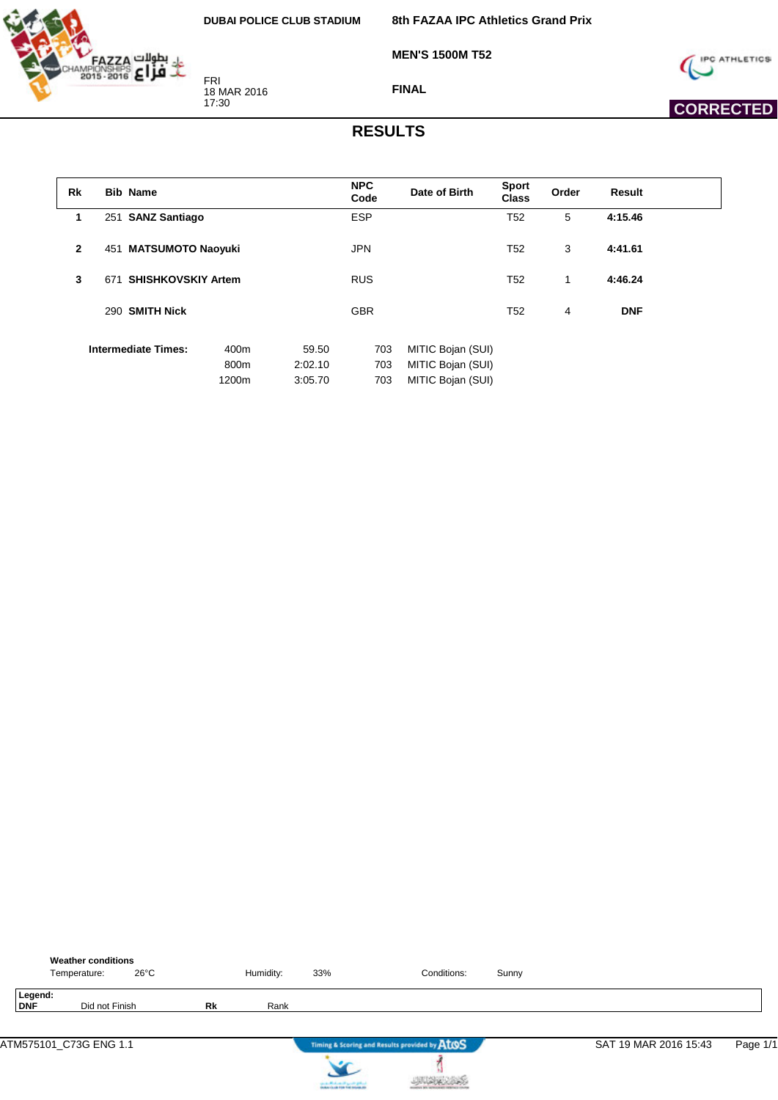**8th FAZAA IPC Athletics Grand Prix**



FRI 18 MAR 2016 17:30

**MEN'S 1500M T52**



 **CORRECTED** 

**FINAL**

| <b>Rk</b>    | <b>Bib Name</b>            |       |         | <b>NPC</b> | Date of Birth     | <b>Sport</b>    | Order | <b>Result</b> |
|--------------|----------------------------|-------|---------|------------|-------------------|-----------------|-------|---------------|
|              |                            |       |         | Code       |                   | <b>Class</b>    |       |               |
| 1            | 251 SANZ Santiago          |       |         | <b>ESP</b> |                   | T <sub>52</sub> | 5     | 4:15.46       |
| $\mathbf{2}$ | 451 MATSUMOTO Naoyuki      |       |         | <b>JPN</b> |                   | T <sub>52</sub> | 3     | 4:41.61       |
|              |                            |       |         |            |                   |                 |       |               |
| 3            | 671 SHISHKOVSKIY Artem     |       |         | <b>RUS</b> |                   | T52             | 1     | 4:46.24       |
|              | 290 SMITH Nick             |       |         | <b>GBR</b> |                   | T <sub>52</sub> | 4     | <b>DNF</b>    |
|              |                            |       |         |            |                   |                 |       |               |
|              | <b>Intermediate Times:</b> | 400m  | 59.50   | 703        | MITIC Bojan (SUI) |                 |       |               |
|              |                            | 800m  | 2:02.10 | 703        | MITIC Bojan (SUI) |                 |       |               |
|              |                            | 1200m | 3:05.70 | 703        | MITIC Bojan (SUI) |                 |       |               |

|                | <b>Weather conditions</b><br>Temperature: | $26^{\circ}$ C |    | Humidity: | 33%                               | Conditions:                                   | Sunny |                       |          |
|----------------|-------------------------------------------|----------------|----|-----------|-----------------------------------|-----------------------------------------------|-------|-----------------------|----------|
| Legend:<br>DNF | Did not Finish                            |                | Rk | Rank      |                                   |                                               |       |                       |          |
|                | ATM575101_C73G ENG 1.1                    |                |    |           |                                   | Timing & Scoring and Results provided by AtOS |       | SAT 19 MAR 2016 15:43 | Page 1/1 |
|                |                                           |                |    |           | country Michael and Locate States |                                               |       |                       |          |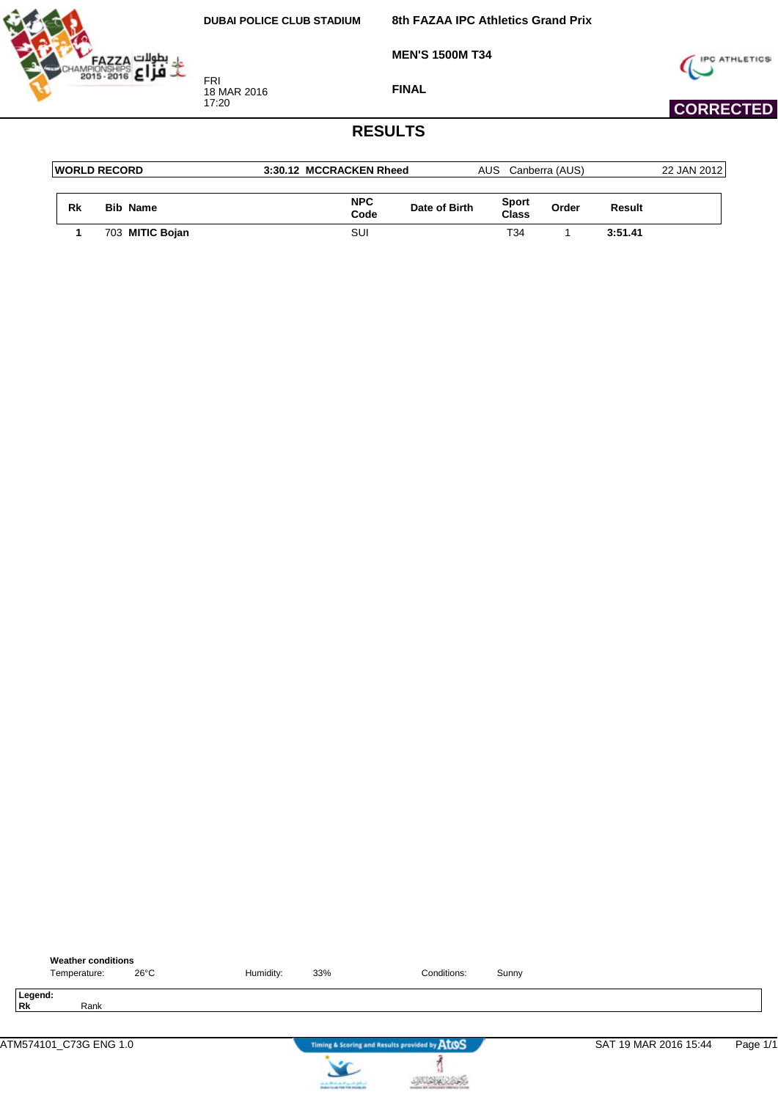**8th FAZAA IPC Athletics Grand Prix**

**MEN'S 1500M T34**



FRI 18 MAR 2016 17:20

**FINAL**



## **CORRECTED**

|    | <b>IWORLD RECORD</b> | 3:30.12 MCCRACKEN Rheed |               | AUS.                | Canberra (AUS) |         | 22 JAN 2012 |
|----|----------------------|-------------------------|---------------|---------------------|----------------|---------|-------------|
| Rk | <b>Bib Name</b>      | <b>NPC</b>              | Date of Birth | Sport               | Order          | Result  |             |
|    | 703 MITIC Bojan      | Code<br>SUI             |               | <b>Class</b><br>T34 |                | 3:51.41 |             |

|                        | <b>Weather conditions</b> |           |     |                                               |       |                       |          |
|------------------------|---------------------------|-----------|-----|-----------------------------------------------|-------|-----------------------|----------|
| Temperature:           | 26°C                      | Humidity: | 33% | Conditions:                                   | Sunny |                       |          |
| Legend:<br>Rk          | Rank                      |           |     |                                               |       |                       |          |
| ATM574101_C73G ENG 1.0 |                           |           |     | Timing & Scoring and Results provided by AtOS |       | SAT 19 MAR 2016 15:44 | Page 1/1 |



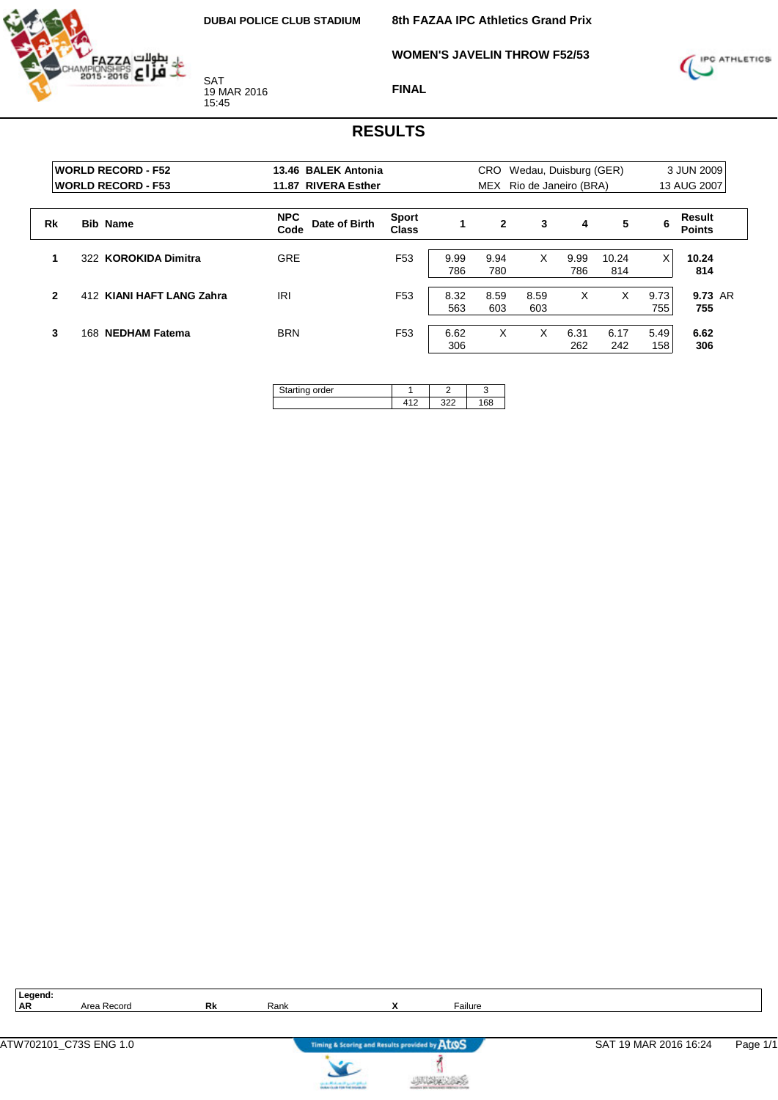**8th FAZAA IPC Athletics Grand Prix**

**WOMEN'S JAVELIN THROW F52/53**



**FINAL**

#### **RESULTS**

|              | <b>WORLD RECORD - F52</b><br><b>WORLD RECORD - F53</b> | 13.46 BALEK Antonia<br>11.87 RIVERA Esther |                              |             | CRO          | Wedau, Duisburg (GER)<br>MEX Rio de Janeiro (BRA) |             |              |             | 3 JUN 2009<br>13 AUG 2007 |
|--------------|--------------------------------------------------------|--------------------------------------------|------------------------------|-------------|--------------|---------------------------------------------------|-------------|--------------|-------------|---------------------------|
| Rk           | <b>Bib Name</b>                                        | <b>NPC</b><br>Date of Birth<br>Code        | <b>Sport</b><br><b>Class</b> | $\mathbf 1$ | $\mathbf{2}$ | 3                                                 | 4           | 5            | 6           | Result<br><b>Points</b>   |
|              | 322 KOROKIDA Dimitra                                   | <b>GRE</b>                                 | F <sub>53</sub>              | 9.99<br>786 | 9.94<br>780  | X                                                 | 9.99<br>786 | 10.24<br>814 | $\times$    | 10.24<br>814              |
| $\mathbf{2}$ | 412 KIANI HAFT LANG Zahra                              | IRI                                        | F <sub>53</sub>              | 8.32<br>563 | 8.59<br>603  | 8.59<br>603                                       | X           | X            | 9.73<br>755 | 9.73 AR<br>755            |
| 3            | <b>NEDHAM Fatema</b><br>168.                           | <b>BRN</b>                                 | F <sub>53</sub>              | 6.62<br>306 | X            | x                                                 | 6.31<br>262 | 6.17<br>242  | 5.49<br>158 | 6.62<br>306               |

| ina order<br>$\sim$ |  |  |
|---------------------|--|--|
|                     |  |  |

| ×<br>۹ |
|--------|
|        |

Area Record **Rk** Rank **X** Failure



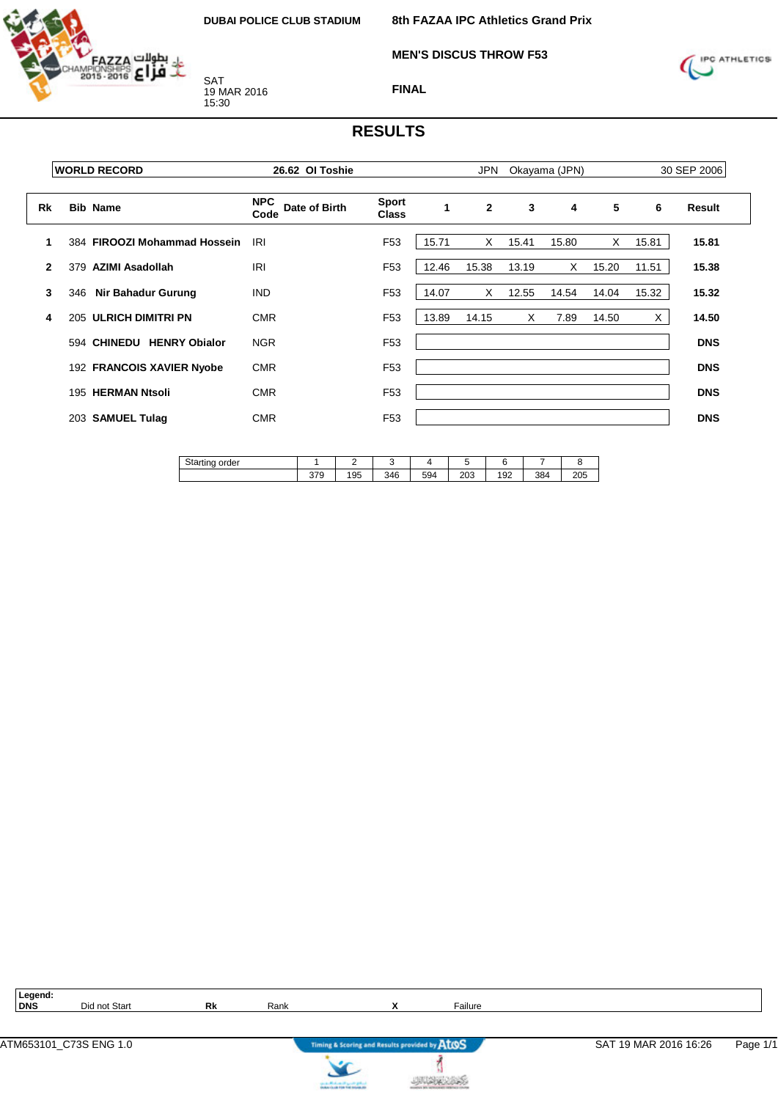

**MEN'S DISCUS THROW F53**

**8th FAZAA IPC Athletics Grand Prix**



**FINAL**

#### **RESULTS**

|              | <b>IWORLD RECORD</b>         | 26.62 OI Toshie                     |                              |       | JPN            |              | Okayama (JPN) |       |       | 30 SEP 2006   |
|--------------|------------------------------|-------------------------------------|------------------------------|-------|----------------|--------------|---------------|-------|-------|---------------|
| Rk           | <b>Bib Name</b>              | <b>NPC</b><br>Date of Birth<br>Code | <b>Sport</b><br><b>Class</b> | 1     | $\overline{2}$ | $\mathbf{3}$ | 4             | 5     | 6     | <b>Result</b> |
| 1            | 384 FIROOZI Mohammad Hossein | IRI                                 | F <sub>53</sub>              | 15.71 | $\times$       | 15.41        | 15.80         | X     | 15.81 | 15.81         |
| $\mathbf{2}$ | 379 AZIMI Asadollah          | IRI                                 | F <sub>53</sub>              | 12.46 | 15.38          | 13.19        | X.            | 15.20 | 11.51 | 15.38         |
| 3            | Nir Bahadur Gurung<br>346    | <b>IND</b>                          | F <sub>53</sub>              | 14.07 | X              | 12.55        | 14.54         | 14.04 | 15.32 | 15.32         |
| 4            | 205 ULRICH DIMITRI PN        | <b>CMR</b>                          | F <sub>53</sub>              | 13.89 | 14.15          | X            | 7.89          | 14.50 | X     | 14.50         |
|              | 594 CHINEDU HENRY Obialor    | <b>NGR</b>                          | F <sub>53</sub>              |       |                |              |               |       |       | <b>DNS</b>    |
|              | 192 FRANCOIS XAVIER Nyobe    | <b>CMR</b>                          | F <sub>53</sub>              |       |                |              |               |       |       | <b>DNS</b>    |
|              | 195 HERMAN Ntsoli            | <b>CMR</b>                          | F <sub>53</sub>              |       |                |              |               |       |       | <b>DNS</b>    |
|              | 203 SAMUEL Tulag             | <b>CMR</b>                          | F <sub>53</sub>              |       |                |              |               |       |       | <b>DNS</b>    |
|              |                              |                                     |                              |       |                |              |               |       |       |               |

| $C_{12}$<br>order<br><b>Starting</b> |            | -         |     |     |               |     |     |           |
|--------------------------------------|------------|-----------|-----|-----|---------------|-----|-----|-----------|
|                                      | 270<br>379 | אמו<br>ັບ | 346 | 594 | $\sim$<br>∠∪ಎ | 192 | 384 | 20E<br>∠∪ |

| Ξ |
|---|
|---|

**Did not Start <b>Rk** Rank **X Railure** 



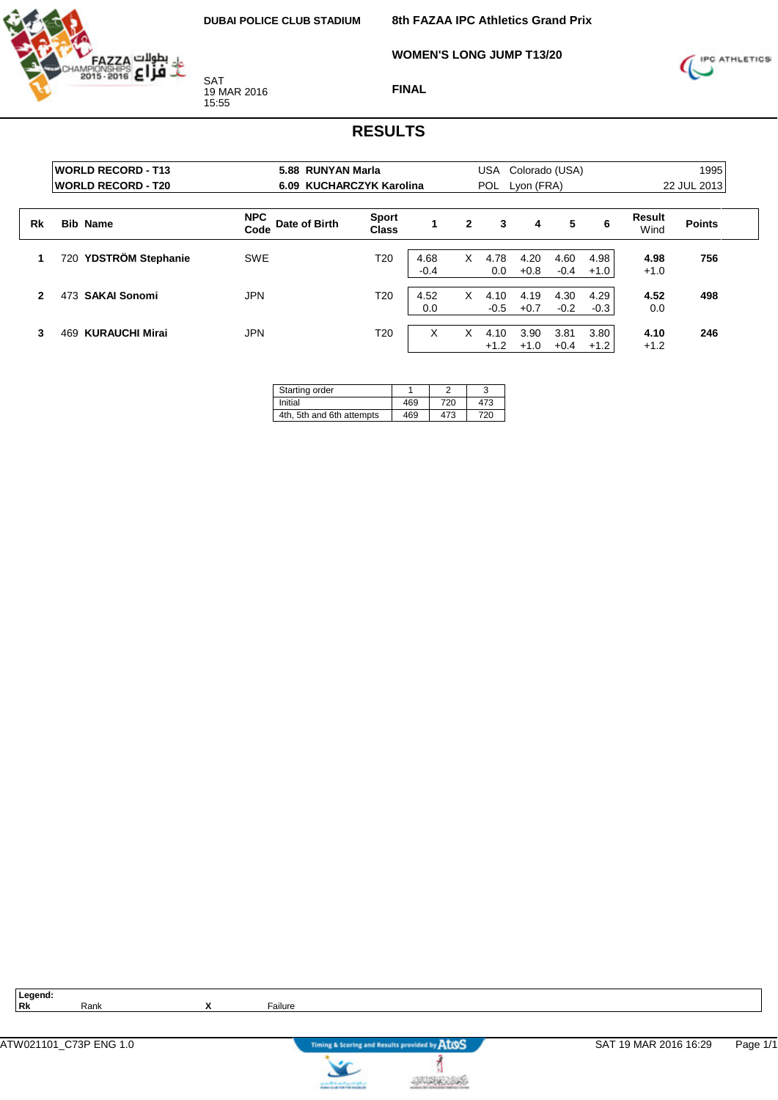

**8th FAZAA IPC Athletics Grand Prix**

**WOMEN'S LONG JUMP T13/20**



**FINAL**

#### **RESULTS**

|              | <b>WORLD RECORD - T13</b><br><b>WORLD RECORD - T20</b> | 5.88 RUNYAN Marla<br>6.09 KUCHARCZYK Karolina |                              |                |   | USA<br><b>POL</b> | Colorado (USA)<br>Lyon (FRA) | 1995<br>22 JUL 2013 |                |                |               |
|--------------|--------------------------------------------------------|-----------------------------------------------|------------------------------|----------------|---|-------------------|------------------------------|---------------------|----------------|----------------|---------------|
| Rk           | <b>Bib Name</b>                                        | <b>NPC</b><br>Date of Birth<br>Code           | <b>Sport</b><br><b>Class</b> |                | 2 | 3                 | 4                            | 5                   | 6              | Result<br>Wind | <b>Points</b> |
| 1            | YDSTRÖM Stephanie<br>720                               | <b>SWE</b>                                    | T <sub>20</sub>              | 4.68<br>$-0.4$ | X | 4.78<br>0.0       | 4.20<br>$+0.8$               | 4.60<br>$-0.4$      | 4.98<br>$+1.0$ | 4.98<br>$+1.0$ | 756           |
| $\mathbf{2}$ | <b>SAKAI Sonomi</b><br>473                             | <b>JPN</b>                                    | T <sub>20</sub>              | 4.52<br>0.0    | X | 4.10<br>$-0.5$    | 4.19<br>$+0.7$               | 4.30<br>$-0.2$      | 4.29<br>$-0.3$ | 4.52<br>0.0    | 498           |
| 3            | <b>KURAUCHI Mirai</b><br>469                           | <b>JPN</b>                                    | T <sub>20</sub>              | X              | x | 4.10<br>$+1.2$    | 3.90<br>$+1.0$               | 3.81<br>$+0.4$      | 3.80<br>$+1.2$ | 4.10<br>$+1.2$ | 246           |

| Starting order            |     |     |     |
|---------------------------|-----|-----|-----|
| Initial                   | 469 | 720 | 473 |
| 4th, 5th and 6th attempts | 469 | 473 | 720 |

**Legend:**



ł

**JUSK 285** 

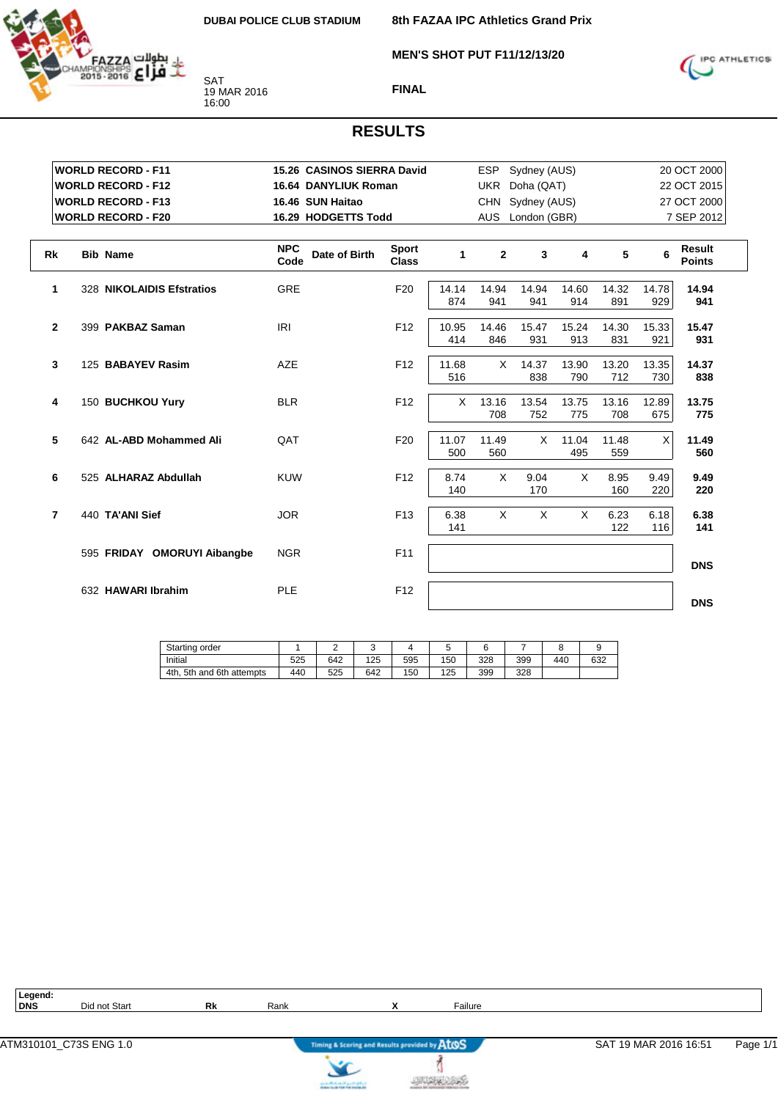**MEN'S SHOT PUT F11/12/13/20**



SAT 19 MAR 2016 16:00

**FINAL**



| <b>WORLD RECORD - F11</b>         | 15.26 CASINOS SIERRA David          |                              |              | ESP.         | Sydney (AUS)     |              |              |              | 20 OCT 2000                    |
|-----------------------------------|-------------------------------------|------------------------------|--------------|--------------|------------------|--------------|--------------|--------------|--------------------------------|
| <b>WORLD RECORD - F12</b>         | <b>16.64 DANYLIUK Roman</b>         |                              |              | <b>UKR</b>   | Doha (QAT)       |              |              |              | 22 OCT 2015                    |
| <b>WORLD RECORD - F13</b>         | 16.46 SUN Haitao                    |                              |              |              | CHN Sydney (AUS) |              |              |              | 27 OCT 2000                    |
| <b>WORLD RECORD - F20</b>         | 16.29 HODGETTS Todd                 |                              |              |              | AUS London (GBR) |              |              |              | 7 SEP 2012                     |
|                                   |                                     |                              |              |              |                  |              |              |              |                                |
| Rk<br><b>Bib Name</b>             | <b>NPC</b><br>Date of Birth<br>Code | <b>Sport</b><br><b>Class</b> | 1            | $\mathbf{2}$ | 3                | 4            | 5            | 6            | <b>Result</b><br><b>Points</b> |
| 1<br>328 NIKOLAIDIS Efstratios    | <b>GRE</b>                          | F <sub>20</sub>              | 14.14<br>874 | 14.94<br>941 | 14.94<br>941     | 14.60<br>914 | 14.32<br>891 | 14.78<br>929 | 14.94<br>941                   |
| $\mathbf{2}$<br>399 PAKBAZ Saman  | <b>IRI</b>                          | F <sub>12</sub>              | 10.95<br>414 | 14.46<br>846 | 15.47<br>931     | 15.24<br>913 | 14.30<br>831 | 15.33<br>921 | 15.47<br>931                   |
| 3<br>125 BABAYEV Rasim            | <b>AZE</b>                          | F <sub>12</sub>              | 11.68<br>516 | $\times$     | 14.37<br>838     | 13.90<br>790 | 13.20<br>712 | 13.35<br>730 | 14.37<br>838                   |
| 4<br>150 BUCHKOU Yury             | <b>BLR</b>                          | F <sub>12</sub>              | X            | 13.16<br>708 | 13.54<br>752     | 13.75<br>775 | 13.16<br>708 | 12.89<br>675 | 13.75<br>775                   |
| 5<br>642 AL-ABD Mohammed Ali      | QAT                                 | F <sub>20</sub>              | 11.07<br>500 | 11.49<br>560 | $\times$         | 11.04<br>495 | 11.48<br>559 | X            | 11.49<br>560                   |
| 6<br>525 ALHARAZ Abdullah         | <b>KUW</b>                          | F <sub>12</sub>              | 8.74<br>140  | $\times$     | 9.04<br>170      | $\times$     | 8.95<br>160  | 9.49<br>220  | 9.49<br>220                    |
| $\overline{7}$<br>440 TA'ANI Sief | <b>JOR</b>                          | F <sub>13</sub>              | 6.38<br>141  | X            | X                | X            | 6.23<br>122  | 6.18<br>116  | 6.38<br>141                    |
| 595 FRIDAY OMORUYI Aibangbe       | <b>NGR</b>                          | F11                          |              |              |                  |              |              |              | <b>DNS</b>                     |
| 632 HAWARI Ibrahim                | PLE                                 | F <sub>12</sub>              |              |              |                  |              |              |              | <b>DNS</b>                     |

| Starting order                 |     | ے   |     |     | ٠.  |     |     |     |     |
|--------------------------------|-----|-----|-----|-----|-----|-----|-----|-----|-----|
| Initial                        | 525 | 642 | 125 | 595 | 150 | 328 | 399 | 440 | 632 |
| . 5th and 6th attempts<br>4th. | 440 | 525 | 642 | 150 | 125 | 399 | 328 |     |     |

| Legend:<br><b>DNS</b> | Did not Start          | Rk | Rank |                                               | Failure |                       |          |
|-----------------------|------------------------|----|------|-----------------------------------------------|---------|-----------------------|----------|
|                       |                        |    |      |                                               |         |                       |          |
|                       | ATM310101 C73S ENG 1.0 |    |      | Timing & Scoring and Results provided by AtOS |         | SAT 19 MAR 2016 16:51 | Page 1/1 |



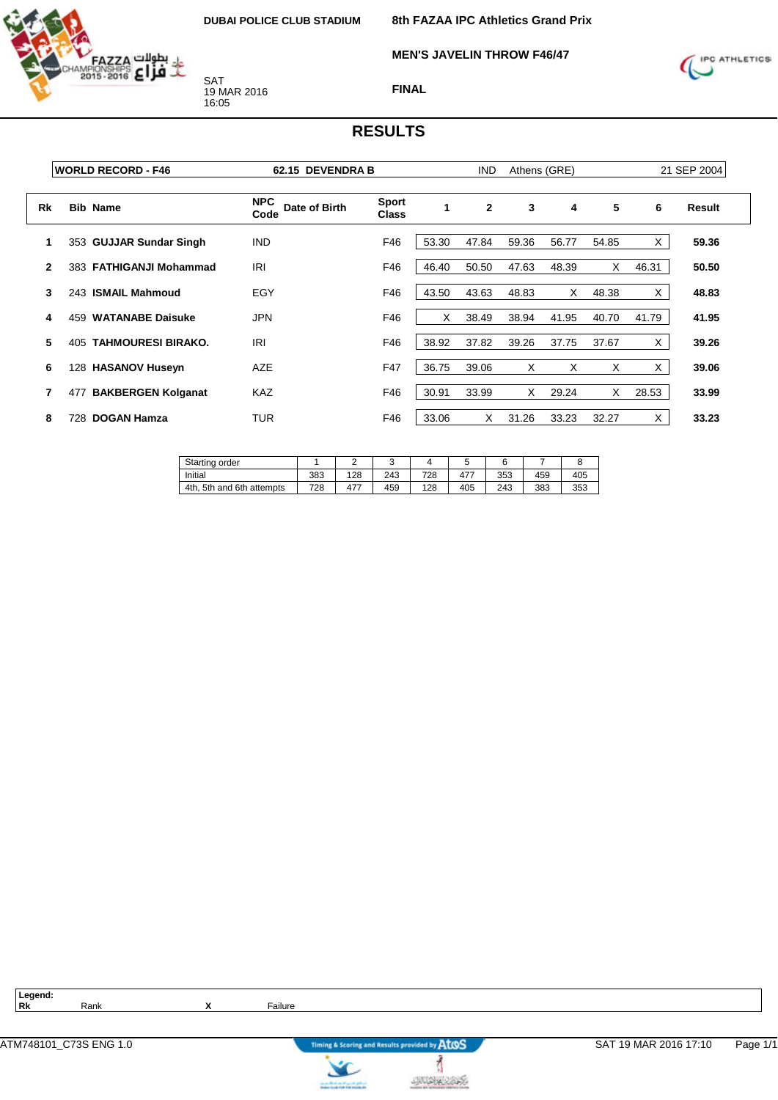

**MEN'S JAVELIN THROW F46/47**



**FINAL**

#### **RESULTS**

|              | <b>WORLD RECORD - F46</b>        | 62.15 DEVENDRA B                    |                              |       | <b>IND</b>   | Athens (GRE) |       |       |       | 21 SEP 2004 |
|--------------|----------------------------------|-------------------------------------|------------------------------|-------|--------------|--------------|-------|-------|-------|-------------|
| Rk           | <b>Bib Name</b>                  | <b>NPC</b><br>Date of Birth<br>Code | <b>Sport</b><br><b>Class</b> | 1     | $\mathbf{2}$ | 3            | 4     | 5     | 6     | Result      |
|              | 353 GUJJAR Sundar Singh          | <b>IND</b>                          | F46                          | 53.30 | 47.84        | 59.36        | 56.77 | 54.85 | X.    | 59.36       |
| $\mathbf{2}$ | 383 FATHIGANJI Mohammad          | <b>IRI</b>                          | F46                          | 46.40 | 50.50        | 47.63        | 48.39 | X     | 46.31 | 50.50       |
| 3            | 243 ISMAIL Mahmoud               | EGY                                 | F46                          | 43.50 | 43.63        | 48.83        | X.    | 48.38 | X     | 48.83       |
| 4            | <b>WATANABE Daisuke</b><br>459   | <b>JPN</b>                          | F46                          | X     | 38.49        | 38.94        | 41.95 | 40.70 | 41.79 | 41.95       |
| 5            | <b>TAHMOURESI BIRAKO.</b><br>405 | <b>IRI</b>                          | F46                          | 38.92 | 37.82        | 39.26        | 37.75 | 37.67 | X     | 39.26       |
| 6            | 128 HASANOV Huseyn               | <b>AZE</b>                          | F47                          | 36.75 | 39.06        | X            | X     | х     | X     | 39.06       |
| 7            | <b>BAKBERGEN Kolganat</b><br>477 | <b>KAZ</b>                          | F46                          | 30.91 | 33.99        | X            | 29.24 | X     | 28.53 | 33.99       |
| 8            | <b>DOGAN Hamza</b><br>728        | <b>TUR</b>                          | F46                          | 33.06 | X            | 31.26        | 33.23 | 32.27 | X.    | 33.23       |

| Starting order            |     |     | u   |     |              |     |     |     |
|---------------------------|-----|-----|-----|-----|--------------|-----|-----|-----|
| Initial                   | 383 | 128 | 243 | 728 | $47^{\circ}$ | 353 | 459 | 405 |
| 4th, 5th and 6th attempts | 728 | 477 | 459 | 128 | 405          | 243 | 383 | 353 |

**Legend:**

**Rk** Rank **X** Failure



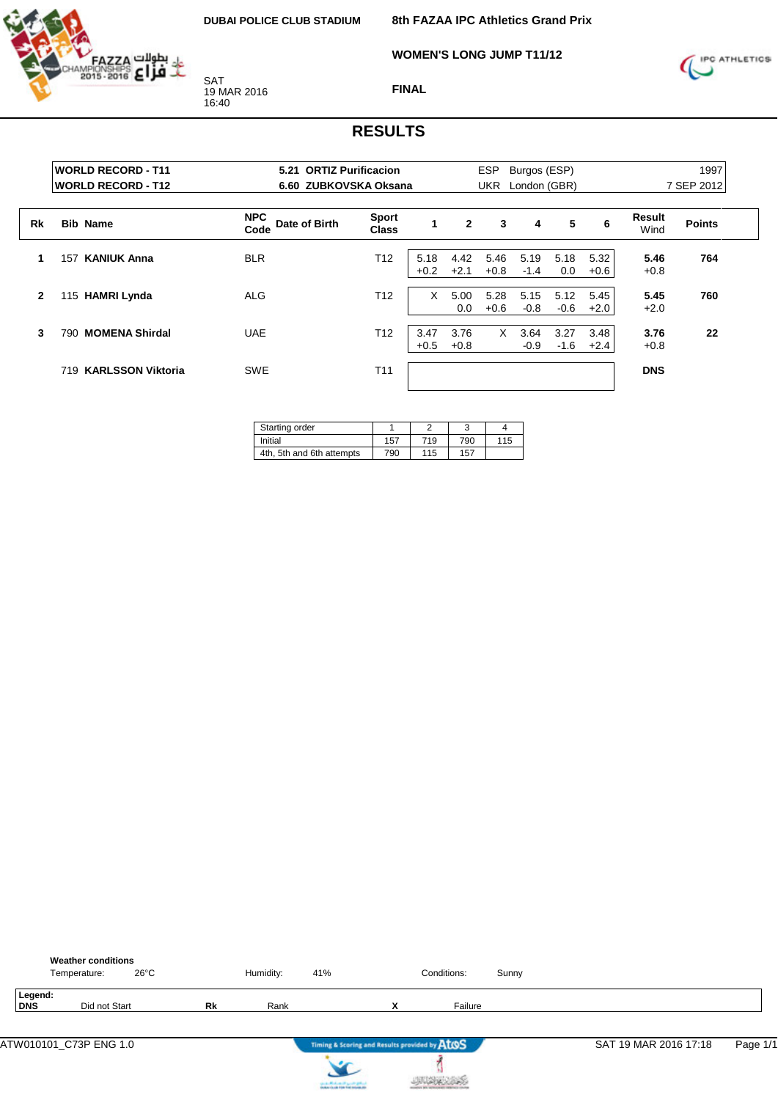

**8th FAZAA IPC Athletics Grand Prix**

**WOMEN'S LONG JUMP T11/12**



**FINAL**

|              | <b>WORLD RECORD - T11</b><br><b>WORLD RECORD - T12</b> | 5.21                                | <b>ORTIZ Purificacion</b><br>6.60 ZUBKOVSKA Oksana |                |                | <b>ESP</b><br>Burgos (ESP)<br>London (GBR)<br><b>UKR</b> |                |                |                | 1997<br>7 SEP 2012 |               |  |
|--------------|--------------------------------------------------------|-------------------------------------|----------------------------------------------------|----------------|----------------|----------------------------------------------------------|----------------|----------------|----------------|--------------------|---------------|--|
| Rk           | <b>Bib Name</b>                                        | <b>NPC</b><br>Date of Birth<br>Code | <b>Sport</b><br><b>Class</b>                       | 1              | $\overline{2}$ | 3                                                        | 4              | 5              | 6              | Result<br>Wind     | <b>Points</b> |  |
| 1            | <b>KANIUK Anna</b><br>157                              | <b>BLR</b>                          | T12                                                | 5.18<br>$+0.2$ | 4.42<br>$+2.1$ | 5.46<br>$+0.8$                                           | 5.19<br>$-1.4$ | 5.18<br>0.0    | 5.32<br>$+0.6$ | 5.46<br>$+0.8$     | 764           |  |
| $\mathbf{2}$ | <b>HAMRI Lynda</b><br>115                              | <b>ALG</b>                          | T <sub>12</sub>                                    | X              | 5.00<br>0.0    | 5.28<br>$+0.6$                                           | 5.15<br>$-0.8$ | 5.12<br>$-0.6$ | 5.45<br>$+2.0$ | 5.45<br>$+2.0$     | 760           |  |
| 3            | <b>MOMENA Shirdal</b><br>790                           | <b>UAE</b>                          | T <sub>12</sub>                                    | 3.47<br>$+0.5$ | 3.76<br>$+0.8$ | X                                                        | 3.64<br>$-0.9$ | 3.27<br>$-1.6$ | 3.48<br>$+2.4$ | 3.76<br>$+0.8$     | 22            |  |
|              | <b>KARLSSON Viktoria</b><br>719                        | <b>SWE</b>                          | T <sub>11</sub>                                    |                |                |                                                          |                |                |                | <b>DNS</b>         |               |  |

| Starting order            |     |     |     |     |
|---------------------------|-----|-----|-----|-----|
| Initial                   | 157 | 719 | 790 | 115 |
| 4th, 5th and 6th attempts | 790 | 115 | 157 |     |

|                | <b>Weather conditions</b><br>Temperature: | $26^{\circ}$ C |    | Humidity: | 41%                                           |   | Conditions: | Sunny |                       |          |
|----------------|-------------------------------------------|----------------|----|-----------|-----------------------------------------------|---|-------------|-------|-----------------------|----------|
| Legend:<br>DNS | Did not Start                             |                | Rk | Rank      |                                               | x | Failure     |       |                       |          |
|                | ATW010101_C73P ENG 1.0                    |                |    |           | Timing & Scoring and Results provided by AtOS |   |             |       | SAT 19 MAR 2016 17:18 | Page 1/1 |
|                |                                           |                |    |           | can be affected and if you do got not         |   |             |       |                       |          |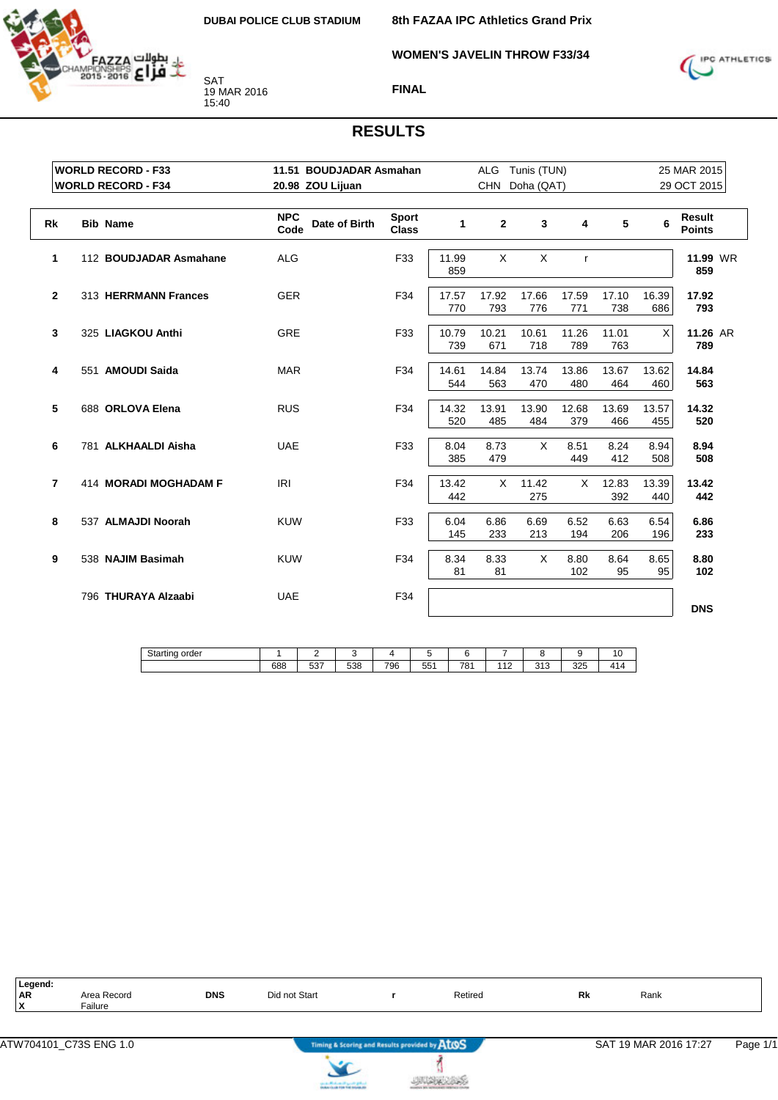

**WOMEN'S JAVELIN THROW F33/34**

**8th FAZAA IPC Athletics Grand Prix**



**FINAL**

|           | <b>WORLD RECORD - F33</b>              | 11.51 BOUDJADAR Asmahan             |                              |              | ALG            | Tunis (TUN)  |              |              |              | 25 MAR 2015                    |  |
|-----------|----------------------------------------|-------------------------------------|------------------------------|--------------|----------------|--------------|--------------|--------------|--------------|--------------------------------|--|
|           | <b>WORLD RECORD - F34</b>              | 20.98 ZOU Lijuan                    |                              |              | <b>CHN</b>     | Doha (QAT)   |              |              |              | 29 OCT 2015                    |  |
| <b>Rk</b> | <b>Bib Name</b>                        | <b>NPC</b><br>Date of Birth<br>Code | <b>Sport</b><br><b>Class</b> | 1            | $\overline{2}$ | 3            | 4            | 5            | 6            | <b>Result</b><br><b>Points</b> |  |
|           | 1<br>112 BOUDJADAR Asmahane            | <b>ALG</b>                          | F33                          | 11.99<br>859 | X              | X            | $\mathsf{r}$ |              |              | 11.99 WR<br>859                |  |
|           | $\overline{2}$<br>313 HERRMANN Frances | <b>GER</b>                          | F34                          | 17.57<br>770 | 17.92<br>793   | 17.66<br>776 | 17.59<br>771 | 17.10<br>738 | 16.39<br>686 | 17.92<br>793                   |  |
|           | 3<br>325 LIAGKOU Anthi                 | <b>GRE</b>                          | F33                          | 10.79<br>739 | 10.21<br>671   | 10.61<br>718 | 11.26<br>789 | 11.01<br>763 | X            | 11.26 AR<br>789                |  |
|           | 4<br>551 AMOUDI Saida                  | <b>MAR</b>                          | F34                          | 14.61<br>544 | 14.84<br>563   | 13.74<br>470 | 13.86<br>480 | 13.67<br>464 | 13.62<br>460 | 14.84<br>563                   |  |
|           | 5<br>688 ORLOVA Elena                  | <b>RUS</b>                          | F34                          | 14.32<br>520 | 13.91<br>485   | 13.90<br>484 | 12.68<br>379 | 13.69<br>466 | 13.57<br>455 | 14.32<br>520                   |  |
|           | 6<br>781 ALKHAALDI Aisha               | <b>UAE</b>                          | F33                          | 8.04<br>385  | 8.73<br>479    | X            | 8.51<br>449  | 8.24<br>412  | 8.94<br>508  | 8.94<br>508                    |  |
|           | 7<br>414 MORADI MOGHADAM F             | <b>IRI</b>                          | F34                          | 13.42<br>442 | X              | 11.42<br>275 | X            | 12.83<br>392 | 13.39<br>440 | 13.42<br>442                   |  |
|           | 8<br>537 ALMAJDI Noorah                | <b>KUW</b>                          | F33                          | 6.04<br>145  | 6.86<br>233    | 6.69<br>213  | 6.52<br>194  | 6.63<br>206  | 6.54<br>196  | 6.86<br>233                    |  |
|           | 9<br>538 NAJIM Basimah                 | <b>KUW</b>                          | F34                          | 8.34<br>81   | 8.33<br>81     | X            | 8.80<br>102  | 8.64<br>95   | 8.65<br>95   | 8.80<br>102                    |  |
|           | 796 THURAYA Alzaabi                    | <b>UAE</b>                          | F34                          |              |                |              |              |              |              | <b>DNS</b>                     |  |

| $C+1$<br>order<br>Starting<br>$\sim$ |     | -                  |     |     |                  |             |                       |                           |     | . .<br>טו                                       |
|--------------------------------------|-----|--------------------|-----|-----|------------------|-------------|-----------------------|---------------------------|-----|-------------------------------------------------|
|                                      | 688 | - 27<br>∽<br>، ں ب | 538 | 796 | <b>EE1</b><br>ບບ | 704<br>ו סי | $\overline{1}$<br>ے ، | $\sim$ $\sim$<br>ں ہ<br>ັ | 325 | $\cdot$ $\cdot$ $\cdot$<br>$\mathbf{r}$<br>. 14 |

| Legend:        |                |            |                                |              |                                                   |  |
|----------------|----------------|------------|--------------------------------|--------------|---------------------------------------------------|--|
| <b>AR</b><br>. | Record<br>Area | <b>DNS</b> | Start<br>$\cdots$ not $\cdots$ | Retired<br>. | Rk<br>Rank<br>the contract of the contract of the |  |
|                | $F$ ailure     |            |                                |              |                                                   |  |





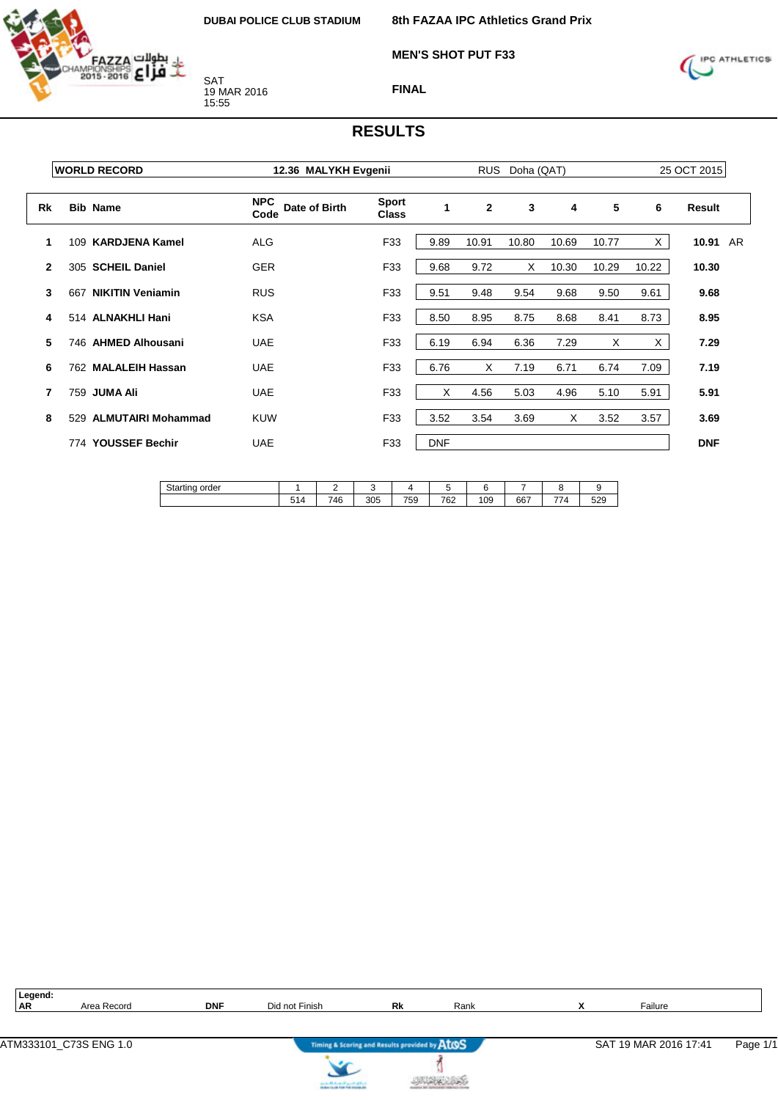

**8th FAZAA IPC Athletics Grand Prix**

**MEN'S SHOT PUT F33**



**FINAL**

|              | <b>WORLD RECORD</b>              | 12.36 MALYKH Evgenii                |                              |            | <b>RUS</b>   | Doha (QAT) |       |       | 25 OCT 2015 |            |  |
|--------------|----------------------------------|-------------------------------------|------------------------------|------------|--------------|------------|-------|-------|-------------|------------|--|
| Rk           | <b>Bib Name</b>                  | <b>NPC</b><br>Date of Birth<br>Code | <b>Sport</b><br><b>Class</b> |            | $\mathbf{2}$ | 3          | 4     | 5     | 6           | Result     |  |
|              | <b>KARDJENA Kamel</b><br>109     | <b>ALG</b>                          | F33                          | 9.89       | 10.91        | 10.80      | 10.69 | 10.77 | X           | 10.91 AR   |  |
| $\mathbf{2}$ | 305 SCHEIL Daniel                | <b>GER</b>                          | F33                          | 9.68       | 9.72         | X          | 10.30 | 10.29 | 10.22       | 10.30      |  |
| 3            | <b>NIKITIN Veniamin</b><br>667   | <b>RUS</b>                          | F33                          | 9.51       | 9.48         | 9.54       | 9.68  | 9.50  | 9.61        | 9.68       |  |
| 4            | 514 ALNAKHLI Hani                | <b>KSA</b>                          | F33                          | 8.50       | 8.95         | 8.75       | 8.68  | 8.41  | 8.73        | 8.95       |  |
| 5            | 746 AHMED Alhousani              | <b>UAE</b>                          | F33                          | 6.19       | 6.94         | 6.36       | 7.29  | X     | X.          | 7.29       |  |
| 6            | 762 MALALEIH Hassan              | <b>UAE</b>                          | F33                          | 6.76       | X            | 7.19       | 6.71  | 6.74  | 7.09        | 7.19       |  |
| 7            | 759 JUMA Ali                     | <b>UAE</b>                          | F33                          | X          | 4.56         | 5.03       | 4.96  | 5.10  | 5.91        | 5.91       |  |
| 8            | <b>ALMUTAIRI Mohammad</b><br>529 | <b>KUW</b>                          | F33                          | 3.52       | 3.54         | 3.69       | X     | 3.52  | 3.57        | 3.69       |  |
|              | 774 YOUSSEF Bechir               | <b>UAE</b>                          | F33                          | <b>DNF</b> |              |            |       |       |             | <b>DNF</b> |  |

| $\Omega_{\rm{to}}$<br>order<br>ıv<br><b>૩ાત્રા</b> ાા પ |     |          |     |     |     |     |     |                |     |
|---------------------------------------------------------|-----|----------|-----|-----|-----|-----|-----|----------------|-----|
|                                                         | 514 | 71F<br>┄ | 305 | 759 | 762 | 109 | 667 | --<br>$\Delta$ | 529 |

| 10000     |                              |            |                                              |    |      |     |         |
|-----------|------------------------------|------------|----------------------------------------------|----|------|-----|---------|
| <b>AR</b> | $\Delta$ ro $\tau$<br>Record | <b>DNF</b> | <u>_</u><br>$\sum_{i=1}^{n}$<br>l not Finish | Rk | Rank | . . | Failure |
|           |                              |            |                                              |    |      |     |         |
|           |                              |            |                                              |    |      |     |         |

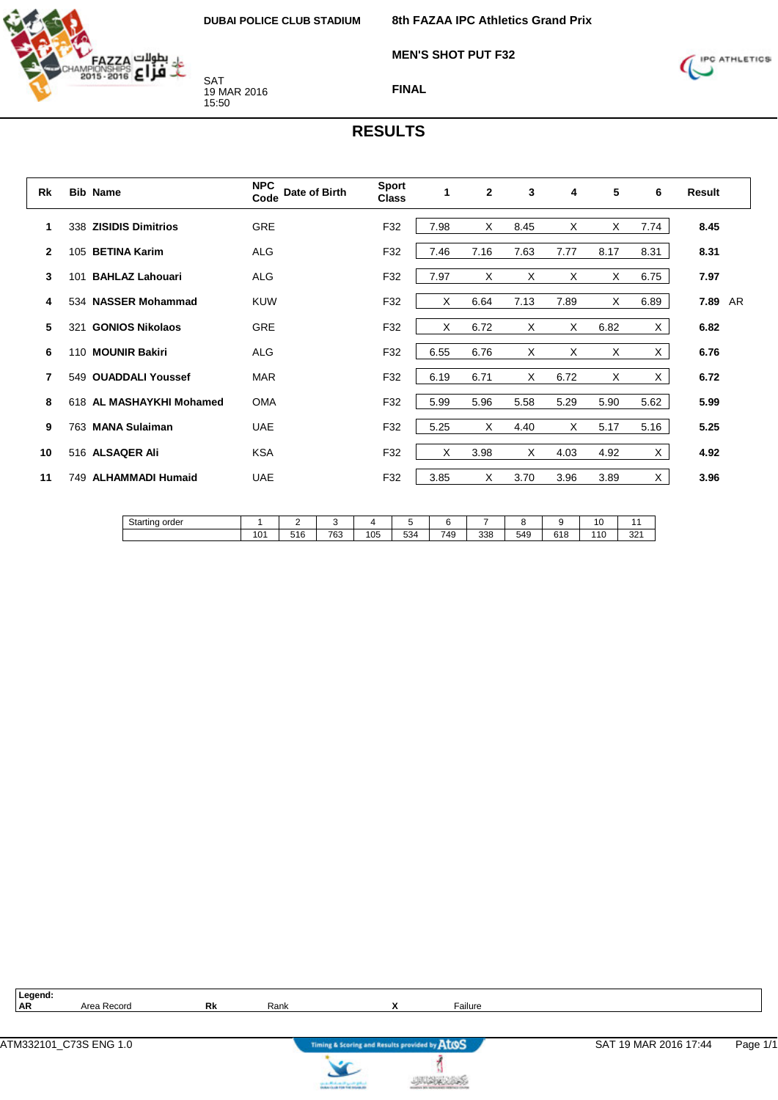

**MEN'S SHOT PUT F32**



**FINAL**

#### **RESULTS**

| Rk             |     | <b>Bib Name</b>          | <b>NPC</b><br>Date of Birth<br>Code | <b>Sport</b><br><b>Class</b> | 1    | $\mathbf{2}$ | 3        | 4    | 5    | 6    | Result  |  |
|----------------|-----|--------------------------|-------------------------------------|------------------------------|------|--------------|----------|------|------|------|---------|--|
| 1              | 338 | <b>ZISIDIS Dimitrios</b> | <b>GRE</b>                          | F32                          | 7.98 | X            | 8.45     | X    | X    | 7.74 | 8.45    |  |
| $\mathbf{2}$   |     | 105 BETINA Karim         | <b>ALG</b>                          | F32                          | 7.46 | 7.16         | 7.63     | 7.77 | 8.17 | 8.31 | 8.31    |  |
| 3              | 101 | <b>BAHLAZ Lahouari</b>   | <b>ALG</b>                          | F32                          | 7.97 | X            | X        | X    | X    | 6.75 | 7.97    |  |
| 4              |     | 534 NASSER Mohammad      | <b>KUW</b>                          | F32                          | X    | 6.64         | 7.13     | 7.89 | X    | 6.89 | 7.89 AR |  |
| 5              | 321 | <b>GONIOS Nikolaos</b>   | <b>GRE</b>                          | F32                          | X    | 6.72         | X        | X    | 6.82 | X.   | 6.82    |  |
| 6              |     | 110 MOUNIR Bakiri        | <b>ALG</b>                          | F32                          | 6.55 | 6.76         | X        | X    | X    | X.   | 6.76    |  |
| $\overline{7}$ |     | 549 OUADDALI Youssef     | <b>MAR</b>                          | F32                          | 6.19 | 6.71         | $\times$ | 6.72 | X    | X.   | 6.72    |  |
| 8              |     | 618 AL MASHAYKHI Mohamed | <b>OMA</b>                          | F32                          | 5.99 | 5.96         | 5.58     | 5.29 | 5.90 | 5.62 | 5.99    |  |
| 9              |     | 763 MANA Sulaiman        | <b>UAE</b>                          | F32                          | 5.25 | X            | 4.40     | X    | 5.17 | 5.16 | 5.25    |  |
| 10             |     | 516 ALSAQER Ali          | <b>KSA</b>                          | F32                          | X    | 3.98         | X        | 4.03 | 4.92 | X.   | 4.92    |  |
| 11             |     | 749 ALHAMMADI Humaid     | <b>UAE</b>                          | F32                          | 3.85 | X            | 3.70     | 3.96 | 3.89 | X    | 3.96    |  |
|                |     |                          |                                     |                              |      |              |          |      |      |      |         |  |

| Starting order |             | -   | . . |     |     |     |     |     |                      | . .<br>v |              |
|----------------|-------------|-----|-----|-----|-----|-----|-----|-----|----------------------|----------|--------------|
|                | $\sim$<br>U | 516 | 763 | 105 | 534 | 749 | 338 | 549 | $\sim$ $\sim$<br>618 | 10       | $\sim$<br>ےت |

**Legend:**



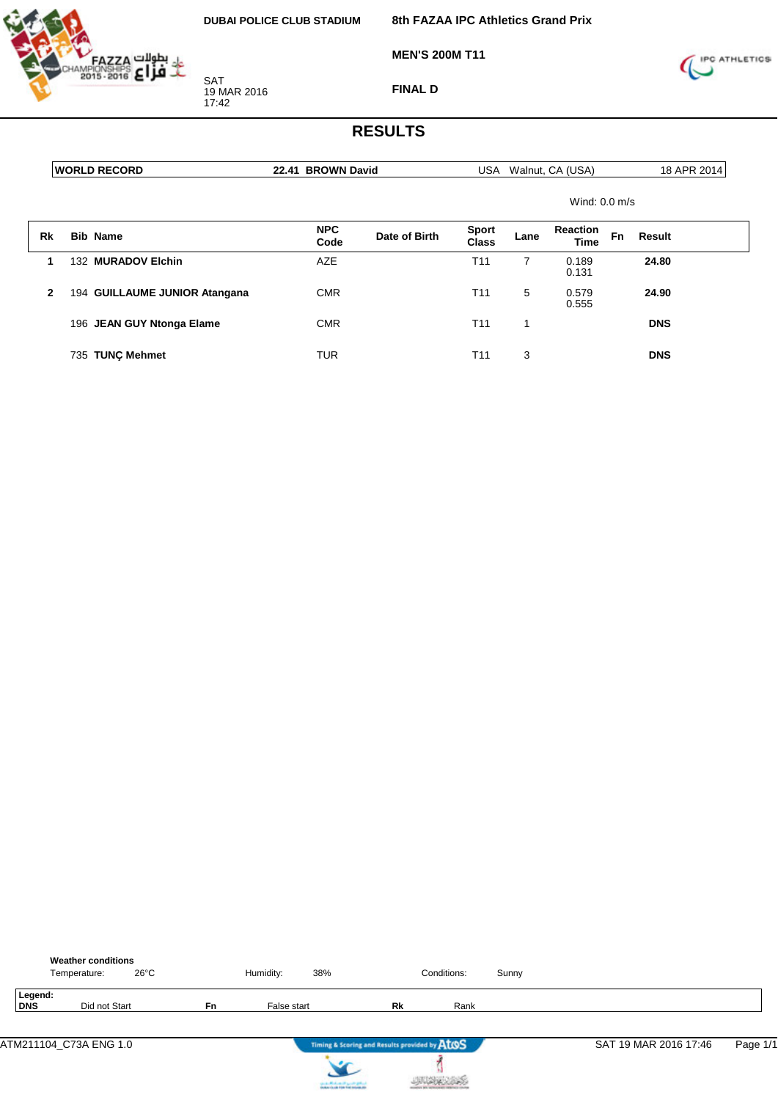

**MEN'S 200M T11**

**8th FAZAA IPC Athletics Grand Prix**



**FINAL D**

|              | <b>WORLD RECORD</b>           | 22.41 BROWN David  |               | USA                   |      | Walnut, CA (USA) |    | 18 APR 2014 |
|--------------|-------------------------------|--------------------|---------------|-----------------------|------|------------------|----|-------------|
|              |                               |                    |               |                       |      | Wind: $0.0$ m/s  |    |             |
| Rk           | <b>Bib Name</b>               | <b>NPC</b><br>Code | Date of Birth | <b>Sport</b><br>Class | Lane | Reaction<br>Time | Fn | Result      |
| 1            | 132 MURADOV Elchin            | <b>AZE</b>         |               | T <sub>11</sub>       | 7    | 0.189<br>0.131   |    | 24.80       |
| $\mathbf{2}$ | 194 GUILLAUME JUNIOR Atangana | <b>CMR</b>         |               | T <sub>11</sub>       | 5    | 0.579<br>0.555   |    | 24.90       |
|              | 196 JEAN GUY Ntonga Elame     | <b>CMR</b>         |               | T <sub>11</sub>       | 1    |                  |    | <b>DNS</b>  |
|              | 735 TUNC Mehmet               | TUR                |               | T <sub>11</sub>       | 3    |                  |    | <b>DNS</b>  |

|                | <b>Weather conditions</b><br>Temperature: | $26^{\circ}$ C |           | Humidity:   | 38% |                                               | Conditions: | Sunny |                       |          |
|----------------|-------------------------------------------|----------------|-----------|-------------|-----|-----------------------------------------------|-------------|-------|-----------------------|----------|
| Legend:<br>DNS | Did not Start                             |                | <b>Fn</b> | False start |     | Rk                                            | Rank        |       |                       |          |
|                | ATM211104 C73A ENG 1.0                    |                |           |             |     | Timing & Scoring and Results provided by AtOS |             |       | SAT 19 MAR 2016 17:46 | Page 1/1 |



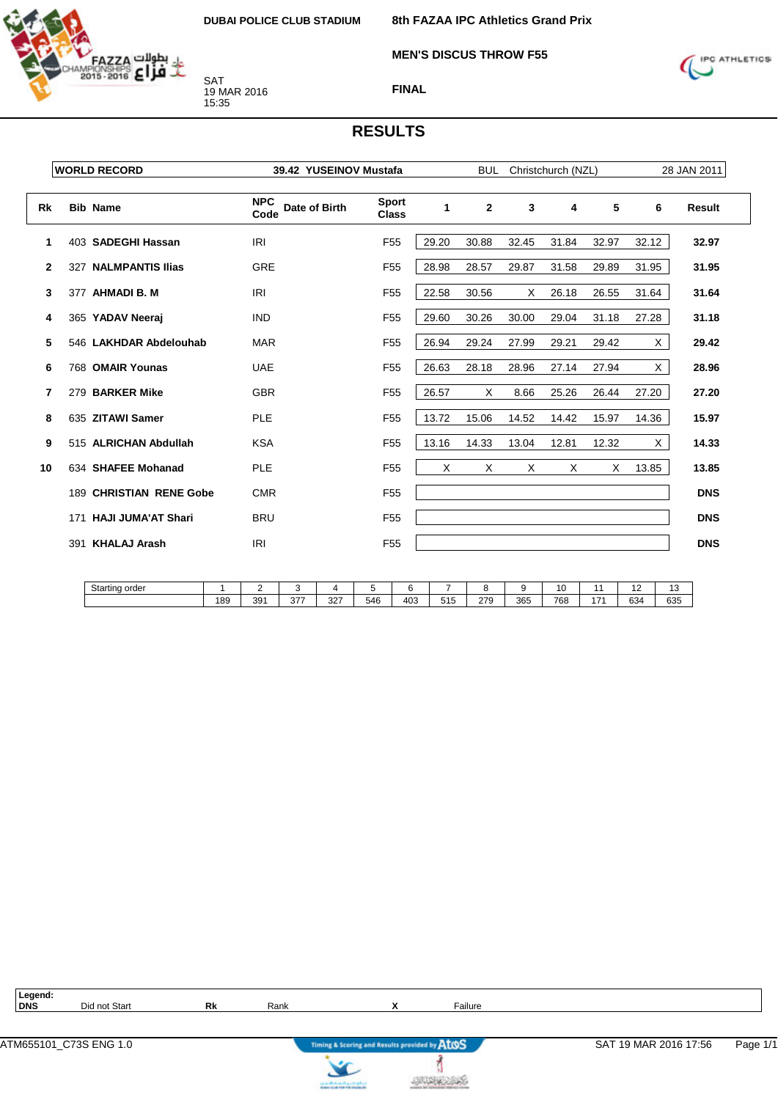

**MEN'S DISCUS THROW F55**

**8th FAZAA IPC Athletics Grand Prix**



**FINAL**

#### **RESULTS**

|              | <b>WORLD RECORD</b>        | 39.42 YUSEINOV Mustafa              |                              |              | <b>BUL</b>     |       | Christchurch (NZL) |       |          | 28 JAN 2011 |
|--------------|----------------------------|-------------------------------------|------------------------------|--------------|----------------|-------|--------------------|-------|----------|-------------|
| <b>Rk</b>    | <b>Bib Name</b>            | <b>NPC</b><br>Date of Birth<br>Code | <b>Sport</b><br><b>Class</b> | $\mathbf{1}$ | $\overline{2}$ | 3     | 4                  | 5     | 6        | Result      |
| 1            | 403 SADEGHI Hassan         | <b>IRI</b>                          | F <sub>55</sub>              | 29.20        | 30.88          | 32.45 | 31.84              | 32.97 | 32.12    | 32.97       |
| $\mathbf{2}$ | 327 NALMPANTIS Ilias       | <b>GRE</b>                          | F <sub>55</sub>              | 28.98        | 28.57          | 29.87 | 31.58              | 29.89 | 31.95    | 31.95       |
| 3            | 377 AHMADI B. M            | IRI                                 | F <sub>55</sub>              | 22.58        | 30.56          | X     | 26.18              | 26.55 | 31.64    | 31.64       |
| 4            | 365 YADAV Neeraj           | <b>IND</b>                          | F <sub>55</sub>              | 29.60        | 30.26          | 30.00 | 29.04              | 31.18 | 27.28    | 31.18       |
| 5            | 546 LAKHDAR Abdelouhab     | <b>MAR</b>                          | F <sub>55</sub>              | 26.94        | 29.24          | 27.99 | 29.21              | 29.42 | X.       | 29.42       |
| 6            | 768 OMAIR Younas           | <b>UAE</b>                          | F <sub>55</sub>              | 26.63        | 28.18          | 28.96 | 27.14              | 27.94 | $\times$ | 28.96       |
| 7            | 279 BARKER Mike            | <b>GBR</b>                          | F <sub>55</sub>              | 26.57        | Х              | 8.66  | 25.26              | 26.44 | 27.20    | 27.20       |
| 8            | 635 ZITAWI Samer           | <b>PLE</b>                          | F <sub>55</sub>              | 13.72        | 15.06          | 14.52 | 14.42              | 15.97 | 14.36    | 15.97       |
| 9            | 515 ALRICHAN Abdullah      | <b>KSA</b>                          | F <sub>55</sub>              | 13.16        | 14.33          | 13.04 | 12.81              | 12.32 | $\times$ | 14.33       |
| 10           | 634 SHAFEE Mohanad         | <b>PLE</b>                          | F <sub>55</sub>              | X            | $\times$       | X     | X                  | X     | 13.85    | 13.85       |
|              | 189 CHRISTIAN RENE Gobe    | <b>CMR</b>                          | F <sub>55</sub>              |              |                |       |                    |       |          | <b>DNS</b>  |
|              | 171 HAJI JUMA'AT Shari     | <b>BRU</b>                          | F <sub>55</sub>              |              |                |       |                    |       |          | <b>DNS</b>  |
|              | <b>KHALAJ Arash</b><br>391 | <b>IRI</b>                          | F <sub>55</sub>              |              |                |       |                    |       |          | <b>DNS</b>  |

| Starting<br>order<br>- -<br>. |     |     |                 |              |     |     |     |                   |     | __  |     | . . | $\overline{\phantom{a}}$<br>ں ا |
|-------------------------------|-----|-----|-----------------|--------------|-----|-----|-----|-------------------|-----|-----|-----|-----|---------------------------------|
|                               | 189 | 391 | $\sim$<br>. ا ف | $\sim$<br>32 | 546 | 403 | 515 | 270<br><u>_ 1</u> | 365 | 768 | 17. | 634 | 635<br>.                        |

# Legend:<br>DNS

**Did not Start <b>Rk** Rank **X Railure** 



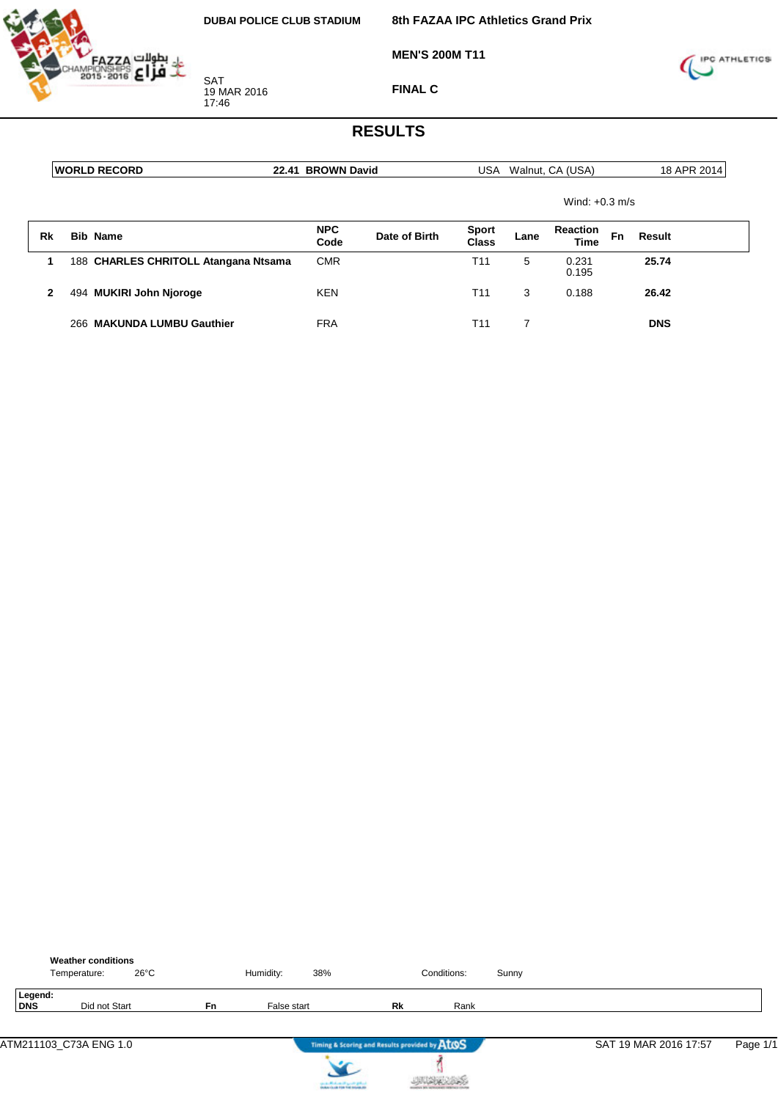

**MEN'S 200M T11**



**FINAL C**

|    | <b>WORLD RECORD</b>                  | 22.41 BROWN David  |               |                       |      | USA Walnut, CA (USA)    |                  | 18 APR 2014 |  |
|----|--------------------------------------|--------------------|---------------|-----------------------|------|-------------------------|------------------|-------------|--|
|    |                                      |                    |               |                       |      |                         | Wind: $+0.3$ m/s |             |  |
| Rk | <b>Bib Name</b>                      | <b>NPC</b><br>Code | Date of Birth | <b>Sport</b><br>Class | Lane | <b>Reaction</b><br>Time | Fn               | Result      |  |
| 1  | 188 CHARLES CHRITOLL Atangana Ntsama | <b>CMR</b>         |               | T <sub>11</sub>       | 5    | 0.231<br>0.195          |                  | 25.74       |  |
| 2  | 494 MUKIRI John Njoroge              | <b>KEN</b>         |               | T <sub>11</sub>       | 3    | 0.188                   |                  | 26.42       |  |
|    | 266 MAKUNDA LUMBU Gauthier           | <b>FRA</b>         |               | T <sub>11</sub>       | 7    |                         |                  | <b>DNS</b>  |  |

|                | <b>Weather conditions</b><br>$26^{\circ}$ C<br>Temperature: |           | Humidity:   | 38%                                                         |    | Conditions: | Sunny |                       |          |
|----------------|-------------------------------------------------------------|-----------|-------------|-------------------------------------------------------------|----|-------------|-------|-----------------------|----------|
| Legend:<br>DNS | Did not Start                                               | <b>Fn</b> | False start |                                                             | Rk | Rank        |       |                       |          |
|                | ATM211103 C73A ENG 1.0                                      |           |             | Timing & Scoring and Results provided by ATOS<br>$\epsilon$ |    |             |       | SAT 19 MAR 2016 17:57 | Page 1/1 |



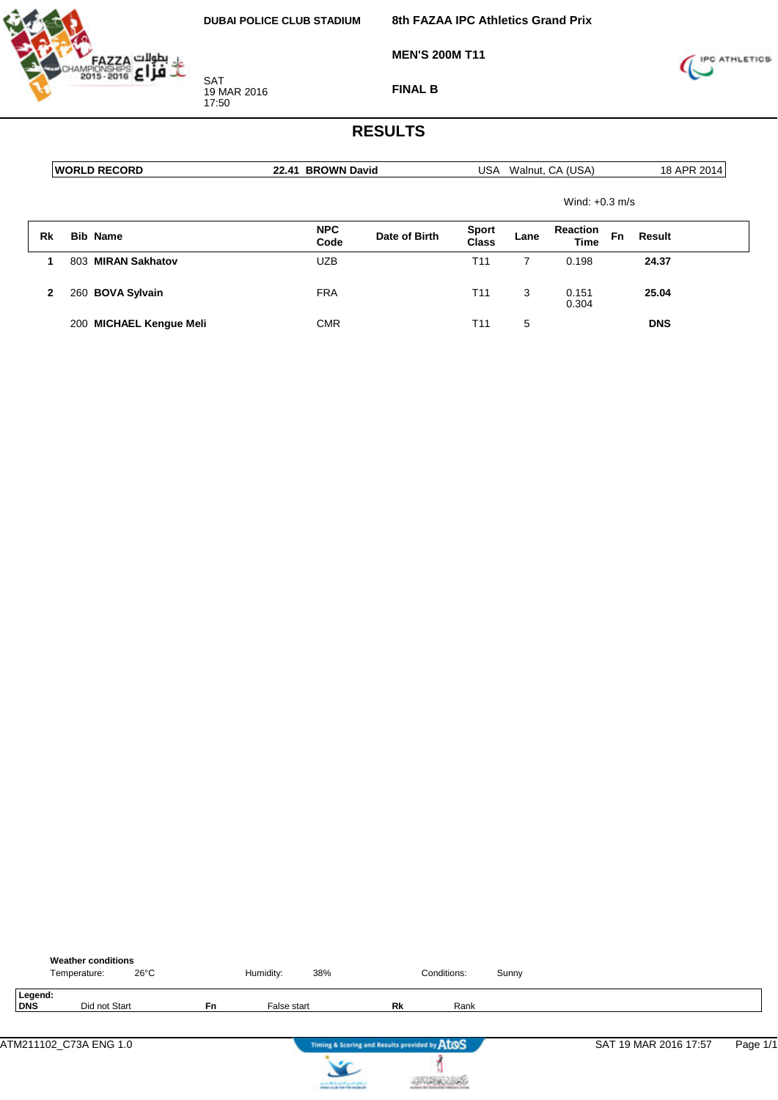

**MEN'S 200M T11**



**FINAL B**

|    |     | <b>WORLD RECORD</b>     | 22.41 BROWN David  |               |                       |      | USA Walnut, CA (USA)    |    | 18 APR 2014 |
|----|-----|-------------------------|--------------------|---------------|-----------------------|------|-------------------------|----|-------------|
|    |     |                         |                    |               |                       |      | Wind: $+0.3$ m/s        |    |             |
| Rk |     | <b>Bib Name</b>         | <b>NPC</b><br>Code | Date of Birth | <b>Sport</b><br>Class | Lane | <b>Reaction</b><br>Time | Fn | Result      |
|    | 803 | <b>MIRAN Sakhatov</b>   | <b>UZB</b>         |               | T <sub>11</sub>       |      | 0.198                   |    | 24.37       |
| 2  |     | 260 BOVA Sylvain        | <b>FRA</b>         |               | T <sub>11</sub>       | 3    | 0.151<br>0.304          |    | 25.04       |
|    |     | 200 MICHAEL Kengue Meli | <b>CMR</b>         |               | T11                   | 5    |                         |    | <b>DNS</b>  |

|                | <b>Weather conditions</b><br>Temperature: | $26^{\circ}$ C |           | Humidity:   | 38% |                                               | Conditions: | Sunny |                       |          |
|----------------|-------------------------------------------|----------------|-----------|-------------|-----|-----------------------------------------------|-------------|-------|-----------------------|----------|
| Legend:<br>DNS | Did not Start                             |                | <b>Fn</b> | False start |     | Rk                                            | Rank        |       |                       |          |
|                | ATM211102_C73A ENG 1.0                    |                |           |             |     | Timing & Scoring and Results provided by AtOS |             |       | SAT 19 MAR 2016 17:57 | Page 1/1 |



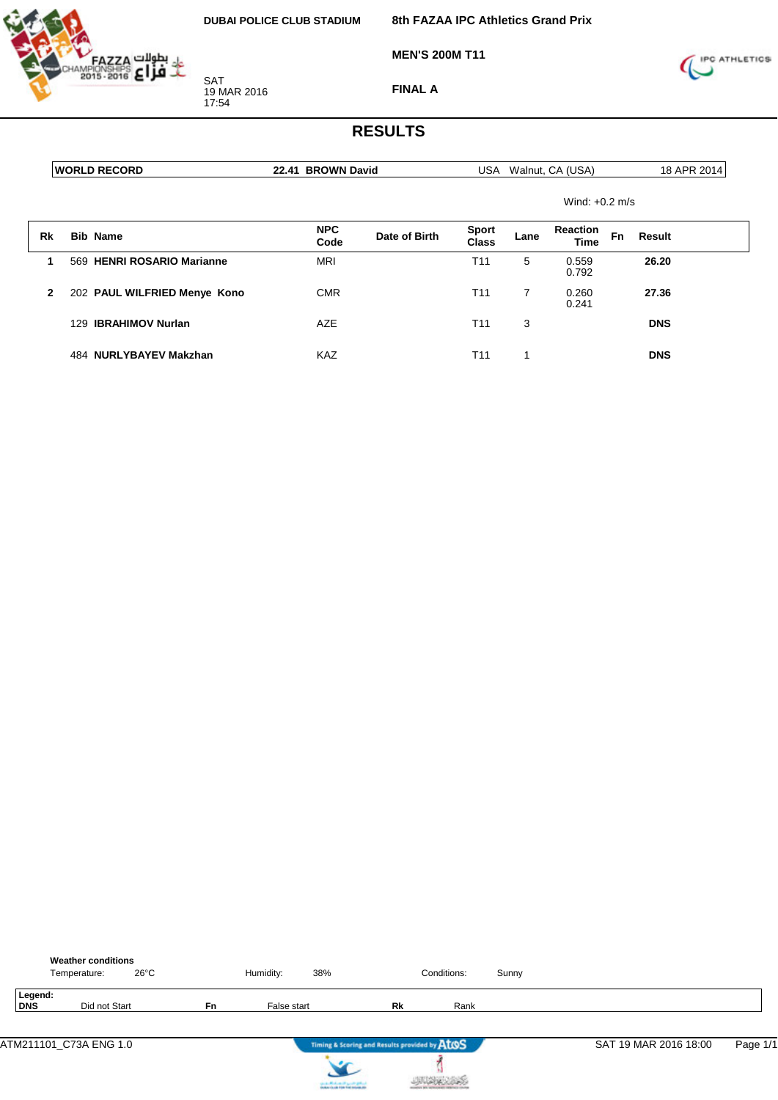

**MEN'S 200M T11**

**8th FAZAA IPC Athletics Grand Prix**



**FINAL A**

|              | <b>IWORLD RECORD</b> |                              | 22.41 BROWN David  |               |                       | USA Walnut, CA (USA) |                                | 18 APR 2014 |            |
|--------------|----------------------|------------------------------|--------------------|---------------|-----------------------|----------------------|--------------------------------|-------------|------------|
|              |                      |                              |                    |               |                       |                      | Wind: $+0.2$ m/s               |             |            |
| Rk           |                      | <b>Bib Name</b>              | <b>NPC</b><br>Code | Date of Birth | <b>Sport</b><br>Class | Lane                 | <b>Reaction</b><br><b>Time</b> | <b>Fn</b>   | Result     |
| 1            |                      | 569 HENRI ROSARIO Marianne   | <b>MRI</b>         |               | T <sub>11</sub>       | 5                    | 0.559<br>0.792                 |             | 26.20      |
| $\mathbf{2}$ |                      | 202 PAUL WILFRIED Menye Kono | <b>CMR</b>         |               | T <sub>11</sub>       | $\overline{7}$       | 0.260<br>0.241                 |             | 27.36      |
|              |                      | 129 IBRAHIMOV Nurlan         | <b>AZE</b>         |               | T <sub>11</sub>       | 3                    |                                |             | <b>DNS</b> |
|              |                      | 484 NURLYBAYEV Makzhan       | KAZ                |               | T11                   |                      |                                |             | <b>DNS</b> |

|                | <b>Weather conditions</b><br>$26^{\circ}$ C<br>Temperature: |    | Humidity:   | 38%                                                  | Conditions: | Sunny |                       |          |
|----------------|-------------------------------------------------------------|----|-------------|------------------------------------------------------|-------------|-------|-----------------------|----------|
| Legend:<br>DNS | Did not Start                                               | Fn | False start | Rk                                                   | Rank        |       |                       |          |
|                | ATM211101_C73A ENG 1.0                                      |    |             | Timing & Scoring and Results provided by AtOS<br>سوم |             |       | SAT 19 MAR 2016 18:00 | Page 1/1 |



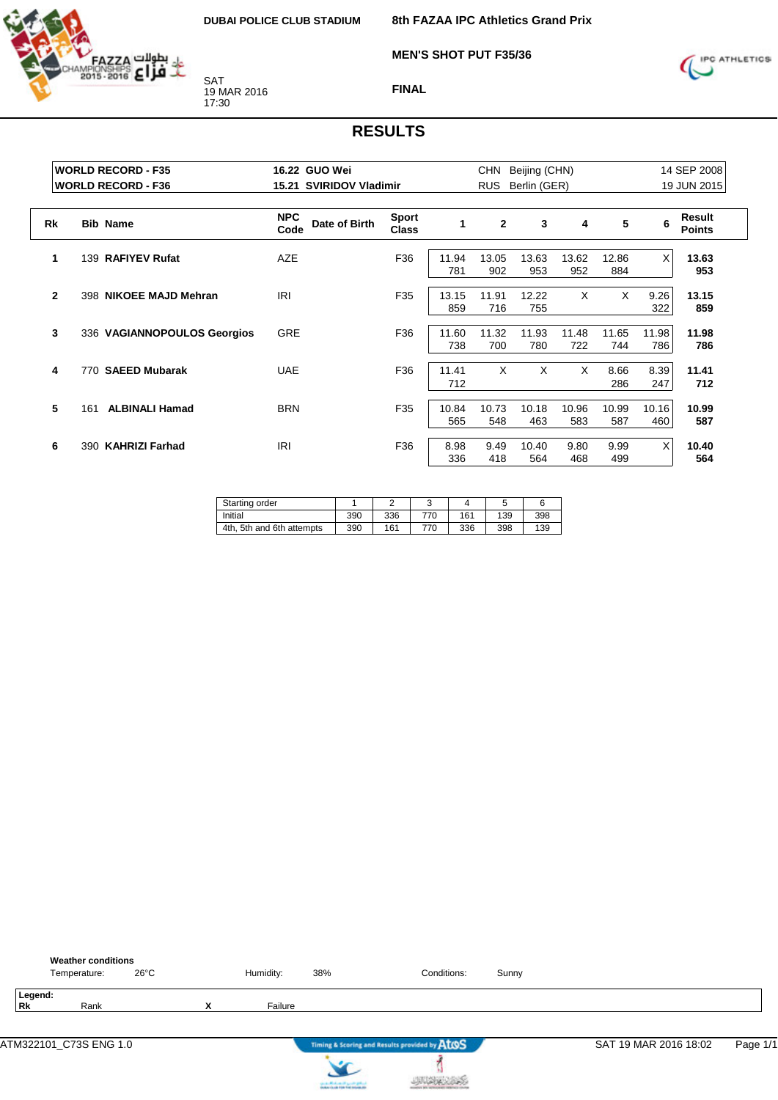

**8th FAZAA IPC Athletics Grand Prix**

**MEN'S SHOT PUT F35/36**



**FINAL**

|              | <b>WORLD RECORD - F35</b>    | 16.22 GUO Wei                       |                              | <b>CHN</b><br>Beijing (CHN) | 14 SEP 2008  |              |              |              |              |                         |
|--------------|------------------------------|-------------------------------------|------------------------------|-----------------------------|--------------|--------------|--------------|--------------|--------------|-------------------------|
|              | <b>WORLD RECORD - F36</b>    | 15.21 SVIRIDOV Vladimir             |                              | <b>RUS</b><br>Berlin (GER)  |              | 19 JUN 2015  |              |              |              |                         |
| <b>Rk</b>    | <b>Bib Name</b>              | <b>NPC</b><br>Date of Birth<br>Code | <b>Sport</b><br><b>Class</b> | $\mathbf{1}$                | $\mathbf{2}$ | 3            | 4            | 5            | 6            | Result<br><b>Points</b> |
| 1            | 139 RAFIYEV Rufat            | AZE                                 | F36                          | 11.94<br>781                | 13.05<br>902 | 13.63<br>953 | 13.62<br>952 | 12.86<br>884 | $\times$     | 13.63<br>953            |
| $\mathbf{2}$ | 398 NIKOEE MAJD Mehran       | IRI                                 | F35                          | 13.15<br>859                | 11.91<br>716 | 12.22<br>755 | X            | X            | 9.26<br>322  | 13.15<br>859            |
| 3            | 336 VAGIANNOPOULOS Georgios  | <b>GRE</b>                          | F36                          | 11.60<br>738                | 11.32<br>700 | 11.93<br>780 | 11.48<br>722 | 11.65<br>744 | 11.98<br>786 | 11.98<br>786            |
| 4            | 770 SAEED Mubarak            | <b>UAE</b>                          | F36                          | 11.41<br>712                | X            | X            | X            | 8.66<br>286  | 8.39<br>247  | 11.41<br>712            |
| 5            | <b>ALBINALI Hamad</b><br>161 | <b>BRN</b>                          | F35                          | 10.84<br>565                | 10.73<br>548 | 10.18<br>463 | 10.96<br>583 | 10.99<br>587 | 10.16<br>460 | 10.99<br>587            |
| 6            | 390 KAHRIZI Farhad           | <b>IRI</b>                          | F36                          | 8.98<br>336                 | 9.49<br>418  | 10.40<br>564 | 9.80<br>468  | 9.99<br>499  | $\times$     | 10.40<br>564            |

| Starting order            |     |     | u   |     | J   |     |
|---------------------------|-----|-----|-----|-----|-----|-----|
| Initial                   | 390 | 336 | 770 | 161 | 139 | 398 |
| 4th, 5th and 6th attempts | 390 | 161 | 770 | 336 | 398 | 139 |

|               | <b>Weather conditions</b><br>Temperature: |      | $26^{\circ}$ C |   | Humidity: | 38%                               | Conditions:                                   | Sunny |                       |          |
|---------------|-------------------------------------------|------|----------------|---|-----------|-----------------------------------|-----------------------------------------------|-------|-----------------------|----------|
| Legend:<br>Rk |                                           | Rank |                | x | Failure   |                                   |                                               |       |                       |          |
|               | ATM322101_C73S ENG 1.0                    |      |                |   |           |                                   | Timing & Scoring and Results provided by AtOS |       | SAT 19 MAR 2016 18:02 | Page 1/1 |
|               |                                           |      |                |   |           | country Michael and Locate States |                                               |       |                       |          |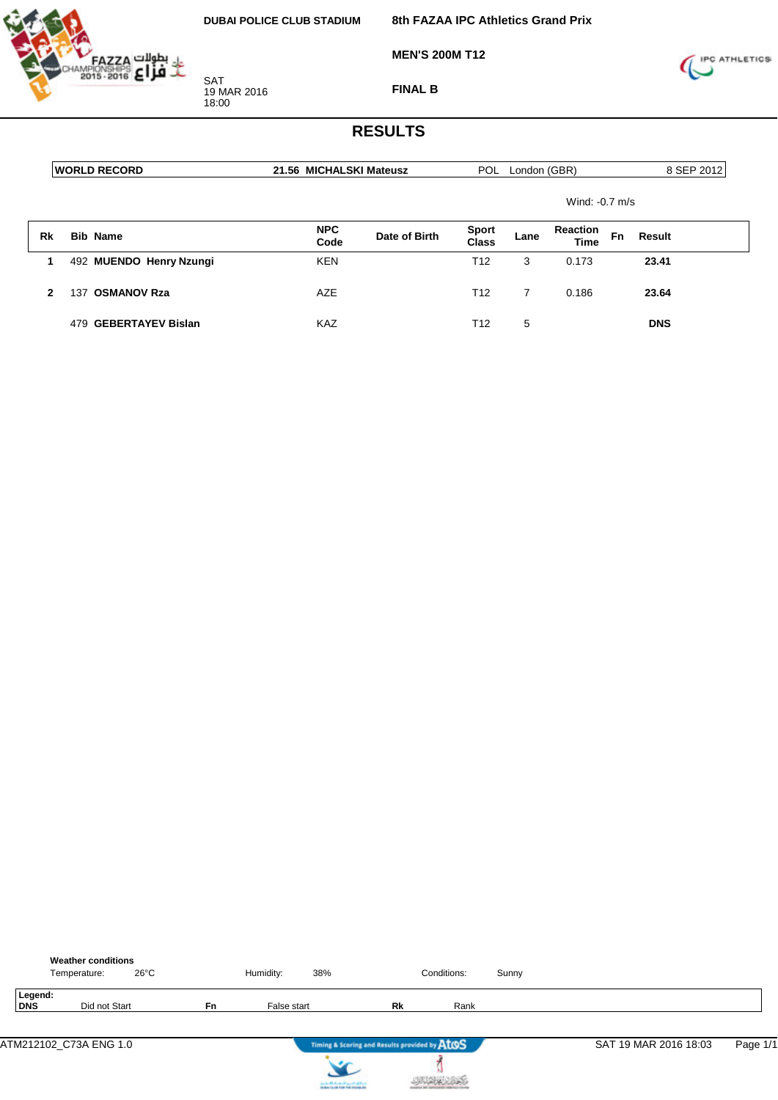

**MEN'S 200M T12**



**FINAL B**

|    | <b>IWORLD RECORD</b>     | 21.56 MICHALSKI Mateusz |               |                              | POL London (GBR) |                                |    | 8 SEP 2012 |
|----|--------------------------|-------------------------|---------------|------------------------------|------------------|--------------------------------|----|------------|
|    |                          |                         |               |                              |                  | Wind: $-0.7$ m/s               |    |            |
| Rk | <b>Bib Name</b>          | <b>NPC</b><br>Code      | Date of Birth | <b>Sport</b><br><b>Class</b> | Lane             | <b>Reaction</b><br><b>Time</b> | Fn | Result     |
|    | 492 MUENDO Henry Nzungi  | <b>KEN</b>              |               | T <sub>12</sub>              | 3                | 0.173                          |    | 23.41      |
| 2  | <b>OSMANOV Rza</b><br>37 | AZE                     |               | T12                          | 7                | 0.186                          |    | 23.64      |
|    | 479 GEBERTAYEV Bislan    | KAZ                     |               | T12                          | 5                |                                |    | <b>DNS</b> |

|                | <b>Weather conditions</b><br>Temperature: | $26^{\circ}$ C |           | Humidity:   | 38% |                                               | Conditions: | Sunny |                       |          |
|----------------|-------------------------------------------|----------------|-----------|-------------|-----|-----------------------------------------------|-------------|-------|-----------------------|----------|
| Legend:<br>DNS | Did not Start                             |                | <b>Fn</b> | False start |     | Rk                                            | Rank        |       |                       |          |
|                | ATM212102 C73A ENG 1.0                    |                |           |             | .   | Timing & Scoring and Results provided by ATOS |             |       | SAT 19 MAR 2016 18:03 | Page 1/1 |



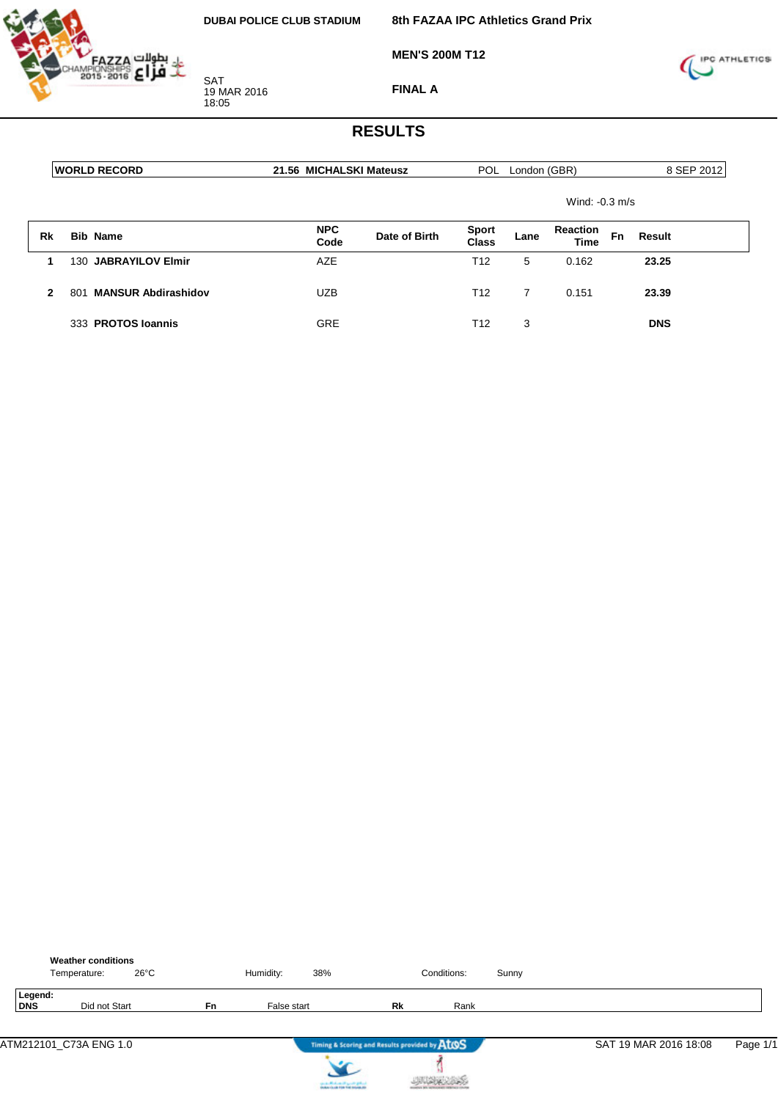

**8th FAZAA IPC Athletics Grand Prix**

**MEN'S 200M T12**



**FINAL A**

|              | <b> WORLD RECORD</b>                          |                    | 21.56 MICHALSKI Mateusz |                 |      | London (GBR)                   | 8 SEP 2012 |            |
|--------------|-----------------------------------------------|--------------------|-------------------------|-----------------|------|--------------------------------|------------|------------|
|              |                                               |                    |                         |                 |      | Wind: $-0.3$ m/s               |            |            |
| Rk           | <b>Bib Name</b>                               | <b>NPC</b><br>Code | Date of Birth           | Sport<br>Class  | Lane | <b>Reaction</b><br><b>Time</b> | Fn         | Result     |
|              | 130 JABRAYILOV Elmir                          | AZE                |                         | T12             | 5    | 0.162                          |            | 23.25      |
| $\mathbf{2}$ | <b>MANSUR Abdirashidov</b><br>80 <sup>4</sup> | <b>UZB</b>         |                         | T <sub>12</sub> | 7    | 0.151                          |            | 23.39      |
|              | 333 PROTOS Ioannis                            | <b>GRE</b>         |                         | T <sub>12</sub> | 3    |                                |            | <b>DNS</b> |

|                | <b>Weather conditions</b><br>Temperature: | $26^{\circ}$ C |    | Humidity:   | 38%                                                               |                                               | Conditions: | Sunny |                       |          |
|----------------|-------------------------------------------|----------------|----|-------------|-------------------------------------------------------------------|-----------------------------------------------|-------------|-------|-----------------------|----------|
| Legend:<br>DNS | Did not Start                             |                | Fn | False start |                                                                   | Rk                                            | Rank        |       |                       |          |
|                | ATM212101_C73A ENG 1.0                    |                |    |             |                                                                   | Timing & Scoring and Results provided by AtOS |             |       | SAT 19 MAR 2016 18:08 | Page 1/1 |
|                |                                           |                |    |             | controlled and speed galent.<br>Instantia de File Foi Installatio |                                               |             |       |                       |          |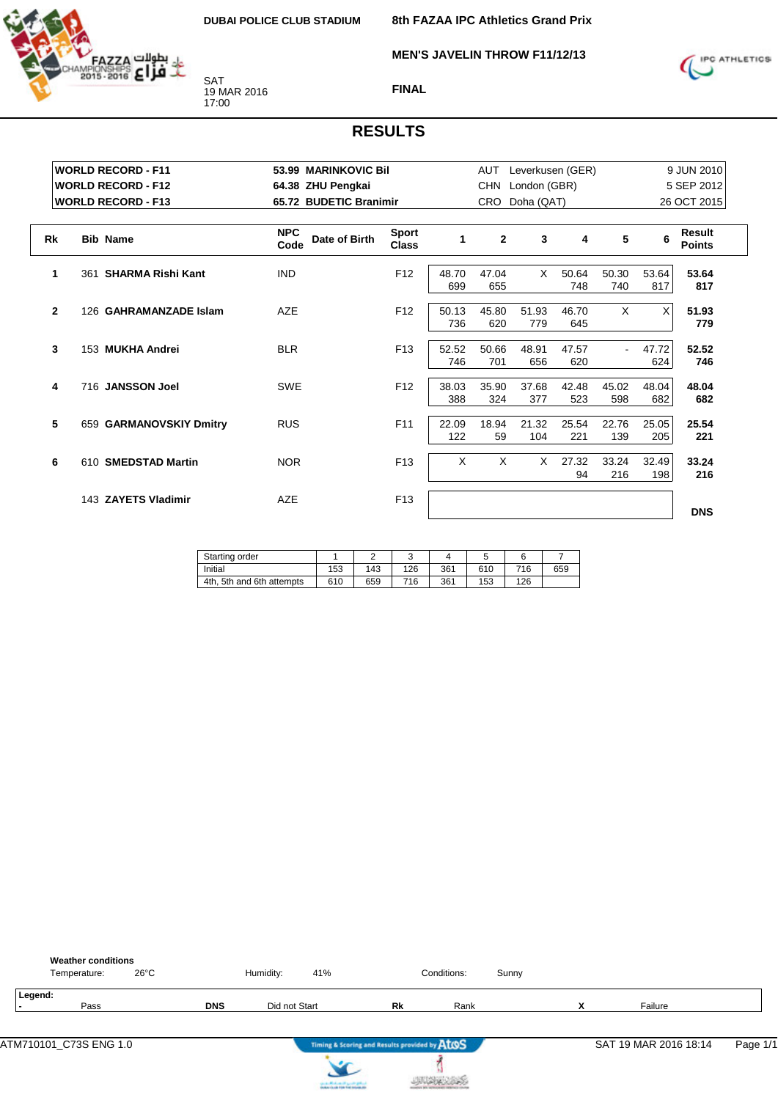

**MEN'S JAVELIN THROW F11/12/13**



#### **FINAL**

|              | <b>WORLD RECORD - F11</b><br><b>WORLD RECORD - F12</b><br><b>WORLD RECORD - F13</b> | 64.38 ZHU Pengkai                   | 53.99 MARINKOVIC Bil<br>65.72 BUDETIC Branimir |              |                | Leverkusen (GER)<br>AUT<br><b>CHN</b><br>London (GBR)<br>Doha (QAT)<br>CRO. |              |              |              |                                               |  |
|--------------|-------------------------------------------------------------------------------------|-------------------------------------|------------------------------------------------|--------------|----------------|-----------------------------------------------------------------------------|--------------|--------------|--------------|-----------------------------------------------|--|
| <b>Rk</b>    | <b>Bib Name</b>                                                                     | <b>NPC</b><br>Date of Birth<br>Code | <b>Sport</b><br><b>Class</b>                   | 1            | $\overline{2}$ | 3                                                                           | 4            | 5            | 6            | 26 OCT 2015<br><b>Result</b><br><b>Points</b> |  |
| 1            | <b>SHARMA Rishi Kant</b><br>361                                                     | <b>IND</b>                          | F <sub>12</sub>                                | 48.70<br>699 | 47.04<br>655   | X                                                                           | 50.64<br>748 | 50.30<br>740 | 53.64<br>817 | 53.64<br>817                                  |  |
| $\mathbf{2}$ | 126 GAHRAMANZADE Islam                                                              | AZE                                 | F <sub>12</sub>                                | 50.13<br>736 | 45.80<br>620   | 51.93<br>779                                                                | 46.70<br>645 | X            | X            | 51.93<br>779                                  |  |
| 3            | 153 MUKHA Andrei                                                                    | <b>BLR</b>                          | F <sub>13</sub>                                | 52.52<br>746 | 50.66<br>701   | 48.91<br>656                                                                | 47.57<br>620 | $\sim$       | 47.72<br>624 | 52.52<br>746                                  |  |
| 4            | 716 JANSSON Joel                                                                    | <b>SWE</b>                          | F <sub>12</sub>                                | 38.03<br>388 | 35.90<br>324   | 37.68<br>377                                                                | 42.48<br>523 | 45.02<br>598 | 48.04<br>682 | 48.04<br>682                                  |  |
| 5            | 659 GARMANOVSKIY Dmitry                                                             | <b>RUS</b>                          | F11                                            | 22.09<br>122 | 18.94<br>59    | 21.32<br>104                                                                | 25.54<br>221 | 22.76<br>139 | 25.05<br>205 | 25.54<br>221                                  |  |
| 6            | 610 SMEDSTAD Martin                                                                 | <b>NOR</b>                          | F <sub>13</sub>                                | X            | $\times$       | X                                                                           | 27.32<br>94  | 33.24<br>216 | 32.49<br>198 | 33.24<br>216                                  |  |
|              | 143 ZAYETS Vladimir                                                                 | <b>AZE</b>                          | F <sub>13</sub>                                |              |                |                                                                             |              |              |              | <b>DNS</b>                                    |  |

| Starting order               |     | -   |     |     | ັ   |     |     |
|------------------------------|-----|-----|-----|-----|-----|-----|-----|
| Initial                      | 153 | 143 | 126 | 361 | 610 | 716 | 659 |
| 4th.<br>5th and 6th attempts | 610 | 659 | 716 | 361 | 153 | 126 |     |

| <b>Weather conditions</b><br>$26^{\circ}$ C<br>Temperature: |            | Humidity:     | 41%                                           |                                               | Conditions: | Sunny |   |                       |          |
|-------------------------------------------------------------|------------|---------------|-----------------------------------------------|-----------------------------------------------|-------------|-------|---|-----------------------|----------|
| Legend:<br>Pass                                             | <b>DNS</b> | Did not Start |                                               | Rk                                            | Rank        |       | v | Failure               |          |
| ATM710101_C73S ENG 1.0                                      |            |               |                                               | Timing & Scoring and Results provided by AtOS |             |       |   | SAT 19 MAR 2016 18:14 | Page 1/1 |
|                                                             |            |               | the state of the form of the proof of gradual |                                               |             |       |   |                       |          |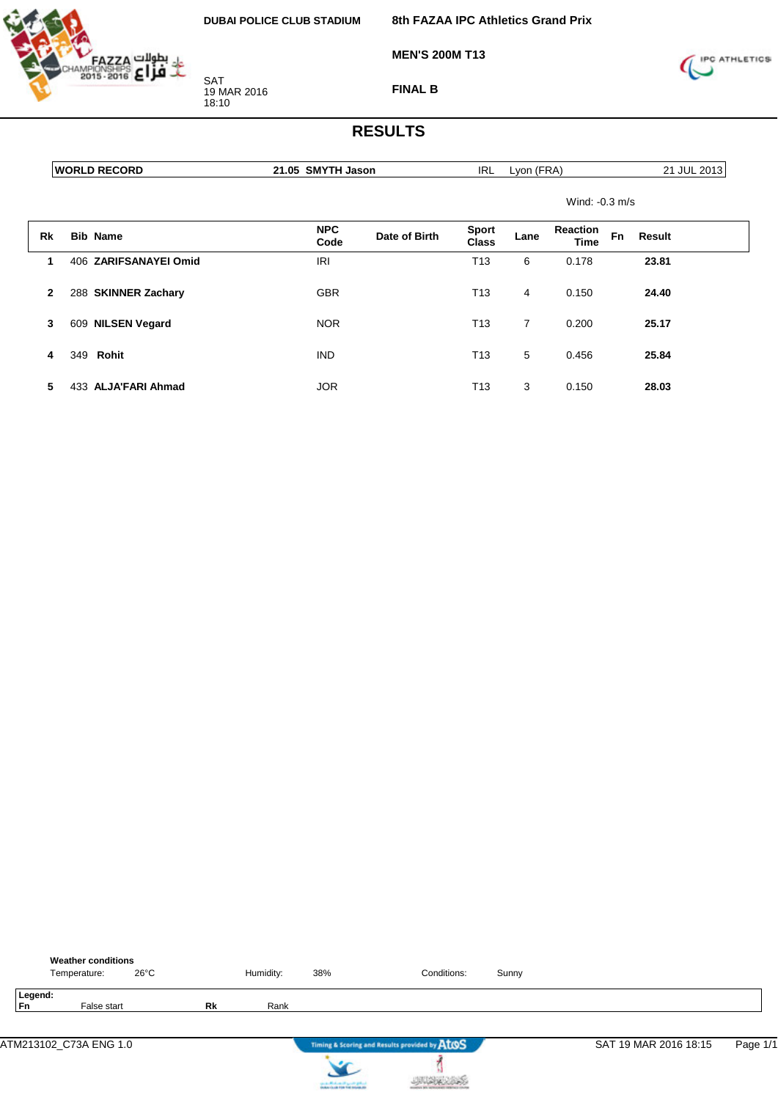

**MEN'S 200M T13**

**8th FAZAA IPC Athletics Grand Prix**

SAT 19 MAR 2016 18:10

**FINAL B**



|              | <b>WORLD RECORD</b>   | 21.05 SMYTH Jason  |               | IRL                   | Lyon (FRA) |                         |    | 21 JUL 2013   |
|--------------|-----------------------|--------------------|---------------|-----------------------|------------|-------------------------|----|---------------|
|              |                       |                    |               |                       |            | Wind: $-0.3$ m/s        |    |               |
| Rk           | <b>Bib Name</b>       | <b>NPC</b><br>Code | Date of Birth | <b>Sport</b><br>Class | Lane       | Reaction<br><b>Time</b> | Fn | <b>Result</b> |
| 1            | 406 ZARIFSANAYEI Omid | <b>IRI</b>         |               | T <sub>13</sub>       | 6          | 0.178                   |    | 23.81         |
| $\mathbf{2}$ | 288 SKINNER Zachary   | <b>GBR</b>         |               | T <sub>13</sub>       | 4          | 0.150                   |    | 24.40         |
| 3            | 609 NILSEN Vegard     | <b>NOR</b>         |               | T <sub>13</sub>       | 7          | 0.200                   |    | 25.17         |
| 4            | 349 Rohit             | <b>IND</b>         |               | T <sub>13</sub>       | 5          | 0.456                   |    | 25.84         |
| 5            | 433 ALJA'FARI Ahmad   | <b>JOR</b>         |               | T <sub>13</sub>       | 3          | 0.150                   |    | 28.03         |

|               | <b>Weather conditions</b><br>Temperature: | $26^{\circ}$ C |           | Humidity: | 38% | Conditions:                                   | Sunny |                       |          |
|---------------|-------------------------------------------|----------------|-----------|-----------|-----|-----------------------------------------------|-------|-----------------------|----------|
| Legend:<br>Fn | False start                               |                | <b>Rk</b> | Rank      |     |                                               |       |                       |          |
|               | ATM213102_C73A ENG 1.0                    |                |           |           |     | Timing & Scoring and Results provided by AtOS |       | SAT 19 MAR 2016 18:15 | Page 1/1 |
|               |                                           |                |           |           |     |                                               |       |                       |          |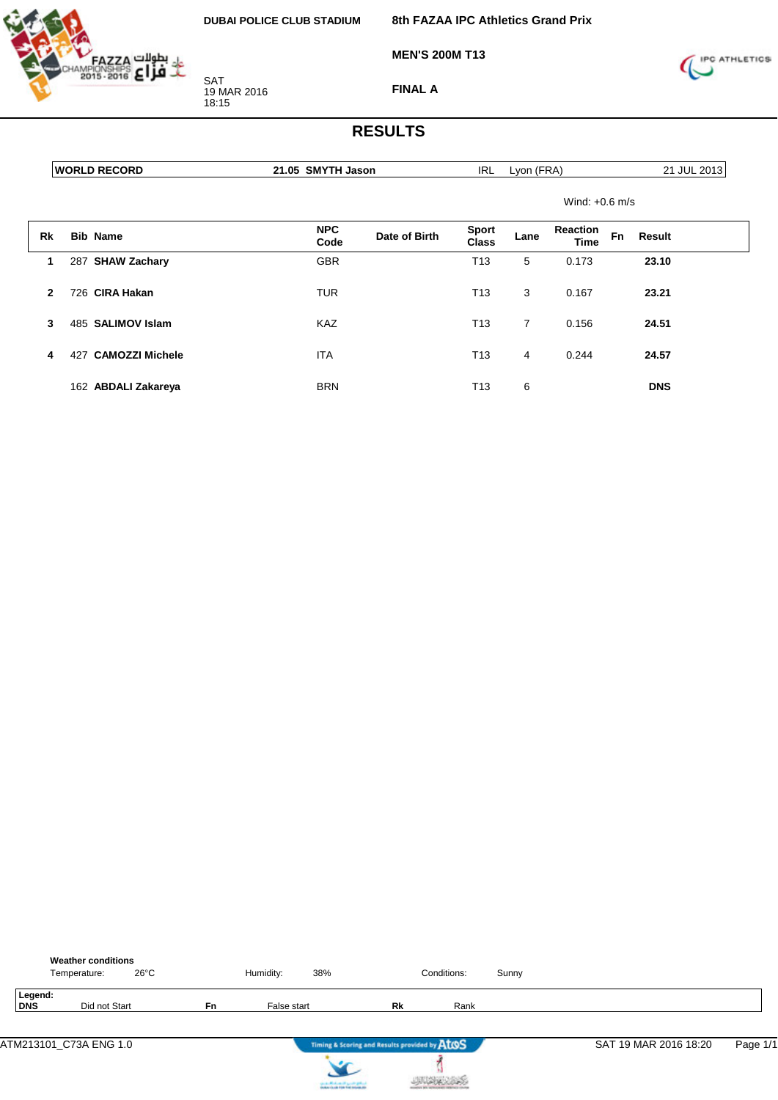

SAT 19 MAR 2016

18:15

**8th FAZAA IPC Athletics Grand Prix**

**MEN'S 200M T13**



**FINAL A**

|              |     | <b>WORLD RECORD</b>    | 21.05 SMYTH Jason  |               | IRL                          | Lyon (FRA)     |                                |    | 21 JUL 2013 |  |
|--------------|-----|------------------------|--------------------|---------------|------------------------------|----------------|--------------------------------|----|-------------|--|
|              |     |                        |                    |               |                              |                | Wind: $+0.6$ m/s               |    |             |  |
| Rk           |     | <b>Bib Name</b>        | <b>NPC</b><br>Code | Date of Birth | <b>Sport</b><br><b>Class</b> | Lane           | <b>Reaction</b><br><b>Time</b> | Fn | Result      |  |
| 1            |     | 287 SHAW Zachary       | <b>GBR</b>         |               | T <sub>13</sub>              | 5              | 0.173                          |    | 23.10       |  |
| $\mathbf{2}$ |     | 726 CIRA Hakan         | <b>TUR</b>         |               | T <sub>13</sub>              | 3              | 0.167                          |    | 23.21       |  |
| 3            |     | 485 SALIMOV Islam      | <b>KAZ</b>         |               | T <sub>13</sub>              | $\overline{7}$ | 0.156                          |    | 24.51       |  |
| 4            | 427 | <b>CAMOZZI Michele</b> | <b>ITA</b>         |               | T <sub>13</sub>              | 4              | 0.244                          |    | 24.57       |  |
|              |     | 162 ABDALI Zakareya    | <b>BRN</b>         |               | T13                          | 6              |                                |    | <b>DNS</b>  |  |

|                | Temperature: | <b>Weather conditions</b> | $26^{\circ}$ C |     | Humidity:   | 38% |                                               | Conditions: | Sunny |                       |          |
|----------------|--------------|---------------------------|----------------|-----|-------------|-----|-----------------------------------------------|-------------|-------|-----------------------|----------|
| Legend:<br>DNS |              | Did not Start             |                | Fn. | False start |     | Rk                                            | Rank        |       |                       |          |
|                |              | ATM213101_C73A ENG 1.0    |                |     |             |     | Timing & Scoring and Results provided by AtOS |             |       | SAT 19 MAR 2016 18:20 | Page 1/1 |



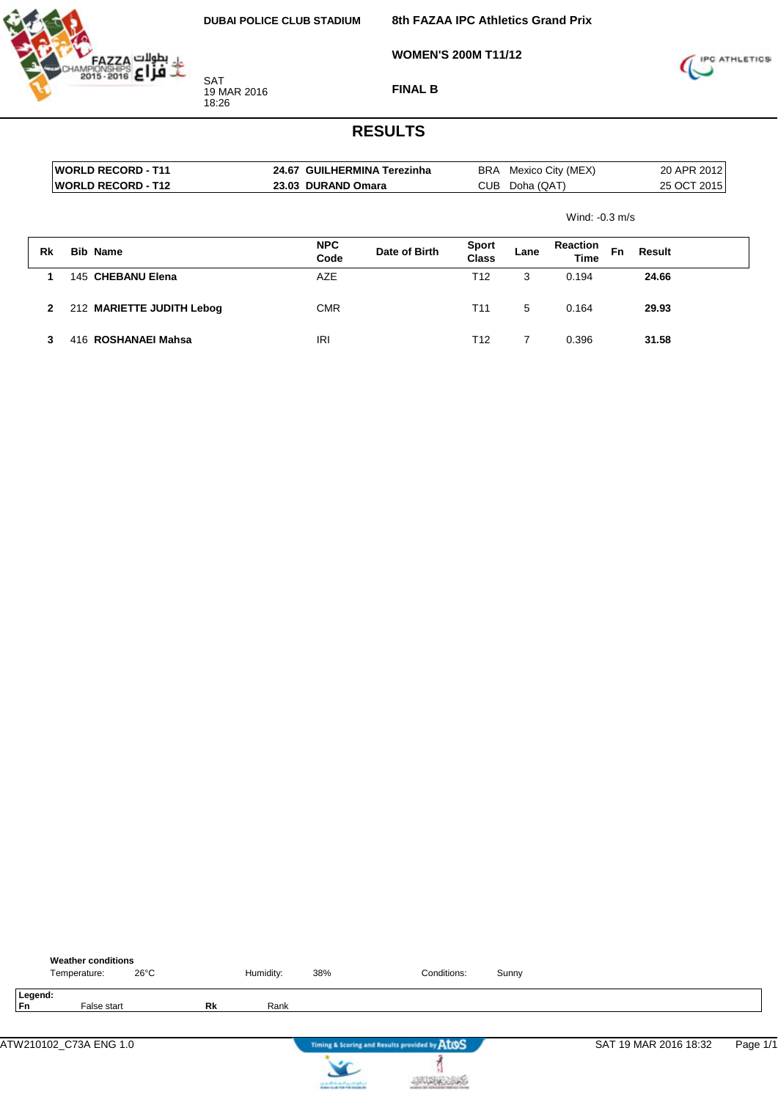

**8th FAZAA IPC Athletics Grand Prix**

**WOMEN'S 200M T11/12**



**FINAL B**

|    | <b>WORLD RECORD - T11</b> | 24.67 GUILHERMINA Terezinha |               | BRA                   |            | Mexico City (MEX)       |             | 20 APR 2012 |  |
|----|---------------------------|-----------------------------|---------------|-----------------------|------------|-------------------------|-------------|-------------|--|
|    | <b>WORLD RECORD - T12</b> | 23.03 DURAND Omara          |               | <b>CUB</b>            | Doha (QAT) |                         | 25 OCT 2015 |             |  |
|    |                           |                             |               |                       |            | Wind: $-0.3$ m/s        |             |             |  |
| Rk | <b>Bib Name</b>           | <b>NPC</b><br>Code          | Date of Birth | <b>Sport</b><br>Class | Lane       | <b>Reaction</b><br>Time | <b>Fn</b>   | Result      |  |
|    | 145 CHEBANU Elena         | AZE                         |               | T <sub>12</sub>       | 3          | 0.194                   |             | 24.66       |  |
| 2  | 212 MARIETTE JUDITH Lebog | <b>CMR</b>                  |               | T <sub>11</sub>       | 5          | 0.164                   |             | 29.93       |  |
| 3  | 416 ROSHANAEI Mahsa       | IRI                         |               | T <sub>12</sub>       | 7          | 0.396                   |             | 31.58       |  |

|                      | <b>Weather conditions</b><br>Temperature: | $26^{\circ}$ C |    | Humidity: | 38%                                 | Conditions:                                   | Sunny |                       |          |
|----------------------|-------------------------------------------|----------------|----|-----------|-------------------------------------|-----------------------------------------------|-------|-----------------------|----------|
| Legend:<br><b>Fn</b> | False start                               |                | Rk | Rank      |                                     |                                               |       |                       |          |
|                      | ATW210102_C73A ENG 1.0                    |                |    |           |                                     | Timing & Scoring and Results provided by AtOS |       | SAT 19 MAR 2016 18:32 | Page 1/1 |
|                      |                                           |                |    |           | since a difference of speeds graves |                                               |       |                       |          |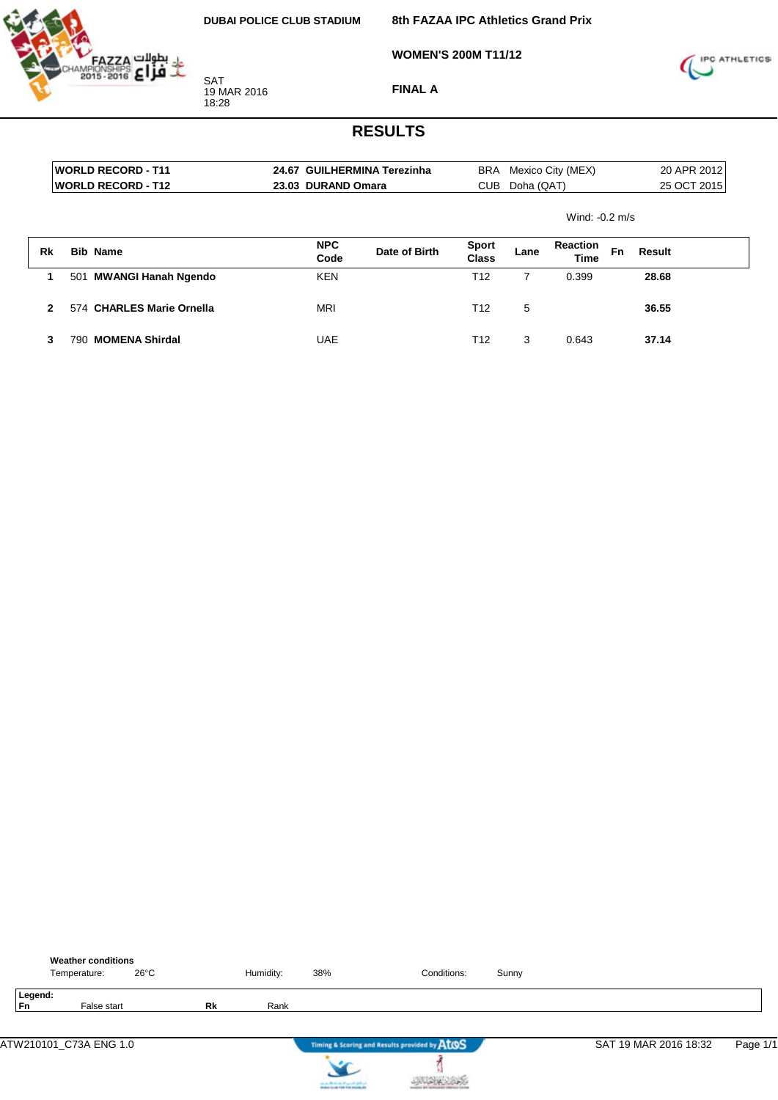

**8th FAZAA IPC Athletics Grand Prix**

**WOMEN'S 200M T11/12**



**FINAL A**

|              |     | <b>WORLD RECORD - T11</b> |                    | 24.67 GUILHERMINA Terezinha |                              |            | BRA Mexico City (MEX)          |             | 20 APR 2012   |  |
|--------------|-----|---------------------------|--------------------|-----------------------------|------------------------------|------------|--------------------------------|-------------|---------------|--|
|              |     | <b>WORLD RECORD - T12</b> | 23.03 DURAND Omara |                             | CUB                          | Doha (QAT) |                                | 25 OCT 2015 |               |  |
|              |     |                           |                    |                             |                              |            | Wind: $-0.2$ m/s               |             |               |  |
| Rk           |     | <b>Bib Name</b>           | <b>NPC</b><br>Code | Date of Birth               | <b>Sport</b><br><b>Class</b> | Lane       | <b>Reaction</b><br><b>Time</b> | Fn          | <b>Result</b> |  |
|              |     | 501 MWANGI Hanah Ngendo   | <b>KEN</b>         |                             | T12                          | 7          | 0.399                          |             | 28.68         |  |
| $\mathbf{2}$ |     | 574 CHARLES Marie Ornella | <b>MRI</b>         |                             | T <sub>12</sub>              | 5          |                                |             | 36.55         |  |
| 3            | 790 | <b>MOMENA Shirdal</b>     | <b>UAE</b>         |                             | T12                          | 3          | 0.643                          |             | 37.14         |  |

|               | <b>Weather conditions</b><br>Temperature: | $26^{\circ}$ C |    | Humidity: | 38%                                                                                      | Conditions:                                   | Sunny |                       |          |
|---------------|-------------------------------------------|----------------|----|-----------|------------------------------------------------------------------------------------------|-----------------------------------------------|-------|-----------------------|----------|
| Legend:<br>Fn | False start                               |                | Rk | Rank      |                                                                                          |                                               |       |                       |          |
|               | ATW210101_C73A ENG 1.0                    |                |    |           |                                                                                          | Timing & Scoring and Results provided by AtOS |       | SAT 19 MAR 2016 18:32 | Page 1/1 |
|               |                                           |                |    |           | <b>Country Photo and Country Street Ave</b><br>Doctor Country First Trail Indianas. All- |                                               |       |                       |          |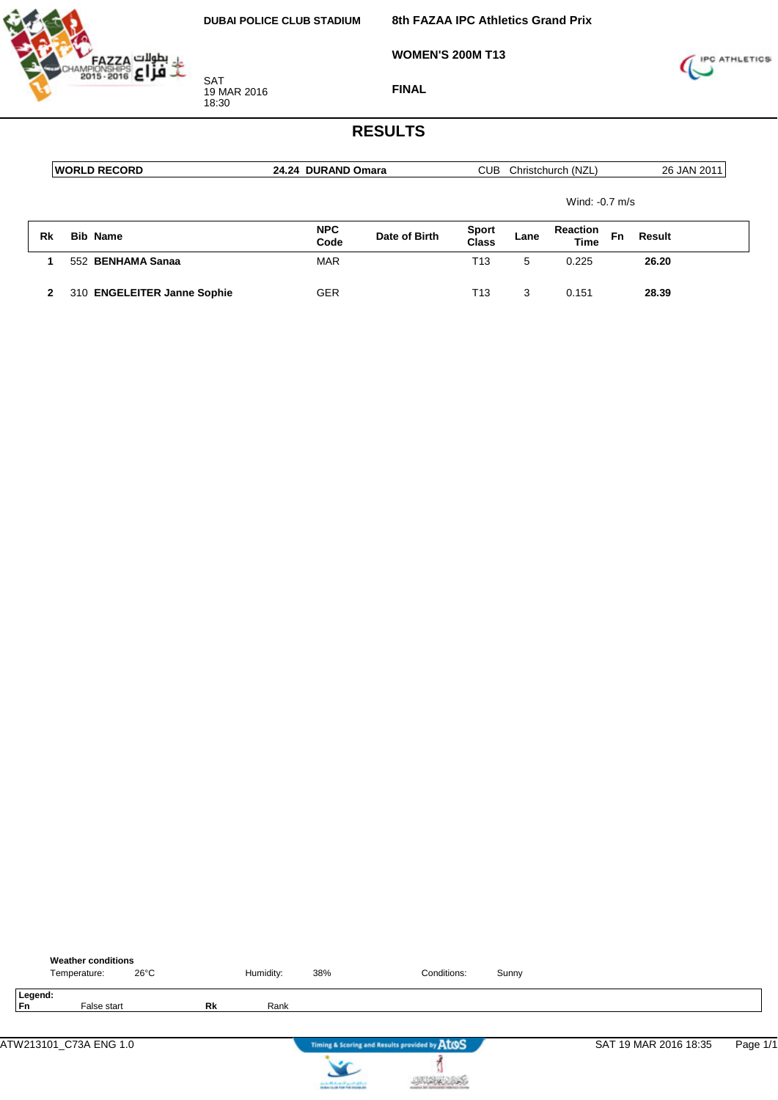

**WOMEN'S 200M T13**



**FINAL**

|    | <b>IWORLD RECORD</b>        | 24.24 DURAND Omara |               |                              |      | Christchurch (NZL)             |    | 26 JAN 2011 |  |
|----|-----------------------------|--------------------|---------------|------------------------------|------|--------------------------------|----|-------------|--|
|    |                             | Wind: -0.7 m/s     |               |                              |      |                                |    |             |  |
| Rk | <b>Bib Name</b>             | <b>NPC</b><br>Code | Date of Birth | <b>Sport</b><br><b>Class</b> | Lane | <b>Reaction</b><br><b>Time</b> | Fn | Result      |  |
|    | 552 BENHAMA Sanaa           | <b>MAR</b>         |               | T13                          | 5    | 0.225                          |    | 26.20       |  |
| 2  | 310 ENGELEITER Janne Sophie | <b>GER</b>         |               | T13                          | 3    | 0.151                          |    | 28.39       |  |

|               | <b>Weather conditions</b><br>Temperature: |             | $26^{\circ}$ C |           | Humidity: | 38%                                           | Conditions:                                   | Sunny |                       |          |
|---------------|-------------------------------------------|-------------|----------------|-----------|-----------|-----------------------------------------------|-----------------------------------------------|-------|-----------------------|----------|
| Legend:<br>Fn |                                           | False start |                | <b>Rk</b> | Rank      |                                               |                                               |       |                       |          |
|               | ATW213101_C73A ENG 1.0                    |             |                |           |           |                                               | Timing & Scoring and Results provided by AtOS |       | SAT 19 MAR 2016 18:35 | Page 1/1 |
|               |                                           |             |                |           |           | the state affects on the special products and |                                               |       |                       |          |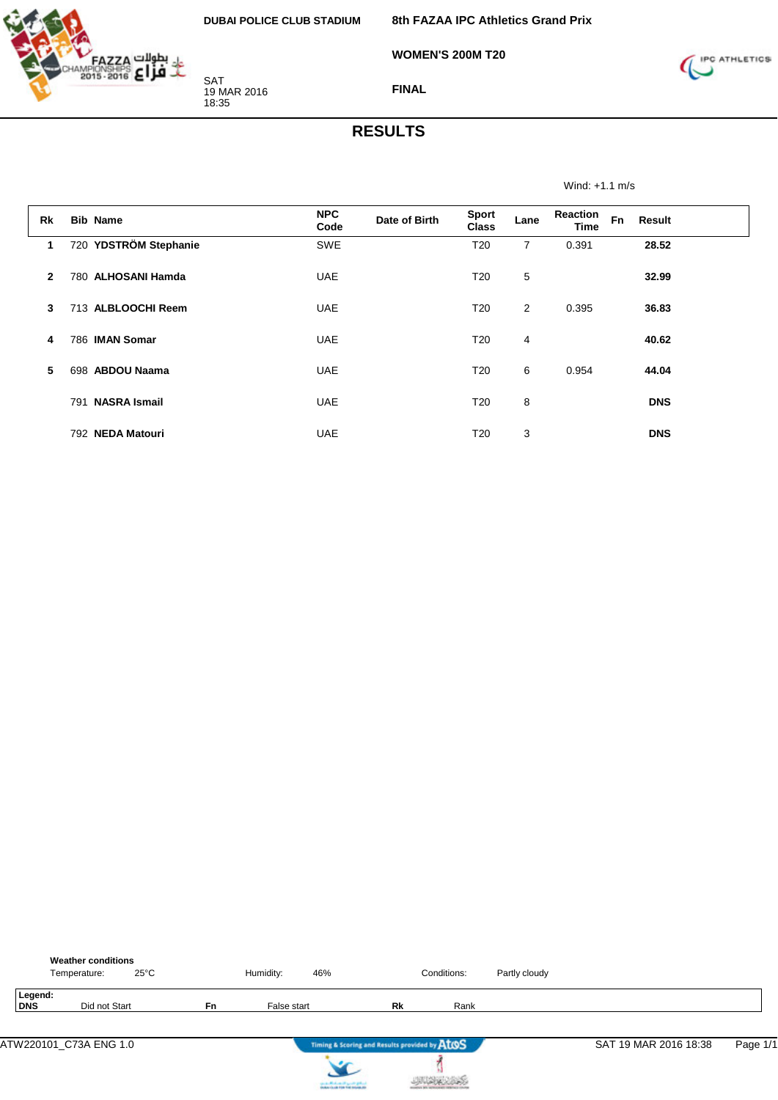

**WOMEN'S 200M T20**



**FINAL**

#### **RESULTS**

Wind: +1.1 m/s

| <b>Rk</b>    | <b>Bib Name</b>       | <b>NPC</b><br>Code | Date of Birth | <b>Sport</b><br><b>Class</b> | Lane           | <b>Reaction</b><br><b>Time</b> | <b>Fn</b> | Result     |
|--------------|-----------------------|--------------------|---------------|------------------------------|----------------|--------------------------------|-----------|------------|
| $\mathbf 1$  | 720 YDSTRÖM Stephanie | SWE                |               | T <sub>20</sub>              | $\overline{7}$ | 0.391                          |           | 28.52      |
| $\mathbf{2}$ | 780 ALHOSANI Hamda    | <b>UAE</b>         |               | T20                          | 5              |                                |           | 32.99      |
| 3            | 713 ALBLOOCHI Reem    | <b>UAE</b>         |               | T <sub>20</sub>              | 2              | 0.395                          |           | 36.83      |
| 4            | 786 IMAN Somar        | <b>UAE</b>         |               | T <sub>20</sub>              | 4              |                                |           | 40.62      |
| 5            | 698 ABDOU Naama       | <b>UAE</b>         |               | T <sub>20</sub>              | 6              | 0.954                          |           | 44.04      |
|              | 791 NASRA Ismail      | <b>UAE</b>         |               | T <sub>20</sub>              | 8              |                                |           | <b>DNS</b> |
|              | 792 NEDA Matouri      | <b>UAE</b>         |               | T <sub>20</sub>              | 3              |                                |           | <b>DNS</b> |

|                       | <b>Weather conditions</b><br>Temperature: | $25^{\circ}$ C |    | Humidity:   | 46%                               |                                               | Conditions: | Partly cloudy |                       |          |
|-----------------------|-------------------------------------------|----------------|----|-------------|-----------------------------------|-----------------------------------------------|-------------|---------------|-----------------------|----------|
| Legend:<br><b>DNS</b> |                                           | Did not Start  | Fn | False start |                                   | Rk                                            | Rank        |               |                       |          |
|                       | ATW220101_C73A ENG 1.0                    |                |    |             |                                   | Timing & Scoring and Results provided by AtOS |             |               | SAT 19 MAR 2016 18:38 | Page 1/1 |
|                       |                                           |                |    |             | country Michael and Locate States |                                               |             |               |                       |          |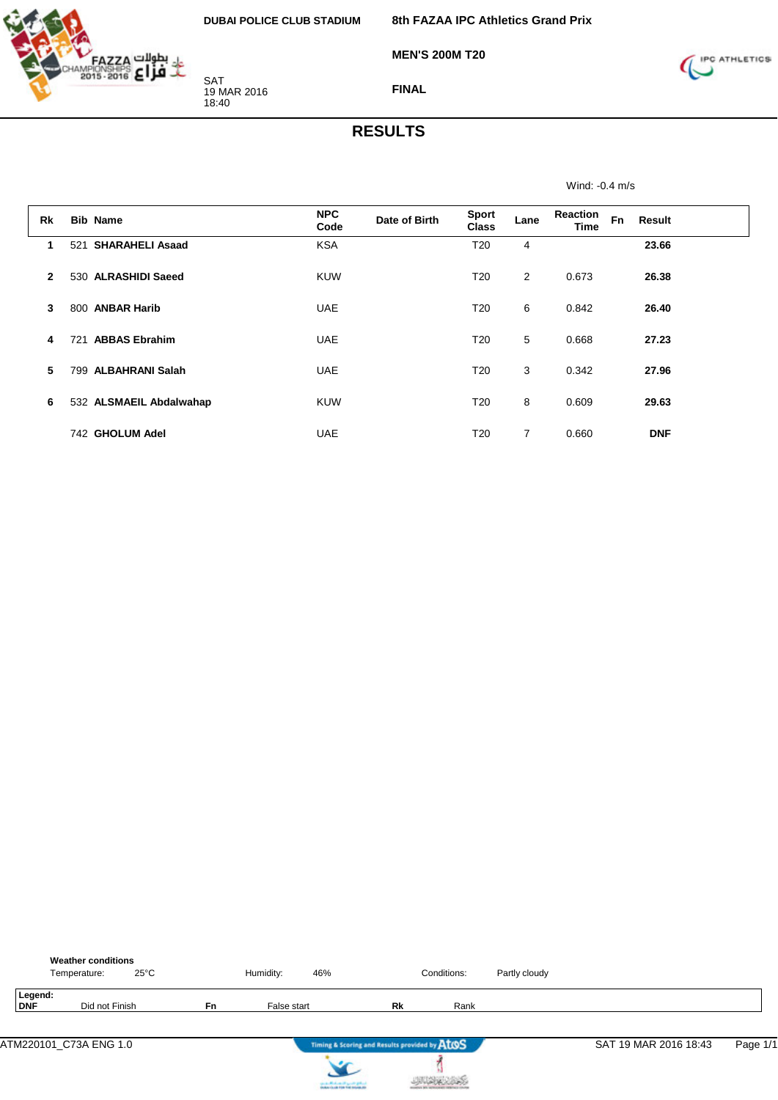

**MEN'S 200M T20**



**FINAL**

#### **RESULTS**

Wind: -0.4 m/s

| <b>Rk</b>    | <b>Bib Name</b>               | <b>NPC</b><br>Code | Date of Birth | <b>Sport</b><br><b>Class</b> | Lane | Reaction<br>Time | <b>Fn</b><br>Result |  |
|--------------|-------------------------------|--------------------|---------------|------------------------------|------|------------------|---------------------|--|
| 1            | <b>SHARAHELI Asaad</b><br>521 | <b>KSA</b>         |               | T20                          | 4    |                  | 23.66               |  |
| $\mathbf{2}$ | 530 ALRASHIDI Saeed           | <b>KUW</b>         |               | T <sub>20</sub>              | 2    | 0.673            | 26.38               |  |
| 3            | 800 ANBAR Harib               | <b>UAE</b>         |               | T <sub>20</sub>              | 6    | 0.842            | 26.40               |  |
| 4            | <b>ABBAS Ebrahim</b><br>721   | <b>UAE</b>         |               | T <sub>20</sub>              | 5    | 0.668            | 27.23               |  |
| 5            | <b>ALBAHRANI Salah</b><br>799 | <b>UAE</b>         |               | T <sub>20</sub>              | 3    | 0.342            | 27.96               |  |
| 6            | 532 ALSMAEIL Abdalwahap       | <b>KUW</b>         |               | T <sub>20</sub>              | 8    | 0.609            | 29.63               |  |
|              | 742 GHOLUM Adel               | <b>UAE</b>         |               | T <sub>20</sub>              | 7    | 0.660            | <b>DNF</b>          |  |

|                       | <b>Weather conditions</b><br>$25^{\circ}$ C<br>Temperature: |    | Humidity:   | 46%                                           | Conditions: | Partly cloudy |                       |          |
|-----------------------|-------------------------------------------------------------|----|-------------|-----------------------------------------------|-------------|---------------|-----------------------|----------|
| Legend:<br><b>DNF</b> | Did not Finish                                              | Fn | False start | Rk                                            | Rank        |               |                       |          |
|                       | ATM220101_C73A ENG 1.0                                      |    |             | Timing & Scoring and Results provided by AtOS |             |               | SAT 19 MAR 2016 18:43 | Page 1/1 |
|                       |                                                             |    |             | country Michael and Locate States             |             |               |                       |          |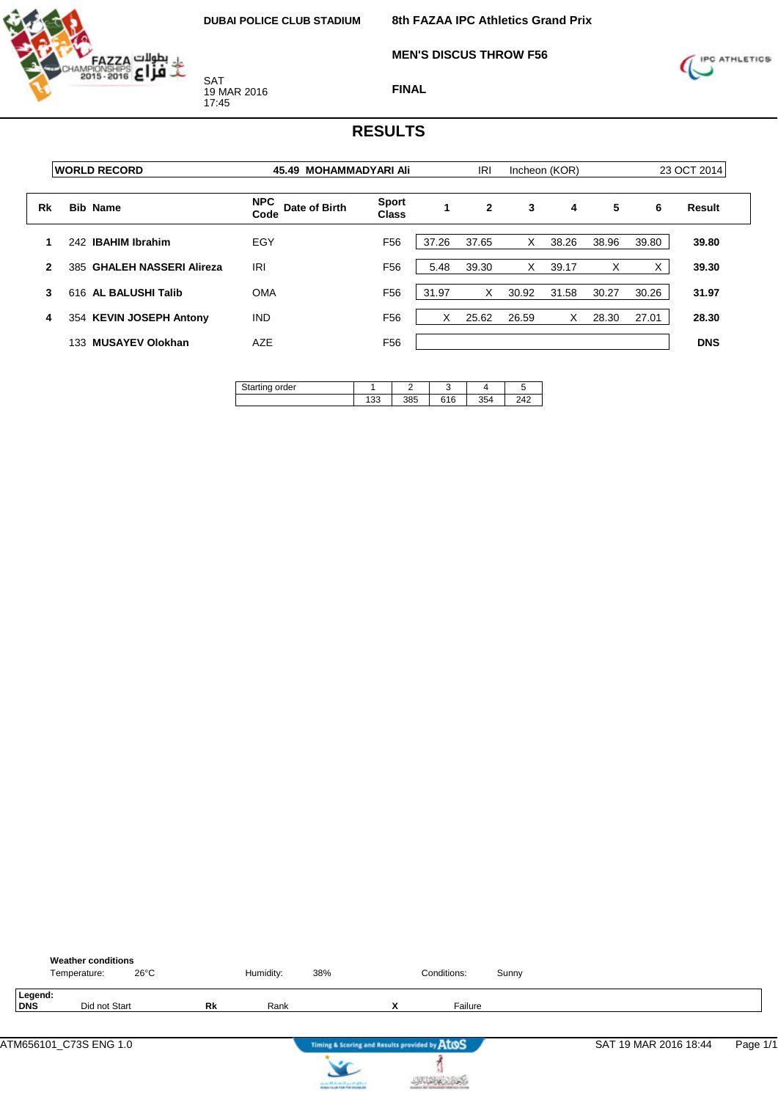**MEN'S DISCUS THROW F56**



SAT 19 MAR 2016 17:45



**FINAL**

| <b>WORLD RECORD</b>            | 45.49 MOHAMMADYARI Ali              |                              | <b>IRI</b> |              |       |       |               |       | 23 OCT 2014 |
|--------------------------------|-------------------------------------|------------------------------|------------|--------------|-------|-------|---------------|-------|-------------|
| <b>Bib Name</b>                | <b>NPC</b><br>Date of Birth<br>Code | <b>Sport</b><br><b>Class</b> | 1          | $\mathbf{2}$ | 3     | 4     | 5             | 6     | Result      |
| <b>IBAHIM Ibrahim</b><br>242   | EGY                                 | F <sub>56</sub>              | 37.26      | 37.65        | X     | 38.26 | 38.96         | 39.80 | 39.80       |
| 385 GHALEH NASSERI Alireza     | <b>IRI</b>                          | F <sub>56</sub>              | 5.48       | 39.30        | X     | 39.17 | X             | X     | 39.30       |
| 616 AL BALUSHI Talib           | <b>OMA</b>                          | F <sub>56</sub>              | 31.97      | X            | 30.92 | 31.58 | 30.27         | 30.26 | 31.97       |
| 354 KEVIN JOSEPH Antony        | <b>IND</b>                          | F <sub>56</sub>              | X          | 25.62        | 26.59 | X     | 28.30         | 27.01 | 28.30       |
| <b>MUSAYEV Olokhan</b><br>133. | AZE                                 | F <sub>56</sub>              |            |              |       |       |               |       | <b>DNS</b>  |
|                                |                                     |                              |            |              |       |       | Incheon (KOR) |       |             |

| order<br>ашк |     |     |     |     |     |
|--------------|-----|-----|-----|-----|-----|
|              | ں ر | 385 | 616 | 354 | 742 |

|                | <b>Weather conditions</b><br>$26^{\circ}$ C<br>Temperature: |           | Humidity: | 38%        |                                               | Conditions: | Sunny |                       |          |
|----------------|-------------------------------------------------------------|-----------|-----------|------------|-----------------------------------------------|-------------|-------|-----------------------|----------|
| Legend:<br>DNS | Did not Start                                               | <b>Rk</b> | Rank      |            | $\checkmark$                                  | Failure     |       |                       |          |
|                | ATM656101 C73S ENG 1.0                                      |           |           | $\epsilon$ | Timing & Scoring and Results provided by ATOS |             |       | SAT 19 MAR 2016 18:44 | Page 1/1 |



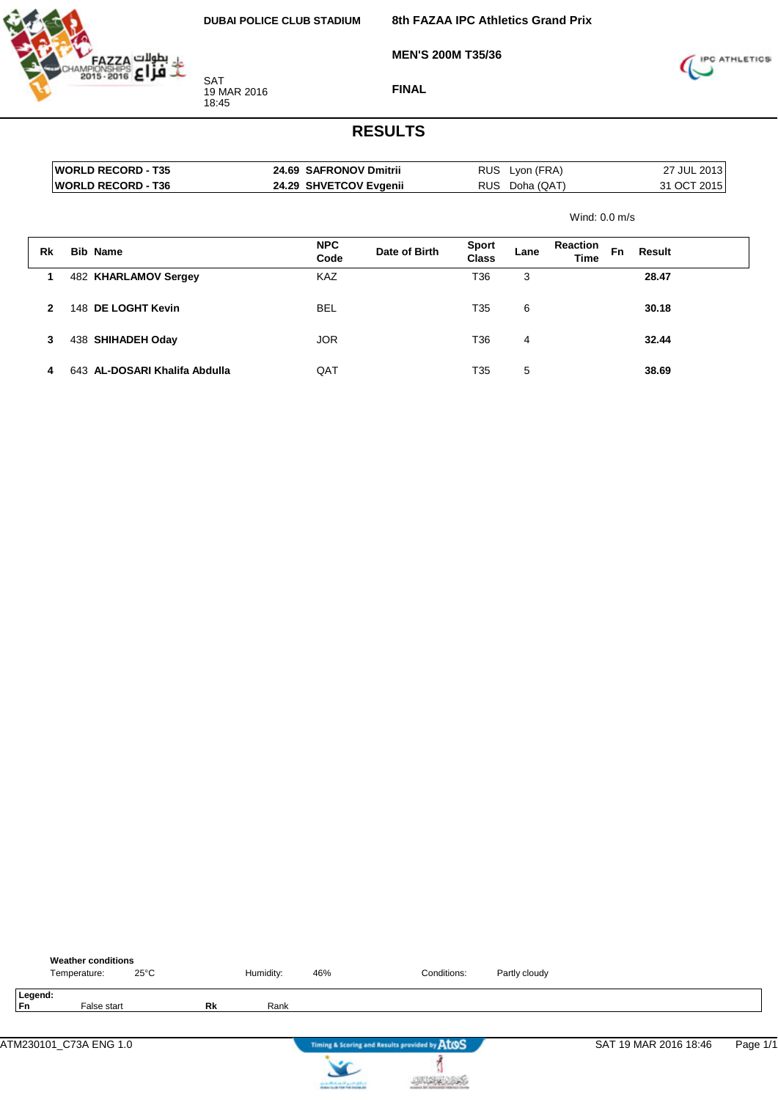

**MEN'S 200M T35/36**

**8th FAZAA IPC Athletics Grand Prix**



**FINAL**

|              | <b>WORLD RECORD - T35</b><br><b>WORLD RECORD - T36</b> | 24.69 SAFRONOV Dmitrii<br>24.29 SHVETCOV Evgenii |               |                              | RUS Lyon (FRA)<br>RUS Doha (QAT) |                         |           | 27 JUL 2013<br>31 OCT 2015 |  |
|--------------|--------------------------------------------------------|--------------------------------------------------|---------------|------------------------------|----------------------------------|-------------------------|-----------|----------------------------|--|
|              |                                                        |                                                  |               |                              |                                  | Wind: $0.0$ m/s         |           |                            |  |
| Rk           | <b>Bib Name</b>                                        | <b>NPC</b><br>Code                               | Date of Birth | <b>Sport</b><br><b>Class</b> | Lane                             | <b>Reaction</b><br>Time | <b>Fn</b> | Result                     |  |
| 1            | 482 KHARLAMOV Sergey                                   | <b>KAZ</b>                                       |               | T36                          | 3                                |                         |           | 28.47                      |  |
| $\mathbf{2}$ | 148 DE LOGHT Kevin                                     | <b>BEL</b>                                       |               | T35                          | 6                                |                         |           | 30.18                      |  |
| 3            | 438 SHIHADEH Oday                                      | <b>JOR</b>                                       |               | T36                          | 4                                |                         |           | 32.44                      |  |
| 4            | 643 AL-DOSARI Khalifa Abdulla                          | QAT                                              |               | T35                          | 5                                |                         |           | 38.69                      |  |

|               | <b>Weather conditions</b><br>Temperature: | $25^{\circ}$ C |    | Humidity: | 46%                               | Conditions:                                   | Partly cloudy |                       |          |
|---------------|-------------------------------------------|----------------|----|-----------|-----------------------------------|-----------------------------------------------|---------------|-----------------------|----------|
| Legend:<br>Fn | False start                               |                | Rk | Rank      |                                   |                                               |               |                       |          |
|               | ATM230101_C73A ENG 1.0                    |                |    |           |                                   | Timing & Scoring and Results provided by AtOS |               | SAT 19 MAR 2016 18:46 | Page 1/1 |
|               |                                           |                |    |           | country Michael and Locate States |                                               |               |                       |          |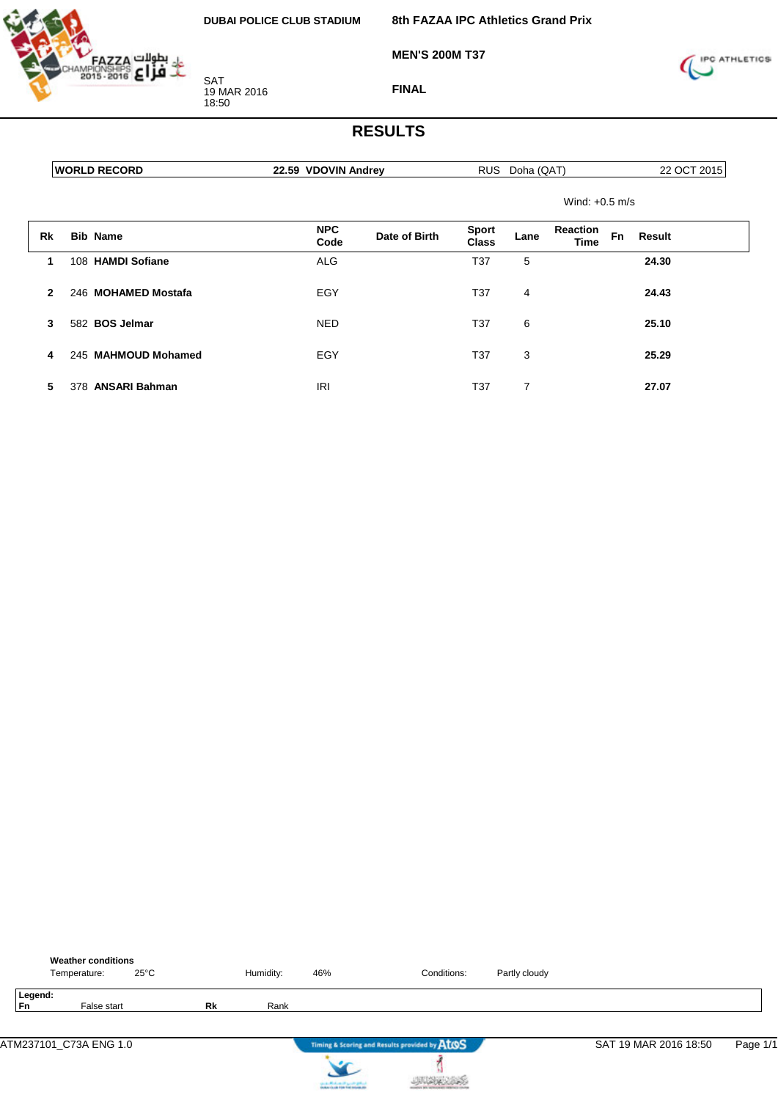

**MEN'S 200M T37**



**FINAL**

|              | <b>WORLD RECORD</b> | 22.59 VDOVIN Andrey |               |                              | RUS Doha (QAT) |                                |           | 22 OCT 2015 |
|--------------|---------------------|---------------------|---------------|------------------------------|----------------|--------------------------------|-----------|-------------|
|              |                     |                     |               |                              |                | Wind: $+0.5$ m/s               |           |             |
| Rk           | <b>Bib Name</b>     | <b>NPC</b><br>Code  | Date of Birth | <b>Sport</b><br><b>Class</b> | Lane           | <b>Reaction</b><br><b>Time</b> | <b>Fn</b> | Result      |
| 1            | 108 HAMDI Sofiane   | <b>ALG</b>          |               | T37                          | 5              |                                |           | 24.30       |
| $\mathbf{2}$ | 246 MOHAMED Mostafa | EGY                 |               | T37                          | 4              |                                |           | 24.43       |
| 3            | 582 BOS Jelmar      | <b>NED</b>          |               | T <sub>37</sub>              | 6              |                                |           | 25.10       |
| 4            | 245 MAHMOUD Mohamed | EGY                 |               | T <sub>37</sub>              | 3              |                                |           | 25.29       |
| 5            | 378 ANSARI Bahman   | <b>IRI</b>          |               | T37                          | 7              |                                |           | 27.07       |

|               | <b>Weather conditions</b><br>Temperature: | $25^{\circ}$ C |    | Humidity: | 46%                               | Conditions:                                   | Partly cloudy |                       |          |
|---------------|-------------------------------------------|----------------|----|-----------|-----------------------------------|-----------------------------------------------|---------------|-----------------------|----------|
| Legend:<br>Fn | False start                               |                | Rk | Rank      |                                   |                                               |               |                       |          |
|               | ATM237101_C73A ENG 1.0                    |                |    |           |                                   | Timing & Scoring and Results provided by AtOS |               | SAT 19 MAR 2016 18:50 | Page 1/1 |
|               |                                           |                |    |           | country Michael and Locate States |                                               |               |                       |          |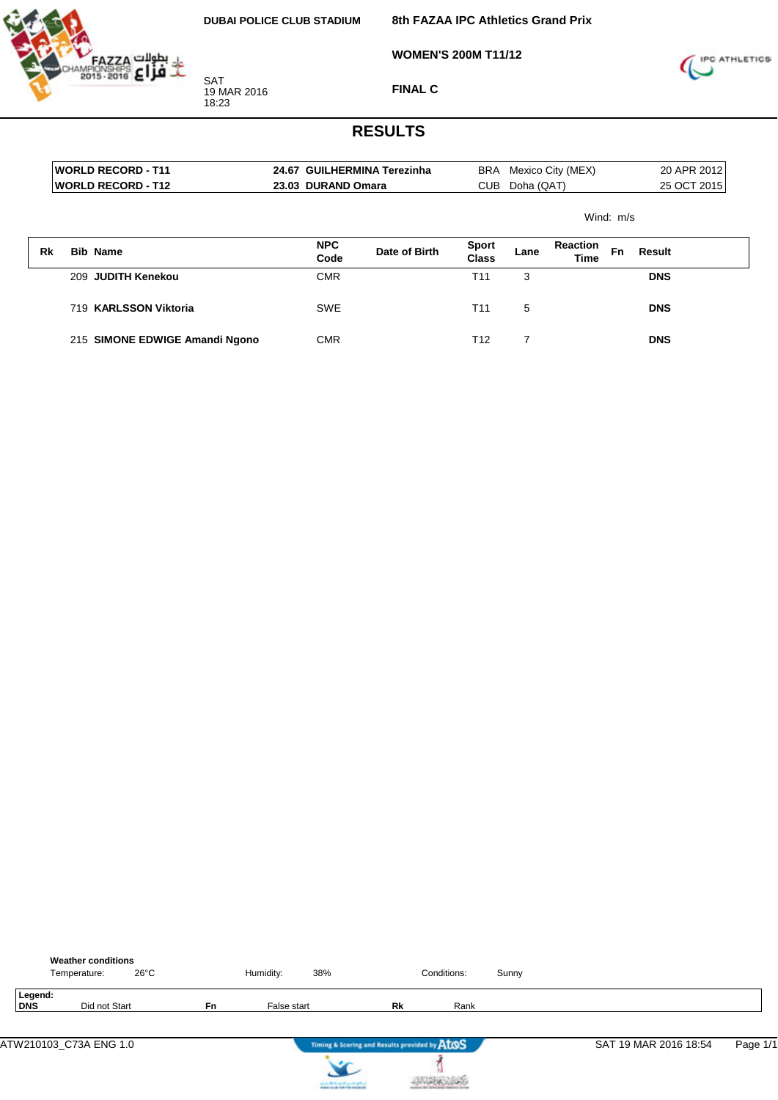

**8th FAZAA IPC Athletics Grand Prix**

**WOMEN'S 200M T11/12**



**FINAL C**

|    | <b>WORLD RECORD - T11</b><br><b>WORLD RECORD - T12</b> | 23.03 DURAND Omara | 24.67 GUILHERMINA Terezinha | CUB                   | Doha (QAT) | BRA Mexico City (MEX)   |           |               | 20 APR 2012<br>25 OCT 2015 |
|----|--------------------------------------------------------|--------------------|-----------------------------|-----------------------|------------|-------------------------|-----------|---------------|----------------------------|
|    |                                                        |                    |                             |                       |            |                         | Wind: m/s |               |                            |
| Rk | <b>Bib Name</b>                                        | <b>NPC</b><br>Code | Date of Birth               | <b>Sport</b><br>Class | Lane       | <b>Reaction</b><br>Time | Fn        | <b>Result</b> |                            |
|    | 209 JUDITH Kenekou                                     | <b>CMR</b>         |                             | T11                   | 3          |                         |           | <b>DNS</b>    |                            |
|    | 719 KARLSSON Viktoria                                  | <b>SWE</b>         |                             | T <sub>11</sub>       | 5          |                         |           | <b>DNS</b>    |                            |
|    | 215 SIMONE EDWIGE Amandi Ngono                         | <b>CMR</b>         |                             | T <sub>12</sub>       | 7          |                         |           | <b>DNS</b>    |                            |

|                | <b>Weather conditions</b><br>$26^{\circ}$ C<br>Temperature: |           | Humidity:   | 38%                                           | Conditions: | Sunny |                       |          |
|----------------|-------------------------------------------------------------|-----------|-------------|-----------------------------------------------|-------------|-------|-----------------------|----------|
| Legend:<br>DNS | Did not Start                                               | <b>Fn</b> | False start | Rk                                            | Rank        |       |                       |          |
|                | ATW210103_C73A ENG 1.0                                      |           |             | Timing & Scoring and Results provided by ATOS |             |       | SAT 19 MAR 2016 18:54 | Page 1/1 |



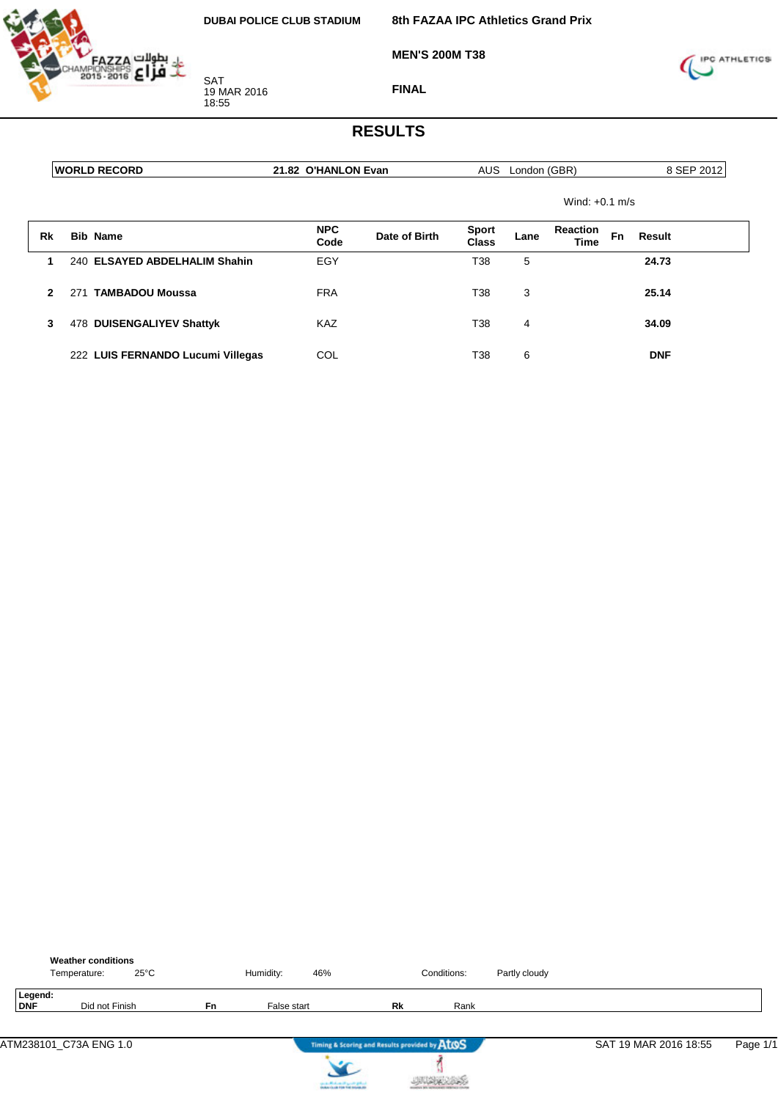

**MEN'S 200M T38**



**FINAL**

|              | <b>WORLD RECORD</b>               | 21.82 O'HANLON Evan |               |                       | AUS London (GBR) |                                |    | 8 SEP 2012    |
|--------------|-----------------------------------|---------------------|---------------|-----------------------|------------------|--------------------------------|----|---------------|
|              |                                   |                     |               |                       |                  | Wind: $+0.1$ m/s               |    |               |
| Rk           | <b>Bib Name</b>                   | <b>NPC</b><br>Code  | Date of Birth | <b>Sport</b><br>Class | Lane             | <b>Reaction</b><br><b>Time</b> | Fn | <b>Result</b> |
| 1            | 240 ELSAYED ABDELHALIM Shahin     | EGY                 |               | T38                   | 5                |                                |    | 24.73         |
| $\mathbf{2}$ | <b>TAMBADOU Moussa</b><br>271     | <b>FRA</b>          |               | T38                   | 3                |                                |    | 25.14         |
| 3            | 478 DUISENGALIYEV Shattyk         | <b>KAZ</b>          |               | T38                   | 4                |                                |    | 34.09         |
|              | 222 LUIS FERNANDO Lucumi Villegas | COL                 |               | T38                   | 6                |                                |    | <b>DNF</b>    |

|                | <b>Weather conditions</b><br>Temperature: | $25^{\circ}$ C |    | Humidity:   | 46%                                           |    | Conditions: | Partly cloudy |                       |          |
|----------------|-------------------------------------------|----------------|----|-------------|-----------------------------------------------|----|-------------|---------------|-----------------------|----------|
| Legend:<br>DNF | Did not Finish                            |                | Fn | False start |                                               | Rk | Rank        |               |                       |          |
|                | ATM238101_C73A ENG 1.0                    |                |    |             | Timing & Scoring and Results provided by AtOS |    |             |               | SAT 19 MAR 2016 18:55 | Page 1/1 |
|                |                                           |                |    |             | <b>CALL ARCHIVES IT LOOKS BANK</b>            |    |             |               |                       |          |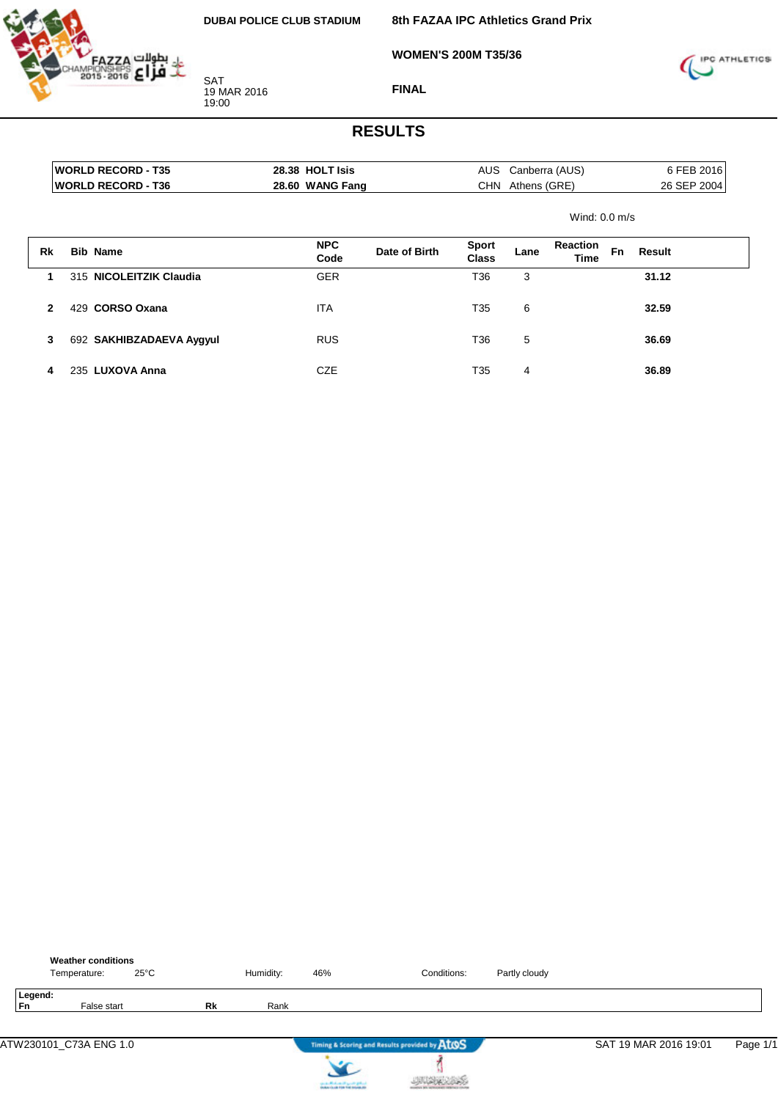**WOMEN'S 200M T35/36**



SAT 19 MAR 2016 19:00



**FINAL**

|              |     | <b>WORLD RECORD - T35</b><br><b>WORLD RECORD - T36</b> | 28.38 HOLT Isis<br>28.60 WANG Fang |               |                              | AUS Canberra (AUS)<br>CHN Athens (GRE) |                         |    | 6 FEB 2016<br>26 SEP 2004 |  |
|--------------|-----|--------------------------------------------------------|------------------------------------|---------------|------------------------------|----------------------------------------|-------------------------|----|---------------------------|--|
|              |     |                                                        |                                    |               |                              |                                        | Wind: $0.0$ m/s         |    |                           |  |
| Rk           |     | <b>Bib Name</b>                                        | <b>NPC</b><br>Code                 | Date of Birth | <b>Sport</b><br><b>Class</b> | Lane                                   | <b>Reaction</b><br>Time | Fn | Result                    |  |
| 1            |     | 315 NICOLEITZIK Claudia                                | <b>GER</b>                         |               | T36                          | 3                                      |                         |    | 31.12                     |  |
| $\mathbf{2}$ | 429 | <b>CORSO Oxana</b>                                     | <b>ITA</b>                         |               | T35                          | 6                                      |                         |    | 32.59                     |  |
| 3            |     | 692 SAKHIBZADAEVA Aygyul                               | <b>RUS</b>                         |               | T36                          | 5                                      |                         |    | 36.69                     |  |
| 4            |     | 235 LUXOVA Anna                                        | <b>CZE</b>                         |               | T35                          | 4                                      |                         |    | 36.89                     |  |

|               | <b>Weather conditions</b><br>$25^{\circ}$ C<br>Temperature: |           | Humidity: | 46% | Conditions:                                   | Partly cloudy |                       |          |
|---------------|-------------------------------------------------------------|-----------|-----------|-----|-----------------------------------------------|---------------|-----------------------|----------|
| Legend:<br>Fn | False start                                                 | <b>Rk</b> | Rank      |     |                                               |               |                       |          |
|               |                                                             |           |           |     |                                               |               |                       |          |
|               | ATW230101_C73A ENG 1.0                                      |           |           |     | Timing & Scoring and Results provided by AtOS |               | SAT 19 MAR 2016 19:01 | Page 1/1 |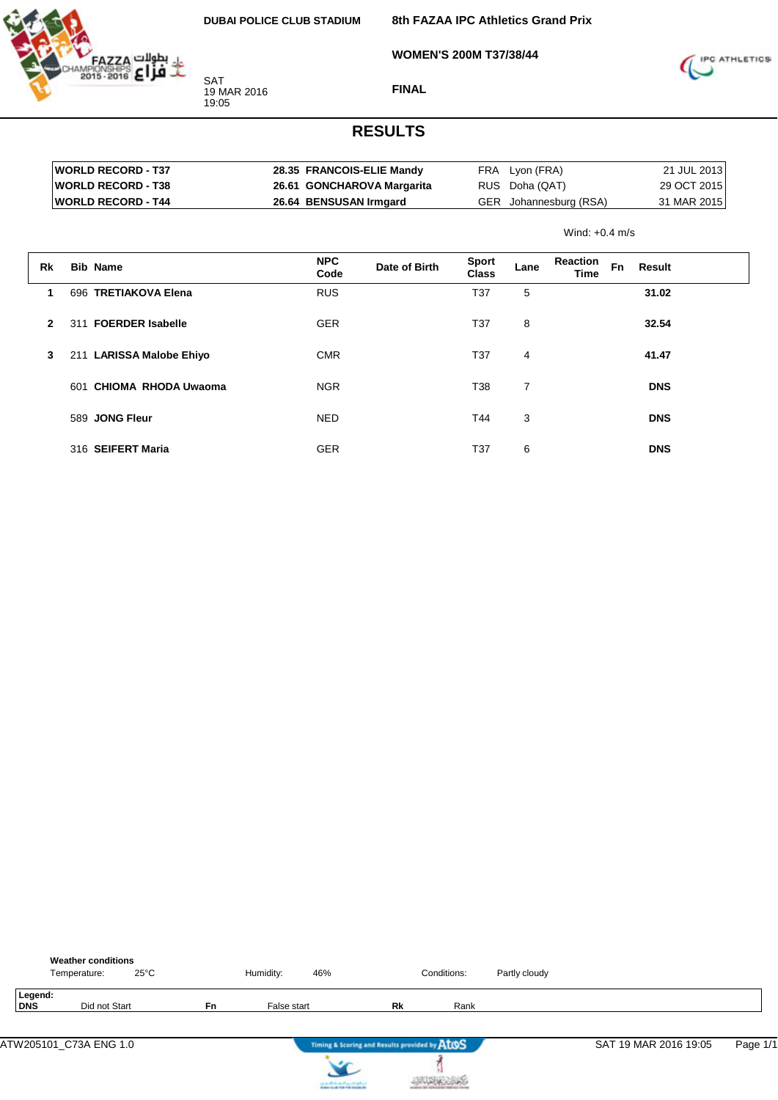

**WOMEN'S 200M T37/38/44**

**8th FAZAA IPC Athletics Grand Prix**



**FINAL**

| <b>IWORLD RECORD - T37</b> | 28.35 FRANCOIS-ELIE Mandy  | FRA Lyon (FRA)         | 21 JUL 2013 |
|----------------------------|----------------------------|------------------------|-------------|
| <b>IWORLD RECORD - T38</b> | 26.61 GONCHAROVA Margarita | RUS Doha (QAT)         | 29 OCT 2015 |
| <b>IWORLD RECORD - T44</b> | 26.64 BENSUSAN Irmgard     | GER Johannesburg (RSA) | 31 MAR 2015 |

|              |     |                          |                    |               | Wind: $+0.4$ m/s      |                |                  |           |            |  |
|--------------|-----|--------------------------|--------------------|---------------|-----------------------|----------------|------------------|-----------|------------|--|
| Rk           |     | <b>Bib Name</b>          | <b>NPC</b><br>Code | Date of Birth | <b>Sport</b><br>Class | Lane           | Reaction<br>Time | <b>Fn</b> | Result     |  |
| 1            |     | 696 TRETIAKOVA Elena     | <b>RUS</b>         |               | T37                   | 5              |                  |           | 31.02      |  |
| $\mathbf{2}$ | 311 | <b>FOERDER Isabelle</b>  | <b>GER</b>         |               | T37                   | 8              |                  |           | 32.54      |  |
| 3            |     | 211 LARISSA Malobe Ehiyo | <b>CMR</b>         |               | T37                   | 4              |                  |           | 41.47      |  |
|              | 601 | CHIOMA RHODA Uwaoma      | <b>NGR</b>         |               | T38                   | $\overline{7}$ |                  |           | <b>DNS</b> |  |
|              |     | 589 JONG Fleur           | <b>NED</b>         |               | T44                   | 3              |                  |           | <b>DNS</b> |  |
|              |     | 316 SEIFERT Maria        | <b>GER</b>         |               | T37                   | 6              |                  |           | <b>DNS</b> |  |

|                | <b>Weather conditions</b><br>Temperature: | $25^{\circ}$ C |    | Humidity:   | 46%                                                                     |                                               | Conditions: | Partly cloudy |                       |          |
|----------------|-------------------------------------------|----------------|----|-------------|-------------------------------------------------------------------------|-----------------------------------------------|-------------|---------------|-----------------------|----------|
| Legend:<br>DNS | Did not Start                             |                | Fn | False start |                                                                         | Rk                                            | Rank        |               |                       |          |
|                | ATW205101_C73A ENG 1.0                    |                |    |             |                                                                         | Timing & Scoring and Results provided by AtOS |             |               | SAT 19 MAR 2016 19:05 | Page 1/1 |
|                |                                           |                |    |             | سراوي وترسي كتبهساسالاسفسن<br><b>A Business College Ford Andrews At</b> |                                               |             |               |                       |          |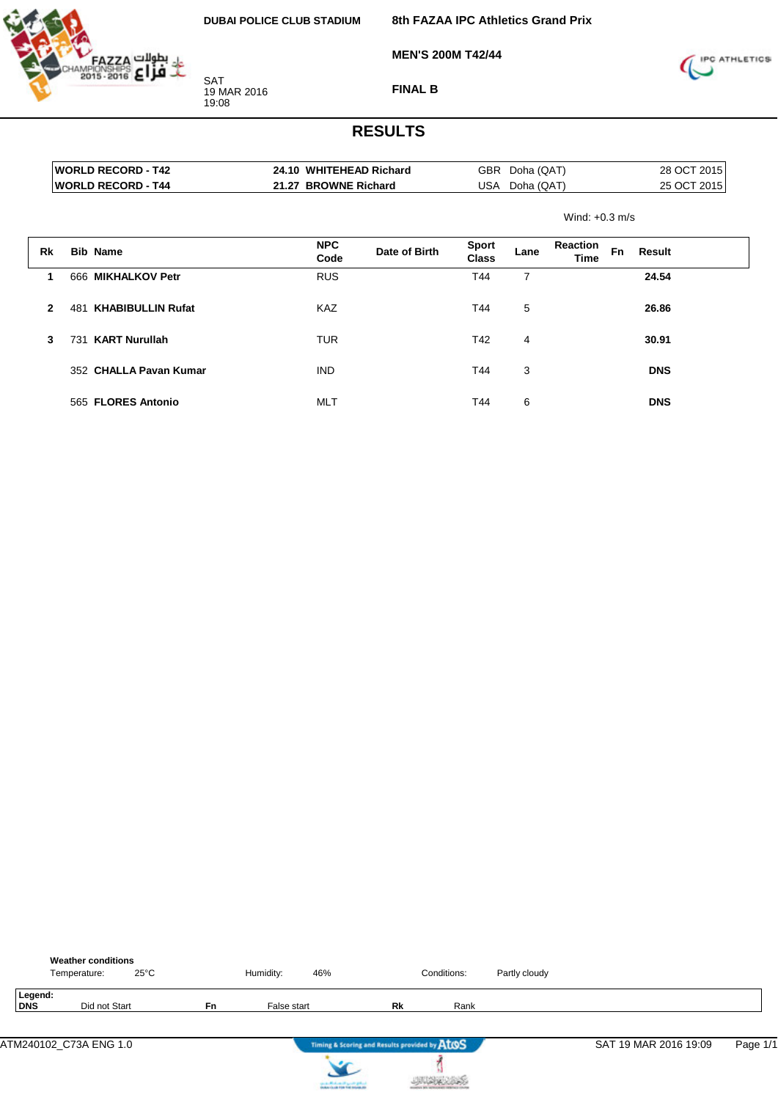

**8th FAZAA IPC Athletics Grand Prix**

**MEN'S 200M T42/44**



**FINAL B**

|    |                     | <b>WORLD RECORD - T42</b> | 24.10 WHITEHEAD Richard |               | GBR                          | Doha (QAT) |                         | 28 OCT 2015 |             |  |
|----|---------------------|---------------------------|-------------------------|---------------|------------------------------|------------|-------------------------|-------------|-------------|--|
|    |                     | <b>WORLD RECORD - T44</b> | 21.27 BROWNE Richard    |               | USA                          | Doha (QAT) |                         |             | 25 OCT 2015 |  |
|    |                     |                           |                         |               |                              |            | Wind: $+0.3$ m/s        |             |             |  |
| Rk |                     | <b>Bib Name</b>           | <b>NPC</b><br>Code      | Date of Birth | <b>Sport</b><br><b>Class</b> | Lane       | <b>Reaction</b><br>Time | Fn          | Result      |  |
| 1  |                     | 666 MIKHALKOV Petr        | <b>RUS</b>              |               | T44                          | 7          |                         |             | 24.54       |  |
|    | $\mathbf{2}$<br>481 | <b>KHABIBULLIN Rufat</b>  | <b>KAZ</b>              |               | T44                          | 5          |                         |             | 26.86       |  |
|    | 3<br>731            | <b>KART Nurullah</b>      | <b>TUR</b>              |               | T42                          | 4          |                         |             | 30.91       |  |
|    |                     | 352 CHALLA Pavan Kumar    | <b>IND</b>              |               | T44                          | 3          |                         |             | <b>DNS</b>  |  |
|    |                     | 565 FLORES Antonio        | <b>MLT</b>              |               | T44                          | 6          |                         |             | <b>DNS</b>  |  |

|                       | <b>Weather conditions</b><br>Temperature: | $25^{\circ}$ C |           | Humidity:   | 46%                                           |    | Conditions: | Partly cloudy |                       |          |
|-----------------------|-------------------------------------------|----------------|-----------|-------------|-----------------------------------------------|----|-------------|---------------|-----------------------|----------|
| Legend:<br><b>DNS</b> | Did not Start                             |                | <b>Fn</b> | False start |                                               | Rk | Rank        |               |                       |          |
|                       | ATM240102_C73A ENG 1.0                    |                |           |             | Timing & Scoring and Results provided by AtOS |    |             |               | SAT 19 MAR 2016 19:09 | Page 1/1 |
|                       |                                           |                |           |             | country Michael and Locate States             |    |             |               |                       |          |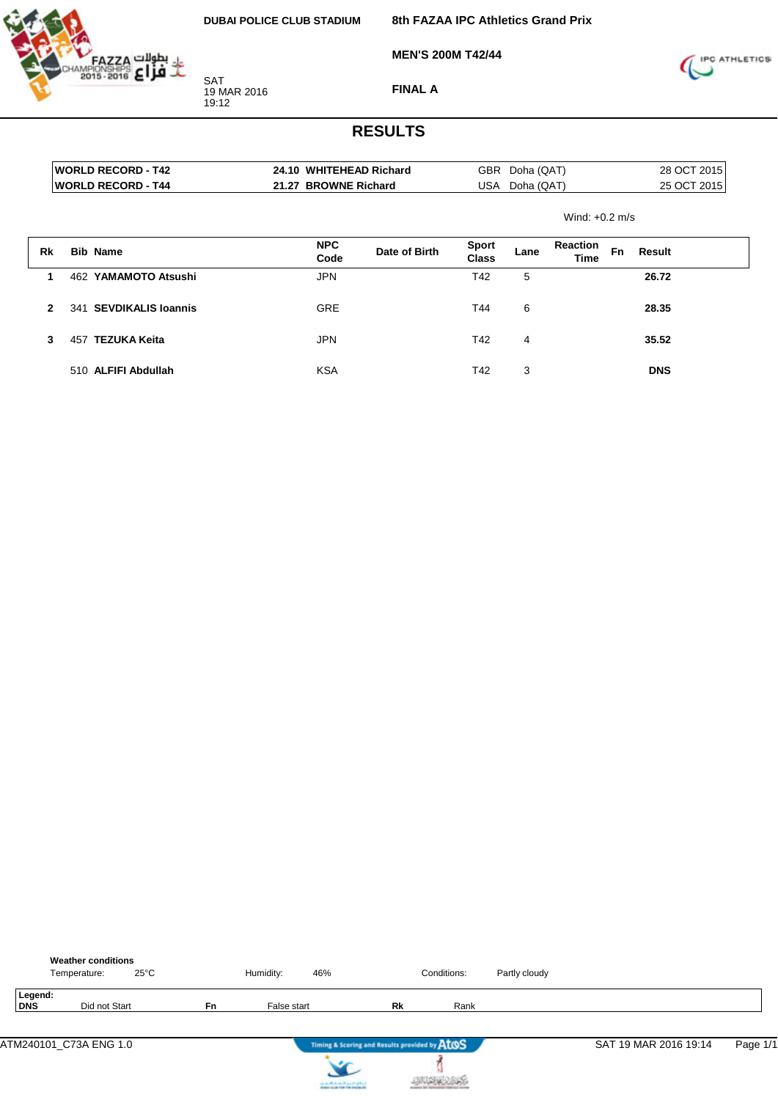

**MEN'S 200M T42/44**

SAT 19 MAR 2016 19:12

**FINAL A**



|              | <b>WORLD RECORD - T42</b>        |  | 24.10 WHITEHEAD Richard |               |                              | GBR<br>Doha (QAT) |                                |    | 28 OCT 2015 |  |
|--------------|----------------------------------|--|-------------------------|---------------|------------------------------|-------------------|--------------------------------|----|-------------|--|
|              | <b>WORLD RECORD - T44</b>        |  | 21.27 BROWNE Richard    |               | USA                          | Doha (QAT)        |                                |    | 25 OCT 2015 |  |
|              |                                  |  |                         |               |                              |                   | Wind: $+0.2$ m/s               |    |             |  |
| Rk           | <b>Bib Name</b>                  |  | <b>NPC</b><br>Code      | Date of Birth | <b>Sport</b><br><b>Class</b> | Lane              | <b>Reaction</b><br><b>Time</b> | Fn | Result      |  |
|              | YAMAMOTO Atsushi<br>462          |  | <b>JPN</b>              |               | T42                          | 5                 |                                |    | 26.72       |  |
| $\mathbf{2}$ | <b>SEVDIKALIS Ioannis</b><br>341 |  | <b>GRE</b>              |               | T44                          | 6                 |                                |    | 28.35       |  |
| 3            | <b>TEZUKA Keita</b><br>457       |  | <b>JPN</b>              |               | T42                          | 4                 |                                |    | 35.52       |  |
|              | 510 ALFIFI Abdullah              |  | <b>KSA</b>              |               | T42                          | 3                 |                                |    | <b>DNS</b>  |  |

|                       | <b>Weather conditions</b><br>Temperature: | $25^{\circ}$ C |    | Humidity:   | 46%                               |                                               | Conditions: | Partly cloudy |                       |          |
|-----------------------|-------------------------------------------|----------------|----|-------------|-----------------------------------|-----------------------------------------------|-------------|---------------|-----------------------|----------|
| Legend:<br><b>DNS</b> |                                           | Did not Start  | Fn | False start |                                   | Rk                                            | Rank        |               |                       |          |
|                       | ATM240101_C73A ENG 1.0                    |                |    |             |                                   | Timing & Scoring and Results provided by AtOS |             |               | SAT 19 MAR 2016 19:14 | Page 1/1 |
|                       |                                           |                |    |             | country Michael and Locate States |                                               |             |               |                       |          |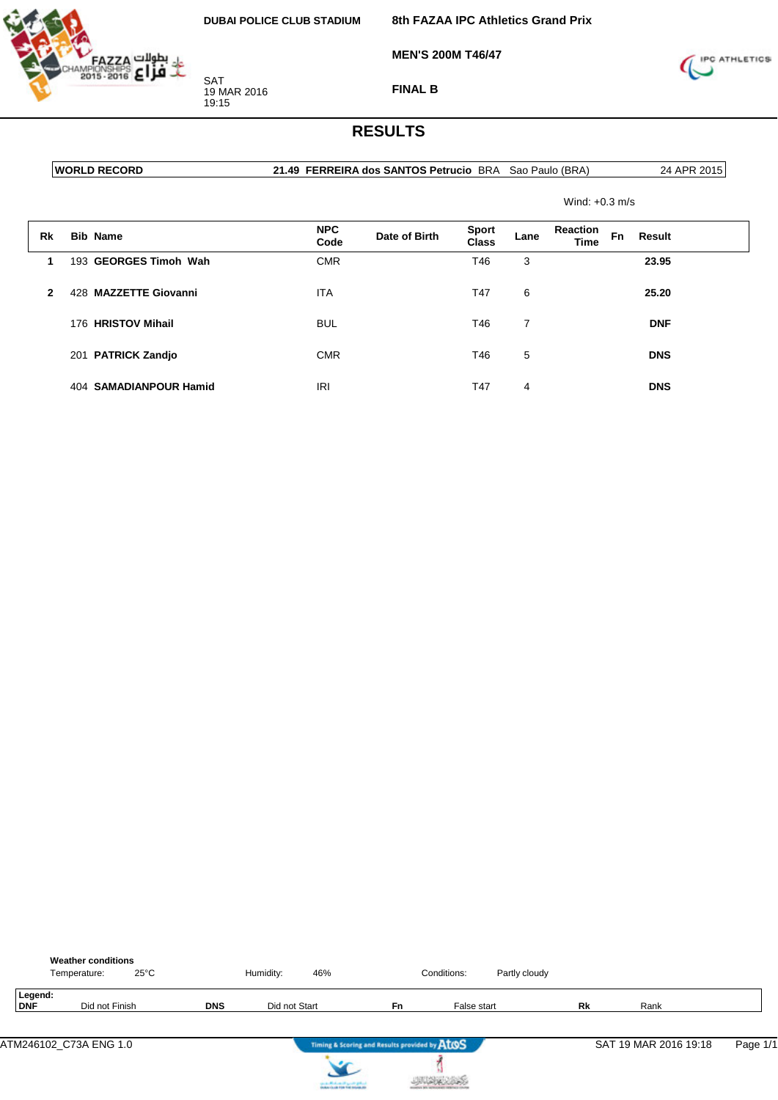

**MEN'S 200M T46/47**

**8th FAZAA IPC Athletics Grand Prix**



**FINAL B**

#### **RESULTS**

**WORLD RECORD 21.49 FERREIRA dos SANTOS Petrucio** BRA Sao Paulo (BRA) 24 APR 2015

Wind: +0.3 m/s

| Rk           | <b>Bib Name</b>                 | <b>NPC</b><br>Code | Date of Birth | <b>Sport</b><br>Class | Lane | <b>Reaction</b><br><b>Time</b> | <b>Fn</b> | Result     |  |
|--------------|---------------------------------|--------------------|---------------|-----------------------|------|--------------------------------|-----------|------------|--|
|              | 193 GEORGES Timoh Wah           | <b>CMR</b>         |               | T46                   | 3    |                                |           | 23.95      |  |
| $\mathbf{2}$ | <b>MAZZETTE Giovanni</b><br>428 | <b>ITA</b>         |               | T47                   | 6    |                                |           | 25.20      |  |
|              | 176 HRISTOV Mihail              | <b>BUL</b>         |               | T46                   | 7    |                                |           | <b>DNF</b> |  |
|              | 201 PATRICK Zandjo              | <b>CMR</b>         |               | T46                   | 5    |                                |           | <b>DNS</b> |  |
|              | 404 SAMADIANPOUR Hamid          | <b>IRI</b>         |               | T47                   | 4    |                                |           | <b>DNS</b> |  |

|                | <b>Weather conditions</b><br>$25^{\circ}$ C<br>Temperature: |            | Humidity:<br>46%                              |                                               | Conditions: | Partly cloudy |    |                       |          |
|----------------|-------------------------------------------------------------|------------|-----------------------------------------------|-----------------------------------------------|-------------|---------------|----|-----------------------|----------|
| Legend:<br>DNF | Did not Finish                                              | <b>DNS</b> | Did not Start                                 | Fn                                            | False start |               | Rk | Rank                  |          |
|                | ATM246102_C73A ENG 1.0                                      |            |                                               | Timing & Scoring and Results provided by AtOS |             |               |    | SAT 19 MAR 2016 19:18 | Page 1/1 |
|                |                                                             |            | the state of the form of the proof of gradual |                                               |             |               |    |                       |          |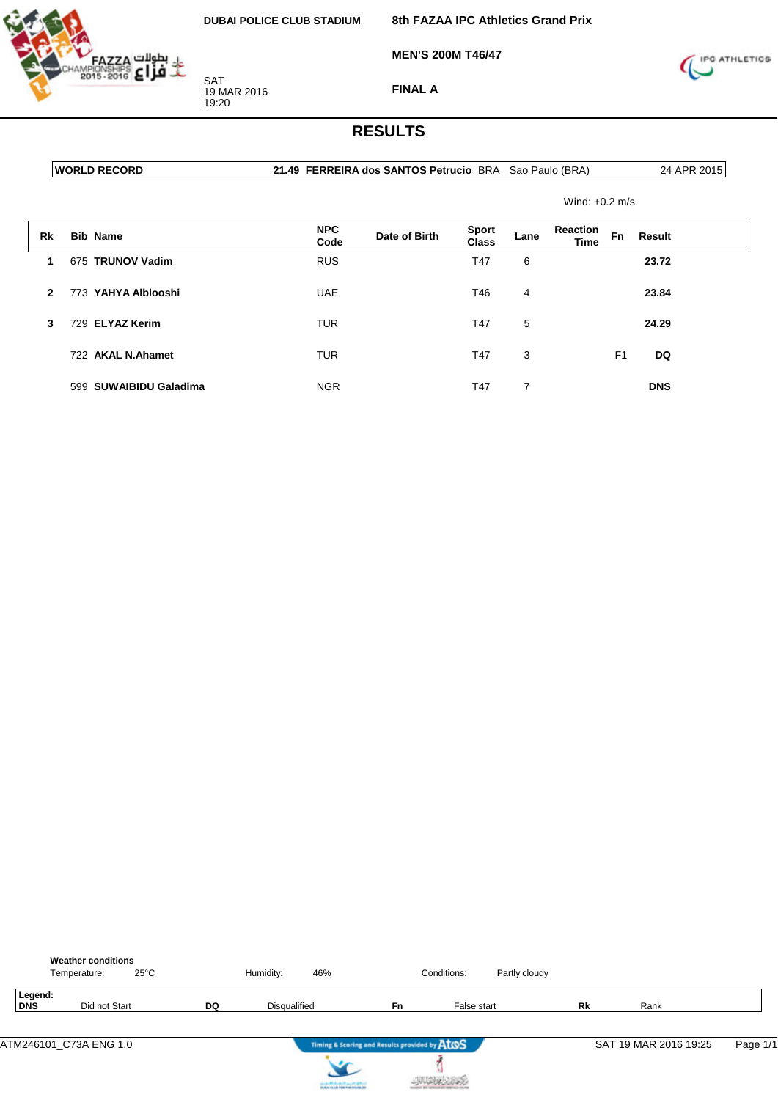**MEN'S 200M T46/47**

**8th FAZAA IPC Athletics Grand Prix**



**FINAL A**

#### **RESULTS**

**WORLD RECORD 21.49 FERREIRA dos SANTOS Petrucio** BRA Sao Paulo (BRA) 24 APR 2015

Wind: +0.2 m/s

| Rk           | <b>Bib Name</b>        | <b>NPC</b><br>Code | Date of Birth | <b>Sport</b><br>Class | Lane | <b>Reaction</b><br><b>Time</b> | Fn             | Result     |  |
|--------------|------------------------|--------------------|---------------|-----------------------|------|--------------------------------|----------------|------------|--|
| 1            | 675 TRUNOV Vadim       | <b>RUS</b>         |               | T47                   | 6    |                                |                | 23.72      |  |
| $\mathbf{2}$ | 773 YAHYA Alblooshi    | <b>UAE</b>         |               | T46                   | 4    |                                |                | 23.84      |  |
| 3            | 729 ELYAZ Kerim        | <b>TUR</b>         |               | T47                   | 5    |                                |                | 24.29      |  |
|              | 722 AKAL N.Ahamet      | <b>TUR</b>         |               | T47                   | 3    |                                | F <sub>1</sub> | DQ         |  |
|              | 599 SUWAIBIDU Galadima | <b>NGR</b>         |               | T47                   | 7    |                                |                | <b>DNS</b> |  |

|                       | <b>Weather conditions</b><br>Temperature: | $25^{\circ}$ C |           | Humidity:    | 46% |                                               | Conditions: | Partly cloudy |           |                       |          |
|-----------------------|-------------------------------------------|----------------|-----------|--------------|-----|-----------------------------------------------|-------------|---------------|-----------|-----------------------|----------|
| Legend:<br><b>DNS</b> | Did not Start                             |                | <b>DQ</b> | Disqualified |     | <b>Fn</b>                                     | False start |               | <b>Rk</b> | Rank                  |          |
|                       | ATM246101_C73A ENG 1.0                    |                |           |              |     | Timing & Scoring and Results provided by ATOS |             |               |           | SAT 19 MAR 2016 19:25 | Page 1/1 |



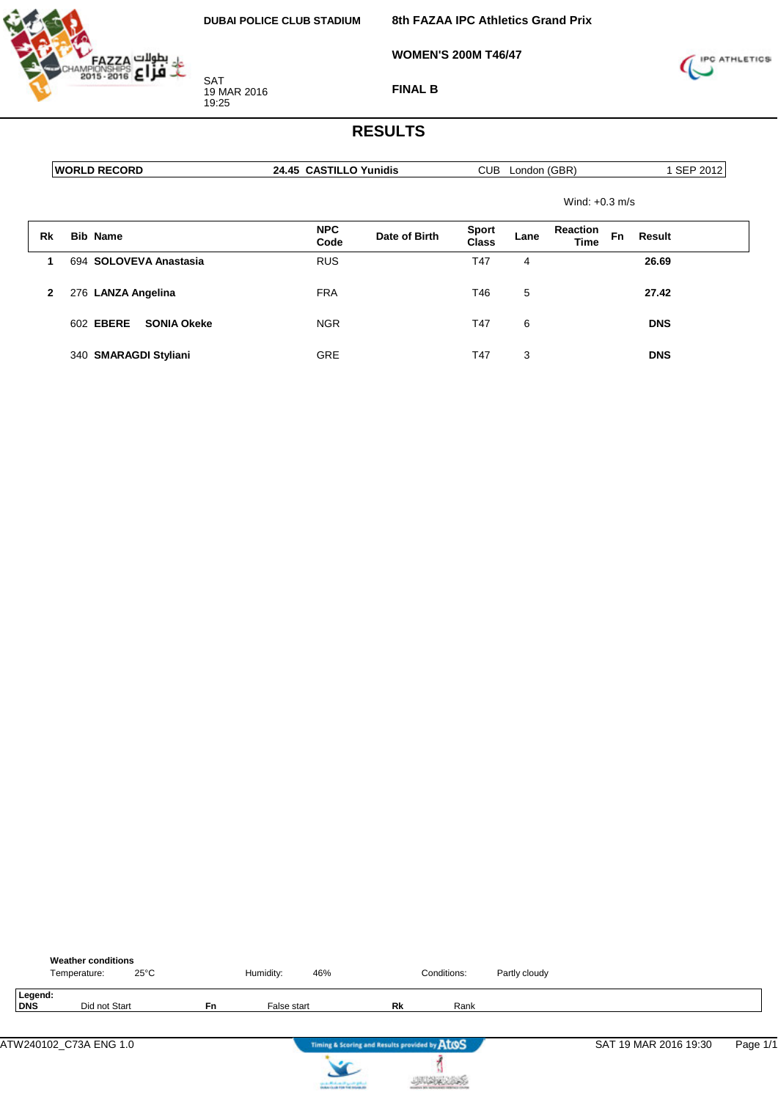

**8th FAZAA IPC Athletics Grand Prix**

**WOMEN'S 200M T46/47**



**FINAL B**

|              | <b>WORLD RECORD</b>                    | 24.45 CASTILLO Yunidis              | CUB London (GBR)                                                  | 1 SEP 2012 |
|--------------|----------------------------------------|-------------------------------------|-------------------------------------------------------------------|------------|
|              |                                        |                                     | Wind: $+0.3$ m/s                                                  |            |
| Rk           | <b>Bib Name</b>                        | <b>NPC</b><br>Date of Birth<br>Code | Reaction<br><b>Sport</b><br>Fn<br>Result<br>Lane<br>Class<br>Time |            |
|              | 694 SOLOVEVA Anastasia                 | <b>RUS</b>                          | T47<br>26.69<br>4                                                 |            |
| $\mathbf{2}$ | 276 LANZA Angelina                     | <b>FRA</b>                          | 5<br>T46<br>27.42                                                 |            |
|              | 602 <b>EBERE</b><br><b>SONIA Okeke</b> | <b>NGR</b>                          | T47<br>6<br><b>DNS</b>                                            |            |
|              | 340 SMARAGDI Styliani                  | <b>GRE</b>                          | T47<br>3<br><b>DNS</b>                                            |            |

|                | <b>Weather conditions</b><br>Temperature: | $25^{\circ}$ C |    | Humidity:   | 46%                                           |    | Conditions: | Partly cloudy |                       |          |
|----------------|-------------------------------------------|----------------|----|-------------|-----------------------------------------------|----|-------------|---------------|-----------------------|----------|
| Legend:<br>DNS | Did not Start                             |                | Fn | False start |                                               | Rk | Rank        |               |                       |          |
|                | ATW240102_C73A ENG 1.0                    |                |    |             | Timing & Scoring and Results provided by AtOS |    |             |               | SAT 19 MAR 2016 19:30 | Page 1/1 |
|                |                                           |                |    |             | can a difference of speeds gallery            |    |             |               |                       |          |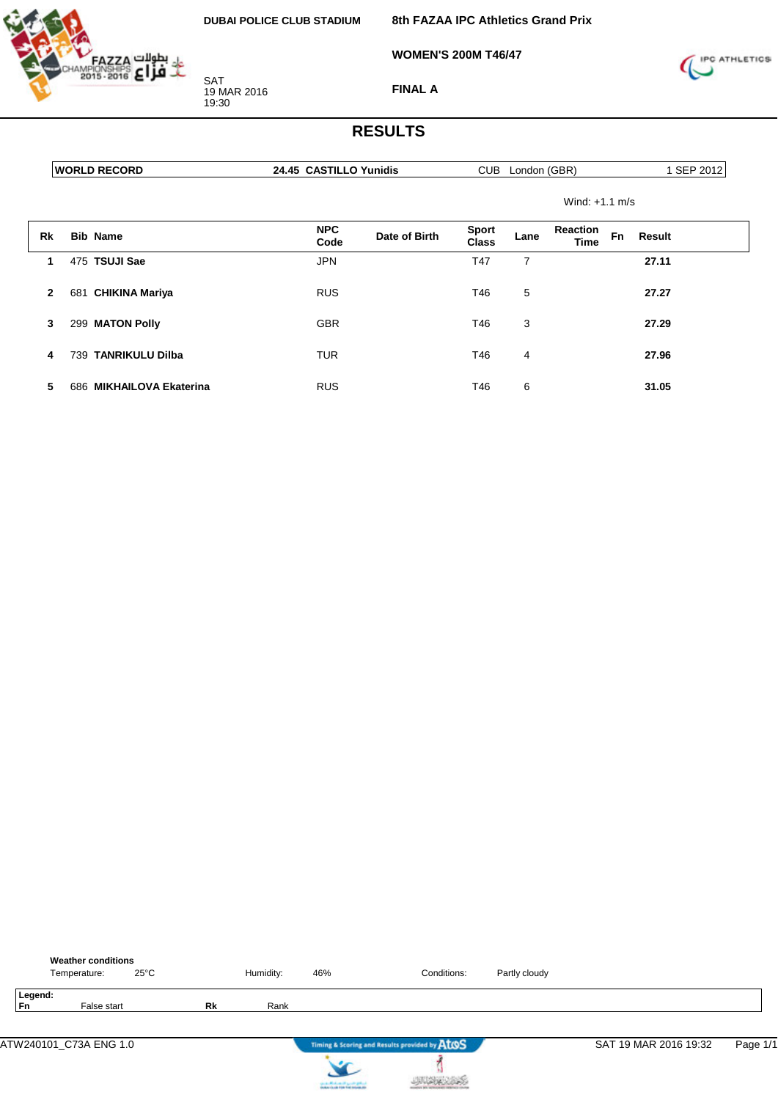

**8th FAZAA IPC Athletics Grand Prix**

**WOMEN'S 200M T46/47**



**FINAL A**

|              | <b>WORLD RECORD</b>      |                    | 24.45 CASTILLO Yunidis |                              |      | CUB London (GBR)               |           | 1 SEP 2012 |  |
|--------------|--------------------------|--------------------|------------------------|------------------------------|------|--------------------------------|-----------|------------|--|
|              |                          |                    |                        |                              |      | Wind: $+1.1$ m/s               |           |            |  |
| Rk           | <b>Bib Name</b>          | <b>NPC</b><br>Code | Date of Birth          | <b>Sport</b><br><b>Class</b> | Lane | <b>Reaction</b><br><b>Time</b> | <b>Fn</b> | Result     |  |
| 1            | 475 TSUJI Sae            | <b>JPN</b>         |                        | T47                          | 7    |                                |           | 27.11      |  |
| $\mathbf{2}$ | 681 CHIKINA Mariya       | <b>RUS</b>         |                        | T46                          | 5    |                                |           | 27.27      |  |
| 3            | 299 MATON Polly          | <b>GBR</b>         |                        | T46                          | 3    |                                |           | 27.29      |  |
| 4            | 739 TANRIKULU Dilba      | <b>TUR</b>         |                        | T46                          | 4    |                                |           | 27.96      |  |
| 5            | 686 MIKHAILOVA Ekaterina | <b>RUS</b>         |                        | T46                          | 6    |                                |           | 31.05      |  |

|               | <b>Weather conditions</b><br>Temperature: | $25^{\circ}$ C |    | Humidity: | 46%                               | Conditions:                                   | Partly cloudy |                       |          |
|---------------|-------------------------------------------|----------------|----|-----------|-----------------------------------|-----------------------------------------------|---------------|-----------------------|----------|
| Legend:<br>Fn | False start                               |                | Rk | Rank      |                                   |                                               |               |                       |          |
|               | ATW240101_C73A ENG 1.0                    |                |    |           |                                   | Timing & Scoring and Results provided by AtOS |               | SAT 19 MAR 2016 19:32 | Page 1/1 |
|               |                                           |                |    |           | country Michael and Locate States |                                               |               |                       |          |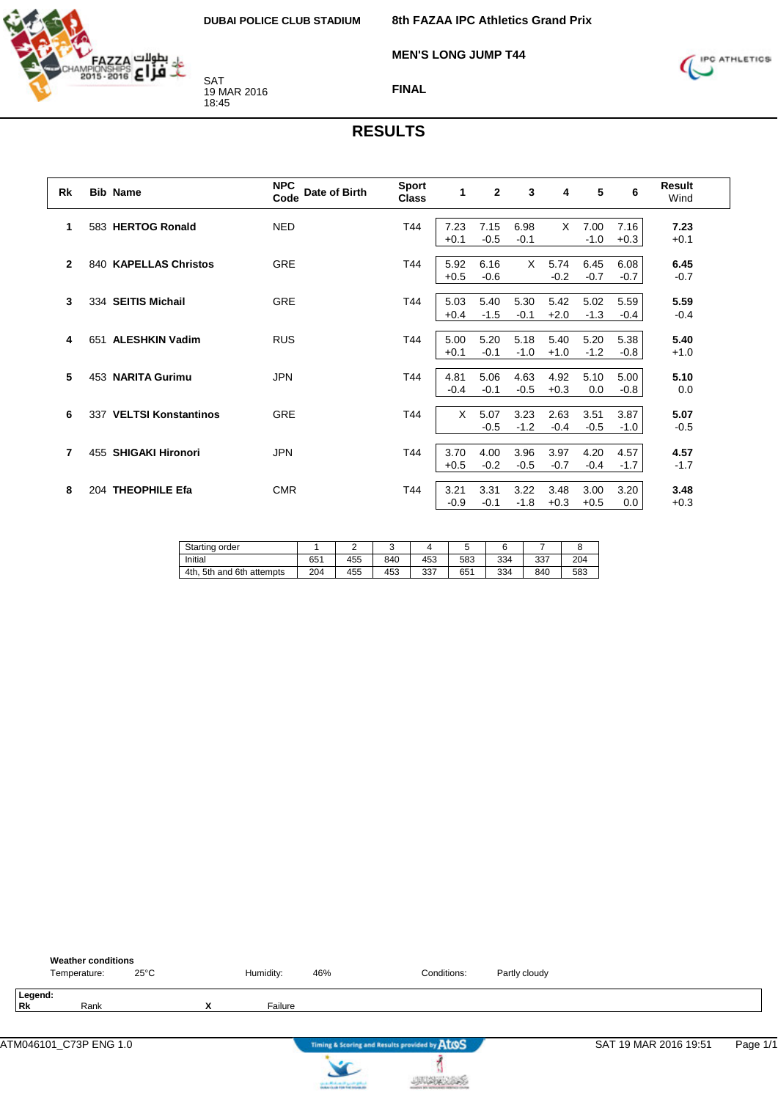

**MEN'S LONG JUMP T44**



**FINAL**

| <b>Rk</b>      |     | <b>Bib Name</b>         | <b>NPC</b><br>Date of Birth<br>Code | <b>Sport</b><br><b>Class</b> | 1              | $\mathbf{2}$   | 3              | 4              | 5              | 6              | Result<br>Wind |
|----------------|-----|-------------------------|-------------------------------------|------------------------------|----------------|----------------|----------------|----------------|----------------|----------------|----------------|
| 1              |     | 583 HERTOG Ronald       | <b>NED</b>                          | T44                          | 7.23<br>$+0.1$ | 7.15<br>$-0.5$ | 6.98<br>$-0.1$ | X.             | 7.00<br>$-1.0$ | 7.16<br>$+0.3$ | 7.23<br>$+0.1$ |
| $\overline{2}$ |     | 840 KAPELLAS Christos   | <b>GRE</b>                          | T44                          | 5.92<br>$+0.5$ | 6.16<br>$-0.6$ | $\times$       | 5.74<br>$-0.2$ | 6.45<br>$-0.7$ | 6.08<br>$-0.7$ | 6.45<br>$-0.7$ |
| 3              |     | 334 SEITIS Michail      | <b>GRE</b>                          | T44                          | 5.03<br>$+0.4$ | 5.40<br>$-1.5$ | 5.30<br>$-0.1$ | 5.42<br>$+2.0$ | 5.02<br>$-1.3$ | 5.59<br>$-0.4$ | 5.59<br>$-0.4$ |
| 4              | 651 | <b>ALESHKIN Vadim</b>   | <b>RUS</b>                          | T44                          | 5.00<br>$+0.1$ | 5.20<br>$-0.1$ | 5.18<br>$-1.0$ | 5.40<br>$+1.0$ | 5.20<br>$-1.2$ | 5.38<br>$-0.8$ | 5.40<br>$+1.0$ |
| 5              |     | 453 NARITA Gurimu       | <b>JPN</b>                          | T44                          | 4.81<br>$-0.4$ | 5.06<br>$-0.1$ | 4.63<br>$-0.5$ | 4.92<br>$+0.3$ | 5.10<br>0.0    | 5.00<br>$-0.8$ | 5.10<br>0.0    |
| 6              |     | 337 VELTSI Konstantinos | <b>GRE</b>                          | T44                          | X              | 5.07<br>$-0.5$ | 3.23<br>$-1.2$ | 2.63<br>$-0.4$ | 3.51<br>$-0.5$ | 3.87<br>$-1.0$ | 5.07<br>$-0.5$ |
| $\overline{7}$ |     | 455 SHIGAKI Hironori    | <b>JPN</b>                          | T44                          | 3.70<br>$+0.5$ | 4.00<br>$-0.2$ | 3.96<br>$-0.5$ | 3.97<br>$-0.7$ | 4.20<br>$-0.4$ | 4.57<br>$-1.7$ | 4.57<br>$-1.7$ |
| 8              |     | 204 THEOPHILE Efa       | <b>CMR</b>                          | T44                          | 3.21<br>$-0.9$ | 3.31<br>$-0.1$ | 3.22<br>$-1.8$ | 3.48<br>$+0.3$ | 3.00<br>$+0.5$ | 3.20<br>0.0    | 3.48<br>$+0.3$ |

| Starting order              |     |     | ີ   |     |     |     |     |     |
|-----------------------------|-----|-----|-----|-----|-----|-----|-----|-----|
| Initial                     | 651 | 455 | 840 | 453 | 583 | 334 | 337 | 204 |
| 4th<br>5th and 6th attempts | 204 | 455 | 453 | 337 | 651 | 334 | 840 | 583 |

| <b>Weather conditions</b><br>Temperature: | $25^{\circ}$ C |                | Humidity: | 46% | Conditions:                                   | Partly cloudy |                       |          |
|-------------------------------------------|----------------|----------------|-----------|-----|-----------------------------------------------|---------------|-----------------------|----------|
| Legend:<br>Rk<br>Rank                     |                | v<br>$\lambda$ | Failure   |     |                                               |               |                       |          |
|                                           |                |                |           |     | Timing & Scoring and Results provided by AtOS |               | SAT 19 MAR 2016 19:51 | Page 1/1 |
|                                           |                |                |           |     |                                               |               |                       |          |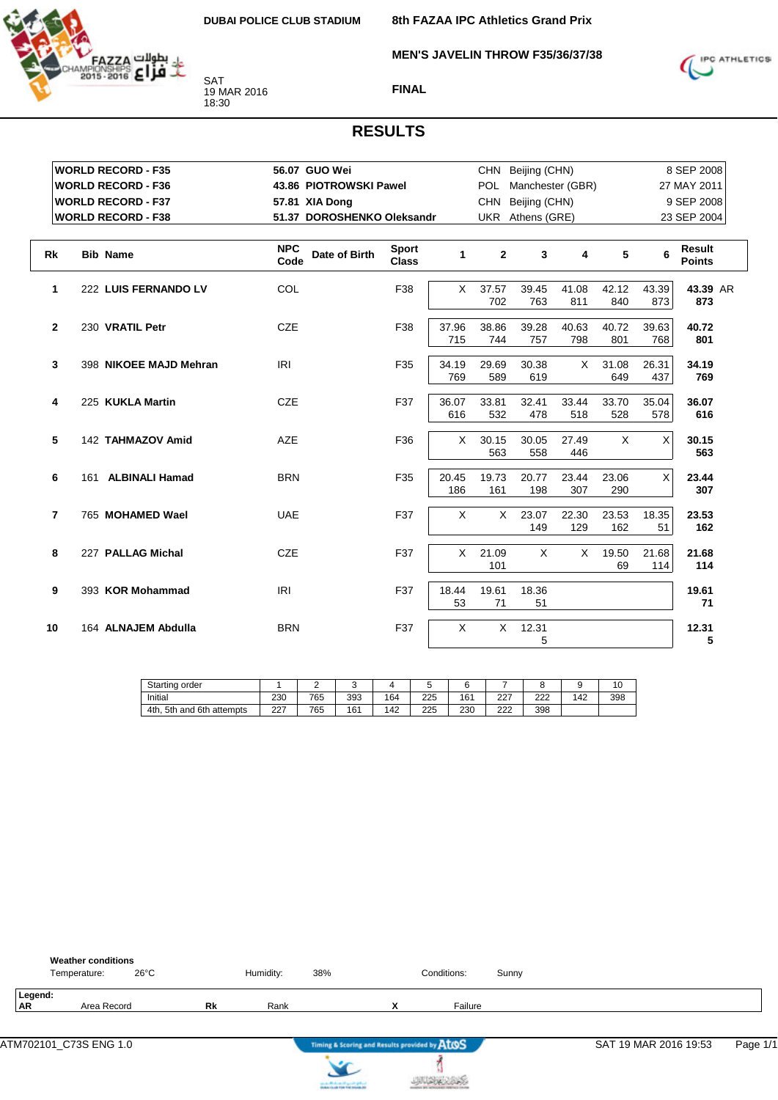**8th FAZAA IPC Athletics Grand Prix MEN'S JAVELIN THROW F35/36/37/38**



**FINAL**

| <b>WORLD RECORD - F35</b>            | 56.07 GUO Wei                       |                              |              |              | CHN Beijing (CHN) |                  |              |              | 8 SEP 2008                     |
|--------------------------------------|-------------------------------------|------------------------------|--------------|--------------|-------------------|------------------|--------------|--------------|--------------------------------|
| <b>WORLD RECORD - F36</b>            | 43.86 PIOTROWSKI Pawel              |                              |              | POL          |                   | Manchester (GBR) |              |              | 27 MAY 2011                    |
| <b>WORLD RECORD - F37</b>            | 57.81 XIA Dong                      |                              |              | <b>CHN</b>   | Beijing (CHN)     |                  |              |              | 9 SEP 2008                     |
| <b>WORLD RECORD - F38</b>            | 51.37 DOROSHENKO Oleksandr          |                              |              |              | UKR Athens (GRE)  |                  |              |              | 23 SEP 2004                    |
|                                      |                                     |                              |              |              |                   |                  |              |              |                                |
| <b>Rk</b><br><b>Bib Name</b>         | <b>NPC</b><br>Date of Birth<br>Code | <b>Sport</b><br><b>Class</b> | 1            | $\mathbf{2}$ | 3                 | 4                | 5            | 6            | <b>Result</b><br><b>Points</b> |
| $\mathbf{1}$<br>222 LUIS FERNANDO LV | COL                                 | F38                          | $\times$     | 37.57<br>702 | 39.45<br>763      | 41.08<br>811     | 42.12<br>840 | 43.39<br>873 | 43.39 AR<br>873                |
| $\mathbf{2}$<br>230 VRATIL Petr      | <b>CZE</b>                          | F38                          | 37.96<br>715 | 38.86<br>744 | 39.28<br>757      | 40.63<br>798     | 40.72<br>801 | 39.63<br>768 | 40.72<br>801                   |
| 3<br>398 NIKOEE MAJD Mehran          | IRI                                 | F35                          | 34.19<br>769 | 29.69<br>589 | 30.38<br>619      | $\times$         | 31.08<br>649 | 26.31<br>437 | 34.19<br>769                   |
| 225 KUKLA Martin<br>4                | <b>CZE</b>                          | F37                          | 36.07<br>616 | 33.81<br>532 | 32.41<br>478      | 33.44<br>518     | 33.70<br>528 | 35.04<br>578 | 36.07<br>616                   |
| 5<br>142 TAHMAZOV Amid               | <b>AZE</b>                          | F36                          | X            | 30.15<br>563 | 30.05<br>558      | 27.49<br>446     | X            | X            | 30.15<br>563                   |
| 6<br>161 ALBINALI Hamad              | <b>BRN</b>                          | F35                          | 20.45<br>186 | 19.73<br>161 | 20.77<br>198      | 23.44<br>307     | 23.06<br>290 | X            | 23.44<br>307                   |
| $\overline{7}$<br>765 MOHAMED Wael   | <b>UAE</b>                          | F37                          | X            | $\times$     | 23.07<br>149      | 22.30<br>129     | 23.53<br>162 | 18.35<br>51  | 23.53<br>162                   |
| 8<br>227 PALLAG Michal               | <b>CZE</b>                          | F37                          | $\times$     | 21.09<br>101 | $\times$          | X                | 19.50<br>69  | 21.68<br>114 | 21.68<br>114                   |
| 9<br>393 KOR Mohammad                | <b>IRI</b>                          | F37                          | 18.44<br>53  | 19.61<br>71  | 18.36<br>51       |                  |              |              | 19.61<br>71                    |
| 10<br>164 ALNAJEM Abdulla            | <b>BRN</b>                          | F37                          | X            | $\times$     | 12.31<br>5        |                  |              |              | 12.31<br>5                     |

| Starting order                     |            | ▃   |     |     |     |     |              |            |     | 10  |
|------------------------------------|------------|-----|-----|-----|-----|-----|--------------|------------|-----|-----|
| Initial                            | 230        | 765 | 393 | 164 | 225 | 161 | $\sim$<br>∠∠ | י ה<br>∠∠∠ | 142 | 398 |
| and 6th<br>4th.<br>5th<br>attempts | דרר<br>221 | 765 | 161 | '42 | 225 | 230 | הרה<br>∠∠∠   | 398        |     |     |

|                      | <b>Weather conditions</b><br>Temperature: | $26^{\circ}$ C |           | Humidity: | 38% | Conditions: | Sunny |
|----------------------|-------------------------------------------|----------------|-----------|-----------|-----|-------------|-------|
| Legend:<br><b>AR</b> | Area Record                               |                | <b>Rk</b> | Rank      |     | Failure     |       |
|                      |                                           |                |           |           |     |             |       |



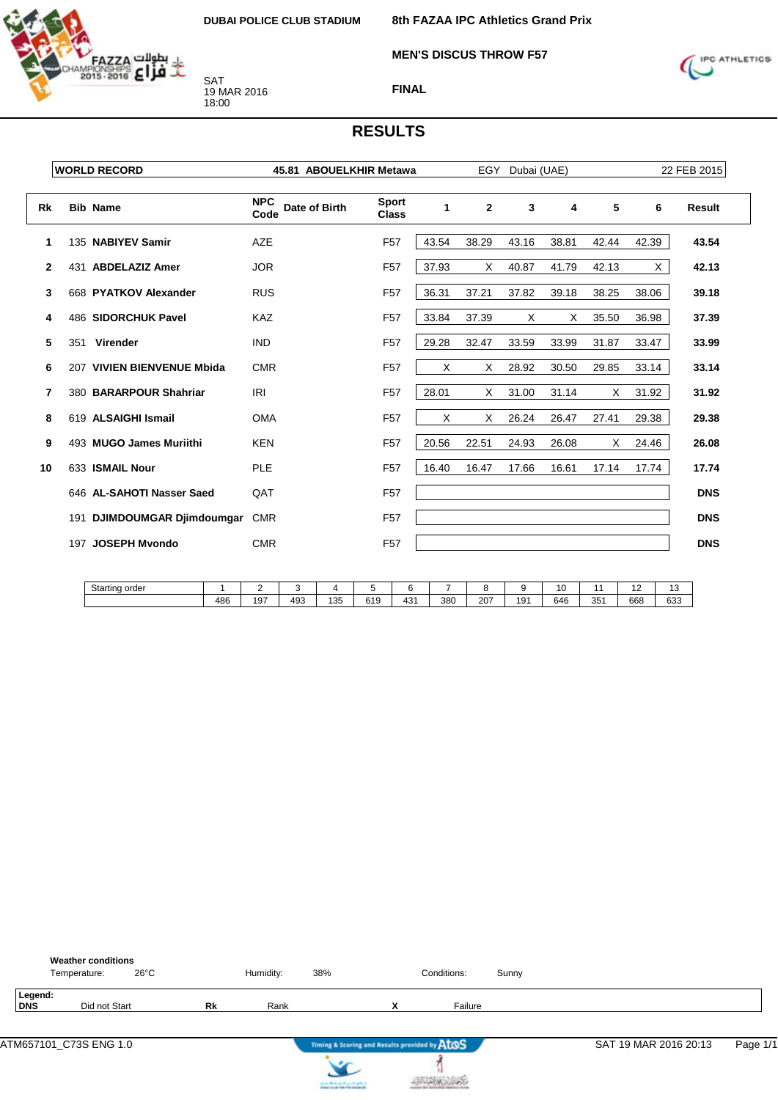

**MEN'S DISCUS THROW F57**



#### **FINAL**

|              |     | <b>WORLD RECORD</b>         | 45.81 ABOUELKHIR Metawa             |                              |       | EGY            | Dubai (UAE) |       | 22 FEB 2015 |       |            |
|--------------|-----|-----------------------------|-------------------------------------|------------------------------|-------|----------------|-------------|-------|-------------|-------|------------|
| Rk           |     | <b>Bib Name</b>             | <b>NPC</b><br>Date of Birth<br>Code | <b>Sport</b><br><b>Class</b> | 1     | $\overline{2}$ | 3           | 4     | 5           | 6     | Result     |
| 1            |     | 135 NABIYEV Samir           | <b>AZE</b>                          | F <sub>57</sub>              | 43.54 | 38.29          | 43.16       | 38.81 | 42.44       | 42.39 | 43.54      |
| $\mathbf{2}$ |     | 431 ABDELAZIZ Amer          | <b>JOR</b>                          | F <sub>57</sub>              | 37.93 | X              | 40.87       | 41.79 | 42.13       | X     | 42.13      |
| 3            |     | 668 PYATKOV Alexander       | <b>RUS</b>                          | F <sub>57</sub>              | 36.31 | 37.21          | 37.82       | 39.18 | 38.25       | 38.06 | 39.18      |
| 4            |     | 486 SIDORCHUK Pavel         | <b>KAZ</b>                          | F <sub>57</sub>              | 33.84 | 37.39          | Χ           | X     | 35.50       | 36.98 | 37.39      |
| 5            | 351 | Virender                    | <b>IND</b>                          | F <sub>57</sub>              | 29.28 | 32.47          | 33.59       | 33.99 | 31.87       | 33.47 | 33.99      |
| 6            |     | 207 VIVIEN BIENVENUE Mbida  | <b>CMR</b>                          | F <sub>57</sub>              | X     | X              | 28.92       | 30.50 | 29.85       | 33.14 | 33.14      |
| 7            |     | 380 BARARPOUR Shahriar      | <b>IRI</b>                          | F <sub>57</sub>              | 28.01 | X              | 31.00       | 31.14 | X           | 31.92 | 31.92      |
| 8            |     | 619 ALSAIGHI Ismail         | <b>OMA</b>                          | F <sub>57</sub>              | X     | X              | 26.24       | 26.47 | 27.41       | 29.38 | 29.38      |
| 9            |     | 493 MUGO James Muriithi     | <b>KEN</b>                          | F <sub>57</sub>              | 20.56 | 22.51          | 24.93       | 26.08 | X           | 24.46 | 26.08      |
| 10           |     | 633 ISMAIL Nour             | <b>PLE</b>                          | F <sub>57</sub>              | 16.40 | 16.47          | 17.66       | 16.61 | 17.14       | 17.74 | 17.74      |
|              |     | 646 AL-SAHOTI Nasser Saed   | QAT                                 | F <sub>57</sub>              |       |                |             |       |             |       | <b>DNS</b> |
|              |     | 191 DJIMDOUMGAR Djimdoumgar | <b>CMR</b>                          | F <sub>57</sub>              |       |                |             |       |             |       | <b>DNS</b> |
|              |     | 197 JOSEPH Myondo           | <b>CMR</b>                          | F <sub>57</sub>              |       |                |             |       |             |       | <b>DNS</b> |

| Starting order |                   |                   |     |     |                    |            |     |     |     | . .<br>ັ |                 | . .<br>. . | $\overline{\phantom{a}}$<br>U |
|----------------|-------------------|-------------------|-----|-----|--------------------|------------|-----|-----|-----|----------|-----------------|------------|-------------------------------|
|                | <b>ARG</b><br>≖∪∪ | $\sim$ $-$<br>191 | 493 | 135 | 0.40<br>. .<br>ບເວ | 12'<br>TU. | 380 | 207 | 191 | 646      | 35 <sup>′</sup> | 668        | 633<br>.                      |

|                | <b>Weather conditions</b><br>$26^{\circ}$ C<br>Temperature: |           | Humidity: | 38% |                                               | Conditions: | Sunny |                       |          |
|----------------|-------------------------------------------------------------|-----------|-----------|-----|-----------------------------------------------|-------------|-------|-----------------------|----------|
| Legend:<br>DNS | Did not Start                                               | <b>Rk</b> | Rank      |     | $\checkmark$<br>^                             | Failure     |       |                       |          |
|                |                                                             |           |           |     | Timing & Scoring and Results provided by ATOS |             |       | SAT 19 MAR 2016 20:13 | Page 1/1 |

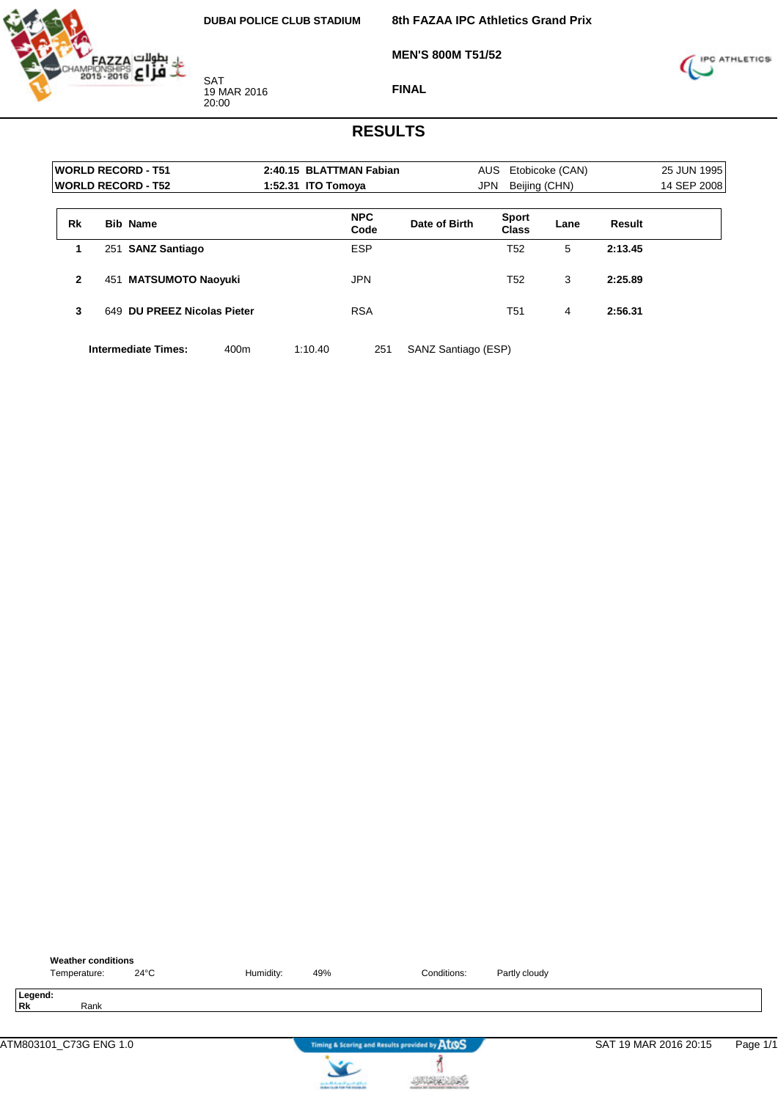

**8th FAZAA IPC Athletics Grand Prix**

**MEN'S 800M T51/52**



**FINAL**

#### **RESULTS**

| Etobicoke (CAN) |               | 25 JUN 1995 |
|-----------------|---------------|-------------|
|                 |               | 14 SEP 2008 |
| Lane            | Result        |             |
| 5               | 2:13.45       |             |
| 3               | 2:25.89       |             |
| 4               | 2:56.31       |             |
| <b>Sport</b>    | Beijing (CHN) |             |

**Intermediate Times:** 400m 1:10.40 251 SANZ Santiago (ESP)





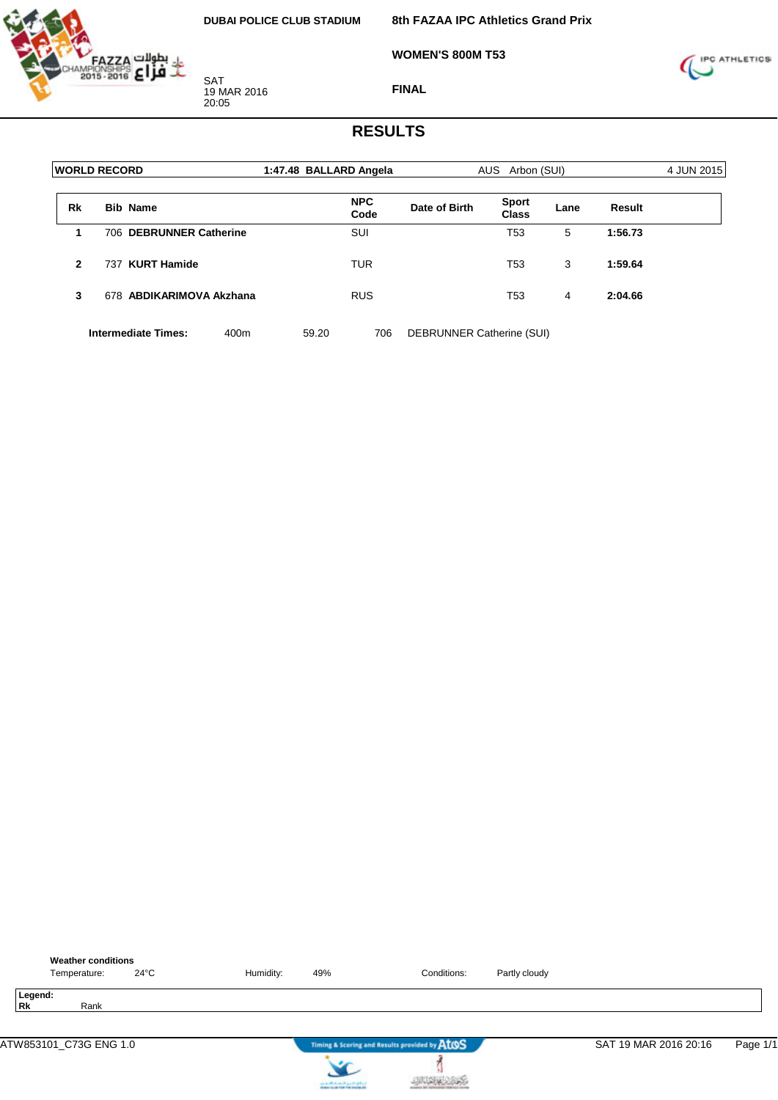

**8th FAZAA IPC Athletics Grand Prix**

**WOMEN'S 800M T53**



**FINAL**

#### **RESULTS**

| <b>WORLD RECORD</b> |     |                            |      | 1:47.48 BALLARD Angela |            |      | AUS Arbon (SUI)           |                              |      |         | 4 JUN 2015 |
|---------------------|-----|----------------------------|------|------------------------|------------|------|---------------------------|------------------------------|------|---------|------------|
| <b>Rk</b>           |     | <b>Bib Name</b>            |      |                        | <b>NPC</b> | Code | Date of Birth             | <b>Sport</b><br><b>Class</b> | Lane | Result  |            |
| 1                   |     | 706 DEBRUNNER Catherine    |      |                        | <b>SUI</b> |      |                           | T53                          | 5    | 1:56.73 |            |
| $\mathbf{2}$        | 737 | <b>KURT Hamide</b>         |      |                        | <b>TUR</b> |      |                           | T53                          | 3    | 1:59.64 |            |
| 3                   |     | 678 ABDIKARIMOVA Akzhana   |      |                        | <b>RUS</b> |      |                           | T53                          | 4    | 2:04.66 |            |
|                     |     | <b>Intermediate Times:</b> | 400m |                        | 59.20      | 706  | DEBRUNNER Catherine (SUI) |                              |      |         |            |



**JUDICIAS**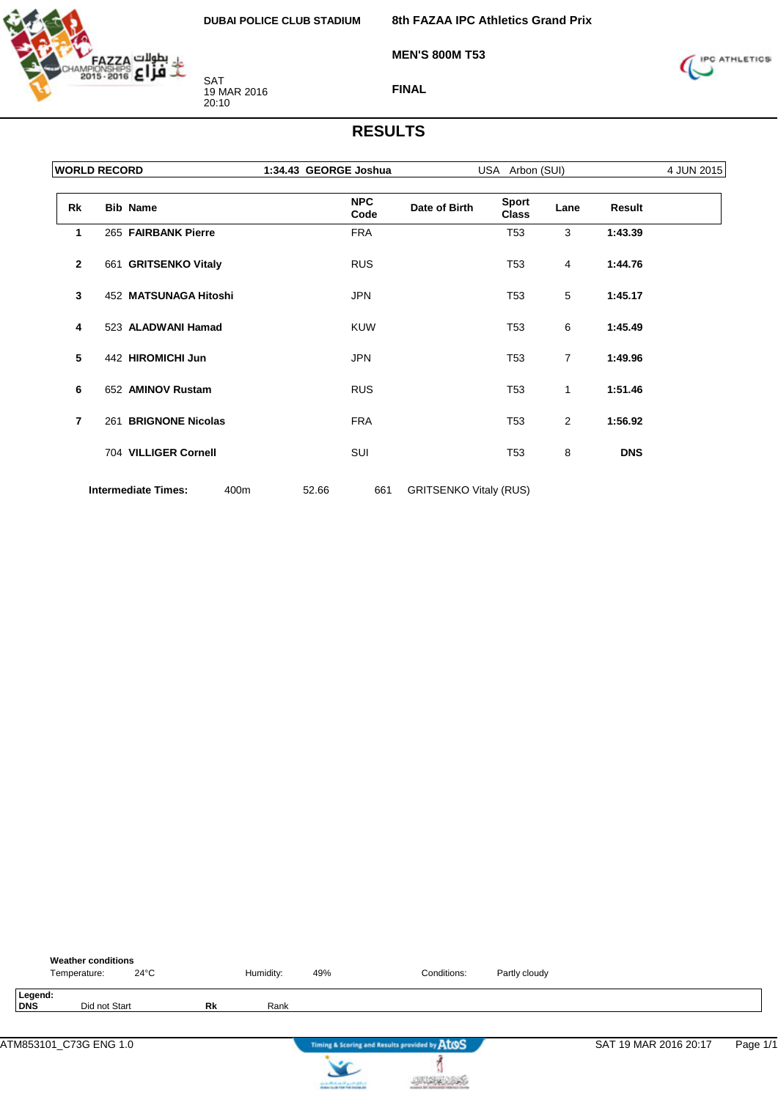

**MEN'S 800M T53**



**FINAL**

|                | <b>WORLD RECORD</b>                | 1:34.43 GEORGE Joshua |                               | USA Arbon (SUI)              |      |            |  |
|----------------|------------------------------------|-----------------------|-------------------------------|------------------------------|------|------------|--|
| Rk             | <b>Bib Name</b>                    | <b>NPC</b><br>Code    | Date of Birth                 | <b>Sport</b><br><b>Class</b> | Lane | Result     |  |
| 1              | 265 FAIRBANK Pierre                | <b>FRA</b>            |                               | T <sub>53</sub>              | 3    | 1:43.39    |  |
| $\mathbf{2}$   | 661 GRITSENKO Vitaly               | <b>RUS</b>            |                               | T <sub>53</sub>              | 4    | 1:44.76    |  |
| 3              | 452 MATSUNAGA Hitoshi              | <b>JPN</b>            |                               | T <sub>53</sub>              | 5    | 1:45.17    |  |
| 4              | 523 ALADWANI Hamad                 | <b>KUW</b>            |                               | T <sub>53</sub>              | 6    | 1:45.49    |  |
| 5              | 442 HIROMICHI Jun                  | <b>JPN</b>            |                               | T <sub>53</sub>              | 7    | 1:49.96    |  |
| 6              | 652 AMINOV Rustam                  | <b>RUS</b>            |                               | T <sub>53</sub>              | 1    | 1:51.46    |  |
| $\overline{7}$ | 261 BRIGNONE Nicolas               | <b>FRA</b>            |                               | T <sub>53</sub>              | 2    | 1:56.92    |  |
|                | 704 VILLIGER Cornell               | SUI                   |                               | T <sub>53</sub>              | 8    | <b>DNS</b> |  |
|                | <b>Intermediate Times:</b><br>400m | 52.66<br>661          | <b>GRITSENKO Vitaly (RUS)</b> |                              |      |            |  |

|                | <b>Weather conditions</b><br>Temperature: | $24^{\circ}$ C |           | Humidity: | 49% | Conditions:                                   | Partly cloudy |                       |          |
|----------------|-------------------------------------------|----------------|-----------|-----------|-----|-----------------------------------------------|---------------|-----------------------|----------|
| Legend:<br>DNS | Did not Start                             |                | <b>Rk</b> | Rank      |     |                                               |               |                       |          |
|                | ATM853101_C73G ENG 1.0                    |                |           |           |     | Timing & Scoring and Results provided by AtOS |               | SAT 19 MAR 2016 20:17 | Page 1/1 |
|                |                                           |                |           |           |     |                                               |               |                       |          |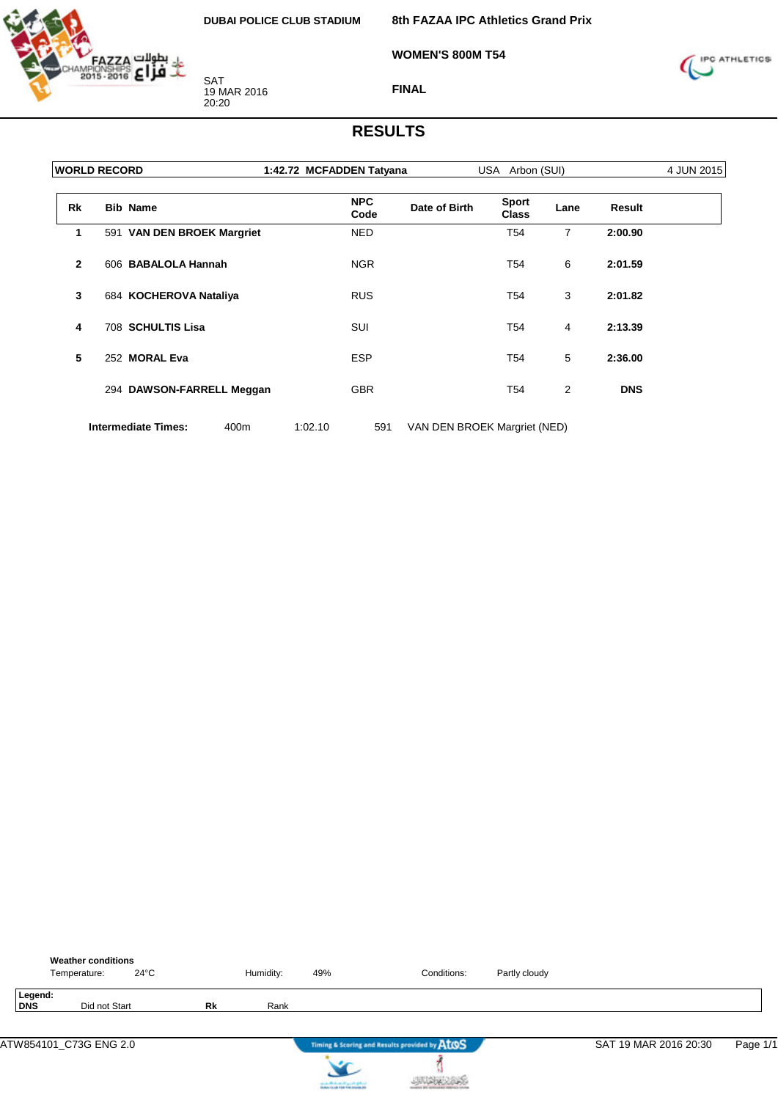

**8th FAZAA IPC Athletics Grand Prix**

**WOMEN'S 800M T54**



**FINAL**

#### **RESULTS**

| <b>WORLD RECORD</b> |  |                            |      | 1:42.72 MCFADDEN Tatyana |                    |                              | USA Arbon (SUI)              |                |               | 4 JUN 2015 |
|---------------------|--|----------------------------|------|--------------------------|--------------------|------------------------------|------------------------------|----------------|---------------|------------|
| Rk                  |  | <b>Bib Name</b>            |      |                          | <b>NPC</b><br>Code | Date of Birth                | <b>Sport</b><br><b>Class</b> | Lane           | <b>Result</b> |            |
| 1                   |  | 591 VAN DEN BROEK Margriet |      |                          | <b>NED</b>         |                              | T <sub>54</sub>              | $\overline{7}$ | 2:00.90       |            |
| $\mathbf{2}$        |  | 606 BABALOLA Hannah        |      |                          | <b>NGR</b>         |                              | T <sub>54</sub>              | 6              | 2:01.59       |            |
| 3                   |  | 684 KOCHEROVA Nataliya     |      |                          | <b>RUS</b>         |                              | T54                          | 3              | 2:01.82       |            |
| 4                   |  | 708 SCHULTIS Lisa          |      |                          | SUI                |                              | T <sub>54</sub>              | $\overline{4}$ | 2:13.39       |            |
| 5                   |  | 252 MORAL Eva              |      |                          | <b>ESP</b>         |                              | T54                          | 5              | 2:36.00       |            |
|                     |  | 294 DAWSON-FARRELL Meggan  |      |                          | <b>GBR</b>         |                              | T <sub>54</sub>              | 2              | <b>DNS</b>    |            |
|                     |  | <b>Intermediate Times:</b> | 400m | 1:02.10                  | 591                | VAN DEN BROEK Margriet (NED) |                              |                |               |            |

| <b>Weather conditions</b><br>Temperature: | $24^{\circ}$ C |    | Humidity: | 49%                                    | Conditions:                                   | Partly cloudy |                       |          |
|-------------------------------------------|----------------|----|-----------|----------------------------------------|-----------------------------------------------|---------------|-----------------------|----------|
| Legend:<br><b>DNS</b><br>Did not Start    |                | Rk | Rank      |                                        |                                               |               |                       |          |
| ATW854101_C73G ENG 2.0                    |                |    |           |                                        | Timing & Scoring and Results provided by AtOS |               | SAT 19 MAR 2016 20:30 | Page 1/1 |
|                                           |                |    |           | can be affected and it genetic gradual |                                               |               |                       |          |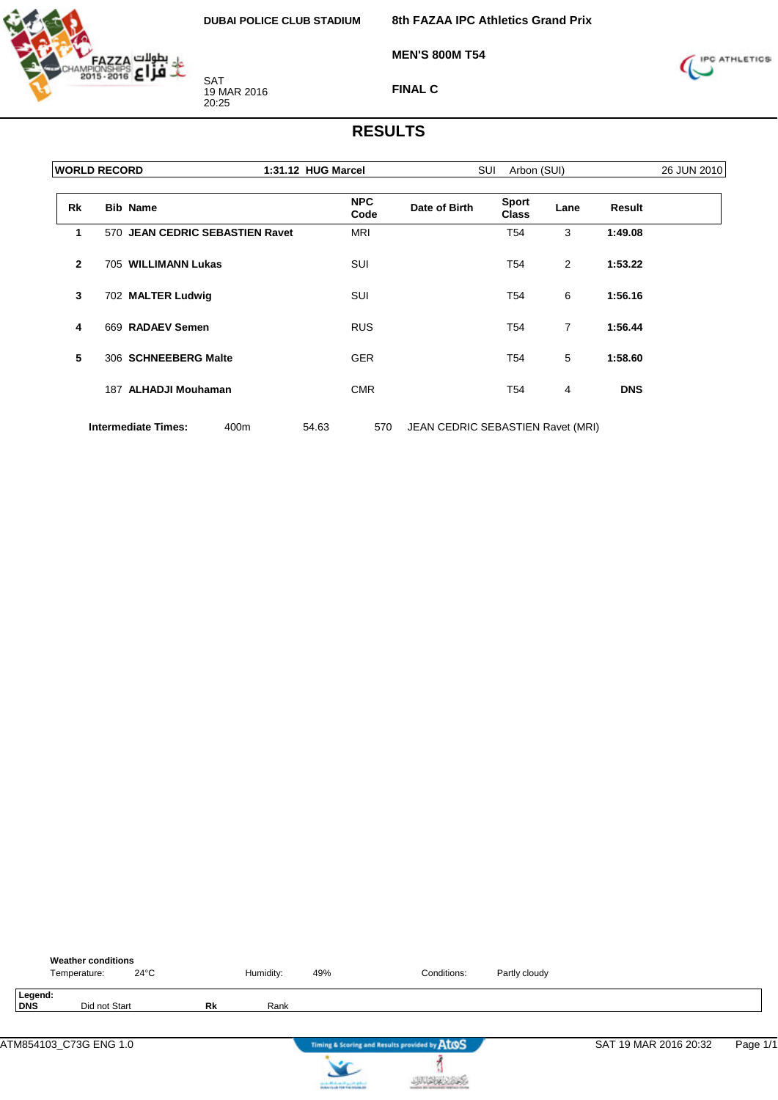

**8th FAZAA IPC Athletics Grand Prix**

**MEN'S 800M T54**



**FINAL C**

|                | <b>WORLD RECORD</b> |                                 |      | 1:31.12 HUG Marcel |                    |                                   | SUI<br>Arbon (SUI)           | 26 JUN 2010    |            |  |
|----------------|---------------------|---------------------------------|------|--------------------|--------------------|-----------------------------------|------------------------------|----------------|------------|--|
| <b>Rk</b>      |                     | <b>Bib Name</b>                 |      |                    | <b>NPC</b><br>Code | Date of Birth                     | <b>Sport</b><br><b>Class</b> | Lane           | Result     |  |
| 1              |                     | 570 JEAN CEDRIC SEBASTIEN Ravet |      |                    | <b>MRI</b>         |                                   | T <sub>54</sub>              | 3              | 1:49.08    |  |
| $\overline{2}$ |                     | 705 WILLIMANN Lukas             |      |                    | <b>SUI</b>         |                                   | T54                          | 2              | 1:53.22    |  |
| 3              |                     | 702 MALTER Ludwig               |      |                    | SUI                |                                   | T54                          | 6              | 1:56.16    |  |
| 4              |                     | 669 RADAEV Semen                |      |                    | <b>RUS</b>         |                                   | T54                          | $\overline{7}$ | 1:56.44    |  |
| 5              |                     | 306 SCHNEEBERG Malte            |      |                    | <b>GER</b>         |                                   | T54                          | 5              | 1:58.60    |  |
|                |                     | 187 ALHADJI Mouhaman            |      |                    | <b>CMR</b>         |                                   | T54                          | 4              | <b>DNS</b> |  |
|                |                     | <b>Intermediate Times:</b>      | 400m | 54.63              | 570                | JEAN CEDRIC SEBASTIEN Ravet (MRI) |                              |                |            |  |

|                | <b>Weather conditions</b><br>$24^{\circ}$ C<br>Temperature: |    | Humidity: | 49%                                    | Conditions:                                   | Partly cloudy |                       |          |
|----------------|-------------------------------------------------------------|----|-----------|----------------------------------------|-----------------------------------------------|---------------|-----------------------|----------|
| Legend:<br>DNS | Did not Start                                               | Rk | Rank      |                                        |                                               |               |                       |          |
|                | ATM854103_C73G ENG 1.0                                      |    |           |                                        | Timing & Scoring and Results provided by ATOS |               | SAT 19 MAR 2016 20:32 | Page 1/1 |
|                |                                                             |    |           | can be affected and it genetic gradual |                                               |               |                       |          |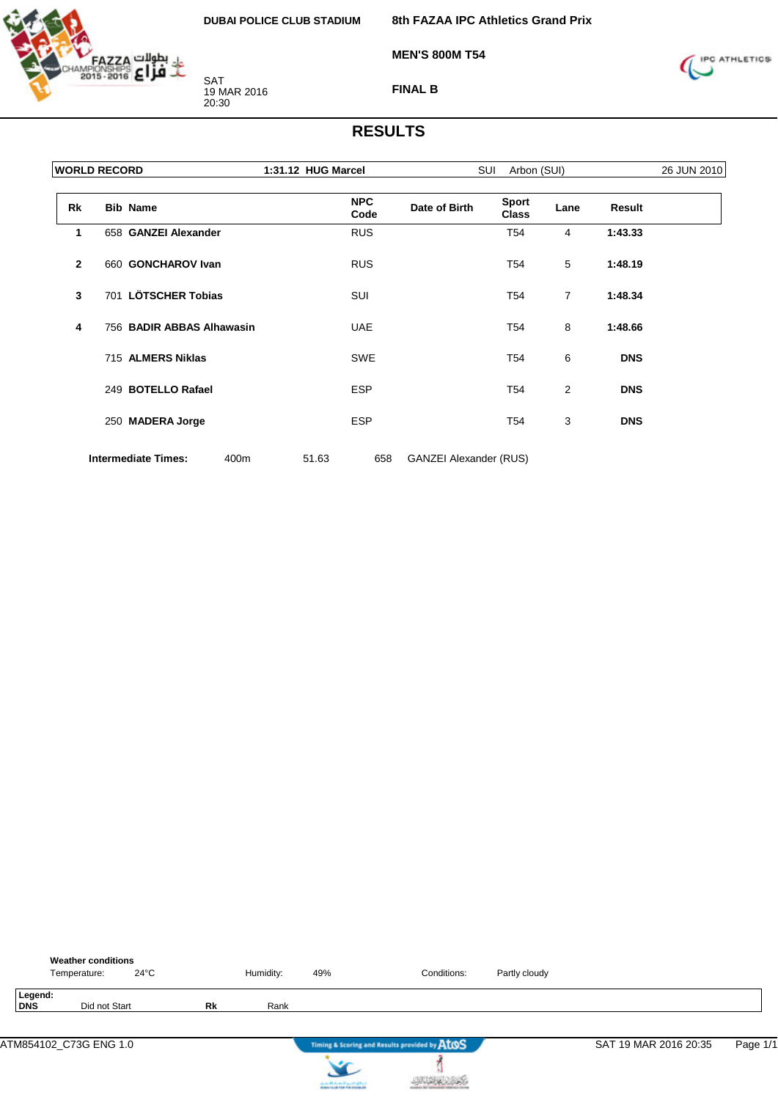

**8th FAZAA IPC Athletics Grand Prix**

**MEN'S 800M T54**



**FINAL B**

|                | <b>WORLD RECORD</b>                |       | 1:31.12 HUG Marcel |                               | SUI<br>Arbon (SUI)           |                |               |  |  |
|----------------|------------------------------------|-------|--------------------|-------------------------------|------------------------------|----------------|---------------|--|--|
| <b>Rk</b>      | <b>Bib Name</b>                    |       | <b>NPC</b><br>Code | Date of Birth                 | <b>Sport</b><br><b>Class</b> | Lane           | <b>Result</b> |  |  |
| 1              | 658 GANZEI Alexander               |       | <b>RUS</b>         |                               | T <sub>54</sub>              | 4              | 1:43.33       |  |  |
| $\overline{2}$ | 660 GONCHAROV Ivan                 |       | <b>RUS</b>         |                               | T54                          | 5              | 1:48.19       |  |  |
| 3              | 701 LÖTSCHER Tobias                |       | SUI                |                               | T54                          | $\overline{7}$ | 1:48.34       |  |  |
| 4              | 756 BADIR ABBAS Alhawasin          |       | <b>UAE</b>         |                               | T54                          | 8              | 1:48.66       |  |  |
|                | 715 ALMERS Niklas                  |       | <b>SWE</b>         |                               | T54                          | 6              | <b>DNS</b>    |  |  |
|                | 249 BOTELLO Rafael                 |       | <b>ESP</b>         |                               | T54                          | 2              | <b>DNS</b>    |  |  |
|                | 250 MADERA Jorge                   |       | <b>ESP</b>         |                               | T54                          | 3              | <b>DNS</b>    |  |  |
|                | <b>Intermediate Times:</b><br>400m | 51.63 | 658                | <b>GANZEI Alexander (RUS)</b> |                              |                |               |  |  |

|                       | <b>Weather conditions</b><br>Temperature: | $24^{\circ}$ C |           | Humidity: | 49% | Conditions:                                   | Partly cloudy |                       |          |
|-----------------------|-------------------------------------------|----------------|-----------|-----------|-----|-----------------------------------------------|---------------|-----------------------|----------|
| Legend:<br><b>DNS</b> | Did not Start                             |                | <b>Rk</b> | Rank      |     |                                               |               |                       |          |
|                       | ATM854102_C73G ENG 1.0                    |                |           |           |     | Timing & Scoring and Results provided by AtOS |               | SAT 19 MAR 2016 20:35 | Page 1/1 |
|                       |                                           |                |           |           |     |                                               |               |                       |          |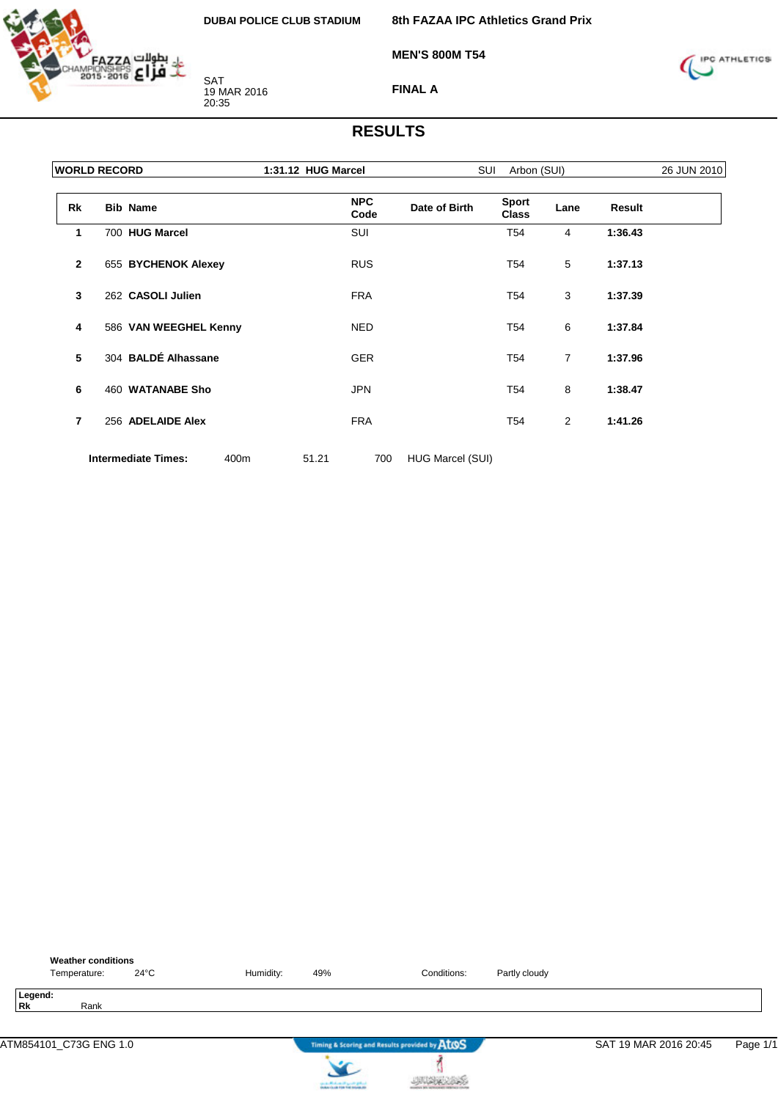

**8th FAZAA IPC Athletics Grand Prix**

**MEN'S 800M T54**



**FINAL A**

|                | <b>WORLD RECORD</b> |                            |      | 1:31.12 HUG Marcel |                    | SUI              |                              | 26 JUN 2010    |         |  |
|----------------|---------------------|----------------------------|------|--------------------|--------------------|------------------|------------------------------|----------------|---------|--|
| Rk             |                     | <b>Bib Name</b>            |      |                    | <b>NPC</b><br>Code | Date of Birth    | <b>Sport</b><br><b>Class</b> | Lane           | Result  |  |
| 1              |                     | 700 HUG Marcel             |      |                    | SUI                |                  | T54                          | $\overline{4}$ | 1:36.43 |  |
| $\overline{2}$ |                     | 655 BYCHENOK Alexey        |      |                    | <b>RUS</b>         |                  | T54                          | 5              | 1:37.13 |  |
| 3              |                     | 262 CASOLI Julien          |      |                    | <b>FRA</b>         |                  | T54                          | 3              | 1:37.39 |  |
| 4              |                     | 586 VAN WEEGHEL Kenny      |      |                    | <b>NED</b>         |                  | T54                          | 6              | 1:37.84 |  |
| 5              |                     | 304 BALDÉ Alhassane        |      |                    | <b>GER</b>         |                  | T54                          | $\overline{7}$ | 1:37.96 |  |
| 6              |                     | 460 WATANABE Sho           |      |                    | <b>JPN</b>         |                  | T54                          | 8              | 1:38.47 |  |
| $\overline{7}$ |                     | 256 ADELAIDE Alex          |      |                    | <b>FRA</b>         |                  | T54                          | 2              | 1:41.26 |  |
|                |                     | <b>Intermediate Times:</b> | 400m | 51.21              | 700                | HUG Marcel (SUI) |                              |                |         |  |

| <b>Weather conditions</b><br>$24^{\circ}$ C<br>Temperature: | Humidity: | 49%                                                                        | Conditions:                                   | Partly cloudy |                       |          |
|-------------------------------------------------------------|-----------|----------------------------------------------------------------------------|-----------------------------------------------|---------------|-----------------------|----------|
| Legend:<br><b>Rk</b><br>Rank                                |           |                                                                            |                                               |               |                       |          |
| ATM854101_C73G ENG 1.0                                      |           |                                                                            | Timing & Scoring and Results provided by AtOS |               | SAT 19 MAR 2016 20:45 | Page 1/1 |
|                                                             |           | لسافع فتسرد التهساسالاسفين<br><b>Installation of the field industry at</b> |                                               |               |                       |          |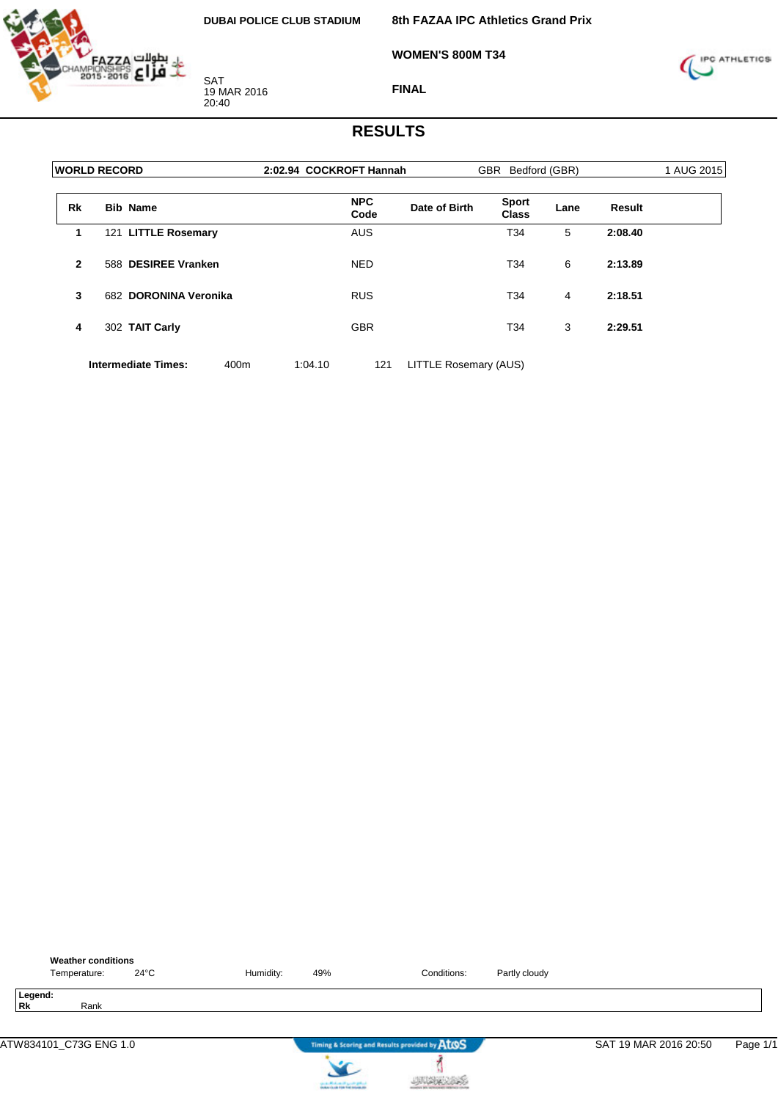

**8th FAZAA IPC Athletics Grand Prix**

**WOMEN'S 800M T34**



**FINAL**

### **RESULTS**

|              | <b>WORLD RECORD</b> |                            |      | 2:02.94 COCKROFT Hannah |                    |                       | GBR Bedford (GBR)            |      | 1 AUG 2015    |  |
|--------------|---------------------|----------------------------|------|-------------------------|--------------------|-----------------------|------------------------------|------|---------------|--|
| <b>Rk</b>    |                     | <b>Bib Name</b>            |      |                         | <b>NPC</b><br>Code | Date of Birth         | <b>Sport</b><br><b>Class</b> | Lane | <b>Result</b> |  |
| 1            |                     | 121 LITTLE Rosemary        |      |                         | <b>AUS</b>         |                       | T34                          | 5    | 2:08.40       |  |
| $\mathbf{2}$ |                     | 588 DESIREE Vranken        |      |                         | <b>NED</b>         |                       | T34                          | 6    | 2:13.89       |  |
| 3            |                     | 682 DORONINA Veronika      |      |                         | <b>RUS</b>         |                       | T34                          | 4    | 2:18.51       |  |
| 4            |                     | 302 TAIT Carly             |      |                         | <b>GBR</b>         |                       | T34                          | 3    | 2:29.51       |  |
|              |                     | <b>Intermediate Times:</b> | 400m | 1:04.10                 | 121                | LITTLE Rosemary (AUS) |                              |      |               |  |



**Processing** 

**JUAN AND**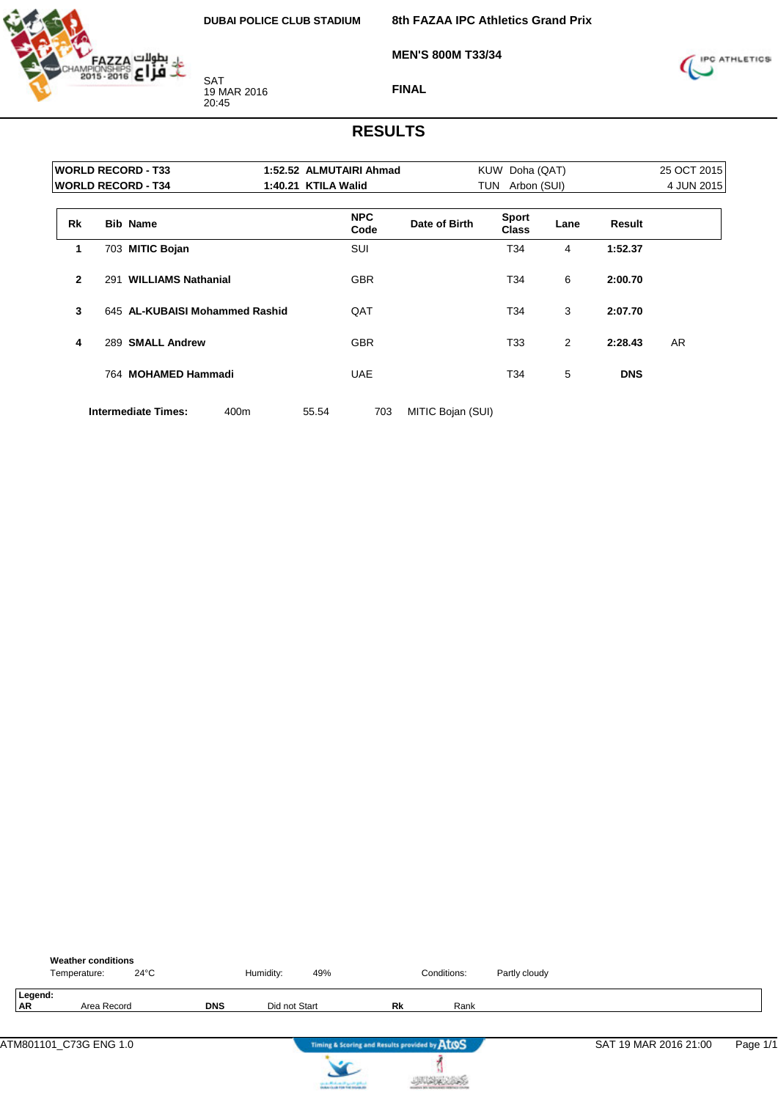

**8th FAZAA IPC Athletics Grand Prix**

**MEN'S 800M T33/34**



**FINAL**

## **RESULTS**

|                |     | <b>WORLD RECORD - T33</b>      | 1:52.52 ALMUTAIRI Ahmad |               | KUW Doha (QAT)        |      |            | 25 OCT 2015 |
|----------------|-----|--------------------------------|-------------------------|---------------|-----------------------|------|------------|-------------|
|                |     | <b>WORLD RECORD - T34</b>      | 1:40.21 KTILA Walid     |               | TUN<br>Arbon (SUI)    |      |            | 4 JUN 2015  |
| <b>Rk</b>      |     | <b>Bib Name</b>                | <b>NPC</b><br>Code      | Date of Birth | <b>Sport</b><br>Class | Lane | Result     |             |
| 1              |     | 703 MITIC Bojan                | SUI                     |               | T34                   | 4    | 1:52.37    |             |
| $\overline{2}$ | 291 | <b>WILLIAMS Nathanial</b>      | <b>GBR</b>              |               | T34                   | 6    | 2:00.70    |             |
| 3              |     | 645 AL-KUBAISI Mohammed Rashid | QAT                     |               | T34                   | 3    | 2:07.70    |             |
| 4              |     | 289 SMALL Andrew               | <b>GBR</b>              |               | T33                   | 2    | 2:28.43    | <b>AR</b>   |
|                |     | 764 MOHAMED Hammadi            | <b>UAE</b>              |               | T34                   | 5    | <b>DNS</b> |             |
|                |     |                                |                         |               |                       |      |            |             |

**Intermediate Times:** 400m 55.54 703 MITIC Bojan (SUI)

|                      | <b>Weather conditions</b><br>Temperature: | $24^{\circ}$ C |            | Humidity:     | 49%                                                                                 |           | Conditions: | Partly cloudy |                       |          |
|----------------------|-------------------------------------------|----------------|------------|---------------|-------------------------------------------------------------------------------------|-----------|-------------|---------------|-----------------------|----------|
| Legend:<br><b>AR</b> | Area Record                               |                | <b>DNS</b> | Did not Start |                                                                                     | <b>Rk</b> | Rank        |               |                       |          |
|                      | ATM801101_C73G ENG 1.0                    |                |            |               | Timing & Scoring and Results provided by AtOS                                       |           |             |               | SAT 19 MAR 2016 21:00 | Page 1/1 |
|                      |                                           |                |            |               | the death of the state of a proof of policy.<br>Section is also find that makes the |           |             |               |                       |          |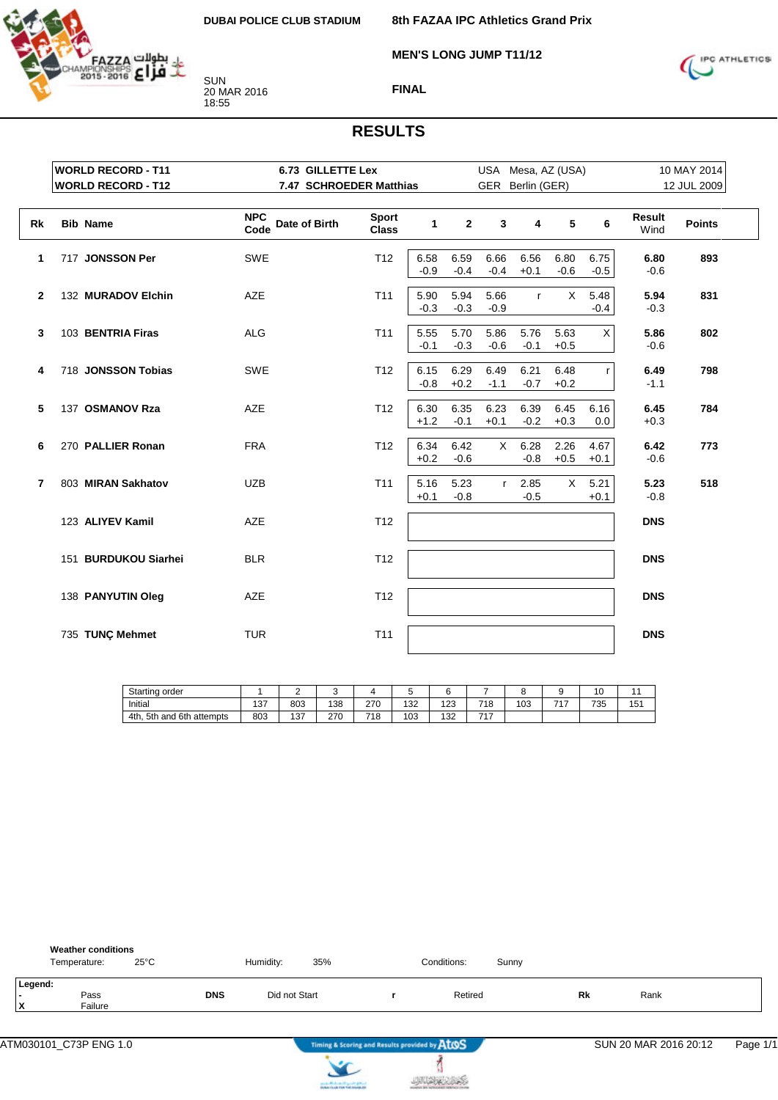

**8th FAZAA IPC Athletics Grand Prix**

**MEN'S LONG JUMP T11/12**



**FINAL**

|              | <b>WORLD RECORD - T11</b> | <b>6.73 GILLETTE Lex</b>            |                              |                |                |                | USA Mesa, AZ (USA) |                |                |                | 10 MAY 2014   |
|--------------|---------------------------|-------------------------------------|------------------------------|----------------|----------------|----------------|--------------------|----------------|----------------|----------------|---------------|
|              | <b>WORLD RECORD - T12</b> | 7.47 SCHROEDER Matthias             |                              |                |                |                | GER Berlin (GER)   |                |                |                | 12 JUL 2009   |
| Rk           | <b>Bib Name</b>           | <b>NPC</b><br>Date of Birth<br>Code | <b>Sport</b><br><b>Class</b> | 1              | $\mathbf{2}$   | 3              | 4                  | 5              | 6              | Result<br>Wind | <b>Points</b> |
| 1            | 717 JONSSON Per           | SWE                                 | T12                          | 6.58<br>$-0.9$ | 6.59<br>$-0.4$ | 6.66<br>$-0.4$ | 6.56<br>$+0.1$     | 6.80<br>$-0.6$ | 6.75<br>$-0.5$ | 6.80<br>$-0.6$ | 893           |
| $\mathbf{2}$ | 132 MURADOV Elchin        | AZE                                 | T <sub>11</sub>              | 5.90<br>$-0.3$ | 5.94<br>$-0.3$ | 5.66<br>$-0.9$ | $\mathsf{r}$       | $\times$       | 5.48<br>$-0.4$ | 5.94<br>$-0.3$ | 831           |
| 3            | 103 BENTRIA Firas         | <b>ALG</b>                          | T <sub>11</sub>              | 5.55<br>$-0.1$ | 5.70<br>$-0.3$ | 5.86<br>$-0.6$ | 5.76<br>$-0.1$     | 5.63<br>$+0.5$ | X              | 5.86<br>$-0.6$ | 802           |
| 4            | 718 JONSSON Tobias        | <b>SWE</b>                          | T <sub>12</sub>              | 6.15<br>$-0.8$ | 6.29<br>$+0.2$ | 6.49<br>$-1.1$ | 6.21<br>$-0.7$     | 6.48<br>$+0.2$ | r              | 6.49<br>$-1.1$ | 798           |
| 5            | 137 OSMANOV Rza           | <b>AZE</b>                          | T <sub>12</sub>              | 6.30<br>$+1.2$ | 6.35<br>$-0.1$ | 6.23<br>$+0.1$ | 6.39<br>$-0.2$     | 6.45<br>$+0.3$ | 6.16<br>0.0    | 6.45<br>$+0.3$ | 784           |
| 6            | 270 PALLIER Ronan         | <b>FRA</b>                          | T <sub>12</sub>              | 6.34<br>$+0.2$ | 6.42<br>$-0.6$ | $\times$       | 6.28<br>$-0.8$     | 2.26<br>$+0.5$ | 4.67<br>$+0.1$ | 6.42<br>$-0.6$ | 773           |
| 7            | 803 MIRAN Sakhatov        | <b>UZB</b>                          | T <sub>11</sub>              | 5.16<br>$+0.1$ | 5.23<br>$-0.8$ | r              | 2.85<br>$-0.5$     | $\mathsf{X}$   | 5.21<br>$+0.1$ | 5.23<br>$-0.8$ | 518           |
|              | 123 ALIYEV Kamil          | AZE                                 | T <sub>12</sub>              |                |                |                |                    |                |                | <b>DNS</b>     |               |
|              | 151 BURDUKOU Siarhei      | <b>BLR</b>                          | T <sub>12</sub>              |                |                |                |                    |                |                | <b>DNS</b>     |               |
|              | 138 PANYUTIN Oleg         | AZE                                 | T12                          |                |                |                |                    |                |                | <b>DNS</b>     |               |
|              | 735 TUNÇ Mehmet           | <b>TUR</b>                          | T <sub>11</sub>              |                |                |                |                    |                |                | <b>DNS</b>     |               |

| Starting<br>, order                    |     | -            |     |             |     |     |     |     |     | . .<br>ັບ |     |
|----------------------------------------|-----|--------------|-----|-------------|-----|-----|-----|-----|-----|-----------|-----|
| Initial                                | 137 | 803          | 138 | 270<br>21 U | 132 | 123 | 718 | 103 | フィフ | 735       | 151 |
| 6th.<br>5th<br>4th.<br>attempts<br>and | 803 | 127<br>، ب ا | 270 | 718         | 103 | 132 | ライラ |     |     |           |     |

| Legend:<br>$\overline{a}$ | <b>Weather conditions</b><br>$25^{\circ}$ C<br>Temperature: |            | Humidity:<br>35% | Conditions: | Sunny |    |      |
|---------------------------|-------------------------------------------------------------|------------|------------------|-------------|-------|----|------|
| ΙX<br>Failure             | Pass                                                        | <b>DNS</b> | Did not Start    | Retired     |       | Rk | Rank |



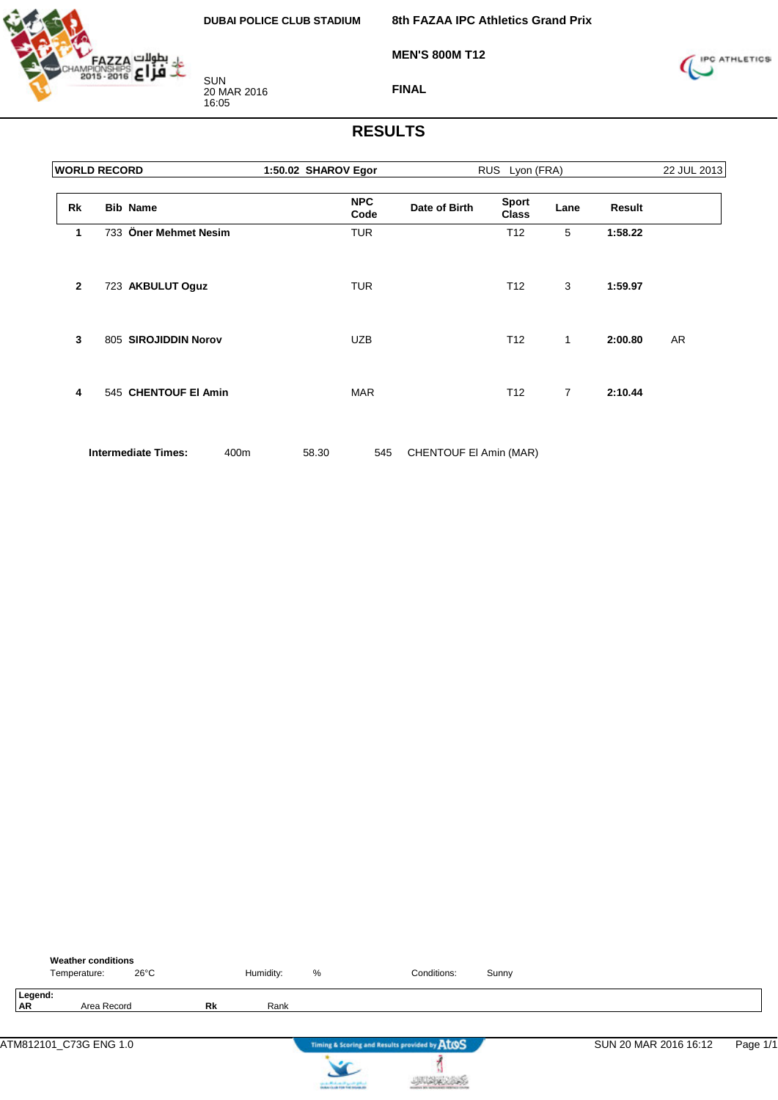

**8th FAZAA IPC Athletics Grand Prix**

**MEN'S 800M T12**



**FINAL**

| <b>WORLD RECORD</b> |                                    | 1:50.02 SHAROV Egor |                    | RUS Lyon (FRA)         |                              | 22 JUL 2013    |         |    |
|---------------------|------------------------------------|---------------------|--------------------|------------------------|------------------------------|----------------|---------|----|
| Rk                  | <b>Bib Name</b>                    |                     | <b>NPC</b><br>Code | Date of Birth          | <b>Sport</b><br><b>Class</b> | Lane           | Result  |    |
| 1                   | 733 Öner Mehmet Nesim              |                     | <b>TUR</b>         |                        | T <sub>12</sub>              | 5              | 1:58.22 |    |
| $\overline{2}$      | 723 AKBULUT Oguz                   |                     | <b>TUR</b>         |                        | T <sub>12</sub>              | 3              | 1:59.97 |    |
| 3                   | 805 SIROJIDDIN Norov               |                     | <b>UZB</b>         |                        | T <sub>12</sub>              | $\mathbf{1}$   | 2:00.80 | AR |
| 4                   | 545 CHENTOUF EI Amin               |                     | <b>MAR</b>         |                        | T <sub>12</sub>              | $\overline{7}$ | 2:10.44 |    |
|                     | <b>Intermediate Times:</b><br>400m | 58.30               | 545                | CHENTOUF EI Amin (MAR) |                              |                |         |    |

|                      | <b>Weather conditions</b><br>Temperature: | $26^{\circ}$ C |    | Humidity: | %                                     | Conditions:                                   | Sunny |                       |          |
|----------------------|-------------------------------------------|----------------|----|-----------|---------------------------------------|-----------------------------------------------|-------|-----------------------|----------|
| Legend:<br><b>AR</b> | Area Record                               |                | Rk | Rank      |                                       |                                               |       |                       |          |
|                      | ATM812101_C73G ENG 1.0                    |                |    |           |                                       | Timing & Scoring and Results provided by AtOS |       | SUN 20 MAR 2016 16:12 | Page 1/1 |
|                      |                                           |                |    |           | can be affected and if you do got not |                                               |       |                       |          |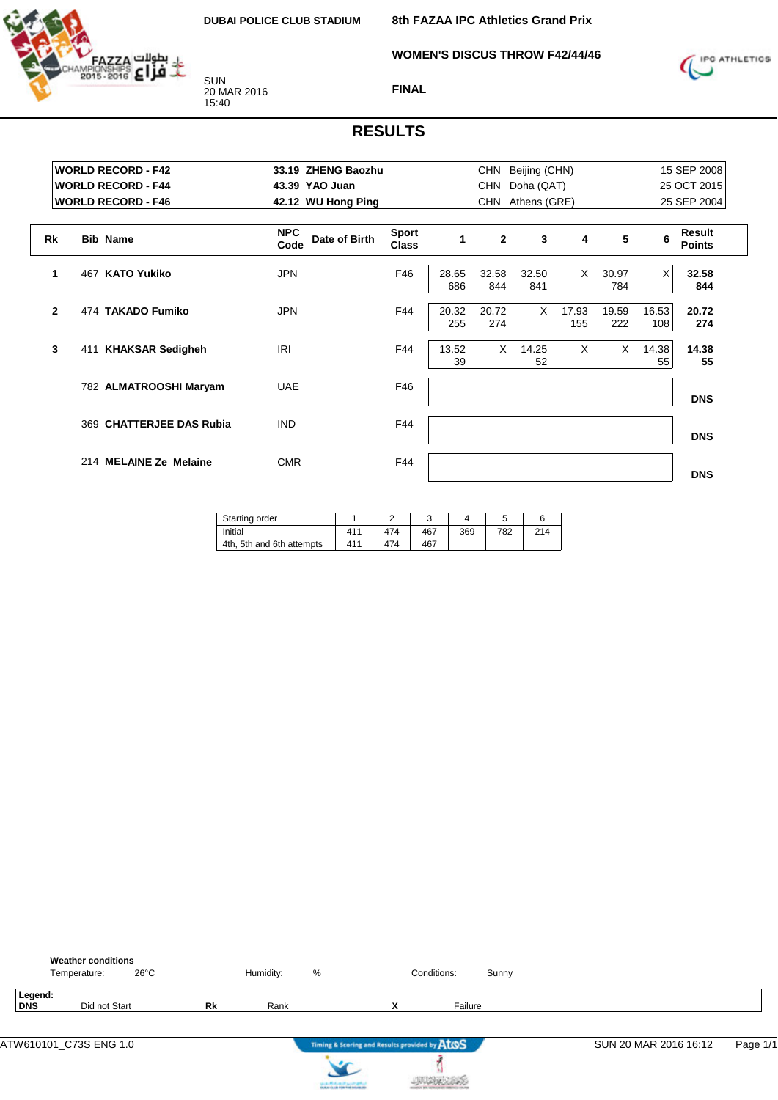

**WOMEN'S DISCUS THROW F42/44/46**



#### **FINAL**

# **RESULTS**

|              | <b>WORLD RECORD - F42</b><br><b>WORLD RECORD - F44</b> | 33.19 ZHENG Baozhu<br>43.39 YAO Juan |                              |              | CHN<br><b>CHN</b> | Beijing (CHN)<br>Doha (QAT) |              |              |              | 15 SEP 2008<br>25 OCT 2015 |  |
|--------------|--------------------------------------------------------|--------------------------------------|------------------------------|--------------|-------------------|-----------------------------|--------------|--------------|--------------|----------------------------|--|
|              | <b>WORLD RECORD - F46</b>                              | 42.12 WU Hong Ping                   |                              |              | <b>CHN</b>        | Athens (GRE)                |              |              |              | 25 SEP 2004                |  |
| <b>Rk</b>    | <b>Bib Name</b>                                        | <b>NPC</b><br>Date of Birth<br>Code  | <b>Sport</b><br><b>Class</b> | 1            | $\mathbf{2}$      | 3                           | 4            | 5            | 6            | Result<br><b>Points</b>    |  |
| 1            | <b>KATO Yukiko</b><br>467                              | <b>JPN</b>                           | F46                          | 28.65<br>686 | 32.58<br>844      | 32.50<br>841                | $\times$     | 30.97<br>784 | $\times$     | 32.58<br>844               |  |
| $\mathbf{2}$ | 474 TAKADO Fumiko                                      | <b>JPN</b>                           | F44                          | 20.32<br>255 | 20.72<br>274      | $\times$                    | 17.93<br>155 | 19.59<br>222 | 16.53<br>108 | 20.72<br>274               |  |
| 3            | <b>KHAKSAR Sedigheh</b><br>411                         | IRI                                  | F44                          | 13.52<br>39  | $\times$          | 14.25<br>52                 | X            | $\times$     | 14.38<br>55  | 14.38<br>55                |  |
|              | 782 ALMATROOSHI Maryam                                 | <b>UAE</b>                           | F46                          |              |                   |                             |              |              |              | <b>DNS</b>                 |  |
|              | 369 CHATTERJEE DAS Rubia                               | <b>IND</b>                           | F44                          |              |                   |                             |              |              |              | <b>DNS</b>                 |  |
|              | 214 MELAINE Ze Melaine                                 | <b>CMR</b>                           | F44                          |              |                   |                             |              |              |              | <b>DNS</b>                 |  |

| Starting order            |     |     | ັ   |     |     |     |
|---------------------------|-----|-----|-----|-----|-----|-----|
| Initial                   | 411 | 474 | 467 | 369 | 782 | 214 |
| 4th, 5th and 6th attempts | 411 | 474 | 467 |     |     |     |

|                | <b>Weather conditions</b><br>$26^{\circ}$ C<br>Temperature: |    | Humidity: | %                                             |   | Conditions: | Sunny |                       |          |
|----------------|-------------------------------------------------------------|----|-----------|-----------------------------------------------|---|-------------|-------|-----------------------|----------|
| Legend:<br>DNS | Did not Start                                               | Rk | Rank      |                                               | x | Failure     |       |                       |          |
|                | ATW610101_C73S ENG 1.0                                      |    |           | Timing & Scoring and Results provided by AtOS |   |             |       | SUN 20 MAR 2016 16:12 | Page 1/1 |
|                |                                                             |    |           | <b>Installation of the first mountain and</b> |   |             |       |                       |          |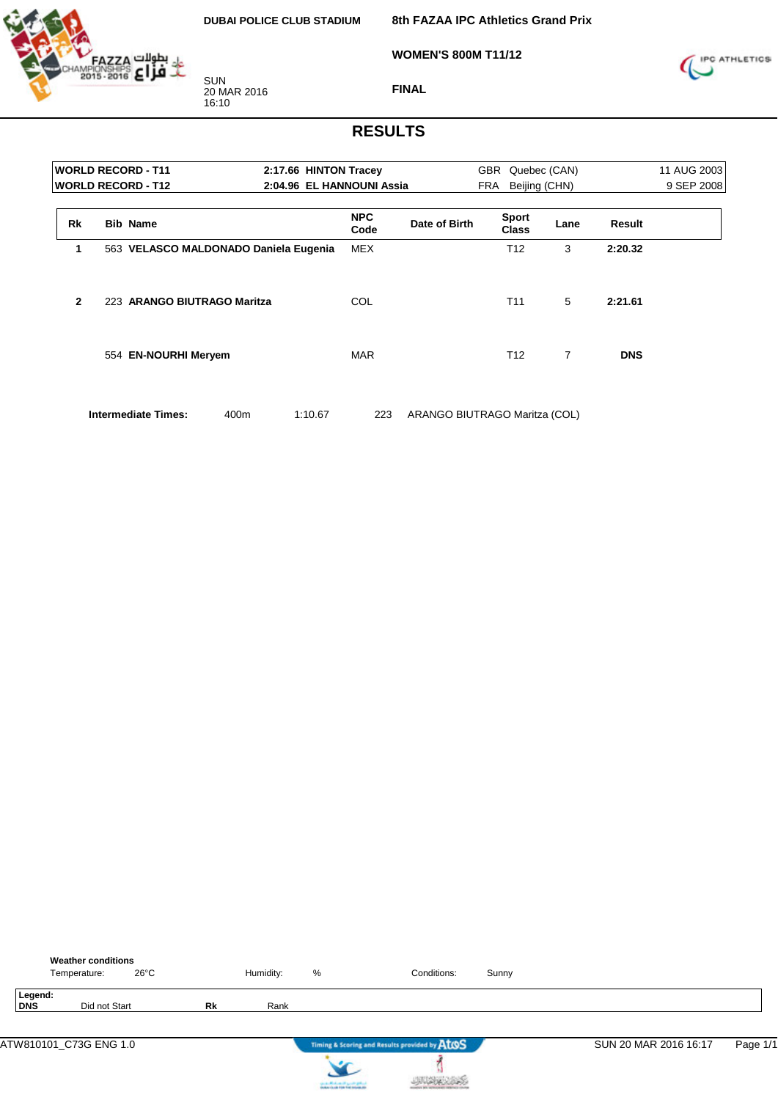

**8th FAZAA IPC Athletics Grand Prix**

**WOMEN'S 800M T11/12**



SUN 20 MAR 2016 16:10

**FINAL**

## **RESULTS**

|           | <b>WORLD RECORD - T11</b>   |                                       | 2:17.66 HINTON Tracey     |               | GBR                          | Quebec (CAN)   |            | 11 AUG 2003 |
|-----------|-----------------------------|---------------------------------------|---------------------------|---------------|------------------------------|----------------|------------|-------------|
|           | <b>WORLD RECORD - T12</b>   |                                       | 2:04.96 EL HANNOUNI Assia |               | FRA                          | Beijing (CHN)  |            | 9 SEP 2008  |
| <b>Rk</b> | <b>Bib Name</b>             |                                       | <b>NPC</b><br>Code        | Date of Birth | <b>Sport</b><br><b>Class</b> | Lane           | Result     |             |
| 1         |                             | 563 VELASCO MALDONADO Daniela Eugenia | <b>MEX</b>                |               | T <sub>12</sub>              | 3              | 2:20.32    |             |
| 2         | 223 ARANGO BIUTRAGO Maritza |                                       | COL                       |               | T <sub>11</sub>              | 5              | 2:21.61    |             |
|           | 554 EN-NOURHI Meryem        |                                       | <b>MAR</b>                |               | T12                          | $\overline{7}$ | <b>DNS</b> |             |
|           |                             |                                       |                           |               |                              |                |            |             |

**Intermediate Times:** 400m 1:10.67 223 ARANGO BIUTRAGO Maritza (COL)

|                       | Temperature: | <b>Weather conditions</b> | $26^{\circ}$ C |           | Humidity: | $\%$                                          | Conditions:                                   | Sunny |                       |          |
|-----------------------|--------------|---------------------------|----------------|-----------|-----------|-----------------------------------------------|-----------------------------------------------|-------|-----------------------|----------|
| Legend:<br><b>DNS</b> |              | Did not Start             |                | <b>Rk</b> | Rank      |                                               |                                               |       |                       |          |
|                       |              |                           |                |           |           |                                               | Timing & Scoring and Results provided by AtOS |       | SUN 20 MAR 2016 16:17 | Page 1/1 |
|                       |              |                           |                |           |           | the state affects on the special products and |                                               |       |                       |          |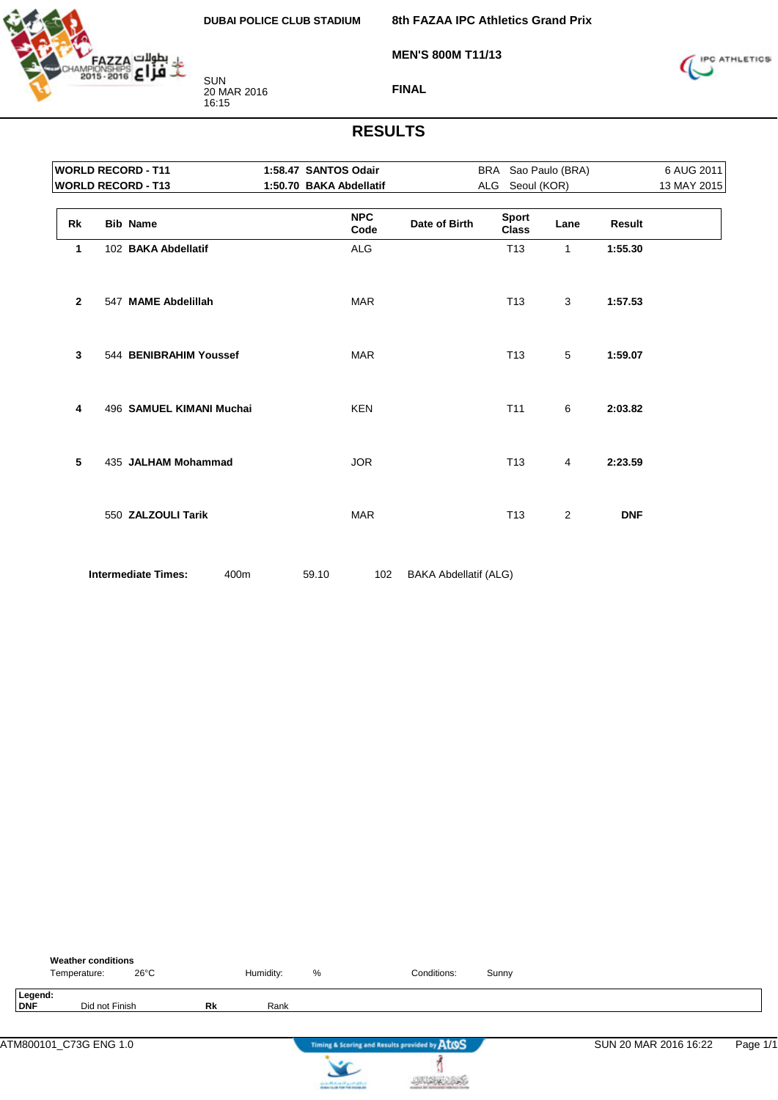

**MEN'S 800M T11/13**

**8th FAZAA IPC Athletics Grand Prix**



**FINAL**

|              | <b>WORLD RECORD - T11</b>          | 1:58.47 SANTOS Odair    |                              |     |                              | BRA Sao Paulo (BRA) |               | 6 AUG 2011  |
|--------------|------------------------------------|-------------------------|------------------------------|-----|------------------------------|---------------------|---------------|-------------|
|              | <b>WORLD RECORD - T13</b>          | 1:50.70 BAKA Abdellatif |                              | ALG | Seoul (KOR)                  |                     |               | 13 MAY 2015 |
| <b>Rk</b>    | <b>Bib Name</b>                    | <b>NPC</b><br>Code      | Date of Birth                |     | <b>Sport</b><br><b>Class</b> | Lane                | <b>Result</b> |             |
| 1            | 102 BAKA Abdellatif                | <b>ALG</b>              |                              |     | T <sub>13</sub>              | 1                   | 1:55.30       |             |
| $\mathbf{2}$ | 547 MAME Abdelillah                | <b>MAR</b>              |                              |     | T <sub>13</sub>              | 3                   | 1:57.53       |             |
| 3            | 544 BENIBRAHIM Youssef             | <b>MAR</b>              |                              |     | T <sub>13</sub>              | 5                   | 1:59.07       |             |
| 4            | 496 SAMUEL KIMANI Muchai           | <b>KEN</b>              |                              |     | T <sub>11</sub>              | 6                   | 2:03.82       |             |
| 5            | 435 JALHAM Mohammad                | <b>JOR</b>              |                              |     | T <sub>13</sub>              | 4                   | 2:23.59       |             |
|              | 550 ZALZOULI Tarik                 | <b>MAR</b>              |                              |     | T <sub>13</sub>              | 2                   | <b>DNF</b>    |             |
|              | <b>Intermediate Times:</b><br>400m | 59.10<br>102            | <b>BAKA Abdellatif (ALG)</b> |     |                              |                     |               |             |

|                | <b>Weather conditions</b><br>$26^{\circ}$ C<br>Temperature: |    | Humidity: | %                                                                 | Conditions:                                   | Sunny |                       |          |
|----------------|-------------------------------------------------------------|----|-----------|-------------------------------------------------------------------|-----------------------------------------------|-------|-----------------------|----------|
| Legend:<br>DNF | Did not Finish                                              | Rk | Rank      |                                                                   |                                               |       |                       |          |
|                | ATM800101_C73G ENG 1.0                                      |    |           |                                                                   | Timing & Scoring and Results provided by AtOS |       | SUN 20 MAR 2016 16:22 | Page 1/1 |
|                |                                                             |    |           | controlled and speed galent.<br>Instantia de File Foi Installatio |                                               |       |                       |          |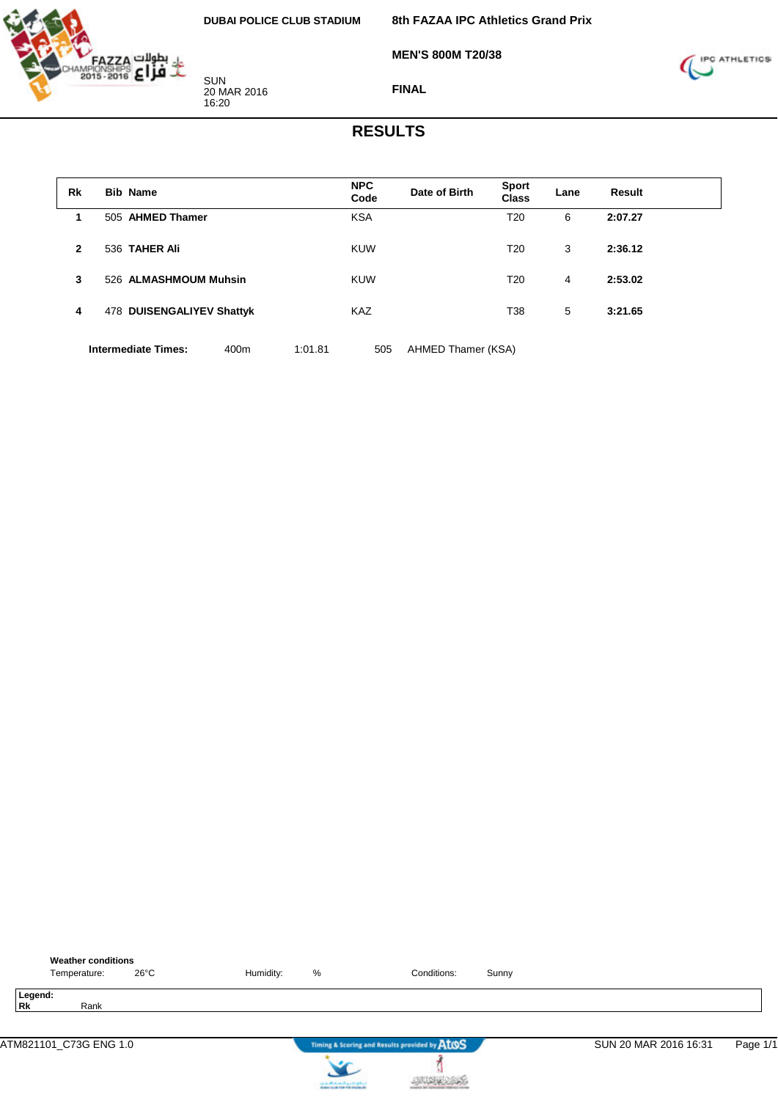

**8th FAZAA IPC Athletics Grand Prix**

**MEN'S 800M T20/38**



**FINAL**

## **RESULTS**

| Rk           | <b>Bib Name</b>            |      |         | <b>NPC</b><br>Code | Date of Birth      | <b>Sport</b><br><b>Class</b> | Lane | Result  |  |
|--------------|----------------------------|------|---------|--------------------|--------------------|------------------------------|------|---------|--|
| 1.           | 505 AHMED Thamer           |      |         | <b>KSA</b>         |                    | T20                          | 6    | 2:07.27 |  |
| $\mathbf{2}$ | 536 TAHER Ali              |      |         | <b>KUW</b>         |                    | T20                          | 3    | 2:36.12 |  |
| 3            | 526 ALMASHMOUM Muhsin      |      |         | <b>KUW</b>         |                    | T20                          | 4    | 2:53.02 |  |
| 4            | 478 DUISENGALIYEV Shattyk  |      |         | <b>KAZ</b>         |                    | T38                          | 5    | 3:21.65 |  |
|              | <b>Intermediate Times:</b> | 400m | 1:01.81 | 505                | AHMED Thamer (KSA) |                              |      |         |  |

**Weather conditions** Temperature: 26°C Humidity: % Conditions: Sunny **Legend: Rk** Rank ATM821101\_C73G ENG 1.0 **SUN 20 MAR 2016 16:31** Page 1/1

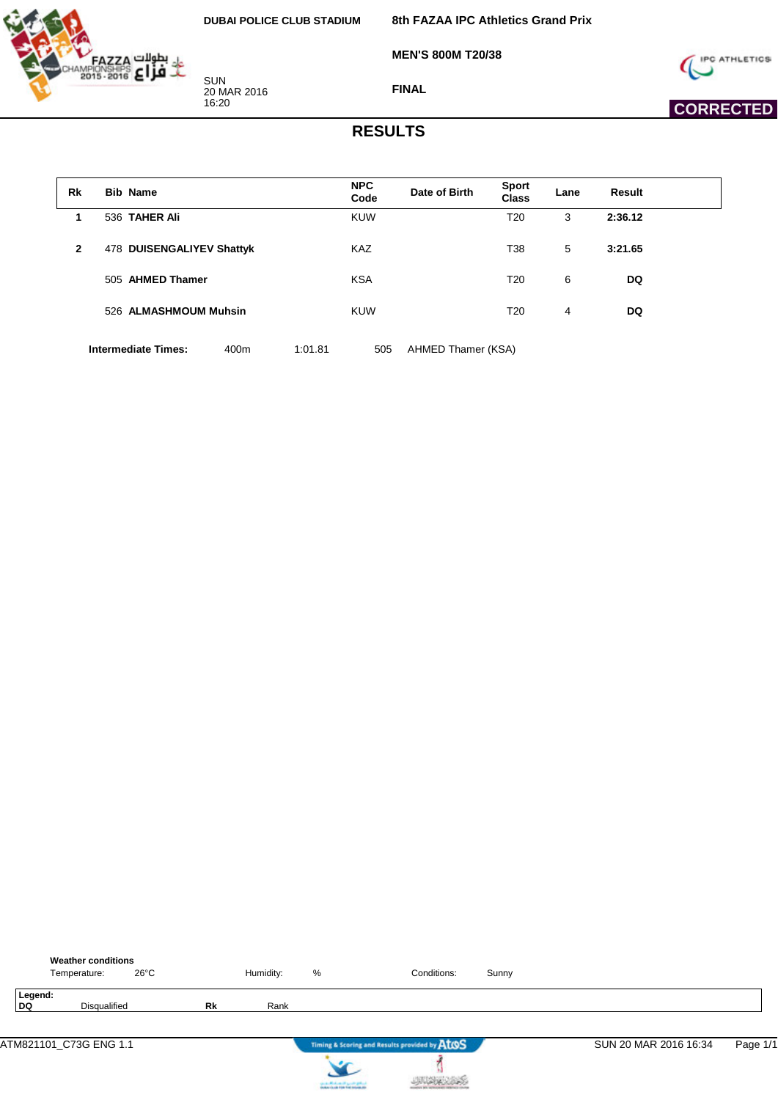بطولات FAZZA<br>MPIONSHIPS<br>2015-2016 2014

SUN 20 MAR 2016 16:20

**8th FAZAA IPC Athletics Grand Prix**

**MEN'S 800M T20/38**



 **CORRECTED** 

**FINAL**

#### **RESULTS**

| Rk           | <b>Bib Name</b>            |      |         | <b>NPC</b><br>Code | Date of Birth      | <b>Sport</b><br><b>Class</b> | Lane | Result    |  |
|--------------|----------------------------|------|---------|--------------------|--------------------|------------------------------|------|-----------|--|
| 1            | 536 TAHER Ali              |      |         | <b>KUW</b>         |                    | T20                          | 3    | 2:36.12   |  |
| $\mathbf{2}$ | 478 DUISENGALIYEV Shattyk  |      |         | <b>KAZ</b>         |                    | T38                          | 5    | 3:21.65   |  |
|              | 505 AHMED Thamer           |      |         | <b>KSA</b>         |                    | T20                          | 6    | <b>DQ</b> |  |
|              | 526 ALMASHMOUM Muhsin      |      |         | <b>KUW</b>         |                    | T20                          | 4    | DQ        |  |
|              | <b>Intermediate Times:</b> | 400m | 1:01.81 | 505                | AHMED Thamer (KSA) |                              |      |           |  |

|               | Temperature: | <b>Weather conditions</b> | $26^{\circ}$ C |    | Humidity: | %                                | Conditions:                                   | Sunny |                       |          |
|---------------|--------------|---------------------------|----------------|----|-----------|----------------------------------|-----------------------------------------------|-------|-----------------------|----------|
| Legend:<br>DQ |              | Disqualified              |                | Rk | Rank      |                                  |                                               |       |                       |          |
|               |              | ATM821101_C73G ENG 1.1    |                |    |           |                                  | Timing & Scoring and Results provided by AtOS |       | SUN 20 MAR 2016 16:34 | Page 1/1 |
|               |              |                           |                |    |           | can a chick on the good gallery. |                                               |       |                       |          |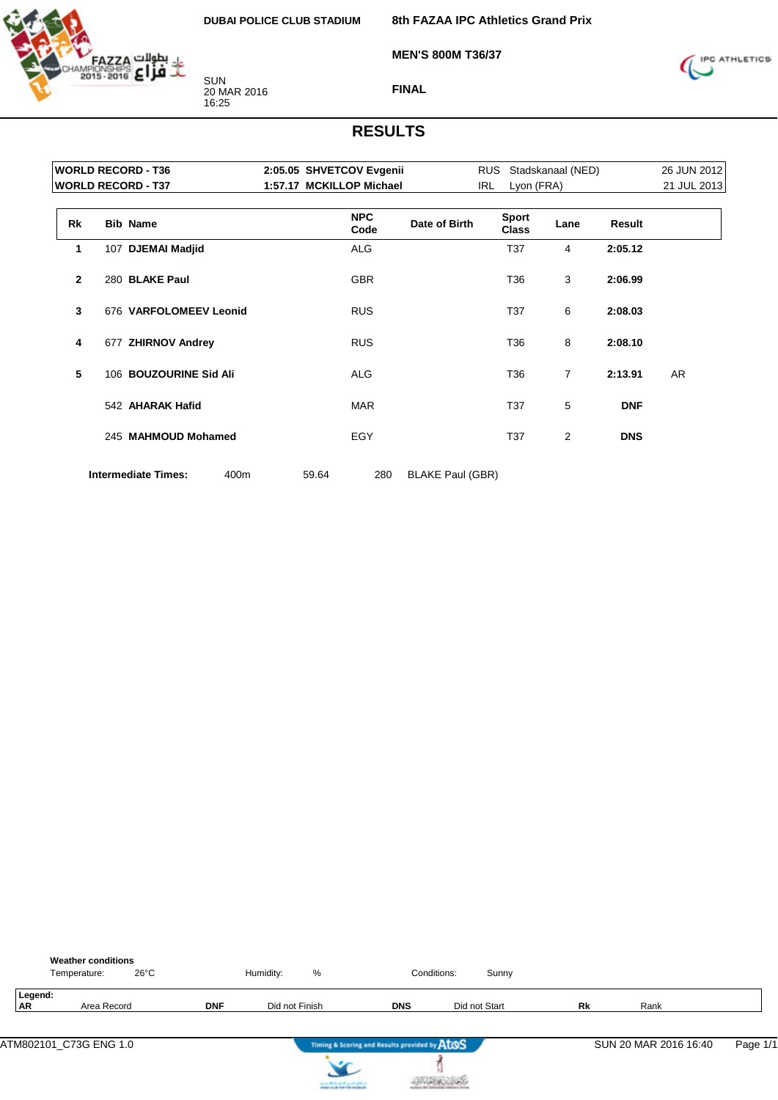

**8th FAZAA IPC Athletics Grand Prix**

**MEN'S 800M T36/37**



**FINAL**

|              | <b>WORLD RECORD - T36</b>          | 2:05.05 SHVETCOV Evgenii |                         | <b>RUS</b> |                              | Stadskanaal (NED) |               | 26 JUN 2012 |
|--------------|------------------------------------|--------------------------|-------------------------|------------|------------------------------|-------------------|---------------|-------------|
|              | <b>WORLD RECORD - T37</b>          | 1:57.17 MCKILLOP Michael |                         | IRL        | Lyon (FRA)                   |                   |               | 21 JUL 2013 |
| <b>Rk</b>    | <b>Bib Name</b>                    | <b>NPC</b><br>Code       | Date of Birth           |            | <b>Sport</b><br><b>Class</b> | Lane              | <b>Result</b> |             |
| 1            | 107 DJEMAI Madjid                  | <b>ALG</b>               |                         |            | T37                          | 4                 | 2:05.12       |             |
| $\mathbf{2}$ | 280 BLAKE Paul                     | <b>GBR</b>               |                         |            | T36                          | 3                 | 2:06.99       |             |
| 3            | 676 VARFOLOMEEV Leonid             | <b>RUS</b>               |                         |            | T37                          | 6                 | 2:08.03       |             |
| 4            | 677 ZHIRNOV Andrey                 | <b>RUS</b>               |                         |            | T36                          | 8                 | 2:08.10       |             |
| 5            | 106 BOUZOURINE Sid Ali             | <b>ALG</b>               |                         |            | T36                          | $\overline{7}$    | 2:13.91       | AR          |
|              | 542 AHARAK Hafid                   | <b>MAR</b>               |                         |            | T37                          | 5                 | <b>DNF</b>    |             |
|              | 245 MAHMOUD Mohamed                | <b>EGY</b>               |                         |            | T37                          | 2                 | <b>DNS</b>    |             |
|              | <b>Intermediate Times:</b><br>400m | 59.64<br>280             | <b>BLAKE Paul (GBR)</b> |            |                              |                   |               |             |

|                      | <b>Weather conditions</b><br>Temperature: | $26^{\circ}$ C |            | %<br>Humidity:                        |                                               | Conditions:<br>Sunny |    |                       |          |
|----------------------|-------------------------------------------|----------------|------------|---------------------------------------|-----------------------------------------------|----------------------|----|-----------------------|----------|
| Legend:<br><b>AR</b> | Area Record                               |                | <b>DNF</b> | Did not Finish                        | <b>DNS</b>                                    | Did not Start        | Rk | Rank                  |          |
|                      | ATM802101_C73G ENG 1.0                    |                |            |                                       | Timing & Scoring and Results provided by AtOS |                      |    | SUN 20 MAR 2016 16:40 | Page 1/1 |
|                      |                                           |                |            | can be affected and if you do got not |                                               |                      |    |                       |          |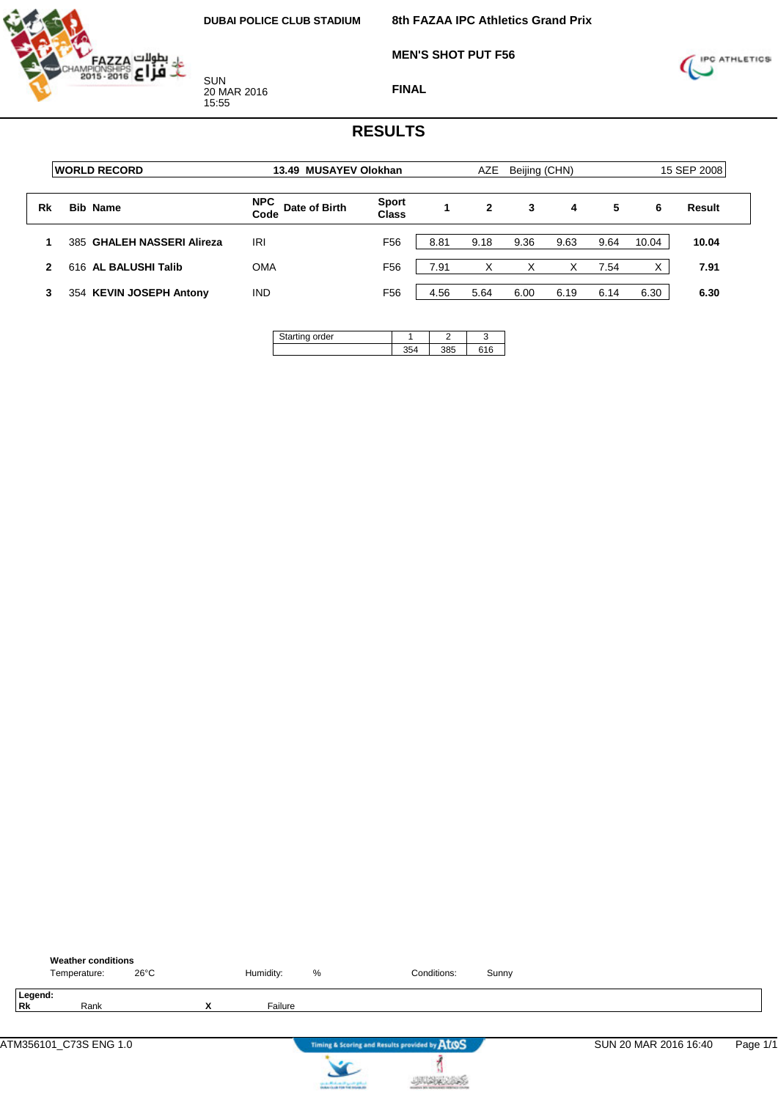

**MEN'S SHOT PUT F56**



**FINAL**

|              | <b>IWORLD RECORD</b>       | 13.49 MUSAYEV Olokhan               |                              |      | AZE  | Beijing (CHN) |      |      |                  | 15 SEP 2008 |
|--------------|----------------------------|-------------------------------------|------------------------------|------|------|---------------|------|------|------------------|-------------|
| Rk           | <b>Bib Name</b>            | <b>NPC</b><br>Date of Birth<br>Code | <b>Sport</b><br><b>Class</b> |      | 2    | 3             | 4    | 5    | 6                | Result      |
|              | 385 GHALEH NASSERI Alireza | IRI                                 | F <sub>56</sub>              | 8.81 | 9.18 | 9.36          | 9.63 | 9.64 | 10.04            | 10.04       |
| $\mathbf{2}$ | 616 AL BALUSHI Talib       | <b>OMA</b>                          | F <sub>56</sub>              | 7.91 | X    | х             | х    | 7.54 | $\check{ }$<br>⋏ | 7.91        |
|              | 354 KEVIN JOSEPH Antony    | <b>IND</b>                          | F <sub>56</sub>              | 4.56 | 5.64 | 6.00          | 6.19 | 6.14 | 6.30             | 6.30        |

| ing order |     |     |
|-----------|-----|-----|
|           | 25. | 616 |

|               | <b>Weather conditions</b><br>Temperature: | $26^{\circ}$ C |        | Humidity: | %                                      | Conditions:                                   | Sunny |                       |          |
|---------------|-------------------------------------------|----------------|--------|-----------|----------------------------------------|-----------------------------------------------|-------|-----------------------|----------|
| Legend:<br>Rk | Rank                                      |                | v<br>́ | Failure   |                                        |                                               |       |                       |          |
|               | ATM356101_C73S ENG 1.0                    |                |        |           |                                        | Timing & Scoring and Results provided by AtOS |       | SUN 20 MAR 2016 16:40 | Page 1/1 |
|               |                                           |                |        |           | can be affected and it genetic gradual |                                               |       |                       |          |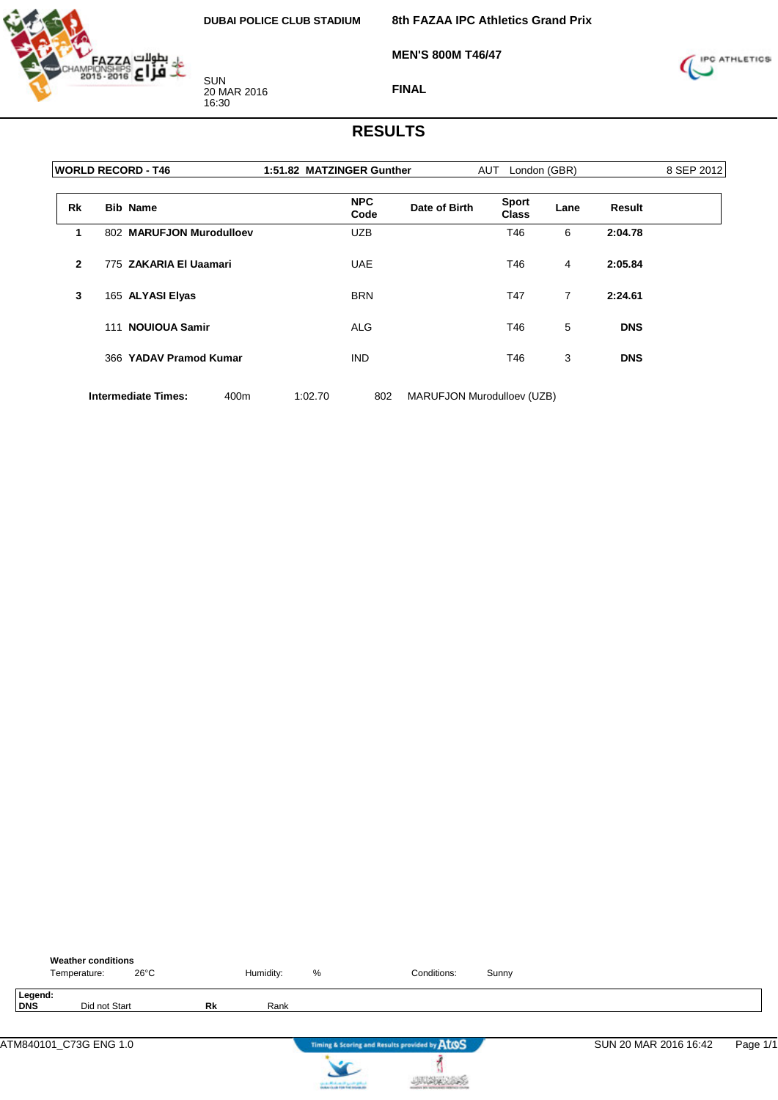

**MEN'S 800M T46/47**



**FINAL**

### **RESULTS**

| <b>WORLD RECORD - T46</b> | 1:51.82 MATZINGER Gunther | <b>AUT</b>                   |               | 8 SEP 2012   |  |  |
|---------------------------|---------------------------|------------------------------|---------------|--------------|--|--|
| <b>Bib Name</b>           | <b>NPC</b><br>Code        | <b>Sport</b><br><b>Class</b> | Lane          | Result       |  |  |
|                           | <b>UZB</b>                | T46                          | 6             | 2:04.78      |  |  |
| 775 ZAKARIA EI Uaamari    | <b>UAE</b>                | T46                          | 4             | 2:05.84      |  |  |
| 165 ALYASI Elyas          | <b>BRN</b>                | T47                          | 7             | 2:24.61      |  |  |
| 111 NOUIOUA Samir         | ALG                       | T46                          | 5             | <b>DNS</b>   |  |  |
| 366 YADAV Pramod Kumar    | <b>IND</b>                | T46                          | 3             | <b>DNS</b>   |  |  |
|                           |                           | 802 MARUFJON Murodulloev     | Date of Birth | London (GBR) |  |  |

**Intermediate Times:** 400m 1:02.70 802 MARUFJON Murodulloev (UZB)

|                       | <b>Weather conditions</b><br>Temperature: | 26°C |    | Humidity: | %                                                                         | Conditions:                                   | Sunny |                       |          |
|-----------------------|-------------------------------------------|------|----|-----------|---------------------------------------------------------------------------|-----------------------------------------------|-------|-----------------------|----------|
| Legend:<br><b>DNS</b> | Did not Start                             |      | Rk | Rank      |                                                                           |                                               |       |                       |          |
|                       | ATM840101_C73G ENG 1.0                    |      |    |           |                                                                           | Timing & Scoring and Results provided by AtOS |       | SUN 20 MAR 2016 16:42 | Page 1/1 |
|                       |                                           |      |    |           | country Michael and Lands & Michael<br>Anders that him field industry the |                                               |       |                       |          |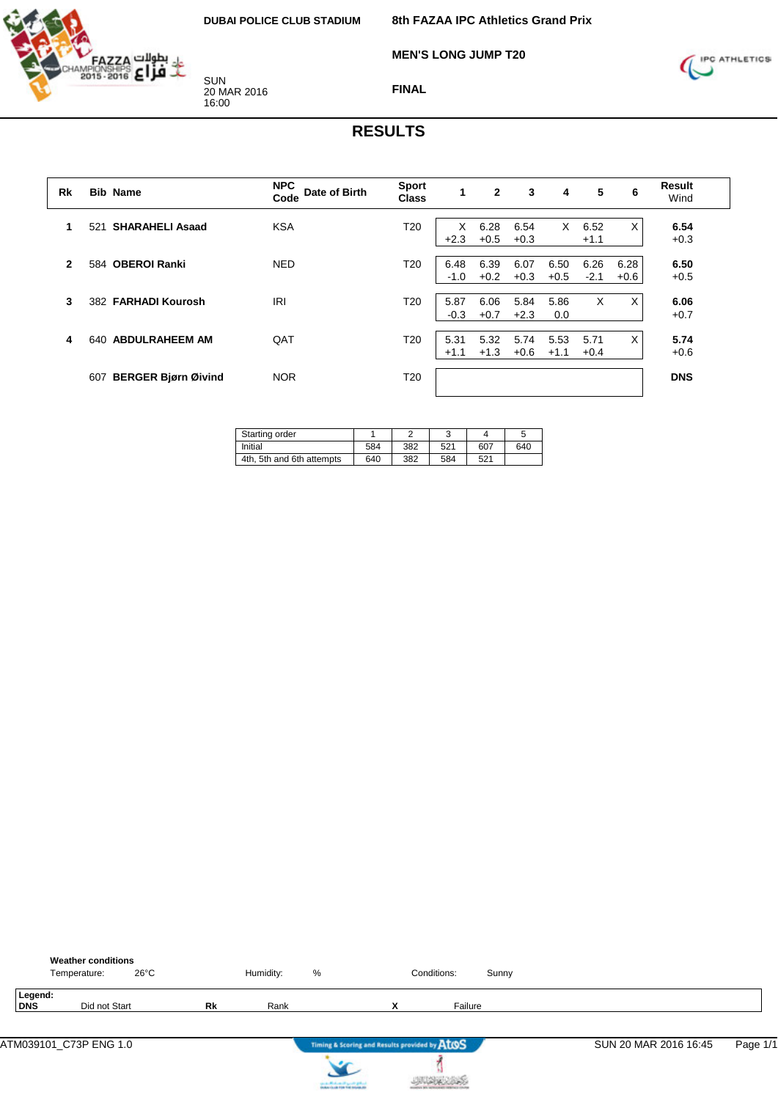**8th FAZAA IPC Athletics Grand Prix**

**MEN'S LONG JUMP T20**



SUN 20 MAR 2016 16:00



**FINAL**

| Rk           | <b>Bib Name</b>                   | <b>NPC</b><br>Date of Birth<br>Code | <b>Sport</b><br><b>Class</b> | $\mathbf{1}$   | $\overline{2}$ | 3              | 4              | 5              | 6              | <b>Result</b><br>Wind |
|--------------|-----------------------------------|-------------------------------------|------------------------------|----------------|----------------|----------------|----------------|----------------|----------------|-----------------------|
|              | <b>SHARAHELI Asaad</b><br>521     | <b>KSA</b>                          | T <sub>20</sub>              | X<br>$+2.3$    | 6.28<br>$+0.5$ | 6.54<br>$+0.3$ | X              | 6.52<br>$+1.1$ | X              | 6.54<br>$+0.3$        |
| $\mathbf{2}$ | 584 OBEROI Ranki                  | <b>NED</b>                          | T <sub>20</sub>              | 6.48<br>$-1.0$ | 6.39<br>$+0.2$ | 6.07<br>$+0.3$ | 6.50<br>$+0.5$ | 6.26<br>$-2.1$ | 6.28<br>$+0.6$ | 6.50<br>$+0.5$        |
| 3            | 382 FARHADI Kourosh               | IRI                                 | T <sub>20</sub>              | 5.87<br>$-0.3$ | 6.06<br>$+0.7$ | 5.84<br>$+2.3$ | 5.86<br>0.0    | X              | X              | 6.06<br>$+0.7$        |
| 4            | <b>ABDULRAHEEM AM</b><br>640      | QAT                                 | T <sub>20</sub>              | 5.31<br>$+1.1$ | 5.32<br>$+1.3$ | 5.74<br>$+0.6$ | 5.53<br>$+1.1$ | 5.71<br>$+0.4$ | X              | 5.74<br>$+0.6$        |
|              | <b>BERGER Bjørn Øivind</b><br>607 | <b>NOR</b>                          | T20                          |                |                |                |                |                |                | <b>DNS</b>            |

| Starting order            |     |     | ٮ               |     | đ   |
|---------------------------|-----|-----|-----------------|-----|-----|
| Initial                   | 584 | 382 | 52 <sup>4</sup> | 607 | 640 |
| 4th. 5th and 6th attempts | 640 | 382 | 584             | 521 |     |

|                | <b>Weather conditions</b><br>$26^{\circ}$ C<br>Temperature: |    | Humidity: | %                                                                             |   | Conditions: | Sunny |                       |          |
|----------------|-------------------------------------------------------------|----|-----------|-------------------------------------------------------------------------------|---|-------------|-------|-----------------------|----------|
| Legend:<br>DNS | Did not Start                                               | Rk | Rank      |                                                                               | X | Failure     |       |                       |          |
|                | ATM039101_C73P ENG 1.0                                      |    |           | Timing & Scoring and Results provided by ATOS                                 |   |             |       | SUN 20 MAR 2016 16:45 | Page 1/1 |
|                |                                                             |    |           | سراوي جنبس الاستعمالا بالمنفق<br><b>Installation of the field industry at</b> |   |             |       |                       |          |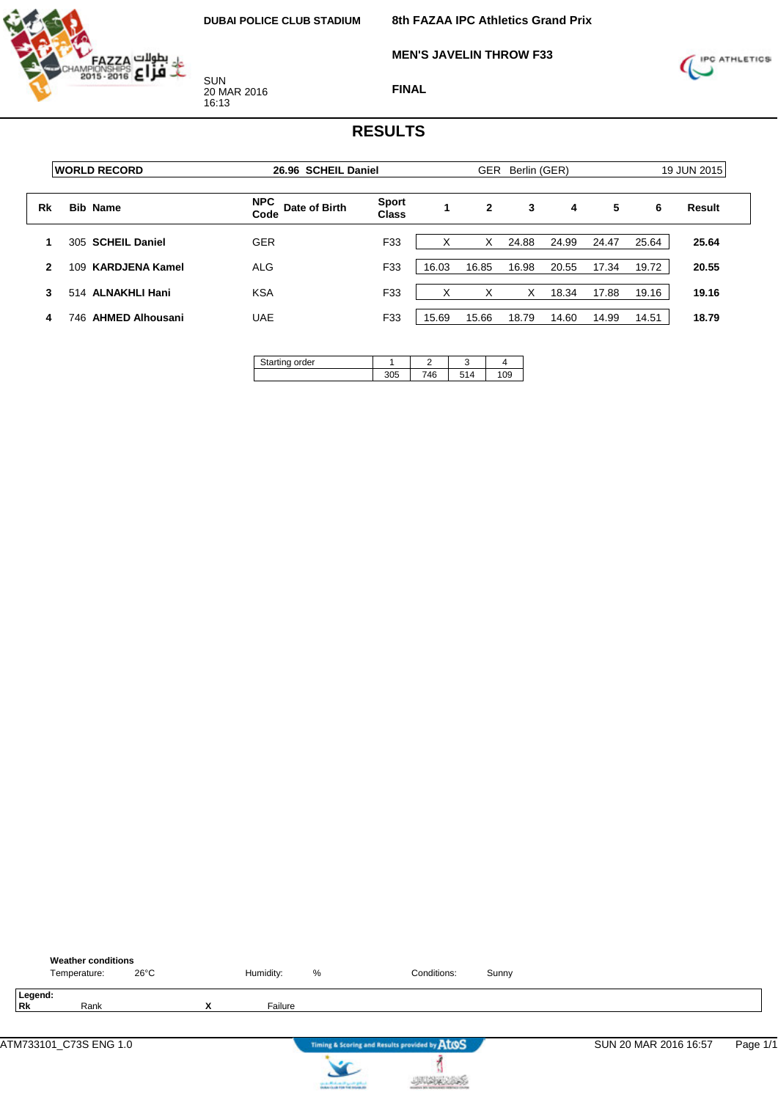

**MEN'S JAVELIN THROW F33**



**FINAL**

|    | <b>IWORLD RECORD</b>           | 26.96 SCHEIL Daniel                 |                              |       | <b>GER</b>   | Berlin (GER) |       |       |       | 19 JUN 2015 |
|----|--------------------------------|-------------------------------------|------------------------------|-------|--------------|--------------|-------|-------|-------|-------------|
| Rk | <b>Bib Name</b>                | <b>NPC</b><br>Date of Birth<br>Code | <b>Sport</b><br><b>Class</b> |       | $\mathbf{2}$ | 3            | 4     | 5     | 6     | Result      |
|    | <b>SCHEIL Daniel</b><br>305    | <b>GER</b>                          | F33                          |       | X            | 24.88        | 24.99 | 24.47 | 25.64 | 25.64       |
| 2  | <b>KARDJENA Kamel</b><br>109   | <b>ALG</b>                          | F33                          | 16.03 | 16.85        | 16.98        | 20.55 | 17.34 | 19.72 | 20.55       |
| 3  | 514 ALNAKHLI Hani              | <b>KSA</b>                          | F33                          | ⋏     | X            | Х            | 18.34 | 17.88 | 19.16 | 19.16       |
| 4  | <b>AHMED Alhousani</b><br>746. | <b>UAE</b>                          | F33                          | 15.69 | 15.66        | 18.79        | 14.60 | 14.99 | 14.51 | 18.79       |

| Starting order<br>≂ | –   |     |
|---------------------|-----|-----|
|                     | 746 | 109 |

|                      | <b>Weather conditions</b><br>Temperature: | $26^{\circ}$ C |   | Humidity: | %                                     | Conditions:                                   | Sunny |                       |          |
|----------------------|-------------------------------------------|----------------|---|-----------|---------------------------------------|-----------------------------------------------|-------|-----------------------|----------|
| Legend:<br><b>Rk</b> | Rank                                      |                | x | Failure   |                                       |                                               |       |                       |          |
|                      |                                           |                |   |           |                                       | Timing & Scoring and Results provided by AtOS |       | SUN 20 MAR 2016 16:57 | Page 1/1 |
|                      |                                           |                |   |           | can be affected and if you do got not |                                               |       |                       |          |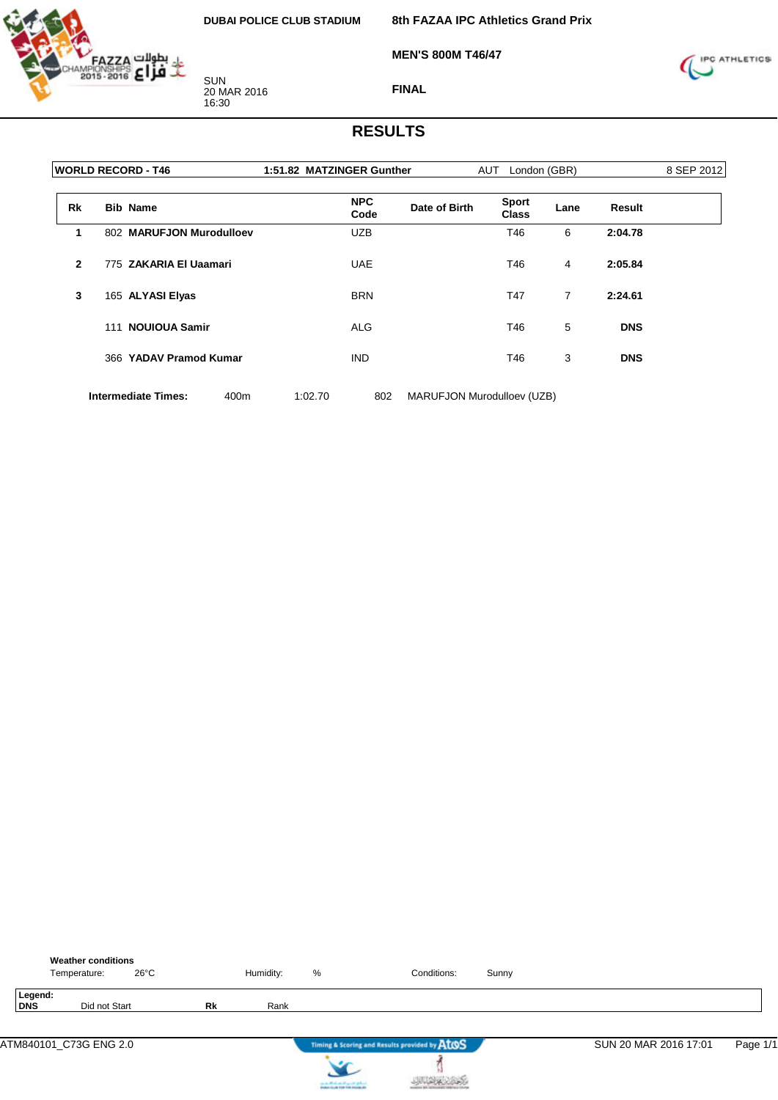

**MEN'S 800M T46/47**



**FINAL**

### **RESULTS**

|              | <b>WORLD RECORD - T46</b> | 1:51.82 MATZINGER Gunther           | <b>AUT</b>                   | London (GBR) |            | 8 SEP 2012 |  |
|--------------|---------------------------|-------------------------------------|------------------------------|--------------|------------|------------|--|
| <b>Rk</b>    | <b>Bib Name</b>           | <b>NPC</b><br>Date of Birth<br>Code | <b>Sport</b><br><b>Class</b> | Lane         | Result     |            |  |
| 1            | 802 MARUFJON Murodulloev  | <b>UZB</b>                          | T46                          | 6            | 2:04.78    |            |  |
| $\mathbf{2}$ | 775 ZAKARIA EI Uaamari    | <b>UAE</b>                          | T46                          | 4            | 2:05.84    |            |  |
| 3            | 165 ALYASI Elyas          | <b>BRN</b>                          | T47                          | 7            | 2:24.61    |            |  |
|              | 111 NOUIOUA Samir         | <b>ALG</b>                          | T46                          | 5            | <b>DNS</b> |            |  |
|              | 366 YADAV Pramod Kumar    | <b>IND</b>                          | T46                          | 3            | <b>DNS</b> |            |  |
|              |                           |                                     |                              |              |            |            |  |

**Intermediate Times:** 400m 1:02.70 802 MARUFJON Murodulloev (UZB)

|                        | Temperature: | <b>Weather conditions</b> | $26^{\circ}$ C |    | Humidity: | %                                                                                   | Conditions:                                   | Sunny |                       |          |
|------------------------|--------------|---------------------------|----------------|----|-----------|-------------------------------------------------------------------------------------|-----------------------------------------------|-------|-----------------------|----------|
| Legend:<br><b>DNS</b>  |              | Did not Start             |                | Rk | Rank      |                                                                                     |                                               |       |                       |          |
| ATM840101_C73G ENG 2.0 |              |                           |                |    |           |                                                                                     | Timing & Scoring and Results provided by AtOS |       | SUN 20 MAR 2016 17:01 | Page 1/1 |
|                        |              |                           |                |    |           | the death of the state of a proof of policy.<br>Section is also find that makes the |                                               |       |                       |          |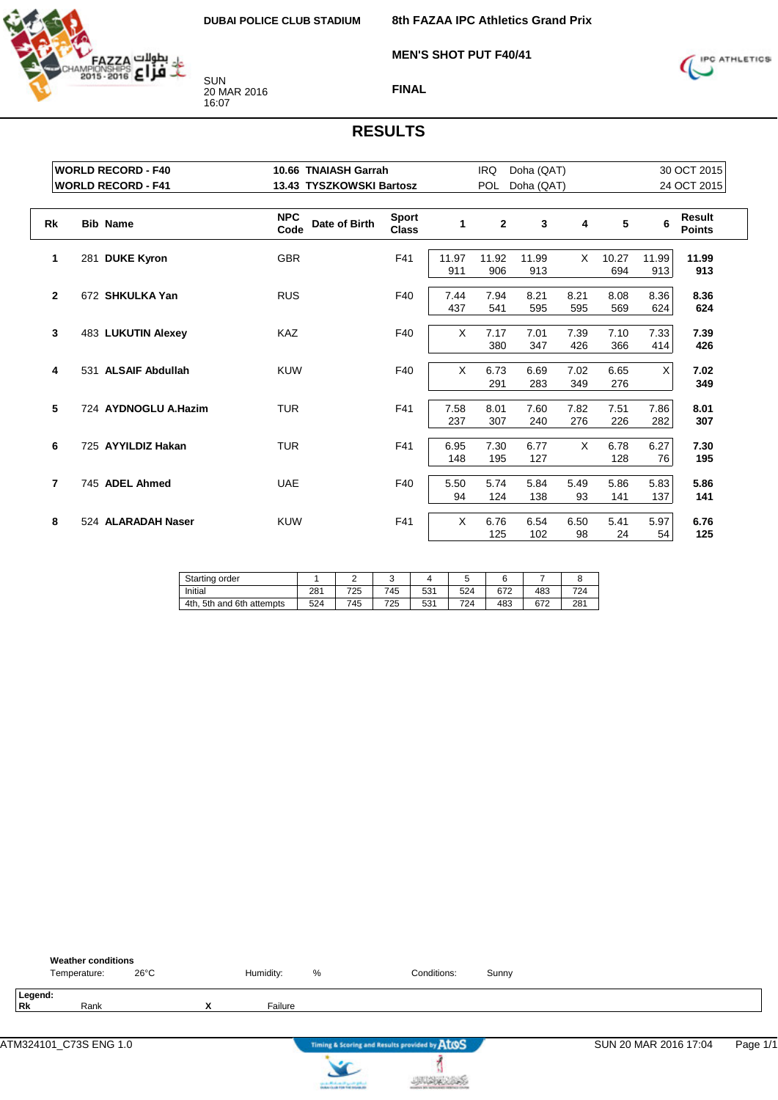

**MEN'S SHOT PUT F40/41**



**FINAL**

| <b>WORLD RECORD - F40</b> |                           |                    | 10.66 TNAIASH Garrah     |                              |              | <b>IRQ</b><br>Doha (QAT) |              |             |              |              | 30 OCT 2015             |  |  |
|---------------------------|---------------------------|--------------------|--------------------------|------------------------------|--------------|--------------------------|--------------|-------------|--------------|--------------|-------------------------|--|--|
|                           | <b>WORLD RECORD - F41</b> |                    | 13.43 TYSZKOWSKI Bartosz |                              |              | <b>POL</b>               | Doha (QAT)   |             |              |              | 24 OCT 2015             |  |  |
| <b>Rk</b>                 | <b>Bib Name</b>           | <b>NPC</b><br>Code | Date of Birth            | <b>Sport</b><br><b>Class</b> | 1            | $\mathbf{2}$             | 3            | 4           | 5            | 6            | Result<br><b>Points</b> |  |  |
| 1                         | 281 DUKE Kyron            | <b>GBR</b>         |                          | F41                          | 11.97<br>911 | 11.92<br>906             | 11.99<br>913 | X           | 10.27<br>694 | 11.99<br>913 | 11.99<br>913            |  |  |
| $\mathbf{2}$              | 672 SHKULKA Yan           | <b>RUS</b>         |                          | F40                          | 7.44<br>437  | 7.94<br>541              | 8.21<br>595  | 8.21<br>595 | 8.08<br>569  | 8.36<br>624  | 8.36<br>624             |  |  |
| 3                         | 483 LUKUTIN Alexey        | <b>KAZ</b>         |                          | F40                          | X            | 7.17<br>380              | 7.01<br>347  | 7.39<br>426 | 7.10<br>366  | 7.33<br>414  | 7.39<br>426             |  |  |
| 4                         | 531 ALSAIF Abdullah       | <b>KUW</b>         |                          | F40                          | X            | 6.73<br>291              | 6.69<br>283  | 7.02<br>349 | 6.65<br>276  | X            | 7.02<br>349             |  |  |
| 5                         | 724 AYDNOGLU A.Hazim      | <b>TUR</b>         |                          | F41                          | 7.58<br>237  | 8.01<br>307              | 7.60<br>240  | 7.82<br>276 | 7.51<br>226  | 7.86<br>282  | 8.01<br>307             |  |  |
| 6                         | 725 AYYILDIZ Hakan        | <b>TUR</b>         |                          | F41                          | 6.95<br>148  | 7.30<br>195              | 6.77<br>127  | X           | 6.78<br>128  | 6.27<br>76   | 7.30<br>195             |  |  |
| 7                         | 745 ADEL Ahmed            | <b>UAE</b>         |                          | F40                          | 5.50<br>94   | 5.74<br>124              | 5.84<br>138  | 5.49<br>93  | 5.86<br>141  | 5.83<br>137  | 5.86<br>141             |  |  |
| 8                         | 524 ALARADAH Naser        | <b>KUW</b>         |                          | F41                          | X            | 6.76<br>125              | 6.54<br>102  | 6.50<br>98  | 5.41<br>24   | 5.97<br>54   | 6.76<br>125             |  |  |

| Starting order               |     |     | ັ   |     | ີ   |     |     |     |
|------------------------------|-----|-----|-----|-----|-----|-----|-----|-----|
| Initial                      | 281 | 725 | 745 | 531 | 524 | 672 | 483 | 724 |
| 4th.<br>5th and 6th attempts | 524 | 745 | 725 | 531 | 724 | 483 | 672 | 281 |

|                      | <b>Weather conditions</b><br>Temperature: | $26^{\circ}$ C |                | Humidity: | %                                      | Conditions:                                   | Sunny |                       |          |
|----------------------|-------------------------------------------|----------------|----------------|-----------|----------------------------------------|-----------------------------------------------|-------|-----------------------|----------|
| Legend:<br><b>Rk</b> | Rank                                      |                | v<br>$\lambda$ | Failure   |                                        |                                               |       |                       |          |
|                      | ATM324101_C73S ENG 1.0                    |                |                |           |                                        | Timing & Scoring and Results provided by AtOS |       | SUN 20 MAR 2016 17:04 | Page 1/1 |
|                      |                                           |                |                |           | can be affected and it genetic gradual |                                               |       |                       |          |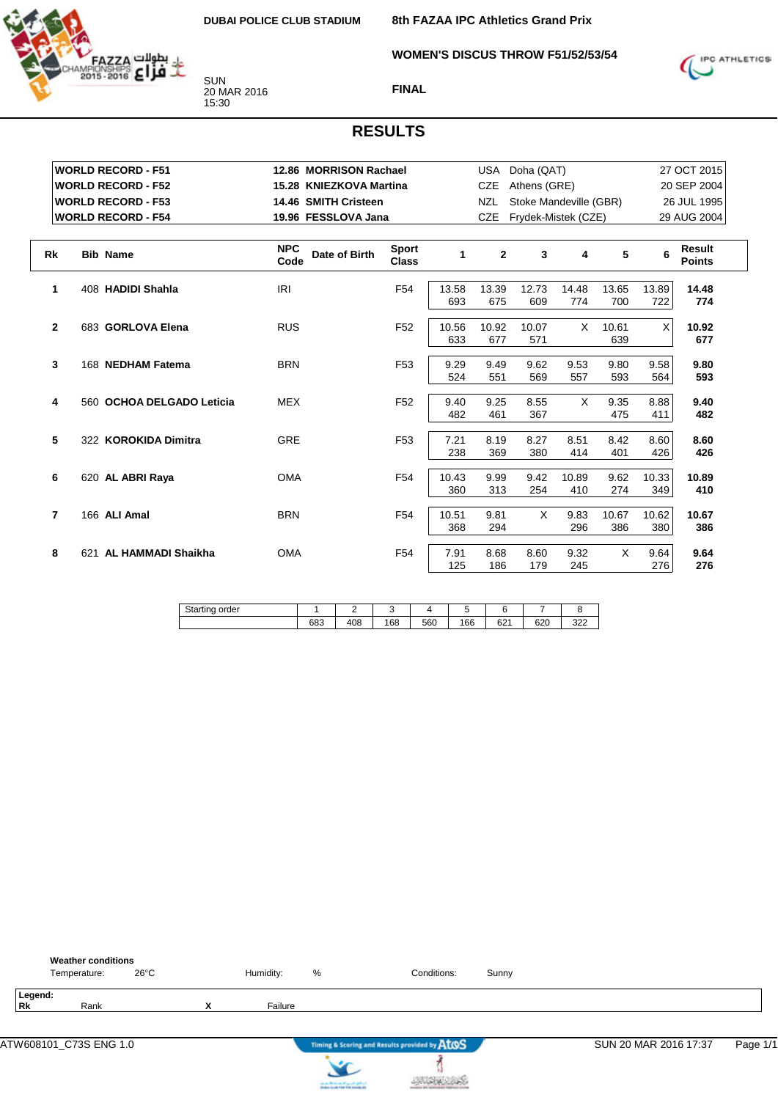

**8th FAZAA IPC Athletics Grand Prix**

**WOMEN'S DISCUS THROW F51/52/53/54**



**FINAL**

|                | <b>WORLD RECORD - F51</b> | 12.86 MORRISON Rachael              |                              |              | USA            | Doha (QAT)             |       |              |             | 27 OCT 2015             |  |
|----------------|---------------------------|-------------------------------------|------------------------------|--------------|----------------|------------------------|-------|--------------|-------------|-------------------------|--|
|                | <b>WORLD RECORD - F52</b> | 15.28 KNIEZKOVA Martina             |                              |              | <b>CZE</b>     | Athens (GRE)           |       |              |             | 20 SEP 2004             |  |
|                | <b>WORLD RECORD - F53</b> | 14.46 SMITH Cristeen                |                              |              | NZL            | Stoke Mandeville (GBR) |       |              | 26 JUL 1995 |                         |  |
|                | <b>WORLD RECORD - F54</b> | 19.96 FESSLOVA Jana                 |                              |              | <b>CZE</b>     | Frydek-Mistek (CZE)    |       |              |             | 29 AUG 2004             |  |
|                |                           |                                     |                              |              |                |                        |       |              |             |                         |  |
| <b>Rk</b>      | <b>Bib Name</b>           | <b>NPC</b><br>Date of Birth<br>Code | <b>Sport</b><br><b>Class</b> | 1            | $\overline{2}$ | 3                      | 4     | 5            | 6           | Result<br><b>Points</b> |  |
| 1              | 408 HADIDI Shahla         | IRI                                 | F <sub>54</sub>              | 13.58        | 13.39          | 12.73                  | 14.48 | 13.65        | 13.89       | 14.48                   |  |
|                |                           |                                     |                              | 693          | 675            | 609                    | 774   | 700          | 722         | 774                     |  |
| $\mathbf{2}$   | 683 GORLOVA Elena         | <b>RUS</b>                          | F <sub>52</sub>              | 10.56<br>633 | 10.92<br>677   | 10.07<br>571           | X     | 10.61<br>639 | X           | 10.92<br>677            |  |
|                |                           |                                     |                              |              |                |                        |       |              |             |                         |  |
| 3              | 168 NEDHAM Fatema         | <b>BRN</b>                          | F <sub>53</sub>              | 9.29         | 9.49           | 9.62                   | 9.53  | 9.80         | 9.58        | 9.80                    |  |
|                |                           |                                     |                              | 524          | 551            | 569                    | 557   | 593          | 564         | 593                     |  |
| 4              | 560 OCHOA DELGADO Leticia | <b>MEX</b>                          | F <sub>52</sub>              | 9.40         | 9.25           | 8.55                   | X     | 9.35         | 8.88        | 9.40                    |  |
|                |                           |                                     |                              | 482          | 461            | 367                    |       | 475          | 411         | 482                     |  |
| 5              | 322 KOROKIDA Dimitra      | <b>GRE</b>                          | F <sub>53</sub>              | 7.21         | 8.19           | 8.27                   | 8.51  | 8.42         | 8.60        | 8.60                    |  |
|                |                           |                                     |                              | 238          | 369            | 380                    | 414   | 401          | 426         | 426                     |  |
| 6              | 620 AL ABRI Raya          | <b>OMA</b>                          | F <sub>54</sub>              | 10.43        | 9.99           | 9.42                   | 10.89 | 9.62         | 10.33       | 10.89                   |  |
|                |                           |                                     |                              | 360          | 313            | 254                    | 410   | 274          | 349         | 410                     |  |
| $\overline{7}$ | 166 ALI Amal              | <b>BRN</b>                          | F <sub>54</sub>              | 10.51        | 9.81           | X                      | 9.83  | 10.67        | 10.62       | 10.67                   |  |
|                |                           |                                     |                              | 368          | 294            |                        | 296   | 386          | 380         | 386                     |  |
| 8              | AL HAMMADI Shaikha<br>621 | <b>OMA</b>                          | F <sub>54</sub>              | 7.91         | 8.68           | 8.60                   | 9.32  | X            | 9.64        | 9.64                    |  |
|                |                           |                                     |                              | 125          | 186            | 179                    | 245   |              | 276         | 276                     |  |

| <b>.</b><br>order<br>OF.<br>uno<br>www. |            |     |     |     |     |              |               |            |
|-----------------------------------------|------------|-----|-----|-----|-----|--------------|---------------|------------|
|                                         | coo<br>სია | 408 | 168 | 560 | 166 | 0.04<br>02 I | $\sim$<br>ט∠ט | 000<br>ےےں |

|               | <b>Weather conditions</b><br>Temperature: | $26^{\circ}$ C |                | Humidity: | %                                 | Conditions:                                   | Sunny |                       |          |
|---------------|-------------------------------------------|----------------|----------------|-----------|-----------------------------------|-----------------------------------------------|-------|-----------------------|----------|
| Legend:<br>Rk | Rank                                      |                | v<br>$\lambda$ | Failure   |                                   |                                               |       |                       |          |
|               | ATW608101_C73S ENG 1.0                    |                |                |           |                                   | Timing & Scoring and Results provided by AtOS |       | SUN 20 MAR 2016 17:37 | Page 1/1 |
|               |                                           |                |                |           | can be Mindsom of Sprints (print) |                                               |       |                       |          |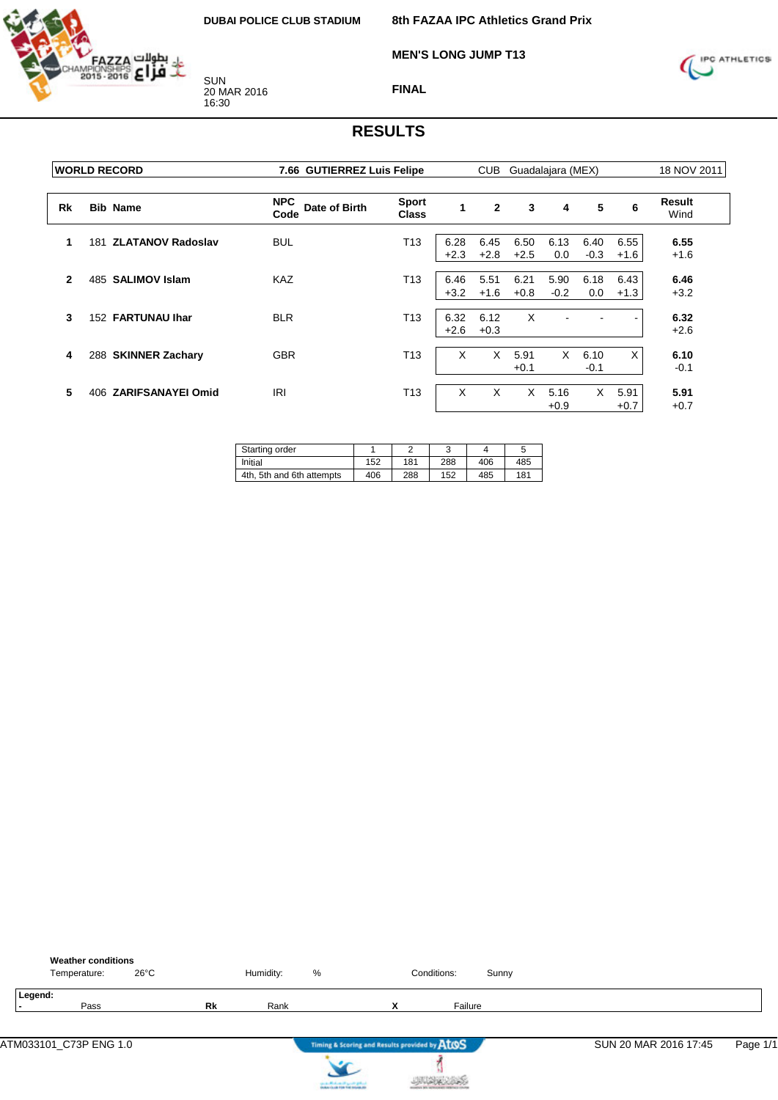

**MEN'S LONG JUMP T13**



**FINAL**

|              | <b>WORLD RECORD</b>             |                                     | 7.66 GUTIERREZ Luis Felipe   |                |                | <b>CUB</b><br>Guadalajara (MEX) |                |                |                |                |
|--------------|---------------------------------|-------------------------------------|------------------------------|----------------|----------------|---------------------------------|----------------|----------------|----------------|----------------|
| Rk           | <b>Bib Name</b>                 | <b>NPC</b><br>Date of Birth<br>Code | <b>Sport</b><br><b>Class</b> | 1              | $\overline{2}$ | 3                               | 4              | 5              | 6              | Result<br>Wind |
| 1            | <b>ZLATANOV Radoslav</b><br>181 | <b>BUL</b>                          | T <sub>13</sub>              | 6.28<br>$+2.3$ | 6.45<br>$+2.8$ | 6.50<br>$+2.5$                  | 6.13<br>0.0    | 6.40<br>$-0.3$ | 6.55<br>$+1.6$ | 6.55<br>$+1.6$ |
| $\mathbf{2}$ | 485 SALIMOV Islam               | <b>KAZ</b>                          | T13                          | 6.46<br>$+3.2$ | 5.51<br>$+1.6$ | 6.21<br>$+0.8$                  | 5.90<br>$-0.2$ | 6.18<br>0.0    | 6.43<br>$+1.3$ | 6.46<br>$+3.2$ |
| 3            | 152 FARTUNAU Ihar               | <b>BLR</b>                          | T <sub>13</sub>              | 6.32<br>$+2.6$ | 6.12<br>$+0.3$ | X                               |                |                |                | 6.32<br>$+2.6$ |
| 4            | <b>SKINNER Zachary</b><br>288   | <b>GBR</b>                          | T <sub>13</sub>              | X              | X              | 5.91<br>$+0.1$                  | X              | 6.10<br>$-0.1$ | X              | 6.10<br>$-0.1$ |
| 5            | <b>ZARIFSANAYEI Omid</b><br>406 | <b>IRI</b>                          | T <sub>13</sub>              | X              | X              | X                               | 5.16<br>$+0.9$ | X              | 5.91<br>$+0.7$ | 5.91<br>$+0.7$ |

| Starting order            |     | r   | ٮ   |     |     |
|---------------------------|-----|-----|-----|-----|-----|
| Initial                   | 152 | 181 | 288 | 406 | 485 |
| 4th. 5th and 6th attempts | 406 | 288 | 152 | 485 | 181 |

| <b>Weather conditions</b><br>$26^{\circ}$ C<br>Temperature: |    | Humidity: | %                                             | Conditions:                                   | Sunny |                       |          |
|-------------------------------------------------------------|----|-----------|-----------------------------------------------|-----------------------------------------------|-------|-----------------------|----------|
| Legend:<br>Pass                                             | Rk | Rank      |                                               | Failure<br>x                                  |       |                       |          |
| ATM033101_C73P ENG 1.0                                      |    |           |                                               | Timing & Scoring and Results provided by ATOS |       | SUN 20 MAR 2016 17:45 | Page 1/1 |
|                                                             |    |           | the state affects on the special products and |                                               |       |                       |          |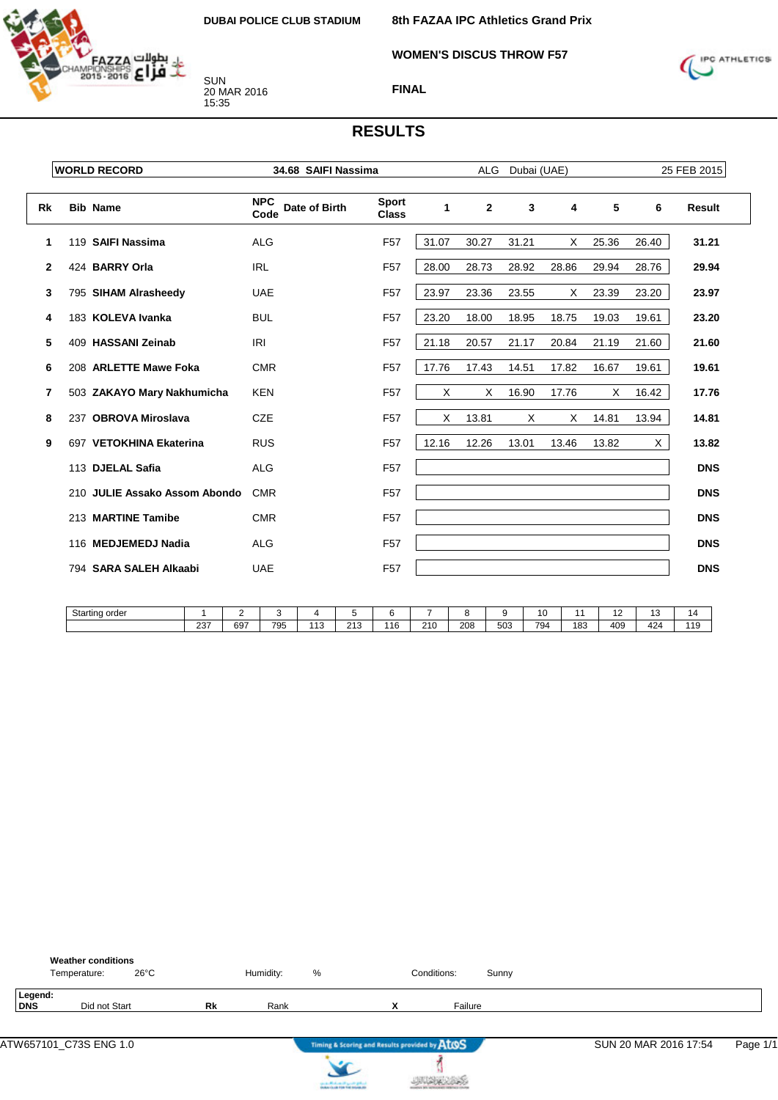**WOMEN'S DISCUS THROW F57**



SUN 20 MAR 2016 15:35



## **FINAL**

|    | <b>WORLD RECORD</b>           | 34.68 SAIFI Nassima                 |                              |       | <b>ALG</b>   | Dubai (UAE) |          |       | 25 FEB 2015 |            |  |
|----|-------------------------------|-------------------------------------|------------------------------|-------|--------------|-------------|----------|-------|-------------|------------|--|
| Rk | <b>Bib Name</b>               | <b>NPC</b><br>Date of Birth<br>Code | <b>Sport</b><br><b>Class</b> | 1     | $\mathbf{2}$ | 3           | 4        | 5     | 6           | Result     |  |
| 1  | 119 SAIFI Nassima             | <b>ALG</b>                          | F <sub>57</sub>              | 31.07 | 30.27        | 31.21       | X        | 25.36 | 26.40       | 31.21      |  |
| 2  | 424 BARRY Orla                | <b>IRL</b>                          | F <sub>57</sub>              | 28.00 | 28.73        | 28.92       | 28.86    | 29.94 | 28.76       | 29.94      |  |
| 3  | 795 SIHAM Alrasheedy          | <b>UAE</b>                          | F <sub>57</sub>              | 23.97 | 23.36        | 23.55       | Χ        | 23.39 | 23.20       | 23.97      |  |
| 4  | 183 KOLEVA Ivanka             | <b>BUL</b>                          | F <sub>57</sub>              | 23.20 | 18.00        | 18.95       | 18.75    | 19.03 | 19.61       | 23.20      |  |
| 5  | 409 HASSANI Zeinab            | <b>IRI</b>                          | F <sub>57</sub>              | 21.18 | 20.57        | 21.17       | 20.84    | 21.19 | 21.60       | 21.60      |  |
| 6  | 208 ARLETTE Mawe Foka         | <b>CMR</b>                          | F <sub>57</sub>              | 17.76 | 17.43        | 14.51       | 17.82    | 16.67 | 19.61       | 19.61      |  |
| 7  | 503 ZAKAYO Mary Nakhumicha    | <b>KEN</b>                          | F <sub>57</sub>              | X     | X            | 16.90       | 17.76    | X     | 16.42       | 17.76      |  |
| 8  | 237 OBROVA Miroslava          | <b>CZE</b>                          | F <sub>57</sub>              | X     | 13.81        | $\times$    | $\times$ | 14.81 | 13.94       | 14.81      |  |
| 9  | 697 VETOKHINA Ekaterina       | <b>RUS</b>                          | F <sub>57</sub>              | 12.16 | 12.26        | 13.01       | 13.46    | 13.82 | X           | 13.82      |  |
|    | 113 DJELAL Safia              | <b>ALG</b>                          | F <sub>57</sub>              |       |              |             |          |       |             | <b>DNS</b> |  |
|    | 210 JULIE Assako Assom Abondo | <b>CMR</b>                          | F <sub>57</sub>              |       |              |             |          |       |             | <b>DNS</b> |  |
|    | 213 MARTINE Tamibe            | <b>CMR</b>                          | F <sub>57</sub>              |       |              |             |          |       |             | <b>DNS</b> |  |
|    | 116 MEDJEMEDJ Nadia           | <b>ALG</b>                          | F <sub>57</sub>              |       |              |             |          |       |             | <b>DNS</b> |  |
|    | 794 SARA SALEH Alkaabi        | <b>UAE</b>                          | F <sub>57</sub>              |       |              |             |          |       |             | <b>DNS</b> |  |
|    |                               |                                     |                              |       |              |             |          |       |             |            |  |

| Starting order |     |     |     |                                |                     |        |     |     |     |     |     | . . | . .<br>w | ıω         |
|----------------|-----|-----|-----|--------------------------------|---------------------|--------|-----|-----|-----|-----|-----|-----|----------|------------|
|                | 237 | 697 | 795 | $\overline{\phantom{a}}$<br>∪ו | $\sim$<br>ا بن ا ہے | 16<br> | 210 | 208 | 503 | 794 | 183 | 409 | 424      | 11C<br>- 1 |

|                | <b>Weather conditions</b><br>Temperature: | $26^{\circ}$ C |    | Humidity: | % |                               | Conditions: | Sunny   |  |
|----------------|-------------------------------------------|----------------|----|-----------|---|-------------------------------|-------------|---------|--|
| Legend:<br>DNS | Did not Start                             |                | Rk | Rank      |   | $\overline{\phantom{a}}$<br>́ |             | Failure |  |





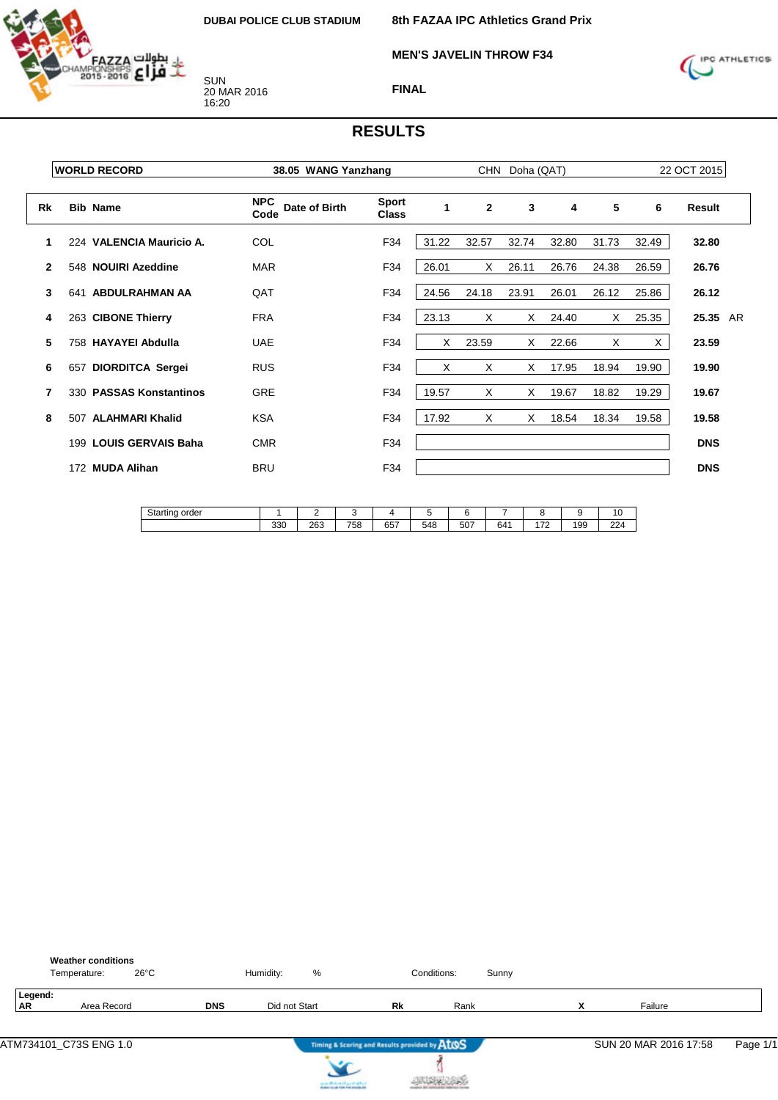

**MEN'S JAVELIN THROW F34**



**FINAL**

|              | <b>WORLD RECORD</b>           | 38.05 WANG Yanzhang                 |                              |       |              | CHN Doha (QAT) |       |       |       | 22 OCT 2015 |  |
|--------------|-------------------------------|-------------------------------------|------------------------------|-------|--------------|----------------|-------|-------|-------|-------------|--|
| Rk           | <b>Bib Name</b>               | <b>NPC</b><br>Date of Birth<br>Code | <b>Sport</b><br><b>Class</b> | 1     | $\mathbf{2}$ | 3              | 4     | 5     | 6     | Result      |  |
|              | 224 VALENCIA Mauricio A.      | COL                                 | F34                          | 31.22 | 32.57        | 32.74          | 32.80 | 31.73 | 32.49 | 32.80       |  |
| $\mathbf{2}$ | 548 NOUIRI Azeddine           | <b>MAR</b>                          | F34                          | 26.01 | X            | 26.11          | 26.76 | 24.38 | 26.59 | 26.76       |  |
| 3            | ABDULRAHMAN AA<br>641         | QAT                                 | F34                          | 24.56 | 24.18        | 23.91          | 26.01 | 26.12 | 25.86 | 26.12       |  |
| 4            | 263 CIBONE Thierry            | <b>FRA</b>                          | F34                          | 23.13 | X            | X              | 24.40 | X     | 25.35 | 25.35 AR    |  |
| 5            | 758 HAYAYEI Abdulla           | <b>UAE</b>                          | F34                          | Χ     | 23.59        | X              | 22.66 | Χ     | X     | 23.59       |  |
| 6            | 657 DIORDITCA Sergei          | <b>RUS</b>                          | F34                          | X     | X            | X              | 17.95 | 18.94 | 19.90 | 19.90       |  |
| 7            | 330 PASSAS Konstantinos       | GRE                                 | F34                          | 19.57 | X            | X              | 19.67 | 18.82 | 19.29 | 19.67       |  |
| 8            | <b>ALAHMARI Khalid</b><br>507 | <b>KSA</b>                          | F34                          | 17.92 | X            | X              | 18.54 | 18.34 | 19.58 | 19.58       |  |
|              | 199 LOUIS GERVAIS Baha        | <b>CMR</b>                          | F34                          |       |              |                |       |       |       | <b>DNS</b>  |  |
|              | 172 MUDA Alihan               | <b>BRU</b>                          | F34                          |       |              |                |       |       |       | <b>DNS</b>  |  |
|              |                               |                                     |                              |       |              |                |       |       |       |             |  |

| $10$<br>Starting order |     | -   |     |                        |     |                   |     |                               |     | $\sim$<br>1 V |
|------------------------|-----|-----|-----|------------------------|-----|-------------------|-----|-------------------------------|-----|---------------|
|                        | 330 | 263 | 758 | CE <sub>7</sub><br>65, | 548 | $F^{\sim}$<br>וטכ | 641 | $\overline{\phantom{a}}$<br>- | 199 | 224           |

| <b>Weather conditions</b><br>$26^{\circ}$ C<br>Temperature: |            | %<br>Humidity:                         |                                               | Conditions: | Sunny |                |                       |          |
|-------------------------------------------------------------|------------|----------------------------------------|-----------------------------------------------|-------------|-------|----------------|-----------------------|----------|
| Legend:<br><b>AR</b><br>Area Record                         | <b>DNS</b> | Did not Start                          | Rk                                            | Rank        |       | v<br>$\lambda$ | Failure               |          |
|                                                             |            |                                        | Timing & Scoring and Results provided by AtOS |             |       |                | SUN 20 MAR 2016 17:58 | Page 1/1 |
|                                                             |            | can be affected and it genetic gradual |                                               |             |       |                |                       |          |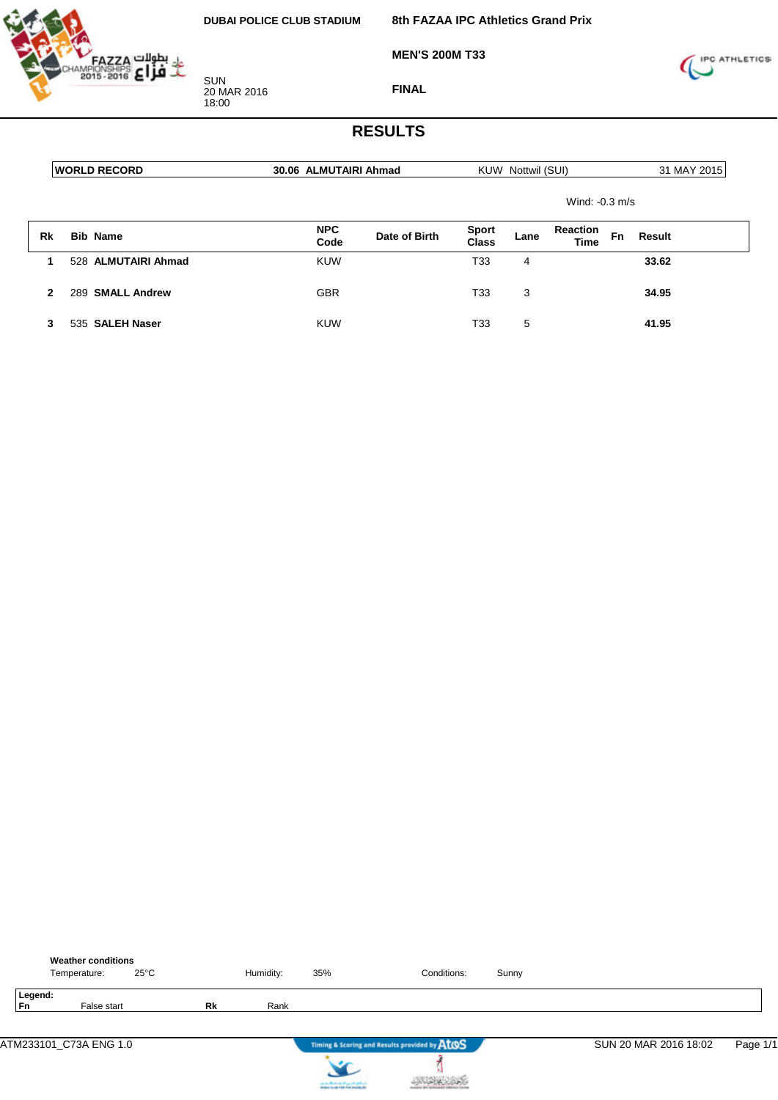

**MEN'S 200M T33**



**FINAL**

|              | <b>WORLD RECORD</b>        | 30.06 ALMUTAIRI Ahmad |               |                       | KUW Nottwil (SUI) |                                | 31 MAY 2015 |        |
|--------------|----------------------------|-----------------------|---------------|-----------------------|-------------------|--------------------------------|-------------|--------|
|              |                            |                       |               |                       |                   | Wind: $-0.3$ m/s               |             |        |
| Rk           | <b>Bib Name</b>            | <b>NPC</b><br>Code    | Date of Birth | <b>Sport</b><br>Class | Lane              | <b>Reaction</b><br><b>Time</b> | Fn          | Result |
|              | 528 ALMUTAIRI Ahmad        | <b>KUW</b>            |               | T33                   | 4                 |                                |             | 33.62  |
| $\mathbf{2}$ | <b>SMALL Andrew</b><br>289 | <b>GBR</b>            |               | T33                   | 3                 |                                |             | 34.95  |
| 3            | 535 SALEH Naser            | <b>KUW</b>            |               | T33                   | 5                 |                                |             | 41.95  |

|               | <b>Weather conditions</b><br>Temperature: | $25^{\circ}$ C |    | Humidity: | 35% | Conditions:                                   | Sunny |                       |          |
|---------------|-------------------------------------------|----------------|----|-----------|-----|-----------------------------------------------|-------|-----------------------|----------|
| Legend:<br>Fn | False start                               |                | Rk | Rank      |     |                                               |       |                       |          |
|               |                                           |                |    |           |     |                                               |       |                       |          |
|               | ATM233101_C73A ENG 1.0                    |                |    |           |     | Timing & Scoring and Results provided by AtOS |       | SUN 20 MAR 2016 18:02 | Page 1/1 |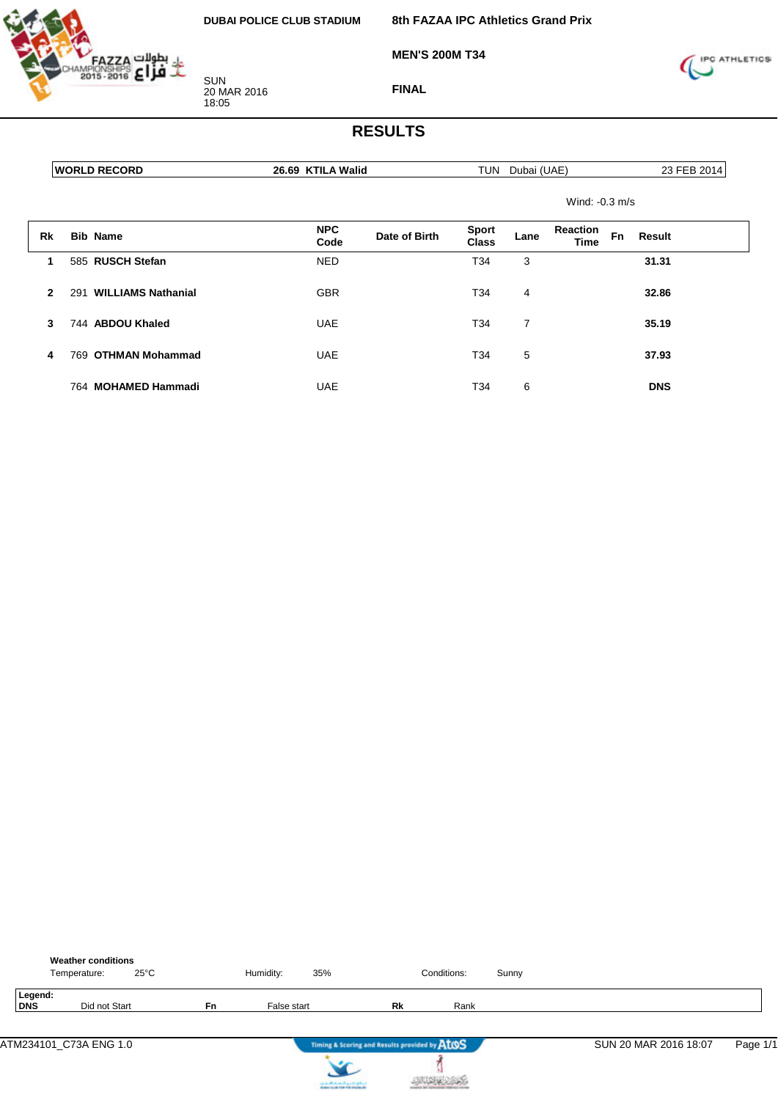

**MEN'S 200M T34**



**FINAL**

|              | <b>WORLD RECORD</b>              | 26.69 KTILA Walid                   | TUN<br>Dubai (UAE)                   | 23 FEB 2014                                    |
|--------------|----------------------------------|-------------------------------------|--------------------------------------|------------------------------------------------|
|              |                                  |                                     |                                      | Wind: -0.3 m/s                                 |
| Rk           | <b>Bib Name</b>                  | <b>NPC</b><br>Date of Birth<br>Code | <b>Sport</b><br>Lane<br><b>Class</b> | <b>Reaction</b><br>Fn<br>Result<br><b>Time</b> |
| 1            | 585 RUSCH Stefan                 | <b>NED</b>                          | T34<br>3                             | 31.31                                          |
| $\mathbf{2}$ | <b>WILLIAMS Nathanial</b><br>291 | <b>GBR</b>                          | T34<br>4                             | 32.86                                          |
| 3            | 744 ABDOU Khaled                 | <b>UAE</b>                          | 7<br>T34                             | 35.19                                          |
| 4            | <b>OTHMAN Mohammad</b><br>769    | <b>UAE</b>                          | T34<br>5                             | 37.93                                          |
|              | 764 MOHAMED Hammadi              | <b>UAE</b>                          | 6<br>T34                             | <b>DNS</b>                                     |

|                | <b>Weather conditions</b><br>$25^{\circ}$ C<br>Temperature: |           | Humidity:<br>35% |                                               | Conditions: | Sunny |                       |          |
|----------------|-------------------------------------------------------------|-----------|------------------|-----------------------------------------------|-------------|-------|-----------------------|----------|
| Legend:<br>DNS | Did not Start                                               | <b>Fn</b> | False start      | Rk                                            | Rank        |       |                       |          |
|                | ATM234101_C73A ENG 1.0                                      |           |                  | Timing & Scoring and Results provided by AtOS |             |       | SUN 20 MAR 2016 18:07 | Page 1/1 |



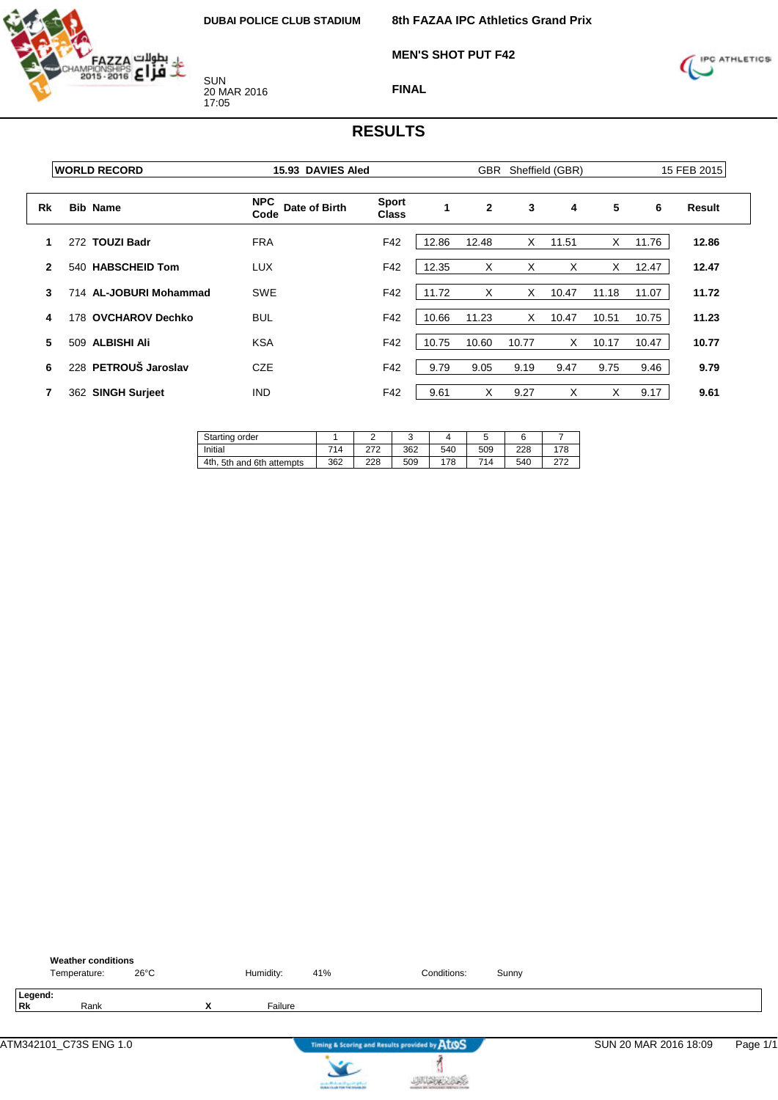

**MEN'S SHOT PUT F42**



**FINAL**

|              | <b>WORLD RECORD</b>           | 15.93 DAVIES Aled                   |                              |       | <b>GBR</b><br>Sheffield (GBR) |       |       |       | 15 FEB 2015 |        |  |
|--------------|-------------------------------|-------------------------------------|------------------------------|-------|-------------------------------|-------|-------|-------|-------------|--------|--|
| <b>Rk</b>    | <b>Bib Name</b>               | <b>NPC</b><br>Date of Birth<br>Code | <b>Sport</b><br><b>Class</b> | 1     | $\mathbf{2}$                  | 3     | 4     | 5     | 6           | Result |  |
|              | <b>TOUZI Badr</b><br>272      | <b>FRA</b>                          | F42                          | 12.86 | 12.48                         | X     | 11.51 | Χ     | 11.76       | 12.86  |  |
| $\mathbf{2}$ | <b>HABSCHEID Tom</b><br>540   | <b>LUX</b>                          | F42                          | 12.35 | X                             | X     | X     | X     | 12.47       | 12.47  |  |
| 3            | 714 AL-JOBURI Mohammad        | <b>SWE</b>                          | F42                          | 11.72 | X                             | X     | 10.47 | 11.18 | 11.07       | 11.72  |  |
| 4            | <b>OVCHAROV Dechko</b><br>178 | <b>BUL</b>                          | F42                          | 10.66 | 11.23                         | X     | 10.47 | 10.51 | 10.75       | 11.23  |  |
| 5            | <b>ALBISHI Ali</b><br>509     | <b>KSA</b>                          | F42                          | 10.75 | 10.60                         | 10.77 | X.    | 10.17 | 10.47       | 10.77  |  |
| 6            | 228 PETROUŠ Jaroslav          | <b>CZE</b>                          | F42                          | 9.79  | 9.05                          | 9.19  | 9.47  | 9.75  | 9.46        | 9.79   |  |
|              | 362 SINGH Surjeet             | <b>IND</b>                          | F42                          | 9.61  | X                             | 9.27  | X     | X     | 9.17        | 9.61   |  |

| Starting order               |     |     |     |     | w   |     |     |
|------------------------------|-----|-----|-----|-----|-----|-----|-----|
| Initial                      | 714 | 272 | 362 | 540 | 509 | 228 | 178 |
| 5th and 6th attempts<br>4th. | 362 | 228 | 509 | 178 | 714 | 540 | 272 |

| <b>Weather conditions</b><br>$26^{\circ}$ C<br>Temperature: |                          | Humidity: | 41%                                                                       | Conditions:                                   | Sunny |                       |          |
|-------------------------------------------------------------|--------------------------|-----------|---------------------------------------------------------------------------|-----------------------------------------------|-------|-----------------------|----------|
| Legend:<br><b>Rk</b><br>Rank                                | $\mathbf v$<br>$\lambda$ | Failure   |                                                                           |                                               |       |                       |          |
|                                                             |                          |           |                                                                           | Timing & Scoring and Results provided by AtOS |       | SUN 20 MAR 2016 18:09 | Page 1/1 |
|                                                             |                          |           | country Michael and Lands & Michael<br>Anders that him field industry the |                                               |       |                       |          |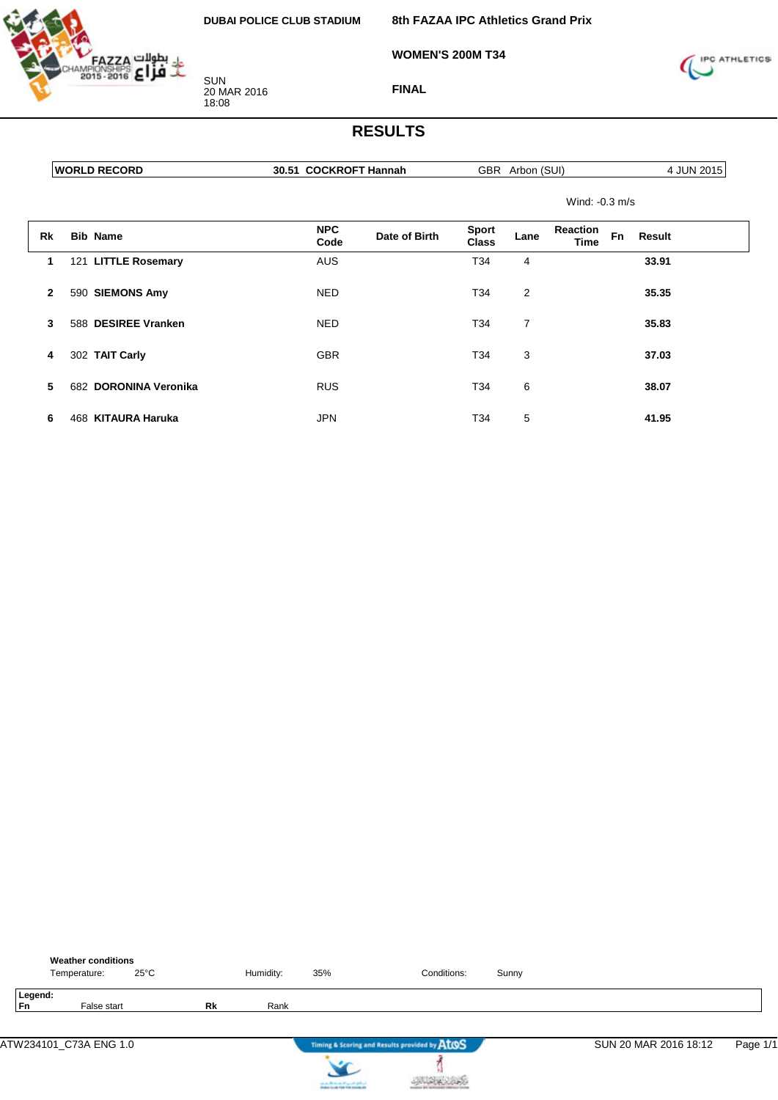

**8th FAZAA IPC Athletics Grand Prix**

**WOMEN'S 200M T34**



**FINAL**

## **RESULTS**

| w.<br>ж<br>/ I N I - | 30<br>Hannan<br>. .<br>. $\bf{R}$<br>. . | (011)<br><b>ODD</b><br>JBR<br>uur | Ш |
|----------------------|------------------------------------------|-----------------------------------|---|

Wind: -0.3 m/s

| Rk           | <b>Bib Name</b>                 | <b>NPC</b><br>Code | Date of Birth | <b>Sport</b><br><b>Class</b> | Lane | <b>Reaction</b><br>Time | Fn<br>Result |  |
|--------------|---------------------------------|--------------------|---------------|------------------------------|------|-------------------------|--------------|--|
| 1            | 121 LITTLE Rosemary             | <b>AUS</b>         |               | T34                          | 4    |                         | 33.91        |  |
| $\mathbf{2}$ | 590 SIEMONS Amy                 | <b>NED</b>         |               | T34                          | 2    |                         | 35.35        |  |
| 3            | 588 DESIREE Vranken             | <b>NED</b>         |               | T34                          | 7    |                         | 35.83        |  |
| 4            | 302 TAIT Carly                  | <b>GBR</b>         |               | T34                          | 3    |                         | 37.03        |  |
| 5            | <b>DORONINA Veronika</b><br>682 | <b>RUS</b>         |               | T34                          | 6    |                         | 38.07        |  |
| 6            | 468 KITAURA Haruka              | <b>JPN</b>         |               | T34                          | 5    |                         | 41.95        |  |

|               | <b>Weather conditions</b><br>Temperature: | $25^{\circ}$ C |    | Humidity: | 35%                                  | Conditions:                                   | Sunny |                       |          |
|---------------|-------------------------------------------|----------------|----|-----------|--------------------------------------|-----------------------------------------------|-------|-----------------------|----------|
| Legend:<br>Fn | False start                               |                | Rk | Rank      |                                      |                                               |       |                       |          |
|               | ATW234101_C73A ENG 1.0                    |                |    |           |                                      | Timing & Scoring and Results provided by ATOS |       | SUN 20 MAR 2016 18:12 | Page 1/1 |
|               |                                           |                |    |           | can be affected and it speeds to the |                                               |       |                       |          |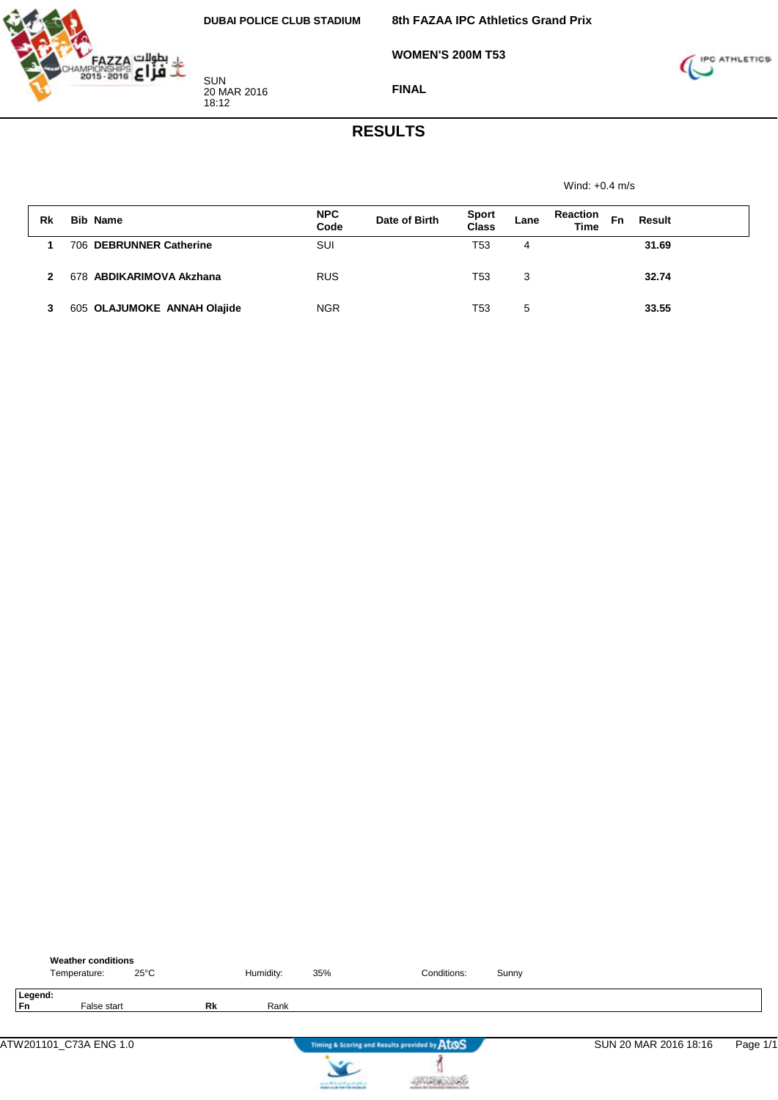

**WOMEN'S 200M T53**



**FINAL**

## **RESULTS**

Wind: +0.4 m/s

| Rk | <b>Bib Name</b>             | <b>NPC</b><br>Code | Date of Birth | <b>Sport</b><br><b>Class</b> | Lane | <b>Reaction</b><br><b>Time</b> | Fn | Result |
|----|-----------------------------|--------------------|---------------|------------------------------|------|--------------------------------|----|--------|
|    | 706 DEBRUNNER Catherine     | SUI                |               | T53                          | 4    |                                |    | 31.69  |
|    | 678 ABDIKARIMOVA Akzhana    | <b>RUS</b>         |               | T53                          | 3    |                                |    | 32.74  |
|    | 605 OLAJUMOKE ANNAH Olajide | <b>NGR</b>         |               | T53                          | 5    |                                |    | 33.55  |

|               | <b>Weather conditions</b><br>Temperature: | $25^{\circ}$ C |    | Humidity: | 35%                         | Conditions:                                   | Sunny |                       |          |
|---------------|-------------------------------------------|----------------|----|-----------|-----------------------------|-----------------------------------------------|-------|-----------------------|----------|
| Legend:<br>Fn | False start                               |                | Rk | Rank      |                             |                                               |       |                       |          |
|               | ATW201101_C73A ENG 1.0                    |                |    |           |                             | Timing & Scoring and Results provided by AtOS |       | SUN 20 MAR 2016 18:16 | Page 1/1 |
|               |                                           |                |    |           | cards Michael High Original |                                               |       |                       |          |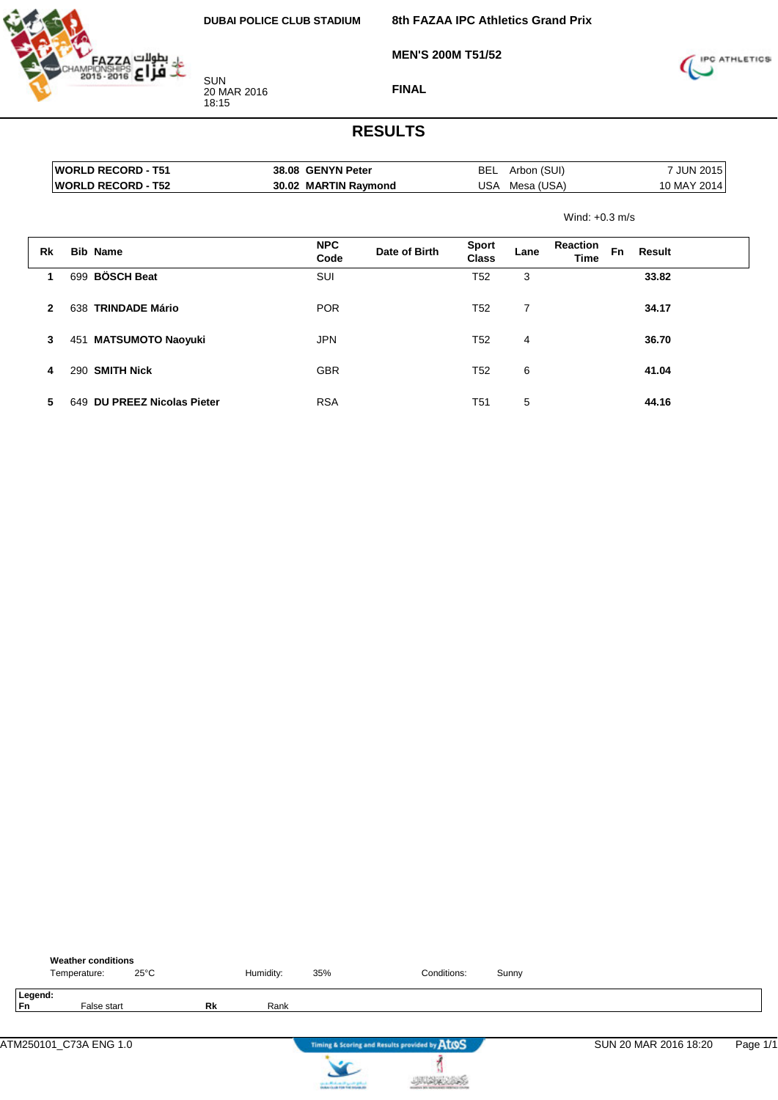

**8th FAZAA IPC Athletics Grand Prix**

**MEN'S 200M T51/52**



**FINAL**

|              |     | <b>WORLD RECORD - T51</b>      | 38.08 GENYN Peter    |               | <b>BEL</b>                   | Arbon (SUI)    |                  |           | 7 JUN 2015  |
|--------------|-----|--------------------------------|----------------------|---------------|------------------------------|----------------|------------------|-----------|-------------|
|              |     | <b>WORLD RECORD - T52</b>      | 30.02 MARTIN Raymond |               | USA                          | Mesa (USA)     |                  |           | 10 MAY 2014 |
|              |     |                                |                      |               | Wind: $+0.3$ m/s             |                |                  |           |             |
| Rk           |     | <b>Bib Name</b>                | <b>NPC</b><br>Code   | Date of Birth | <b>Sport</b><br><b>Class</b> | Lane           | Reaction<br>Time | <b>Fn</b> | Result      |
| 1            | 699 | <b>BÖSCH Beat</b>              | <b>SUI</b>           |               | T <sub>52</sub>              | 3              |                  |           | 33.82       |
| $\mathbf{2}$ | 638 | <b>TRINDADE Mário</b>          | <b>POR</b>           |               | T <sub>52</sub>              | $\overline{7}$ |                  |           | 34.17       |
| 3            |     | 451 MATSUMOTO Naoyuki          | <b>JPN</b>           |               | T <sub>52</sub>              | 4              |                  |           | 36.70       |
| 4            | 290 | <b>SMITH Nick</b>              | <b>GBR</b>           |               | T <sub>52</sub>              | 6              |                  |           | 41.04       |
| 5            | 649 | <b>DU PREEZ Nicolas Pieter</b> | <b>RSA</b>           |               | T51                          | 5              |                  |           | 44.16       |

|                      | <b>Weather conditions</b><br>Temperature: | $25^{\circ}$ C |    | Humidity: | 35% | Conditions:                                   | Sunny |                       |          |
|----------------------|-------------------------------------------|----------------|----|-----------|-----|-----------------------------------------------|-------|-----------------------|----------|
| Legend:<br><b>Fn</b> | False start                               |                | Rk | Rank      |     |                                               |       |                       |          |
|                      | ATM250101_C73A ENG 1.0                    |                |    |           |     | Timing & Scoring and Results provided by AtOS |       | SUN 20 MAR 2016 18:20 | Page 1/1 |
|                      |                                           |                |    |           |     |                                               |       |                       |          |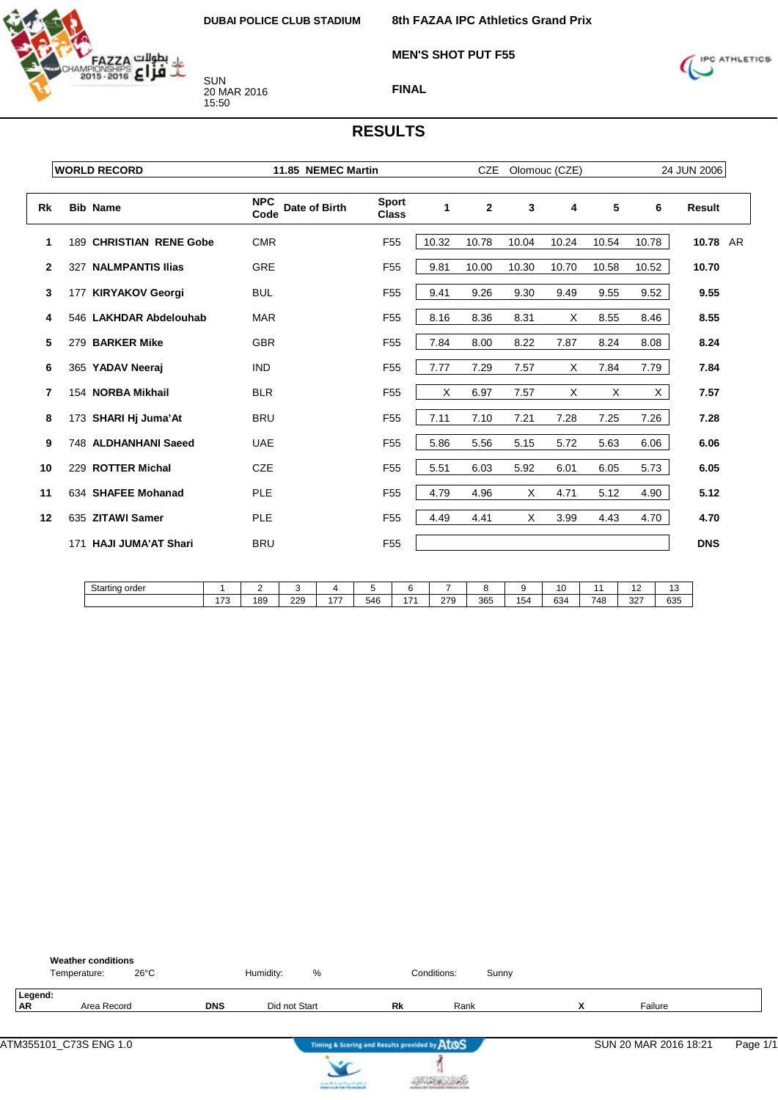

**MEN'S SHOT PUT F55**



**FINAL**

|              | <b>WORLD RECORD</b>            | 11.85 NEMEC Martin                  |                              | <b>CZE</b><br>Olomouc (CZE) |                |              |       |       |       | 24 JUN 2006   |  |
|--------------|--------------------------------|-------------------------------------|------------------------------|-----------------------------|----------------|--------------|-------|-------|-------|---------------|--|
| <b>Rk</b>    | <b>Bib Name</b>                | <b>NPC</b><br>Date of Birth<br>Code | <b>Sport</b><br><b>Class</b> | $\mathbf{1}$                | $\overline{2}$ | $\mathbf{3}$ | 4     | 5     | 6     | <b>Result</b> |  |
| 1            | 189 CHRISTIAN RENE Gobe        | <b>CMR</b>                          | F <sub>55</sub>              | 10.32                       | 10.78          | 10.04        | 10.24 | 10.54 | 10.78 | 10.78 AR      |  |
| $\mathbf{2}$ | <b>NALMPANTIS Ilias</b><br>327 | <b>GRE</b>                          | F <sub>55</sub>              | 9.81                        | 10.00          | 10.30        | 10.70 | 10.58 | 10.52 | 10.70         |  |
| 3            | 177 KIRYAKOV Georgi            | <b>BUL</b>                          | F <sub>55</sub>              | 9.41                        | 9.26           | 9.30         | 9.49  | 9.55  | 9.52  | 9.55          |  |
| 4            | 546 LAKHDAR Abdelouhab         | <b>MAR</b>                          | F <sub>55</sub>              | 8.16                        | 8.36           | 8.31         | X     | 8.55  | 8.46  | 8.55          |  |
| 5            | 279 BARKER Mike                | <b>GBR</b>                          | F <sub>55</sub>              | 7.84                        | 8.00           | 8.22         | 7.87  | 8.24  | 8.08  | 8.24          |  |
| 6            | 365 YADAV Neeraj               | <b>IND</b>                          | F <sub>55</sub>              | 7.77                        | 7.29           | 7.57         | Χ     | 7.84  | 7.79  | 7.84          |  |
| 7            | 154 NORBA Mikhail              | <b>BLR</b>                          | F <sub>55</sub>              | X                           | 6.97           | 7.57         | X     | Χ     | X.    | 7.57          |  |
| 8            | 173 SHARI Hj Juma'At           | <b>BRU</b>                          | F <sub>55</sub>              | 7.11                        | 7.10           | 7.21         | 7.28  | 7.25  | 7.26  | 7.28          |  |
| 9            | 748 ALDHANHANI Saeed           | <b>UAE</b>                          | F <sub>55</sub>              | 5.86                        | 5.56           | 5.15         | 5.72  | 5.63  | 6.06  | 6.06          |  |
| 10           | 229 ROTTER Michal              | <b>CZE</b>                          | F <sub>55</sub>              | 5.51                        | 6.03           | 5.92         | 6.01  | 6.05  | 5.73  | 6.05          |  |
| 11           | 634 SHAFEE Mohanad             | <b>PLE</b>                          | F <sub>55</sub>              | 4.79                        | 4.96           | Χ            | 4.71  | 5.12  | 4.90  | 5.12          |  |
| 12           | 635 ZITAWI Samer               | <b>PLE</b>                          | F <sub>55</sub>              | 4.49                        | 4.41           | X            | 3.99  | 4.43  | 4.70  | 4.70          |  |
|              | 171 HAJI JUMA'AT Shari         | <b>BRU</b>                          | F <sub>55</sub>              |                             |                |              |       |       |       | <b>DNS</b>    |  |

| Starting order |          |     |     |                               |     |                          |             |     |           |     |           | . .       | ◡   |
|----------------|----------|-----|-----|-------------------------------|-----|--------------------------|-------------|-----|-----------|-----|-----------|-----------|-----|
|                | 170<br>. | 189 | 229 | $\overline{\phantom{a}}$<br>. | 546 | $\overline{\phantom{a}}$ | 270<br>50 ک | 365 | . .<br>54 | 634 | 748<br>т. | っっっ<br>ےت | 635 |

|                      | <b>Weather conditions</b><br>$26^{\circ}$ C<br>Temperature: |            | %<br>Humidity: |                                               | Conditions:<br>Sunny |                   |                       |          |
|----------------------|-------------------------------------------------------------|------------|----------------|-----------------------------------------------|----------------------|-------------------|-----------------------|----------|
| Legend:<br><b>AR</b> | Area Record                                                 | <b>DNS</b> | Did not Start  | Rk                                            | Rank                 | v<br>$\mathbf{v}$ | Failure               |          |
|                      |                                                             |            |                | Timing & Scoring and Results provided by ATOS |                      |                   | SUN 20 MAR 2016 18:21 | Page 1/1 |



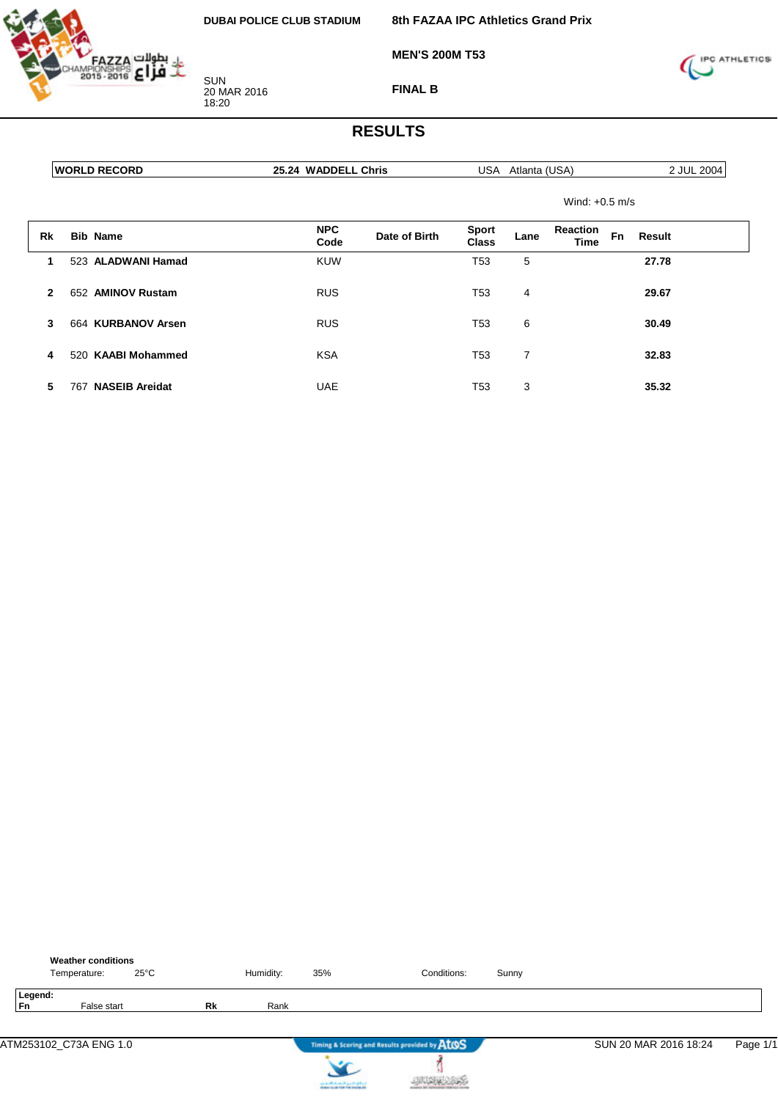

**MEN'S 200M T53**

**8th FAZAA IPC Athletics Grand Prix**



**FINAL B**

| <b>WORLD RECORD</b> | Chris<br><b>WADDELL</b><br>∠ఎ.24 ് | (USA)<br>JSA<br>Atlanta | 2004<br>.IUL |
|---------------------|------------------------------------|-------------------------|--------------|

| Wind: $+0.5$ m/s |  |
|------------------|--|

| Rk           | <b>Bib Name</b>              | <b>NPC</b><br>Code | Date of Birth | <b>Sport</b><br>Class | Lane | <b>Reaction</b><br>Time | Fn | Result |
|--------------|------------------------------|--------------------|---------------|-----------------------|------|-------------------------|----|--------|
| 1.           | 523 ALADWANI Hamad           | <b>KUW</b>         |               | T53                   | 5    |                         |    | 27.78  |
| $\mathbf{2}$ | 652 AMINOV Rustam            | <b>RUS</b>         |               | T53                   | 4    |                         |    | 29.67  |
| 3            | 664 KURBANOV Arsen           | <b>RUS</b>         |               | T53                   | 6    |                         |    | 30.49  |
| 4            | 520 KAABI Mohammed           | <b>KSA</b>         |               | T53                   | 7    |                         |    | 32.83  |
| 5            | <b>NASEIB Areidat</b><br>767 | <b>UAE</b>         |               | T53                   | 3    |                         |    | 35.32  |

|               | <b>Weather conditions</b><br>Temperature: | $25^{\circ}$ C |           | Humidity: | 35% | Conditions:                                   | Sunny |                       |          |
|---------------|-------------------------------------------|----------------|-----------|-----------|-----|-----------------------------------------------|-------|-----------------------|----------|
| Legend:<br>Fn | False start                               |                | <b>Rk</b> | Rank      |     |                                               |       |                       |          |
|               | ATM253102 C73A ENG 1.0                    |                |           |           |     | Timing & Scoring and Results provided by AtOS |       | SUN 20 MAR 2016 18:24 | Page 1/1 |
|               |                                           |                |           |           |     |                                               |       |                       |          |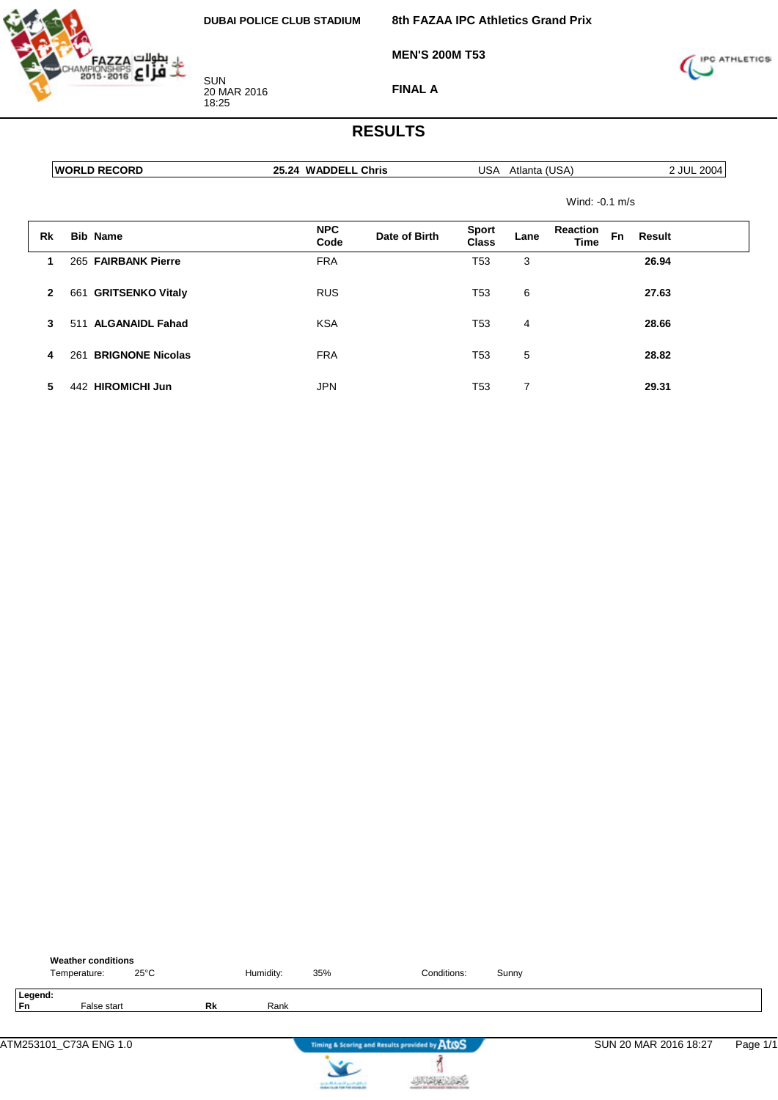

**8th FAZAA IPC Athletics Grand Prix**

**MEN'S 200M T53**



**FINAL A**

#### **RESULTS**

|    | <b>WORLD RECORD</b>       | 25.24 WADDELL Chris                 | <b>USA</b>                   | Atlanta (USA)                          | 2 JUL 2004       |
|----|---------------------------|-------------------------------------|------------------------------|----------------------------------------|------------------|
|    |                           |                                     |                              |                                        | Wind: $-0.1$ m/s |
| Rk | <b>Bib Name</b>           | <b>NPC</b><br>Date of Birth<br>Code | <b>Sport</b><br><b>Class</b> | <b>Reaction</b><br>Lane<br><b>Time</b> | Fn<br>Result     |
|    | 265 FAIRBANK Pierre       | <b>FRA</b>                          | T53                          | 3                                      | 26.94            |
|    | 661 GRITSENKO Vitaly<br>2 | <b>RUS</b>                          | T53                          | 6                                      | 27.63            |

**3** 511 **ALGANAIDL Fahad** KSA T53 4 **28.66**

**4** 261 **BRIGNONE Nicolas** FRA T53 5 **28.82**

**5** 442 **HIROMICHI Jun** JPN T53 7 **29.31**

|               | <b>Weather conditions</b><br>Temperature: | $25^{\circ}$ C |    | Humidity: | 35%                     | Conditions:                                   | Sunny |                       |          |
|---------------|-------------------------------------------|----------------|----|-----------|-------------------------|-----------------------------------------------|-------|-----------------------|----------|
| Legend:<br>Fn | False start                               |                | Rk | Rank      |                         |                                               |       |                       |          |
|               | ATM253101_C73A ENG 1.0                    |                |    |           |                         | Timing & Scoring and Results provided by AtOS |       | SUN 20 MAR 2016 18:27 | Page 1/1 |
|               |                                           |                |    |           | on a Michael Paynet get |                                               |       |                       |          |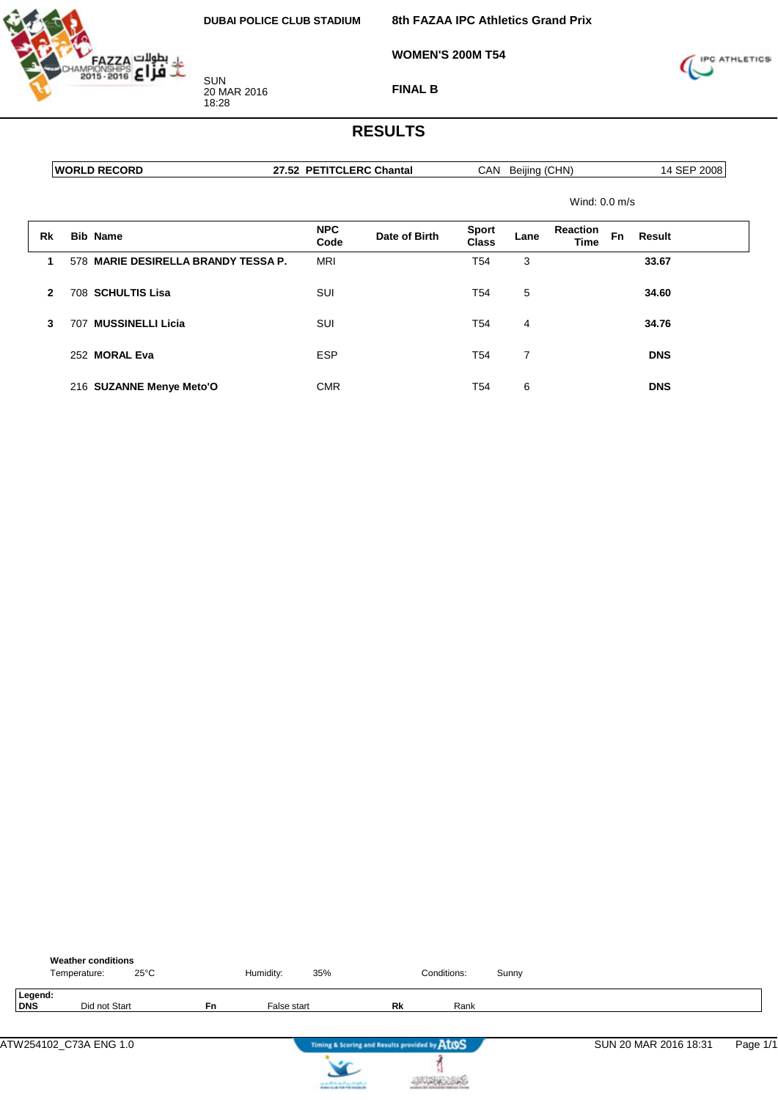

**WOMEN'S 200M T54**



**FINAL B**

### **RESULTS**

**WORLD RECORD 27.52 PETITCLERC Chantal** CAN Beijing (CHN) 14 SEP 2008

Wind: 0.0 m/s

| Rk | <b>Bib Name</b>                     | <b>NPC</b><br>Code | Date of Birth | <b>Sport</b><br>Class | Lane | <b>Reaction</b><br>Time | <b>Fn</b> | Result     |
|----|-------------------------------------|--------------------|---------------|-----------------------|------|-------------------------|-----------|------------|
|    | 578 MARIE DESIRELLA BRANDY TESSA P. | <b>MRI</b>         |               | T <sub>54</sub>       | 3    |                         |           | 33.67      |
| 2  | 708 SCHULTIS Lisa                   | SUI                |               | T54                   | 5    |                         |           | 34.60      |
| 3  | <b>MUSSINELLI Licia</b><br>707      | <b>SUI</b>         |               | T <sub>54</sub>       | 4    |                         |           | 34.76      |
|    | 252 MORAL Eva                       | <b>ESP</b>         |               | T <sub>54</sub>       | 7    |                         |           | <b>DNS</b> |
|    | 216 SUZANNE Menye Meto'O            | <b>CMR</b>         |               | T54                   | 6    |                         |           | <b>DNS</b> |

|                | <b>Weather conditions</b><br>Temperature: | $25^{\circ}$ C |           | Humidity:   | 35%                                           |    | Conditions: | Sunny |                       |          |
|----------------|-------------------------------------------|----------------|-----------|-------------|-----------------------------------------------|----|-------------|-------|-----------------------|----------|
| Legend:<br>DNS |                                           | Did not Start  | <b>Fn</b> | False start |                                               | Rk | Rank        |       |                       |          |
|                | ATW254102 C73A ENG 1.0                    |                |           |             | Timing & Scoring and Results provided by ATOS |    |             |       | SUN 20 MAR 2016 18:31 | Page 1/1 |



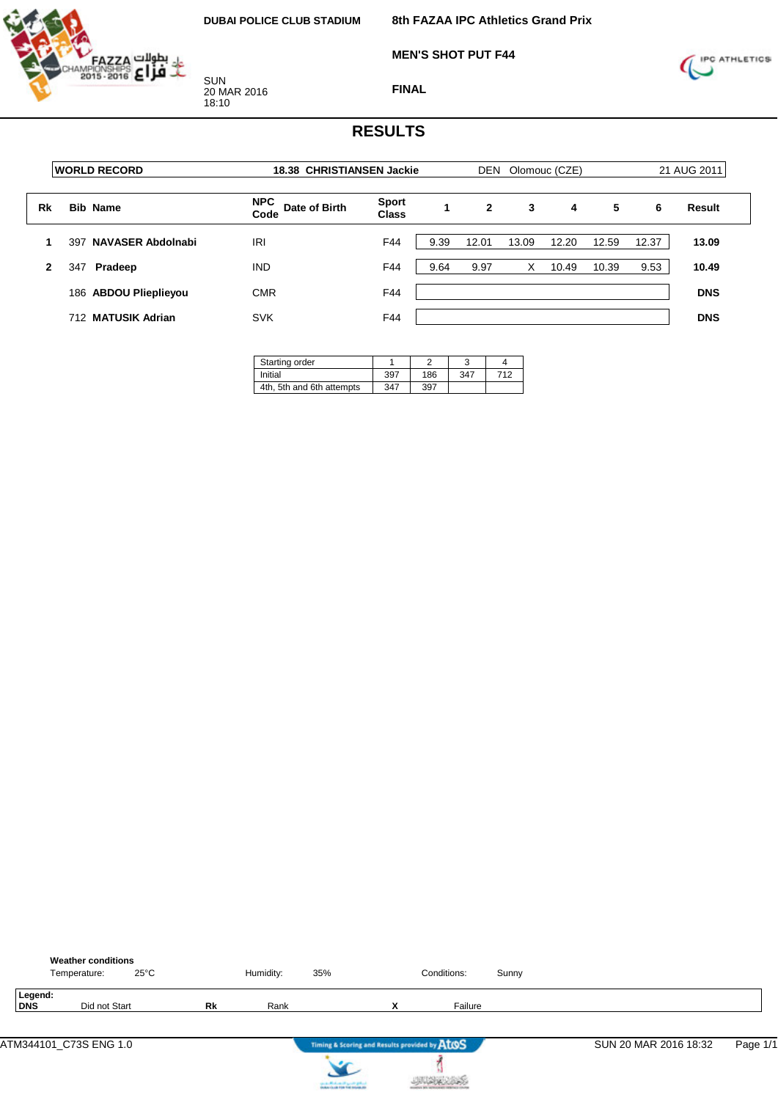

**MEN'S SHOT PUT F44**



**FINAL**

|                                 |                                     | 18.38 CHRISTIANSEN Jackie    |      |              |       | 21 AUG 2011 |               |       |               |
|---------------------------------|-------------------------------------|------------------------------|------|--------------|-------|-------------|---------------|-------|---------------|
| <b>Bib Name</b>                 | <b>NPC</b><br>Date of Birth<br>Code | <b>Sport</b><br><b>Class</b> |      | $\mathbf{2}$ | 3     | 4           | 5             | 6     | <b>Result</b> |
| <b>NAVASER Abdolnabi</b><br>397 | IRI                                 | F44                          | 9.39 | 12.01        | 13.09 | 12.20       | 12.59         | 12.37 | 13.09         |
| Pradeep<br>347                  | <b>IND</b>                          | F44                          | 9.64 | 9.97         | X     | 10.49       | 10.39         | 9.53  | 10.49         |
| 186 ABDOU Plieplieyou           | <b>CMR</b>                          | F44                          |      |              |       |             |               |       | <b>DNS</b>    |
| 712 MATUSIK Adrian              | <b>SVK</b>                          | F44                          |      |              |       |             |               |       | <b>DNS</b>    |
|                                 | <b>WORLD RECORD</b>                 |                              |      |              |       | <b>DEN</b>  | Olomouc (CZE) |       |               |

| Starting order            |     |     |     |     |
|---------------------------|-----|-----|-----|-----|
| Initial                   | 397 | 186 | 347 | 712 |
| 4th, 5th and 6th attempts | 347 | 397 |     |     |

|                | <b>Weather conditions</b><br>$25^{\circ}$ C<br>Temperature: |    | Humidity: | 35% |   | Conditions:                                   | Sunny |                       |          |
|----------------|-------------------------------------------------------------|----|-----------|-----|---|-----------------------------------------------|-------|-----------------------|----------|
| Legend:<br>DNS | Did not Start                                               | Rk | Rank      |     | x | Failure                                       |       |                       |          |
|                |                                                             |    |           |     |   | Timing & Scoring and Results provided by ATOS |       | SUN 20 MAR 2016 18:32 | Page 1/1 |



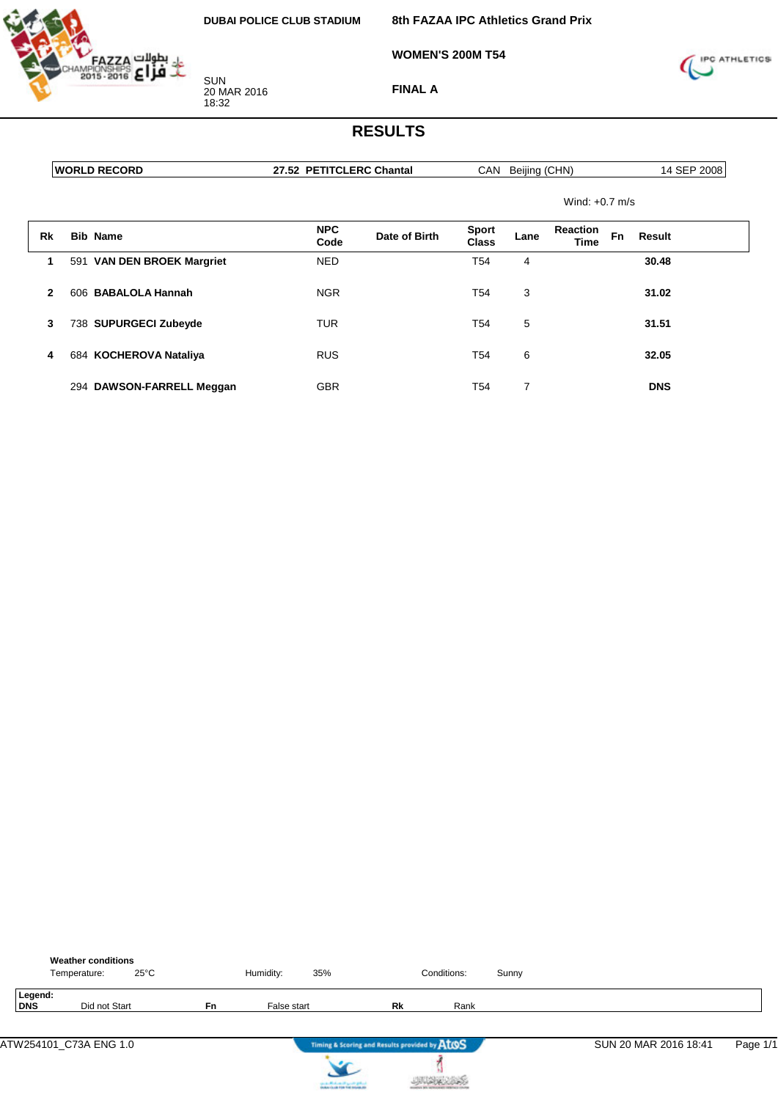

**8th FAZAA IPC Athletics Grand Prix**

**WOMEN'S 200M T54**



**FINAL A**

#### **RESULTS**

| <b>WORLD RECORD</b> |  |
|---------------------|--|
|                     |  |

**27.52 PETITCLERC Chantal** CAN Beijing (CHN) 14 SEP 2008

Wind: +0.7 m/s

| Rk           | <b>Bib Name</b>                      | <b>NPC</b><br>Code | Date of Birth | Sport<br>Class  | Lane | <b>Reaction</b><br>Time | Fn | Result     |
|--------------|--------------------------------------|--------------------|---------------|-----------------|------|-------------------------|----|------------|
|              | <b>VAN DEN BROEK Margriet</b><br>591 | <b>NED</b>         |               | T <sub>54</sub> | 4    |                         |    | 30.48      |
| $\mathbf{2}$ | 606 BABALOLA Hannah                  | <b>NGR</b>         |               | T54             | 3    |                         |    | 31.02      |
| 3            | 738 SUPURGECI Zubeyde                | TUR                |               | T54             | 5    |                         |    | 31.51      |
| 4            | 684 KOCHEROVA Nataliya               | <b>RUS</b>         |               | T54             | 6    |                         |    | 32.05      |
|              | 294 DAWSON-FARRELL Meggan            | <b>GBR</b>         |               | T54             |      |                         |    | <b>DNS</b> |

|                | <b>Weather conditions</b><br>Temperature: | $25^{\circ}$ C |           | Humidity:   | 35%                                           |    | Conditions: | Sunny |                       |          |
|----------------|-------------------------------------------|----------------|-----------|-------------|-----------------------------------------------|----|-------------|-------|-----------------------|----------|
| Legend:<br>DNS | Did not Start                             |                | <b>Fn</b> | False start |                                               | Rk | Rank        |       |                       |          |
|                | ATW254101 C73A ENG 1.0                    |                |           |             | Timing & Scoring and Results provided by AtOS |    |             |       | SUN 20 MAR 2016 18:41 | Page 1/1 |



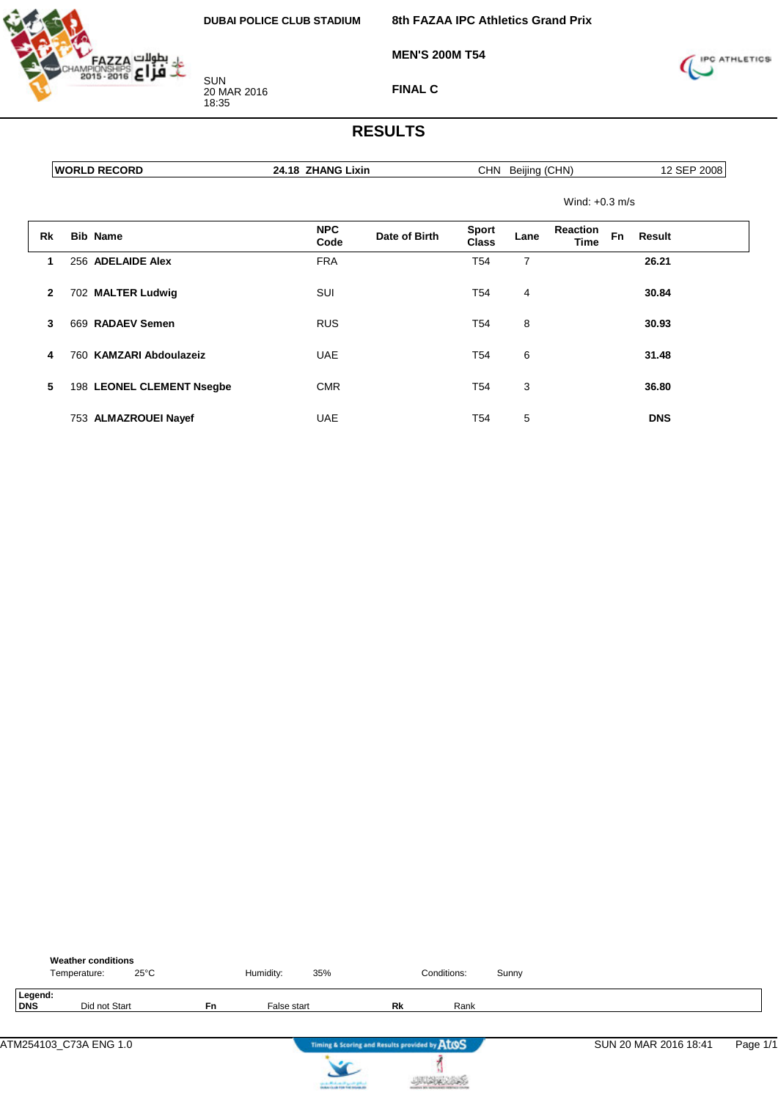

**MEN'S 200M T54**

**8th FAZAA IPC Athletics Grand Prix**



**FINAL C**

| <b>WORLD RECORD</b> |                           | 24.18 ZHANG Lixin                   |                              | CHN Beijing (CHN)        | 12 SEP 2008         |  |  |  |
|---------------------|---------------------------|-------------------------------------|------------------------------|--------------------------|---------------------|--|--|--|
|                     |                           |                                     |                              | Wind: $+0.3$ m/s         |                     |  |  |  |
| <b>Rk</b>           | <b>Bib Name</b>           | <b>NPC</b><br>Date of Birth<br>Code | <b>Sport</b><br><b>Class</b> | Reaction<br>Lane<br>Time | <b>Fn</b><br>Result |  |  |  |
| 1                   | 256 ADELAIDE Alex         | <b>FRA</b>                          | T54                          | 7                        | 26.21               |  |  |  |
| $\mathbf{2}$        | 702 MALTER Ludwig         | SUI                                 | T <sub>54</sub>              | 4                        | 30.84               |  |  |  |
| 3                   | 669 RADAEV Semen          | <b>RUS</b>                          | T54                          | 8                        | 30.93               |  |  |  |
| 4                   | 760 KAMZARI Abdoulazeiz   | <b>UAE</b>                          | T <sub>54</sub>              | 6                        | 31.48               |  |  |  |
| 5                   | 198 LEONEL CLEMENT Nsegbe | <b>CMR</b>                          | T54                          | 3                        | 36.80               |  |  |  |
|                     | 753 ALMAZROUEI Nayef      | <b>UAE</b>                          | T54                          | 5                        | <b>DNS</b>          |  |  |  |

|                | <b>Weather conditions</b><br>$25^{\circ}$ C<br>Temperature: |           | Humidity:   | 35%                                           |    | Conditions: | Sunny |                       |          |
|----------------|-------------------------------------------------------------|-----------|-------------|-----------------------------------------------|----|-------------|-------|-----------------------|----------|
| Legend:<br>DNS | Did not Start                                               | <b>Fn</b> | False start |                                               | Rk | Rank        |       |                       |          |
|                | ATM254103_C73A ENG 1.0                                      |           |             | Timing & Scoring and Results provided by AtOS |    |             |       | SUN 20 MAR 2016 18:41 | Page 1/1 |



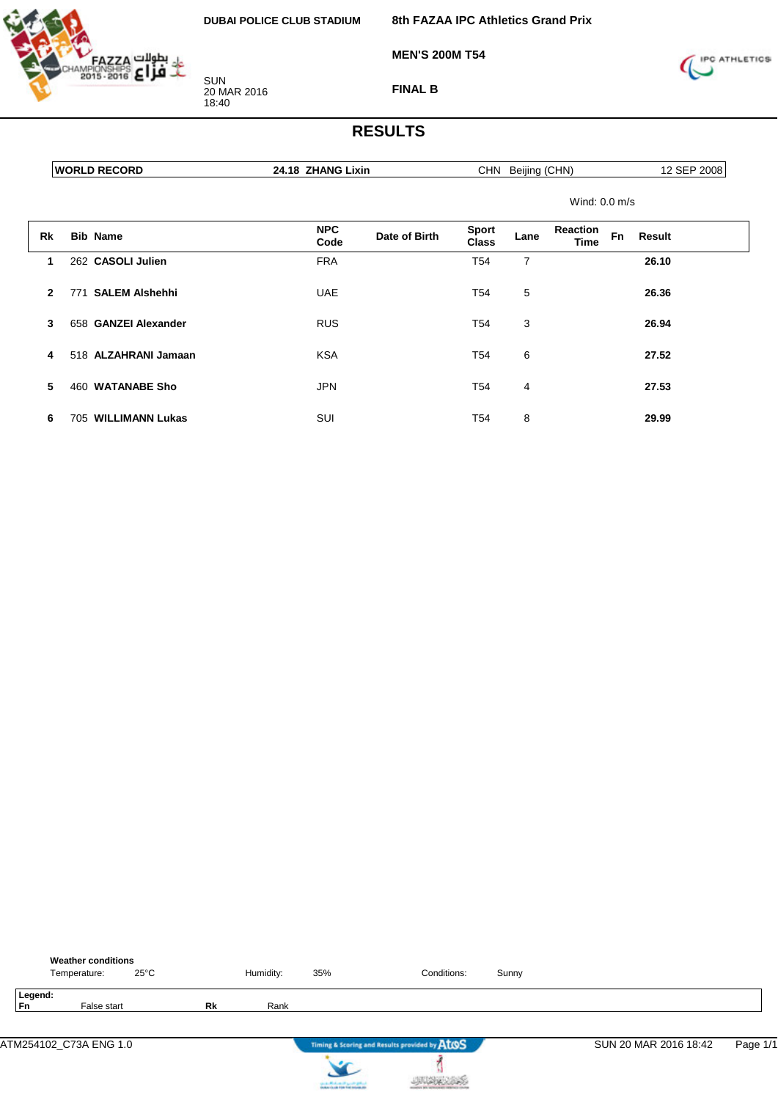

**8th FAZAA IPC Athletics Grand Prix**

**MEN'S 200M T54**



**FINAL B**

|              | <b>WORLD RECORD</b> |                        | 24.18 ZHANG Lixin  |               | CHN Beijing (CHN)            |      |                         |    | 12 SEP 2008 |
|--------------|---------------------|------------------------|--------------------|---------------|------------------------------|------|-------------------------|----|-------------|
|              |                     |                        |                    |               |                              |      | Wind: $0.0$ m/s         |    |             |
| Rk           |                     | <b>Bib Name</b>        | <b>NPC</b><br>Code | Date of Birth | <b>Sport</b><br><b>Class</b> | Lane | <b>Reaction</b><br>Time | Fn | Result      |
| 1            |                     | 262 CASOLI Julien      | <b>FRA</b>         |               | T <sub>54</sub>              | 7    |                         |    | 26.10       |
| $\mathbf{2}$ | 771                 | <b>SALEM Alshehhi</b>  | <b>UAE</b>         |               | T <sub>54</sub>              | 5    |                         |    | 26.36       |
| 3            |                     | 658 GANZEI Alexander   | <b>RUS</b>         |               | T <sub>54</sub>              | 3    |                         |    | 26.94       |
| 4            |                     | 518 ALZAHRANI Jamaan   | <b>KSA</b>         |               | T <sub>54</sub>              | 6    |                         |    | 27.52       |
| 5            |                     | 460 WATANABE Sho       | <b>JPN</b>         |               | T54                          | 4    |                         |    | 27.53       |
| 6            | 705                 | <b>WILLIMANN Lukas</b> | SUI                |               | T54                          | 8    |                         |    | 29.99       |

|               | <b>Weather conditions</b><br>Temperature: | $25^{\circ}$ C |           | Humidity: | 35%                                    | Conditions:                                   | Sunny |                       |          |
|---------------|-------------------------------------------|----------------|-----------|-----------|----------------------------------------|-----------------------------------------------|-------|-----------------------|----------|
| Legend:<br>Fn | False start                               |                | <b>Rk</b> | Rank      |                                        |                                               |       |                       |          |
|               | ATM254102 C73A ENG 1.0                    |                |           |           |                                        | Timing & Scoring and Results provided by AtOS |       | SUN 20 MAR 2016 18:42 | Page 1/1 |
|               |                                           |                |           |           | can be affected and it genetic gradual |                                               |       |                       |          |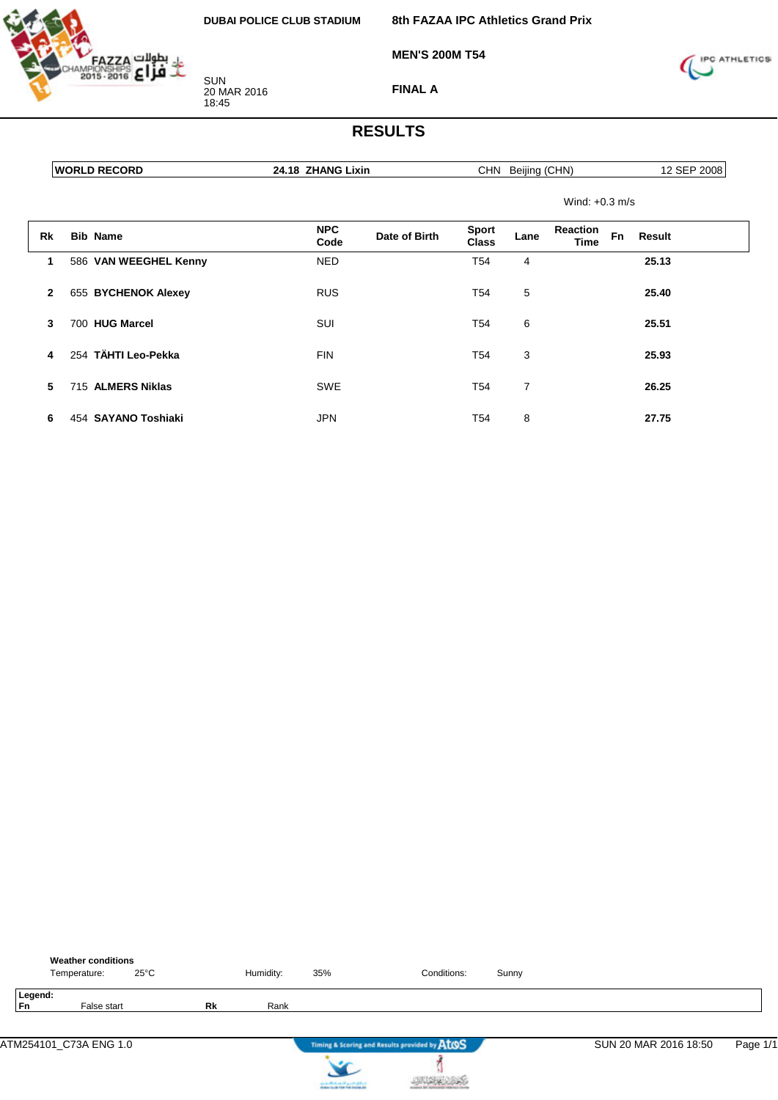

**8th FAZAA IPC Athletics Grand Prix**

**MEN'S 200M T54**



**FINAL A**

|              | <b>WORLD RECORD</b>   | 24.18 ZHANG Lixin                   |                              | CHN Beijing (CHN) |                  | 12 SEP 2008  |  |  |
|--------------|-----------------------|-------------------------------------|------------------------------|-------------------|------------------|--------------|--|--|
|              |                       |                                     |                              |                   | Wind: $+0.3$ m/s |              |  |  |
| Rk           | <b>Bib Name</b>       | <b>NPC</b><br>Date of Birth<br>Code | <b>Sport</b><br><b>Class</b> | Lane              | Reaction<br>Time | Fn<br>Result |  |  |
| 1            | 586 VAN WEEGHEL Kenny | <b>NED</b>                          | T <sub>54</sub>              | 4                 |                  | 25.13        |  |  |
| $\mathbf{2}$ | 655 BYCHENOK Alexey   | <b>RUS</b>                          | T54                          | 5                 |                  | 25.40        |  |  |
| 3            | 700 HUG Marcel        | SUI                                 | T54                          | 6                 |                  | 25.51        |  |  |
| 4            | 254 TÄHTI Leo-Pekka   | <b>FIN</b>                          | T54                          | 3                 |                  | 25.93        |  |  |
| 5            | 715 ALMERS Niklas     | <b>SWE</b>                          | T54                          | 7                 |                  | 26.25        |  |  |
| 6            | 454 SAYANO Toshiaki   | <b>JPN</b>                          | T <sub>54</sub>              | 8                 |                  | 27.75        |  |  |

|               | <b>Weather conditions</b><br>Temperature: | $25^{\circ}$ C |           | Humidity: | 35%                                                                       | Conditions:                                   | Sunny |                       |          |
|---------------|-------------------------------------------|----------------|-----------|-----------|---------------------------------------------------------------------------|-----------------------------------------------|-------|-----------------------|----------|
| Legend:<br>Fn | False start                               |                | <b>Rk</b> | Rank      |                                                                           |                                               |       |                       |          |
|               | ATM254101_C73A ENG 1.0                    |                |           |           |                                                                           | Timing & Scoring and Results provided by AtOS |       | SUN 20 MAR 2016 18:50 | Page 1/1 |
|               |                                           |                |           |           | country Michael and Lands & Michael<br>Anders that him field industry the |                                               |       |                       |          |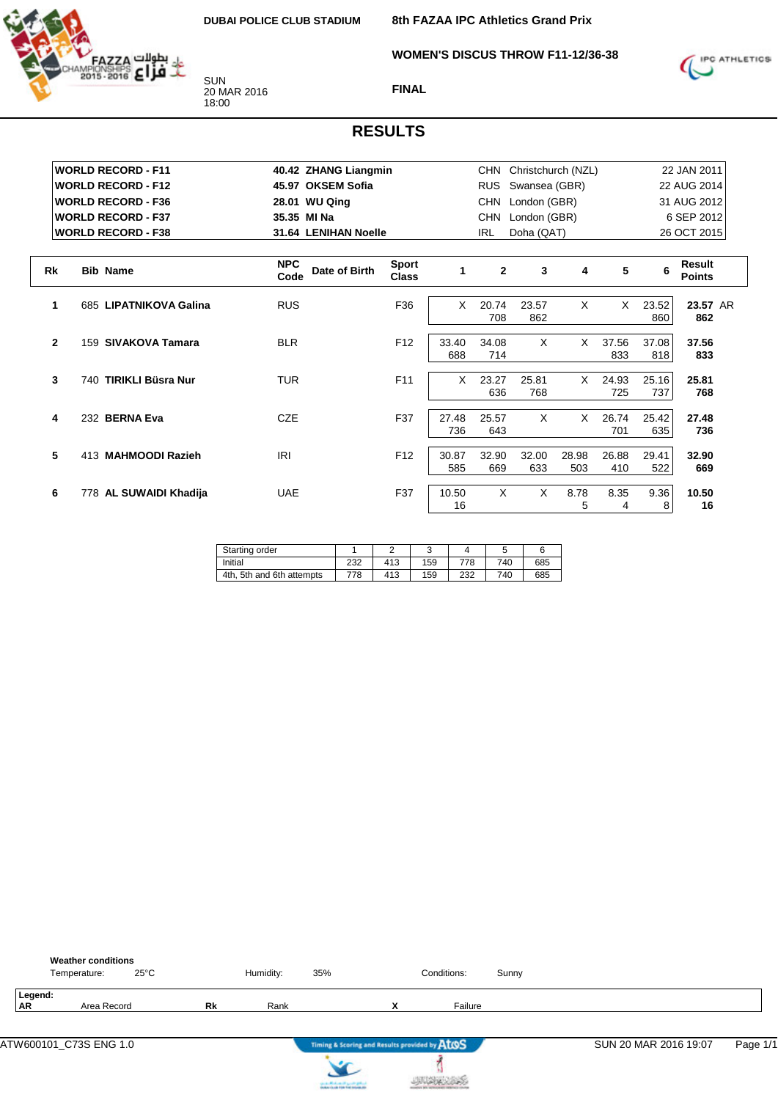**WOMEN'S DISCUS THROW F11-12/36-38**



SUN 20 MAR 2016 18:00

**FINAL**



|              | <b>WORLD RECORD - F11</b>     | 40.42 ZHANG Liangmin                |                              |              |              | CHN Christchurch (NZL) |              |              | 22 JAN 2011  |                         |  |
|--------------|-------------------------------|-------------------------------------|------------------------------|--------------|--------------|------------------------|--------------|--------------|--------------|-------------------------|--|
|              | <b>WORLD RECORD - F12</b>     | 45.97 OKSEM Sofia                   |                              |              | <b>RUS</b>   | Swansea (GBR)          |              |              |              | 22 AUG 2014             |  |
|              | <b>WORLD RECORD - F36</b>     | 28.01 WU Qing                       | <b>CHN</b><br>London (GBR)   |              |              |                        |              | 31 AUG 2012  |              |                         |  |
|              | <b>WORLD RECORD - F37</b>     | 35.35 MI Na                         |                              |              | CHN          | London (GBR)           |              |              |              | 6 SEP 2012              |  |
|              | <b>WORLD RECORD - F38</b>     | 31.64 LENIHAN Noelle                |                              |              | <b>IRL</b>   | Doha (QAT)             |              |              |              | 26 OCT 2015             |  |
|              |                               |                                     |                              |              |              |                        |              |              |              |                         |  |
| Rk           | <b>Bib Name</b>               | <b>NPC</b><br>Date of Birth<br>Code | <b>Sport</b><br><b>Class</b> | 1            | $\mathbf{2}$ | 3                      | 4            | 5            | 6            | Result<br><b>Points</b> |  |
| 1            | 685 LIPATNIKOVA Galina        | <b>RUS</b>                          | F36                          | $\times$     | 20.74<br>708 | 23.57<br>862           | X            | $\times$     | 23.52<br>860 | 23.57 AR<br>862         |  |
| $\mathbf{2}$ | <b>SIVAKOVA Tamara</b><br>159 | <b>BLR</b>                          | F <sub>12</sub>              | 33.40<br>688 | 34.08<br>714 | X                      | X            | 37.56<br>833 | 37.08<br>818 | 37.56<br>833            |  |
| 3            | 740 TIRIKLI Büsra Nur         | <b>TUR</b>                          | F11                          | $\times$     | 23.27<br>636 | 25.81<br>768           | $\times$     | 24.93<br>725 | 25.16<br>737 | 25.81<br>768            |  |
| 4            | 232 BERNA Eva                 | <b>CZE</b>                          | F37                          | 27.48<br>736 | 25.57<br>643 | X                      | X            | 26.74<br>701 | 25.42<br>635 | 27.48<br>736            |  |
| 5            | 413 MAHMOODI Razieh           | <b>IRI</b>                          | F <sub>12</sub>              | 30.87<br>585 | 32.90<br>669 | 32.00<br>633           | 28.98<br>503 | 26.88<br>410 | 29.41<br>522 | 32.90<br>669            |  |
| 6            | 778 AL SUWAIDI Khadija        | <b>UAE</b>                          | F37                          | 10.50<br>16  | $\times$     | $\times$               | 8.78<br>5    | 8.35<br>4    | 9.36<br>8    | 10.50<br>16             |  |

| Starting order            |     |     |     |     |     |     |
|---------------------------|-----|-----|-----|-----|-----|-----|
| Initial                   | 232 | 413 | 159 | 778 | 740 | 685 |
| 4th, 5th and 6th attempts | 778 | 413 | 159 | 232 | 740 | 685 |

|                      | <b>Weather conditions</b><br>$25^{\circ}$ C<br>Temperature: |    | Humidity: | 35% |                                               | Conditions: | Sunny |                       |          |
|----------------------|-------------------------------------------------------------|----|-----------|-----|-----------------------------------------------|-------------|-------|-----------------------|----------|
| Legend:<br><b>AR</b> | Area Record                                                 | Rk | Rank      |     | $\checkmark$<br>$\mathbf{v}$                  | Failure     |       |                       |          |
|                      |                                                             |    |           |     | Timing & Scoring and Results provided by ATOS |             |       | SUN 20 MAR 2016 19:07 | Page 1/1 |



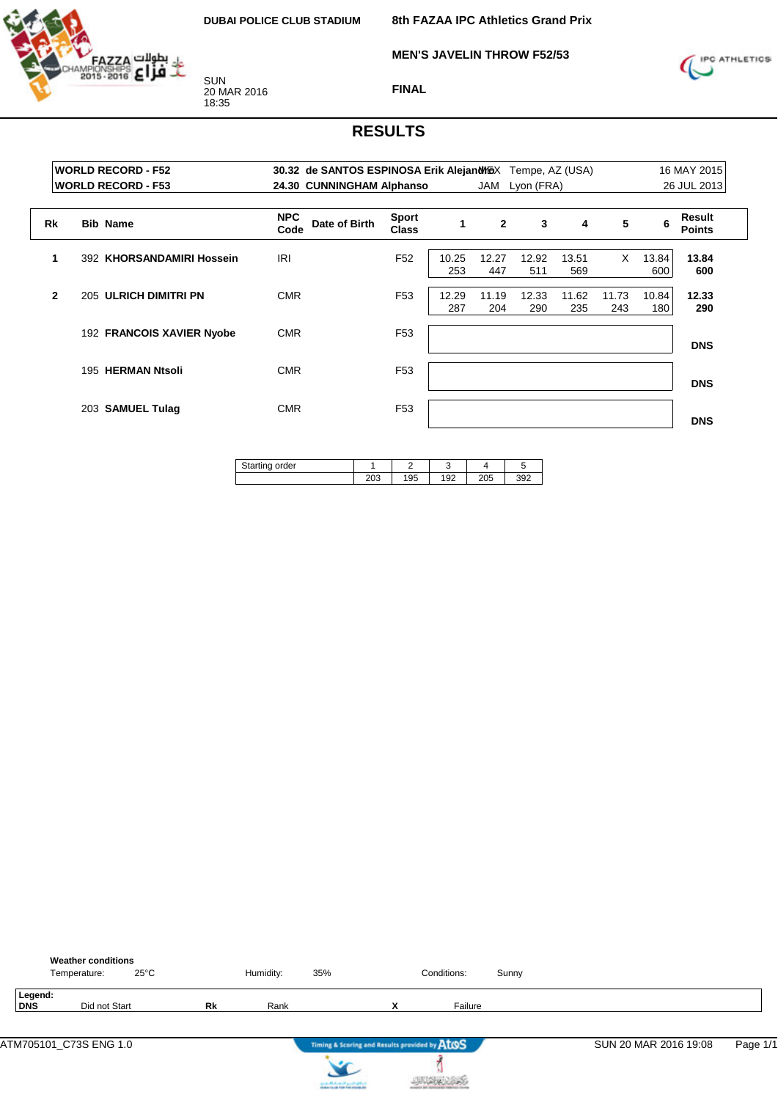

**MEN'S JAVELIN THROW F52/53**



**FINAL**

|              | <b>WORLD RECORD - F52</b><br><b>WORLD RECORD - F53</b> |                                     | 16 MAY 2015<br>30.32 de SANTOS ESPINOSA Erik Alejand MGX Tempe, AZ (USA)<br>26 JUL 2013<br>24.30 CUNNINGHAM Alphanso<br>JAM<br>Lyon (FRA) |              |                |              |              |              |              |                         |
|--------------|--------------------------------------------------------|-------------------------------------|-------------------------------------------------------------------------------------------------------------------------------------------|--------------|----------------|--------------|--------------|--------------|--------------|-------------------------|
| <b>Rk</b>    | <b>Bib Name</b>                                        | <b>NPC</b><br>Date of Birth<br>Code | <b>Sport</b><br><b>Class</b>                                                                                                              | 1            | $\overline{2}$ | 3            | 4            | 5            | 6            | Result<br><b>Points</b> |
| 1            | 392 KHORSANDAMIRI Hossein                              | IRI                                 | F <sub>52</sub>                                                                                                                           | 10.25<br>253 | 12.27<br>447   | 12.92<br>511 | 13.51<br>569 | $\times$     | 13.84<br>600 | 13.84<br>600            |
| $\mathbf{2}$ | 205 ULRICH DIMITRI PN                                  | <b>CMR</b>                          | F <sub>53</sub>                                                                                                                           | 12.29<br>287 | 11.19<br>204   | 12.33<br>290 | 11.62<br>235 | 11.73<br>243 | 10.84<br>180 | 12.33<br>290            |
|              | 192 FRANCOIS XAVIER Nyobe                              | <b>CMR</b>                          | F <sub>53</sub>                                                                                                                           |              |                |              |              |              |              | <b>DNS</b>              |
|              | 195 HERMAN Ntsoli                                      | <b>CMR</b>                          | F <sub>53</sub>                                                                                                                           |              |                |              |              |              |              | <b>DNS</b>              |
|              | 203 SAMUEL Tulag                                       | <b>CMR</b>                          | F <sub>53</sub>                                                                                                                           |              |                |              |              |              |              | <b>DNS</b>              |

| 195<br>∠∪ാ | 192 | 205 | 392 |
|------------|-----|-----|-----|

|                | <b>Weather conditions</b><br>Temperature: | $25^{\circ}$ C | Humidity: | 35%                                                                   |   | Conditions: | Sunny |                       |          |
|----------------|-------------------------------------------|----------------|-----------|-----------------------------------------------------------------------|---|-------------|-------|-----------------------|----------|
| Legend:<br>DNS | Did not Start                             | Rk             | Rank      |                                                                       | x | Failure     |       |                       |          |
|                | ATM705101_C73S ENG 1.0                    |                |           | Timing & Scoring and Results provided by AtOS                         |   |             |       | SUN 20 MAR 2016 19:08 | Page 1/1 |
|                |                                           |                |           | سافق فتسير الشعساسالسفست<br><b>A Business College Ford Andrews At</b> |   |             |       |                       |          |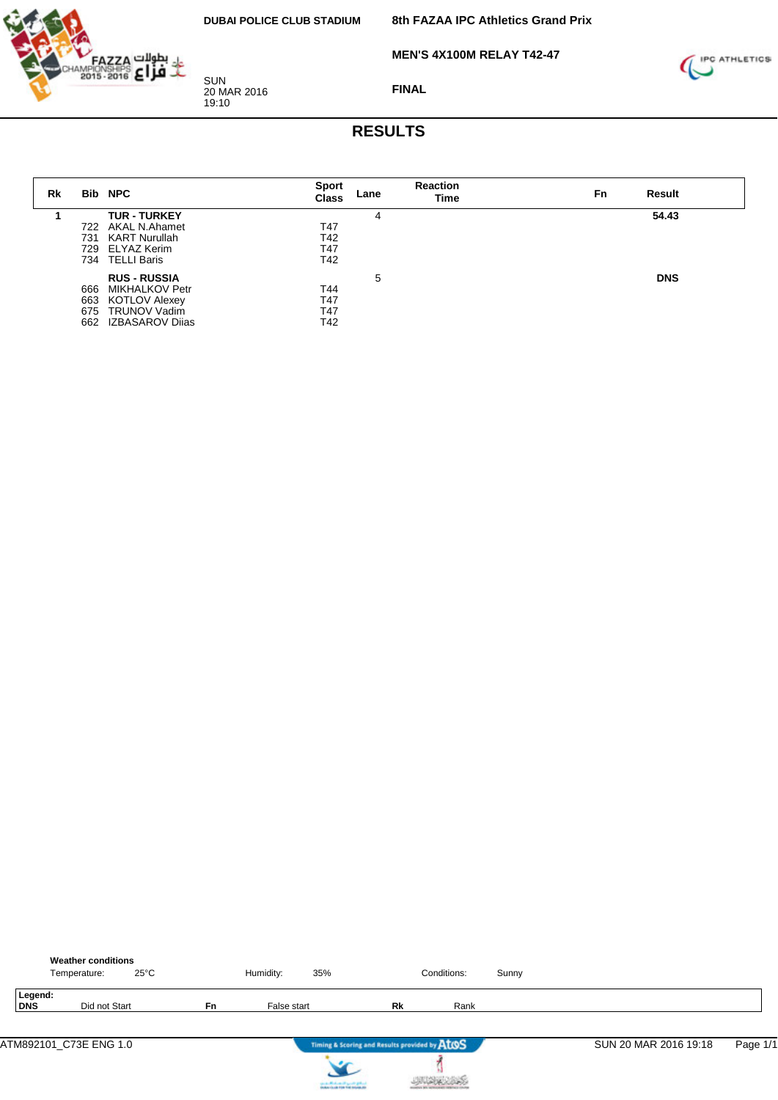**MEN'S 4X100M RELAY T42-47**



20 MAR 2016

SUN

19:10



**FINAL**

| Rk |     | <b>Bib NPC</b>        | <b>Sport</b><br>Class | Lane | <b>Reaction</b><br>Time | Result<br>Fn |
|----|-----|-----------------------|-----------------------|------|-------------------------|--------------|
|    |     | <b>TUR - TURKEY</b>   |                       | 4    |                         | 54.43        |
|    | 722 | AKAL N.Ahamet         | T47                   |      |                         |              |
|    | 731 | KART Nurullah         | T42                   |      |                         |              |
|    |     | 729 ELYAZ Kerim       | T47                   |      |                         |              |
|    |     | 734 TELLI Baris       | T42                   |      |                         |              |
|    |     | <b>RUS - RUSSIA</b>   |                       | 5    |                         | <b>DNS</b>   |
|    | 666 | <b>MIKHALKOV Petr</b> | T44                   |      |                         |              |
|    | 663 | <b>KOTLOV Alexey</b>  | T47                   |      |                         |              |
|    |     | 675 TRUNOV Vadim      | T47                   |      |                         |              |
|    | 662 | IZBASAROV Dijas       | T42                   |      |                         |              |

|                | <b>Weather conditions</b><br>Temperature: | $25^{\circ}$ C |    | Humidity:   | 35%                                                                       |                                               | Conditions: | Sunny |                       |          |
|----------------|-------------------------------------------|----------------|----|-------------|---------------------------------------------------------------------------|-----------------------------------------------|-------------|-------|-----------------------|----------|
| Legend:<br>DNS | Did not Start                             |                | Fn | False start |                                                                           | Rk                                            | Rank        |       |                       |          |
|                | ATM892101_C73E ENG 1.0                    |                |    |             |                                                                           | Timing & Scoring and Results provided by AtOS |             |       | SUN 20 MAR 2016 19:18 | Page 1/1 |
|                |                                           |                |    |             | country Michael and Lands & Michael<br>Anders that him field industry the |                                               |             |       |                       |          |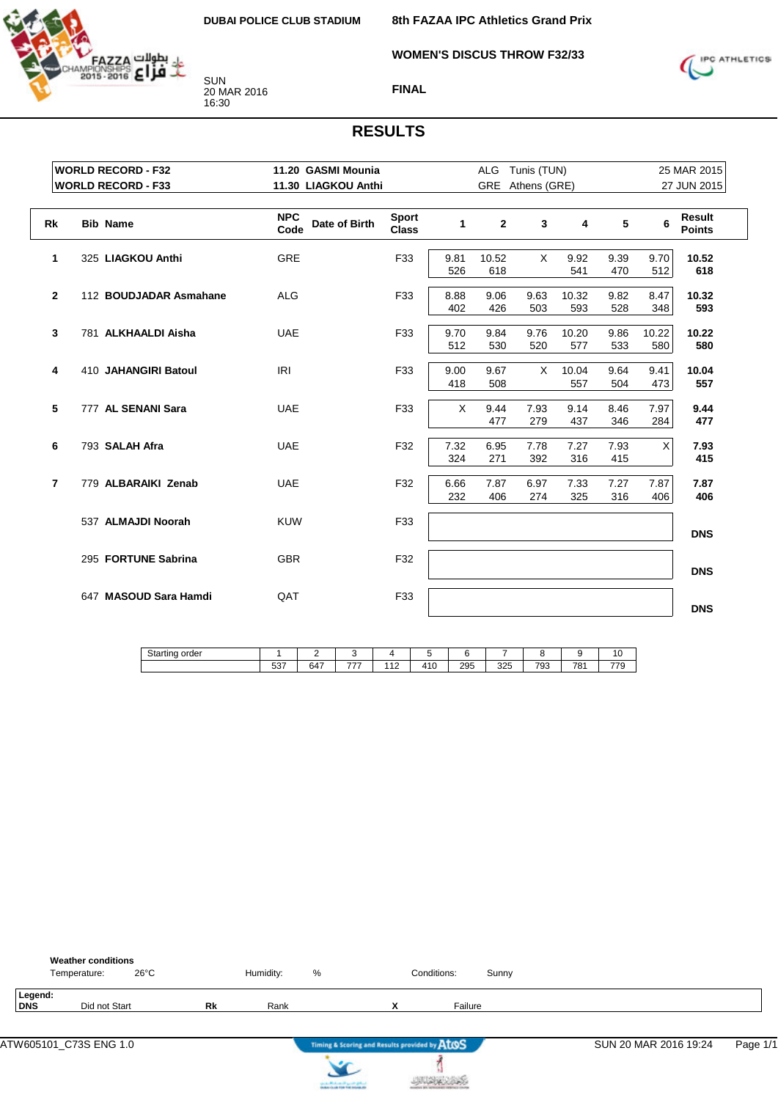

**WOMEN'S DISCUS THROW F32/33**

**8th FAZAA IPC Athletics Grand Prix**



**FINAL**

|           | <b>WORLD RECORD - F32</b>                | 11.20 GASMI Mounia                  |                              |              | ALG Tunis (TUN)  |              |              |             |                           | 25 MAR 2015             |
|-----------|------------------------------------------|-------------------------------------|------------------------------|--------------|------------------|--------------|--------------|-------------|---------------------------|-------------------------|
|           | <b>WORLD RECORD - F33</b>                | 11.30 LIAGKOU Anthi                 |                              |              | GRE Athens (GRE) |              |              |             |                           | 27 JUN 2015             |
| <b>Rk</b> | <b>Bib Name</b>                          | <b>NPC</b><br>Date of Birth<br>Code | <b>Sport</b><br><b>Class</b> | $\mathbf{1}$ | $\mathbf{2}$     | $\mathbf{3}$ | 4            | 5           | 6                         | Result<br><b>Points</b> |
|           | 325 LIAGKOU Anthi<br>1                   | <b>GRE</b>                          | F33                          | 9.81<br>526  | 10.52<br>618     | X            | 9.92<br>541  | 9.39<br>470 | 9.70<br>512               | 10.52<br>618            |
|           | $\overline{2}$<br>112 BOUDJADAR Asmahane | <b>ALG</b>                          | F33                          | 8.88<br>402  | 9.06<br>426      | 9.63<br>503  | 10.32<br>593 | 9.82<br>528 | 8.47<br>348               | 10.32<br>593            |
|           | 3<br>781 ALKHAALDI Aisha                 | <b>UAE</b>                          | F33                          | 9.70<br>512  | 9.84<br>530      | 9.76<br>520  | 10.20<br>577 | 9.86<br>533 | 10.22<br>580              | 10.22<br>580            |
|           | 4<br>410 JAHANGIRI Batoul                | <b>IRI</b>                          | F33                          | 9.00<br>418  | 9.67<br>508      | X            | 10.04<br>557 | 9.64<br>504 | 9.41<br>473               | 10.04<br>557            |
|           | 5<br>777 AL SENANI Sara                  | <b>UAE</b>                          | F33                          | $\times$     | 9.44<br>477      | 7.93<br>279  | 9.14<br>437  | 8.46<br>346 | 7.97<br>284               | 9.44<br>477             |
|           | 6<br>793 SALAH Afra                      | <b>UAE</b>                          | F32                          | 7.32<br>324  | 6.95<br>271      | 7.78<br>392  | 7.27<br>316  | 7.93<br>415 | $\boldsymbol{\mathsf{X}}$ | 7.93<br>415             |
|           | 779 ALBARAIKI Zenab<br>$\overline{7}$    | <b>UAE</b>                          | F32                          | 6.66<br>232  | 7.87<br>406      | 6.97<br>274  | 7.33<br>325  | 7.27<br>316 | 7.87<br>406               | 7.87<br>406             |
|           | 537 ALMAJDI Noorah                       | <b>KUW</b>                          | F33                          |              |                  |              |              |             |                           | <b>DNS</b>              |
|           | 295 FORTUNE Sabrina                      | <b>GBR</b>                          | F32                          |              |                  |              |              |             |                           | <b>DNS</b>              |
|           | 647 MASOUD Sara Hamdi                    | QAT                                 | F33                          |              |                  |              |              |             |                           | <b>DNS</b>              |

| $C+$<br>. .<br>Starting<br>order<br> |               | -                 |     |                         |             |     |     |     |     | י       |
|--------------------------------------|---------------|-------------------|-----|-------------------------|-------------|-----|-----|-----|-----|---------|
|                                      | $\sim$<br>ບບ≀ | $\sim$ $-$<br>64, | --- | $\cdot$ 4 $\sim$<br>. . | 11C<br>טו ד | 295 | 325 | 793 | 781 | $- - -$ |







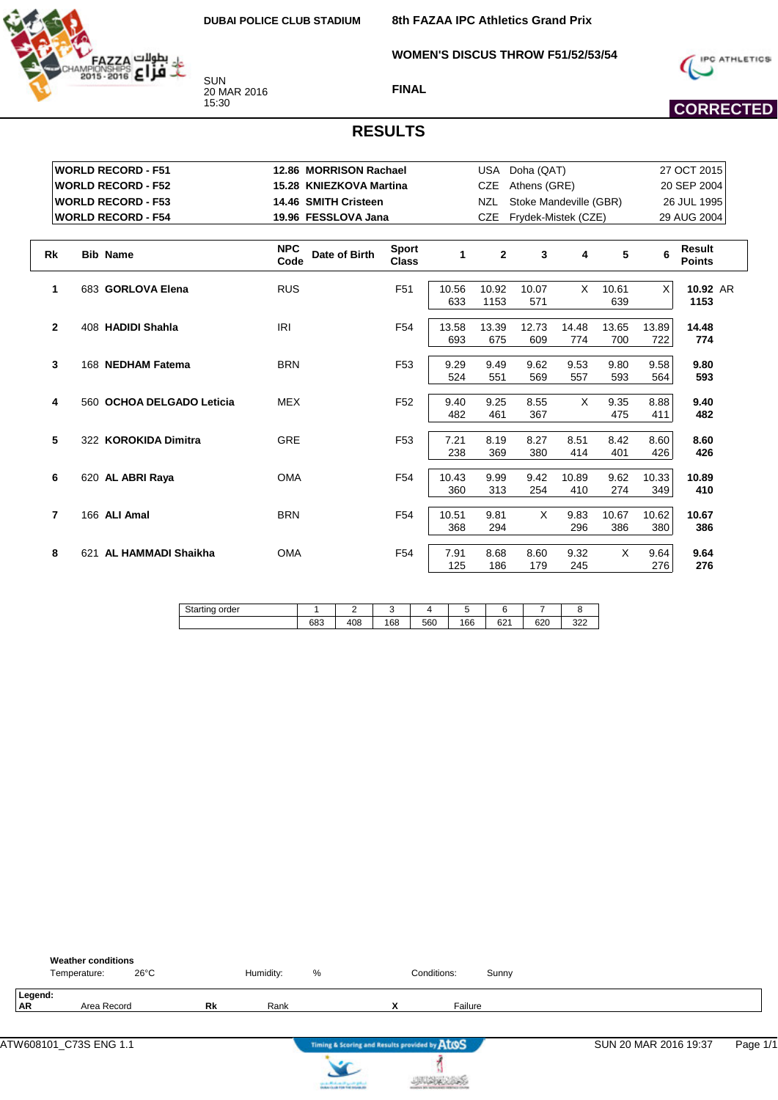

**8th FAZAA IPC Athletics Grand Prix**

**WOMEN'S DISCUS THROW F51/52/53/54**



**FINAL**

## **CORRECTED**

#### **RESULTS**

|                | <b>WORLD RECORD - F51</b> | 12.86 MORRISON Rachael              |                              |       | <b>USA</b>   | Doha (QAT)             |       |       |       | 27 OCT 2015             |
|----------------|---------------------------|-------------------------------------|------------------------------|-------|--------------|------------------------|-------|-------|-------|-------------------------|
|                | <b>WORLD RECORD - F52</b> | 15.28 KNIEZKOVA Martina             |                              |       | <b>CZE</b>   | Athens (GRE)           |       |       |       | 20 SEP 2004             |
|                |                           |                                     |                              |       |              |                        |       |       |       |                         |
|                | <b>WORLD RECORD - F53</b> | 14.46 SMITH Cristeen                |                              |       | <b>NZL</b>   | Stoke Mandeville (GBR) |       |       |       | 26 JUL 1995             |
|                | <b>WORLD RECORD - F54</b> | 19.96 FESSLOVA Jana                 |                              |       | <b>CZE</b>   | Frydek-Mistek (CZE)    |       |       |       | 29 AUG 2004             |
|                |                           |                                     |                              |       |              |                        |       |       |       |                         |
| <b>Rk</b>      | <b>Bib Name</b>           | <b>NPC</b><br>Date of Birth<br>Code | <b>Sport</b><br><b>Class</b> | 1     | $\mathbf{2}$ | 3                      | 4     | 5     | 6     | Result<br><b>Points</b> |
| 1              | 683 GORLOVA Elena         | <b>RUS</b>                          | F <sub>51</sub>              | 10.56 | 10.92        | 10.07                  | X     | 10.61 | X     | 10.92 AR                |
|                |                           |                                     |                              | 633   | 1153         | 571                    |       | 639   |       | 1153                    |
| $\mathbf{2}$   | 408 HADIDI Shahla         | IRI                                 | F <sub>54</sub>              | 13.58 | 13.39        | 12.73                  | 14.48 | 13.65 | 13.89 | 14.48                   |
|                |                           |                                     |                              | 693   | 675          | 609                    | 774   | 700   | 722   | 774                     |
| 3              | 168 NEDHAM Fatema         | <b>BRN</b>                          | F <sub>53</sub>              | 9.29  | 9.49         | 9.62                   | 9.53  | 9.80  | 9.58  | 9.80                    |
|                |                           |                                     |                              | 524   | 551          | 569                    | 557   | 593   | 564   | 593                     |
| 4              | 560 OCHOA DELGADO Leticia | <b>MEX</b>                          | F <sub>52</sub>              | 9.40  | 9.25         | 8.55                   | X     | 9.35  | 8.88  | 9.40                    |
|                |                           |                                     |                              | 482   | 461          | 367                    |       | 475   | 411   | 482                     |
| 5              | 322 KOROKIDA Dimitra      | <b>GRE</b>                          | F <sub>53</sub>              | 7.21  | 8.19         | 8.27                   | 8.51  | 8.42  | 8.60  | 8.60                    |
|                |                           |                                     |                              | 238   | 369          | 380                    | 414   | 401   | 426   | 426                     |
| 6              | 620 AL ABRI Raya          | <b>OMA</b>                          | F <sub>54</sub>              | 10.43 | 9.99         | 9.42                   | 10.89 | 9.62  | 10.33 | 10.89                   |
|                |                           |                                     |                              | 360   | 313          | 254                    | 410   | 274   | 349   | 410                     |
| $\overline{7}$ | 166 ALI Amal              | <b>BRN</b>                          | F <sub>54</sub>              | 10.51 | 9.81         | X                      | 9.83  | 10.67 | 10.62 | 10.67                   |
|                |                           |                                     |                              | 368   | 294          |                        | 296   | 386   | 380   | 386                     |
| 8              | AL HAMMADI Shaikha<br>621 | <b>OMA</b>                          | F <sub>54</sub>              | 7.91  | 8.68         | 8.60                   | 9.32  | X     | 9.64  | 9.64                    |
|                |                           |                                     |                              | 125   | 186          | 179                    | 245   |       | 276   | 276                     |

| n.<br>order<br>ال<br>טווי<br><u>- uu - </u> |            |     |     |     |     |             |             |            |
|---------------------------------------------|------------|-----|-----|-----|-----|-------------|-------------|------------|
|                                             | coo<br>ხშა | 108 | 168 | 560 | 166 | co4<br>02 I | con<br>່ວ∠ບ | 222<br>ے∠ت |

|                      | <b>Weather conditions</b><br>$26^{\circ}$ C<br>Temperature: |    | Humidity: | %    | Conditions:                                   |         | Sunny |                       |          |
|----------------------|-------------------------------------------------------------|----|-----------|------|-----------------------------------------------|---------|-------|-----------------------|----------|
| Legend:<br><b>AR</b> | Area Record                                                 | Rk | Rank      |      | $\mathbf{v}$                                  | Failure |       |                       |          |
|                      |                                                             |    |           | ____ | Timing & Scoring and Results provided by ATOS |         |       | SUN 20 MAR 2016 19:37 | Page 1/1 |

**JURICES** 

 $\sum$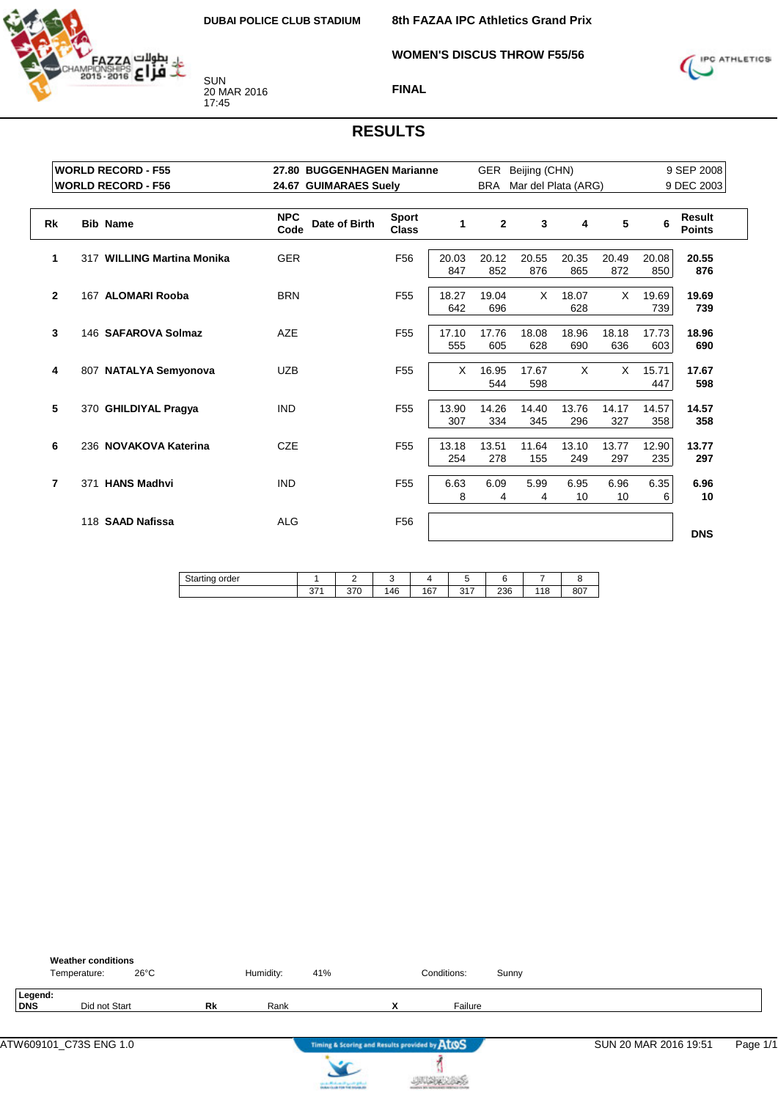

**WOMEN'S DISCUS THROW F55/56**

**8th FAZAA IPC Athletics Grand Prix**



**FINAL**

| <b>WORLD RECORD - F55</b>         | 27.80 BUGGENHAGEN Marianne          |                              |              | GER          | Beijing (CHN)       |              |              |              | 9 SEP 2008              |
|-----------------------------------|-------------------------------------|------------------------------|--------------|--------------|---------------------|--------------|--------------|--------------|-------------------------|
| <b>WORLD RECORD - F56</b>         | 24.67 GUIMARAES Suely               |                              |              | <b>BRA</b>   | Mar del Plata (ARG) |              |              |              | 9 DEC 2003              |
| <b>Rk</b><br><b>Bib Name</b>      | <b>NPC</b><br>Date of Birth<br>Code | <b>Sport</b><br><b>Class</b> | 1            | $\mathbf{2}$ | 3                   | 4            | 5            | 6            | Result<br><b>Points</b> |
| 1<br>317 WILLING Martina Monika   | <b>GER</b>                          | F <sub>56</sub>              | 20.03<br>847 | 20.12<br>852 | 20.55<br>876        | 20.35<br>865 | 20.49<br>872 | 20.08<br>850 | 20.55<br>876            |
| $\mathbf{2}$<br>167 ALOMARI Rooba | <b>BRN</b>                          | F <sub>55</sub>              | 18.27<br>642 | 19.04<br>696 | $\times$            | 18.07<br>628 | $\times$     | 19.69<br>739 | 19.69<br>739            |
| 3<br>146 SAFAROVA Solmaz          | <b>AZE</b>                          | F <sub>55</sub>              | 17.10<br>555 | 17.76<br>605 | 18.08<br>628        | 18.96<br>690 | 18.18<br>636 | 17.73<br>603 | 18.96<br>690            |
| 4<br>807 NATALYA Semyonova        | <b>UZB</b>                          | F <sub>55</sub>              | $\times$     | 16.95<br>544 | 17.67<br>598        | X            | X            | 15.71<br>447 | 17.67<br>598            |
| 5<br>370 GHILDIYAL Pragya         | <b>IND</b>                          | F <sub>55</sub>              | 13.90<br>307 | 14.26<br>334 | 14.40<br>345        | 13.76<br>296 | 14.17<br>327 | 14.57<br>358 | 14.57<br>358            |
| 6<br>236 NOVAKOVA Katerina        | <b>CZE</b>                          | F <sub>55</sub>              | 13.18<br>254 | 13.51<br>278 | 11.64<br>155        | 13.10<br>249 | 13.77<br>297 | 12.90<br>235 | 13.77<br>297            |
| 371 HANS Madhvi<br>7              | <b>IND</b>                          | F <sub>55</sub>              | 6.63<br>8    | 6.09<br>4    | 5.99<br>4           | 6.95<br>10   | 6.96<br>10   | 6.35<br>6    | 6.96<br>10              |
| 118 SAAD Nafissa                  | <b>ALG</b>                          | F <sub>56</sub>              |              |              |                     |              |              |              | <b>DNS</b>              |

| $\sim$<br>$\cdot$ .<br>order<br>Starting<br>w |            |             |    |     |                 |     |    |     |
|-----------------------------------------------|------------|-------------|----|-----|-----------------|-----|----|-----|
|                                               | 274<br>، ں | 270<br>ں ہی | 46 | 167 | 247<br>ر<br>. . | 236 | 18 | 807 |
|                                               |            |             |    |     |                 |     |    |     |

|                       | <b>Weather conditions</b><br>Temperature: | $26^{\circ}$ C |           | Humidity: | 41% |                                               | Conditions: | Sunny |                       |          |
|-----------------------|-------------------------------------------|----------------|-----------|-----------|-----|-----------------------------------------------|-------------|-------|-----------------------|----------|
| Legend:<br><b>DNS</b> | Did not Start                             |                | <b>Rk</b> | Rank      |     | $\mathbf{v}$<br>^                             | Failure     |       |                       |          |
|                       |                                           |                |           |           |     | Timing & Scoring and Results provided by ATOS |             |       | SUN 20 MAR 2016 19:51 | Page 1/1 |



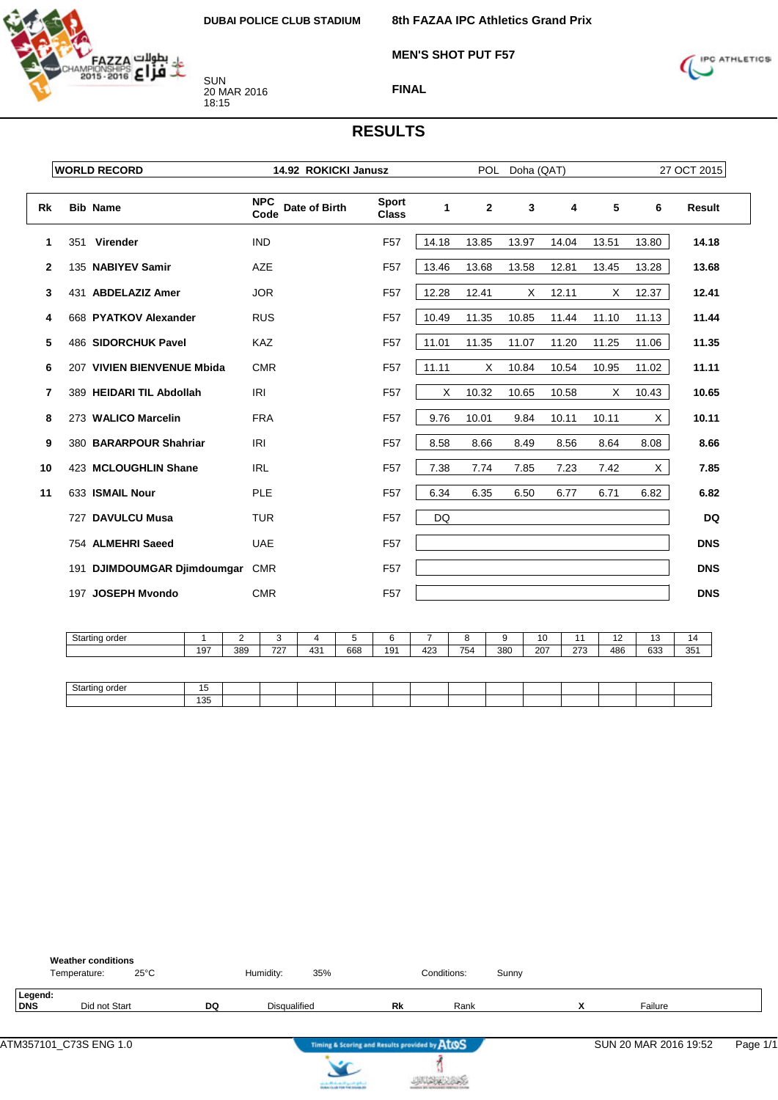

**MEN'S SHOT PUT F57**



SUN 20 MAR 2016 18:15



**FINAL**

|              | <b>WORLD RECORD</b>         | 14.92 ROKICKI Janusz                |                              |       | <b>POL</b>   | Doha (QAT) |       |       |       | 27 OCT 2015 |
|--------------|-----------------------------|-------------------------------------|------------------------------|-------|--------------|------------|-------|-------|-------|-------------|
| Rk           | <b>Bib Name</b>             | <b>NPC</b><br>Date of Birth<br>Code | <b>Sport</b><br><b>Class</b> | 1     | $\mathbf{2}$ | 3          | 4     | 5     | 6     | Result      |
| 1            | 351 Virender                | <b>IND</b>                          | F <sub>57</sub>              | 14.18 | 13.85        | 13.97      | 14.04 | 13.51 | 13.80 | 14.18       |
| $\mathbf{2}$ | 135 NABIYEV Samir           | <b>AZE</b>                          | F <sub>57</sub>              | 13.46 | 13.68        | 13.58      | 12.81 | 13.45 | 13.28 | 13.68       |
| 3            | 431 ABDELAZIZ Amer          | <b>JOR</b>                          | F <sub>57</sub>              | 12.28 | 12.41        | X          | 12.11 | X     | 12.37 | 12.41       |
| 4            | 668 PYATKOV Alexander       | <b>RUS</b>                          | F <sub>57</sub>              | 10.49 | 11.35        | 10.85      | 11.44 | 11.10 | 11.13 | 11.44       |
| 5            | 486 SIDORCHUK Pavel         | <b>KAZ</b>                          | F <sub>57</sub>              | 11.01 | 11.35        | 11.07      | 11.20 | 11.25 | 11.06 | 11.35       |
| 6            | 207 VIVIEN BIENVENUE Mbida  | <b>CMR</b>                          | F <sub>57</sub>              | 11.11 | X            | 10.84      | 10.54 | 10.95 | 11.02 | 11.11       |
| 7            | 389 HEIDARI TIL Abdollah    | <b>IRI</b>                          | F <sub>57</sub>              | X     | 10.32        | 10.65      | 10.58 | X     | 10.43 | 10.65       |
| 8            | 273 WALICO Marcelin         | <b>FRA</b>                          | F <sub>57</sub>              | 9.76  | 10.01        | 9.84       | 10.11 | 10.11 | X     | 10.11       |
| 9            | 380 BARARPOUR Shahriar      | <b>IRI</b>                          | F <sub>57</sub>              | 8.58  | 8.66         | 8.49       | 8.56  | 8.64  | 8.08  | 8.66        |
| 10           | 423 MCLOUGHLIN Shane        | <b>IRL</b>                          | F <sub>57</sub>              | 7.38  | 7.74         | 7.85       | 7.23  | 7.42  | X     | 7.85        |
| 11           | 633 ISMAIL Nour             | <b>PLE</b>                          | F <sub>57</sub>              | 6.34  | 6.35         | 6.50       | 6.77  | 6.71  | 6.82  | 6.82        |
|              | 727 DAVULCU Musa            | <b>TUR</b>                          | F <sub>57</sub>              | DQ    |              |            |       |       |       | <b>DQ</b>   |
|              | 754 ALMEHRI Saeed           | <b>UAE</b>                          | F <sub>57</sub>              |       |              |            |       |       |       | <b>DNS</b>  |
|              | 191 DJIMDOUMGAR Djimdoumgar | <b>CMR</b>                          | F <sub>57</sub>              |       |              |            |       |       |       | <b>DNS</b>  |
|              | 197 JOSEPH Myondo           | <b>CMR</b>                          | F <sub>57</sub>              |       |              |            |       |       |       | <b>DNS</b>  |

| Starting order |          |     |            |     |     |     |     |     |                 |     |     | . . | . .<br>U | ıΔ  |
|----------------|----------|-----|------------|-----|-----|-----|-----|-----|-----------------|-----|-----|-----|----------|-----|
|                | $19^{-}$ | 389 | 707<br>ے ا | 431 | 668 | 191 | 423 | 754 | 38 <sub>C</sub> | 207 | 273 | 486 | 633      | 351 |
|                |          |     |            |     |     |     |     |     |                 |     |     |     |          |     |

| C <sub>1</sub><br>Jίc |                         |  |  |  |  |  |  |  |
|-----------------------|-------------------------|--|--|--|--|--|--|--|
|                       | 10 <sub>5</sub><br>טט ו |  |  |  |  |  |  |  |

|                | <b>Weather conditions</b><br>$25^{\circ}$ C<br>Temperature: |    | Humidity:           | 35% |                                               | Conditions: | Sunny |        |                       |          |
|----------------|-------------------------------------------------------------|----|---------------------|-----|-----------------------------------------------|-------------|-------|--------|-----------------------|----------|
| Legend:<br>DNS | Did not Start                                               | DQ | <b>Disqualified</b> |     | Rk                                            | Rank        |       | v<br>́ | Failure               |          |
|                |                                                             |    |                     |     | Timing & Scoring and Results provided by AtOS |             |       |        | SUN 20 MAR 2016 19:52 | Page 1/1 |



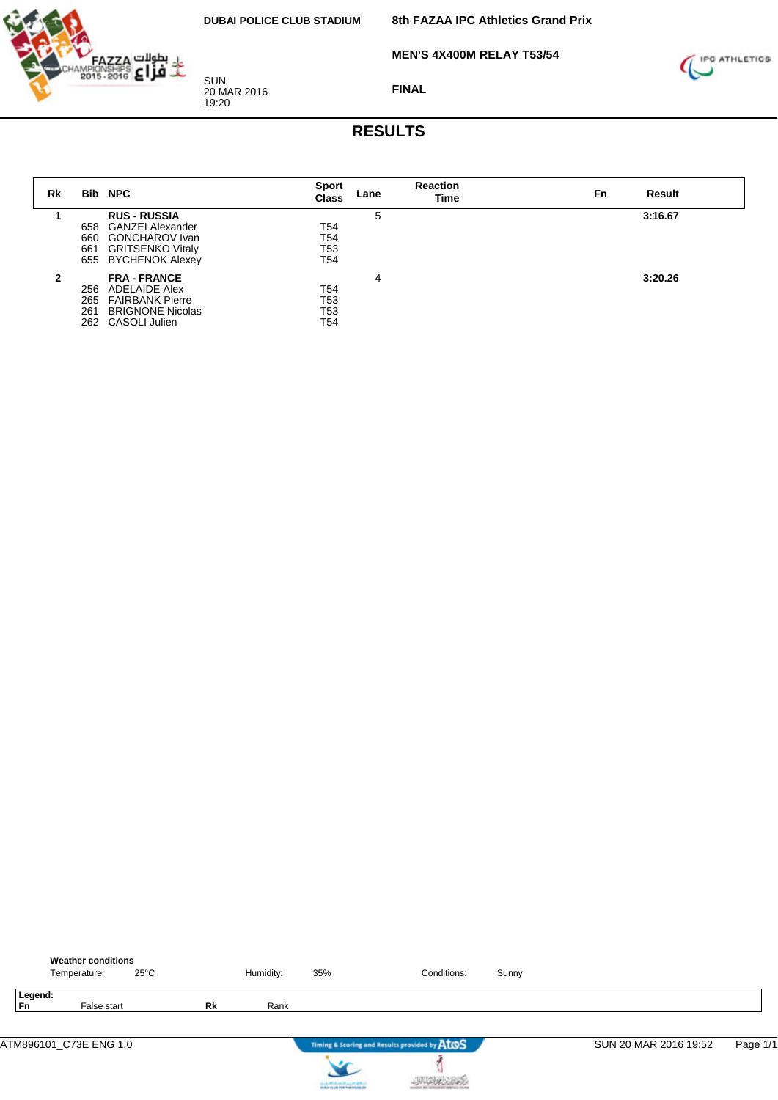**MEN'S 4X400M RELAY T53/54**



SUN 20 MAR 2016 19:20

**FINAL**



| Rk |     | <b>Bib NPC</b>          | <b>Sport</b><br>Class | Lane | <b>Reaction</b><br>Time | Result<br>Fn |  |
|----|-----|-------------------------|-----------------------|------|-------------------------|--------------|--|
|    |     | <b>RUS - RUSSIA</b>     |                       | 5    |                         | 3:16.67      |  |
|    | 658 | <b>GANZEI Alexander</b> | T54                   |      |                         |              |  |
|    | 660 | <b>GONCHAROV</b> Ivan   | T54                   |      |                         |              |  |
|    | 661 | <b>GRITSENKO Vitaly</b> | T53                   |      |                         |              |  |
|    |     | 655 BYCHENOK Alexey     | T54                   |      |                         |              |  |
| 2  |     | <b>FRA - FRANCE</b>     |                       | 4    |                         | 3:20.26      |  |
|    | 256 | ADELAIDE Alex           | T54                   |      |                         |              |  |
|    | 265 | <b>FAIRBANK Pierre</b>  | T53                   |      |                         |              |  |
|    | 261 | <b>BRIGNONE Nicolas</b> | T53                   |      |                         |              |  |
|    |     | 262 CASOLI Julien       | T54                   |      |                         |              |  |

|               | <b>Weather conditions</b><br>Temperature: | $25^{\circ}$ C |    | Humidity: | 35% | Conditions:                                   | Sunny |                       |          |
|---------------|-------------------------------------------|----------------|----|-----------|-----|-----------------------------------------------|-------|-----------------------|----------|
| Legend:<br>Fn | False start                               |                | Rk | Rank      |     |                                               |       |                       |          |
|               |                                           |                |    |           |     | Timing & Scoring and Results provided by AtOS |       | SUN 20 MAR 2016 19:52 | Page 1/1 |
|               |                                           |                |    |           |     |                                               |       |                       |          |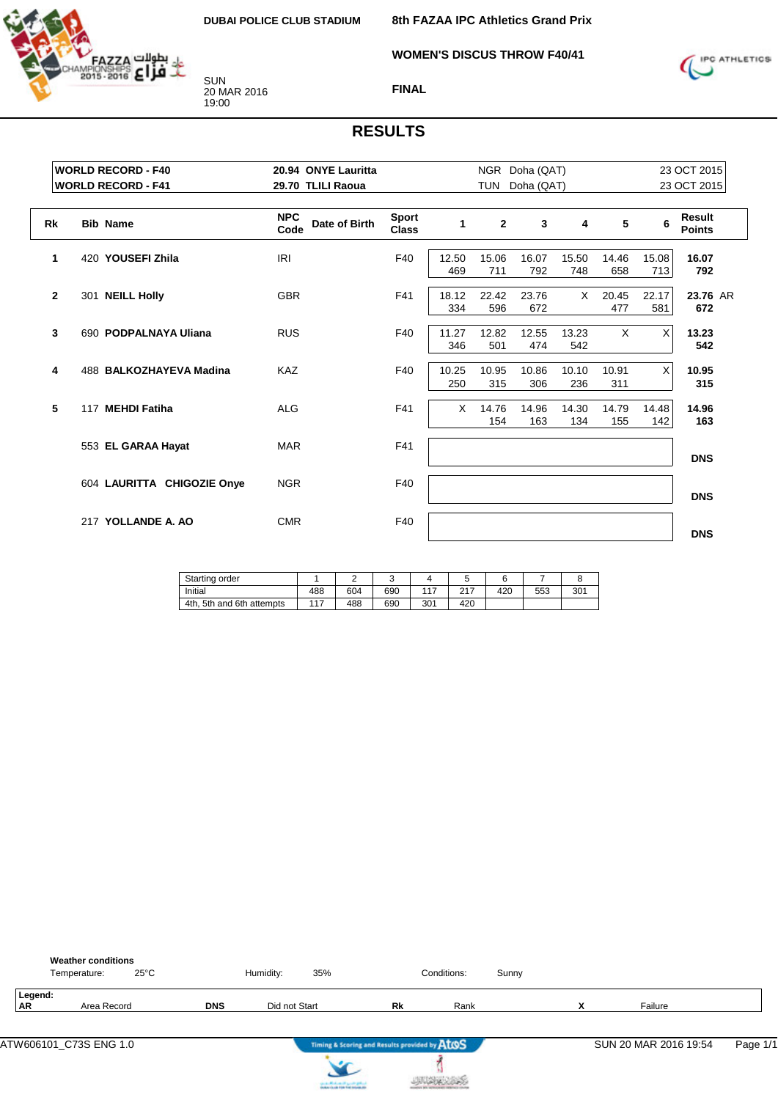**WOMEN'S DISCUS THROW F40/41**



SUN 20 MAR 2016 19:00



#### **FINAL**

|           | <b>WORLD RECORD - F40</b>       | 20.94 ONYE Lauritta                 |                              |              |              | NGR Doha (QAT) |              |              |              | 23 OCT 2015             |
|-----------|---------------------------------|-------------------------------------|------------------------------|--------------|--------------|----------------|--------------|--------------|--------------|-------------------------|
|           | <b>WORLD RECORD - F41</b>       | 29.70 TLILI Raoua                   |                              |              | <b>TUN</b>   | Doha (QAT)     |              |              |              | 23 OCT 2015             |
| <b>Rk</b> | <b>Bib Name</b>                 | <b>NPC</b><br>Date of Birth<br>Code | <b>Sport</b><br><b>Class</b> | 1            | $\mathbf{2}$ | $\mathbf{3}$   | 4            | 5            | 6            | Result<br><b>Points</b> |
|           | 420 YOUSEFI Zhila<br>1          | IRI                                 | F40                          | 12.50<br>469 | 15.06<br>711 | 16.07<br>792   | 15.50<br>748 | 14.46<br>658 | 15.08<br>713 | 16.07<br>792            |
|           | $\mathbf{2}$<br>301 NEILL Holly | <b>GBR</b>                          | F41                          | 18.12<br>334 | 22.42<br>596 | 23.76<br>672   | X.           | 20.45<br>477 | 22.17<br>581 | 23.76 AR<br>672         |
|           | 3<br>690 PODPALNAYA Uliana      | <b>RUS</b>                          | F40                          | 11.27<br>346 | 12.82<br>501 | 12.55<br>474   | 13.23<br>542 | $\times$     | $\times$     | 13.23<br>542            |
|           | 488 BALKOZHAYEVA Madina<br>4    | <b>KAZ</b>                          | F40                          | 10.25<br>250 | 10.95<br>315 | 10.86<br>306   | 10.10<br>236 | 10.91<br>311 | X            | 10.95<br>315            |
|           | 5<br>117 MEHDI Fatiha           | <b>ALG</b>                          | F41                          | $\times$     | 14.76<br>154 | 14.96<br>163   | 14.30<br>134 | 14.79<br>155 | 14.48<br>142 | 14.96<br>163            |
|           | 553 EL GARAA Hayat              | <b>MAR</b>                          | F41                          |              |              |                |              |              |              | <b>DNS</b>              |
|           | 604 LAURITTA CHIGOZIE Onye      | <b>NGR</b>                          | F40                          |              |              |                |              |              |              | <b>DNS</b>              |
|           | 217 YOLLANDE A. AO              | <b>CMR</b>                          | F40                          |              |              |                |              |              |              | <b>DNS</b>              |

| Starting order                 |     | -   | w   |     | ັ               |     |     |     |
|--------------------------------|-----|-----|-----|-----|-----------------|-----|-----|-----|
| Initial                        | 488 | 604 | 690 | 117 | 047<br><u>.</u> | 420 | 553 | 301 |
| 4th.<br>. 5th and 6th attempts | 117 | 488 | 690 | 301 | 420             |     |     |     |

|                      | <b>Weather conditions</b><br>Temperature: | $25^{\circ}$ C |            | Humidity:     | 35%                                           |                                               | Conditions: | Sunny |        |                       |          |
|----------------------|-------------------------------------------|----------------|------------|---------------|-----------------------------------------------|-----------------------------------------------|-------------|-------|--------|-----------------------|----------|
| Legend:<br><b>AR</b> | Area Record                               |                | <b>DNS</b> | Did not Start |                                               | Rk                                            | Rank        |       | v<br>Λ | Failure               |          |
|                      |                                           |                |            |               |                                               | Timing & Scoring and Results provided by AtOS |             |       |        | SUN 20 MAR 2016 19:54 | Page 1/1 |
|                      |                                           |                |            |               | the state of the form of the proof of gradual |                                               |             |       |        |                       |          |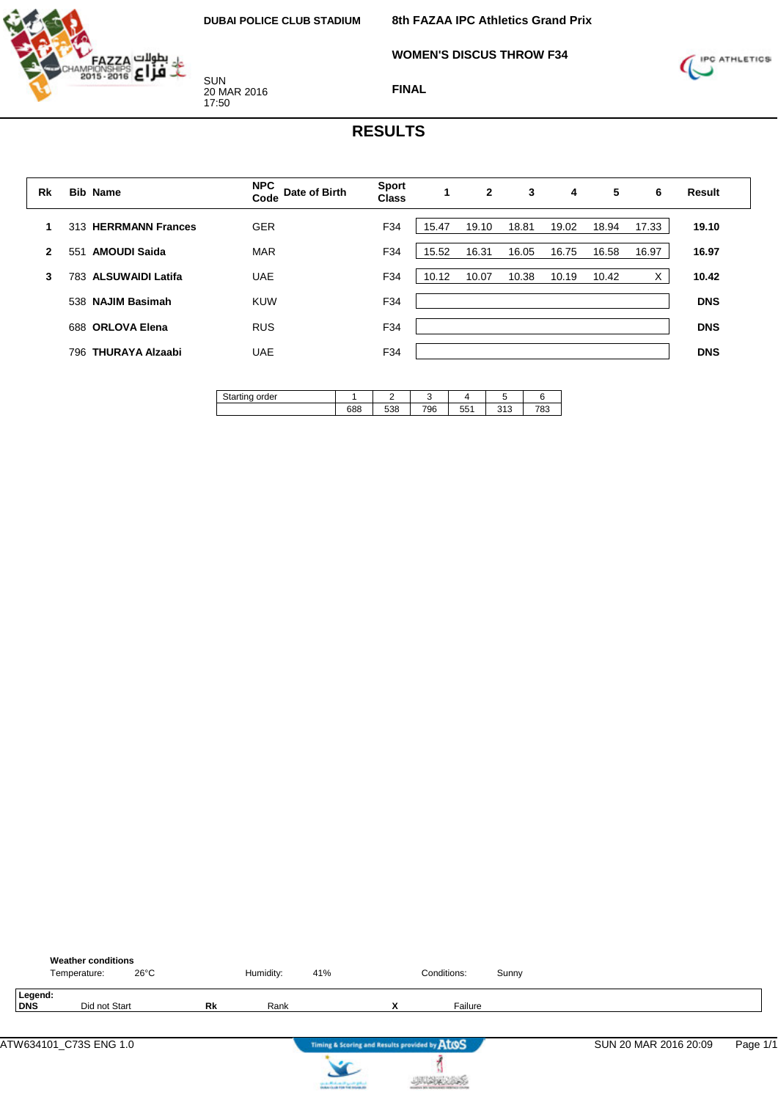**WOMEN'S DISCUS THROW F34**



SUN 20 MAR 2016 17:50



# **FINAL**

## **RESULTS**

| <b>Bib Name</b>                 | <b>NPC</b><br>Date of Birth<br>Code | <b>Sport</b><br><b>Class</b> |       | $\mathbf{2}$ | 3     | 4     | 5     | 6     | <b>Result</b> |
|---------------------------------|-------------------------------------|------------------------------|-------|--------------|-------|-------|-------|-------|---------------|
| 313 HERRMANN Frances            | <b>GER</b>                          | F34                          | 15.47 | 19.10        | 18.81 | 19.02 | 18.94 | 17.33 | 19.10         |
| <b>AMOUDI Saida</b><br>551      | <b>MAR</b>                          | F34                          | 15.52 | 16.31        | 16.05 | 16.75 | 16.58 | 16.97 | 16.97         |
| <b>ALSUWAIDI Latifa</b><br>783. | <b>UAE</b>                          | F34                          | 10.12 | 10.07        | 10.38 | 10.19 | 10.42 | х     | 10.42         |
| 538 NAJIM Basimah               | KUW                                 | F34                          |       |              |       |       |       |       | <b>DNS</b>    |
| 688 ORLOVA Elena                | <b>RUS</b>                          | F34                          |       |              |       |       |       |       | <b>DNS</b>    |
| <b>THURAYA Alzaabi</b><br>796.  | <b>UAE</b>                          | F34                          |       |              |       |       |       |       | <b>DNS</b>    |
|                                 |                                     |                              |       |              |       |       |       |       |               |

| order<br>artinu ' |     |     |     |                    |                                  |           |
|-------------------|-----|-----|-----|--------------------|----------------------------------|-----------|
|                   | 688 | 538 | 796 | <b>EE1</b><br>ו ככ | $\sim$ $\sim$<br><b>LA</b><br>J) | 700<br>o. |

|                       | <b>Weather conditions</b><br>Temperature: | $26^{\circ}$ C |           | Humidity: | 41%                                                                       |   | Conditions: | Sunny |                       |          |
|-----------------------|-------------------------------------------|----------------|-----------|-----------|---------------------------------------------------------------------------|---|-------------|-------|-----------------------|----------|
| Legend:<br><b>DNS</b> | Did not Start                             |                | <b>Rk</b> | Rank      |                                                                           | x | Failure     |       |                       |          |
|                       |                                           |                |           |           | Timing & Scoring and Results provided by AtOS                             |   |             |       | SUN 20 MAR 2016 20:09 | Page 1/1 |
|                       |                                           |                |           |           | country Michael and Lands & Michael<br>Anders that him field industry the |   |             |       |                       |          |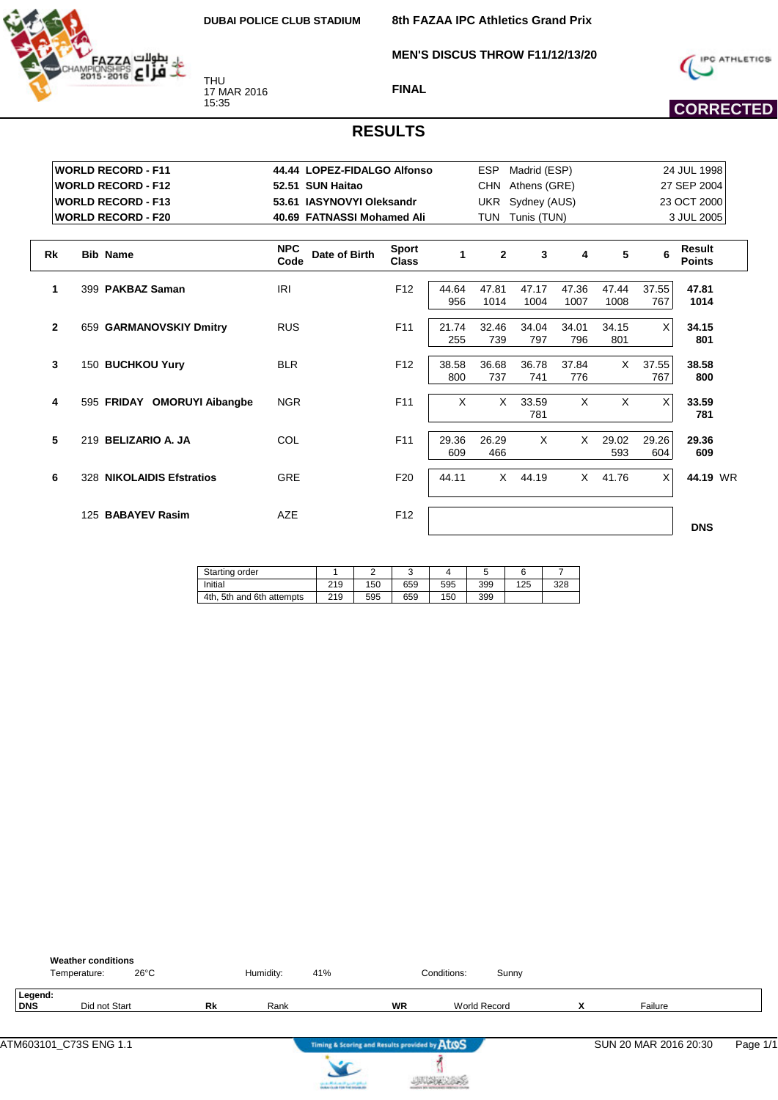

THU 17 MAR 2016 15:35

**8th FAZAA IPC Athletics Grand Prix**

**MEN'S DISCUS THROW F11/12/13/20**



**FINAL**



|              | <b>WORLD RECORD - F11</b>   | 44.44 LOPEZ-FIDALGO Alfonso         |                              |              | <b>ESP</b>     | Madrid (ESP)     |               |               |              | 24 JUL 1998                    |
|--------------|-----------------------------|-------------------------------------|------------------------------|--------------|----------------|------------------|---------------|---------------|--------------|--------------------------------|
|              | <b>WORLD RECORD - F12</b>   | 52.51 SUN Haitao                    |                              |              | <b>CHN</b>     | Athens (GRE)     |               |               |              | 27 SEP 2004                    |
|              | <b>WORLD RECORD - F13</b>   | 53.61 IASYNOVYI Oleksandr           |                              |              |                | UKR Sydney (AUS) |               |               |              | 23 OCT 2000                    |
|              | <b>WORLD RECORD - F20</b>   | 40.69 FATNASSI Mohamed Ali          |                              |              |                | TUN Tunis (TUN)  |               |               |              | 3 JUL 2005                     |
| <b>Rk</b>    | <b>Bib Name</b>             | <b>NPC</b><br>Date of Birth<br>Code | <b>Sport</b><br><b>Class</b> | 1            | $\overline{2}$ | 3                | 4             | 5             |              | <b>Result</b><br><b>Points</b> |
| 1            | 399 PAKBAZ Saman            | <b>IRI</b>                          | F <sub>12</sub>              | 44.64<br>956 | 47.81<br>1014  | 47.17<br>1004    | 47.36<br>1007 | 47.44<br>1008 | 37.55<br>767 | 47.81<br>1014                  |
| $\mathbf{2}$ | 659 GARMANOVSKIY Dmitry     | <b>RUS</b>                          | F <sub>11</sub>              | 21.74<br>255 | 32.46<br>739   | 34.04<br>797     | 34.01<br>796  | 34.15<br>801  | X            | 34.15<br>801                   |
| 3            | 150 BUCHKOU Yury            | <b>BLR</b>                          | F <sub>12</sub>              | 38.58<br>800 | 36.68<br>737   | 36.78<br>741     | 37.84<br>776  | $\times$      | 37.55<br>767 | 38.58<br>800                   |
| 4            | 595 FRIDAY OMORUYI Aibangbe | <b>NGR</b>                          | F <sub>11</sub>              | $\times$     | $\times$       | 33.59<br>781     | $\times$      | X             | X            | 33.59<br>781                   |
| 5            | 219 BELIZARIO A. JA         | COL                                 | F11                          | 29.36<br>609 | 26.29<br>466   | $\times$         | $\times$      | 29.02<br>593  | 29.26<br>604 | 29.36<br>609                   |
| 6            | 328 NIKOLAIDIS Efstratios   | <b>GRE</b>                          | F <sub>20</sub>              | 44.11        | X              | 44.19            | $\times$      | 41.76         | X            | 44.19 WR                       |
|              | 125 BABAYEV Rasim           | <b>AZE</b>                          | F <sub>12</sub>              |              |                |                  |               |               |              | <b>DNS</b>                     |

| Starting order            |     |     |     |     |     |     |     |
|---------------------------|-----|-----|-----|-----|-----|-----|-----|
| Initial                   | 219 | 150 | 659 | 595 | 399 | 125 | 328 |
| 4th, 5th and 6th attempts | 219 | 595 | 659 | 150 | 399 |     |     |

|                       | <b>Weather conditions</b><br>Temperature: | $26^{\circ}$ C |    | Humidity: | 41%                                           |           | Conditions:         | Sunny |   |                       |          |
|-----------------------|-------------------------------------------|----------------|----|-----------|-----------------------------------------------|-----------|---------------------|-------|---|-----------------------|----------|
| Legend:<br><b>DNS</b> | Did not Start                             |                | Rk | Rank      |                                               | <b>WR</b> | <b>World Record</b> |       | x | Failure               |          |
|                       |                                           |                |    |           | Timing & Scoring and Results provided by AtOS |           |                     |       |   | SUN 20 MAR 2016 20:30 | Page 1/1 |
|                       |                                           |                |    |           | can a difference of speeds golden.            |           |                     |       |   |                       |          |